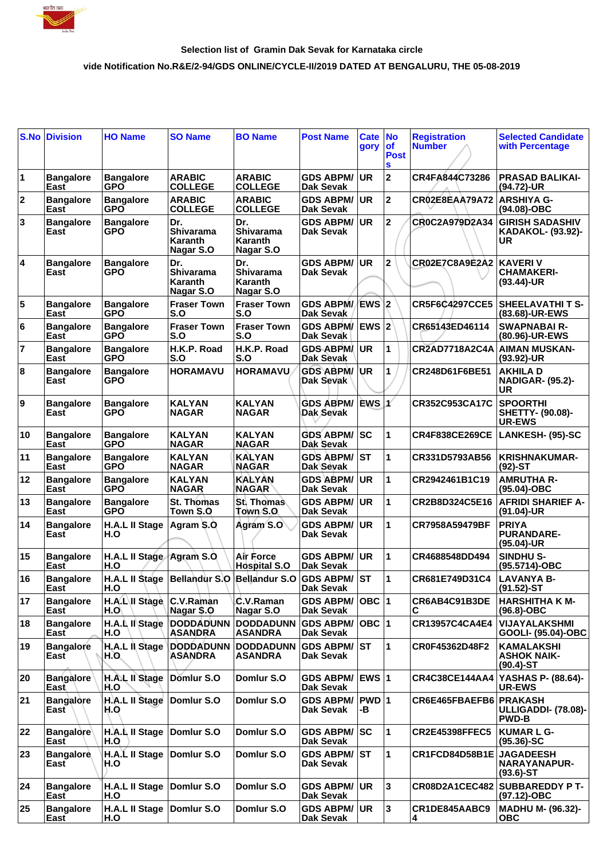

## **Selection list of Gramin Dak Sevak for Karnataka circle**

## **vide Notification No.R&E/2-94/GDS ONLINE/CYCLE-II/2019 DATED AT BENGALURU, THE 05-08-2019**

| S.No           | <b>Division</b>          | <b>HO Name</b>                     | <b>SO Name</b>                                          | <b>BO Name</b>                                  | <b>Post Name</b>                     | Cate No<br>gory | <b>of</b><br><b>Post</b><br>S | <b>Registration</b><br><b>Number</b> | <b>Selected Candidate</b><br>with Percentage                |
|----------------|--------------------------|------------------------------------|---------------------------------------------------------|-------------------------------------------------|--------------------------------------|-----------------|-------------------------------|--------------------------------------|-------------------------------------------------------------|
| 1              | <b>Bangalore</b><br>East | <b>Bangalore</b><br><b>GPO</b>     | <b>ARABIC</b><br><b>COLLEGE</b>                         | <b>ARABIC</b><br><b>COLLEGE</b>                 | <b>GDS ABPM/</b><br>Dak Sevak        | <b>UR</b>       | $\overline{2}$                | CR4FA844C73286                       | <b>PRASAD BALIKAI-</b><br>(94.72)-UR                        |
| $\mathbf 2$    | <b>Bangalore</b><br>East | <b>Bangalore</b><br><b>GPO</b>     | <b>ARABIC</b><br><b>COLLEGE</b>                         | <b>ARABIC</b><br><b>COLLEGE</b>                 | <b>GDS ABPM/</b><br><b>Dak Sevak</b> | <b>UR</b>       | $\mathbf 2$                   | <b>CR02E8EAA79A72</b>                | <b>ARSHIYA G-</b><br>(94.08)-OBC                            |
| 3              | <b>Bangalore</b><br>East | <b>Bangalore</b><br><b>GPO</b>     | Dr.<br><b>Shivarama</b><br>Karanth<br>Nagar S.O         | Dr.<br><b>Shivarama</b><br>Karanth<br>Nagar S.O | <b>GDS ABPM/</b><br>Dak Sevak        | <b>UR</b>       | $\mathbf 2$                   | CR0C2A979D2A34                       | <b>GIRISH SADASHIV</b><br>KADAKOL- (93.92)-<br>UR           |
| 4              | <b>Bangalore</b><br>East | <b>Bangalore</b><br><b>GPO</b>     | Dr.<br>Shivarama<br>Karanth<br>Nagar S.O                | Dr.<br>Shivarama<br>Karanth<br>Nagar S.O        | <b>GDS ABPM/</b><br>Dak Sevak        | <b>UR</b>       | $\overline{2}$                | <b>CR02E7C8A9E2A2</b>                | <b>KAVERIV</b><br><b>CHAMAKERI-</b><br>$(93.44)$ -UR        |
| 5              | <b>Bangalore</b><br>East | <b>Bangalore</b><br><b>GPO</b>     | <b>Fraser Town</b><br>S.O                               | <b>Fraser Town</b><br>S.O                       | GDS ABPM/EWS 2<br><b>Dak Sevak</b>   |                 |                               | <b>CR5F6C4297CCE5</b>                | <b>SHEELAVATHIT S-</b><br>(83.68)-UR-EWS                    |
| 6              | <b>Bangalore</b><br>East | <b>Bangalore</b><br><b>GPO</b>     | <b>Fraser Town</b><br>S.O                               | <b>Fraser Town</b><br>S.O                       | <b>GDS ABPM/</b><br>Dak Sevak        | $EWS$ $2$       |                               | CR65143ED46114                       | <b>SWAPNABAI R-</b><br>(80.96)-UR-EWS                       |
| $\overline{7}$ | <b>Bangalore</b><br>East | <b>Bangalore</b><br><b>GPO</b>     | H.K.P. Road<br>S.O                                      | H.K.P. Road<br>S.O                              | <b>GDS ABPM</b><br><b>Dak Sevak</b>  | <b>UR</b>       | 1                             | CR2AD7718A2C4A AIMAN MUSKAN-         | (93.92)-UR                                                  |
| 8              | <b>Bangalore</b><br>East | <b>Bangalore</b><br><b>GPO</b>     | <b>HORAMAVU</b>                                         | <b>HORAMAVU</b>                                 | <b>GDS ABPM/</b><br>Dak Sevak        | <b>UR</b>       | 1                             | CR248D61F6BE51                       | <b>AKHILAD</b><br><b>NADIGAR- (95.2)-</b><br>UR             |
| 9              | <b>Bangalore</b><br>East | <b>Bangalore</b><br><b>GPO</b>     | <b>KALYAN</b><br><b>NAGAR</b>                           | <b>KALYAN</b><br><b>NAGAR</b>                   | <b>GDS ABPM/</b><br>Dak Sevak        | EWS 1           |                               | CR352C953CA17C                       | <b>SPOORTHI</b><br><b>SHETTY- (90.08)-</b><br><b>UR-EWS</b> |
| 10             | <b>Bangalore</b><br>East | <b>Bangalore</b><br><b>GPO</b>     | <b>KALYAN</b><br><b>NAGAR</b>                           | <b>KALYAN</b><br><b>NAGAR</b>                   | <b>GDS ABPM/</b><br><b>Dak Sevak</b> | lsc             | 1                             | <b>CR4F838CE269CE</b>                | LANKESH- (95)-SC                                            |
| 11             | <b>Bangalore</b><br>East | <b>Bangalore</b><br><b>GPO</b>     | <b>KALYAN</b><br><b>NAGAR</b>                           | <b>KALYAN</b><br><b>NAGAR</b>                   | <b>GDS ABPM/</b><br>Dak Sevak        | <b>ST</b>       | $\mathbf{1}$                  | CR331D5793AB56                       | <b>KRISHNAKUMAR-</b><br>$(92)$ -ST                          |
| 12             | <b>Bangalore</b><br>East | <b>Bangalore</b><br><b>GPO</b>     | <b>KALYAN</b><br><b>NAGAR</b>                           | <b>KALYAN</b><br><b>NAGAR</b>                   | <b>GDS ABPM/</b><br><b>Dak Sevak</b> | <b>UR</b>       | 1                             | CR2942461B1C19                       | <b>AMRUTHA R-</b><br>$(95.04)-OBC$                          |
| 13             | <b>Bangalore</b><br>East | <b>Bangalore</b><br><b>GPO</b>     | <b>St. Thomas</b><br>Town S.O.                          | St. Thomas<br>Town S.O.                         | <b>GDS ABPM/</b><br><b>Dak Sevak</b> | UR              | $\mathbf{1}$                  | CR2B8D324C5E16                       | <b>AFRIDI SHARIEF A-</b><br>(91.04)-UR                      |
| 14             | <b>Bangalore</b><br>East | <b>H.A.L II Stage</b><br>H.O       | Agram S.O                                               | Agram S.O                                       | <b>GDS ABPM/</b><br><b>Dak Sevak</b> | <b>UR</b>       | 1                             | CR7958A59479BF                       | <b>PRIYA</b><br><b>PURANDARE-</b><br>(95.04)-UR             |
| 15             | <b>Bangalore</b><br>East | H.A.L II Stage Agram S.O<br>H.O    |                                                         | Air Force<br><b>Hospital S.O</b>                | <b>GDS ABPM/</b><br><b>Dak Sevak</b> | <b>UR</b>       | 1                             | CR4688548DD494                       | SINDHU S-<br>(95.5714)-OBC                                  |
| 16             | <b>Bangalore</b><br>East | H.O                                | H.A.L II Stage Bellandur S.O Bellandur S.O GDS ABPM/ ST |                                                 | <b>Dak Sevak</b>                     |                 | 1                             | CR681E749D31C4                       | <b>LAVANYA B-</b><br>$(91.52)$ -ST                          |
| 17             | <b>Bangalore</b><br>East | H.A.L\II Stage<br>H.O              | C.V.Raman<br>Nagar \$.0                                 | C.V.Raman<br>Nagar S.O                          | <b>GDS ABPM/</b><br>Dak Sevak        | OBC 1           |                               | CR6AB4C91B3DE<br>С                   | <b>HARSHITHA K M-</b><br>$(96.8)-OBC$                       |
| 18             | <b>Bangalore</b><br>East | H.A.L II Stage<br>H.O              | DODDADUNN<br><b>ASANDRA</b>                             | <b>DODDADUNN</b><br><b>ASANDRA</b>              | <b>GDS ABPM/</b><br><b>Dak Sevak</b> | OBC 1           |                               | CR13957C4CA4E4                       | VIJAYALAKSHMI<br>GOOLI- (95.04)-OBC                         |
| 19             | <b>Bangalore</b><br>East | <b>H.A.L II Stage</b><br>H.O.      | <b>DODDADUNN</b><br><b>ASANDRA</b>                      | <b>DODDADUNN</b><br><b>ASANDRA</b>              | <b>GDS ABPM/ST</b><br>Dak Sevak      |                 | 1                             | CR0F45362D48F2                       | <b>KAMALAKSHI</b><br><b>ASHOK NAIK-</b><br>$(90.4) - ST$    |
| 20             | <b>Bangalore</b><br>East | H.A.L II Stage<br>H.O              | Domlur S.O                                              | Domlur S.O                                      | GDS ABPM/ EWS 1<br>Dak Sevak         |                 |                               | <b>CR4C38CE144AA4</b>                | YASHAS P- (88.64)-<br><b>UR-EWS</b>                         |
| 21             | <b>Bangalore</b><br>East | H.A.L II Stage<br>H.Q              | Domlur S.O                                              | Domlur S.O                                      | <b>GDS ABPM/</b><br>Dak Sevak        | $PWD$ 1<br>-В   |                               | CR6E465FBAEFB6 PRAKASH               | ULLIGADDI- (78.08)-<br><b>PWD-B</b>                         |
| 22             | <b>Bangalore</b><br>East | H.A.L II Stage<br>H.O              | Domlur S.O                                              | Domlur S.O                                      | <b>GDS ABPM/</b><br>Dak Sevak        | lsc             | $\mathbf{1}$                  | <b>CR2E45398FFEC5</b>                | <b>KUMAR L G-</b><br>$(95.36) - SC$                         |
| 23             | <b>Bangalore</b><br>East | H.A.L II Stage<br>H.O              | Domlur S.O                                              | Domlur S.O                                      | <b>GDS ABPM/ ST</b><br>Dak Sevak     |                 | 1                             | CR1FCD84D58B1E                       | <b>JAGADEESH</b><br><b>NARAYANAPUR-</b><br>$(93.6)$ -ST     |
| 24             | <b>Bangalore</b><br>East | H.A.L II Stage   Domlur S.O<br>H.O |                                                         | Domlur S.O                                      | <b>GDS ABPM/</b><br><b>Dak Sevak</b> | UR              | 3                             | CR08D2A1CEC482                       | <b>SUBBAREDDY P T-</b><br>(97.12)-OBC                       |
| 25             | <b>Bangalore</b><br>East | H.A.L II Stage   Domlur S.O<br>H.O |                                                         | Domlur S.O                                      | <b>GDS ABPM/</b><br>Dak Sevak        | UR.             | 3                             | CR1DE845AABC9<br>4                   | MADHU M- (96.32)-<br><b>OBC</b>                             |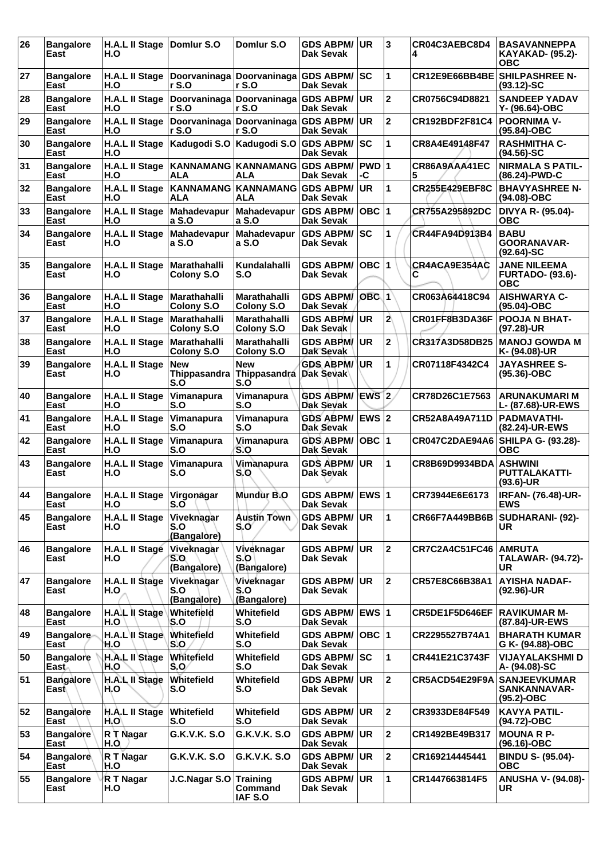| 26 | <b>Bangalore</b><br>East              | H.A.L II Stage<br>H.O        | Domlur S.O                                      | Domlur S.O                                               | <b>GDS ABPM/ UR</b><br>Dak Sevak        |                  | 3                       | CR04C3AEBC8D4<br>4                  | <b>BASAVANNEPPA</b><br><b>KAYAKAD- (95.2)-</b><br>OBC        |
|----|---------------------------------------|------------------------------|-------------------------------------------------|----------------------------------------------------------|-----------------------------------------|------------------|-------------------------|-------------------------------------|--------------------------------------------------------------|
| 27 | <b>Bangalore</b><br>East              | H.A.L II Stage<br>H.O        | Doorvaninaga Doorvaninaga GDS ABPM/ SC<br>r S.O | r S.O                                                    | Dak Sevak                               |                  | 1                       | CR12E9E66BB4BE                      | <b>SHILPASHREE N-</b><br>$(93.12)-SC$                        |
| 28 | <b>Bangalore</b><br>East              | <b>H.A.L II Stage</b><br>H.O | Doorvaninaga<br>rS.0                            | Doorvaninaga GDS ABPM/<br>rS.0                           | <b>Dak Sevak</b>                        | UR.              | $\overline{2}$          | CR0756C94D8821                      | <b>SANDEEP YADAV</b><br>Y- (96.64)-OBC                       |
| 29 | <b>Bangalore</b><br>East              | <b>H.A.L II Stage</b><br>H.O | Doorvaninaga Doorvaninaga GDS ABPM/ UR<br>r S.O | rS.0                                                     | <b>Dak Sevak</b>                        |                  | $\mathbf{2}$            | CR192BDF2F81C4                      | <b>POORNIMA V-</b><br>(95.84)-OBC                            |
| 30 | <b>Bangalore</b><br>East              | H.A.L II Stage<br>H.O        | Kadugodi S.O Kadugodi S.O                       |                                                          | <b>GDS ABPM/ SC</b><br>Dak Sevak        |                  | 1                       | CR8A4E49148F47                      | <b>RASHMITHA C-</b><br>(94.56)-SC                            |
| 31 | <b>Bangalore</b><br>East              | H.A.L II Stage<br>H.O        | KANNAMANG KANNAMANG<br><b>ALA</b>               | ALA                                                      | <b>GDS ABPM/</b><br><b>Dak Sevak</b>    | PWD 1<br>-C      |                         | CR86A9AAA41EC<br>5                  | <b>NIRMALA S PATIL-</b><br>(86.24)-PWD-C                     |
| 32 | <b>Bangalore</b><br>East              | <b>H.A.L II Stage</b><br>H.O | KANNAMANG KANNAMANG<br><b>ALA</b>               | <b>ALA</b>                                               | <b>GDS ABPM/</b><br><b>Dak Sevak</b>    | UR               | 1                       | <b>CR255E429EBF8C</b>               | <b>BHAVYASHREE N-</b><br>(94.08)-OBC                         |
| 33 | <b>Bangalore</b><br>East              | H.A.L II Stage<br>H.O        | Mahadevapur<br>a S.O                            | Mahadevapur<br>a S.O                                     | <b>GDS ABPM/</b><br><b>Dak Sevak</b>    | OBC  1           |                         | CR755A295892DC                      | DIVYA R- (95.04)-<br>ОВС                                     |
| 34 | <b>Bangalore</b><br>East              | <b>H.A.L II Stage</b><br>H.O | Mahadevapur<br>a S.O                            | <b>Mahadevapur</b><br>a S.O                              | <b>GDS ABPM/</b><br>Dak Sevak           | sc               | 1                       | CR44FA94D913B4                      | <b>BABU</b><br>GOORANAVAR-<br>$(92.64)$ -SC                  |
| 35 | <b>Bangalore</b><br>East              | H.A.L II Stage<br>H.O        | Marathahalli<br>Colony S.O                      | Kundalahalli<br>S.O                                      | <b>GDS ABPM/</b><br>Dak Sevak           | OBC              | $\overline{1}$          | CR4ACA9E354AC<br>С                  | <b>JANE NILEEMA</b><br><b>FURTADO- (93.6)-</b><br><b>OBC</b> |
| 36 | <b>Bangalore</b><br>East              | H.A.L II Stage<br>H.O        | Marathahalli<br><b>Colony S.O</b>               | <b>Marathahalli</b><br>Colony S.O                        | <b>GDS ABPM/</b><br>Dak Sevak           | OBC <sub>1</sub> |                         | CR063A64418C94                      | <b>AISHWARYA C-</b><br>(95.04)-OBC                           |
| 37 | <b>Bangalore</b><br>East              | H.A.L II Stage<br>H.O        | Marathahalli<br>Colony S.O                      | Marathahalli<br>Colony S.O                               | <b>GDS ABPM/</b><br>Dak Sevak           | <b>UR</b>        | $\overline{\mathbf{2}}$ | CR01FF8B3DA36F                      | <b>POOJA N BHAT-</b><br>(97.28)-UR                           |
| 38 | <b>Bangalore</b><br>East              | <b>H.A.L II Stage</b><br>H.O | Marathahalli<br>Colony S.O                      | Marathahalli<br><b>Colony S.O</b>                        | <b>GDS ABPM/ UR</b><br>Dak Sevak        |                  | $\mathbf 2$             | CR317A3D58DB25                      | <b>IMANOJ GOWDA M</b><br>K- (94.08)-UR                       |
| 39 | <b>Bangalore</b><br>East              | <b>H.A.L II Stage</b><br>H.O | <b>New</b><br>S.O                               | <b>New</b><br>Thippasandra Thippasandra Dak Sevak<br>S.O | <b>GDS ABPM/ UR</b>                     |                  | 1                       | CR07118F4342C4                      | <b>JAYASHREE S-</b><br>$(95.36) - OBC$                       |
| 40 | <b>Bangalore</b><br>East              | <b>H.A.L II Stage</b><br>H.O | Vimanapura<br>S.O                               | Vimanapura<br>S.O                                        | <b>GDS ABPM/</b><br><b>Dak Sevak</b>    | EWS 2            |                         | CR78D26C1E7563                      | <b>ARUNAKUMARI M</b><br>L- (87.68)-UR-EWS                    |
| 41 | <b>Bangalore</b><br>East              | <b>H.A.L II Stage</b><br>H.O | Vimanapura<br>S.O                               | Vimanapura<br>S.O                                        | GDS ABPM/ EWS 2<br>Dak Sevak            |                  |                         | CR52A8A49A711D                      | <b>PADMAVATHI-</b><br>(82.24)-UR-EWS                         |
| 42 | <b>Bangalore</b><br>East              | <b>H.A.L II Stage</b><br>H.O | Vimanapura<br>S.O                               | Vimanapura<br>S.O                                        | <b>GDS ABPM/</b><br>Dak Sevak           | OBC  1           |                         | CR047C2DAE94A6   SHILPA G- (93.28)- | ОВС                                                          |
| 43 | <b>Bangalore</b><br>East              | <b>H.A.L II Stage</b><br>H.O | Vimanapura<br>S.O                               | Vimanapura<br>S.O                                        | <b>GDS ABPM/</b><br>Dak Sevak           | UR.              | 1                       | CR8B69D9934BDA ASHWINI              | PUTTALAKATTI-<br>$(93.6)$ -UR                                |
| 44 | <b>Bangalore</b><br>East              | <b>H.A.L II Stage</b><br>H.O | Virgonagar<br>S.O                               | Mundur B.O                                               | GDS ABPM/ EWS 1<br><b>Dak Sevak</b>     |                  |                         | CR73944E6E6173                      | <b>IRFAN- (76.48)-UR-</b><br><b>EWS</b>                      |
| 45 | <b>Bangalore</b><br>East              | <b>H.A.L II Stage</b><br>H.O | Viveknagar<br>S.O<br>(Bangalore)                | <b>Austin Town</b><br>S.Oʻ                               | <b>GDS ABPM/ UR</b><br>Dak Sevak        |                  | 1                       | CR66F7A449BB6B                      | <b>SUDHARANI- (92)-</b><br>UR.                               |
| 46 | <b>Bangalore</b><br>East              | H.A.L II Stage<br>H.O        | Viveknagar<br>S.O<br>(Bangalore)                | Viveknagar<br>S.O<br>(Bangalore)                         | <b>GDS ABPM/</b><br>Dak Sevak           | UR.              | $\overline{2}$          | CR7C2A4C51FC46                      | <b>AMRUTA</b><br><b>TALAWAR- (94.72)-</b><br>UR              |
| 47 | <b>Bangalore</b><br>East              | H.A.L II Stage<br>H.O        | Vivekhagar<br>S.O<br>(Bangalore)                | Viveknagar<br>S.O<br>(Bangalore)                         | <b>GDS ABPM/ UR</b><br>Dak Sevak        |                  | $\mathbf{2}$            | CR57E8C66B38A1                      | <b>AYISHA NADAF-</b><br>(92.96)-UR                           |
| 48 | <b>Bangalore</b><br>East              | $H.A.L$ il Stage<br>H.O      | Whitefield<br>S.O                               | Whitefield<br>S.O                                        | GDS ABPM/ EWS 1<br><b>Dak Sevak</b>     |                  |                         | CR5DE1F5D646EF                      | <b>RAVIKUMAR M-</b><br>(87.84)-UR-EWS                        |
| 49 | <b>Bangalore</b><br>East              | H.A.L II Stage<br>H.O        | Whitefield<br>S.O                               | <b>Whitefield</b><br>S.O                                 | <b>GDS ABPM/</b><br><b>Dak Sevak</b>    | OBC  1           |                         | CR2295527B74A1                      | <b>BHARATH KUMAR</b><br>G K- (94.88)-OBC                     |
| 50 | <b>Bangalore</b><br>East <sub>n</sub> | H.A.L II Stage<br>H.O        | Whitefield<br>S.O                               | Whitefield<br>S.O                                        | <b>GDS ABPM/ SC</b><br><b>Dak Sevak</b> |                  | 1                       | CR441E21C3743F                      | <b>VIJAYALAKSHMI D</b><br>A- (94.08)-SC                      |
| 51 | <b>Bangalore</b><br>East              | H.A.L II Stage<br>H.O        | Whitefield<br>S.O                               | <b>Whitefield</b><br>S.O                                 | <b>GDS ABPM/ UR</b><br>Dak Sevak        |                  | $\overline{2}$          | CR5ACD54E29F9A                      | <b>SANJEEVKUMAR</b><br>SANKANNAVAR-<br>$(95.2)$ -OBC         |
| 52 | <b>Bangalore</b><br>East              | H.A.L II Stage<br>H.O        | Whitefield<br>S.O                               | Whitefield<br>S.O                                        | <b>GDS ABPM/ UR</b><br><b>Dak Sevak</b> |                  | $\overline{2}$          | CR3933DE84F549                      | <b>KAVYA PATIL-</b><br>(94.72)-OBC                           |
| 53 | <b>Bangalore</b><br>East              | R T Nagar<br>H.O             | <b>G.K.V.K. S.O</b>                             | G.K.V.K. S.O                                             | <b>GDS ABPM/</b><br>Dak Sevak           | <b>UR</b>        | $\overline{2}$          | CR1492BE49B317                      | <b>MOUNA R P-</b><br>(96.16)-OBC                             |
| 54 | <b>Bangalore</b><br>East              | R T Nagar<br>H.O             | G.K.V.K. S.O                                    | G.K.V.K. S.O                                             | <b>GDS ABPM/ UR</b><br>Dak Sevak        |                  | $\mathbf{2}$            | CR169214445441                      | <b>BINDU S- (95.04)-</b><br><b>OBC</b>                       |
| 55 | <b>Bangalore</b><br>East              | R T Nagar<br>H.O             | J.C.Nagar S.O Training                          | <b>Command</b><br>IAF S.O                                | <b>GDS ABPM/ UR</b><br>Dak Sevak        |                  | 1                       | CR1447663814F5                      | <b>ANUSHA V- (94.08)-</b><br>UR.                             |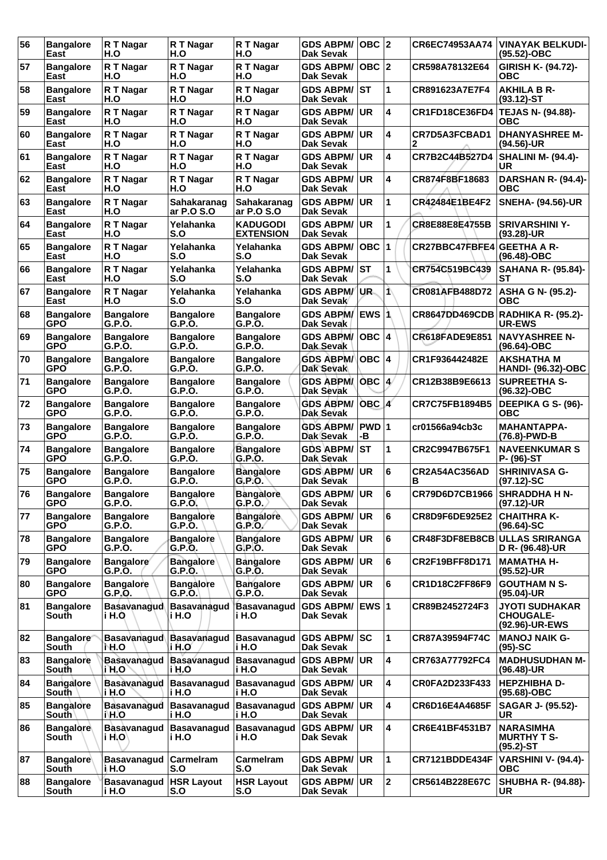| 56 | <b>Bangalore</b><br>East         | R T Nagar<br>H.O              | R T Nagar<br>H.O            | R T Nagar<br>H.O                    | <b>GDS ABPM/</b><br><b>Dak Sevak</b>    | OBC  2      |                | CR6EC74953AA74                    | <b>VINAYAK BELKUDI-</b><br>(95.52)-OBC                      |
|----|----------------------------------|-------------------------------|-----------------------------|-------------------------------------|-----------------------------------------|-------------|----------------|-----------------------------------|-------------------------------------------------------------|
| 57 | <b>Bangalore</b><br>East         | R T Nagar<br>H.O              | R T Nagar<br>H.O            | R T Nagar<br>H.O                    | <b>GDS ABPM/</b><br><b>Dak Sevak</b>    | OBC  2      |                | CR598A78132E64                    | GIRISH K- (94.72)-<br><b>OBC</b>                            |
| 58 | <b>Bangalore</b><br>East         | R T Nagar<br>H.O              | R T Nagar<br>H.O            | R T Nagar<br>H.O                    | <b>GDS ABPM/</b><br><b>Dak Sevak</b>    | lst         | 1              | CR891623A7E7F4                    | <b>AKHILA B R-</b><br>$(93.12)$ -ST                         |
| 59 | <b>Bangalore</b><br>East         | R T Nagar<br>H.O              | R T Nagar<br>H.O            | R T Nagar<br>H.O                    | <b>GDS ABPM/</b><br><b>Dak Sevak</b>    | <b>UR</b>   | 4              | CR1FD18CE36FD4                    | TEJAS N- (94.88)-<br>ОВС                                    |
| 60 | <b>Bangalore</b><br>East         | R T Nagar<br>H.O              | R T Nagar<br>H.O            | R T Nagar<br>H.O                    | <b>GDS ABPM/</b><br><b>Dak Sevak</b>    | <b>IUR</b>  | 4              | CR7D5A3FCBAD1<br>2                | <b>DHANYASHREE M-</b><br>(94.56)-UR                         |
| 61 | <b>Bangalore</b><br>East         | R T Nagar<br>H.O              | R T Nagar<br>H.O            | R T Nagar<br>H.O                    | <b>GDS ABPM/</b><br><b>Dak Sevak</b>    | <b>UR</b>   | 4              | CR7B2C44B527D4                    | SHALINI M- (94.4)-<br>UR                                    |
| 62 | <b>Bangalore</b><br>East         | R T Nagar<br>H.O              | R T Nagar<br>H.O            | R T Nagar<br>H.O                    | <b>GDS ABPM/</b><br><b>Dak Sevak</b>    | <b>UR</b>   | 4              | CR874F8BF18683                    | DARSHAN R- (94.4)-<br><b>OBC</b>                            |
| 63 | <b>Bangalore</b><br>East         | R T Nagar<br>H.O              | Sahakaranag<br>ar P.O S.O   | Sahakaranag<br>ar P.O S.O           | <b>GDS ABPM/</b><br><b>Dak Sevak</b>    | UR.         | 1              | CR42484E1BE4F2                    | <b>SNEHA- (94.56)-UR</b>                                    |
| 64 | <b>Bangalore</b><br>East         | R T Nagar<br>H.O              | Yelahanka<br>S.O            | <b>KADUGODI</b><br><b>EXTENSION</b> | <b>GDS ABPM/</b><br><b>Dak Sevak</b>    | ∣UR.        | 1              | <b>CR8E88E8E4755B</b>             | <b>SRIVARSHINI Y-</b><br>$(93.28)$ -UR                      |
| 65 | <b>Bangalore</b><br>East         | R T Nagar<br>H.O              | Yelahanka<br>S.O            | Yelahanka<br>S.O                    | <b>GDS ABPM/</b><br><b>Dak Sevak</b>    | OBC.        | 1              | <b>CR27BBC47FBFE4 GEETHA A R-</b> | $(96.48)-OBC$                                               |
| 66 | <b>Bangalore</b><br>East         | R T Nagar<br>H.O              | Yelahanka<br>S.O            | Yelahanka<br>S.O                    | <b>GDS ABPM/</b><br><b>Dak Sevak</b>    | <b>ST</b>   | 1              | CR754C519BC439                    | <b>SAHANA R- (95.84)-</b><br>SТ                             |
| 67 | <b>Bangalore</b><br>East         | R T Nagar<br>H.O              | Yelahanka<br>S.O            | Yelahanka<br>S.O                    | <b>GDS ABPM/</b><br>Dak Sevak           | UR.         | ⋀              | CR081AFB488D72                    | ASHA G N- (95.2)-<br>ОВС                                    |
| 68 | <b>Bangalore</b><br><b>GPO</b>   | <b>Bangalore</b><br>G.P.O.    | <b>Bangalore</b><br>G.P.O.  | <b>Bangalore</b><br>G.P.O.          | <b>GDS ABPM/</b><br>Dak Sevak           | ∣EWS ∣ ∖    |                |                                   | CR8647DD469CDB RADHIKA R- (95.2)-<br><b>UR-EWS</b>          |
| 69 | <b>Bangalore</b><br><b>GPO</b>   | <b>Bangalore</b><br>G.P.O.    | <b>Bangalore</b><br>G.P.O.  | <b>Bangalore</b><br>G.P.O.          | <b>GDS ABPM/</b><br><b>Dak Sevak</b>    | OBC  4      |                | <b>CR618FADE9E851</b>             | <b>NAVYASHREE N-</b><br>(96.64)-OBC                         |
| 70 | <b>Bangalore</b><br>GPO          | <b>Bangalore</b><br>G.P.O.    | <b>Bangalore</b><br>G.P.O.  | <b>Bangalore</b><br>G.P.O.          | <b>GDS ABPM/</b><br><b>Dak Sevak</b>    | OBC  4      |                | CR1F936442482E                    | <b>AKSHATHA M</b><br><b>HANDI- (96.32)-OBC</b>              |
| 71 | <b>Bangalore</b><br><b>GPO</b>   | <b>Bangalore</b><br>G.P.O.    | <b>Bangalore</b><br>G.P.O.  | <b>Bangalore</b><br>G.P.O.          | <b>GDS ABPM/</b><br>Dak Sevak           | OBC  4/     |                | CR12B38B9E6613                    | <b>SUPREETHA S-</b><br>$(96.32) - OBC$                      |
| 72 | <b>Bangalore</b><br><b>GPO</b>   | <b>Bangalore</b><br>G.P.O.    | <b>Bangalore</b><br>G.P.O.  | <b>Bangalore</b><br>G.P.O.          | <b>GDS ABPM/</b><br>Dak Sevak           | $ OBC $ $4$ |                | <b>CR7C75FB1894B5</b>             | DEEPIKA G S- (96)-<br><b>OBC</b>                            |
| 73 | <b>Bangalore</b><br><b>GPO</b>   | <b>Bangalore</b><br>G.P.O.    | <b>Bangalore</b><br>G.P.O.  | <b>Bangalore</b><br>G.P.O.          | <b>GDS ABPM/</b><br><b>Dak Sevak</b>    | PWD 1<br>-В |                | cr01566a94cb3c                    | <b>MAHANTAPPA-</b><br>(76.8)-PWD-B                          |
| 74 | <b>Bangalore</b><br><b>GPO</b>   | <b>Bangalore</b><br>G.P.O.    | <b>Bangalore</b><br>G.P.O.  | <b>Bangalore</b><br>G.P.O.          | <b>GDS ABPM/</b><br><b>Dak Sevak</b>    | ∣sт         | 1              | CR2C9947B675F1                    | <b>NAVEENKUMAR S</b><br>P- (96)-ST                          |
| 75 | <b>Bangalore</b><br><b>GPO</b>   | <b>Bangalore</b><br>G.P.O.    | <b>Bangalore</b><br>G.P.O.  | <b>Bangalore</b><br>G.P.O.          | <b>GDS ABPM/</b><br>Dak Sevak           | UR.         | 6              | CR2A54AC356AD<br>в                | <b>SHRINIVASA G-</b><br>$(97.12)$ -SC                       |
| 76 | <b>Bangalore</b><br><b>GPO</b>   | <b>Bangalore</b><br>G.P.O.    | <b>Bangalore</b><br>G.P.O.  | <b>Bangalore</b><br>G.P.O.          | <b>GDS ABPM/ UR</b><br><b>Dak Sevak</b> |             | 6              | CR79D6D7CB1966                    | <b>SHRADDHA H N-</b><br>(97.12)-UR                          |
| 77 | <b>Bangalore</b><br><b>GPO</b>   | <b>Bangalore</b><br>G.P.O.    | <b>Bangalore</b><br>G.P.O.  | <b>Bangalore</b><br>G.P.O.          | <b>GDS ABPM/ UR</b><br>Dak Sevak        |             | 6              | CR8D9F6DE925E2                    | <b>CHAITHRA K-</b><br>$(96.64) - SC$                        |
| 78 | <b>Bangalore</b><br><b>GPO</b>   | <b>Bangalore</b><br>G.P.O.    | <b>Bangalore</b><br>G.P.O.  | <b>Bangalore</b><br>G.P.O.          | <b>GDS ABPM/</b><br>Dak Sevak           | <b>IUR</b>  | 6              |                                   | CR48F3DF8EB8CB ULLAS SRIRANGA<br>D R- (96.48)-UR            |
| 79 | <b>Bangalore</b><br><b>GPO</b>   | Bangalore<br>G.P.O.           | <b>Bangalore</b><br>G.P.O.  | <b>Bangalore</b><br>G.P.O.          | <b>GDS ABPM/ UR</b><br>Dak Sevak        |             | 6              | CR2F19BFF8D171                    | <b>MAMATHA H-</b><br>$(95.52)$ -UR                          |
| 80 | <b>Bangalore</b><br><b>GPO</b>   | <b>Bangalore</b><br>G.P.O.    | <b>Bangalore</b><br>G.P.O.  | <b>Bangalore</b><br>G.P.O.          | <b>GDS ABPM/</b><br>Dak Sevak           | UR.         | 6              | CR1D18C2FF86F9                    | <b>GOUTHAM N S-</b><br>$(95.04)$ -UR                        |
| 81 | <b>Bangalore</b><br>South        | <b>Basavanagud</b><br>i H.O   | Basavanagud<br>i H.O        | <b>Basavanagud</b><br>i H.O         | GDS ABPM/  EWS  1<br>Dak Sevak          |             |                | CR89B2452724F3                    | <b>JYOTI SUDHAKAR</b><br><b>CHOUGALE-</b><br>(92.96)-UR-EWS |
| 82 | <b>Bangalore</b><br>South        | <b>Basavanagud</b><br>NH.O    | Basayanagud<br>∖i H.O       | Basavanagud   GDS ABPM/ SC<br>i H.O | <b>Dak Sevak</b>                        |             | 1              | CR87A39594F74C                    | <b>MANOJ NAIK G-</b><br>$(95)-SC$                           |
| 83 | <b>Bangalore</b><br>South        | <b>Basavanagud</b><br> i H.O  | Basavanagud<br>i H.O        | <b>Basavanagud</b><br>i H.O         | <b>GDS ABPM/</b><br>Dak Sevak           | <b>UR</b>   | 4              | CR763A77792FC4                    | <b>MADHUSUDHAN M-</b><br>$(96.48)$ -UR                      |
| 84 | <b>Bangalore</b><br>South        | <b>Basavanagud</b><br>i H.O   | <b>Basavanagud</b><br>i H.O | <b>Basavanagud</b><br>i H.O         | <b>GDS ABPM/ UR</b><br><b>Dak Sevak</b> |             | 4              | CR0FA2D233F433                    | <b>HEPZHIBHA D-</b><br>$(95.68) - OBC$                      |
| 85 | <b>Bangalore</b><br><b>South</b> | <b>Basavanagud</b><br>i\H.O   | <b>Basavanagud</b><br>i H.O | <b>Basavanagud</b><br>i H.O         | <b>GDS ABPM/ UR</b><br><b>Dak Sevak</b> |             | 4              | CR6D16E4A4685F                    | <b>SAGAR J- (95.52)-</b><br><b>UR</b>                       |
| 86 | <b>Bangalore</b><br>South        | <b>Basavanagud</b><br>∣i H.O` | Basavanagud<br>i H.O        | <b>Basavanagud</b><br>i H.O         | <b>GDS ABPM/</b><br><b>Dak Sevak</b>    | <b>UR</b>   | 4              | CR6E41BF4531B7                    | <b>NARASIMHA</b><br><b>MURTHY T S-</b><br>$(95.2)$ -ST      |
| 87 | <b>Bangalore</b><br>South        | Basavanagud<br>i H.O          | <b>Carmelram</b><br>S.O     | Carmelram<br>S.O                    | <b>GDS ABPM/</b><br>Dak Sevak           | <b>UR</b>   | 1              | CR7121BDDE434F                    | VARSHINI V- (94.4)-<br><b>OBC</b>                           |
| 88 | <b>Bangalore</b><br>South        | <b>Basavanagud</b><br>i H.O   | <b>HSR Layout</b><br>S.O    | <b>HSR Layout</b><br>S.O            | <b>GDS ABPM/ UR</b><br><b>Dak Sevak</b> |             | $\overline{2}$ | CR5614B228E67C                    | <b>SHUBHA R- (94.88)-</b><br>UR                             |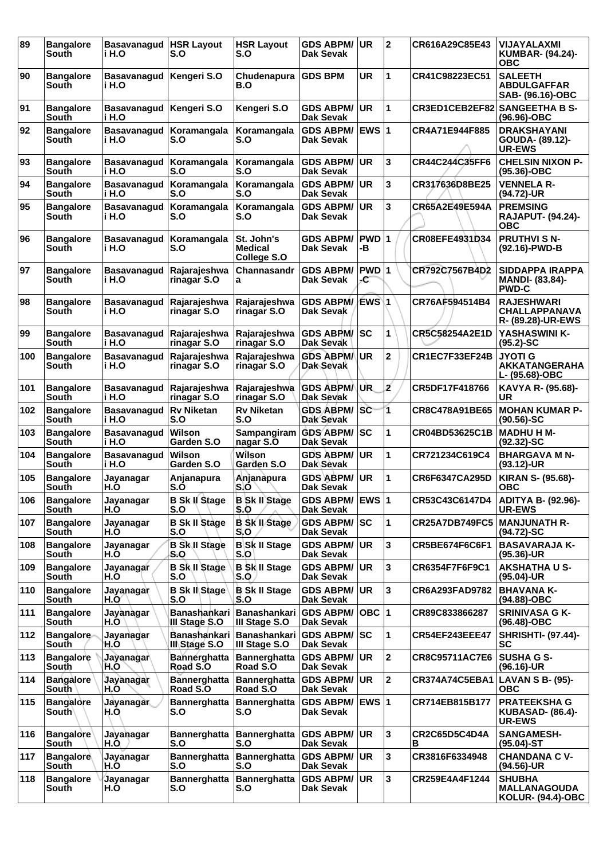| 89  | <b>Bangalore</b><br>South        | <b>Basavanagud</b><br>i H.O | <b>HSR Layout</b><br>S.O             | <b>HSR Layout</b><br>S.O                             | <b>GDS ABPM/</b><br>Dak Sevak        | UR          | $\mathbf{2}$   | CR616A29C85E43        | <b>VIJAYALAXMI</b><br>KUMBAR- (94.24)-<br><b>OBC</b>             |
|-----|----------------------------------|-----------------------------|--------------------------------------|------------------------------------------------------|--------------------------------------|-------------|----------------|-----------------------|------------------------------------------------------------------|
| 90  | <b>Bangalore</b><br>South        | <b>Basavanagud</b><br>i H.O | Kengeri S.O                          | Chudenapura<br>B.O                                   | <b>GDS BPM</b>                       | UR          | 1              | CR41C98223EC51        | <b>SALEETH</b><br><b>ABDULGAFFAR</b><br>SAB- (96.16)-OBC         |
| 91  | <b>Bangalore</b><br>South        | <b>Basavanagud</b><br>i H.O | Kengeri S.O                          | Kengeri S.O                                          | <b>GDS ABPM/</b><br>Dak Sevak        | <b>UR</b>   | 1              | CR3ED1CEB2EF82        | <b>SANGEETHA B S-</b><br>(96.96)-OBC                             |
| 92  | <b>Bangalore</b><br>South        | <b>Basavanagud</b><br>i H.O | Koramangala<br>S.O                   | Koramangala<br>S.O                                   | <b>GDS ABPM/</b><br>Dak Sevak        | <b>EWS1</b> |                | CR4A71E944F885        | <b>DRAKSHAYANI</b><br>GOUDA- (89.12)-<br><b>UR-EWS</b>           |
| 93  | <b>Bangalore</b><br>South        | <b>Basavanagud</b><br>i H.O | Koramangala<br>S.O                   | Koramangala<br>S.O                                   | <b>GDS ABPM/</b><br>Dak Sevak        | UR.         | 3              | CR44C244C35FF6        | <b>CHELSIN NIXON P-</b><br>$(95.36) - OBC$                       |
| 94  | <b>Bangalore</b><br>South        | <b>Basavanagud</b><br>i H.O | Koramangala<br>S.O                   | Koramangala<br>S.O                                   | <b>GDS ABPM/</b><br>Dak Sevak        | UR.         | 3              | CR317636D8BE25        | <b>VENNELA R-</b><br>(94.72)-UR                                  |
| 95  | <b>Bangalore</b><br><b>South</b> | <b>Basavanagud</b><br>i H.O | Koramangala<br>S.O                   | Koramangala<br>S.O                                   | <b>GDS ABPM/</b><br>Dak Sevak        | <b>UR</b>   | 3              | CR65A2E49E594A        | <b>PREMSING</b><br><b>RAJAPUT- (94.24)-</b><br>ОВС               |
| 96  | <b>Bangalore</b><br>South        | <b>Basavanagud</b><br>i H.O | Koramangala<br>S.O                   | St. John's<br><b>Medical</b><br>College S.O          | <b>GDS ABPM/</b><br>Dak Sevak        | PWD 1<br>-В |                | CR08EFE4931D34        | <b>PRUTHVI S N-</b><br>(92.16)-PWD-B                             |
| 97  | <b>Bangalore</b><br>South        | <b>Basavanaqud</b><br>i H.O | Rajarajeshwa<br>rinagar S.O          | Channasandr<br>a                                     | <b>GDS ABPM/</b><br>Dak Sevak        | PWD 1<br>-C |                | CR792C7567B4D2        | <b>SIDDAPPA IRAPPA</b><br><b>MANDI- (83.84)-</b><br><b>PWD-C</b> |
| 98  | <b>Bangalore</b><br>South        | <b>Basavanaqud</b><br>i H.O | Rajarajeshwa<br>rinagar S.O          | Rajarajeshwa<br>rinagar S.O                          | <b>GDS ABPM/</b><br>Dak Sevak        | EWS\1       |                | CR76AF594514B4        | <b>RAJESHWARI</b><br><b>CHALLAPPANAVA</b><br>R- (89.28)-UR-EWS   |
| 99  | <b>Bangalore</b><br>South        | <b>Basavanaqud</b><br>i H.O | Rajarajeshwa<br>rinagar S.O          | Rajarajeshwa<br>rinagar S.O                          | <b>GDS ABPM/SC</b><br>Dak Sevak      |             | 1              | CR5C58254A2E1D        | YASHASWINI K-<br>$(95.2)$ -SC                                    |
| 100 | <b>Bangalore</b><br>South        | <b>Basavanagud</b><br>i H.O | Rajarajeshwa<br>rinagar S.O          | Rajarajeshwa<br>rinagar S.O                          | <b>GDS ABPM/</b><br>Dak Sevak        | <b>UR</b>   | $\mathbf 2$    | CR1EC7F33EF24B        | <b>JYOTI G</b><br><b>AKKATANGERAHA</b><br>L- (95.68)-OBC         |
| 101 | <b>Bangalore</b><br>South        | <b>Basavanagud</b><br>i H.O | Rajarajeshwa<br>rinagar S.O          | Rajarajeshwa<br>rinagar S.O                          | <b>GDS ABPMA</b><br><b>Dak Sevak</b> | UR.         | 2              | CR5DF17F418766        | KAVYA R- (95.68)-<br>UR                                          |
| 102 | <b>Bangalore</b><br>South        | <b>Basavanagud</b><br>i H.O | <b>Rv Niketan</b><br>S.O             | <b>Rv Niketan</b><br>S.O                             | <b>GDS ABPM/</b><br><b>Dak Sevak</b> | SC          | 1              | CR8C478A91BE65        | <b>IMOHAN KUMAR P-</b><br>$(90.56)$ -SC                          |
| 103 | <b>Bangalore</b><br>South        | <b>Basavanagud</b><br>i H.O | Wilson<br>Garden S.O                 | Sampangiram<br>nagar S.O                             | <b>GDS ABPM/</b><br>Dak Sevak        | SC          | 1              | CR04BD53625C1B        | <b>MADHU H M-</b><br>$(92.32) - SC$                              |
| 104 | <b>Bangalore</b><br>South        | <b>Basavanagud</b><br>i H.O | Wilson<br>Garden S.O                 | Wilson<br>Garden S.O                                 | <b>GDS ABPM/</b><br>Dak Sevak        | UR.         | 1              | CR721234C619C4        | <b>BHARGAVA M N-</b><br>$(93.12)$ -UR                            |
| 105 | <b>Bangalore</b><br>South        | Jayanagar<br>H.O            | Anjanapura<br>S.Õ                    | Anjanapura<br>S.O                                    | <b>GDS ABPM/</b><br><b>Dak Sevak</b> | <b>UR</b>   | 1              | CR6F6347CA295D        | <b>KIRAN S- (95.68)-</b><br><b>OBC</b>                           |
| 106 | <b>Bangalore</b><br>South        | Jayanagar<br>H.O            | <b>B Sk II Stage</b><br>S.O          | <b>B Sk II Stage</b><br>S.O                          | GDS ABPM/ EWS 1<br>Dak Sevak         |             |                | CR53C43C6147D4        | ADITYA B- (92.96)-<br><b>UR-EWS</b>                              |
| 107 | <b>Bangalore</b><br>South        | Jayanagar<br>H.O            | <b>B Sk II Stage</b><br>S.O          | <b>B Sk II Stage</b><br>S.O                          | <b>GDS ABPM/SC</b><br>Dak Sevak      |             | 1              | <b>CR25A7DB749FC5</b> | <b>MANJUNATH R-</b><br>$(94.72)$ -SC                             |
| 108 | <b>Bangalore</b><br>South        | Jayanagar<br>H.O            | <b>B Sk II Stage</b><br>S.O          | <b>B</b> Sk II Stage<br>S.O                          | <b>GDS ABPM/ UR</b><br>Dak Sevak     |             | 3              | <b>CR5BE674F6C6F1</b> | <b>BASAVARAJA K-</b><br>(95.36)-UR                               |
| 109 | <b>Bangalore</b><br>South        | Jayanagar<br>H.O            | <b>B Sk II Stage</b><br>S.O          | <b>B Sk II Stage</b><br>S.O                          | <b>GDS ABPM/ UR</b><br>Dak Sevak     |             | 3              | CR6354F7F6F9C1        | <b>AKSHATHA U S-</b><br>$(95.04)$ -UR                            |
| 110 | <b>Bangalore</b><br>South        | Jayanagar<br>H.O            | <b>B Sk Il Stage</b><br>S.O          | <b>B</b> Sk II Stage<br>S.O                          | <b>GDS ABPM/</b><br>Dak Sevak        | <b>UR</b>   | 3              | CR6A293FAD9782        | <b>BHAVANA K-</b><br>(94.88)-OBC                                 |
| 111 | <b>Bangalore</b><br>South        | Jayanagar<br>H.O            | III Stage S.O                        | Banashankari Banashankari GDS ABPM/<br>III Stage S.O | Dak Sevak                            | $OBC$  1    |                | CR89C833866287        | <b>SRINIVASA G K-</b><br>(96.48)-OBC                             |
| 112 | <b>Bangalore</b><br>South        | Jayanagar<br>H.O            | <b>Banashankari</b><br>III Stage S.O | <b>Banashankari</b><br>III Stage S.O                 | <b>GDS ABPM/</b><br>Dak Sevak        | <b>ISC</b>  | 1              | <b>CR54EF243EEE47</b> | <b>SHRISHTI- (97.44)-</b><br>SC                                  |
| 113 | <b>Bangalore</b><br>South        | Jayanagar<br>H.O            | <b>Bannerghatta</b><br>Road S.O      | <b>Bannerghatta</b><br>Road S.O                      | <b>GDS ABPM/</b><br>Dak Sevak        | UR.         | $\mathbf 2$    | <b>CR8C95711AC7E6</b> | <b>SUSHA G S-</b><br>(96.16)-UR                                  |
| 114 | <b>Bangalore</b><br>South        | Jayanagar<br>H.O            | <b>Bannerghatta</b><br>Road S.O      | <b>Bannerghatta</b><br>Road S.O                      | <b>GDS ABPM/ UR</b><br>Dak Sevak     |             | $\overline{2}$ | <b>CR374A74C5EBA1</b> | LAVAN S B- (95)-<br><b>OBC</b>                                   |
| 115 | <b>Bangalore</b><br><b>South</b> | Jayanagar<br>H.O            | <b>Bannerghatta</b><br>S.O           | <b>Bannerghatta</b><br>S.O                           | GDS ABPM/ EWS 1<br>Dak Sevak         |             |                | CR714EB815B177        | <b>PRATEEKSHA G</b><br><b>KUBASAD- (86.4)-</b><br><b>UR-EWS</b>  |
| 116 | <b>Bangalore</b><br>South        | Jayanagar<br>H.O.           | <b>Bannerghatta</b><br>S.O           | Bannerghatta<br>S.O                                  | <b>GDS ABPM/</b><br><b>Dak Sevak</b> | <b>UR</b>   | 3              | CR2C65D5C4D4A<br>В    | <b>SANGAMESH-</b><br>$(95.04)$ -ST                               |
| 117 | <b>Bangalore</b><br>South        | Jayanagar<br>H.O            | <b>Bannerghatta</b><br>S.O           | <b>Bannerghatta</b><br>S.O                           | <b>GDS ABPM/ UR</b><br>Dak Sevak     |             | 3              | CR3816F6334948        | <b>CHANDANA C V-</b><br>$(94.56)$ -UR                            |
| 118 | <b>Bangalore</b><br>South        | Jayanagar<br>H.O            | <b>Bannerghatta</b><br>S.O           | <b>Bannerghatta</b><br>S.O                           | <b>GDS ABPM/ UR</b><br>Dak Sevak     |             | 3              | CR259E4A4F1244        | <b>SHUBHA</b><br><b>MALLANAGOUDA</b><br><b>KOLUR- (94.4)-OBC</b> |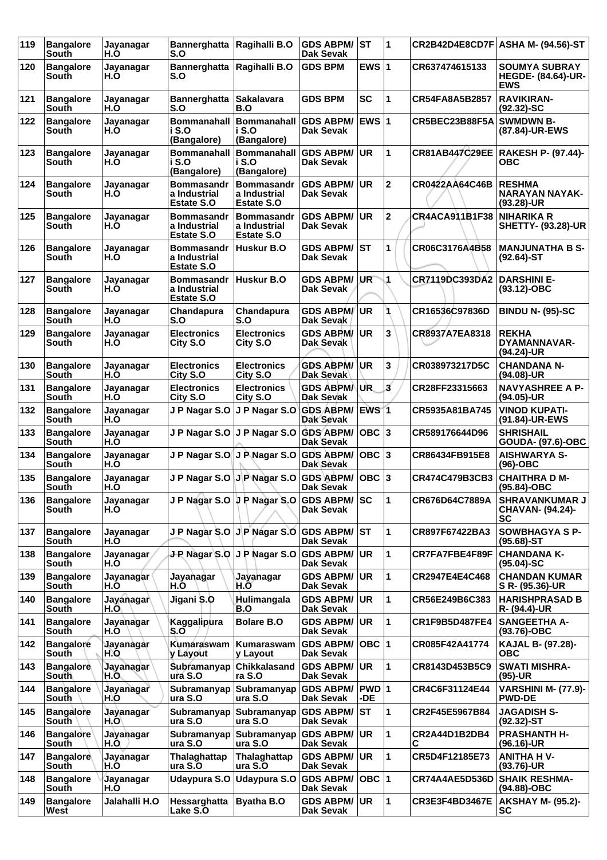| 119 | <b>Bangalore</b><br>South | Jayanagar<br>H.O        | <b>Bannerghatta</b><br>S.O                             | Ragihalli B.O                                             | <b>GDS ABPM/</b><br>Dak Sevak          | <b>ST</b>    | $\blacktriangleleft$ |                       | CR2B42D4E8CD7F ASHA M- (94.56)-ST                               |
|-----|---------------------------|-------------------------|--------------------------------------------------------|-----------------------------------------------------------|----------------------------------------|--------------|----------------------|-----------------------|-----------------------------------------------------------------|
| 120 | <b>Bangalore</b><br>South | Jayanagar<br>H.O        | <b>Bannerghatta</b><br>S.O                             | Ragihalli B.O                                             | <b>GDS BPM</b>                         | EWS $ 1$     |                      | CR637474615133        | <b>SOUMYA SUBRAY</b><br><b>HEGDE- (84.64)-UR-</b><br><b>EWS</b> |
| 121 | <b>Bangalore</b><br>South | Jayanagar<br>H.Ò        | <b>Bannerghatta</b><br>S.O                             | <b>Sakalavara</b><br>B.O                                  | <b>GDS BPM</b>                         | <b>SC</b>    | 1                    | CR54FA8A5B2857        | <b>RAVIKIRAN-</b><br>$(92.32)$ -SC                              |
| 122 | <b>Bangalore</b><br>South | Jayanagar<br>H.O        | <b>Bommanahall</b><br>i S.O<br>(Bangalore)             | <b>Bommanahall</b><br>i S.O<br>(Bangalore)                | <b>GDS ABPM/</b><br>Dak Sevak          | <b>EWS 1</b> |                      | CR5BEC23B88F5A        | <b>SWMDWN B-</b><br>(87.84)-UR-EWS                              |
| 123 | <b>Bangalore</b><br>South | Jayanagar<br>H.O        | i S.O<br>(Bangalore)                                   | Bommanahall Bommanahall GDS ABPM/<br>i S.O<br>(Bangalore) | Dak Sevak                              | UR.          | 1                    |                       | CR81AB447C29EE  RAKESH P- (97.44)-<br><b>OBC</b>                |
| 124 | <b>Bangalore</b><br>South | Jayanagar<br>H.O        | <b>Bommasandr</b><br>a Industrial<br><b>Estate S.O</b> | <b>Bommasandr</b><br>a Industrial<br><b>Estate S.O</b>    | <b>GDS ABPM/</b><br>Dak Sevak          | UR           | $\mathbf 2$          | <b>CR0422AA64C46B</b> | <b>RESHMA</b><br><b>NARAYAN NAYAK-</b><br>$(93.28)$ -UR         |
| 125 | <b>Bangalore</b><br>South | Jayanagar<br>H.O        | <b>Bommasandr</b><br>a Industrial<br><b>Estate S.O</b> | <b>Bommasandr</b><br>a Industrial<br><b>Estate S.O</b>    | <b>GDS ABPM/</b><br>Dak Sevak          | UR.          | $\mathbf 2$          | CR4ACA911B1F38        | NIHARIKA R<br><b>SHETTY- (93.28)-UR</b>                         |
| 126 | <b>Bangalore</b><br>South | Jayanagar<br>H.O        | <b>Bommasandr</b><br>a Industrial<br><b>Estate S.O</b> | Huskur B.O                                                | <b>GDS ABPM/ ST</b><br>Dak Sevak       |              | 1                    | CR06C3176A4B58        | <b>MANJUNATHA B S-</b><br>$(92.64)$ -ST                         |
| 127 | <b>Bangalore</b><br>South | Jayanagar<br>H.O        | <b>Bommasandr</b><br>a Industrial<br>Estate S.O        | Huskur B.O                                                | <b>GDS ABPM/</b><br>Dak Sevak          | IUR.         | 1                    | CR7119DC393DA2        | <b>DARSHINI E-</b><br>(93.12)-OBC                               |
| 128 | <b>Bangalore</b><br>South | Jayanagar<br>H.O        | Chandapura<br>S.O                                      | Chandapura<br>S.O                                         | <b>GDS ABPM/UR</b><br><b>Dak Sevak</b> |              |                      | CR16536C97836D        | <b>BINDU N- (95)-SC</b>                                         |
| 129 | <b>Bangalore</b><br>South | Jayanagar<br>H.O        | <b>Electronics</b><br>City S.O                         | <b>Electronics</b><br>City S.O                            | <b>GDS ABPM/ UR</b><br>Dak Sevak       |              | 3                    | CR8937A7EA8318        | <b>REKHA</b><br>DYAMANNAVAR-<br>(94.24)-UR                      |
| 130 | <b>Bangalore</b><br>South | Jayanagar<br>H.O        | <b>Electronics</b><br>City S.O                         | <b>Electronics</b><br>City S.O                            | <b>GDS ABPM/</b><br>Dak Sevak          | ∣UR          | 3                    | CR038973217D5C        | <b>CHANDANA N-</b><br>(94.08)-UR                                |
| 131 | <b>Bangalore</b><br>South | Jayanagar<br>H.O        | <b>Electronics</b><br>City S.O                         | <b>Electronics</b><br>City S.O                            | <b>GDS ABPMA</b><br>Dak Sevak          | UR.          | 3                    | CR28FF23315663        | <b>NAVYASHREE A P-</b><br>(94.05)-UR                            |
| 132 | <b>Bangalore</b><br>South | Jayanagar<br>H.Ò        | J P Nagar S.O                                          | J P Nagar S.O GDS ABPM/                                   | <b>Dak Sevak</b>                       | <b>EWS 1</b> |                      | CR5935A81BA745        | <b>VINOD KUPATI-</b><br>(91.84)-UR-EWS                          |
| 133 | <b>Bangalore</b><br>South | Jayanagar<br>H.O        | J P Nagar S.O                                          | J P Nagar S.O                                             | <b>GDS ABPM/</b><br>Dak Sevak          |              |                      | CR589176644D96        | <b>SHRISHAIL</b><br><b>GOUDA- (97.6)-OBC</b>                    |
| 134 | <b>Bangalore</b><br>South | Jayanagar<br>H.O        | J P Nagar S.O                                          | J P Nagar S.O GDS ABPM/                                   | Dak Sevak                              | OBC  3       |                      | CR86434FB915E8        | <b>AISHWARYA S-</b><br>$(96)-OBC$                               |
| 135 | <b>Bangalore</b><br>South | Jayanagar<br>H.O        |                                                        | J P Nagar S.O J P Nagar S.O                               | <b>GDS ABPM/</b><br>Dak Sevak          | OBC  3       |                      | CR474C479B3CB3        | <b>CHAITHRA D M-</b><br>(95.84)-OBC                             |
| 136 | <b>Bangalore</b><br>South | Jayanagar<br>H.O        |                                                        | J P Nagar S.O J P Nagar S.O GDS ABPM/SC                   | Dak Sevak                              |              | 11                   | CR676D64C7889A        | SHRAVANKUMAR J<br>CHAVAN- (94.24)-<br>SC                        |
| 137 | <b>Bangalore</b><br>South | Jayanagar<br>H.O        |                                                        | J P Nagar S.O J P Nagar S.O                               | <b>GDS ABPM/ ST</b><br>Dak Sevak       |              | 1                    | CR897F67422BA3        | <b>SOWBHAGYA S P-</b><br>$(95.68) - ST$                         |
| 138 | <b>Bangalore</b><br>South | Jayanagar<br>H.O        | J-P Nagar S.O                                          | J P Nagar S.O                                             | <b>GDS ABPM/ UR</b><br>Dak Sevak       |              | 1                    | CR7FA7FBE4F89F        | <b>CHANDANA K-</b><br>$(95.04)$ -SC                             |
| 139 | <b>Bangalore</b><br>South | Jayanagar<br>H.O        | Jayanagar<br>H.O                                       | Jayanagar<br>H.Õ                                          | <b>GDS ABPM/</b><br>Dak Sevak          | <b>UR</b>    | 1                    | CR2947E4E4C468        | <b>CHANDAN KUMAR</b><br>S R- (95.36)-UR                         |
| 140 | <b>Bangalore</b><br>South | Jayanagar<br>H.O        | Jigani S.O                                             | Hulimangala<br>B.O                                        | <b>GDS ABPM/</b><br><b>Dak Sevak</b>   | <b>UR</b>    | 1                    | CR56E249B6C383        | <b>HARISHPRASAD B</b><br>R- (94.4)-UR                           |
| 141 | <b>Bangalore</b><br>South | Jayanagar<br>H.O        | Kaggalipura<br>S.O                                     | <b>Bolare B.O</b>                                         | <b>GDS ABPM/ UR</b><br>Dak Sevak       |              | 1                    | CR1F9B5D487FE4        | <b>SANGEETHA A-</b><br>$(93.76)$ -OBC                           |
| 142 | <b>Bangalore</b><br>South | Jayanagar<br>H.O        | Kumáraswam<br>y Layout                                 | Kumaraswam<br>y Layout                                    | <b>GDS ABPM/</b><br>Dak Sevak          | OBC  1       |                      | CR085F42A41774        | KAJAL B- (97.28)-<br><b>OBC</b>                                 |
| 143 | <b>Bangalore</b><br>South | <b>Jayanagar</b><br>H.O | Subramanyap<br>ura S.O                                 | <b>Chikkalasand</b><br>ra S.O                             | <b>GDS ABPM/ UR</b><br>Dak Sevak       |              | 1                    | CR8143D453B5C9        | <b>SWATI MISHRA-</b><br>$(95)-UR$                               |
| 144 | <b>Bangalore</b><br>South | Jayanagar<br>H.O        | Subramanyap<br>ura S.O                                 | Subramanyap<br>ura S.O                                    | GDS ABPM/   PWD   1<br>Dak Sevak       | -DE.         |                      | CR4C6F31124E44        | <b>VARSHINI M- (77.9)-</b><br><b>PWD-DE</b>                     |
| 145 | <b>Bangalore</b><br>South | Jayanagar<br>H.O        | Subramanyap<br>ura S.O                                 | Subramanyap <br>ura S.O                                   | <b>GDS ABPM/</b><br>Dak Sevak          | lST.         | 1                    | CR2F45E5967B84        | <b>JAGADISH S-</b><br>$(92.32)$ -ST                             |
| 146 | <b>Bangalore</b><br>South | Jayanagar<br>H.O.       | ura S.O                                                | Subramanyap Subramanyap GDS ABPM/<br>ura S.O              | Dak Sevak                              | <b>UR</b>    | 1                    | CR2A44D1B2DB4<br>С    | <b>PRASHANTH H-</b><br>$(96.16)$ -UR                            |
| 147 | <b>Bangalore</b><br>South | Jayanagar<br>H.O        | Thalaghattap<br>ura S.O                                | Thalaghattap<br>ura S.O                                   | <b>GDS ABPM/ UR</b><br>Dak Sevak       |              | 1                    | CR5D4F12185E73        | <b>ANITHA HV-</b><br>$(93.76)$ -UR                              |
| 148 | <b>Bangalore</b><br>South | Jayanagar<br>H.O        | <b>Udaypura S.O</b>                                    | Udaypura S.O                                              | <b>GDS ABPM/</b><br>Dak Sevak          | OBC  1       |                      | CR74A4AE5D536D        | <b>SHAIK RESHMA-</b><br>(94.88)-OBC                             |
| 149 | <b>Bangalore</b><br>West  | Jalahalli H.O           | Hessarghatta<br>Lake S.O                               | <b>Byatha B.O</b>                                         | <b>GDS ABPM/ UR</b><br>Dak Sevak       |              | 1                    | <b>CR3E3F4BD3467E</b> | <b>AKSHAY M- (95.2)-</b><br>SC                                  |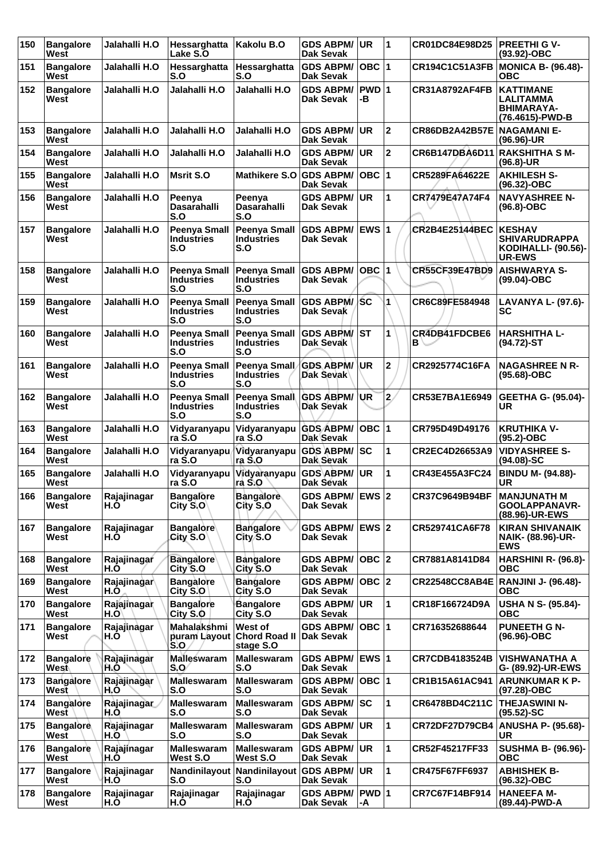| 150 | <b>Bangalore</b><br>West  | Jalahalli H.O       | Hessarghatta<br>Lake S.O                        | Kakolu B.O                                                   | <b>GDS ABPM/</b><br><b>Dak Sevak</b> | UR.          | 11             | CR01DC84E98D25                | <b>PREETHI G V-</b><br>(93.92)-OBC                                                   |
|-----|---------------------------|---------------------|-------------------------------------------------|--------------------------------------------------------------|--------------------------------------|--------------|----------------|-------------------------------|--------------------------------------------------------------------------------------|
| 151 | <b>Bangalore</b><br>West  | Jalahalli H.O       | Hessarghatta<br>S.O                             | Hessarghatta<br>S.O                                          | <b>GDS ABPM/</b><br><b>Dak Sevak</b> | OBC $ 1$     |                | <b>CR194C1C51A3FB</b>         | <b>MONICA B- (96.48)-</b><br><b>OBC</b>                                              |
| 152 | <b>Bangalore</b><br>West  | Jalahalli H.O       | Jalahalli H.O                                   | Jalahalli H.O                                                | <b>GDS ABPM/</b><br>Dak Sevak        | PWD 1<br>-В  |                | <b>CR31A8792AF4FB</b>         | <b>KATTIMANE</b><br>LALITAMMA<br><b>BHIMARAYA-</b><br>(76.4615)-PWD-B                |
| 153 | <b>Bangalore</b><br>West  | Jalahalli H.O       | Jalahalli H.O                                   | Jalahalli H.O                                                | <b>GDS ABPM/</b><br>Dak Sevak        | UR           | $\overline{2}$ | CR86DB2A42B57E                | <b>NAGAMANI E-</b><br>(96.96)-UR                                                     |
| 154 | <b>Bangalore</b><br>West  | Jalahalli H.O       | Jalahalli H.O                                   | Jalahalli H.O                                                | <b>GDS ABPM/</b><br>Dak Sevak        | <b>UR</b>    | 2              | CR6B147DBA6D11 RAKSHITHA S M- | $(96.8) - UR$                                                                        |
| 155 | <b>Bangalore</b><br>West  | Jalahalli H.O       | <b>Msrit S.O</b>                                | Mathikere S.O GDS ABPM/                                      | Dak Sevak                            | OBC $ 1$     |                | CR5289FA64622E                | <b>AKHILESH S-</b><br>(96.32)-OBC                                                    |
| 156 | <b>Bangalore</b><br>West  | Jalahalli H.O       | Peenya<br><b>Dasarahalli</b><br>S.O             | Peenya<br><b>Dasarahalli</b><br>S.O                          | <b>GDS ABPM/</b><br>Dak Sevak        | <b>UR</b>    | 1              | CR7479E47A74F4                | <b>NAVYASHREE N-</b><br>$(96.8)-OBC$                                                 |
| 157 | <b>Bangalore</b><br>West  | Jalahalli H.O       | <b>Peenya Small</b><br><b>Industries</b><br>S.O | <b>Peenya Small</b><br><b>Industries</b><br>S.O              | <b>GDS ABPM/</b><br>Dak Sevak        | <b>EWS 1</b> |                | <b>CR2B4E25144BEC</b>         | <b>KESHAV</b><br><b>SHIVARUDRAPPA</b><br><b>KODIHALLI- (90.56)-</b><br><b>UR-EWS</b> |
| 158 | <b>Bangalore</b><br>West  | Jalahalli H.O       | <b>Peenya Small</b><br><b>Industries</b><br>S.O | Peenya Small GDS ABPM/<br><b>Industries</b><br>S.O           | Dak Sevak                            | ∣овс ∣1      |                | CR55CF39E47BD9                | <b>AISHWARYA S-</b><br>$(99.04)-OBC$                                                 |
| 159 | <b>Bangalore</b><br>West  | Jalahalli H.O       | <b>Peenya Small</b><br><b>Industries</b><br>S.O | Peenya Small GDS ABPM/<br><b>Industries</b><br>S.O           | Dak Sevak                            | /SC          | 1              | CR6C89FE584948                | <b>LAVANYA L- (97.6)-</b><br>SC                                                      |
| 160 | <b>Bangalore</b><br>West  | Jalahalli H.O       | <b>Peenya Small</b><br><b>Industries</b><br>S.O | <b>Peenya Small</b><br><b>Industries</b><br>S.O              | <b>GDS ABPM/</b><br>Dak Sevak        | <b>ST</b>    | 1              | CR4DB41FDCBE6<br>B \          | <b>HARSHITHA L-</b><br>$(94.72)$ -ST                                                 |
| 161 | <b>Bangalore</b><br>West  | Jalahalli H.O       | <b>Peenya Small</b><br><b>Industries</b><br>S.O | Peenya Small<br><b>Industries</b><br>S.O                     | <b>GDS ABPM/</b><br>Dak Sevak        | <b>UR</b>    | $\mathbf 2$    | CR2925774C16FA                | <b>NAGASHREE N R-</b><br>$(95.68)-OBC$                                               |
| 162 | <b>Bangalore</b><br>West  | Jalahalli H.O       | <b>Peenya Small</b><br><b>Industries</b><br>S.O | Peenya Small GDS ABPM/<br><b>Industries</b><br>S.O           | <b>Dak Sevak</b>                     | <b>UR</b>    | $\overline{2}$ | CR53E7BA1E6949                | <b>GEETHA G- (95.04)-</b><br>UR                                                      |
| 163 | <b>Bangalore</b><br>West  | Jalahalli H.O       | Vidyaranyapu<br>ra S.O                          | Vidyaranyapu GDS ABPM/<br>ra S.O                             | Dak Sevak                            | OBC  1       |                | CR795D49D49176                | <b>KRUTHIKA V-</b><br>$(95.2) - OBC$                                                 |
| 164 | <b>Bangalore</b><br>West  | Jalahalli H.O       | Vidyaranyapu<br>ra S.O                          | Vidyaranyapu<br>ra S.O                                       | <b>GDS ABPM/</b><br>Dak Sevak        | SC           | 1              | CR2EC4D26653A9                | <b>VIDYASHREE S-</b><br>$(94.08)$ -SC                                                |
| 165 | <b>Bangalore</b><br>West  | Jalahalli H.O       | Vidyaranyapu<br>ra S.O                          | Vidyaranyapu GDS ABPM/<br>ra S.O                             | Dak Sévak                            | UR           | $\mathbf{1}$   | CR43E455A3FC24                | <b>BINDU M- (94.88)-</b><br>UR                                                       |
| 166 | Bangalore<br>West         | Rajajinagar<br>H.O  | <b>Bangalore</b><br>City S.O                    | <b>Bangalore</b><br>City S.O                                 | GDS ABPM/ EWS 2<br>Dak Sevak         |              |                | CR37C9649B94BF                | <b>MANJUNATH M</b><br>GOOLAPPANAVR-<br>(88.96)-UR-EWS                                |
| 167 | <b>Bangalore</b><br>West  | Rajajinagar<br>H.Ò  | <b>Bangalore</b><br>City S.O                    | <b>Bangalore</b><br>City S.O                                 | <b>GDS ABPM/</b><br>Dak Sevak        | <b>EWS 2</b> |                | CR529741CA6F78                | <b>KIRAN SHIVANAIK</b><br><b>NAIK- (88.96)-UR-</b><br><b>EWS</b>                     |
| 168 | <b>Bangalore</b><br>West  | Rajajinagar<br>H.O  | <b>Bangalore</b><br>City S.O                    | <b>Bangalore</b><br>City S.O                                 | <b>GDS ABPM/</b><br>Dak Sevak        | OBC 2        |                | CR7881A8141D84                | <b>HARSHINI R- (96.8)-</b><br><b>OBC</b>                                             |
| 169 | <b>Bangalore</b><br>West  | Rajajinagar<br>H.O  | <b>Bangalore</b><br>City S.O                    | <b>Bangalore</b><br>City S.O                                 | GDS ABPM/ OBC 2<br>Dak Sevak         |              |                |                               | CR22548CC8AB4E RANJINI J- (96.48)-<br>ОВС                                            |
| 170 | <b>Bangalore</b><br>West  | Rajajinagar<br>H.O\ | <b>Bangalore</b><br>City S.O                    | <b>Bangalore</b><br>City S.O                                 | <b>GDS ABPM/</b><br>Dak Sevak        | UR)          | $\mathbf{1}$   | CR18F166724D9A                | <b>USHA N S- (95.84)-</b><br>ОВС                                                     |
| 171 | <b>Bangalore</b><br>West  | Rajajinagar<br>H.O  | Mahalakshmi<br>S.O                              | West of<br>puram Layout Chord Road II Dak Sevak<br>stage S.O | <b>GDS ABPM/</b>                     | OBC $ 1$     |                | CR716352688644                | <b>PUNEETH G N-</b><br>$(96.96)$ -OBC                                                |
| 172 | <b>Bangalore</b><br>West∖ | Rajajinagar<br>H.O  | <b>Malleswaram</b><br>S.O                       | <b>Malleswaram</b><br>S.O                                    | <b>GDS ABPM/</b><br>Dak Sevak        | <b>EWS 1</b> |                | <b>CR7CDB4183524B</b>         | <b>VISHWANATHA A</b><br>G- (89.92)-UR-EWS                                            |
| 173 | <b>Bangalore</b><br>West  | Rajajinagar<br>H.O  | <b>Malleswaram</b><br>S.O                       | <b>Malleswaram</b><br>S.O                                    | <b>GDS ABPM/</b><br>Dak Sevak        | OBC  1       |                | CR1B15A61AC941                | <b>ARUNKUMAR K P-</b><br>(97.28)-OBC                                                 |
| 174 | <b>Bangalore</b><br>West  | Rajajinagar<br>H.O  | <b>Malleswaram</b><br>S.O                       | <b>Malleswaram</b><br>S.O                                    | <b>GDS ABPM/ SC</b><br>Dak Sevak     |              | 1              | CR6478BD4C211C                | <b>THEJASWINI N-</b><br>$(95.52)$ -SC                                                |
| 175 | <b>Bangalore</b><br>West  | Rajajinagar<br>H.O  | <b>Malleswaram</b><br>S.O                       | <b>Malleswaram</b><br>S.O                                    | <b>GDS ABPM/</b><br>Dak Sevak        | <b>UR</b>    | 1              | <b>CR72DF27D79CB4</b>         | <b>ANUSHA P- (95.68)-</b><br>UR                                                      |
| 176 | <b>Bangalore</b><br>West  | Rajajinagar<br>H.Ò  | <b>Malleswaram</b><br>West S.O                  | <b>Malleswaram</b><br>West S.O                               | <b>GDS ABPM/</b><br>Dak Sevak        | <b>UR</b>    | $\mathbf{1}$   | CR52F45217FF33                | <b>SUSHMA B- (96.96)-</b><br><b>OBC</b>                                              |
| 177 | <b>Bangalore</b><br>West  | Rajajinagar<br>H.O  | S.O                                             | Nandinilayout Nandinilayout GDS ABPM/<br>S.O                 | Dak Sevak                            | UR           | 1              | CR475F67FF6937                | <b>ABHISHEK B-</b><br>$(96.32) - OBC$                                                |
| 178 | <b>Bangalore</b><br>West  | Rajajinagar<br>H.O  | Rajajinagar<br>H.O                              | Rajajinagar<br>H.O                                           | <b>GDS ABPM/</b><br>Dak Sevak        | PWD 1<br>-A  |                | CR7C67F14BF914                | <b>HANEEFA M-</b><br>(89.44)-PWD-A                                                   |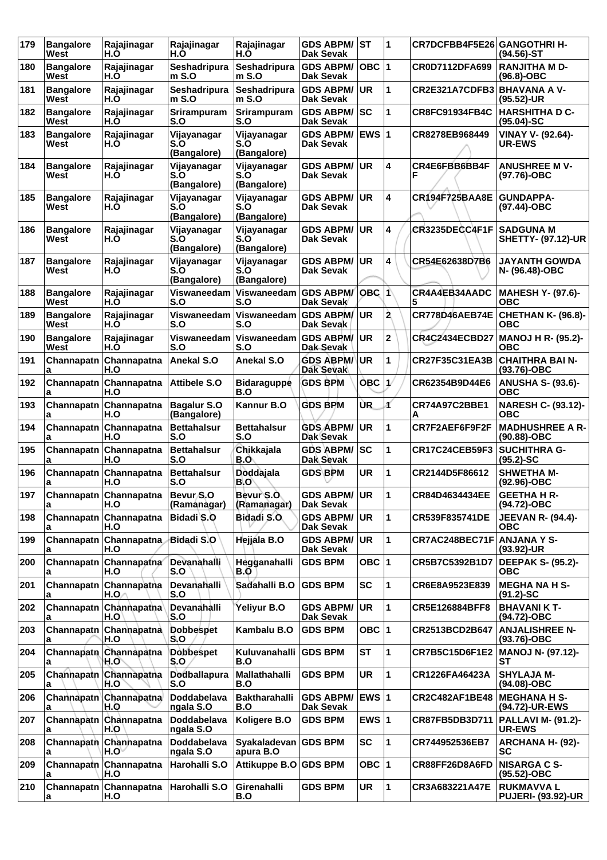| 179 | <b>Bangalore</b><br>West | Rajajinagar<br>H.Ò             | Rajajinagar<br>H.Ò                    | Rajajinagar<br>H.O                | <b>GDS ABPM/ST</b><br><b>Dak Sevak</b> |              | $\overline{\mathbf{1}}$ | CR7DCFBB4F5E26 GANGOTHRI H- | (94.56)-ST                                    |
|-----|--------------------------|--------------------------------|---------------------------------------|-----------------------------------|----------------------------------------|--------------|-------------------------|-----------------------------|-----------------------------------------------|
| 180 | <b>Bangalore</b><br>West | Rajajinagar<br>H.O             | Seshadripura<br>m S.O                 | Seshadripura<br>$m$ S.O           | <b>GDS ABPM/</b><br><b>Dak Sevak</b>   | OBC $ 1$     |                         | CR0D7112DFA699              | <b>RANJITHA M D-</b><br>$(96.8)-OBC$          |
| 181 | <b>Bangalore</b><br>West | Rajajinagar<br>H.O             | Seshadripura<br>$m$ S.O               | Seshadripura<br>$m$ S.O           | <b>GDS ABPM/</b><br><b>Dak Sevak</b>   | <b>UR</b>    | 1                       | CR2E321A7CDFB3              | <b>BHAVANA A V-</b><br>(95.52)-UR             |
| 182 | <b>Bangalore</b><br>West | Rajajinagar<br>H.O             | Srirampuram<br>S.O                    | <b>Srirampuram</b><br>S.O         | <b>GDS ABPM/</b><br>Dak Sevak          | SC           | 1                       | <b>CR8FC91934FB4C</b>       | <b>HARSHITHA D C-</b><br>$(95.04)-SC$         |
| 183 | <b>Bangalore</b><br>West | Rajajinagar<br>H.O             | Vijayanagar<br>S.O<br>(Bangalore)     | Vijayanagar<br>S.O<br>(Bangalore) | <b>GDS ABPM/</b><br>Dak Sevak          | <b>EWS 1</b> |                         | CR8278EB968449              | <b>VINAY V- (92.64)-</b><br><b>UR-EWS</b>     |
| 184 | <b>Bangalore</b><br>West | Rajajinagar<br>H.Ò             | Vijayanagar<br>S.O<br>(Bangalore)     | Vijayanagar<br>S.O<br>(Bangalore) | <b>GDS ABPM/</b><br><b>Dak Sevak</b>   | <b>UR</b>    | 4                       | CR4E6FBB6BB4F<br>F          | <b>ANUSHREE MV-</b><br>(97.76)-OBC            |
| 185 | <b>Bangalore</b><br>West | Rajajinagar<br>H.O             | Vijayanagar<br>S.O<br>(Bangalore)     | Vijayanagar<br>S.O<br>(Bangalore) | <b>GDS ABPM/</b><br><b>Dak Sevak</b>   | <b>UR</b>    | 4                       | CR194F725BAA8E              | <b>GUNDAPPA-</b><br>(97.44)-OBC               |
| 186 | <b>Bangalore</b><br>West | Rajajinagar<br>H.O             | Vijayanagar<br>S.O<br>(Bangalore)     | Vijayanagar<br>S.O<br>(Bangalore) | <b>GDS ABPM/</b><br>Dak Sevak          | <b>UR</b>    | 4                       | <b>CR3235DECC4F1F</b>       | <b>SADGUNA M</b><br><b>SHETTY- (97.12)-UR</b> |
| 187 | <b>Bangalore</b><br>West | Rajajinagar<br>H.Ò             | Vijayanagar<br>S.O<br>(Bangalore)     | Vijayanagar<br>S.O<br>(Bangalore) | <b>GDS ABPM/</b><br><b>Dak Sevak</b>   | <b>UR</b>    | 4                       | CR54E62638D7B6              | <b>JAYANTH GOWDA</b><br>N- (96.48)-OBC        |
| 188 | <b>Bangalore</b><br>West | Rajajinagar<br>H.O             | Viswaneedam<br>S.O                    | Viswaneedam<br>S.O                | <b>GDS ABPM/</b><br>Dak Sevak          | $OBC$ 1      |                         | CR4A4EB34AADC               | <b>MAHESH Y- (97.6)-</b><br><b>OBC</b>        |
| 189 | <b>Bangalore</b><br>West | Rajajinagar<br>H.O             | Viswaneedam<br>S.O                    | Viswaneedam<br>S.O                | <b>GDS ABPM/</b><br>Dak Sevak          | <b>UR</b>    | 2                       | CR778D46AEB74E              | CHETHAN K- (96.8)-<br>ОВС                     |
| 190 | <b>Bangalore</b><br>West | Rajajinagar<br>H.Ó             | Viswaneedam<br>S.O                    | Viswaneedam GDS ABPM/<br>S.O      | Dak Sevak                              | <b>UR</b>    | $\overline{2}$          | <b>CR4C2434ECBD27</b>       | <b>MANOJ H R- (95.2)-</b><br><b>OBC</b>       |
| 191 | Channapatn<br>a          | Channapatna<br>H.O             | <b>Anekal S.O</b>                     | Anekal S.O                        | <b>GDS ABPM/</b><br><b>Dak Sevak</b>   | <b>UR</b>    | 1                       | CR27F35C31EA3B              | <b>CHAITHRA BAI N-</b><br>(93.76)-OBC         |
| 192 | Channapatn<br>a          | Channapatna<br>H.O             | Attibele S.O                          | <b>Bidaraguppe</b><br>B.O         | <b>GDS BPM</b>                         | <b>OBC</b>   | $\mathbf{1}$            | CR62354B9D44E6              | <b>ANUSHA S- (93.6)-</b><br>овс               |
| 193 | a                        | Channapatn Channapatna<br>H.O  | <b>Bagalur S.O</b><br>(Bangalore)     | Kannur B.O                        | <b>GDS BPM</b>                         | ÙR.          | ď                       | CR74A97C2BBE1<br>А          | NARESH C- (93.12)-<br><b>OBC</b>              |
| 194 | a                        | Channapatn Channapatna<br>H.O  | <b>Bettahalsur</b><br>S.O             | <b>Bettahalsur</b><br>S.O         | <b>GDS ABPM/</b><br><b>Dak Sevak</b>   | UR           | 1                       | CR7F2AEF6F9F2F              | <b>MADHUSHREE A R-</b><br>$(90.88) - OBC$     |
| 195 | Channapatn<br>a          | Channapatna<br>H.O             | <b>Bettahalsur</b><br>S.O             | Chikkajala<br>B.O                 | <b>GDS ABPM/</b><br>Dak Sevak          | SC           | 1                       | <b>CR17C24CEB59F3</b>       | <b>SUCHITHRA G-</b><br>$(95.2)$ -SC           |
| 196 | a                        | Channapatn Channapatna<br>H.O  | <b>Bettahalsur</b><br>S.O             | Doddajala<br>B.O                  | <b>GDS BPM</b>                         | <b>UR</b>    | 1                       | CR2144D5F86612              | <b>SHWETHA M-</b><br>(92.96)-OBC              |
| 197 | a                        | Channapatn Channapatna<br>H.O  | Bevur <sub>, S.O</sub><br>(Ramanagar) | Bevur S.O<br>(Ramanagar)          | <b>GDS ABPM/ UR</b><br>Dak Sevak       |              | 1                       | CR84D4634434EE              | <b>GEETHA H R-</b><br>(94.72)-OBC             |
| 198 | Channapatn<br>a          | Channapatna<br>H.O             | Bidadi S.O                            | Bidadi S.O.                       | <b>GDS ABPM/</b><br>Dak Sevak          | ∣UR.         | 1                       | <b>CR539F835741DE</b>       | <b>JEEVAN R- (94.4)-</b><br><b>OBC</b>        |
| 199 | a                        | Channapatn Channapatna<br>H.O  | <b>Bidadi S.O</b>                     | Hejjála B.O                       | <b>GDS ABPM/</b><br>Dak Sevak          | UR           | 1                       | CR7AC248BEC71F ANJANA Y S-  | (93.92)-UR                                    |
| 200 | а                        | Channapatn Channapatna<br>H.O  | Devanahalli<br>S.O                    | Hegganahalli<br>B.O               | <b>GDS BPM</b>                         | OBC 1        |                         | CR5B7C5392B1D7              | <b>DEEPAK S- (95.2)-</b><br>ОВС               |
| 201 | a                        | Channapatn Channapatna<br>H.O  | Devanahalli<br>S.O                    | Sadahalli B.O                     | <b>GDS BPM</b>                         | <b>SC</b>    | 1                       | CR6E8A9523E839              | <b>MEGHA NA H S-</b><br>$(91.2)$ -SC          |
| 202 | a                        | Channapatn Channapatha<br>H.O  | Devanahalli<br>S.O                    | Yeliyur B.O                       | <b>GDS ABPM/</b><br><b>Dak Sevak</b>   | <b>UR</b>    | 1                       | CR5E126884BFF8              | <b>BHAVANI K T-</b><br>(94.72)-OBC            |
| 203 | а                        | Channapatn Channapatna<br>H.O  | <b>Dobbespet</b><br>S.O               | Kambalu B.O                       | <b>GDS BPM</b>                         | OBC 1        |                         | CR2513BCD2B647              | <b>ANJALISHREE N-</b><br>$(93.76)$ -OBC       |
| 204 | a                        | Channapatn Channapatna<br>H.O` | <b>Dobbespet</b><br>S.O               | Kuluvanahalli<br>B.O              | <b>GDS BPM</b>                         | ST           | 1                       | <b>CR7B5C15D6F1E2</b>       | MANOJ N- (97.12)-<br>SТ                       |
| 205 | a                        | Channapatn Channapatna<br>H.O  | Dodballapura<br>S.O                   | Mallathahalli<br>B.O              | <b>GDS BPM</b>                         | UR           | 1                       | CR1226FA46423A              | <b>SHYLAJA M-</b><br>(94.08)-OBC              |
| 206 | а                        | Channapatn Channapatna<br>H.O  | Doddabelava<br>ngala S.O              | <b>Baktharahalli</b><br>B.O       | <b>GDS ABPM/</b><br>Dak Sevak          | <b>EWS 1</b> |                         | CR2C482AF1BE48              | <b>MEGHANA H S-</b><br>(94.72)-UR-EWS         |
| 207 | a                        | Channapatn Channapatna<br>H.O  | Doddabelava<br>ngala S.O              | Koligere B.O                      | <b>GDS BPM</b>                         | EWS $ 1$     |                         | CR87FB5DB3D711              | <b>PALLAVI M- (91.2)-</b><br><b>UR-EWS</b>    |
| 208 | a                        | Channapath Channapatna<br>H.O` | Doddabelava<br>ngala S.O              | Syakaladevan GDS BPM<br>apura B.O |                                        | <b>SC</b>    | 1                       | CR744952536EB7              | <b>ARCHANA H- (92)-</b><br><b>SC</b>          |
| 209 | а                        | Channapatn Channapatna<br>H.O  | Harohalli S.O                         | Attikuppe B.O                     | <b>GDS BPM</b>                         | OBC 1        |                         | CR88FF26D8A6FD              | <b>NISARGA C S-</b><br>(95.52)-OBC            |
| 210 | Channapatn<br>а          | Channapatna<br>H.O             | Harohalli S.O                         | Girenahalli<br>B.O                | <b>GDS BPM</b>                         | UR           | 1                       | CR3A683221A47E              | <b>RUKMAVVAL</b><br><b>PUJERI- (93.92)-UR</b> |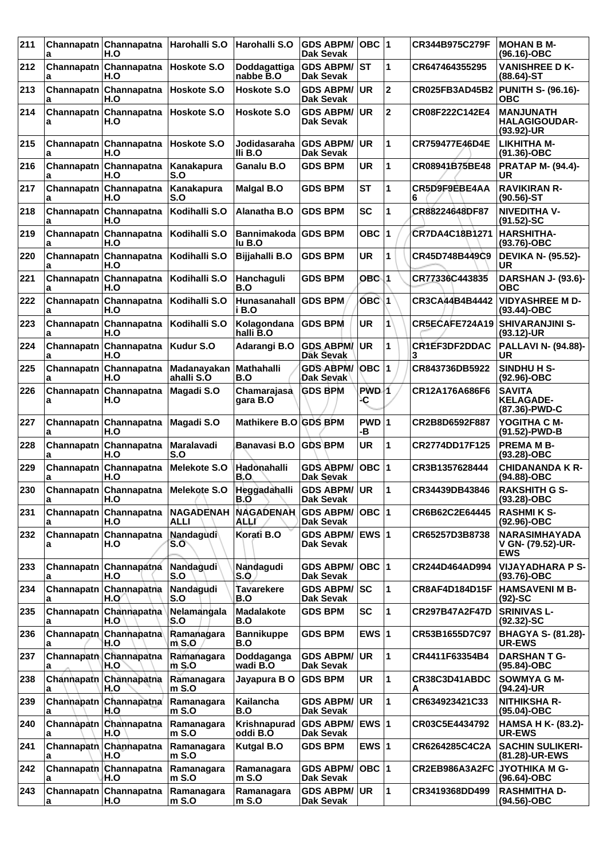| 211 | a               | Channapatn Channapatna<br>H.O | Harohalli S.O             | Harohalli S.O                      | <b>GDS ABPM/</b><br><b>Dak Sevak</b> | OBC $ 1$     |                         | CR344B975C279F        | <b>MOHAN B M-</b><br>(96.16)-OBC                        |
|-----|-----------------|-------------------------------|---------------------------|------------------------------------|--------------------------------------|--------------|-------------------------|-----------------------|---------------------------------------------------------|
| 212 | а               | Channapatn Channapatna<br>H.O | Hoskote S.O               | Doddagattiga<br>nabbe B.O          | <b>GDS ABPM/</b><br><b>Dak Sevak</b> | <b>ST</b>    | 1                       | CR647464355295        | <b>VANISHREE D K-</b><br>$(88.64)$ -ST                  |
| 213 | Channapatn<br>а | Channapatna<br>H.O            | Hoskote S.O               | Hoskote S.O                        | <b>GDS ABPM/</b><br>Dak Sevak        | <b>UR</b>    | $\overline{\mathbf{c}}$ | <b>CR025FB3AD45B2</b> | <b>PUNITH S- (96.16)-</b><br><b>OBC</b>                 |
| 214 | a               | Channapatn Channapatna<br>H.O | <b>Hoskote S.O</b>        | <b>Hoskote S.O</b>                 | <b>GDS ABPM/</b><br>Dak Sevak        | <b>UR</b>    | $\overline{2}$          | CR08F222C142E4        | <b>MANJUNATH</b><br><b>HALAGIGOUDAR-</b><br>(93.92)-UR  |
| 215 | a               | Channapatn Channapatna<br>H.O | Hoskote S.O               | Jodidasaraha<br>IIi B.O            | <b>GDS ABPM/</b><br>Dak Sevak        | <b>UR</b>    | 1                       | CR759477E46D4E        | <b>LIKHITHA M-</b><br>$(91.36) - OBC$                   |
| 216 | a               | Channapatn Channapatna<br>H.O | Kanakapura<br>S.O         | Ganalu B.O                         | <b>GDS BPM</b>                       | <b>UR</b>    | 1                       | CR08941B75BE48        | <b>PRATAP M- (94.4)-</b><br>UR                          |
| 217 | Channapatn<br>a | Channapatna<br>H.O            | Kanakapura<br>S.O         | <b>Malgal B.O</b>                  | <b>GDS BPM</b>                       | <b>ST</b>    | 1                       | CR5D9F9EBE4AA<br>6    | <b>RAVIKIRAN R-</b><br>(90.56)-ST                       |
| 218 | Channapatn<br>a | Channapatna<br>H.O            | Kodihalli S.O             | Alanatha B.O                       | <b>GDS BPM</b>                       | <b>SC</b>    | 1                       | CR88224648DF87        | <b>NIVEDITHA V-</b><br>$(91.52)$ -SC                    |
| 219 | a               | Channapatn Channapatna<br>H.O | Kodihalli S.O             | Bannimakoda GDS BPM<br>lu B.O      |                                      | OBC ∣1       |                         | CR7DA4C18B1271        | <b>HARSHITHA-</b><br>(93.76)-OBC                        |
| 220 | Channapatn<br>a | Channapatna<br>H.O            | Kodihalli S.O             | Bijjahalli B.O                     | <b>GDS BPM</b>                       | UR           | 1                       | CR45D748B449C9        | <b>DEVIKA N- (95.52)-</b><br>UR                         |
| 221 | Channapatn<br>a | Channapatna<br>H.O            | Kodihalli S.O             | Hanchaguli<br>B.O                  | <b>GDS BPM</b>                       | OBC 1        |                         | CR77336C443835        | <b>DARSHAN J- (93.6)-</b><br><b>OBC</b>                 |
| 222 | a               | Channapatn Channapatna<br>H.O | Kodihalli S.O             | Hunasanahall<br>i B.O              | <b>GDS BPM</b>                       | OBC 1        |                         | CR3CA44B4B4442        | <b>VIDYASHREE M D-</b><br>$(93.44) - OBC$               |
| 223 | Channapatn<br>a | Channapatna<br>H.O            | Kodihalli S.O             | Kolagondana<br>halli B.O           | <b>GDS BPM</b>                       | <b>UR</b>    | 1                       | CR5ECAFE724A19        | <b>SHIVARANJINI S-</b><br>$(93.12)$ -UR                 |
| 224 | Channapatn<br>a | Channapatna<br>H.O            | Kudur S.O                 | Adarangi B.O                       | <b>GDS ABPM/</b><br>Dak Sevak        | UR           | 1                       | CR1EF3DF2DDAC<br>3    | <b>PALLAVI N- (94.88)-</b><br>UR                        |
| 225 | a               | Channapatn Channapatna<br>H.O | Madanayakan<br>ahalli S.O | <b>Mathahalli</b><br>B.O           | <b>GDS ABPM/</b><br>Dak Sevak        | OBC  1       |                         | CR843736DB5922        | SINDHU H S-<br>(92.96)-OBC                              |
| 226 | Channapatn<br>a | Channapatna<br>H.O            | Magadi S.O                | Chamarajasa<br>gara B.O            | <b>GDS BPM</b>                       | PWD-1<br>٠C  |                         | CR12A176A686F6        | <b>SAVITA</b><br><b>KELAGADE-</b><br>(87.36)-PWD-C      |
| 227 | a               | Channapatn Channapatna<br>H.O | Magadi S.O                | Mathikere B.O                      | <b>GDS BPM</b>                       | PWD 1<br>۰B  |                         | CR2B8D6592F887        | YOGITHA C M-<br>(91.52)-PWD-B                           |
| 228 | Channapatn<br>a | Channapatna<br>H.O            | Maralavadi<br>S.O         | <b>Banavasi B.O</b>                | <b>GDS BPM</b>                       | UR           | 1                       | CR2774DD17F125        | <b>PREMA M B-</b><br>(93.28)-OBC                        |
| 229 | Channapatn<br>a | Channapatna<br>H.O            | Melekote S.O              | Hadonahalli<br>B.O                 | <b>GDS ABPM/</b><br>Dak Sevak        | $OBC$ 1      |                         | CR3B1357628444        | <b>CHIDANANDA K R-</b><br>(94.88)-OBC                   |
| 230 | a               | Channapatn Channapatna<br>H.O | Melekote S.O              | Heggadahalli<br>B.O                | <b>GDS ABPM/</b><br>Dak Sevak        | UR.          | 1                       | CR34439DB43846        | <b>RAKSHITH G S-</b><br>(93.28)-OBC                     |
| 231 | Channapatn<br>а | Channapatna<br>H.O            | <b>NAGADENAH</b><br>ALLI  | <b>NAGADENAH</b><br>ALLI           | <b>GDS ABPM/</b><br>Dak Sevak        | $OBC$  1     |                         | CR6B62C2E64445        | <b>RASHMIKS-</b><br>(92.96)-OBC                         |
| 232 | a               | Channapatn Channapatna<br>H.O | Nandagudi<br>S.O          | Korati B.O                         | <b>GDS ABPM/</b><br>Dak Sevak        | <b>EWS 1</b> |                         | CR65257D3B8738        | <b>NARASIMHAYADA</b><br>V GN- (79.52)-UR-<br><b>EWS</b> |
| 233 | a               | Channapatn Channapatna<br>H.O | Nandagudi<br>S.O          | Nandagudi<br>S.O                   | <b>GDS ABPM/</b><br>Dak Sevak        | $OBC$ 1      |                         | CR244D464AD994        | <b>VIJAYADHARA P S-</b><br>(93.76)-OBC                  |
| 234 | a               | Channapatn Channapatna<br>H.O | Nandagudi<br>S.O          | Tavarekere<br>B.O                  | <b>GDS ABPM/</b><br><b>Dak Sevak</b> | lsc          | 1                       | CR8AF4D184D15F        | <b>HAMSAVENIM B-</b><br>$(92)$ -SC                      |
| 235 | Channapatn<br>a | Channapatna<br>H.O            | Nelamangala<br>S.O        | <b>Madalakote</b><br>B.O           | <b>GDS BPM</b>                       | <b>SC</b>    | 1                       | CR297B47A2F47D        | <b>SRINIVAS L-</b><br>$(92.32)$ -SC                     |
| 236 | Channapatn<br>a | Channapatna<br>H.O            | Ramanagara<br>$m$ S.O     | <b>Bannikuppe</b><br>B.O           | <b>GDS BPM</b>                       | EWS $ 1$     |                         | CR53B1655D7C97        | <b>BHAGYA S- (81.28)-</b><br><b>UR-EWS</b>              |
| 237 | a               | Channapatn Channapatna<br>H.O | Ramanagara<br>m S.O       | Doddaganga<br>wadi B.O             | <b>GDS ABPM/</b><br>Dak Sevak        | <b>UR</b>    | 1                       | CR4411F63354B4        | <b>DARSHAN T G-</b><br>$(95.84)$ -OBC                   |
| 238 | Channapath<br>a | Channapatna<br>H.O            | Ramanagara<br>m S.O       | Jayapura BO                        | <b>GDS BPM</b>                       | <b>UR</b>    | $\mathbf 1$             | CR38C3D41ABDC<br>А    | SOWMYA G M-<br>(94.24)-UR                               |
| 239 | a               | Channapatn Channapatna<br>H.O | Ramanagara<br>$m$ S.O     | Kailancha<br>B.O                   | <b>GDS ABPM/</b><br>Dak Sevak        | <b>UR</b>    | 1                       | CR634923421C33        | <b>NITHIKSHA R-</b><br>(95.04)-OBC                      |
| 240 | a               | Channapatn Channapatna<br>H.O | Ramanagara<br>$m$ S.O     | Krishnapurad GDS ABPM/<br>oddi B.O | Dak Sevak                            | EWS $ 1$     |                         | CR03C5E4434792        | <b>HAMSA H K- (83.2)-</b><br>UR-EWS                     |
| 241 | a               | Channapath Channapatna<br>H.O | Ramanagara<br>$m$ S.O     | Kutgal B.O                         | <b>GDS BPM</b>                       | EWS $ 1$     |                         | CR6264285C4C2A        | <b>SACHIN SULIKERI-</b><br>(81.28)-UR-EWS               |
| 242 | a               | Channapath Channapatna<br>H.O | Ramanagara<br>$m$ S.O     | Ramanagara<br>$m$ S.O              | <b>GDS ABPM/</b><br>Dak Sevak        | $OBC$  1     |                         | CR2EB986A3A2FC        | JYOTHIKA M G-<br>(96.64)-OBC                            |
| 243 | a               | Channapatn Channapatna<br>H.O | Ramanagara<br>$m$ S.O     | Ramanagara<br>m S.O                | <b>GDS ABPM/</b><br>Dak Sevak        | <b>UR</b>    | 1                       | CR3419368DD499        | <b>RASHMITHA D-</b><br>(94.56)-OBC                      |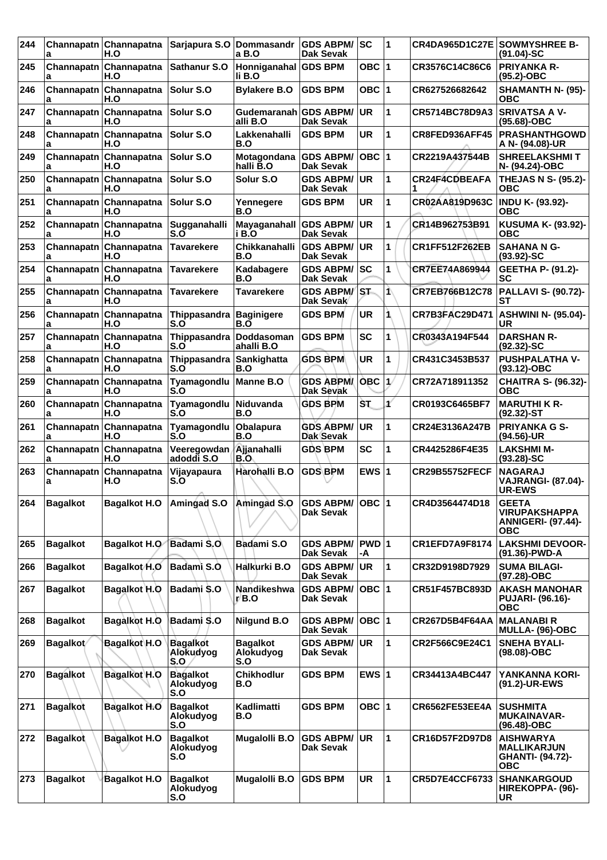| 244 | a               | Channapatn Channapatna<br>H.O | Sarjapura S.O Dommasandr            | a B.O                               | <b>GDS ABPM/</b><br><b>Dak Sevak</b> | lsc         | 1            | CR4DA965D1C27E SOWMYSHREE B- | $(91.04)-SC$                                                                    |
|-----|-----------------|-------------------------------|-------------------------------------|-------------------------------------|--------------------------------------|-------------|--------------|------------------------------|---------------------------------------------------------------------------------|
| 245 | Channapatn<br>a | Channapatna<br>H.O            | <b>Sathanur S.O</b>                 | Honniganahal GDS BPM<br>li B.O      |                                      | OBC $ 1$    |              | CR3576C14C86C6               | <b>PRIYANKA R-</b><br>(95.2)-OBC                                                |
| 246 | Channapatn<br>a | Channapatna<br>H.O            | Solur S.O                           | <b>Bylakere B.O</b>                 | <b>GDS BPM</b>                       | OBC ∣1      |              | CR627526682642               | SHAMANTH N- (95)-<br>ОВС                                                        |
| 247 | Channapatn<br>a | Channapatna<br>H.O            | Solur S.O                           | Gudemaranah GDS ABPM/<br>alli B.O   | <b>Dak Sevak</b>                     | UR.         | 1            | CR5714BC78D9A3               | <b>SRIVATSA A V-</b><br>(95.68)-OBC                                             |
| 248 | Channapatn<br>a | Channapatna<br>H.O            | Solur S.O                           | Lakkenahalli<br>B.O                 | <b>GDS BPM</b>                       | <b>UR</b>   | 1            | CR8FED936AFF45               | <b>PRASHANTHGOWD</b><br>A N- (94.08)-UR                                         |
| 249 | Channapatn<br>a | Channapatna<br>H.O            | Solur S.O                           | Motagondana<br>halli B.O            | <b>GDS ABPM/</b><br><b>Dak Sevak</b> | OBC  1      |              | CR2219A437544B               | <b>SHREELAKSHMIT</b><br>N- (94.24)-OBC                                          |
| 250 | Channapatn<br>a | Channapatna<br>H.O            | Solur S.O                           | Solur S.O                           | <b>GDS ABPM/</b><br><b>Dak Sevak</b> | <b>UR</b>   | 1            | CR24F4CDBEAFA<br>1           | THEJAS N S- (95.2)-<br><b>OBC</b>                                               |
| 251 | Channapatn<br>a | Channapatna<br>H.O            | Solur S.O                           | Yennegere<br>B.O                    | <b>GDS BPM</b>                       | UR          | 1            | CR02AA819D963C               | <b>INDU K- (93.92)-</b><br><b>OBC</b>                                           |
| 252 | Channapatn<br>a | Channapatna<br>H.O            | Sugganahalli<br>S.O                 | Mayaganahall<br>i B.O               | <b>GDS ABPM/</b><br><b>Dak Sevak</b> | UR          | 1            | CR14B962753B91               | <b>KUSUMA K- (93.92)-</b><br>ОВС                                                |
| 253 | Channapatn<br>a | Channapatna<br>H.O            | <b>Tavarekere</b>                   | Chikkanahalli<br>B.O                | <b>GDS ABPM/</b><br><b>Dak Sevak</b> | UR          | 1            | CR1FF512F262EB               | <b>SAHANA N G-</b><br>$(93.92) - SC$                                            |
| 254 | Channapatn<br>a | Channapatna<br>H.O            | <b>Tavarekere</b>                   | Kadabagere<br>B.O                   | GDS ABPM/SC<br><b>Dak Sevak</b>      |             | 1            | CR7EE74A869944               | GEETHA P- (91.2)-<br>SC                                                         |
| 255 | Channapatn<br>a | Channapatna<br>H.O            | Tavarekere                          | <b>Tavarekere</b>                   | <b>GDS ABPM/</b><br>Dak Sevak        | IST.        | 1            | CR7EB766B12C78               | <b>PALLAVI S- (90.72)-</b><br>SТ                                                |
| 256 | Channapatn<br>a | Channapatna<br>H.O            | Thippasandra<br>S.O                 | <b>Baginigere</b><br>B.O            | <b>GDS BPM</b>                       | <b>UR</b>   | 1            | <b>CR7B3FAC29D471</b>        | <b>ASHWINI N- (95.04)-</b><br>UR                                                |
| 257 | Channapatn<br>a | Channapatna<br>H.O            | Thippasandra Doddasoman<br>S.O      | ahalli B.O                          | <b>GDS BPM</b>                       | <b>SC</b>   | 1            | CR0343A194F544               | <b>DARSHAN R-</b><br>$(92.32)$ -SC                                              |
| 258 | Channapatn<br>a | Channapatna<br>H.O            | Thippasandra Sankighatta<br>S.O     | B.O                                 | <b>GDS BPM</b>                       | <b>UR</b>   | 1            | CR431C3453B537               | <b>PUSHPALATHA V-</b><br>(93.12)-OBC                                            |
| 259 | Channapatn<br>a | Channapatna<br>H.O            | Tyamagondlu<br>S.O                  | Manne B.O                           | <b>GDS ABPM/</b><br>Dak Sevak        | <b>OBC</b>  | $\mathbf{1}$ | CR72A718911352               | <b>CHAITRA S- (96.32)-</b><br><b>OBC</b>                                        |
| 260 | Channapatn<br>a | Channapatna<br>H.O            | Tyamagondlu<br>S.O                  | Niduvanda<br>B.O                    | <b>GDS BPM</b>                       | ŠТ.         | ť            | CR0193C6465BF7               | <b>MARUTHI K R-</b><br>$(92.32)$ -ST                                            |
| 261 | Channapatn<br>a | Channapatna<br>H.O            | Tyamagondlu<br>S.O                  | <b>Obalapura</b><br>B.O             | <b>GDS ABPM/</b><br><b>Dak Sevak</b> | UR          | 1            | CR24E3136A247B               | <b>PRIYANKA G S-</b><br>(94.56)-UR                                              |
| 262 | Channapatn<br>a | Channapatna<br>H.O            | Veeregowdan<br>adoddi S.O           | Ajjanahalli<br>B.O                  | <b>GDS BPM</b>                       | <b>SC</b>   | 1            | CR4425286F4E35               | <b>LAKSHMI M-</b><br>$(93.28) - SC$                                             |
| 263 | Channapatn<br>a | Channapatna<br>H.O            | Vijayapaura<br>S.O                  | Harohalli B.O                       | <b>GDS BPM</b>                       | EWS $ 1$    |              | <b>CR29B55752FECF</b>        | <b>NAGARAJ</b><br><b>VAJRANGI- (87.04)-</b><br>UR-EWS                           |
| 264 | <b>Bagalkot</b> |                               | Bagalkot H.O   Amingad S.O          | Amingad S.O                         | <b>GDS ABPM/</b><br>Dak Sevak        | OBC  1      |              | CR4D3564474D18               | <b>GEETA</b><br>VIRUPAKSHAPPA<br><b>ANNIGERI- (97.44)-</b><br>ОВС               |
| 265 | <b>Bagalkot</b> | <b>Bagalkot H.O</b>           | <b>Badami S.O.</b>                  | Badami S.O                          | <b>GDS ABPM/</b><br><b>Dak Sevak</b> | PWD 1<br>-A |              | <b>CR1EFD7A9F8174</b>        | <b>LAKSHMI DEVOOR-</b><br>(91.36)-PWD-A                                         |
| 266 | <b>Bagalkot</b> | Bagalkot H.O                  | Badami S.O                          | Halkurki B.O                        | <b>GDS ABPM/</b><br>Dak Sevak        | <b>UR</b>   | 1            | CR32D9198D7929               | <b>SUMA BILAGI-</b><br>(97.28)-OBC                                              |
| 267 | <b>Bagalkot</b> | Bagalkot H.O                  | Badami S.O                          | Nandikeshwa<br>r/B.O                | <b>GDS ABPM/</b><br>Dak Sevak        | $OBC$  1    |              | CR51F457BC893D               | <b>AKASH MANOHAR</b><br><b>PUJARI- (96.16)-</b><br><b>OBC</b>                   |
| 268 | <b>Bagalkot</b> | Bagalkot H.O                  | Badami S.O                          | <b>Nilgund B.O</b>                  | <b>GDS ABPM/</b><br><b>Dak Sevak</b> | OBC  1      |              | <b>CR267D5B4F64AA</b>        | <b>MALANABIR</b><br><b>MULLA- (96)-OBC</b>                                      |
| 269 | Bagalkot/       | <b>Bagalkot H.O</b>           | <b>Bagalkot</b><br>Alokudyog<br>S.O | <b>Bagalkot</b><br>Alokudyog<br>S.O | <b>GDS ABPM/ UR</b><br>Dak Sevak     |             | 1            | CR2F566C9E24C1               | <b>SNEHA BYALI-</b><br>(98.08)-OBC                                              |
| 270 | <b>Bagalkot</b> | <b>Bagalkot H.O</b>           | <b>Bagalkot</b><br>Alokudyog<br>S.O | <b>Chikhodlur</b><br>B.O            | <b>GDS BPM</b>                       | EWS $ 1$    |              | CR34413A4BC447               | YANKANNA KORI-<br>(91.2)-UR-EWS                                                 |
| 271 | <b>Bagalkot</b> | <b>Bagalkot H.O</b>           | <b>Bagalkot</b><br>Alokudyog<br>S.O | Kadlimatti<br>B.O                   | <b>GDS BPM</b>                       | OBC  1      |              | CR6562FE53EE4A               | <b>SUSHMITA</b><br><b>MUKAINAVAR-</b><br>$(96.48) - OBC$                        |
| 272 | <b>Bagalkot</b> | Bagalkot H.O                  | <b>Bagalkot</b><br>Alokudyog<br>S.O | <b>Mugalolli B.O</b>                | <b>GDS ABPM/ UR</b><br>Dak Sevak     |             | 1            | CR16D57F2D97D8               | <b>AISHWARYA</b><br><b>MALLIKARJUN</b><br><b>GHANTI- (94.72)-</b><br><b>OBC</b> |
| 273 | <b>Bagalkot</b> | <b>Bagalkot H.O</b>           | <b>Bagalkot</b><br>Alokudyog<br>S.O | <b>Mugalolli B.O</b>                | <b>GDS BPM</b>                       | <b>UR</b>   | 1            | <b>CR5D7E4CCF6733</b>        | <b>SHANKARGOUD</b><br>HIREKOPPA- (96)-<br>UR                                    |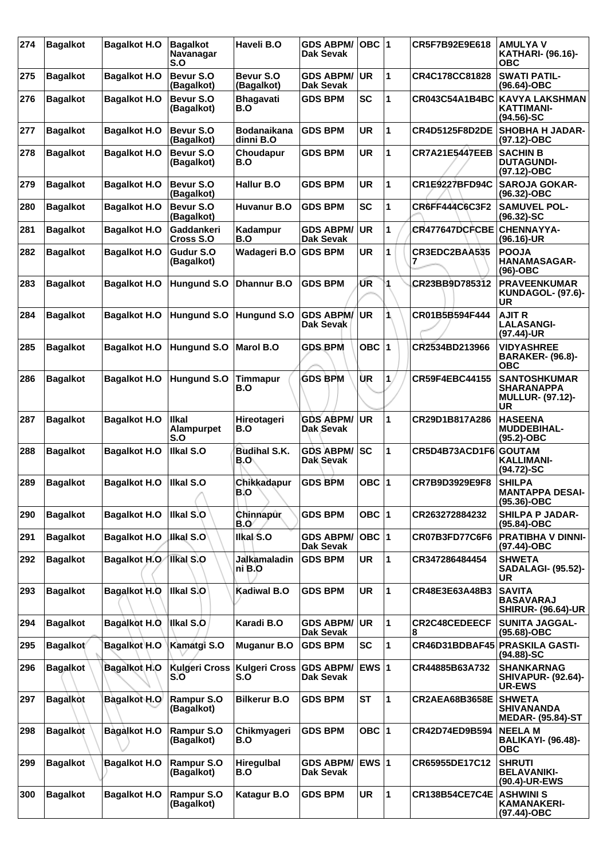| 274 | <b>Bagalkot</b> | <b>Bagalkot H.O</b> | <b>Bagalkot</b><br><b>Navanagar</b><br>S.O | Haveli B.O                 | <b>GDS ABPM/</b><br>Dak Sevak        | $OBC$  1  |    | CR5F7B92E9E618            | <b>AMULYAV</b><br><b>KATHARI- (96.16)-</b><br><b>OBC</b>                         |
|-----|-----------------|---------------------|--------------------------------------------|----------------------------|--------------------------------------|-----------|----|---------------------------|----------------------------------------------------------------------------------|
| 275 | <b>Bagalkot</b> | <b>Bagalkot H.O</b> | Bevur S.O<br>(Bagalkot)                    | Bevur S.O<br>(Bagalkot)    | <b>GDS ABPM/</b><br>Dak Sevak        | <b>UR</b> | 1  | CR4C178CC81828            | <b>SWATI PATIL-</b><br>$(96.64) - OBC$                                           |
| 276 | <b>Bagalkot</b> | <b>Bagalkot H.O</b> | Bevur S.O<br>(Bagalkot)                    | <b>Bhagavati</b><br>B.O    | <b>GDS BPM</b>                       | SC        | 1  | CR043C54A1B4BC            | <b>KAVYA LAKSHMAN</b><br><b>KATTIMANI-</b><br>$(94.56)$ -SC                      |
| 277 | <b>Bagalkot</b> | <b>Bagalkot H.O</b> | Bevur S.O<br>(Bagalkot)                    | Bodanaikana<br>dinni B.O   | <b>GDS BPM</b>                       | <b>UR</b> | 1  | <b>CR4D5125F8D2DE</b>     | <b>SHOBHA H JADAR-</b><br>$(97.12)$ -OBC                                         |
| 278 | <b>Bagalkot</b> | <b>Bagalkot H.O</b> | Bevur S.O<br>(Bagalkot)                    | Choudapur<br>B.O           | <b>GDS BPM</b>                       | <b>UR</b> | 1  | <b>CR7A21E5447EEB</b>     | <b>SACHIN B</b><br><b>DUTAGUNDI-</b><br>(97.12)-OBC                              |
| 279 | <b>Bagalkot</b> | <b>Bagalkot H.O</b> | Bevur S.O<br>(Bagalkot)                    | <b>Hallur B.O</b>          | <b>GDS BPM</b>                       | <b>UR</b> | 1  | CR1E9227BFD94C            | <b>SAROJA GOKAR-</b><br>(96.32)-OBC                                              |
| 280 | <b>Bagalkot</b> | <b>Bagalkot H.O</b> | Bevur S.O<br>(Bagalkot)                    | <b>Huvanur B.O</b>         | <b>GDS BPM</b>                       | <b>SC</b> | 1  | CR6FF444C6C3F2            | <b>SAMUVEL POL-</b><br>$(96.32) - SC$                                            |
| 281 | <b>Bagalkot</b> | <b>Bagalkot H.O</b> | <b>Gaddankeri</b><br>Cross S.O             | Kadampur<br>B.O            | <b>GDS ABPM/</b><br><b>Dak Sevak</b> | <b>UR</b> | 1  | CR477647DCFCBE            | <b>CHENNAYYA-</b><br>$(96.16)$ -UR                                               |
| 282 | <b>Bagalkot</b> | <b>Bagalkot H.O</b> | Gudur S.O<br>(Bagalkot)                    | Wadageri B.O               | <b>GDS BPM</b>                       | <b>UR</b> | 1  | CR3EDC2BAA535             | <b>POOJA</b><br><b>HANAMASAGAR-</b><br>(96)-OBC                                  |
| 283 | <b>Bagalkot</b> | <b>Bagalkot H.O</b> | Hungund S.O                                | <b>Dhannur B.O</b>         | <b>GDS BPM</b>                       | UR        |    | CR23BB9D785312            | <b>PRAVEENKUMAR</b><br>KUNDAGOL- (97.6)-<br>UR                                   |
| 284 | <b>Bagalkot</b> | <b>Bagalkot H.O</b> | Hungund S.O                                | <b>Hungund S.O</b>         | <b>GDS ABPM/</b><br>Dak Sevak        | <b>UR</b> | 1  | CR01B5B594F444            | <b>AJIT R</b><br><b>LALASANGI-</b><br>(97.44)-UR                                 |
| 285 | <b>Bagalkot</b> | <b>Bagalkot H.O</b> | Hungund S.O                                | <b>Marol B.O</b>           | <b>GDS BPM</b>                       | OBC $ 1$  |    | CR2534BD213966            | <b>VIDYASHREE</b><br><b>BARAKER- (96.8)-</b><br><b>OBC</b>                       |
| 286 | <b>Bagalkot</b> | <b>Bagalkot H.O</b> | <b>Hungund S.O</b>                         | <b>Timmapur</b><br>B.O     | <b>GDS BPM</b>                       | UR        | 1. | CR59F4EBC44155            | <b>SANTOSHKUMAR</b><br><b>SHARANAPPA</b><br><b>MULLUR- (97.12)-</b><br><b>UR</b> |
| 287 | <b>Bagalkot</b> | <b>Bagalkot H.O</b> | llkal<br>Alampurpet<br>S.O                 | Hireotageri<br>B.O         | <b>GDS ABPM/</b><br>Dak Sevak        | <b>UR</b> | 1  | CR29D1B817A286            | <b>HASEENA</b><br><b>MUDDEBIHAL-</b><br>(95.2)-OBC                               |
| 288 | <b>Bagalkot</b> | <b>Bagalkot H.O</b> | Ilkal S.O                                  | <b>Budihal S.K.</b><br>B.O | <b>GDS ABPM/</b><br><b>Dak Sevak</b> | lsc       | 1  | CR5D4B73ACD1F6            | <b>GOUTAM</b><br>KALLIMANI-<br>$(94.72)$ -SC                                     |
| 289 | <b>Bagalkot</b> | <b>Bagalkot H.O</b> | Ilkal S.O                                  | Chikkadapur<br>B.O         | <b>GDS BPM</b>                       | OBC ∣1    |    | CR7B9D3929E9F8            | <b>SHILPA</b><br><b>MANTAPPA DESAI-</b><br>$(95.36) - OBC$                       |
| 290 | <b>Bagalkot</b> | <b>Bagalkot H.O</b> | Ilkal S.O                                  | Chinnapur<br><b>B.O</b>    | <b>GDS BPM</b>                       | OBC $ 1$  |    | CR263272884232            | <b>SHILPA P JADAR-</b><br>(95.84)-OBC                                            |
| 291 | <b>Bagalkot</b> | <b>Bagalkot H.O</b> | <b>Jikal S.O</b>                           | Ilkal S.O                  | <b>GDS ABPM/</b><br><b>Dak Sevak</b> | OBC $ 1$  |    | <b>CR07B3FD77C6F6</b>     | <b>PRATIBHA V DINNI-</b><br>(97.44)-OBC                                          |
| 292 | <b>Bagalkot</b> | Bagalkot H.O        | <b>Ilkal S.O</b>                           | Jalkamaladin<br>ni B.O     | <b>GDS BPM</b>                       | <b>UR</b> | 1  | CR347286484454            | <b>SHWETA</b><br><b>SADALAGI- (95.52)-</b><br>UR                                 |
| 293 | <b>Bagalkot</b> | Bagalkot H.O        | Ilkal S.O                                  | Kadiwal B.O                | <b>GDS BPM</b>                       | <b>UR</b> | 1  | CR48E3E63A48B3            | <b>SAVITA</b><br><b>BASAVARAJ</b><br><b>SHIRUR- (96.64)-UR</b>                   |
| 294 | <b>Bagalkot</b> | Bagalkot H.O        | Ikal S.O                                   | Karadi B.O                 | <b>GDS ABPM/</b><br>Dak Sevak        | <b>UR</b> | 1  | <b>CR2C48CEDEECF</b><br>8 | <b>SUNITA JAGGAL-</b><br>(95.68)-OBC                                             |
| 295 | Bagalkot        | <b>Bagalkot H.O</b> | Kamatgi S.O                                | <b>Muganur B.O</b>         | <b>GDS BPM</b>                       | <b>SC</b> | 1  | CR46D31BDBAF45            | <b>PRASKILA GASTI-</b><br>$(94.88) - SC$                                         |
| 296 | <b>Bagalkot</b> | Bagalkot H.O        | <b>Kulgeri Cross</b><br>S.O                | Kulgeri Cross<br>S.O       | <b>GDS ABPM/</b><br>Dak Sevak        | EWS $ 1$  |    | CR44885B63A732            | <b>SHANKARNAG</b><br><b>SHIVAPUR- (92.64)-</b><br><b>UR-EWS</b>                  |
| 297 | <b>Bagalkot</b> | <b>Bagalkot H.O</b> | Rampur S.O<br>(Bagalkot)                   | <b>Bilkerur B.O</b>        | <b>GDS BPM</b>                       | <b>ST</b> | 1  | <b>CR2AEA68B3658E</b>     | <b>SHWETA</b><br><b>SHIVANANDA</b><br><b>MEDAR- (95.84)-ST</b>                   |
| 298 | <b>Bagalkot</b> | Bagalkot H.O        | Rampur S.O<br>(Bagalkot)                   | Chikmyageri<br>B.O         | <b>GDS BPM</b>                       | OBC   1   |    | CR42D74ED9B594            | <b>NEELAM</b><br><b>BALIKAYI- (96.48)-</b><br><b>OBC</b>                         |
| 299 | <b>Bagalkot</b> | <b>Bagalkot H.O</b> | Rampur S.O<br>(Bagalkot)                   | <b>Hiregulbal</b><br>B.O   | <b>GDS ABPM/</b><br>Dak Sevak        | ∣EWS 1    |    | CR65955DE17C12            | <b>SHRUTI</b><br><b>BELAVANIKI-</b><br>(90.4)-UR-EWS                             |
| 300 | <b>Bagalkot</b> | <b>Bagalkot H.O</b> | Rampur S.O<br>(Bagalkot)                   | <b>Katagur B.O</b>         | <b>GDS BPM</b>                       | UR        | 1  | <b>CR138B54CE7C4E</b>     | <b>ASHWINI S</b><br><b>KAMANAKERI-</b><br>(97.44)-OBC                            |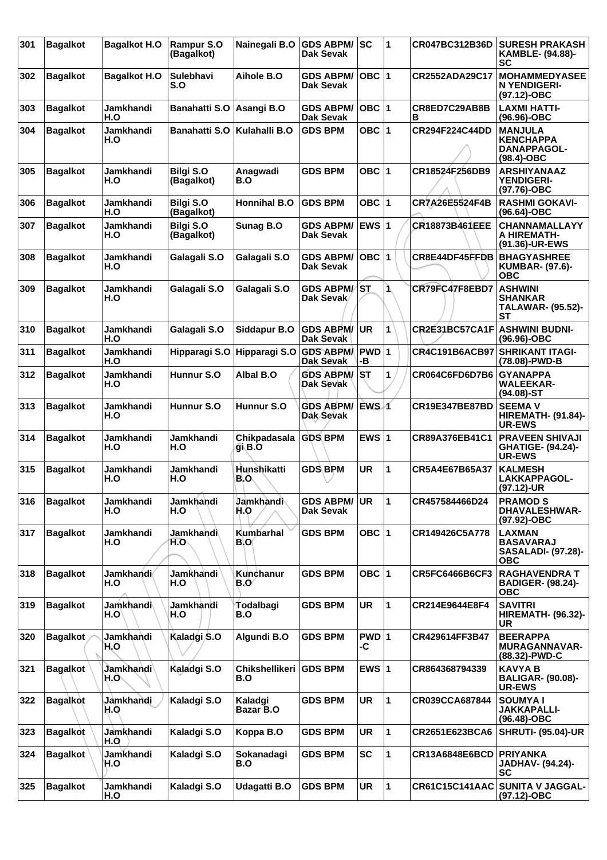| 301 | <b>Bagalkot</b> | <b>Bagalkot H.O</b>     | <b>Rampur S.O</b><br>(Bagalkot) | Nainegali B.O                | <b>GDS ABPM/</b><br>Dak Sevak        | <b>SC</b>        | 1  | CR047BC312B36D        | <b>SURESH PRAKASH</b><br><b>KAMBLE- (94.88)-</b><br>SC                       |
|-----|-----------------|-------------------------|---------------------------------|------------------------------|--------------------------------------|------------------|----|-----------------------|------------------------------------------------------------------------------|
| 302 | <b>Bagalkot</b> | <b>Bagalkot H.O</b>     | <b>Sulebhavi</b><br>S.O         | Aihole B.O                   | <b>GDS ABPM/</b><br>Dak Sevak        | OBC $ 1$         |    | CR2552ADA29C17        | <b>MOHAMMEDYASEE</b><br>N YENDIGERI-<br>(97.12)-OBC                          |
| 303 | <b>Bagalkot</b> | Jamkhandi<br>H.O        | <b>Banahatti S.O</b>            | Asangi B.O                   | <b>GDS ABPM/</b><br>Dak Sevak        | OBC  1           |    | CR8ED7C29AB8B<br>в    | <b>LAXMI HATTI-</b><br>$(96.96)$ -OBC                                        |
| 304 | <b>Bagalkot</b> | Jamkhandi<br>H.O        | <b>Banahatti S.O</b>            | Kulahalli B.O                | <b>GDS BPM</b>                       | OBC $ 1$         |    | CR294F224C44DD        | <b>MANJULA</b><br><b>KENCHAPPA</b><br><b>DANAPPAGOL-</b><br>$(98.4)$ -OBC    |
| 305 | <b>Bagalkot</b> | Jamkhandi<br>H.O        | <b>Bilgi S.O</b><br>(Bagalkot)  | Anagwadi<br>B.O              | <b>GDS BPM</b>                       | OBC $ 1$         |    | CR18524F256DB9        | <b>ARSHIYANAAZ</b><br><b>YENDIGERI-</b><br>(97.76)-OBC                       |
| 306 | <b>Bagalkot</b> | Jamkhandi<br>H.O        | <b>Bilgi S.O</b><br>(Bagalkot)  | Honnihal B.O                 | <b>GDS BPM</b>                       | OBC $ 1$         |    | CR7A26E5524F4B        | <b>RASHMI GOKAVI-</b><br>(96.64)-OBC                                         |
| 307 | <b>Bagalkot</b> | Jamkhandi<br>H.O        | <b>Bilgi S.O</b><br>(Bagalkot)  | Sunag B.O                    | <b>GDS ABPM/</b><br>Dak Sevak        | <b>EWS1</b>      |    | <b>CR18873B461EEE</b> | <b>CHANNAMALLAYY</b><br>A HIREMATH-<br>(91.36)-UR-EWS                        |
| 308 | <b>Bagalkot</b> | Jamkhandi<br>H.O        | Galagali S.O                    | Galagali S.O                 | <b>GDS ABPM/</b><br><b>Dak Sevak</b> | OBC  1           |    | CR8E44DF45FFDB        | <b>BHAGYASHREE</b><br><b>KUMBAR- (97.6)-</b><br><b>OBC</b>                   |
| 309 | <b>Bagalkot</b> | Jamkhandi<br>H.O        | Galagali S.O                    | Galagali S.O                 | <b>GDS ABPM/ST</b><br>Dak Sevak      |                  | 1. | CR79FC47F8EBD7        | <b>ASHWINI</b><br><b>SHANKAR</b><br><b>TALAWAR- (95.52)-</b><br><b>ST</b>    |
| 310 | <b>Bagalkot</b> | Jamkhandi<br>H.O        | Galagali S.O                    | Siddapur B.O                 | <b>GDS ABPM/</b><br>Dak Sevak        | <b>UR</b>        | 1  | CR2E31BC57CA1F        | <b>ASHWINI BUDNI-</b><br>(96.96)-OBC                                         |
| 311 | <b>Bagalkot</b> | Jamkhandi<br>H.O        | Hipparagi S.O                   | Hipparagi S.O                | <b>GDS ABPM/</b><br>Dak Sevak        | PWD 1<br>-В      |    | <b>CR4C191B6ACB97</b> | <b>SHRIKANT ITAGI-</b><br>(78.08)-PWD-B                                      |
| 312 | <b>Bagalkot</b> | Jamkhandi<br>H.O        | Hunnur S.O                      | Albal B.O                    | <b>GDS ABPM/</b><br>Dak Sevak        | IST.             | 1  | CR064C6FD6D7B6        | <b>GYANAPPA</b><br><b>WALEEKAR-</b><br>$(94.08)$ -ST                         |
| 313 | <b>Bagalkot</b> | Jamkhandi<br>H.O        | Hunnur S.O                      | Hunnur S.O                   | <b>GDS ABPM/</b><br>Dak Sevak        | EWS <sub>1</sub> |    | <b>CR19E347BE87BD</b> | <b>SEEMA V</b><br><b>HIREMATH- (91.84)-</b><br><b>UR-EWS</b>                 |
| 314 | <b>Bagalkot</b> | Jamkhandi<br>H.O        | Jamkhandi<br>H.O                | Chikpadasala<br>gi B.O       | <b>GDS BPM</b>                       | EWS $ 1$         |    | CR89A376EB41C1        | <b>PRAVEEN SHIVAJI</b><br><b>GHATIGE- (94.24)-</b><br><b>UR-EWS</b>          |
| 315 | <b>Bagalkot</b> | Jamkhandi<br>H.O        | Jamkhandi<br>H.O                | Hunshikatti<br>B.O           | <b>GDS BPM</b>                       | <b>UR</b>        | 1  | CR5A4E67B65A37        | <b>KALMESH</b><br>LAKKAPPAGOL-<br>(97.12)-UR                                 |
| 316 | <b>Bagalkot</b> | Jamkhandi<br>H.O        | Jamkhandi<br>H.O                | Jamkhandi<br>H.O             | <b>GDS ABPM/</b><br>Dak Sevak        | <b>UR</b>        | 11 | CR457584466D24        | <b>PRAMOD S</b><br><b>DHAVALESHWAR-</b><br>(97.92)-OBC                       |
| 317 | <b>Bagalkot</b> | Jamkhandi<br>H.O        | Jamkhandi<br>H.O.               | Kumbarhal<br><b>B.O</b>      | <b>GDS BPM</b>                       | OBC $ 1$         |    | CR149426C5A778        | <b>LAXMAN</b><br><b>BASAVARAJ</b><br><b>SASALADI- (97.28)-</b><br><b>OBC</b> |
| 318 | <b>Bagalkot</b> | <b>Jamkhandi</b><br>H.O | <b>Jamkhandi</b><br>H.O         | Kunchanur<br>B.O             | <b>GDS BPM</b>                       | OBC $ 1$         |    | <b>CR5FC6466B6CF3</b> | <b>RAGHAVENDRA T</b><br><b>BADIGER- (98.24)-</b><br><b>OBC</b>               |
| 319 | <b>Bagalkot</b> | Jaṁkhandi∖<br>H.O       | Jamkhandi<br>H.O                | Todalbagi<br>B.O             | <b>GDS BPM</b>                       | <b>UR</b>        | 1  | CR214E9644E8F4        | <b>SAVITRI</b><br><b>HIREMATH- (96.32)-</b><br>UR                            |
| 320 | <b>Bagalkot</b> | Jamkhandi<br>H.O        | Kaladgi S.O                     | Algundi B.O                  | <b>GDS BPM</b>                       | PWD 1<br>-C      |    | CR429614FF3B47        | <b>BEERAPPA</b><br><b>MURAGANNAVAR-</b><br>(88.32)-PWD-C                     |
| 321 | <b>Bagalkot</b> | Jamkhandi<br>H.O.       | Kaladgi S.O                     | <b>Chikshellikeri</b><br>B.O | <b>GDS BPM</b>                       | EWS $ 1$         |    | CR864368794339        | <b>KAVYA B</b><br><b>BALIGAR- (90.08)-</b><br>UR-EWS                         |
| 322 | <b>Bagalkot</b> | Jamkhandi<br>H.O        | Kaladgi S.O                     | Kaladgi<br>Bazar B.O         | <b>GDS BPM</b>                       | <b>UR</b>        | 1  | CR039CCA687844        | <b>SOUMYAI</b><br><b>JAKKAPALLI-</b><br>$(96.48)-OBC$                        |
| 323 | <b>Bagalkot</b> | Jamkhandi<br>H.O        | Kaladgi S.O                     | Koppa B.O                    | <b>GDS BPM</b>                       | <b>UR</b>        | 1  | CR2651E623BCA6        | <b>SHRUTI- (95.04)-UR</b>                                                    |
| 324 | <b>Bagalkot</b> | Jamkhandi<br>H.O        | Kaladgi S.O                     | Sokanadagi<br>B.O            | <b>GDS BPM</b>                       | SC               | 1  | CR13A6848E6BCD        | <b>PRIYANKA</b><br><b>JADHAV- (94.24)-</b><br><b>SC</b>                      |
| 325 | <b>Bagalkot</b> | Jamkhandi<br>H.O        | Kaladgi S.O                     | Udagatti B.O                 | <b>GDS BPM</b>                       | <b>UR</b>        | 1  | <b>CR61C15C141AAC</b> | <b>SUNITA V JAGGAL-</b><br>(97.12)-OBC                                       |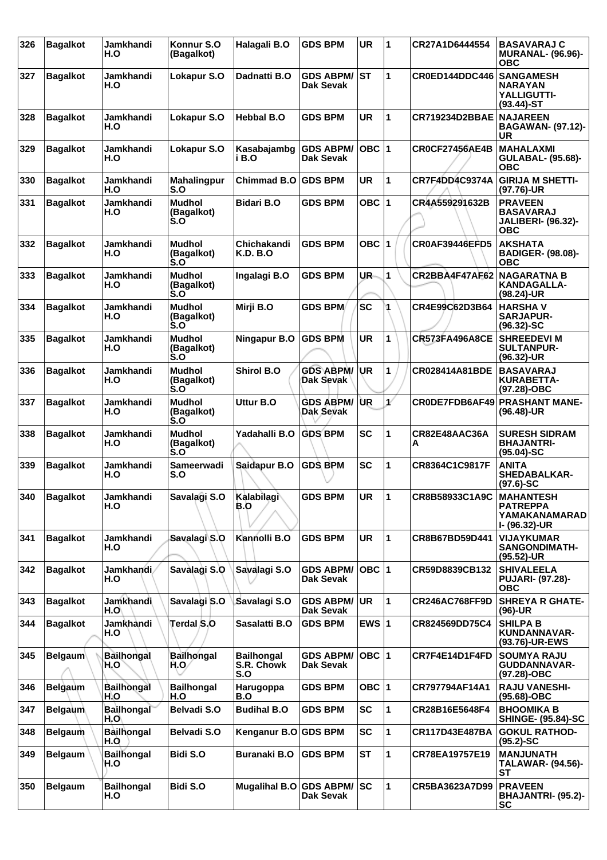| 326 | <b>Bagalkot</b> | Jamkhandi<br>H.O         | Konnur S.O<br>(Bagalkot)                                     | Halagali B.O                           | <b>GDS BPM</b>                       | <b>UR</b> | 1            | CR27A1D6444554                    | <b>BASAVARAJ C</b><br><b>MURANAL- (96.96)-</b><br><b>OBC</b>                  |
|-----|-----------------|--------------------------|--------------------------------------------------------------|----------------------------------------|--------------------------------------|-----------|--------------|-----------------------------------|-------------------------------------------------------------------------------|
| 327 | <b>Bagalkot</b> | Jamkhandi<br>H.O         | Lokapur S.O                                                  | Dadnatti B.O                           | <b>GDS ABPM/</b><br>Dak Sevak        | lst       | 1            | CR0ED144DDC446                    | <b>SANGAMESH</b><br><b>NARAYAN</b><br>YALLIGUTTI-<br>$(93.44)$ -ST            |
| 328 | <b>Bagalkot</b> | <b>Jamkhandi</b><br>H.O  | Lokapur S.O                                                  | <b>Hebbal B.O</b>                      | <b>GDS BPM</b>                       | <b>UR</b> | 1            | CR719234D2BBAE NAJAREEN           | <b>BAGAWAN- (97.12)-</b><br><b>UR</b>                                         |
| 329 | <b>Bagalkot</b> | Jamkhandi<br>H.O         | Lokapur S.O                                                  | Kasabajambg<br>i B.O                   | <b>GDS ABPM/</b><br>Dak Sevak        | OBC  1    |              | <b>CR0CF27456AE4B</b>             | <b>MAHALAXMI</b><br><b>GULABAL- (95.68)-</b><br><b>OBC</b>                    |
| 330 | <b>Bagalkot</b> | Jamkhandi<br>H.O         | <b>Mahalingpur</b><br>S.O                                    | <b>Chimmad B.O</b>                     | <b>GDS BPM</b>                       | UR        | 1            | CR7F4DD4C9374A                    | <b>GIRIJA M SHETTI-</b><br>$(97.76)$ -UR                                      |
| 331 | <b>Bagalkot</b> | Jamkhandi<br>H.O         | <b>Mudhol</b><br>(Bagalkot)<br>$\mathsf{S}.\mathsf{O}$       | <b>Bidari B.O</b>                      | <b>GDS BPM</b>                       | OBC $ 1$  |              | CR4A559291632B                    | <b>PRAVEEN</b><br><b>BASAVARAJ</b><br><b>JALIBERI- (96.32)-</b><br><b>OBC</b> |
| 332 | <b>Bagalkot</b> | Jamkhandi<br>H.O         | <b>Mudhol</b><br>(Bagalkot)<br>S.O                           | Chichakandi<br><b>K.D. B.O</b>         | <b>GDS BPM</b>                       | OBC $ 1$  |              | <b>CR0AF39446EFD5</b>             | <b>AKSHATA</b><br><b>BADIGER- (98.08)-</b><br><b>OBC</b>                      |
| 333 | <b>Bagalkot</b> | Jamkhandi<br>H.O         | <b>Mudhol</b><br>(Bagalkot)<br>S.O                           | Ingalagi B.O                           | <b>GDS BPM</b>                       | UR-       | 1            | <b>CR2BBA4F47AF62 NAGARATNA B</b> | <b>KANDAGALLA-</b><br>(98.24)-UR                                              |
| 334 | <b>Bagalkot</b> | Jamkhandi<br>H.O         | <b>Mudhol</b><br>(Bagalkot)<br>S.O                           | Mirji B.O                              | <b>GDS BPM</b>                       | <b>SC</b> |              | CR4E99C62D3B64                    | <b>HARSHAV</b><br><b>SARJAPUR-</b><br>$(96.32) - SC$                          |
| 335 | <b>Bagalkot</b> | Jamkhandi<br>H.O         | <b>Mudhol</b><br>(Bagalkot)<br>S.O                           | Ningapur B.O                           | <b>GDS BPM</b>                       | <b>UR</b> | 1            | <b>CR573FA496A8CE</b>             | <b>SHREEDEVI M</b><br><b>SULTANPUR-</b><br>$(96.32)$ -UR                      |
| 336 | <b>Bagalkot</b> | Jamkhandi<br>H.O         | <b>Mudhol</b><br>(Bagalkot)<br>S.O                           | <b>Shirol B.O</b>                      | <b>GDS ABPM/</b><br>Dak Sevak        | ∣UR       | 1            | CR028414A81BDE                    | <b>BASAVARAJ</b><br><b>KURABETTA-</b><br>(97.28)-OBC                          |
| 337 | <b>Bagalkot</b> | Jamkhandi<br>H.O         | <b>Mudhol</b><br>(Bagalkot)<br>∣`s.o                         | Uttur B.O                              | <b>GDS ABPM/</b><br><b>Dak Sevak</b> | <b>UR</b> | $\mathbf{r}$ | CR0DE7FDB6AF49                    | <b>PRASHANT MANE-</b><br>$(96.48)$ -UR                                        |
| 338 | <b>Bagalkot</b> | Jamkhandi<br>H.O         | <b>Mudhol</b><br>(Bagalkot)<br>$\mathbf{S} \cdot \mathbf{O}$ | Yadahalli B.O                          | <b>GDS BPM</b>                       | <b>SC</b> | 1            | CR82E48AAC36A<br>А                | <b>SURESH SIDRAM</b><br><b>BHAJANTRI-</b><br>$(95.04)-SC$                     |
| 339 | <b>Bagalkot</b> | Jamkhandi<br>H.O         | Sameerwadi<br>S.O                                            | Saidapur B.O                           | <b>GDS BPM</b>                       | <b>SC</b> | 1            | CR8364C1C9817F                    | <b>ANITA</b><br><b>SHEDABALKAR-</b><br>$(97.6)$ -SC                           |
| 340 | Bagalkot        | Jamkhandi<br>H.O         | Savalagi S.O                                                 | Kalabilagi<br>B.O                      | <b>GDS BPM</b>                       | UR        | ∣1∶          | CR8B58933C1A9C                    | <b>MAHANTESH</b><br><b>PATREPPA</b><br>YAMAKANAMARAD<br>I- (96.32)-UR         |
| 341 | <b>Bagalkot</b> | Jamkhandi<br>H.O         | Savalagi S.O                                                 | Kannolli B.O                           | <b>GDS BPM</b>                       | <b>UR</b> | 1            | CR8B67BD59D441                    | <b>VIJAYKUMAR</b><br><b>SANGONDIMATH-</b><br>(95.52)-UR                       |
| 342 | <b>Bagalkot</b> | <b>Jamkhandi</b><br>H.O  | Savalagi S.O                                                 | Savalagi S.O                           | <b>GDS ABPM/</b><br>Dak Sevak        | OBC  1    |              | CR59D8839CB132                    | <b>SHIVALEELA</b><br><b>PUJARI- (97.28)-</b><br><b>OBC</b>                    |
| 343 | <b>Bagalkot</b> | Jamkhandi<br>H.O         | Savalagi S.O                                                 | Savalagi S.O                           | <b>GDS ABPM/</b><br>Dak Sevak        | ∣UR       | 1            | <b>CR246AC768FF9D</b>             | <b>SHREYA R GHATE-</b><br>(96)-UR                                             |
| 344 | <b>Bagalkot</b> | Jamkhandi<br>H.O         | Terdal S.O                                                   | Sasalatti B.O                          | <b>GDS BPM</b>                       | EWS $ 1 $ |              | CR824569DD75C4                    | <b>SHILPA B</b><br>KUNDANNAVAR-<br>(93.76)-UR-EWS                             |
| 345 | <b>Belgaum</b>  | <b>Bailhongal</b><br>H.O | <b>Bailhongal</b><br>H.O/                                    | <b>Bailhongal</b><br>S.R. Chowk<br>S.O | <b>GDS ABPM/</b><br><b>Dak Sevak</b> | OBC  1    |              | CR7F4E14D1F4FD                    | <b>SOUMYA RAJU</b><br>GUDDANNAVAR-<br>(97.28)-OBC                             |
| 346 | <b>Belgaum</b>  | <b>Bailhongal</b><br>H.O | <b>Bailhongal</b><br>H.O                                     | Harugoppa<br>B.O                       | <b>GDS BPM</b>                       | OBC $ 1$  |              | CR797794AF14A1                    | <b>RAJU VANESHI-</b><br>(95.68)-OBC                                           |
| 347 | <b>Belgaum</b>  | <b>Bailhongal</b><br>H.O | Belvadi S.O                                                  | <b>Budihal B.O</b>                     | <b>GDS BPM</b>                       | <b>SC</b> | 1            | CR28B16E5648F4                    | <b>BHOOMIKA B</b><br><b>SHINGE- (95.84)-SC</b>                                |
| 348 | <b>Belgaum</b>  | <b>Bailhongal</b><br>H.O | Belvadi S.O                                                  | Kenganur B.O GDS BPM                   |                                      | SC        | 1            | CR117D43E487BA                    | <b>GOKUL RATHOD-</b><br>$(95.2)$ -SC                                          |
| 349 | <b>Belgaum</b>  | <b>Bailhongal</b><br>H.O | Bidi S.O                                                     | <b>Buranaki B.O</b>                    | <b>GDS BPM</b>                       | <b>ST</b> | 1            | CR78EA19757E19                    | <b>MANJUNATH</b><br><b>TALAWAR- (94.56)-</b><br>SТ                            |
| 350 | <b>Belgaum</b>  | <b>Bailhongal</b><br>H.O | Bidi S.O                                                     | Mugalihal B.O GDS ABPM/                | Dak Sevak                            | <b>SC</b> | 1            | CR5BA3623A7D99                    | <b>PRAVEEN</b><br><b>BHAJANTRI- (95.2)-</b><br><b>SC</b>                      |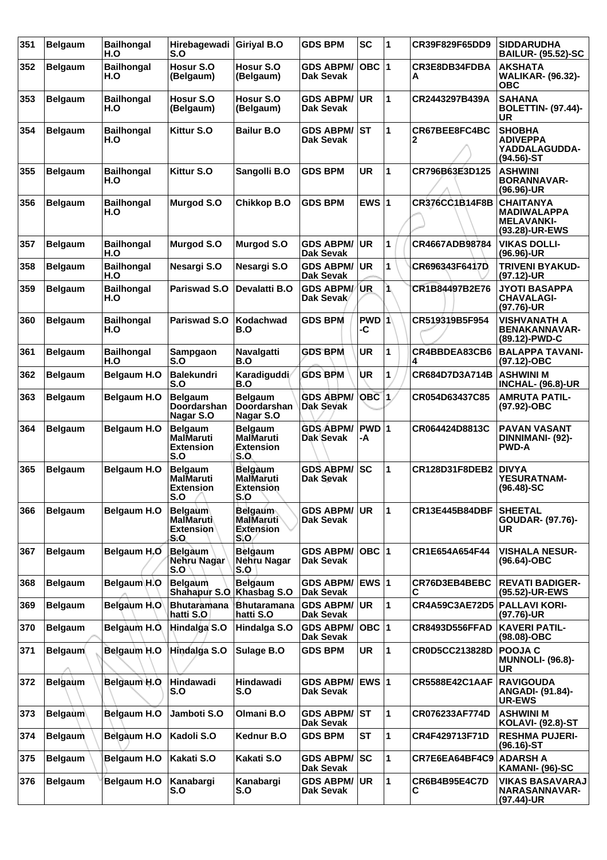| 351 | <b>Belgaum</b> | <b>Bailhongal</b><br>H.O | Hirebagewadi<br>S.O                                           | <b>Giriyal B.O</b>                                      | <b>GDS BPM</b>                          | <b>SC</b>   | 1  | CR39F829F65DD9        | <b>SIDDARUDHA</b><br><b>BAILUR- (95.52)-SC</b>                                |
|-----|----------------|--------------------------|---------------------------------------------------------------|---------------------------------------------------------|-----------------------------------------|-------------|----|-----------------------|-------------------------------------------------------------------------------|
| 352 | <b>Belgaum</b> | <b>Bailhongal</b><br>H.O | Hosur S.O<br>(Belgaum)                                        | Hosur S.O<br>(Belgaum)                                  | <b>GDS ABPM/</b><br>Dak Sevak           | $OBC$  1    |    | CR3E8DB34FDBA<br>А    | <b>AKSHATA</b><br><b>WALIKAR- (96.32)-</b><br><b>OBC</b>                      |
| 353 | <b>Belgaum</b> | <b>Bailhongal</b><br>H.O | Hosur S.O<br>(Belgaum)                                        | Hosur S.O<br>(Belgaum)                                  | <b>GDS ABPM/</b><br><b>Dak Sevak</b>    | <b>UR</b>   | 1  | CR2443297B439A        | <b>SAHANA</b><br><b>BOLETTIN- (97.44)-</b><br>UR                              |
| 354 | <b>Belgaum</b> | <b>Bailhongal</b><br>H.O | Kittur S.O                                                    | <b>Bailur B.O</b>                                       | <b>GDS ABPM/</b><br>Dak Sevak           | <b>ST</b>   | 1  | CR67BEE8FC4BC<br>2    | <b>SHOBHA</b><br><b>ADIVEPPA</b><br>YADDALAGUDDA-<br>(94.56)-ST               |
| 355 | <b>Belgaum</b> | <b>Bailhongal</b><br>H.O | Kittur S.O                                                    | Sangolli B.O                                            | <b>GDS BPM</b>                          | <b>UR</b>   | 1  | CR796B63E3D125        | <b>ASHWINI</b><br><b>BORANNAVAR-</b><br>(96.96)-UR                            |
| 356 | <b>Belgaum</b> | <b>Bailhongal</b><br>H.O | <b>Murgod S.O</b>                                             | Chikkop B.O                                             | <b>GDS BPM</b>                          | EWS $ 1$    |    | CR376CC1B14F8B        | <b>CHAITANYA</b><br><b>MADIWALAPPA</b><br><b>MELAVANKI-</b><br>(93.28)-UR-EWS |
| 357 | <b>Belgaum</b> | <b>Bailhongal</b><br>H.O | <b>Murgod S.O</b>                                             | <b>Murgod S.O</b>                                       | <b>GDS ABPM/</b><br><b>Dak Sevak</b>    | UR.         | 1  | CR4667ADB98784        | <b>VIKAS DOLLI-</b><br>(96.96)-UR                                             |
| 358 | <b>Belgaum</b> | <b>Bailhongal</b><br>H.O | Nesargi S.O                                                   | Nesargi S.O                                             | <b>GDS ABPM/ UR</b><br><b>Dak Sevak</b> |             | 1  | CR696343F6417D        | <b>TRIVENI BYAKUD-</b><br>(97.12)-UR                                          |
| 359 | <b>Belgaum</b> | <b>Bailhongal</b><br>H.O | Pariswad S.O                                                  | Devalatti B.O                                           | <b>GDS ABPM/</b><br>Dak Sevak           | <b>UR</b>   | Ĩ. | CR1B84497B2E76        | <b>JYOTI BASAPPA</b><br><b>CHAVALAGI-</b><br>(97.76)-UR                       |
| 360 | <b>Belgaum</b> | <b>Bailhongal</b><br>H.O | Pariswad S.O                                                  | <b>Kodachwad</b><br>B.O                                 | <b>GDS BPM</b>                          | PWD 1<br>-C |    | CR519319B5F954        | <b>VISHVANATH A</b><br><b>BENAKANNAVAR-</b><br>(89.12)-PWD-C                  |
| 361 | <b>Belgaum</b> | <b>Bailhongal</b><br>H.O | Sampgaon<br>S.O                                               | Navalgatti<br>B.O                                       | <b>GDS BPM</b>                          | <b>UR</b>   | 1  | CR4BBDEA83CB6<br>4    | <b>BALAPPA TAVANI-</b><br>(97.12)-OBC                                         |
| 362 | <b>Belgaum</b> | Belgaum H.O              | <b>Balekundri</b><br>S.O                                      | Karadiguddi<br>B.O                                      | <b>GDS BPM</b>                          | UR          | 1  | CR684D7D3A714B        | <b>ASHWINI M</b><br><b>INCHAL- (96.8)-UR</b>                                  |
| 363 | <b>Belgaum</b> | <b>Belgaum H.O</b>       | <b>Belgaum</b><br><b>Doordarshan</b><br>Nagar S.O             | <b>Belgaum</b><br>Doordarshan<br>Nagar S.O              | <b>GDS ABPM/</b><br><b>Dak Sevak</b>    | $OBC$ 1     |    | CR054D63437C85        | <b>AMRUTA PATIL-</b><br>(97.92)-OBC                                           |
| 364 | <b>Belgaum</b> | <b>Belgaum H.O</b>       | Belgaum<br><b>MalMaruti</b>                                   | <b>Belgaum</b><br>MalMaruti                             | <b>GDS ABPM/</b><br><b>Dak Sevak</b>    | PWD 1<br>-A |    | CR064424D8813C        | <b>PAVAN VASANT</b><br>DINNIMANI- (92)-                                       |
|     |                |                          | <b>Extension</b><br>S.O                                       | Extension<br>S.O                                        |                                         |             |    |                       | <b>PWD-A</b>                                                                  |
| 365 | <b>Belgaum</b> | <b>Belgaum H.O</b>       | <b>Belgaum</b><br><b>MalMaruti</b><br><b>Extension</b><br>5.O | <b>Belgaum</b><br>MalMaruti<br>Extension<br>5.U         | <b>GDS ABPM/</b><br>Dak Sevak           | <b>SC</b>   | 1  | <b>CR128D31F8DEB2</b> | <b>DIVYA</b><br><b>YESURATNAM-</b><br>$(96.48)$ -SC                           |
| 366 | <b>Belgaum</b> | <b>Belgaum H.O</b>       | <b>Belgaum</b><br><b>MalMaruti</b><br><b>Extension</b><br>S.O | <b>Belgaum</b><br>MalMaruti<br><b>Extension</b><br>S, O | <b>GDS ABPM/</b><br>Dak Sevak           | <b>UR</b>   | 1  | <b>CR13E445B84DBF</b> | <b>SHEETAL</b><br>GOUDAR- (97.76)-<br>UR                                      |
| 367 | <b>Belgaum</b> | Belgaum H.O              | Belgaum<br><b>Nehru Nagar</b><br>S.O                          | <b>Belgaum</b><br>Nehru Nagar<br>S.O                    | <b>GDS ABPM/</b><br><b>Dak Sevak</b>    |             |    | CR1E654A654F44        | <b>VISHALA NESUR-</b><br>$(96.64) - OBC$                                      |
| 368 | <b>Belgaum</b> | Belgaum H.O              | <b>Belgaum</b><br>Shahapur S.O.                               | <b>Belgaum</b><br>Khasbag S.O                           | GDS ABPM/ EWS 1<br><b>Dak Sevak</b>     |             |    | CR76D3EB4BEBC<br>С    | <b>REVATI BADIGER-</b><br>(95.52)-UR-EWS                                      |
| 369 | <b>Belgaum</b> | Belgaum H.O              | <b>Bhutaramana</b><br>hatti S.O                               | <b>Bhutaramana</b><br>hatti S.O                         | <b>GDS ABPM/ UR</b><br><b>Dak Sevak</b> |             | 1  | <b>CR4A59C3AE72D5</b> | <b>PALLAVI KORI-</b><br>(97.76)-UR                                            |
| 370 | <b>Belgaum</b> | Belgaum H.O.             | Hindalga S.O                                                  | Hindalga S.O                                            | <b>GDS ABPM/</b><br>Dak Sevak           | OBC  1      |    | <b>CR8493D556FFAD</b> | <b>KAVERI PATIL-</b><br>(98.08)-OBC                                           |
| 371 | <b>Belgaum</b> | Belgaum H.O              | Hindalga S.O                                                  | Sulage B.O                                              | <b>GDS BPM</b>                          | <b>UR</b>   | 1  | CR0D5CC213828D        | <b>POOJA C</b><br><b>MUNNOLI- (96.8)-</b><br>UR                               |
| 372 | <b>Belgaum</b> | Belgaum H.O              | Hindawadi<br>S.O                                              | <b>Hindawadi</b><br>S.O                                 | <b>GDS ABPM/</b><br>Dak Sevak           | EWS 1       |    | <b>CR5588E42C1AAF</b> | <b>RAVIGOUDA</b><br>ANGADI- (91.84)-<br>UR-EWS                                |
| 373 | <b>Belgaum</b> | Belgaum H.O              | Jamboti S.O                                                   | Olmani B.O                                              | <b>GDS ABPM/ ST</b><br>Dak Sevak        |             | 1  | CR076233AF774D        | <b>ASHWINI M</b><br><b>KOLAVI- (92.8)-ST</b>                                  |
| 374 | <b>Belgaum</b> | Belgaum H.O              | Kadoli S.O                                                    | Kednur B.O                                              | <b>GDS BPM</b>                          | <b>ST</b>   | 1  | CR4F429713F71D        | <b>RESHMA PUJERI-</b><br>$(96.16)$ -ST                                        |
| 375 | <b>Belgaum</b> | Belgaum H.O              | Kakati S.O                                                    | Kakati S.O                                              | <b>GDS ABPM/ SC</b><br><b>Dak Sevak</b> |             | 1  | CR7E6EA64BF4C9        | <b>ADARSH A</b><br>KAMANI- (96)-SC                                            |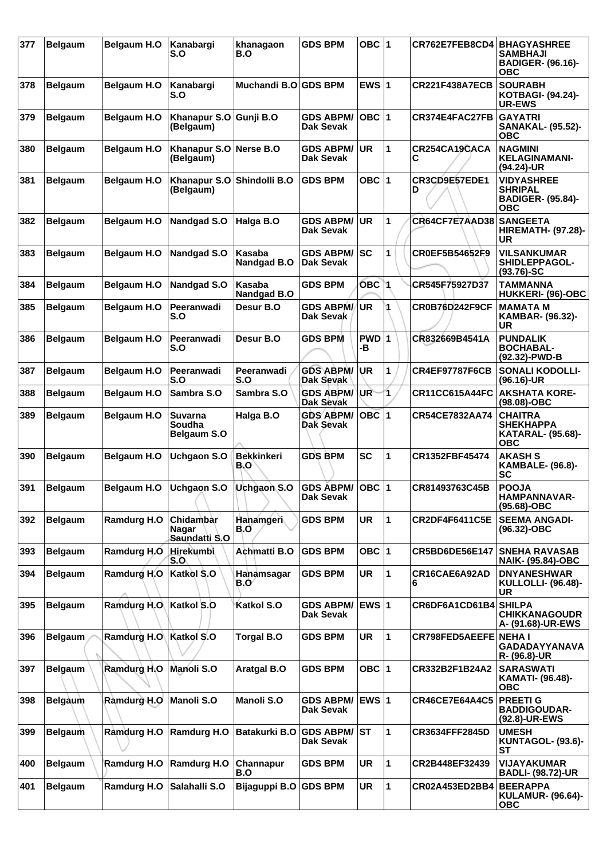| 377 | <b>Belgaum</b> | <b>Belgaum H.O</b> | Kanabargi<br>S.O                               | khanagaon<br>B.O             | <b>GDS BPM</b>                       | OBC ∣1           |                | CR762E7FEB8CD4        | <b>BHAGYASHREE</b><br>SAMBHAJI<br><b>BADIGER- (96.16)-</b><br>ОВС            |
|-----|----------------|--------------------|------------------------------------------------|------------------------------|--------------------------------------|------------------|----------------|-----------------------|------------------------------------------------------------------------------|
| 378 | <b>Belgaum</b> | <b>Belgaum H.O</b> | Kanabargi<br>S.O                               | Muchandi B.O GDS BPM         |                                      | EWS $ 1$         |                | <b>CR221F438A7ECB</b> | <b>SOURABH</b><br><b>KOTBAGI- (94.24)-</b><br><b>UR-EWS</b>                  |
| 379 | <b>Belgaum</b> | <b>Belgaum H.O</b> | Khanapur S.O Gunji B.O<br>(Belgaum)            |                              | <b>GDS ABPM/</b><br>Dak Sevak        | $OBC$  1         |                | CR374E4FAC27FB        | <b>GAYATRI</b><br><b>SANAKAL- (95.52)-</b><br><b>OBC</b>                     |
| 380 | <b>Belgaum</b> | Belgaum H.O        | Khanapur S.O Nerse B.O<br>(Belgaum)            |                              | <b>GDS ABPM/</b><br>Dak Sevak        | <b>UR</b>        | 1              | CR254CA19CACA<br>С    | <b>NAGMINI</b><br><b>KELAGINAMANI-</b><br>(94.24)-UR                         |
| 381 | <b>Belgaum</b> | <b>Belgaum H.O</b> | Khanapur S.O Shindolli B.O<br>(Belgaum)        |                              | <b>GDS BPM</b>                       | OBC ∣1           |                | CR3CD9E57EDE1<br>D    | <b>VIDYASHREE</b><br><b>SHRIPAL</b><br><b>BADIGER- (95.84)-</b><br>ОВС       |
| 382 | <b>Belgaum</b> | Belgaum H.O        | Nandgad S.O                                    | Halga B.O                    | <b>GDS ABPM/</b><br>Dak Sevak        | <b>UR</b>        | 1              | CR64CF7E7AAD38        | <b>SANGEETA</b><br><b>HIREMATH- (97.28)-</b><br>UR                           |
| 383 | <b>Belgaum</b> | <b>Belgaum H.O</b> | Nandgad S.O                                    | Kasaba<br><b>Nandgad B.O</b> | <b>GDS ABPM/ SC</b><br>Dak Sevak     |                  | 1              | <b>CR0EF5B54652F9</b> | VILSANKUMAR<br><b>SHIDLEPPAGOL-</b><br>$(93.76)$ -SC                         |
| 384 | <b>Belgaum</b> | <b>Belgaum H.O</b> | Nandgad S.O                                    | Kasaba<br><b>Nandgad B.O</b> | GDS BPM                              | OBC 1            |                | CR545F75927D37        | <b>TAMMANNA</b><br>HUKKERI- (96)-OBC                                         |
| 385 | <b>Belgaum</b> | <b>Belgaum H.O</b> | Peeranwadi<br>S.O                              | Desur B.O                    | <b>GDS ABPM/</b><br>Dak Sevak        | UR.              |                | <b>CR0B76D242F9CF</b> | <b>MAMATAM</b><br>KAMBAR- (96.32)-<br>UR                                     |
| 386 | <b>Belgaum</b> | <b>Belgaum H.O</b> | Peeranwadi<br>S.O                              | Desur B.O                    | <b>GDS BPM</b>                       | <b>PWD</b><br>-В | $\overline{1}$ | CR832669B4541A        | <b>PUNDALIK</b><br><b>BOCHABAL-</b><br>(92.32)-PWD-B                         |
| 387 | <b>Belgaum</b> | <b>Belgaum H.O</b> | Peeranwadi<br>S.O                              | Peeranwadi<br>S.O            | <b>GDS ABPM/</b><br>Dak Sevak        | <b>UR</b>        | 1              | <b>CR4EF97787F6CB</b> | <b>SONALI KODOLLI-</b><br>(96.16)-UR                                         |
| 388 | <b>Belgaum</b> | <b>Belgaum H.O</b> | Sambra S.O                                     | Sambra S.O                   | <b>GDS ABPM/</b><br>Dak Sevak        | UR               | 1              | <b>CR11CC615A44FC</b> | <b>AKSHATA KORE-</b><br>(98.08)-OBC                                          |
| 389 | <b>Belgaum</b> | <b>Belgaum H.O</b> | <b>Suvarna</b><br>Soudha<br><b>Belgaum S.O</b> | Halga B.O                    | <b>GDS ABPM/</b><br><b>Dak Sevak</b> | $OBC$  1         |                | CR54CE7832AA74        | <b>CHAITRA</b><br><b>SHEKHAPPA</b><br><b>KATARAL- (95.68)-</b><br><b>OBC</b> |
| 390 | <b>Belgaum</b> | <b>Belgaum H.O</b> | Uchgaon S.O                                    | <b>Bekkinkeri</b><br>B.O     | <b>GDS BPM</b>                       | <b>SC</b>        | 1              | CR1352FBF45474        | <b>AKASH S</b><br><b>KAMBALE- (96.8)-</b><br>SC                              |
| 391 | <b>Belgaum</b> | Belgaum H.O        | Uchgaon S.O                                    | Uchgaon S.O                  | <b>GDS ABPM/</b><br>Dak Sevak        | OBC  1           |                | CR81493763C45B        | <b>POOJA</b><br>HAMPANNAVAR-<br>(95.68)-OBC                                  |
| 392 | <b>Belgaum</b> | <b>Ramdurg H.O</b> | Chidambar<br><b>Nagar</b><br>Saundatti S.O     | Hanamgeri<br>B.O             | <b>GDS BPM</b>                       | <b>UR</b>        | 1              | <b>CR2DF4F6411C5E</b> | <b>SEEMA ANGADI-</b><br>(96.32)-OBC                                          |
| 393 | <b>Belgaum</b> | Ramdurg H.O        | <b>Hirekumbi</b><br>S.O                        | Achmatti B.O                 | <b>GDS BPM</b>                       | OBC 1            |                | CR5BD6DE56E147        | <b>SNEHA RAVASAB</b><br><b>NAIK- (95.84)-OBC</b>                             |
| 394 | <b>Belgaum</b> | Ramdurg H.O        | Katkol S.O                                     | Hanamsagar<br>B.O            | <b>GDS BPM</b>                       | UR               | 1              | CR16CAE6A92AD<br>6    | <b>DNYANESHWAR</b><br><b>KULLOLLI- (96.48)-</b><br><b>UR</b>                 |
| 395 | <b>Belgaum</b> | Ramdurg H.O        | Katkol S.O                                     | Katkol S.O                   | <b>GDS ABPM/</b><br><b>Dak Sevak</b> | <b>EWS11</b>     |                | CR6DF6A1CD61B4 SHILPA | <b>CHIKKANAGOUDR</b><br>A- (91.68)-UR-EWS                                    |
| 396 | <b>Belgaum</b> | Ramdurg H.O        | Katkol S.O                                     | <b>Torgal B.O</b>            | <b>GDS BPM</b>                       | <b>UR</b>        | 1              | CR798FED5AEEFE NEHA I | GADADAYYANAVA<br>R- (96.8)-UR                                                |
| 397 | <b>Belgaum</b> | Ramdurg H.O        | Manoli S.O                                     | <b>Aratgal B.O</b>           | <b>GDS BPM</b>                       | OBC $ 1$         |                | CR332B2F1B24A2        | <b>SARASWATI</b><br>KAMATI- (96.48)-<br><b>OBC</b>                           |
| 398 | <b>Belgaum</b> | Ramdurg H.O        | Manoli S.O                                     | Manoli S.O                   | GDS ABPM/ EWS 1<br><b>Dak Sevak</b>  |                  |                | CR46CE7E64A4C5        | <b>PREETIG</b><br><b>BADDIGOUDAR-</b><br>(92.8)-UR-EWS                       |
| 399 | <b>Belgaum</b> | Ramdurg H.O        | Ramdurg H.O                                    | Batakurki B.O                | <b>GDS ABPM/</b><br>Dak Sevak        | IST.             | 1              | CR3634FFF2845D        | <b>UMESH</b><br><b>KUNTAGOL- (93.6)-</b><br>SТ                               |
| 400 | <b>Belgaum</b> | Ramdurg H.O        | <b>Ramdurg H.O</b>                             | Channapur<br>B.O             | <b>GDS BPM</b>                       | <b>UR</b>        | 1              | CR2B448EF32439        | VIJAYAKUMAR<br><b>BADLI- (98.72)-UR</b>                                      |
| 401 | <b>Belgaum</b> | <b>Ramdurg H.O</b> | Salahalli S.O                                  | Bijaguppi B.O                | <b>GDS BPM</b>                       | <b>UR</b>        | 1              | CR02A453ED2BB4        | <b>BEERAPPA</b><br><b>KULAMUR- (96.64)-</b><br><b>OBC</b>                    |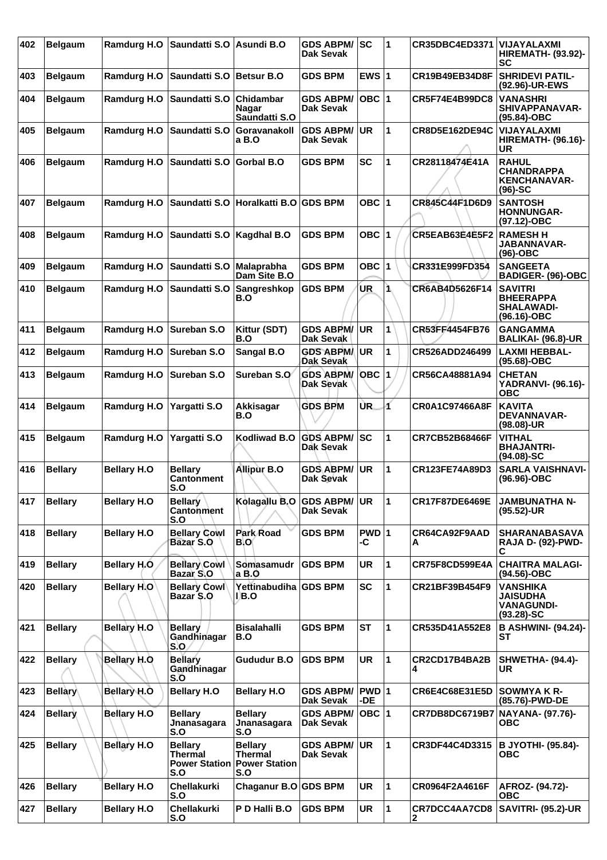| 402 | <b>Belgaum</b> | Ramdurg H.O        | Saundatti S.O                                            | Asundi B.O                                               | <b>GDS ABPM/</b><br>Dak Sevak        | SC            | 1           | <b>CR35DBC4ED3371</b> | <b>VIJAYALAXMI</b><br><b>HIREMATH- (93.92)-</b><br>SC                     |
|-----|----------------|--------------------|----------------------------------------------------------|----------------------------------------------------------|--------------------------------------|---------------|-------------|-----------------------|---------------------------------------------------------------------------|
| 403 | <b>Belgaum</b> | <b>Ramdurg H.O</b> | Saundatti S.O                                            | <b>Betsur B.O</b>                                        | <b>GDS BPM</b>                       | EWS $ 1$      |             | CR19B49EB34D8F        | <b>SHRIDEVI PATIL-</b><br>(92.96)-UR-EWS                                  |
| 404 | <b>Belgaum</b> | Ramdurg H.O        | Saundatti S.O                                            | <b>Chidambar</b><br><b>Nagar</b><br>Saundatti S.O        | <b>GDS ABPM/</b><br><b>Dak Sevak</b> | $OBC$  1      |             | <b>CR5F74E4B99DC8</b> | <b>VANASHRI</b><br>SHIVAPPANAVAR-<br>(95.84)-OBC                          |
| 405 | <b>Belgaum</b> | Ramdurg H.O        | Saundatti S.O                                            | Goravanakoll<br>a B.O                                    | <b>GDS ABPM/</b><br>Dak Sevak        | <b>UR</b>     | 1           | <b>CR8D5E162DE94C</b> | <b>VIJAYALAXMI</b><br><b>HIREMATH- (96.16)-</b><br>UR                     |
| 406 | <b>Belgaum</b> | <b>Ramdurg H.O</b> | Saundatti S.O                                            | <b>Gorbal B.O</b>                                        | <b>GDS BPM</b>                       | <b>SC</b>     | 1           | CR28118474E41A        | <b>RAHUL</b><br><b>CHANDRAPPA</b><br><b>KENCHANAVAR-</b><br>$(96)-SC$     |
| 407 | <b>Belgaum</b> | Ramdurg H.O        | Saundatti S.O                                            | Horalkatti B.O GDS BPM                                   |                                      | OBC ∣1        |             | CR845C44F1D6D9        | <b>SANTOSH</b><br><b>HONNUNGAR-</b><br>(97.12)-OBC                        |
| 408 | <b>Belgaum</b> | <b>Ramdurg H.O</b> | Saundatti S.O                                            | Kagdhal B.O                                              | <b>GDS BPM</b>                       | OBC ∣1        |             | CR5EAB63E4E5F2        | <b>RAMESH H</b><br>JABANNAVAR-<br>$(96)-OBC$                              |
| 409 | <b>Belgaum</b> | Ramdurg H.O        | Saundatti S.O                                            | <b>Malaprabha</b><br>Dam Site B.O                        | <b>GDS BPM</b>                       | OBC ∣1        |             | CR331E999FD354        | <b>SANGEETA</b><br>BADIGER- (96)-OBC                                      |
| 410 | <b>Belgaum</b> | Ramdurg H.O        | Saundatti S.O                                            | Sangreshkop<br>B.O                                       | <b>GDS BPM</b>                       | UR.           |             | CR6AB4D5626F14        | <b>SAVITRI</b><br><b>BHEERAPPA</b><br><b>SHALAWADI-</b><br>(96.16)-OBC    |
| 411 | <b>Belgaum</b> | Ramdurg H.O        | Sureban S.O                                              | Kittur (SDT)<br>B.O                                      | <b>GDS ABPM/</b><br>Dak Sevak        | UR            | 1           | CR53FF4454FB76        | <b>GANGAMMA</b><br>BALIKAI- (96.8)-UR                                     |
| 412 | <b>Belgaum</b> | <b>Ramdurg H.O</b> | Sureban S.O                                              | Sangal B.O                                               | <b>GDS ABPM/</b><br>Dak Sevak        | <b>UR</b>     | 1           | CR526ADD246499        | <b>LAXMI HEBBAL-</b><br>(95.68)-OBC                                       |
| 413 | <b>Belgaum</b> | Ramdurg H.O        | Sureban S.O                                              | Sureban S.O                                              | <b>GDS ABPM/</b><br><b>Dak Sevak</b> | $OBC$ 1       |             | CR56CA48881A94        | <b>CHETAN</b><br><b>YADRANVI- (96.16)-</b><br><b>OBC</b>                  |
| 414 | <b>Belgaum</b> | <b>Ramdurg H.O</b> | Yargatti S.O                                             | Akkisagar<br>B.O                                         | <b>GDS BPM</b>                       | UR.           | 1           | CR0A1C97466A8F        | <b>KAVITA</b><br><b>DEVANNAVAR-</b><br>(98.08)-UR                         |
| 415 | <b>Belgaum</b> | <b>Ramdurg H.O</b> | Yargatti S.O                                             | Kodliwad B.O                                             | <b>GDS ABPM/</b><br>Dak Sevak        | SC            | 1           | <b>CR7CB52B68466F</b> | VITHAL<br><b>BHAJANTRI-</b><br>$(94.08)-SC$                               |
| 416 | <b>Bellary</b> | <b>Bellary H.O</b> | <b>Bellary</b><br>Cantonment<br>S.O                      | Allipur B.O                                              | <b>GDS ABPM/</b><br>Dak Sevak        | <b>UR</b>     | 1           | CR123FE74A89D3        | <b>SARLA VAISHNAVI-</b><br>(96.96)-OBC                                    |
| 417 | <b>Bellary</b> | <b>Bellary H.O</b> | <b>Bellary</b><br>Cantonment<br>S.O                      | Kolagallu B.O GDS ABPM/                                  | Dak Sevak                            | UR)           | 11          | CR17F87DE6469E        | <b>JAMBUNATHA N-</b><br>(95.52)-UR                                        |
| 418 | <b>Bellary</b> | <b>Bellary H.O</b> | <b>Bellary Cowl</b><br>Bazar S.O                         | Park Road<br><b>B.O</b>                                  | <b>GDS BPM</b>                       | $PWD$ 1<br>-C |             | CR64CA92F9AAD<br>А    | <b>SHARANABASAVA</b><br><b>RAJA D- (92)-PWD-</b><br>С                     |
| 419 | <b>Bellary</b> | Bellary H.O.       | <b>Bellary Cowl</b><br>Bazar S.O                         | Somasamudr<br>a B.O                                      | <b>GDS BPM</b>                       | UR            | 1           | CR75F8CD599E4A        | <b>CHAITRA MALAGI-</b><br>(94.56)-OBC                                     |
| 420 | <b>Bellary</b> | <b>Bellary H.O</b> | <b>Bellary Cowl</b><br>Bazar S.O                         | Yettinabudiha GDS BPM<br>I B.O                           |                                      | <b>SC</b>     | 1           | CR21BF39B454F9        | <b>VANSHIKA</b><br><b>JAISUDHA</b><br><b>VANAGUNDI-</b><br>$(93.28) - SC$ |
| 421 | <b>Bellary</b> | Bellary H.O        | <b>Bellarv</b><br>Gandhinagar<br>S.O                     | <b>Bisalahalli</b><br>B.O                                | <b>GDS BPM</b>                       | <b>ST</b>     | $\mathbf 1$ | CR535D41A552E8        | <b>B ASHWINI- (94.24)-</b><br>SТ                                          |
| 422 | <b>Bellary</b> | Bellary H.O        | <b>Bellary</b><br>Gandhinagar<br>S.O                     | <b>Gududur B.O</b>                                       | <b>GDS BPM</b>                       | UR            | $\mathbf 1$ | CR2CD17B4BA2B<br>4    | <b>SHWETHA- (94.4)-</b><br>UR                                             |
| 423 | <b>Bellary</b> | Bellary H.O        | <b>Bellary H.O</b>                                       | <b>Bellary H.O</b>                                       | <b>GDS ABPM/</b><br>Dak Sevak        | PWD 1<br>-DE  |             | CR6E4C68E31E5D        | SOWMYA K R-<br>(85.76)-PWD-DE                                             |
| 424 | <b>Bellary</b> | <b>Bellary H.O</b> | <b>Bellary</b><br>Jnanasagara<br>S.O                     | <b>Bellary</b><br>Jnanasagara<br>S.O                     | <b>GDS ABPM/</b><br>Dak Sevak        | OBC $ 1$      |             | <b>CR7DB8DC6719B7</b> | NAYANA- (97.76)-<br><b>OBC</b>                                            |
| 425 | <b>Bellary</b> | Bellary H.O        | <b>Bellary</b><br>Thermal<br><b>Power Station</b><br>S.O | <b>Bellary</b><br>Thermal<br><b>Power Station</b><br>S.O | <b>GDS ABPM/</b><br>Dak Sevak        | UR            | 1           | CR3DF44C4D3315        | <b>B JYOTHI- (95.84)-</b><br>ОВС                                          |
| 426 | <b>Bellary</b> | <b>Bellary H.O</b> | Chellakurki<br>S.O                                       | Chaganur B.O GDS BPM                                     |                                      | UR.           | $\mathbf 1$ | CR0964F2A4616F        | AFROZ- (94.72)-<br>ОВС                                                    |
| 427 | <b>Bellary</b> | <b>Bellary H.O</b> | Chellakurki<br>S.O                                       | P D Halli B.O                                            | <b>GDS BPM</b>                       | UR            | 1           | CR7DCC4AA7CD8<br>2    | <b>SAVITRI- (95.2)-UR</b>                                                 |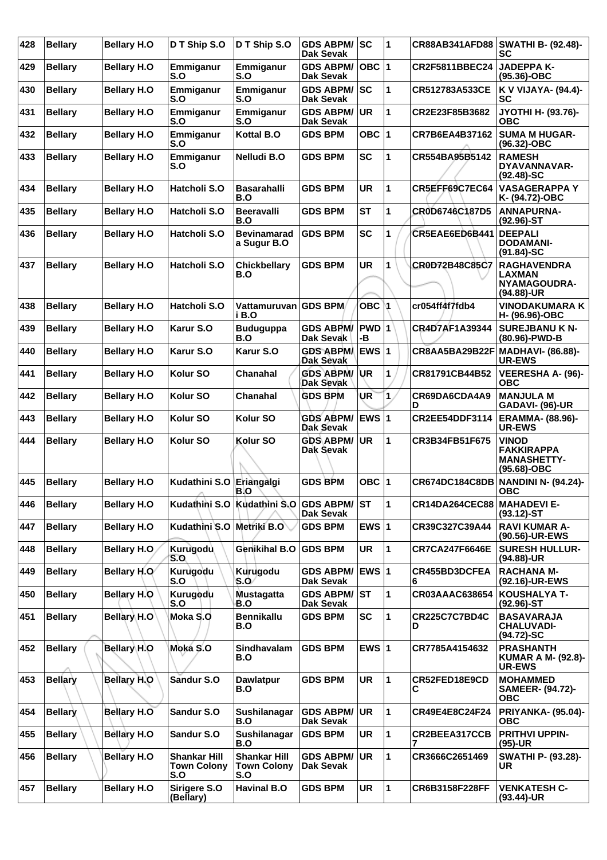| 428 | <b>Bellary</b> | <b>Bellary H.O</b>  | D T Ship S.O                                     | D T Ship S.O                                     | <b>GDS ABPM/</b><br><b>Dak Sevak</b> | <b>SC</b>    | 1              | <b>CR88AB341AFD88</b>      | <b>SWATHI B- (92.48)-</b><br>SC                                   |
|-----|----------------|---------------------|--------------------------------------------------|--------------------------------------------------|--------------------------------------|--------------|----------------|----------------------------|-------------------------------------------------------------------|
| 429 | <b>Bellary</b> | <b>Bellary H.O</b>  | Emmiganur<br>S.O                                 | Emmiganur<br>S.O                                 | <b>GDS ABPM/</b><br><b>Dak Sevak</b> | OBC $ 1$     |                | <b>CR2F5811BBEC24</b>      | <b>JADEPPA K-</b><br>(95.36)-OBC                                  |
| 430 | <b>Bellary</b> | <b>Bellary H.O</b>  | Emmiganur<br>S.O                                 | Emmiganur<br>S.O                                 | <b>GDS ABPM/</b><br><b>Dak Sevak</b> | SC           | 1              | CR512783A533CE             | K V VIJAYA- (94.4)-<br><b>SC</b>                                  |
| 431 | <b>Bellary</b> | <b>Bellary H.O</b>  | Emmiganur<br>S.O                                 | Emmiganur<br>S.O                                 | <b>GDS ABPM/</b><br>Dak Sevak        | <b>UR</b>    | 1              | CR2E23F85B3682             | JYOTHI H- (93.76)-<br>овс                                         |
| 432 | <b>Bellary</b> | <b>Bellary H.O</b>  | Emmiganur<br>S.O                                 | <b>Kottal B.O</b>                                | <b>GDS BPM</b>                       | OBC $ 1$     |                | CR7B6EA4B37162             | <b>SUMA M HUGAR-</b><br>(96.32)-OBC                               |
| 433 | <b>Bellary</b> | <b>Bellary H.O</b>  | Emmiganur<br>S.O                                 | Nelludi B.O                                      | <b>GDS BPM</b>                       | <b>SC</b>    | 1              | CR554BA95B5142             | <b>RAMESH</b><br>DYAVANNAVAR-<br>$(92.48)$ -SC                    |
| 434 | <b>Bellary</b> | <b>Bellary H.O</b>  | Hatcholi S.O                                     | <b>Basarahalli</b><br>B.O                        | <b>GDS BPM</b>                       | <b>UR</b>    | 1              | CR5EFF69C7EC64             | <b>VASAGERAPPA Y</b><br>K- (94.72)-OBC                            |
| 435 | <b>Bellary</b> | <b>Bellary H.O</b>  | Hatcholi S.O                                     | <b>Beeravalli</b><br>B.O                         | <b>GDS BPM</b>                       | <b>ST</b>    | 1              | CR0D6746C187D5             | <b>ANNAPURNA-</b><br>$(92.96)$ -ST                                |
| 436 | <b>Bellary</b> | <b>Bellary H.O</b>  | Hatcholi S.O                                     | <b>Bevinamarad</b><br>a Sugur B.O                | <b>GDS BPM</b>                       | <b>SC</b>    | 1              | CR5EAE6ED6B441             | <b>DEEPALI</b><br><b>DODAMANI-</b><br>$(91.84) - SC$              |
| 437 | <b>Bellary</b> | <b>Bellary H.O</b>  | Hatcholi S.O                                     | <b>Chickbellary</b><br>B.O                       | <b>GDS BPM</b>                       | <b>UR</b>    | 1              | CR0D72B48C85C7             | <b>RAGHAVENDRA</b><br><b>LAXMAN</b><br>NYAMAGOUDRA-<br>(94.88)-UR |
| 438 | <b>Bellary</b> | <b>Bellary H.O</b>  | Hatcholi S.O                                     | Vattamuruvan GDS BPM<br>i B.O                    |                                      | <b>OBC</b>   | 1              | cr054ff4f7fdb4             | <b>VINODAKUMARA K</b><br>H- (96.96)-OBC                           |
| 439 | <b>Bellarv</b> | <b>Bellary H.O</b>  | Karur S.O                                        | <b>Buduguppa</b><br>B.O                          | <b>GDS ABPM/</b><br>Dak Sevak        | PWD 1<br>-В  |                | CR4D7AF1A39344             | <b>SUREJBANU K N-</b><br>(80.96)-PWD-B                            |
| 440 | <b>Bellary</b> | <b>Bellary H.O</b>  | Karur S.O                                        | Karur S.O                                        | <b>GDS ABPM/</b><br>Dak Sevak        | <b>EWS 1</b> |                | CR8AA5BA29B22F             | MADHAVI- (86.88)-<br><b>UR-EWS</b>                                |
| 441 | <b>Bellary</b> | <b>Bellary H.O</b>  | Kolur SO                                         | Chanahal                                         | <b>GDS ABPM/</b><br>Dak Sevak        | <b>UR</b>    | 1              | CR81791CB44B52             | <b>VEERESHA A- (96)-</b><br><b>OBC</b>                            |
| 442 | <b>Bellary</b> | <b>Bellary H.O</b>  | Kolur <sub>SO</sub>                              | <b>Chanahal</b>                                  | <b>GDS BPM</b>                       | UR           | 1              | CR69DA6CDA4A9<br>D         | <b>MANJULA M</b><br>GADAVI- (96)-UR                               |
| 443 | <b>Bellary</b> | <b>Bellary H.O</b>  | Kolur <sub>SO</sub>                              | Kolur <sub>SO</sub>                              | <b>GDS ABPM/</b><br>Dak Sevak        | EWS 1        |                | CR2EE54DDF3114             | <b>ERAMMA- (88.96)-</b><br><b>UR-EWS</b>                          |
| 444 | <b>Bellary</b> | <b>Bellary H.O</b>  | Kolur SO                                         | Kolur SO                                         | GDS ABPM/<br>Dak Sevak               | <b>UR</b>    | 1              | CR3B34FB51F675             | VINOD<br><b>FAKKIRAPPA</b><br><b>MANASHETTY-</b><br>(95.68)-OBC   |
| 445 | <b>Bellary</b> | <b>Bellary H.O</b>  | Kudathini S.O                                    | Eriangalgi<br>B.O                                | <b>GDS BPM</b>                       | OBC $ 1$     |                | <b>CR674DC184C8DB</b>      | <b>NANDINI N- (94.24)-</b><br><b>OBC</b>                          |
| 446 | <b>Bellary</b> | <b>Bellary H.O</b>  |                                                  | Kudathini S.O Kudathini S.O GDS ABPM/            | <b>Dak Sevak</b>                     | <b>ST</b>    | 11             | CR14DA264CEC88 MAHADEVI E- | $(93.12)$ -ST                                                     |
| 447 | <b>Bellary</b> | <b>Bellary H.O</b>  | Kudathini S.O Metriki B.O                        |                                                  | <b>GDS BPM</b>                       | EWS $ 1$     |                | CR39C327C39A44             | <b>RAVI KUMAR A-</b><br>(90.56)-UR-EWS                            |
| 448 | <b>Bellary</b> | <b>Bellary H.O.</b> | Kurugodu<br>S.O                                  | Genikihal B.O                                    | <b>GDS BPM</b>                       | <b>UR</b>    | 1              | <b>CR7CA247F6646E</b>      | <b>SURESH HULLUR-</b><br>(94.88)-UR                               |
| 449 | <b>Bellary</b> | Bellary H.O         | Kurugodu<br>S.O                                  | Kurugodu<br>S.O                                  | <b>GDS ABPM/</b><br>Dak Sevak        | EWS 1        |                | CR455BD3DCFEA<br>6         | <b>RACHANA M-</b><br>(92.16)-UR-EWS                               |
| 450 | <b>Bellary</b> | Bellary H.O         | Kurugodu<br>S.O                                  | <b>Mustagatta</b><br>B.O                         | <b>GDS ABPM/</b><br>Dak Sevak        | <b>ST</b>    | 1              | CR03AAAC638654             | <b>KOUSHALYA T-</b><br>$(92.96)$ -ST                              |
| 451 | <b>Bellary</b> | Bellary H.O         | Moka S.O                                         | <b>Bennikallu</b><br>B.O                         | <b>GDS BPM</b>                       | <b>SC</b>    | 1              | CR225C7C7BD4C<br>D         | <b>BASAVARAJA</b><br><b>CHALUVADI-</b><br>$(94.72)$ -SC           |
| 452 | <b>Bellary</b> | <b>Bellary H.O</b>  | Moka S.O                                         | Sindhavalam<br>B.O                               | <b>GDS BPM</b>                       | EWS $ 1$     |                | CR7785A4154632             | <b>PRASHANTH</b><br><b>KUMAR A M- (92.8)-</b><br>UR-EWS           |
| 453 | <b>Bellary</b> | Bellary H.O         | Sandur S.O                                       | <b>Dawlatpur</b><br>B.O                          | <b>GDS BPM</b>                       | <b>UR</b>    | 1              | CR52FED18E9CD<br>С         | <b>MOHAMMED</b><br><b>SAMEER- (94.72)-</b><br><b>OBC</b>          |
| 454 | <b>Bellary</b> | <b>Bellary H.O</b>  | Sandur S.O                                       | Sushilanagar<br>B.O                              | <b>GDS ABPM/</b><br>Dak Sevak        | UR           | 1              | CR49E4E8C24F24             | <b>PRIYANKA- (95.04)-</b><br><b>OBC</b>                           |
| 455 | <b>Bellary</b> | <b>Bellary H.O</b>  | Sandur S.O                                       | Sushilanagar<br>B.O                              | <b>GDS BPM</b>                       | UR           | $\blacksquare$ | CR2BEEA317CCB<br>7         | <b>PRITHVI UPPIN-</b><br>$(95)-UR$                                |
| 456 | <b>Bellary</b> | <b>Bellary H.O</b>  | <b>Shankar Hill</b><br><b>Town Colony</b><br>S.O | <b>Shankar Hill</b><br><b>Town Colony</b><br>S.O | <b>GDS ABPM/</b><br>Dak Sevak        | <b>UR</b>    | 1              | CR3666C2651469             | <b>SWATHI P- (93.28)-</b><br><b>UR</b>                            |
| 457 | <b>Bellary</b> | <b>Bellary H.O</b>  | Sirigere S.O<br>(Bellary)                        | <b>Havinal B.O</b>                               | <b>GDS BPM</b>                       | UR           | 1              | CR6B3158F228FF             | <b>VENKATESH C-</b><br>(93.44)-UR                                 |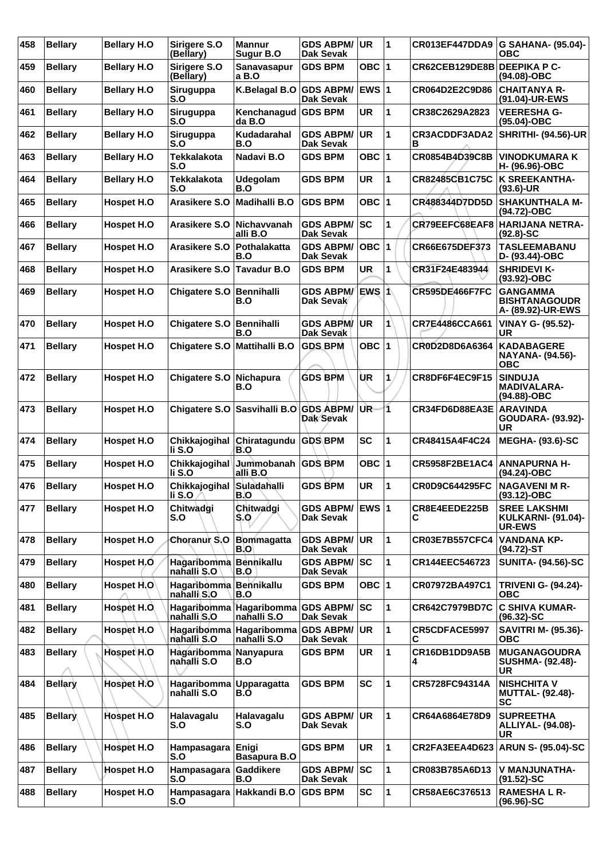| 458 | <b>Bellary</b> | <b>Bellary H.O</b> | Sirigere S.O<br>(Bellary)         | <b>Mannur</b><br>Sugur B.O             | <b>GDS ABPM/</b><br><b>Dak Sevak</b> | UR           | $\overline{1}$ | CR013EF447DDA9              | <b>G SAHANA- (95.04)-</b><br>ОВС                                  |
|-----|----------------|--------------------|-----------------------------------|----------------------------------------|--------------------------------------|--------------|----------------|-----------------------------|-------------------------------------------------------------------|
| 459 | <b>Bellary</b> | <b>Bellary H.O</b> | Sirigere S.O<br>(Bellary)         | Sanavasapur<br>a B.O                   | <b>GDS BPM</b>                       | OBC $ 1$     |                | CR62CEB129DE8B DEEPIKA P C- | (94.08)-OBC                                                       |
| 460 | <b>Bellary</b> | <b>Bellary H.O</b> | Siruguppa<br>S.O                  | K.Belagal B.O                          | <b>GDS ABPM/</b><br>Dak Sevak        | EWS $ 1$     |                | CR064D2E2C9D86              | <b>CHAITANYA R-</b><br>(91.04)-UR-EWS                             |
| 461 | <b>Bellary</b> | <b>Bellary H.O</b> | Siruguppa<br>S.O                  | Kenchanaqud<br>da B.O                  | <b>GDS BPM</b>                       | <b>UR</b>    | 1              | CR38C2629A2823              | <b>VEERESHA G-</b><br>(95.04)-OBC                                 |
| 462 | <b>Bellary</b> | <b>Bellary H.O</b> | Siruguppa<br>S.O                  | Kudadarahal<br>B.O                     | <b>GDS ABPM/</b><br><b>Dak Sevak</b> | <b>UR</b>    | 1              | CR3ACDDF3ADA2<br>в          | <b>SHRITHI- (94.56)-UR</b>                                        |
| 463 | <b>Bellary</b> | <b>Bellary H.O</b> | <b>Tekkalakota</b><br>S.O         | Nadavi B.O                             | <b>GDS BPM</b>                       | OBC $ 1$     |                | CR0854B4D39C8B              | <b>VINODKUMARA K</b><br>H- (96.96)-OBC                            |
| 464 | <b>Bellary</b> | <b>Bellary H.O</b> | <b>Tekkalakota</b><br>S.O         | <b>Udegolam</b><br>B.O                 | <b>GDS BPM</b>                       | <b>UR</b>    | 1              | CR82485CB1C75C              | <b>K SREEKANTHA-</b><br>$(93.6)$ -UR                              |
| 465 | <b>Bellary</b> | Hospet H.O         | Arasikere S.O                     | Madihalli B.O                          | <b>GDS BPM</b>                       | OBC $ 1$     |                | CR488344D7DD5D              | <b>SHAKUNTHALA M-</b><br>(94.72)-OBC                              |
| 466 | <b>Bellary</b> | Hospet H.O         | Arasikere S.O                     | <b>Nichavvanah</b><br>alli B.O         | <b>GDS ABPM/</b><br>Dak Sevak        | <b>SC</b>    | 1              | CR79EEFC68EAF8              | HARIJANA NETRA-<br>$(92.8) - SC$                                  |
| 467 | <b>Bellary</b> | Hospet H.O         | Arasikere S.O                     | Pothalakatta<br>B.O                    | <b>GDS ABPM/</b><br><b>Dak Sevak</b> | OBC I        | 1              | CR66E675DEF373              | <b>TASLEEMABANU</b><br>D- (93.44)-OBC                             |
| 468 | <b>Bellary</b> | Hospet H.O         | Arasikere S.O Tavadur B.O         |                                        | <b>GDS BPM</b>                       | <b>UR</b>    | 1              | CR31F24E483944              | <b>SHRIDEVI K-</b><br>(93.92)-OBC                                 |
| 469 | <b>Bellary</b> | <b>Hospet H.O</b>  | Chigatere S.O                     | <b>Bennihalli</b><br>B.O               | <b>GDS ABPM/</b><br>Dak Sevak        | IEWS I 1∖    |                | <b>CR595DE466F7FC</b>       | <b>GANGAMMA</b><br><b>BISHTANAGOUDR</b><br>A- (89.92)-UR-EWS      |
| 470 | <b>Bellary</b> | Hospet H.O         | Chigatere S.O Bennihalli          | B.O                                    | <b>GDS ABPM/</b><br>Dak Sevak        | UR           | 1              | CR7E4486CCA661              | VINAY G- (95.52)-<br><b>UR</b>                                    |
| 471 | <b>Bellary</b> | Hospet H.O         | Chigatere S.O                     | Mattihalli B.O                         | <b>GDS BPM</b>                       | OBC $ 1$     |                | <b>CR0D2D8D6A6364</b>       | <b>KADABAGERE</b><br><b>NAYANA- (94.56)-</b><br><b>OBC</b>        |
| 472 | <b>Bellary</b> | <b>Hospet H.O</b>  | Chigatere S.O                     | Nichapura<br>B.O                       | <b>GDS BPM</b>                       | ÙR           | 1              | CR8DF6F4EC9F15              | <b>SINDUJA</b><br><b>MADIVALARA-</b><br>(94.88)-OBC               |
| 473 | <b>Bellary</b> | Hospet H.O         |                                   | Chigatere S.O Sasvihalli B.O GDS ABPM/ | Dak Sevak                            | UR-          | 11             | CR34FD6D88EA3E              | <b>ARAVINDA</b><br><b>GOUDARA- (93.92)-</b><br>UR                 |
| 474 | <b>Bellary</b> | Hospet H.O         | Chikkajogihal<br>li S.O           | Chiratagundu<br>B.O                    | <b>GDS BPM</b>                       | <b>SC</b>    | 1              | CR48415A4F4C24              | <b>MEGHA- (93.6)-SC</b>                                           |
| 475 | <b>Bellary</b> | <b>Hospet H.O</b>  | Chikkajogihal<br>li S.O           | Jummobanah<br>alli B.O                 | <b>GDS BPM</b>                       | OBC $ 1$     |                | CR5958F2BE1AC4              | <b>ANNAPURNA H-</b><br>(94.24)-OBC                                |
| 476 | <b>Bellary</b> | Hospet H.O         | Chikkajogihal<br>li S.O           | Suladahalli<br>B.O                     | <b>GDS BPM</b>                       | <b>UR</b>    | 1              | <b>CR0D9C644295FC</b>       | <b>NAGAVENI M R-</b><br>$(93.12) - OBC$                           |
| 477 | <b>Bellary</b> | Hospet H.O         | Chitwadgi<br>S.O                  | Chitwadgi<br>S.Q                       | <b>GDS ABPM/</b><br><b>Dak Sevak</b> | <b>EWS 1</b> |                | CR8E4EEDE225B<br>С          | <b>SREE LAKSHMI</b><br><b>KULKARNI- (91.04)-</b><br><b>UR-EWS</b> |
| 478 | <b>Bellary</b> | Hospet H.O         | Choranur S.O                      | <b>Bommagatta</b><br>B.O               | <b>GDS ABPM/</b><br><b>Dak Sevak</b> | UR.          | 1              | <b>CR03E7B557CFC4</b>       | <b>VANDANA KP-</b><br>(94.72)-ST                                  |
| 479 | <b>Bellary</b> | Hospet H.O         | Hagaribomma<br>nahalli S.O        | <b>Bennikallu</b><br>B.O               | <b>GDS ABPM/</b><br><b>Dak Sevak</b> | SC           | 1              | CR144EEC546723              | <b>SUNITA- (94.56)-SC</b>                                         |
| 480 | <b>Bellary</b> | Hospet H.O         | Hagaribomma<br>nahalli S.O        | <b>Bennikallu</b><br>B.O               | <b>GDS BPM</b>                       | OBC $ 1$     |                | CR07972BA497C1              | <b>TRIVENI G- (94.24)-</b><br><b>OBC</b>                          |
| 481 | <b>Bellary</b> | Hospet H.O.        | <b>Hagaribomma</b><br>nahalli S.O | Hagaribomma GDS ABPM/<br>nahalli S.O   | Dak Sevak                            | SC           | 1              | CR642C7979BD7C              | <b>C SHIVA KUMAR-</b><br>$(96.32) - SC$                           |
| 482 | <b>Bellary</b> | Hospet H.O         | Hagaribomma<br>nahalli S.O        | Hagaribomma GDS ABPM/<br>nahalli S.O   | Dak Sevak                            | UR           | 1              | CR5CDFACE5997<br>С          | <b>SAVITRI M- (95.36)-</b><br>ОВС                                 |
| 483 | <b>Bellary</b> | Hospet H.O         | Hagaribomma<br>nahalli S.O        | Nanyapura<br>B.O                       | <b>GDS BPM</b>                       | UR           | 1              | CR16DB1DD9A5B<br>4          | <b>MUGANAGOUDRA</b><br><b>SUSHMA- (92.48)-</b><br><b>UR</b>       |
| 484 | <b>Bellary</b> | Hospet H.O         | Hagaribomma<br>nahalli S.O        | <b>Upparagatta</b><br>B.O              | <b>GDS BPM</b>                       | <b>SC</b>    | 1              | CR5728FC94314A              | <b>NISHCHITA V</b><br><b>MUTTAL- (92.48)-</b><br><b>SC</b>        |
| 485 | <b>Bellary</b> | Hospet H.O         | Halavagalu<br>S.O                 | Halavagalu<br>S.O                      | <b>GDS ABPM/</b><br><b>Dak Sevak</b> | UR.          | 1              | CR64A6864E78D9              | <b>SUPREETHA</b><br><b>ALLIYAL- (94.08)-</b><br>UR                |
| 486 | <b>Bellary</b> | Hospet H.O         | Hampasagara<br>S.O                | Enigi<br>Basapura B.O                  | <b>GDS BPM</b>                       | <b>UR</b>    | 1              | CR2FA3EEA4D623              | <b>ARUN S- (95.04)-SC</b>                                         |
| 487 | <b>Bellary</b> | Hospet H.O         | Hampasagara<br>S.O                | Gaddikere<br>B.O                       | <b>GDS ABPM/</b><br>Dak Sevak        | lsc          | 1              | CR083B785A6D13              | V MANJUNATHA-<br>$(91.52)$ -SC                                    |
| 488 | <b>Bellary</b> | Hospet H.O         | Hampasagara<br>S.O                | Hakkandi B.O                           | <b>GDS BPM</b>                       | SC           | 1              | CR58AE6C376513              | <b>RAMESHALR-</b><br>$(96.96)$ -SC                                |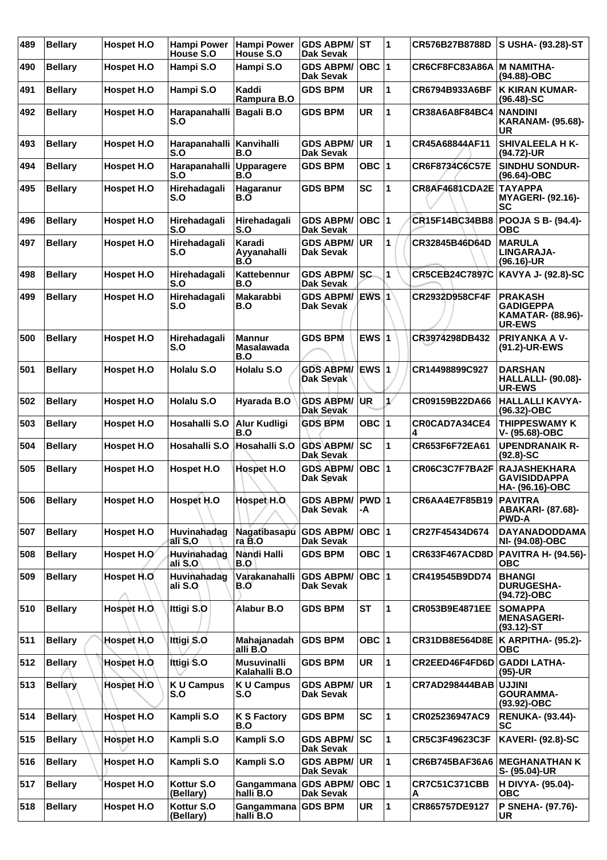| 489 | <b>Bellary</b> | <b>Hospet H.O</b> | <b>Hampi Power</b><br><b>House S.O</b> | <b>Hampi Power</b><br>House S.O           | <b>GDS ABPM/ ST</b><br><b>Dak Sevak</b> |            | 1            | CR576B27B8788D              | S USHA- (93.28)-ST                                                              |
|-----|----------------|-------------------|----------------------------------------|-------------------------------------------|-----------------------------------------|------------|--------------|-----------------------------|---------------------------------------------------------------------------------|
| 490 | <b>Bellary</b> | Hospet H.O        | Hampi S.O                              | Hampi S.O                                 | <b>GDS ABPM/</b><br><b>Dak Sevak</b>    | OBC  1     |              | CR6CF8FC83A86A              | <b>M NAMITHA-</b><br>(94.88)-OBC                                                |
| 491 | <b>Bellary</b> | Hospet H.O        | Hampi S.O                              | Kaddi<br>Rampura B.O                      | <b>GDS BPM</b>                          | <b>UR</b>  | 1            | CR6794B933A6BF              | <b>K KIRAN KUMAR-</b><br>$(96.48) - SC$                                         |
| 492 | <b>Bellary</b> | Hospet H.O        | Harapanahalli<br>S.O                   | Bagali B.O                                | <b>GDS BPM</b>                          | <b>UR</b>  | 1            | CR38A6A8F84BC4              | <b>NANDINI</b><br><b>KARANAM- (95.68)-</b><br>UR                                |
| 493 | <b>Bellary</b> | Hospet H.O        | Harapanahalli<br>S.O                   | Kanvihalli<br>B.O                         | <b>GDS ABPM/</b><br><b>Dak Sevak</b>    | <b>UR</b>  | 1            | CR45A68844AF11              | <b>SHIVALEELA H K-</b><br>(94.72)-UR                                            |
| 494 | <b>Bellary</b> | Hospet H.O        | Harapanahalli<br>S.O                   | <b>Upparagere</b><br>B.O                  | <b>GDS BPM</b>                          | OBC $ 1$   |              | CR6F8734C6C57E              | <b>SINDHU SONDUR-</b><br>(96.64)-OBC                                            |
| 495 | <b>Bellary</b> | Hospet H.O        | Hirehadagali<br>S.O                    | Hagaranur<br>B.O                          | <b>GDS BPM</b>                          | <b>SC</b>  | 1            | CR8AF4681CDA2E TAYAPPA      | <b>MYAGERI- (92.16)-</b><br>SC                                                  |
| 496 | <b>Bellary</b> | Hospet H.O        | Hirehadagali<br>S.O                    | Hirehadagali<br>S.O                       | <b>GDS ABPM/</b><br>Dak Sevak           | OBC  1     |              | <b>CR15F14BC34BB8</b>       | <b>POOJA S B- (94.4)-</b><br>овс                                                |
| 497 | <b>Bellary</b> | <b>Hospet H.O</b> | Hirehadagali<br>S.O                    | Karadi<br>Ayyanahalli<br>B.O              | <b>GDS ABPM/</b><br><b>Dak Sevak</b>    | <b>UR</b>  | 1            | CR32845B46D64D              | <b>MARULA</b><br><b>LINGARAJA-</b><br>$(96.16)$ -UR                             |
| 498 | <b>Bellarv</b> | Hospet H.O        | Hirehadagali<br>S.O                    | Kattebennur<br>B.O                        | <b>GDS ABPM/</b><br><b>Dak Sevak</b>    | SC         | 1            | <b>CR5CEB24C7897C</b>       | KAVYA J- (92.8)-SC                                                              |
| 499 | <b>Bellary</b> | Hospet H.O        | Hirehadagali<br>S.O                    | <b>Makarabbi</b><br>B.O                   | GDS ABPM/ EWS 1<br>Dak Sevak            |            |              | <b>CR2932D958CF4F</b>       | <b>PRAKASH</b><br><b>GADIGEPPA</b><br><b>KAMATAR- (88.96)-</b><br><b>UR-EWS</b> |
| 500 | <b>Bellary</b> | Hospet H.O        | Hirehadagali<br>S.O                    | <b>Mannur</b><br>Masalawada<br><b>B.O</b> | <b>GDS BPM</b>                          | EWS $ 1$   |              | CR3974298DB432              | <b>PRIYANKA A V-</b><br>(91.2)-UR-EWS                                           |
| 501 | <b>Bellary</b> | <b>Hospet H.O</b> | <b>Holalu S.O</b>                      | <b>Holalu S.O</b>                         | <b>GDS ABPM/</b><br>Dak Sevak           | ∣EWS ∣1    |              | CR14498899C927              | <b>DARSHAN</b><br><b>HALLALLI- (90.08)-</b><br><b>UR-EWS</b>                    |
| 502 | <b>Bellary</b> | Hospet H.O        | Holalu S.O                             | Hyarada B.O                               | <b>GDS ABPM/</b><br>Dak Sevak           | <b>UR</b>  | $\mathcal V$ | CR09159B22DA66              | <b>HALLALLI KAVYA-</b><br>(96.32)-OBC                                           |
| 503 | <b>Bellary</b> | Hospet H.O        | Hosahalli S.O                          | <b>Alur Kudligi</b><br>B.O                | <b>GDS BPM</b>                          | OBC $ 1$   |              | CR0CAD7A34CE4<br>4          | <b>THIPPESWAMY K</b><br>V- (95.68)-OBC                                          |
| 504 | <b>Bellary</b> | Hospet H.O        | Hosahalli S.O                          | Hosahalli S.O                             | <b>GDS ABPM/</b><br>Dak Sevak           | sc         | 1            | CR653F6F72EA61              | <b>UPENDRANAIK R-</b><br>$(92.8) - SC$                                          |
| 505 | <b>Bellary</b> | Hospet H.O        | Hospet H.O                             | <b>Hospet H.O</b>                         | <b>GDS ABPM/</b><br>Dak Sevak           | OBC  1     |              | CR06C3C7F7BA2F              | <b>RAJASHEKHARA</b><br><b>GAVISIDDAPPA</b><br>HA- (96.16)-OBC                   |
| 506 | <b>Bellary</b> | Hospet H.O        | <b>Hospet H.O</b>                      | Hospet H.O.                               | GDS ABPM/ PWD 1<br><b>Dak Sevak</b>     | -A         |              | CR6AA4E7F85B19 PAVITRA      | <b>ABAKARI- (87.68)-</b><br><b>PWD-A</b>                                        |
| 507 | <b>Bellary</b> | Hospet H.O        | Huvinahadag<br>ali S.O                 | Nagatibasapu<br>ra B.O                    | <b>GDS ABPM/</b><br>Dak Sevak           | OBC  1     |              | CR27F45434D674              | <b>DAYANADODDAMA</b><br>NI- (94.08)-OBC                                         |
| 508 | <b>Bellary</b> | Hospet H.O        | Huvinahadag<br>ali S.O                 | Nandi Halli<br>B.O                        | <b>GDS BPM</b>                          | OBC $ 1$   |              | CR633F467ACD8D              | <b>PAVITRA H- (94.56)-</b><br>овс                                               |
| 509 | <b>Bellary</b> | Hospet H.O.       | Huvinahadag<br>ali S.O                 | Varakanahalli<br>B.O                      | <b>GDS ABPM/</b><br>Dak Sevak           | OBC  1     |              | CR419545B9DD74              | <b>BHANGI</b><br><b>DURUGESHA-</b><br>(94.72)-OBC                               |
| 510 | <b>Bellarv</b> | Hospet H.O        | Ittigi S.O                             | Alabur B.O                                | <b>GDS BPM</b>                          | <b>ST</b>  | 1            | CR053B9E4871EE              | <b>SOMAPPA</b><br><b>MENASAGERI-</b><br>$(93.12)$ -ST                           |
| 511 | <b>Bellary</b> | Hospet H.O        | Ittigi S.O                             | Mahajanadah<br>alli B.O                   | <b>GDS BPM</b>                          | OBC $ 1$   |              | CR31DB8E564D8E              | <b>K ARPITHA- (95.2)-</b><br>овс                                                |
| 512 | <b>Bellary</b> | Hospet H.O.       | Ittigi S.O                             | <b>Musuvinalli</b><br>Kalahalli B.O       | <b>GDS BPM</b>                          | <b>UR</b>  | 1            | CR2EED46F4FD6D GADDI LATHA- | $(95)-UR$                                                                       |
| 513 | <b>Bellary</b> | Hospet H.O        | <b>K U Campus</b><br>S.O               | <b>K U Campus</b><br>S.O                  | <b>GDS ABPM/</b><br><b>Dak Sevak</b>    | <b>UR</b>  | 1            | CR7AD298444BAB UJJINI       | <b>GOURAMMA-</b><br>$(93.92)$ -OBC                                              |
| 514 | <b>Bellary</b> | Hospet H.O        | Kampli S.O                             | <b>K S Factory</b><br>B.O                 | <b>GDS BPM</b>                          | <b>SC</b>  | 1            | CR025236947AC9              | <b>RENUKA- (93.44)-</b><br><b>SC</b>                                            |
| 515 | <b>Bellary</b> | Hospet H.O        | Kampli S.O                             | Kampli S.O                                | <b>GDS ABPM/</b><br><b>Dak Sevak</b>    | <b>ISC</b> | 1            | <b>CR5C3F49623C3F</b>       | <b>KAVERI- (92.8)-SC</b>                                                        |
| 516 | <b>Bellary</b> | <b>Hospet H.O</b> | Kampli S.O                             | Kampli S.O                                | <b>GDS ABPM/</b><br>Dak Sevak           | UR.        | 1            | CR6B745BAF36A6              | <b>MEGHANATHAN K</b><br>S- (95.04)-UR                                           |
| 517 | <b>Bellary</b> | <b>Hospet H.O</b> | Kottur S.O<br>(Bellary)                | Gangammana<br>halli B.O                   | <b>GDS ABPM/</b><br>Dak Sevak           | OBC  1     |              | <b>CR7C51C371CBB</b><br>А   | H DIVYA- (95.04)-<br><b>OBC</b>                                                 |
| 518 | <b>Bellary</b> | <b>Hospet H.O</b> | Kottur S.O<br>(Bellary)                | Gangammana<br>halli B.O                   | <b>GDS BPM</b>                          | UR         | 1            | CR865757DE9127              | P SNEHA- (97.76)-<br><b>UR</b>                                                  |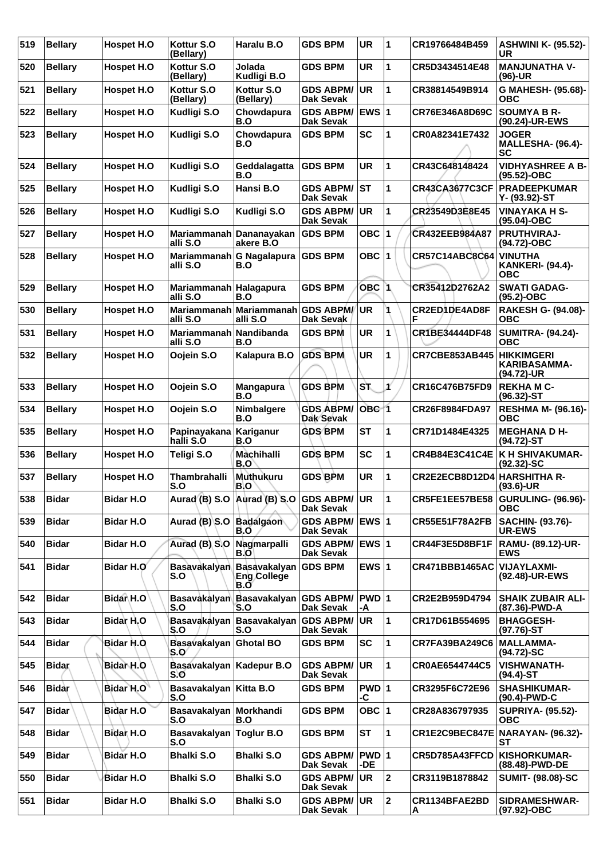| 519 | <b>Bellary</b> | <b>Hospet H.O</b>    | Kottur S.O<br>(Bellary)                  | Haralu B.O                                       | <b>GDS BPM</b>                       | <b>UR</b>        | 1            | CR19766484B459            | <b>ASHWINI K- (95.52)-</b><br><b>UR</b>                 |
|-----|----------------|----------------------|------------------------------------------|--------------------------------------------------|--------------------------------------|------------------|--------------|---------------------------|---------------------------------------------------------|
| 520 | <b>Bellary</b> | Hospet H.O           | Kottur S.O<br>(Bellary)                  | Jolada<br>Kudligi B.O                            | <b>GDS BPM</b>                       | <b>UR</b>        | 1            | CR5D3434514E48            | <b>MANJUNATHA V-</b><br>$(96)-UR$                       |
| 521 | <b>Bellary</b> | <b>Hospet H.O</b>    | Kottur S.O<br>(Bellary)                  | Kottur S.O<br>(Bellary)                          | <b>GDS ABPM/</b><br>Dak Sevak        | <b>UR</b>        | 1            | CR38814549B914            | G MAHESH- (95.68)-<br>ОВС                               |
| 522 | <b>Bellary</b> | Hospet H.O           | Kudligi S.O                              | Chowdapura<br>B.O                                | <b>GDS ABPM/</b><br>Dak Sevak        | EWS $ 1$         |              | CR76E346A8D69C            | <b>SOUMYA B R-</b><br>(90.24)-UR-EWS                    |
| 523 | <b>Bellary</b> | Hospet H.O           | <b>Kudligi S.O</b>                       | Chowdapura<br>B.O                                | <b>GDS BPM</b>                       | <b>SC</b>        | 1            | CR0A82341E7432            | <b>JOGER</b><br><b>MALLESHA- (96.4)-</b><br><b>SC</b>   |
| 524 | <b>Bellary</b> | Hospet H.O           | Kudligi S.O                              | Geddalagatta<br>B.O                              | <b>GDS BPM</b>                       | <b>UR</b>        | 1            | CR43C648148424            | <b>VIDHYASHREE A B-</b><br>(95.52)-OBC                  |
| 525 | <b>Bellary</b> | Hospet H.O           | Kudligi S.O                              | Hansi B.O                                        | <b>GDS ABPM/</b><br>Dak Sevak        | <b>ST</b>        | 1            | <b>CR43CA3677C3CF</b>     | <b>PRADEEPKUMAR</b><br>Y- (93.92)-ST                    |
| 526 | <b>Bellary</b> | Hospet H.O           | Kudligi S.O                              | Kudligi S.O                                      | <b>GDS ABPM/</b><br>Dak Sevak        | <b>UR</b>        | 1            | CR23549D3E8E45            | <b>VINAYAKA H S-</b><br>(95.04)-OBC                     |
| 527 | <b>Bellary</b> | Hospet H.O           | Mariammanah<br>alli S.O                  | Dananayakan<br>akere B.O                         | <b>GDS BPM</b>                       | OBC $ 1$         |              | CR432EEB984A87            | PRUTHVIRAJ-<br>(94.72)-OBC                              |
| 528 | <b>Bellary</b> | <b>Hospet H.O</b>    | <b>Mariammanah</b><br>alli S.O           | <b>G Nagalapura</b><br>B.O                       | <b>GDS BPM</b>                       | OBC $ 1$         |              | <b>CR57C14ABC8C64</b>     | <b>VINUTHA</b><br><b>KANKERI- (94.4)-</b><br><b>OBC</b> |
| 529 | <b>Bellarv</b> | Hospet H.O           | Mariammanah Halagapura<br>alli S.O       | B.O                                              | <b>GDS BPM</b>                       | OBC <sub>1</sub> |              | CR35412D2762A2            | <b>SWATI GADAG-</b><br>$(95.2)$ -OBC                    |
| 530 | <b>Bellarv</b> | <b>Hospet H.O</b>    | <b>Mariammanah</b><br>alli S.O           | <b>Mariammanah</b><br>alli S.O                   | <b>GDS ABPM/</b><br>Dak Sevak        | UR               | 1            | <b>CR2ED1DE4AD8F</b><br>F | RAKESH G- (94.08)-<br>ОВС                               |
| 531 | <b>Bellarv</b> | Hospet H.O           | <b>Mariammanah</b><br>alli S.O           | Nandibanda<br>B.O                                | <b>GDS BPM</b>                       | <b>UR</b>        | 1            | <b>CR1BE34444DF48</b>     | <b>SUMITRA- (94.24)-</b><br><b>OBC</b>                  |
| 532 | <b>Bellary</b> | Hospet H.O           | Oojein S.O                               | Kalapura B.O                                     | <b>GDS BPM</b>                       | <b>UR</b>        | 1            | CR7CBE853AB445            | <b>HIKKIMGERI</b><br>KARIBASAMMA-<br>(94.72)-UR         |
| 533 | <b>Bellary</b> | Hospet H.O           | Oojein S.O                               | <b>Mangapura</b><br>B.O                          | GDS BPM                              | ST.              | ¥            | CR16C476B75FD9            | <b>REKHAMC-</b><br>(96.32)-ST                           |
| 534 | <b>Bellary</b> | Hospet H.O           | Oojein S.O                               | Nimbalgere<br>B.O                                | <b>GDS ABPM/</b><br>Dak Sevak        | OBC <sub>1</sub> |              | CR26F8984FDA97            | <b>RESHMA M- (96.16)-</b><br><b>OBC</b>                 |
| 535 | <b>Bellary</b> | Hospet H.O           | Papinayakana<br>halli S.O                | Kariganur<br>B.O                                 | <b>GDS BPM</b>                       | <b>ST</b>        | 1            | CR71D1484E4325            | <b>MEGHANA D H-</b><br>(94.72)-ST                       |
| 536 | <b>Bellary</b> | Hospet H.O           | Teligi S.O                               | Machihalli<br>B.O                                | <b>GDS BPM</b>                       | <b>SC</b>        | 1            | CR4B84E3C41C4E            | K H SHIVAKUMAR-<br>$(92.32) - SC$                       |
| 537 | <b>Bellary</b> | <b>Hospet H.O</b>    | <b>Thambrahalli</b><br>S.O               | Muthukuru<br>B.O                                 | <b>GDS BPM</b>                       | <b>UR</b>        | 1            | CR2E2ECB8D12D4            | <b>HARSHITHA R-</b><br>$(93.6)$ -UR                     |
| 538 | <b>Bidar</b>   | <b>Bidar H.O</b>     | Aurad (B) S.O Aurad (B) S.O GDS ABPM/ UR |                                                  | Dak Sevak                            |                  | 11           |                           | CR5FE1EE57BE58 GURULING- (96.96)-<br>ОВС                |
| 539 | Bidar          | <b>Bidar H.O</b>     | Aurad (B) S.O Badalgaon                  | B.O                                              | <b>GDS ABPM/</b><br>Dak Sevak        | EWS 1            |              | <b>CR55E51F78A2FB</b>     | SACHIN- (93.76)-<br><b>UR-EWS</b>                       |
| 540 | <b>Bidar</b>   | <b>Bidar H.O</b>     | Aurad (B) S.O                            | Nagmarpalli<br>B.O                               | GDS ABPM/ EWS 1<br>Dak Sevak         |                  |              | CR44F3E5D8BF1F            | RAMU- (89.12)-UR-<br><b>EWS</b>                         |
| 541 | <b>Bidar</b>   | Bidar H.O            | <b>Basavakalyan</b><br>S.O               | <b>Basavakalyan</b><br><b>Eng College</b><br>B.Ō | <b>GDS BPM</b>                       | EWS $ 1$         |              | CR471BBB1465AC            | <b>VIJAYLAXMI-</b><br>(92.48)-UR-EWS                    |
| 542 | Bidar          | Bidar <sub>N.O</sub> | <b>Basavakalyan</b><br>S.O               | <b>Basavakalyan</b><br>S.O                       | <b>GDS ABPM/</b><br>Dak Sevak        | PWD 1<br>-A      |              | CR2E2B959D4794            | <b>SHAIK ZUBAIR ALI-</b><br>(87.36)-PWD-A               |
| 543 | <b>Bidar</b>   | Bidar H.O            | Basavakalyan<br>S.O                      | <b>Basavakalyan</b><br>S.O                       | <b>GDS ABPM/</b><br>Dak Sevak        | <b>UR</b>        | 1            | CR17D61B554695            | <b>BHAGGESH-</b><br>$(97.76)$ -ST                       |
| 544 | <b>Bidar</b>   | Bidar H.O.           | Basavakalyan Ghotal BO<br>S.O            |                                                  | <b>GDS BPM</b>                       | <b>SC</b>        | $\mathbf{1}$ | CR7FA39BA249C6            | <b>MALLAMMA-</b><br>$(94.72)$ -SC                       |
| 545 | <b>Bidar</b>   | Bidar H.O            | Basavakalyan Kadepur B.O<br>S.O          |                                                  | <b>GDS ABPM/</b><br>Dak Sevak        | <b>UR</b>        | $\mathbf{1}$ | CR0AE6544744C5            | <b>VISHWANATH-</b><br>(94.4)-ST                         |
| 546 | <b>Bidar</b>   | Bidar H.O            | Basavakalyan Kitta B.O<br>S.O            |                                                  | <b>GDS BPM</b>                       | PWD 1<br>-C      |              | CR3295F6C72E96            | <b>SHASHIKUMAR-</b><br>(90.4)-PWD-C                     |
| 547 | <b>Bidar</b>   | Bidar H.O            | Basavakalyan Morkhandi<br>S.O            | B.O                                              | <b>GDS BPM</b>                       | OBC $ 1$         |              | CR28A836797935            | <b>SUPRIYA- (95.52)-</b><br><b>OBC</b>                  |
| 548 | Bidar          | Bidar H.O            | <b>Basavakalyan</b><br>S.O               | <b>Toglur B.O</b>                                | <b>GDS BPM</b>                       | ST               | 1            | CR1E2C9BEC847E            | <b>NARAYAN- (96.32)-</b><br>SТ                          |
| 549 | <b>Bidar</b>   | <b>Bidar H.O</b>     | <b>Bhalki S.O</b>                        | <b>Bhalki S.O</b>                                | <b>GDS ABPM/</b><br><b>Dak Sevak</b> | PWD 1<br>-DE     |              | CR5D785A43FFCD            | <b>KISHORKUMAR-</b><br>(88.48)-PWD-DE                   |
| 550 | <b>Bidar</b>   | Bidar H.O            | <b>Bhalki S.O</b>                        | <b>Bhalki S.O</b>                                | <b>GDS ABPM/</b><br>Dak Sevak        | <b>UR</b>        | 2            | CR3119B1878842            | <b>SUMIT- (98.08)-SC</b>                                |
| 551 | <b>Bidar</b>   | <b>Bidar H.O</b>     | <b>Bhalki S.O</b>                        | <b>Bhalki S.O</b>                                | <b>GDS ABPM/</b><br>Dak Sevak        | UR)              | 2            | CR1134BFAE2BD<br>А        | SIDRAMESHWAR-<br>(97.92)-OBC                            |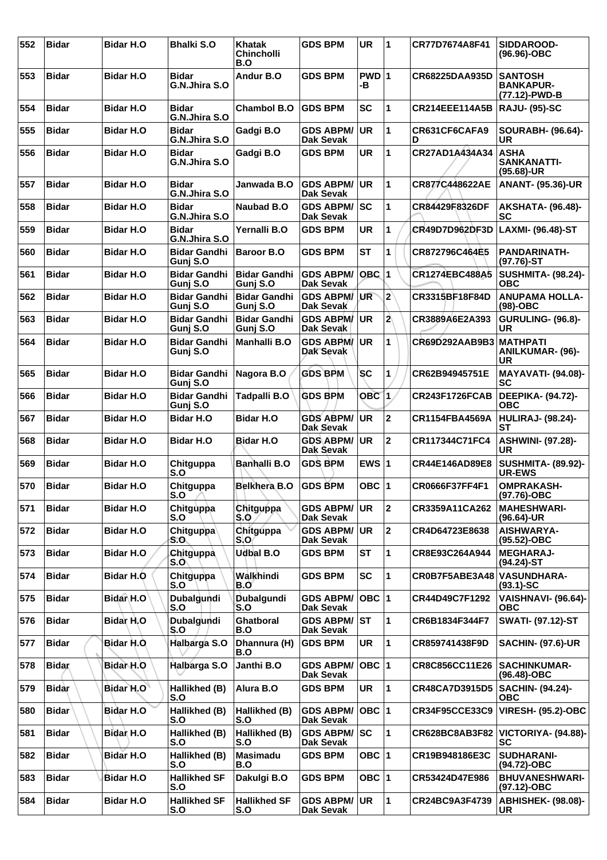| 552 | <b>Bidar</b> | <b>Bidar H.O</b>     | <b>Bhalki S.O</b>               | <b>Khatak</b><br>Chincholli<br>B.O | <b>GDS BPM</b>                       | <b>UR</b>        | 1                       | CR77D7674A8F41        | SIDDAROOD-<br>$(96.96) - OBC$                       |
|-----|--------------|----------------------|---------------------------------|------------------------------------|--------------------------------------|------------------|-------------------------|-----------------------|-----------------------------------------------------|
| 553 | Bidar        | <b>Bidar H.O</b>     | <b>Bidar</b><br>G.N.Jhira S.O   | Andur B.O                          | <b>GDS BPM</b>                       | PWD 1<br>-В      |                         | CR68225DAA935D        | <b>SANTOSH</b><br><b>BANKAPUR-</b><br>(77.12)-PWD-B |
| 554 | <b>Bidar</b> | <b>Bidar H.O</b>     | <b>Bidar</b><br>G.N.Jhira S.O   | <b>Chambol B.O</b>                 | <b>GDS BPM</b>                       | <b>SC</b>        | 1                       | <b>CR214EEE114A5B</b> | <b>RAJU- (95)-SC</b>                                |
| 555 | <b>Bidar</b> | <b>Bidar H.O</b>     | <b>Bidar</b><br>G.N.Jhira S.O   | Gadgi B.O                          | <b>GDS ABPM/</b><br>Dak Sevak        | <b>UR</b>        | 1                       | CR631CF6CAFA9<br>D    | <b>SOURABH- (96.64)-</b><br>UR                      |
| 556 | <b>Bidar</b> | <b>Bidar H.O</b>     | <b>Bidar</b><br>G.N.Jhira S.O   | Gadgi B.O                          | <b>GDS BPM</b>                       | <b>UR</b>        | 1                       | CR27AD1A434A34        | <b>ASHA</b><br><b>SANKANATTI-</b><br>(95.68)-UR     |
| 557 | <b>Bidar</b> | <b>Bidar H.O</b>     | <b>Bidar</b><br>G.N.Jhira S.O   | Janwada B.O                        | <b>GDS ABPM/</b><br><b>Dak Sevak</b> | <b>UR</b>        | 1                       | CR877C448622AE        | <b>ANANT- (95.36)-UR</b>                            |
| 558 | <b>Bidar</b> | <b>Bidar H.O</b>     | <b>Bidar</b><br>G.N.Jhira S.O   | <b>Naubad B.O</b>                  | <b>GDS ABPM/</b><br>Dak Sevak        | SC               | 1                       | CR84429F8326DF        | <b>AKSHATA- (96.48)-</b><br>SC                      |
| 559 | Bidar        | <b>Bidar H.O</b>     | <b>Bidar</b><br>G.N.Jhira S.O   | Yernalli B.O                       | <b>GDS BPM</b>                       | <b>UR</b>        | 1                       | CR49D7D962DF3D        | LAXMI- (96.48)-ST                                   |
| 560 | <b>Bidar</b> | <b>Bidar H.O</b>     | <b>Bidar Gandhi</b><br>Gunj S.O | <b>Baroor B.O</b>                  | <b>GDS BPM</b>                       | <b>ST</b>        | 1                       | CR872796C464E5        | <b>PANDARINATH-</b><br>$(97.76)$ -ST                |
| 561 | <b>Bidar</b> | <b>Bidar H.O</b>     | <b>Bidar Gandhi</b><br>Gunj S.O | <b>Bidar Gandhi</b><br>Gunj S.O    | <b>GDS ABPM/</b><br><b>Dak Sevak</b> | $OBC$ 1          |                         | <b>CR1274EBC488A5</b> | <b>SUSHMITA- (98.24)-</b><br><b>OBC</b>             |
| 562 | Bidar        | <b>Bidar H.O</b>     | <b>Bidar Gandhi</b><br>Gunj S.O | <b>Bidar Gandhi</b><br>Gunj S.O    | <b>GDS ABPM/</b><br>Dak Sevak        | UR               | $ 2\rangle$             | CR3315BF18F84D        | <b>ANUPAMA HOLLA-</b><br>$(98)-OBC$                 |
| 563 | <b>Bidar</b> | <b>Bidar H.O</b>     | <b>Bidar Gandhi</b><br>Gunj S.O | <b>Bidar Gandhi</b><br>Gunj S.O    | <b>GDS ABPM/</b><br>Dak Sevak        | <b>UR</b>        | $\overline{2}$          | CR3889A6E2A393        | <b>GURULING- (96.8)-</b><br>UR                      |
| 564 | <b>Bidar</b> | <b>Bidar H.O</b>     | <b>Bidar Gandhi</b><br>Gunj S.O | Manhalli B.O                       | <b>GDS ABPM/</b><br>Dak Sevak        | <b>UR</b>        | 1                       | CR69D292AAB9B3        | <b>MATHPATI</b><br><b>ANILKUMAR- (96)-</b><br>UR    |
| 565 | <b>Bidar</b> | <b>Bidar H.O</b>     | <b>Bidar Gandhi</b><br>Gunj S.O | Nagora B.O                         | <b>GDS BPM</b>                       | SC               | 1                       | CR62B94945751E        | <b>MAYAVATI- (94.08)-</b><br><b>SC</b>              |
| 566 | <b>Bidar</b> | <b>Bidar H.O</b>     | <b>Bidar Gandhi</b><br>Gunj S.O | Tadpalli B.O                       | <b>GDS BPM</b>                       | OBC <sub>1</sub> |                         | CR243F1726FCAB        | DEEPIKA- (94.72)-<br><b>OBC</b>                     |
| 567 | <b>Bidar</b> | <b>Bidar H.O</b>     | <b>Bidar H.O</b>                | <b>Bidar H.O</b>                   | <b>GDS ABPM/</b><br>Dak Sevak        | <b>UR</b>        | $\mathbf 2$             | <b>CR1154FBA4569A</b> | <b>HULIRAJ- (98.24)-</b><br>SТ                      |
| 568 | <b>Bidar</b> | Bidar H.O            | <b>Bidar H.O</b>                | <b>Bidar H.O.</b>                  | <b>GDS ABPM/</b><br>Dak Sevak        | <b>UR</b>        | $\overline{2}$          | CR117344C71FC4        | <b>ASHWINI- (97.28)-</b><br>UR                      |
| 569 | <b>Bidar</b> | <b>Bidar H.O</b>     | Chitguppa<br>S.O                | <b>Banhalli B.O</b>                | <b>GDS BPM</b>                       | EWS $ 1$         |                         | CR44E146AD89E8        | <b>SUSHMITA- (89.92)-</b><br>UR-EWS                 |
| 570 | <b>Bidar</b> | <b>Bidar H.O</b>     | Chitguppa<br>S.O                | <b>Belkhera B.O</b>                | <b>GDS BPM</b>                       | OBC $ 1$         |                         | CR0666F37FF4F1        | <b>OMPRAKASH-</b><br>(97.76)-OBC                    |
| 571 | <b>Bidar</b> | <b>Bidar H.O</b>     | Chitguppa<br>S.O                | Chitguppa<br>S.O                   | <b>GDS ABPM/</b><br>Dak Sevak        | <b>UR</b>        | $\overline{\mathbf{2}}$ | CR3359A11CA262        | <b>MAHESHWARI-</b><br>(96.64)-UR                    |
| 572 | <b>Bidar</b> | <b>Bidar H.O</b>     | Chitguppa<br>S.O                | Chitguppa<br>S.O                   | <b>GDS ABPM/</b><br>Dak Sevak        | <b>UR</b>        | $\mathbf{2}$            | CR4D64723E8638        | <b>AISHWARYA-</b><br>(95.52)-OBC                    |
| 573 | <b>Bidar</b> | <b>Bidar H.O</b>     | Chitguppa<br>S.O                | Udbal B.O                          | <b>GDS BPM</b>                       | ST               | 1                       | CR8E93C264A944        | <b>MEGHARAJ-</b><br>$(94.24)$ -ST                   |
| 574 | <b>Bidar</b> | Bidar H.O            | Chitguppa<br>S.O                | Walkhindi<br>B.O                   | <b>GDS BPM</b>                       | <b>SC</b>        | 1                       | CR0B7F5ABE3A48        | <b>VASUNDHARA-</b><br>$(93.1) - SC$                 |
| 575 | <b>Bidar</b> | Bidar <sub>H.O</sub> | Dubalgundi<br>S.O               | Dubalgundi<br>S.O                  | <b>GDS ABPM/</b><br>Dak Sevak        | $OBC$  1         |                         | CR44D49C7F1292        | <b>VAISHNAVI- (96.64)-</b><br><b>OBC</b>            |
| 576 | <b>Bidar</b> | Bidar H.O            | Dubalgundi<br>S.O               | <b>Ghatboral</b><br>B.O            | <b>GDS ABPM/</b><br>Dak Sevak        | <b>ST</b>        | 1                       | <b>CR6B1834F344F7</b> | <b>SWATI- (97.12)-ST</b>                            |
| 577 | <b>Bidar</b> | Bidar H.O.           | Halbarga S.O                    | Dhannura (H)<br>B.O                | <b>GDS BPM</b>                       | UR               | $\mathbf{1}$            | CR859741438F9D        | <b>SACHIN- (97.6)-UR</b>                            |
| 578 | <b>Bidar</b> | Bidar H.O            | Halbarga S.O                    | Janthi B.O                         | <b>GDS ABPM/</b><br>Dak Sevak        | $OBC$  1         |                         | CR8C856CC11E26        | <b>SACHINKUMAR-</b><br>(96.48)-OBC                  |
| 579 | <b>Bidar</b> | Bidar H.O            | Hallikhed (B)<br>S.O            | Alura B.O                          | <b>GDS BPM</b>                       | UR               | $\mathbf{1}$            | <b>CR48CA7D3915D5</b> | <b>SACHIN- (94.24)-</b><br><b>OBC</b>               |
| 580 | <b>Bidar</b> | Bidar H.O            | Hallikhed (B)<br>S.O            | Hallikhed (B)<br>S.O               | <b>GDS ABPM/</b><br>Dak Sevak        | $OBC$  1         |                         | CR34F95CCE33C9        | <b>VIRESH- (95.2)-OBC</b>                           |
| 581 | <b>Bidar</b> | Bidar H.O            | Hallikhed (B)<br>S.O            | Hallikhed (B)<br>S.O               | <b>GDS ABPM/</b><br><b>Dak Sevak</b> | ∣SC              | 1                       | CR628BC8AB3F82        | VICTORIYA- (94.88)-<br><b>SC</b>                    |
| 582 | <b>Bidar</b> | <b>Bidar H.O</b>     | Hallikhed (B)<br>S.O            | <b>Masimadu</b><br>B.O             | <b>GDS BPM</b>                       | OBC 1            |                         | CR19B948186E3C        | <b>SUDHARANI-</b><br>(94.72)-OBC                    |
| 583 | <b>Bidar</b> | <b>Bidar H.O</b>     | <b>Hallikhed SF</b><br>S.O      | Dakulgi B.O                        | <b>GDS BPM</b>                       | OBC $ 1$         |                         | CR53424D47E986        | <b>BHUVANESHWARI-</b><br>$(97.12) - OBC$            |
| 584 | <b>Bidar</b> | <b>Bidar H.O</b>     | <b>Hallikhed SF</b><br>S.O      | <b>Hallikhed SF</b><br>S.O         | <b>GDS ABPM/</b><br>Dak Sevak        | UR               | $\mathbf{1}$            | CR24BC9A3F4739        | <b>ABHISHEK- (98.08)-</b><br>UR                     |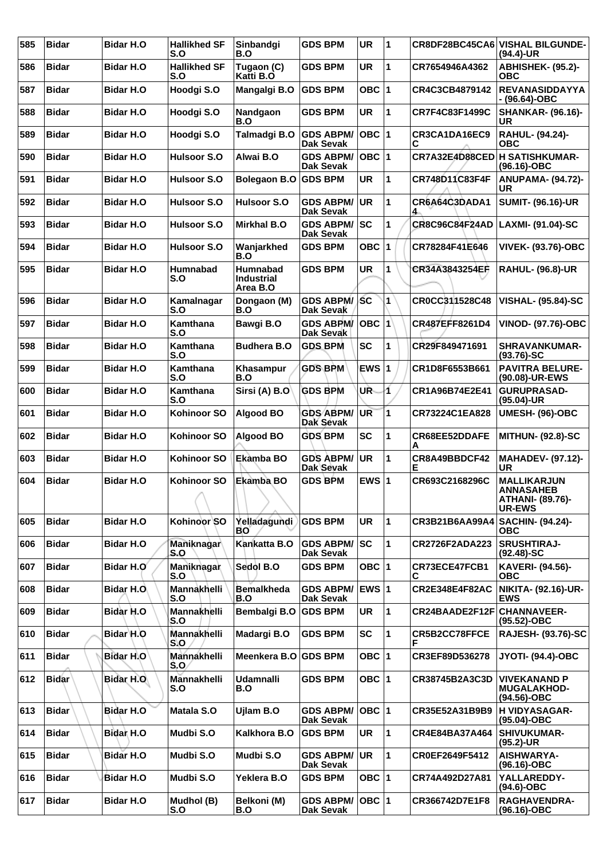| 585 | <b>Bidar</b> | <b>Bidar H.O</b> | <b>Hallikhed SF</b><br>S.O | Sinbandgi<br>B.O                          | <b>GDS BPM</b>                       | <b>UR</b>                  | 11 |                                   | CR8DF28BC45CA6 VISHAL BILGUNDE-<br>$(94.4)$ -UR                             |
|-----|--------------|------------------|----------------------------|-------------------------------------------|--------------------------------------|----------------------------|----|-----------------------------------|-----------------------------------------------------------------------------|
| 586 | Bidar        | <b>Bidar H.O</b> | <b>Hallikhed SF</b><br>S.O | Tugaon (C)<br>Katti B.O                   | <b>GDS BPM</b>                       | <b>UR</b>                  | 1  | CR7654946A4362                    | ABHISHEK- (95.2)-<br>ОВС                                                    |
| 587 | Bidar        | <b>Bidar H.O</b> | Hoodgi S.O                 | Mangalgi B.O                              | <b>GDS BPM</b>                       | OBC $ 1$                   |    | CR4C3CB4879142                    | <b>REVANASIDDAYYA</b><br>- (96.64)-OBC                                      |
| 588 | <b>Bidar</b> | <b>Bidar H.O</b> | Hoodgi S.O                 | Nandgaon<br>B.O                           | <b>GDS BPM</b>                       | <b>UR</b>                  | 1  | CR7F4C83F1499C                    | <b>SHANKAR- (96.16)-</b><br>UR                                              |
| 589 | Bidar        | <b>Bidar H.O</b> | Hoodgi S.O                 | Talmadgi B.O                              | <b>GDS ABPM/</b><br>Dak Sevak        | OBC  1                     |    | CR3CA1DA16EC9<br>C                | <b>RAHUL- (94.24)-</b><br>ОВС                                               |
| 590 | Bidar        | <b>Bidar H.O</b> | <b>Hulsoor S.O</b>         | Alwai B.O                                 | <b>GDS ABPM/</b><br>Dak Sevak        | OBC $ 1$                   |    | CR7A32E4D88CED                    | <b>H SATISHKUMAR-</b><br>$(96.16) - OBC$                                    |
| 591 | <b>Bidar</b> | <b>Bidar H.O</b> | <b>Hulsoor S.O</b>         | Bolegaon B.O GDS BPM                      |                                      | <b>UR</b>                  | 1  | CR748D11C83F4F                    | <b>ANUPAMA- (94.72)-</b><br><b>UR</b>                                       |
| 592 | Bidar        | <b>Bidar H.O</b> | Hulsoor S.O                | Hulsoor S.O                               | <b>GDS ABPM/</b><br>Dak Sevak        | <b>UR</b>                  | 1  | CR6A64C3DADA1<br>4                | <b>SUMIT- (96.16)-UR</b>                                                    |
| 593 | Bidar        | <b>Bidar H.O</b> | <b>Hulsoor S.O</b>         | <b>Mirkhal B.O</b>                        | <b>GDS ABPM/</b><br><b>Dak Sevak</b> | lsc                        | 1  | <b>CR8C96C84F24AD</b>             | LAXMI- (91.04)-SC                                                           |
| 594 | <b>Bidar</b> | <b>Bidar H.O</b> | <b>Hulsoor S.O</b>         | Wanjarkhed<br>B.O                         | <b>GDS BPM</b>                       | OBC                        | 1  | CR78284F41E646                    | <b>VIVEK- (93.76)-OBC</b>                                                   |
| 595 | <b>Bidar</b> | <b>Bidar H.O</b> | <b>Humnabad</b><br>S.O     | Humnabad<br><b>Industrial</b><br>Area B.O | <b>GDS BPM</b>                       | UR                         | 1  | CR34A3843254EF                    | <b>RAHUL- (96.8)-UR</b>                                                     |
| 596 | <b>Bidar</b> | <b>Bidar H.O</b> | Kamalnagar<br>S.O          | Dongaon (M)<br>B.O                        | <b>GDS ABPM/</b><br><b>Dak Sevak</b> | <b>SC</b>                  | 1  | CR0CC311528C48                    | <b>VISHAL- (95.84)-SC</b>                                                   |
| 597 | <b>Bidar</b> | <b>Bidar H.O</b> | Kamthana<br>S.O            | Bawgi B.O                                 | <b>GDS ABPM/</b><br>Dak Sevak        | $ \mathsf{OBC}\, 1\rangle$ |    | CR487EFF8261D4                    | <b>VINOD- (97.76)-OBC</b>                                                   |
| 598 | Bidar        | <b>Bidar H.O</b> | Kamthana<br>S.O            | <b>Budhera B.O</b>                        | <b>GDS BPM</b>                       | <b>SC</b>                  | 1  | CR29F849471691                    | <b>SHRAVANKUMAR-</b><br>$(93.76)$ -SC                                       |
| 599 | <b>Bidar</b> | <b>Bidar H.O</b> | Kamthana<br>S.O            | Khasampur<br>B.O                          | <b>GDS BPM</b>                       | EWS $ 1$                   |    | CR1D8F6553B661                    | <b>PAVITRA BELURE-</b><br>(90.08)-UR-EWS                                    |
| 600 | <b>Bidar</b> | <b>Bidar H.O</b> | Kamthana<br>S.O            | Sirsi (A) B.O                             | <b>GDS BPM</b>                       | UR.                        | И  | CR1A96B74E2E41                    | <b>GURUPRASAD-</b><br>$(95.04)$ -UR                                         |
| 601 | Bidar        | <b>Bidar H.O</b> | <b>Kohinoor SO</b>         | <b>Algood BO</b>                          | <b>GDS ABPM/</b><br>Dak Sevak        | UR                         | 1  | CR73224C1EA828                    | UMESH- (96)-OBC                                                             |
| 602 | Bidar        | <b>Bidar H.O</b> | Kohinoor SO                | <b>Algood BO</b>                          | <b>GDS BPM</b>                       | <b>SC</b>                  | 1  | CR68EE52DDAFE<br>A                | <b>MITHUN- (92.8)-SC</b>                                                    |
| 603 | <b>Bidar</b> | <b>Bidar H.O</b> | <b>Kohinoor SO</b>         | Ekamba BO                                 | <b>GDS ABPM/</b><br>Dak Sevak        | UR                         | 1  | CR8A49BBDCF42<br>E.               | <b>MAHADEV- (97.12)-</b><br><b>UR</b>                                       |
| 604 | <b>Bidar</b> | <b>Bidar H.O</b> | Kohinoor SO<br>∧           | Ekamba BO                                 | <b>GDS BPM</b>                       | EWS $ 1$                   |    | CR693C2168296C                    | <b>MALLIKARJUN</b><br><b>ANNASAHEB</b><br>ATHANI- (89.76)-<br><b>UR-EWS</b> |
| 605 | <b>Bidar</b> | <b>Bidar H.O</b> | Kohinoor SO                | Yelladagundi<br>BO                        | <b>GDS BPM</b>                       | <b>UR</b>                  | 1  | CR3B21B6AA99A4   SACHIN- (94.24)- | ОВС                                                                         |
| 606 | <b>Bidar</b> | <b>Bidar H.O</b> | Maniknagar<br>S.O          | Kankatta B.O                              | <b>GDS ABPM/</b><br>Dak Sevak        | SC                         | 1  | CR2726F2ADA223                    | <b>SRUSHTIRAJ-</b><br>$(92.48)$ -SC                                         |
| 607 | Bidar        | Bidar H.O        | Maniknagar<br>S.O          | Sedol B.O                                 | <b>GDS BPM</b>                       | OBC $ 1$                   |    | CR73ECE47FCB1<br>С                | KAVERI- (94.56)-<br>ОВС                                                     |
| 608 | <b>Bidar</b> | Bidar H.O.       | Mannakhelli<br>S.O         | <b>Bemalkheda</b><br>B.O                  | <b>GDS ABPM/</b><br>Dak Sevak        | $EWS$ 1                    |    | CR2E348E4F82AC                    | NIKITA- (92.16)-UR-<br><b>EWS</b>                                           |
| 609 | <b>Bidar</b> | Bidar H.O        | Mannakhelli<br>S.O         | Bembalgi B.O                              | <b>GDS BPM</b>                       | <b>UR</b>                  | 1  | CR24BAADE2F12F                    | <b>CHANNAVEER-</b><br>(95.52)-OBC                                           |
| 610 | Bidar        | Bidar H.O        | Mannakhelli<br>S.O         | Madargi B.O                               | <b>GDS BPM</b>                       | <b>SC</b>                  | 1  | <b>CR5B2CC78FFCE</b><br>F         | <b>RAJESH- (93.76)-SC</b>                                                   |
| 611 | <b>Bidar</b> | Bidar H.O        | Mannakhelli<br>S.O         | Meenkera B.O GDS BPM                      |                                      | OBC $ 1$                   |    | CR3EF89D536278                    | <b>JYOTI- (94.4)-OBC</b>                                                    |
| 612 | <b>Bidar</b> | Bidar H.O        | Mannakhelli<br>S.O         | <b>Udamnalli</b><br>B.O                   | <b>GDS BPM</b>                       | OBC $ 1$                   |    | CR38745B2A3C3D                    | <b>VIVEKANAND P</b><br><b>MUGALAKHOD-</b><br>$(94.56)$ -OBC                 |
| 613 | <b>Bidar</b> | Bidar H.O        | Matala S.O                 | Ujlam B.O                                 | <b>GDS ABPM/</b><br>Dak Sevak        | OBC $ 1$                   |    | CR35E52A31B9B9                    | <b>H VIDYASAGAR-</b><br>(95.04)-OBC                                         |
| 614 | <b>Bidar</b> | Bidar H.O        | Mudbi S.O                  | Kalkhora B.O                              | <b>GDS BPM</b>                       | <b>UR</b>                  | 1  | CR4E84BA37A464                    | <b>SHIVUKUMAR-</b><br>$(95.2)$ -UR                                          |
| 615 | <b>Bidar</b> | <b>Bidar H.O</b> | Mudbi S.O                  | Mudbi S.O                                 | <b>GDS ABPM/</b><br><b>Dak Sevak</b> | UR                         | 1  | CR0EF2649F5412                    | AISHWARYA-<br>(96.16)-OBC                                                   |
| 616 | <b>Bidar</b> | Bidar H.O        | Mudbi S.O                  | Yeklera B.O                               | <b>GDS BPM</b>                       | OBC $ 1$                   |    | CR74A492D27A81                    | YALLAREDDY-<br>$(94.6)$ -OBC                                                |
| 617 | <b>Bidar</b> | <b>Bidar H.O</b> | Mudhol (B)<br>S.O          | Belkoni (M)<br>B.O                        | <b>GDS ABPM/</b><br>Dak Sevak        | OBC $ 1$                   |    | CR366742D7E1F8                    | <b>RAGHAVENDRA-</b><br>(96.16)-OBC                                          |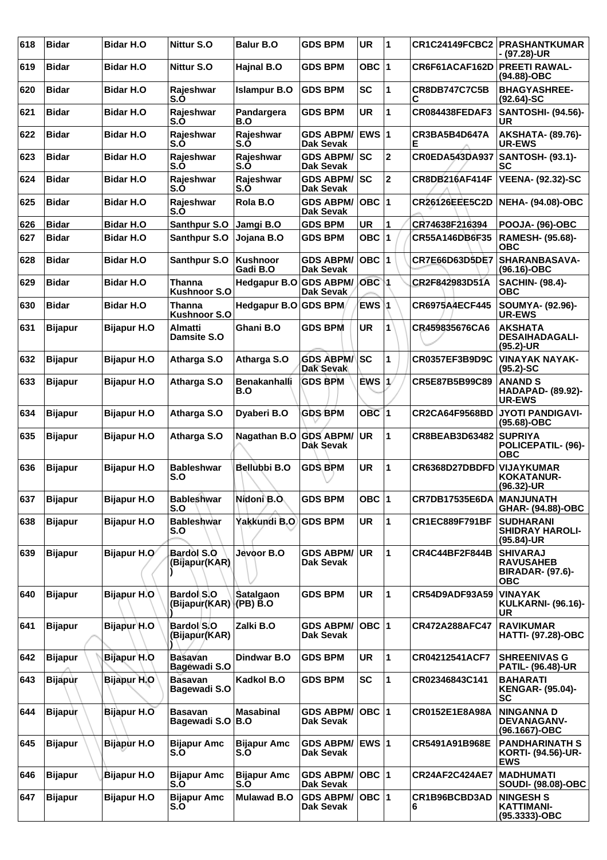| 618 | <b>Bidar</b>   | <b>Bidar H.O</b>   | Nittur S.O                            | <b>Balur B.O</b>           | <b>GDS BPM</b>                          | <b>UR</b>        | 1                       | <b>CR1C24149FCBC2</b>      | <b>PRASHANTKUMAR</b><br>- (97.28)-UR                                  |
|-----|----------------|--------------------|---------------------------------------|----------------------------|-----------------------------------------|------------------|-------------------------|----------------------------|-----------------------------------------------------------------------|
| 619 | <b>Bidar</b>   | <b>Bidar H.O</b>   | <b>Nittur S.O</b>                     | Hajnal B.O                 | <b>GDS BPM</b>                          | <b>OBC</b>       | 1                       | CR6F61ACAF162D             | <b>PREETI RAWAL-</b><br>(94.88)-OBC                                   |
| 620 | <b>Bidar</b>   | <b>Bidar H.O</b>   | Rajeshwar<br>S.O                      | <b>Islampur B.O</b>        | <b>GDS BPM</b>                          | <b>SC</b>        | 1                       | <b>CR8DB747C7C5B</b><br>С  | <b>BHAGYASHREE-</b><br>$(92.64) - SC$                                 |
| 621 | <b>Bidar</b>   | <b>Bidar H.O</b>   | Rajeshwar<br>S.O                      | Pandargera<br>B.O          | <b>GDS BPM</b>                          | <b>UR</b>        | 1                       | <b>CR084438FEDAF3</b>      | <b>SANTOSHI- (94.56)-</b><br><b>UR</b>                                |
| 622 | <b>Bidar</b>   | <b>Bidar H.O</b>   | Rajeshwar<br>S.O                      | Rajeshwar<br>S.O           | <b>GDS ABPM/</b><br><b>Dak Sevak</b>    | <b>IEWS 1</b>    |                         | CR3BA5B4D647A<br>Е         | <b>AKSHATA- (89.76)-</b><br><b>UR-EWS</b>                             |
| 623 | <b>Bidar</b>   | <b>Bidar H.O</b>   | Rajeshwar<br>S.O                      | Rajeshwar<br>S.O           | <b>GDS ABPM/ SC</b><br><b>Dak Sevak</b> |                  | $\mathbf 2$             | CR0EDA543DA937             | <b>SANTOSH- (93.1)-</b><br>SC                                         |
| 624 | <b>Bidar</b>   | <b>Bidar H.O</b>   | Rajeshwar<br>S.Õ                      | Rajeshwar<br>S.O           | <b>GDS ABPM/</b><br><b>Dak Sevak</b>    | lsc              | $\overline{2}$          | <b>CR8DB216AF414F</b>      | <b>VEENA- (92.32)-SC</b>                                              |
| 625 | <b>Bidar</b>   | <b>Bidar H.O</b>   | Rajeshwar<br>S.Õ                      | Rola B.O                   | <b>GDS ABPM/</b><br><b>Dak Sevak</b>    | OBC              | $\overline{\mathbf{1}}$ | <b>CR26126EEE5C2D</b>      | NEHA- (94.08)-OBC                                                     |
| 626 | <b>Bidar</b>   | <b>Bidar H.O</b>   | Santhpur S.O                          | Jamgi B.O                  | <b>GDS BPM</b>                          | <b>UR</b>        | 1                       | CR74638F216394             | <b>POOJA- (96)-OBC</b>                                                |
| 627 | <b>Bidar</b>   | <b>Bidar H.O</b>   | Santhpur S.O                          | Jojana B.O                 | <b>GDS BPM</b>                          | <b>OBC</b>       | $\blacktriangleleft$    | CR55A146DB6F35             | <b>RAMESH- (95.68)-</b><br><b>OBC</b>                                 |
| 628 | <b>Bidar</b>   | <b>Bidar H.O</b>   | Santhpur S.O                          | Kushnoor<br>Gadi B.O       | <b>GDS ABPM/</b><br><b>Dak Sevak</b>    | $OBC$  1         |                         | <b>CR7E66D63D5DE7</b>      | SHARANBASAVA-                                                         |
| 629 | <b>Bidar</b>   | <b>Bidar H.O</b>   | Thanna                                | Hedgapur B.O               | <b>GDS ABPM/</b>                        | OBC <sub>1</sub> |                         | CR2F842983D51A             | (96.16)-OBC<br><b>SACHIN- (98.4)-</b><br><b>OBC</b>                   |
| 630 | <b>Bidar</b>   | <b>Bidar H.O</b>   | <b>Kushnoor S.O</b><br><b>Thanna</b>  | Hedgapur B.O GDS BPM       | <b>Dak Sevak</b>                        | EWS 1            |                         | <b>CR6975A4ECF445</b>      | SOUMYA- (92.96)-                                                      |
|     |                |                    | <b>Kushnoor S.O</b>                   |                            |                                         |                  |                         |                            | <b>UR-EWS</b>                                                         |
| 631 | <b>Bijapur</b> | <b>Bijapur H.O</b> | <b>Almatti</b><br>Damsite S.O         | Ghani B.O                  | <b>GDS BPM</b>                          | <b>UR</b>        |                         | CR459835676CA6             | <b>AKSHATA</b><br><b>DESAIHADAGALI-</b><br>$(95.2)$ -UR               |
| 632 | <b>Bijapur</b> | <b>Bijapur H.O</b> | Atharga S.O                           | Atharga S.O                | <b>GDS ABPM/</b><br><b>Dak Sevak</b>    | SC               | 1                       | <b>CR0357EF3B9D9C</b>      | <b>VINAYAK NAYAK-</b><br>$(95.2)$ -SC                                 |
| 633 | <b>Bijapur</b> | <b>Bijapur H.O</b> | Atharga S.O                           | <b>Benakanhalli</b><br>B.O | <b>GDS BPM</b>                          | ÈWS              | 1/                      | CR5E87B5B99C89             | <b>ANAND S</b><br><b>HADAPAD- (89.92)-</b><br><b>UR-EWS</b>           |
| 634 | <b>Bijapur</b> | <b>Bijapur H.O</b> | Atharga S.O                           | Dyaberi B.O                | <b>GDS BPM</b>                          | OBC <sub>1</sub> |                         | <b>CR2CA64F9568BD</b>      | <b>JYOTI PANDIGAVI-</b><br>(95.68)-OBC                                |
| 635 | <b>Bijapur</b> | <b>Bijapur H.O</b> | Atharga S.O                           | Nagathan B.O               | <b>GDS ABPM/</b><br>Dak Sevak           | UR               | 1                       | CR8BEAB3D63482             | <b>SUPRIYA</b><br>POLICEPATIL- (96)-<br><b>OBC</b>                    |
| 636 | <b>Bijapur</b> | <b>Bijapur H.O</b> | <b>Bableshwar</b><br>S.O              | Bellubbi B.O               | <b>GDS BPM</b>                          | <b>UR</b>        | 1                       | CR6368D27DBDFD             | <b>VIJAYKUMAR</b><br>KOKATANUR-<br>(96.32)-UR                         |
| 637 | <b>Bijapur</b> | <b>Bijapur H.O</b> | <b>Bableshwar</b><br>S.O              | Nidoni B.O.                | <b>GDS BPM</b>                          | OBC $ 1$         |                         | CR7DB17535E6DA   MANJUNATH | GHAR- (94.88)-OBC                                                     |
| 638 | <b>Bijapur</b> | <b>Bijapur H.O</b> | <b>Bableshwar</b><br>S.O              | Yakkundi B.O.              | <b>GDS BPM</b>                          | <b>UR</b>        | 1                       | <b>CR1EC889F791BF</b>      | <b>SUDHARANI</b><br><b>SHIDRAY HAROLI-</b><br>(95.84)-UR              |
| 639 | <b>Bijapur</b> | Bijapur H.O        | Bardol S.O<br>(Bijapur(KAR)           | Jevoor B.O                 | <b>GDS ABPM/</b><br>Dak Sevak           | UR.              | 1                       | <b>CR4C44BF2F844B</b>      | <b>SHIVARAJ</b><br><b>RAVUSAHEB</b><br><b>BIRADAR- (97.6)-</b><br>ОВС |
| 640 | <b>Bijapur</b> | Bijapur H.O        | Bardol S.O<br>(Bijapur(KAR) (PB) B.O  | <b>Satalgaon</b>           | <b>GDS BPM</b>                          | <b>UR</b>        | 1                       | <b>CR54D9ADF93A59</b>      | <b>VINAYAK</b><br><b>KULKARNI- (96.16)-</b><br>UR                     |
| 641 | <b>Bijapur</b> | Bijapur H.O        | Bardol S.O<br>(Bijapur(KAR)           | Zalki B.O                  | <b>GDS ABPM/</b><br>Dak Sevak           | OBC  1           |                         | CR472A288AFC47             | <b>RAVIKUMAR</b><br><b>HATTI- (97.28)-OBC</b>                         |
| 642 | <b>Bijapur</b> | Bijapur H.O        | <b>Basavan</b><br>Bagewadi S.O        | Dindwar B.O                | <b>GDS BPM</b>                          | <b>UR</b>        | 1                       | CR04212541ACF7             | <b>SHREENIVAS G</b><br><b>PATIL- (96.48)-UR</b>                       |
| 643 | <b>Bijapur</b> | Bijapur H.O        | <b>Basavan</b><br><b>Bagewadi S.O</b> | Kadkol B.O                 | <b>GDS BPM</b>                          | <b>SC</b>        | 1                       | CR02346843C141             | <b>BAHARATI</b><br><b>KENGAR- (95.04)-</b><br>SC                      |
| 644 | <b>Bijapur</b> | Bijapur H.O        | <b>Basavan</b><br>Bagewadi S.O        | <b>Masabinal</b><br>B.O    | <b>GDS ABPM/</b><br>Dak Sevak           | OBC  1           |                         | CR0152E1E8A98A             | <b>NINGANNAD</b><br><b>DEVANAGANV-</b><br>(96.1667)-OBC               |
| 645 | <b>Bijapur</b> | <b>Bijapur H.O</b> | <b>Bijapur Amc</b><br>S.O             | <b>Bijapur Amc</b><br>S.O  | <b>GDS ABPM/</b><br>Dak Sevak           | <b>EWS 1</b>     |                         | CR5491A91B968E             | <b>PANDHARINATH S</b><br>KORTI- (94.56)-UR-<br><b>EWS</b>             |
| 646 | <b>Bijapur</b> | Bijapur H.O        | <b>Bijapur Amc</b><br>S.O             | <b>Bijapur Amc</b><br>S.O  | <b>GDS ABPM/</b><br>Dak Sevak           | OBC  1           |                         | <b>CR24AF2C424AE7</b>      | <b>MADHUMATI</b><br>SOUDI- (98.08)-OBC                                |
| 647 | <b>Bijapur</b> | <b>Bijapur H.O</b> | <b>Bijapur Amc</b><br>S.O             | <b>Mulawad B.O</b>         | <b>GDS ABPM/</b><br>Dak Sevak           | OBC  1           |                         | CR1B96BCBD3AD<br>6         | <b>NINGESH S</b><br><b>KATTIMANI-</b><br>(95.3333)-OBC                |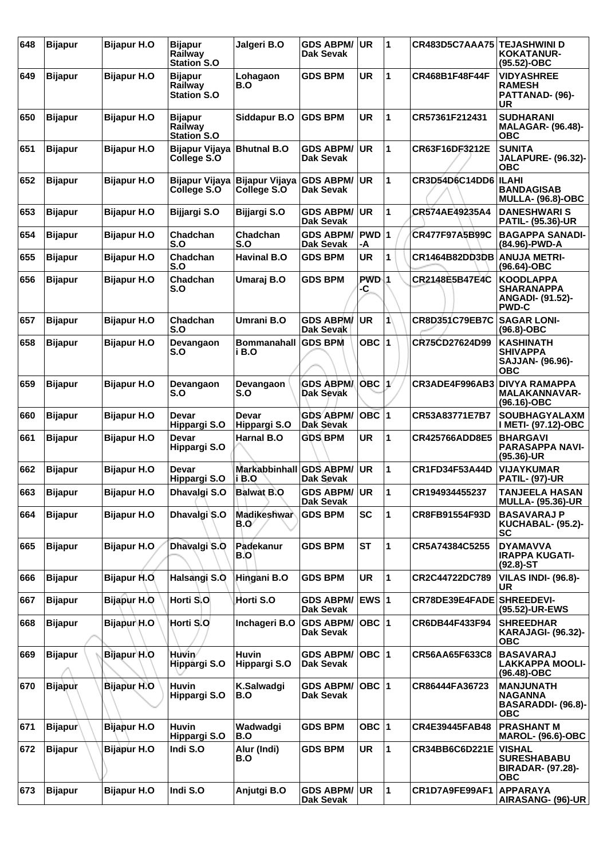| 648 | <b>Bijapur</b> | <b>Bijapur H.O</b> | <b>Bijapur</b><br>Railway<br><b>Station S.O</b> | Jalgeri B.O                   | <b>GDS ABPM/</b><br>Dak Sevak        | <b>UR</b>   | $\overline{1}$       | CR483D5C7AAA75 TEJASHWINI D | <b>KOKATANUR-</b><br>(95.52)-OBC                                                 |
|-----|----------------|--------------------|-------------------------------------------------|-------------------------------|--------------------------------------|-------------|----------------------|-----------------------------|----------------------------------------------------------------------------------|
| 649 | <b>Bijapur</b> | <b>Bijapur H.O</b> | Bijapur<br>Railway<br><b>Station S.O</b>        | Lohagaon<br>B.O               | <b>GDS BPM</b>                       | UR          | 1                    | CR468B1F48F44F              | <b>VIDYASHREE</b><br><b>RAMESH</b><br>PATTANAD- (96)-<br>UR                      |
| 650 | <b>Bijapur</b> | <b>Bijapur H.O</b> | <b>Bijapur</b><br>Railway<br><b>Station S.O</b> | Siddapur B.O                  | <b>GDS BPM</b>                       | <b>UR</b>   | 1                    | CR57361F212431              | <b>SUDHARANI</b><br><b>MALAGAR- (96.48)-</b><br><b>OBC</b>                       |
| 651 | <b>Bijapur</b> | <b>Bijapur H.O</b> | <b>Bijapur Vijaya</b><br>College S.O            | <b>Bhutnal B.O</b>            | <b>GDS ABPM/</b><br>Dak Sevak        | <b>UR</b>   | 1                    | CR63F16DF3212E              | <b>SUNITA</b><br><b>JALAPURE- (96.32)-</b><br><b>OBC</b>                         |
| 652 | <b>Bijapur</b> | <b>Bijapur H.O</b> | Bijapur Vijaya<br>College S.O                   | Bijapur Vijaya<br>College S.O | <b>GDS ABPM/</b><br>Dak Sevak        | <b>UR</b>   | 1                    | CR3D54D6C14DD6              | <b>ILAHI</b><br><b>BANDAGISAB</b><br><b>MULLA- (96.8)-OBC</b>                    |
| 653 | <b>Bijapur</b> | <b>Bijapur H.O</b> | Bijjargi S.O                                    | Bijjargi S.O                  | <b>GDS ABPM/</b><br><b>Dak Sevak</b> | <b>UR</b>   | 1                    | CR574AE49235A4              | <b>DANESHWARIS</b><br><b>PATIL- (95.36)-UR</b>                                   |
| 654 | <b>Bijapur</b> | <b>Bijapur H.O</b> | Chadchan<br>S.O                                 | Chadchan<br>S.O               | <b>GDS ABPM/</b><br>Dak Sevak        | PWD 1<br>-A |                      | <b>CR477F97A5B99C</b>       | <b>BAGAPPA SANADI-</b><br>(84.96)-PWD-A                                          |
| 655 | <b>Bijapur</b> | <b>Bijapur H.O</b> | Chadchan<br>S.O                                 | <b>Havinal B.O</b>            | <b>GDS BPM</b>                       | <b>UR</b>   | 1                    | <b>CR1464B82DD3DB</b>       | <b>ANUJA METRI-</b><br>(96.64)-OBC                                               |
| 656 | <b>Bijapur</b> | <b>Bijapur H.O</b> | Chadchan<br>S.O                                 | Umaraj B.O                    | <b>GDS BPM</b>                       | PWD 1<br>-C |                      | CR2148E5B47E4C              | <b>KOODLAPPA</b><br><b>SHARANAPPA</b><br><b>ANGADI- (91.52)-</b><br><b>PWD-C</b> |
| 657 | <b>Bijapur</b> | <b>Bijapur H.O</b> | Chadchan<br>S.O                                 | <b>Umrani B.O</b>             | <b>GDS ABPM/</b><br>Dak Sevak        | <b>UR</b>   | 1                    | CR8D351C79EB7C              | <b>SAGAR LONI-</b><br>$(96.8)-OBC$                                               |
| 658 | <b>Bijapur</b> | <b>Bijapur H.O</b> | Devangaon<br>S.O                                | <b>Bommanahall</b><br>i B.O   | <b>GDS BPM</b>                       | OBC ∣1      |                      | CR75CD27624D99              | <b>KASHINATH</b><br><b>SHIVAPPA</b><br>SAJJAN- (96.96)-<br><b>OBC</b>            |
| 659 | <b>Bijapur</b> | <b>Bijapur H.O</b> | Devangaon<br>S.O                                | Devangaon<br>S.O              | <b>GDS ABPMA</b><br><b>Dak Sevak</b> | ÒBC ∣1∕     |                      | CR3ADE4F996AB3              | <b>DIVYA RAMAPPA</b><br><b>MALAKANNAVAR-</b><br>(96.16)-OBC                      |
| 660 | <b>Bijapur</b> | <b>Bijapur H.O</b> | Devar<br>Hippargi S.O                           | Devar<br>Hippargi S.O         | <b>GDS ABPM/</b><br><b>Dak Sevak</b> | $OBC$  1    |                      | CR53A83771E7B7              | <b>SOUBHAGYALAXM</b><br>I METI- (97.12)-OBC                                      |
| 661 | <b>Bijapur</b> | <b>Bijapur H.O</b> | Devar<br>Hippargi S.O                           | <b>Harnal B.O</b>             | <b>GDS BPM</b>                       | <b>UR</b>   | 1                    | <b>CR425766ADD8E5</b>       | <b>BHARGAVI</b><br><b>PARASAPPA NAVI-</b><br>$(95.36)$ -UR                       |
| 662 | <b>Bijapur</b> | <b>Bijapur H.O</b> | Devar<br>Hippargi S.O                           | <b>Markabbinhall</b><br>i B.O | <b>GDS ABPM/</b><br>Dak Sevak        | <b>UR</b>   | 1                    | CR1FD34F53A44D              | <b>VIJAYKUMAR</b><br><b>PATIL- (97)-UR</b>                                       |
| 663 | <b>Bijapur</b> | <b>Bijapur H.O</b> | Dhavalgi S.O                                    | <b>Balwat B.O</b>             | <b>GDS ABPM/</b><br>Dak Sevak        | <b>UR</b>   | 1                    | CR194934455237              | <b>TANJEELA HASAN</b><br><b>MULLA- (95.36)-UR</b>                                |
| 664 | <b>Bijapur</b> | <b>Bijapur H.O</b> | Dhavalgi S.O                                    | <b>Madikeshwar</b><br>B.0     | <b>GDS BPM</b>                       | <b>SC</b>   | 1                    | CR8FB91554F93D              | <b>BASAVARAJ P</b><br>KUCHABAL- (95.2)-<br><b>SC</b>                             |
| 665 | <b>Bijapur</b> | <b>Bijapur H.O</b> | Dhavalgi S.O                                    | Padekanur<br>B.O              | <b>GDS BPM</b>                       | <b>ST</b>   | 1                    | CR5A74384C5255              | <b>DYAMAVVA</b><br><b>IRAPPA KUGATI-</b><br>$(92.8) - ST$                        |
| 666 | <b>Bijapur</b> | Bijapur H.O.       | Halsangi S.O                                    | Hingani B.O                   | <b>GDS BPM</b>                       | <b>UR</b>   | 1                    | CR2C44722DC789              | <b>VILAS INDI- (96.8)-</b><br>UR                                                 |
| 667 | <b>Bijapur</b> | <b>Bijapur H.O</b> | Horti S.O                                       | Horti S.O                     | <b>GDS ABPM/</b><br><b>Dak Sevak</b> | EWS $ 1$    |                      | CR78DE39E4FADE SHREEDEVI-   | (95.52)-UR-EWS                                                                   |
| 668 | <b>Bijapur</b> | Bijapur H.O        | Horti S.O                                       | Inchageri B.O                 | <b>GDS ABPM/</b><br>Dak Sevak        | OBC $ 1$    |                      | CR6DB44F433F94              | <b>SHREEDHAR</b><br><b>KARAJAGI- (96.32)-</b><br><b>OBC</b>                      |
| 669 | <b>Bijapur</b> | Bijapur H.O        | Huvin⁄<br>Hippargi S.O                          | <b>Huvin</b><br>Hippargi S.O  | <b>GDS ABPM/</b><br>Dak Sevak        | $OBC$  1    |                      | CR56AA65F633C8              | <b>BASAVARAJ</b><br><b>LAKKAPPA MOOLI-</b><br>$(96.48) - OBC$                    |
| 670 | <b>Bijapur</b> | <b>Bijapur H.O</b> | <b>Huvin</b><br>Hippargi S.O                    | K.Salwadgi<br>B.O             | <b>GDS ABPM/</b><br>Dak Sevak        | OBC $ 1$    |                      | CR86444FA36723              | <b>MANJUNATH</b><br><b>NAGANNA</b><br>BASARADDI- (96.8)-<br><b>OBC</b>           |
| 671 | <b>Bijapur</b> | <b>Bijapur H.O</b> | <b>Huvin</b><br>Hippargi S.O                    | Wadwadgi<br>B.O               | <b>GDS BPM</b>                       | OBC 1       |                      | CR4E39445FAB48              | <b>PRASHANT M</b><br><b>MAROL- (96.6)-OBC</b>                                    |
| 672 | <b>Bijapur</b> | Bijapur H.O        | Indi S.O                                        | Alur (Indi)<br>B.O            | <b>GDS BPM</b>                       | UR          | $\mathbf 1$          | CR34BB6C6D221E              | <b>VISHAL</b><br><b>SURESHABABU</b><br><b>BIRADAR- (97.28)-</b><br><b>OBC</b>    |
| 673 | <b>Bijapur</b> | <b>Bijapur H.O</b> | Indi S.O                                        | Anjutgi B.O                   | <b>GDS ABPM/</b><br>Dak Sevak        | <b>UR</b>   | $\blacktriangleleft$ | CR1D7A9FE99AF1              | <b>APPARAYA</b><br>AIRASANG- (96)-UR                                             |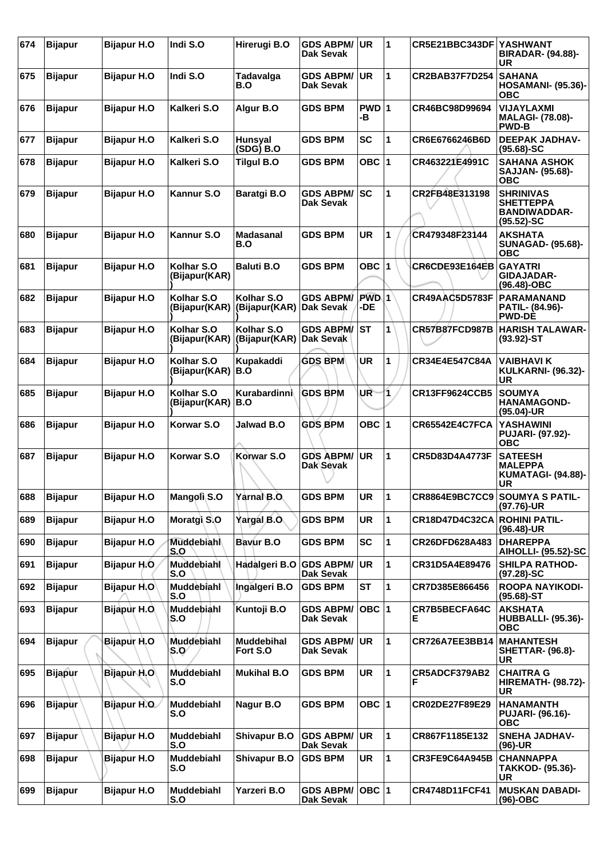| 674 | <b>Bijapur</b> | <b>Bijapur H.O</b> | Indi S.O                    | Hirerugi B.O                  | <b>GDS ABPM/</b><br><b>Dak Sevak</b> | UR           | $\overline{1}$ | CR5E21BBC343DF YASHWANT | <b>BIRADAR- (94.88)-</b><br>UR                                               |
|-----|----------------|--------------------|-----------------------------|-------------------------------|--------------------------------------|--------------|----------------|-------------------------|------------------------------------------------------------------------------|
| 675 | <b>Bijapur</b> | <b>Bijapur H.O</b> | Indi S.O                    | Tadavalga<br>B.O              | <b>GDS ABPM/</b><br>Dak Sevak        | <b>UR</b>    | 1              | <b>CR2BAB37F7D254</b>   | <b>SAHANA</b><br><b>HOSAMANI- (95.36)-</b><br><b>OBC</b>                     |
| 676 | <b>Bijapur</b> | <b>Bijapur H.O</b> | Kalkeri S.O                 | Algur B.O                     | <b>GDS BPM</b>                       | PWD 1<br>-B  |                | CR46BC98D99694          | <b>VIJAYLAXMI</b><br><b>MALAGI- (78.08)-</b><br><b>PWD-B</b>                 |
| 677 | <b>Bijapur</b> | <b>Bijapur H.O</b> | Kalkeri S.O                 | <b>Hunsyal</b><br>(SDG) B.O   | <b>GDS BPM</b>                       | <b>SC</b>    | 1              | CR6E6766246B6D          | <b>DEEPAK JADHAV-</b><br>$(95.68) - SC$                                      |
| 678 | <b>Bijapur</b> | <b>Bijapur H.O</b> | Kalkeri S.O                 | <b>Tilgul B.O</b>             | <b>GDS BPM</b>                       | OBC $ 1$     |                | CR463221E4991C          | <b>SAHANA ASHOK</b><br>SAJJAN- (95.68)-<br><b>OBC</b>                        |
| 679 | <b>Bijapur</b> | <b>Bijapur H.O</b> | Kannur S.O                  | <b>Baratgi B.O</b>            | <b>GDS ABPM/</b><br>Dak Sevak        | SC           | 1              | CR2FB48E313198          | <b>SHRINIVAS</b><br><b>SHETTEPPA</b><br><b>BANDIWADDAR-</b><br>$(95.52)$ -SC |
| 680 | <b>Bijapur</b> | <b>Bijapur H.O</b> | Kannur S.O                  | Madasanal<br>B.O              | <b>GDS BPM</b>                       | <b>UR</b>    | 1              | CR479348F23144          | <b>AKSHATA</b><br><b>SUNAGAD- (95.68)-</b><br><b>OBC</b>                     |
| 681 | <b>Bijapur</b> | <b>Bijapur H.O</b> | Kolhar S.O<br>(Bijapur(KAR) | <b>Baluti B.O</b>             | <b>GDS BPM</b>                       | OBC 1        |                | CR6CDE93E164EB          | GAYATRI<br><b>GIDAJADAR-</b><br>(96.48)-OBC                                  |
| 682 | <b>Bijapur</b> | <b>Bijapur H.O</b> | Kolhar S.O<br>(Bijapur(KAR) | Kolhar S.O<br>(Bijapur(KAR)   | <b>GDS ABPM/</b><br>Dak Sevak        | PWD 1<br>-DE |                | <b>CR49AAC5D5783F</b>   | <b>PARAMANAND</b><br>PATIL- (84.96)-<br><b>PWD-DE</b>                        |
| 683 | <b>Bijapur</b> | <b>Bijapur H.O</b> | Kolhar S.O<br>(Bijapur(KAR) | Kolhar S.O<br>(Bijapur(KAR)   | <b>GDS ABPM/</b><br>Dak Sevak        | ST           | 1              | CR57B87FCD987B          | <b>HARISH TALAWAR-</b><br>$(93.92)$ -ST                                      |
| 684 | <b>Bijapur</b> | <b>Bijapur H.O</b> | Kolhar S.O<br>(Bijapur(KAR) | Kupakaddi<br>B.O              | <b>GDS BPM</b>                       | <b>UR</b>    | 1              | CR34E4E547C84A          | <b>VAIBHAVI K</b><br><b>KULKARNI- (96.32)-</b><br><b>UR</b>                  |
| 685 | <b>Bijapur</b> | <b>Bijapur H.O</b> | Kolhar S.O<br>(Bijapur(KAR) | Kurabardinni<br>B.O           | <b>GDS BPM</b>                       | UR-          | 1              | CR13FF9624CCB5          | <b>SOUMYA</b><br><b>HANAMAGOND-</b><br>$(95.04)$ -UR                         |
| 686 | <b>Bijapur</b> | <b>Bijapur H.O</b> | Korwar S.O                  | <b>Jalwad B.O</b>             | <b>GDS BPM</b>                       | OBC $ 1$     |                | <b>CR65542E4C7FCA</b>   | <b>YASHAWINI</b><br><b>PUJARI- (97.92)-</b><br><b>OBC</b>                    |
| 687 | <b>Bijapur</b> | <b>Bijapur H.O</b> | Korwar S.O                  | Korwar S.O                    | <b>GDS ABPM/</b><br>Dak Sevak        | <b>UR</b>    | 1              | CR5D83D4A4773F          | <b>SATEESH</b><br><b>MALEPPA</b><br><b>KUMATAGI- (94.88)-</b><br><b>UR</b>   |
| 688 | Bijapur        | <b>Bijapur H.O</b> | Mangoli S.O                 | Yarnal B.O.                   | <b>GDS BPM</b>                       | UR           | 1              | CR8864E9BC7CC9          | <b>SOUMYA S PATIL-</b><br>(97.76)-UR                                         |
| 689 | <b>Bijapur</b> | <b>Bijapur H.O</b> | Moratgi S.O                 | Yargal B.O.                   | <b>GDS BPM</b>                       | UR           | 1              | CR18D47D4C32CA          | <b>ROHINI PATIL-</b><br>(96.48)-UR                                           |
| 690 | <b>Bijapur</b> | <b>Bijapur H.O</b> | Muddebiahl<br>S.O           | Bavur B.O                     | <b>GDS BPM</b>                       | <b>SC</b>    | 1              | CR26DFD628A483          | <b>DHAREPPA</b><br><b>AIHOLLI- (95.52)-SC</b>                                |
| 691 | <b>Bijapur</b> | Bijapur H.O.       | Muddebiahl<br>S.O           | Hadalgeri B.O                 | <b>GDS ABPM/</b><br>Dak Sevak        | <b>UR</b>    | 1              | CR31D5A4E89476          | <b>SHILPA RATHOD-</b><br>$(97.28) - SC$                                      |
| 692 | <b>Bijapur</b> | Bijapur H.O        | Muddebiahl<br>S.O           | Ingalgeri B.O                 | <b>GDS BPM</b>                       | ST           | 1              | CR7D385E866456          | ROOPA NAYIKODI-<br>$(95.68) - ST$                                            |
| 693 | <b>Bijapur</b> | Bijapur H.O.       | Muddebiahl<br>S.O           | Kuntoji B.O                   | <b>GDS ABPM/</b><br>Dak Sevak        | OBC $ 1$     |                | CR7B5BECFA64C<br>E.     | <b>AKSHATA</b><br><b>HUBBALLI- (95.36)-</b><br><b>OBC</b>                    |
| 694 | <b>Bijapur</b> | Bijapur H.O        | Muddebiahl<br>S.O⁄          | <b>Muddebihal</b><br>Fort S.O | <b>GDS ABPM/</b><br>Dak Sevak        | <b>UR</b>    | $\mathbf 1$    | CR726A7EE3BB14          | <b>MAHANTESH</b><br><b>SHETTAR- (96.8)-</b><br><b>UR</b>                     |
| 695 | <b>Bijapur</b> | Bijapur H.O        | Muddebiahl<br>S.O           | <b>Mukihal B.O</b>            | <b>GDS BPM</b>                       | UR           | $\mathbf 1$    | CR5ADCF379AB2<br>F      | <b>CHAITRA G</b><br><b>HIREMATH- (98.72)-</b><br>UR                          |
| 696 | <b>Bijapur</b> | Bijapur H.O.       | Muddebiahl<br>S.O           | Nagur B.O                     | <b>GDS BPM</b>                       | OBC 1        |                | CR02DE27F89E29          | <b>HANAMANTH</b><br><b>PUJARI- (96.16)-</b><br><b>OBC</b>                    |
| 697 | <b>Bijapur</b> | Bijapur H.O        | <b>Muddebiahl</b><br>S.O    | <b>Shivapur B.O</b>           | <b>GDS ABPM/</b><br>Dak Sevak        | <b>UR</b>    | $\mathbf{1}$   | CR867F1185E132          | <b>SNEHA JADHAV-</b><br>(96)-UR                                              |
| 698 | <b>Bijapur</b> | Bijapur H.O        | <b>Muddebiahl</b><br>S.O    | <b>Shivapur B.O</b>           | <b>GDS BPM</b>                       | UR           | 1              | CR3FE9C64A945B          | <b>CHANNAPPA</b><br>TAKKOD- (95.36)-<br>UR                                   |
| 699 | <b>Bijapur</b> | <b>Bijapur H.O</b> | Muddebiahl<br>S.O           | Yarzeri B.O                   | <b>GDS ABPM/</b><br>Dak Sevak        | OBC 1        |                | CR4748D11FCF41          | <b>MUSKAN DABADI-</b><br>$(96)-OBC$                                          |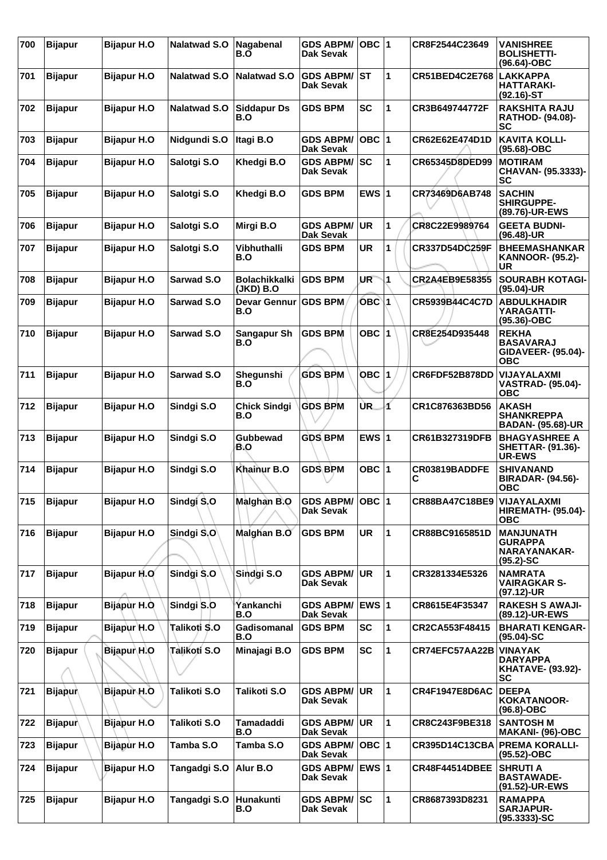| 700 | <b>Bijapur</b> | <b>Bijapur H.O</b> | <b>Nalatwad S.O</b> | Nagabenal<br>B.O                  | <b>GDS ABPM/</b><br>Dak Sevak        | $OBC$  1     |              | CR8F2544C23649        | <b>VANISHREE</b><br><b>BOLISHETTI-</b><br>(96.64)-OBC                       |
|-----|----------------|--------------------|---------------------|-----------------------------------|--------------------------------------|--------------|--------------|-----------------------|-----------------------------------------------------------------------------|
| 701 | <b>Bijapur</b> | <b>Bijapur H.O</b> | <b>Nalatwad S.O</b> | <b>Nalatwad S.O</b>               | <b>GDS ABPM/</b><br>Dak Sevak        | <b>IST</b>   | 1            | <b>CR51BED4C2E768</b> | <b>LAKKAPPA</b><br><b>HATTARAKI-</b><br>$(92.16)$ -ST                       |
| 702 | <b>Bijapur</b> | <b>Bijapur H.O</b> | Nalatwad S.O        | <b>Siddapur Ds</b><br>B.O         | <b>GDS BPM</b>                       | <b>SC</b>    | 1            | CR3B649744772F        | <b>RAKSHITA RAJU</b><br><b>RATHOD- (94.08)-</b><br><b>SC</b>                |
| 703 | <b>Bijapur</b> | <b>Bijapur H.O</b> | Nidgundi S.O        | Itagi B.O                         | <b>GDS ABPM/</b><br><b>Dak Sevak</b> | OBC $ 1$     |              | CR62E62E474D1D        | <b>KAVITA KOLLI-</b><br>(95.68)-OBC                                         |
| 704 | <b>Bijapur</b> | <b>Bijapur H.O</b> | Salotgi S.O         | Khedgi B.O                        | <b>GDS ABPM/</b><br>Dak Sevak        | <b>SC</b>    | 1            | CR65345D8DED99        | <b>MOTIRAM</b><br>CHAVAN- (95.3333)-<br>SC                                  |
| 705 | <b>Bijapur</b> | <b>Bijapur H.O</b> | Salotgi S.O         | Khedgi B.O                        | <b>GDS BPM</b>                       | EWS $ 1$     |              | CR73469D6AB748        | <b>SACHIN</b><br><b>SHIRGUPPE-</b><br>(89.76)-UR-EWS                        |
| 706 | <b>Bijapur</b> | <b>Bijapur H.O</b> | Salotgi S.O         | Mirgi B.O                         | <b>GDS ABPM/</b><br><b>Dak Sevak</b> | <b>UR</b>    | 1            | CR8C22E9989764        | <b>GEETA BUDNI-</b><br>$(96.48)$ -UR                                        |
| 707 | <b>Bijapur</b> | <b>Bijapur H.O</b> | Salotgi S.O         | <b>Vibhuthalli</b><br>B.O         | <b>GDS BPM</b>                       | UR           | 1            | CR337D54DC259F        | <b>BHEEMASHANKAR</b><br><b>KANNOOR- (95.2)-</b><br>UR                       |
| 708 | <b>Bijapur</b> | <b>Bijapur H.O</b> | Sarwad S.O          | <b>Bolachikkalki</b><br>(JKD) B.O | <b>GDS BPM</b>                       | UR           | 1            | CR2A4EB9E58355        | <b>SOURABH KOTAGI-</b><br>$(95.04)$ -UR                                     |
| 709 | <b>Bijapur</b> | <b>Bijapur H.O</b> | Sarwad S.O          | <b>Devar Gennur</b><br>B.O        | <b>GDS BPM</b>                       | OBC 1        |              | CR5939B44C4C7D        | <b>ABDULKHADIR</b><br>YARAGATTI-<br>$(95.36) - OBC$                         |
| 710 | <b>Bijapur</b> | <b>Bijapur H.O</b> | Sarwad S.O          | Sangapur Sh<br>B.O                | <b>GDS BPM</b>                       | OBC ∣1       |              | CR8E254D935448        | <b>REKHA</b><br><b>BASAVARAJ</b><br><b>GIDAVEER- (95.04)-</b><br><b>OBC</b> |
| 711 | <b>Bijapur</b> | <b>Bijapur H.O</b> | Sarwad S.O          | Shegunshi<br>B.O                  | <b>GDS BPM</b>                       | <b>OBC 1</b> |              | CR6FDF52B878DD        | <b>VIJAYALAXMI</b><br><b>VASTRAD- (95.04)-</b><br><b>OBC</b>                |
| 712 | <b>Bijapur</b> | <b>Bijapur H.O</b> | Sindgi S.O          | <b>Chick Sindgi</b><br>B.O        | <b>GDS BPM</b>                       | ÙR.          | 1            | CR1C876363BD56        | <b>AKASH</b><br><b>SHANKREPPA</b><br><b>BADAN- (95.68)-UR</b>               |
| 713 | <b>Bijapur</b> | <b>Bijapur H.O</b> | Sindgi S.O          | Gubbewad<br>B.O                   | <b>GDS BPM</b>                       | EWS $ 1$     |              | CR61B327319DFB        | <b>BHAGYASHREE A</b><br><b>SHETTAR- (91.36)-</b><br><b>UR-EWS</b>           |
| 714 | <b>Bijapur</b> | <b>Bijapur H.O</b> | Sindgi S.O          | Khainur B.O                       | <b>GDS BPM</b>                       | OBC 1        |              | CR03819BADDFE<br>С    | <b>SHIVANAND</b><br><b>BIRADAR- (94.56)-</b><br><b>OBC</b>                  |
| 715 | <b>Bijapur</b> | <b>Bijapur H.O</b> | Sindgi S.O          | Malghan B.O                       | <b>GDS ABPM/</b><br>Dak Sevak        | $OBC$  1     |              | <b>CR88BA47C18BE9</b> | VIJAYALAXMI<br><b>HIREMATH- (95.04)-</b><br><b>OBC</b>                      |
| 716 | <b>Bijapur</b> | <b>Bijapur H.O</b> | Sindgi S.O          | Malghan B.O                       | <b>GDS BPM</b>                       | <b>UR</b>    | $\mathbf{1}$ | CR88BC9165851D        | <b>MANJUNATH</b><br><b>GURAPPA</b><br>NARAYANAKAR-<br>$(95.2)$ -SC          |
| 717 | <b>Bijapur</b> | Bijapur H.O        | Sindgi S.O          | Sindgi S.O                        | <b>GDS ABPM/</b><br><b>Dak Sevak</b> | <b>UR</b>    | 1            | CR3281334E5326        | <b>NAMRATA</b><br><b>VAIRAGKAR S-</b><br>(97.12)-UR                         |
| 718 | <b>Bijapur</b> | Bijapur H.O.       | Sindgi S.O          | Yankanchi<br>B.O                  | <b>GDS ABPM/</b><br><b>Dak Sevak</b> | EWS $ 1$     |              | CR8615E4F35347        | <b>RAKESH S AWAJI-</b><br>(89.12)-UR-EWS                                    |
| 719 | <b>Bijapur</b> | Bijapur H.O        | Talikoti S.O        | Gadisomanal<br>B.O                | <b>GDS BPM</b>                       | <b>SC</b>    | 1            | CR2CA553F48415        | <b>BHARATI KENGAR-</b><br>$(95.04)$ -SC                                     |
| 720 | <b>Bijapur</b> | Bijapur H.O        | Talikotí S.O        | Minajagi B.O                      | <b>GDS BPM</b>                       | <b>SC</b>    | $\mathbf{1}$ | CR74EFC57AA22B        | <b>VINAYAK</b><br><b>DARYAPPA</b><br><b>KHATAVE- (93.92)-</b><br>SC         |
| 721 | <b>Bijapur</b> | Bijapur H.O        | Talikoti S.O        | Talikoti S.O                      | <b>GDS ABPM/</b><br><b>Dak Sevak</b> | <b>UR</b>    | $\mathbf{1}$ | <b>CR4F1947E8D6AC</b> | <b>DEEPA</b><br><b>KOKATANOOR-</b><br>$(96.8)-OBC$                          |
| 722 | <b>Bijapur</b> | <b>Bijapur H.O</b> | Talikoti S.O        | Tamadaddi<br>B.O                  | <b>GDS ABPM/</b><br><b>Dak Sevak</b> | <b>UR</b>    | $\mathbf{1}$ | CR8C243F9BE318        | <b>SANTOSH M</b><br>MAKANI- (96)-OBC                                        |
| 723 | <b>Bijapur</b> | <b>Bijapur H.O</b> | Tamba S.O           | Tamba S.O                         | <b>GDS ABPM/</b><br>Dak Sevak        | OBC $ 1$     |              | <b>CR395D14C13CBA</b> | <b>PREMA KORALLI-</b><br>(95.52)-OBC                                        |
| 724 | <b>Bijapur</b> | Bijapur H.O        | Tangadgi S.O        | Alur B.O                          | <b>GDS ABPM/</b><br><b>Dak Sevak</b> | EWS $ 1$     |              | <b>CR48F44514DBEE</b> | <b>SHRUTI A</b><br><b>BASTAWADE-</b><br>(91.52)-UR-EWS                      |
| 725 | <b>Bijapur</b> | <b>Bijapur H.O</b> | Tangadgi S.O        | Hunakunti<br>B.O                  | <b>GDS ABPM/</b><br>Dak Sevak        | <b>SC</b>    | 1            | CR8687393D8231        | <b>RAMAPPA</b><br><b>SARJAPUR-</b><br>$(95.3333) - SC$                      |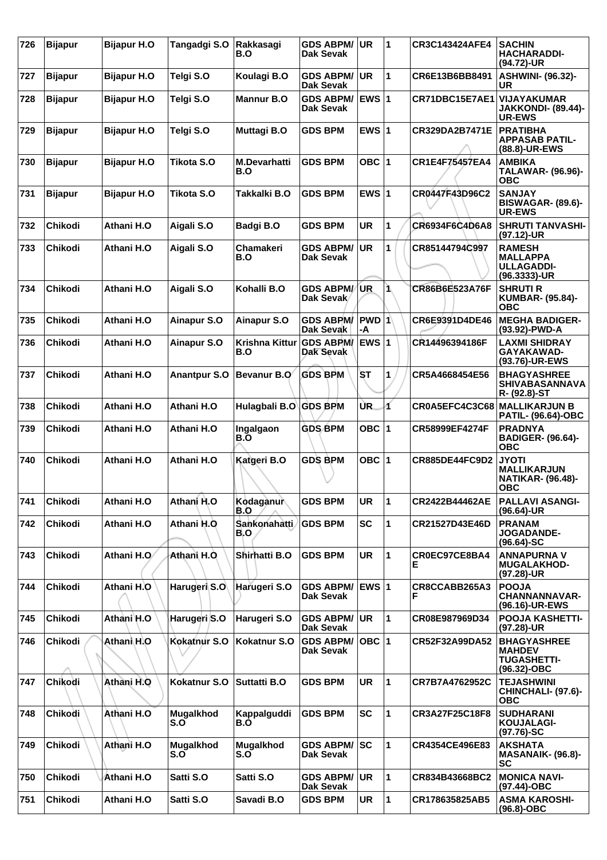| 726 | <b>Bijapur</b> | <b>Bijapur H.O</b> | Tangadgi S.O        | Rakkasagi<br>B.O             | <b>GDS ABPM/</b><br>Dak Sevak        | <b>UR</b>             | 1  | <b>CR3C143424AFE4</b> | <b>SACHIN</b><br><b>HACHARADDI-</b><br>(94.72)-UR                            |
|-----|----------------|--------------------|---------------------|------------------------------|--------------------------------------|-----------------------|----|-----------------------|------------------------------------------------------------------------------|
| 727 | <b>Bijapur</b> | <b>Bijapur H.O</b> | Telai S.O           | Koulagi B.O                  | <b>GDS ABPM/</b><br><b>Dak Sevak</b> | <b>UR</b>             | 1  | CR6E13B6BB8491        | <b>ASHWINI- (96.32)-</b><br>UR                                               |
| 728 | <b>Bijapur</b> | <b>Bijapur H.O</b> | Telgi S.O           | <b>Mannur B.O</b>            | <b>GDS ABPM/</b><br><b>Dak Sevak</b> | EWS 1                 |    | CR71DBC15E7AE1        | <b>VIJAYAKUMAR</b><br><b>JAKKONDI- (89.44)-</b><br>UR-EWS                    |
| 729 | <b>Bijapur</b> | <b>Bijapur H.O</b> | Telgi S.O           | Muttagi B.O                  | <b>GDS BPM</b>                       | EWS $ 1$              |    | CR329DA2B7471E        | <b>PRATIBHA</b><br><b>APPASAB PATIL-</b><br>(88.8)-UR-EWS                    |
| 730 | <b>Bijapur</b> | <b>Bijapur H.O</b> | <b>Tikota S.O</b>   | <b>M.Devarhatti</b><br>B.O   | <b>GDS BPM</b>                       | OBC  1                |    | CR1E4F75457EA4        | <b>AMBIKA</b><br>TALAWAR- (96.96)-<br><b>OBC</b>                             |
| 731 | <b>Bijapur</b> | <b>Bijapur H.O</b> | <b>Tikota S.O</b>   | Takkalki B.O                 | <b>GDS BPM</b>                       | EWS $ 1$              |    | CR0447F43D96C2        | <b>SANJAY</b><br><b>BISWAGAR- (89.6)-</b><br><b>UR-EWS</b>                   |
| 732 | <b>Chikodi</b> | Athani H.O         | Aigali S.O          | Badgi B.O                    | <b>GDS BPM</b>                       | <b>UR</b>             | 1  | CR6934F6C4D6A8        | <b>SHRUTI TANVASHI-</b><br>$(97.12)$ -UR                                     |
| 733 | <b>Chikodi</b> | Athani H.O         | Aigali S.O          | <b>Chamakeri</b><br>B.O      | <b>GDS ABPM/</b><br><b>Dak Sevak</b> | <b>UR</b>             | 1  | CR85144794C997        | <b>RAMESH</b><br><b>MALLAPPA</b><br><b>ULLAGADDI-</b><br>(96.3333)-UR        |
| 734 | <b>Chikodi</b> | Athani H.O         | Aigali S.O          | Kohalli B.O                  | <b>GDS ABPM/</b><br>Dak Sevak        | <b>UR</b>             | 1  | CR86B6E523A76F        | <b>SHRUTI R</b><br><b>KUMBAR- (95.84)-</b><br><b>OBC</b>                     |
| 735 | Chikodi        | Athani H.O         | Ainapur S.O         | <b>Ainapur S.O</b>           | <b>GDS ABPM/</b><br><b>Dak Sevak</b> | $ PWD 1\rangle$<br>-A |    | CR6E9391D4DE46        | <b>MEGHA BADIGER-</b><br>(93.92)-PWD-A                                       |
| 736 | Chikodi        | Athani H.O         | <b>Ainapur S.O</b>  | <b>Krishna Kittur</b><br>B.O | <b>GDS ABPM/</b><br>Dak Sevak        | <b>EWS 1</b>          |    | CR14496394186F        | <b>LAXMI SHIDRAY</b><br>GAYAKAWAD-<br>(93.76)-UR-EWS                         |
| 737 | <b>Chikodi</b> | Athani H.O         | <b>Anantpur S.O</b> | <b>Bevanur B.O</b>           | <b>GDS BPM</b>                       | SТ                    | 1  | CR5A4668454E56        | <b>BHAGYASHREE</b><br><b>SHIVABASANNAVA</b><br>R- (92.8)-ST                  |
| 738 | <b>Chikodi</b> | Athani H.O         | Athani H.O          | Hulagbali B.O                | <b>GDS BPM</b>                       | UR.                   | 1  | CR0A5EFC4C3C68        | MALLIKARJUN B<br><b>PATIL- (96.64)-OBC</b>                                   |
| 739 | Chikodi        | Athani H.O         | Athani H.O          | Ingalgaon<br>B.O             | <b>GDS BPM</b>                       | OBC  1                |    | CR58999EF4274F        | <b>PRADNYA</b><br><b>BADIGER- (96.64)-</b><br><b>OBC</b>                     |
| 740 | Chikodi        | Athani H.O         | Athani H.O          | Katgeri B.O                  | <b>GDS BPM</b>                       | OBC ∣1                |    | <b>CR885DE44FC9D2</b> | <b>JYOTI</b><br><b>MALLIKARJUN</b><br><b>NATIKAR- (96.48)-</b><br><b>OBC</b> |
| 741 | Chikodi        | Athani H.O         | Athani H.O          | Kodaganur<br>B.O             | <b>GDS BPM</b>                       | <b>UR</b>             | 11 | CR2422B44462AE        | <b>PALLAVI ASANGI-</b><br>$(96.64)$ -UR                                      |
| 742 | Chikodi        | Athani H.O         | Athani H.O          | Sankonahatti<br>B.O          | <b>GDS BPM</b>                       | <b>SC</b>             | 1  | CR21527D43E46D        | <b>PRANAM</b><br><b>JOGADANDE-</b><br>$(96.64) - SC$                         |
| 743 | Chikodi        | Athani H.O         | Athani H.O.         | Shirhatti B.O                | <b>GDS BPM</b>                       | <b>UR</b>             | 1  | CR0EC97CE8BA4<br>Е    | <b>ANNAPURNA V</b><br><b>MUGALAKHOD-</b><br>(97.28)-UR                       |
| 744 | <b>Chikodi</b> | Athani H.O         | Harugeri S.O        | Harugeri S.O                 | <b>GDS ABPM/</b><br>Dak Sevak        | <b>EWS 1</b>          |    | CR8CCABB265A3<br>F    | <b>POOJA</b><br><b>CHANNANNAVAR-</b><br>(96.16)-UR-EWS                       |
| 745 | Chikodi        | Athani H.O         | Harugeri S.O        | Harugeri S.O                 | <b>GDS ABPM/</b><br>Dak Sevak        | <b>UR</b>             | 1  | CR08E987969D34        | <b>POOJA KASHETTI-</b><br>(97.28)-UR                                         |
| 746 | Chikodi        | Athani H.O         | Kokatnur S.O        | Kokatnur S.O                 | <b>GDS ABPM/</b><br>Dak Sevak        | OBC  1                |    | CR52F32A99DA52        | <b>BHAGYASHREE</b><br><b>MAHDEV</b><br><b>TUGASHETTI-</b><br>(96.32)-OBC     |
| 747 | Chikodi        | Athani H.O         | Kokatnur S.O        | <b>Suttatti B.O</b>          | <b>GDS BPM</b>                       | <b>UR</b>             | 1  | CR7B7A4762952C        | <b>TEJASHWINI</b><br>CHINCHALI- (97.6)-<br><b>OBC</b>                        |
| 748 | Chikodi        | Athani H.O         | Mugalkhod<br>S.O    | Kappalguddi<br>B.O           | <b>GDS BPM</b>                       | <b>SC</b>             | 1  | CR3A27F25C18F8        | <b>SUDHARANI</b><br><b>KOUJALAGI-</b><br>$(97.76)$ -SC                       |
| 749 | <b>Chikodi</b> | Athani H.O         | Mugalkhod<br>S.O    | Mugalkhod<br>S.0             | <b>GDS ABPM/</b><br>Dak Sevak        | <b>SC</b>             | 1  | CR4354CE496E83        | <b>AKSHATA</b><br><b>MASANAIK- (96.8)-</b><br><b>SC</b>                      |
| 750 | <b>Chikodi</b> | Athani H.O         | Satti S.O           | Satti S.O                    | <b>GDS ABPM/</b><br>Dak Sevak        | <b>UR</b>             | 1  | CR834B43668BC2        | <b>MONICA NAVI-</b><br>$(97.44)$ -OBC                                        |
| 751 | Chikodi        | Athani H.O         | Satti S.O           | Savadi B.O                   | <b>GDS BPM</b>                       | UR                    | 1  | CR178635825AB5        | <b>ASMA KAROSHI-</b><br>(96.8)-OBC                                           |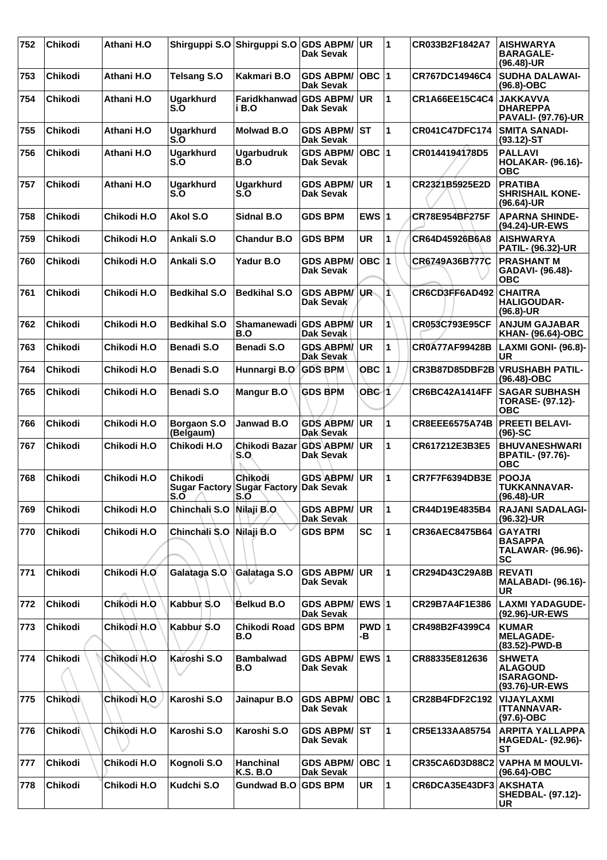| 752 | Chikodi        | Athani H.O  |                                   | Shirguppi S.O Shirguppi S.O GDS ABPM/                   | <b>Dak Sevak</b>                     | UR           | 11                      | CR033B2F1842A7         | <b>AISHWARYA</b><br><b>BARAGALE-</b><br>(96.48)-UR                        |
|-----|----------------|-------------|-----------------------------------|---------------------------------------------------------|--------------------------------------|--------------|-------------------------|------------------------|---------------------------------------------------------------------------|
| 753 | Chikodi        | Athani H.O  | <b>Telsang S.O</b>                | Kakmari B.O                                             | <b>GDS ABPM/</b><br>Dak Sevak        | $OBC$  1     |                         | CR767DC14946C4         | <b>SUDHA DALAWAI-</b><br>$(96.8)-OBC$                                     |
| 754 | Chikodi        | Athani H.O  | <b>Ugarkhurd</b><br>$S_{\cdot}$ O | Faridkhanwad GDS ABPM/<br>i B.O                         | Dak Sevak                            | <b>UR</b>    | $\blacktriangleleft$    | CR1A66EE15C4C4         | <b>JAKKAVVA</b><br><b>DHAREPPA</b><br><b>PAVALI- (97.76)-UR</b>           |
| 755 | Chikodi        | Athani H.O  | <b>Ugarkhurd</b><br>$S_{\cdot}$ O | <b>Molwad B.O</b>                                       | <b>GDS ABPM/</b><br><b>Dak Sevak</b> | ST           | 1                       | <b>CR041C47DFC174</b>  | <b>SMITA SANADI-</b><br>$(93.12)$ -ST                                     |
| 756 | <b>Chikodi</b> | Athani H.O  | <b>Ugarkhurd</b><br>S.O           | <b>Ugarbudruk</b><br>B.O                                | <b>GDS ABPM/</b><br>Dak Sevak        | OBC $ 1$     |                         | CR0144194178D5         | <b>PALLAVI</b><br><b>HOLAKAR- (96.16)-</b><br><b>OBC</b>                  |
| 757 | <b>Chikodi</b> | Athani H.O  | <b>Ugarkhurd</b><br>S.O           | <b>Ugarkhurd</b><br>S.O                                 | <b>GDS ABPM/</b><br><b>Dak Sevak</b> | <b>UR</b>    | $\blacktriangleleft$    | CR2321B5925E2D         | <b>PRATIBA</b><br><b>SHRISHAIL KONE-</b><br>(96.64)-UR                    |
| 758 | Chikodi        | Chikodi H.O | Akol S.O                          | Sidnal B.O                                              | <b>GDS BPM</b>                       | EWS $ 1$     |                         | CR78E954BF275F         | <b>APARNA SHINDE-</b><br>(94.24)-UR-EWS                                   |
| 759 | Chikodi        | Chikodi H.O | Ankali S.O                        | <b>Chandur B.O</b>                                      | <b>GDS BPM</b>                       | <b>UR</b>    | 1                       | CR64D45926B6A8         | <b>AISHWARYA</b><br>PATIL- (96.32)-UR                                     |
| 760 | <b>Chikodi</b> | Chikodi H.O | Ankali S.O                        | Yadur B.O                                               | <b>GDS ABPM/</b><br><b>Dak Sevak</b> | OBC $ 1$     |                         | CR6749A36B777C         | <b>PRASHANT M</b><br>GADAVI- (96.48)-<br><b>OBC</b>                       |
| 761 | Chikodi        | Chikodi H.O | <b>Bedkihal S.O</b>               | <b>Bedkihal S.O</b>                                     | <b>GDS ABPM/</b><br>Dak Sevak        | UR-          | IÀ                      | CR6CD3FF6AD492         | <b>CHAITRA</b><br><b>HALIGOUDAR-</b><br>$(96.8)$ -UR                      |
| 762 | <b>Chikodi</b> | Chikodi H.O | <b>Bedkihal S.O</b>               | Shamanewadi<br>B.O                                      | <b>GDS ABPM/</b><br>Dak Sevak        | <b>UR</b>    | 1                       | CR053C793E95CF         | <b>ANJUM GAJABAR</b><br><b>KHAN- (96.64)-OBC</b>                          |
| 763 | <b>Chikodi</b> | Chikodi H.O | <b>Benadi S.O</b>                 | Benadi S.O                                              | <b>GDS ABPM</b><br><b>Dak Sevak</b>  | UR.          | 1                       | <b>CR0A77AF99428B</b>  | <b>LAXMI GONI- (96.8)-</b><br>UR                                          |
| 764 | Chikodi        | Chikodi H.O | <b>Benadi S.O</b>                 | Hunnargi B.O                                            | <b>GDS BPM</b>                       | <b>OBC 1</b> |                         | CR3B87D85DBF2B         | <b>VRUSHABH PATIL-</b><br>$(96.48)-OBC$                                   |
| 765 | <b>Chikodi</b> | Chikodi H.O | <b>Benadi S.O</b>                 | <b>Mangur B.O</b>                                       | <b>GDS BPM</b>                       | OBC 1        |                         | <b>CR6BC42A1414FF</b>  | <b>SAGAR SUBHASH</b><br><b>TORASE- (97.12)-</b><br><b>OBC</b>             |
| 766 | Chikodi        | Chikodi H.O | Borgaon S.O<br>(Belgaum)          | Janwad B.O                                              | <b>GDS ABPM/</b><br>Dak Sevak        | <b>UR</b>    | 1                       | <b>CR8EEE6575A74B</b>  | <b>PREETI BELAVI-</b><br>$(96)-SC$                                        |
| 767 | Chikodi        | Chikodi H.O | Chikodi H.O                       | Chikodi Bazar<br>S.O                                    | GDS ABPM/<br>Dak Sevak               | <b>UR</b>    | 1                       | CR617212E3B3E5         | <b>BHUVANESHWARI</b><br><b>BPATIL- (97.76)-</b><br><b>OBC</b>             |
| 768 | <b>Chikodi</b> | Chikodi H.O | <b>Chikodi</b><br>S.O             | Chikodi<br>Sugar Factory Sugar Factory Dak Sevak<br>s.o | <b>GDS ABPM/</b>                     | <b>UR</b>    | $\overline{\mathbf{1}}$ | CR7F7F6394DB3E         | <b>POOJA</b><br><b>TUKKANNAVAR-</b><br>(96.48)-UR                         |
| 769 | Chikodi        | Chikodi H.O | Chinchali S.O                     | Nilaji B.O.                                             | <b>GDS ABPM/</b><br><b>Dak Sevak</b> | <b>UR</b>    | 1                       | CR44D19E4835B4         | <b>RAJANI SADALAGI-</b><br>(96.32)-UR                                     |
| 770 | Chikodi        | Chikodi H.O | Chinchali S.O                     | Nilaji B.O                                              | <b>GDS BPM</b>                       | <b>SC</b>    | $\mathbf{1}$            | CR36AEC8475B64         | <b>GAYATRI</b><br><b>BASAPPA</b><br><b>TALAWAR- (96.96)-</b><br><b>SC</b> |
| 771 | Chikodi        | Chikodi H.O | Galataga S.O                      | Galataga S.O                                            | <b>GDS ABPM/</b><br>Dak Sevak        | <b>UR</b>    | 1                       | CR294D43C29A8B         | <b>REVATI</b><br><b>MALABADI- (96.16)-</b><br>UR                          |
| 772 | <b>Chikodi</b> | Chikodi H.O | Kabbur S.O                        | Belkud B.O                                              | <b>GDS ABPM/</b><br><b>Dak Sevak</b> | <b>EWS 1</b> |                         | CR29B7A4F1E386         | <b>LAXMI YADAGUDE-</b><br>(92.96)-UR-EWS                                  |
| 773 | Chikodi        | Chikodi H.O | Kabbur S.O                        | Chikodi Road<br>B.O                                     | <b>GDS BPM</b>                       | PWD 1<br>-B  |                         | CR498B2F4399C4         | <b>KUMAR</b><br><b>MELAGADE-</b><br>(83.52)-PWD-B                         |
| 774 | <b>Chikodi</b> | Chikodi H.O | Karoshi S.O                       | <b>Bambalwad</b><br>B.O                                 | <b>GDS ABPM/</b><br>Dak Sevak        | EWS $ 1$     |                         | CR88335E812636         | <b>SHWETA</b><br><b>ALAGOUD</b><br><b>ISARAGOND-</b><br>(93.76)-UR-EWS    |
| 775 | Chikodi        | Chikodi H.O | Karoshi S.O                       | Jainapur B.O                                            | <b>GDS ABPM/</b><br><b>Dak Sevak</b> | OBC $ 1$     |                         | <b>CR28B4FDF2C192</b>  | <b>VIJAYLAXMI</b><br><b>ITTANNAVAR-</b><br>$(97.6)$ -OBC                  |
| 776 | Chikodi        | Chikodi H.O | Karoshi S.O                       | Karoshi S.O                                             | <b>GDS ABPM/ST</b><br>Dak Sevak      |              | 1                       | CR5E133AA85754         | <b>ARPITA YALLAPPA</b><br><b>HAGEDAL- (92.96)-</b><br><b>ST</b>           |
| 777 | Chikodi        | Chikodi H.O | Kognoli S.O                       | <b>Hanchinal</b><br><b>K.S. B.O</b>                     | <b>GDS ABPM/</b><br>Dak Sevak        | $OBC$  1     |                         | <b>CR35CA6D3D88C2</b>  | <b>VAPHA M MOULVI-</b><br>$(96.64) - OBC$                                 |
| 778 | Chikodi        | Chikodi H.O | Kudchi S.O                        | <b>Gundwad B.O</b>                                      | <b>GDS BPM</b>                       | <b>UR</b>    | $\mathbf{1}$            | CR6DCA35E43DF3 AKSHATA | <b>SHEDBAL- (97.12)-</b><br><b>UR</b>                                     |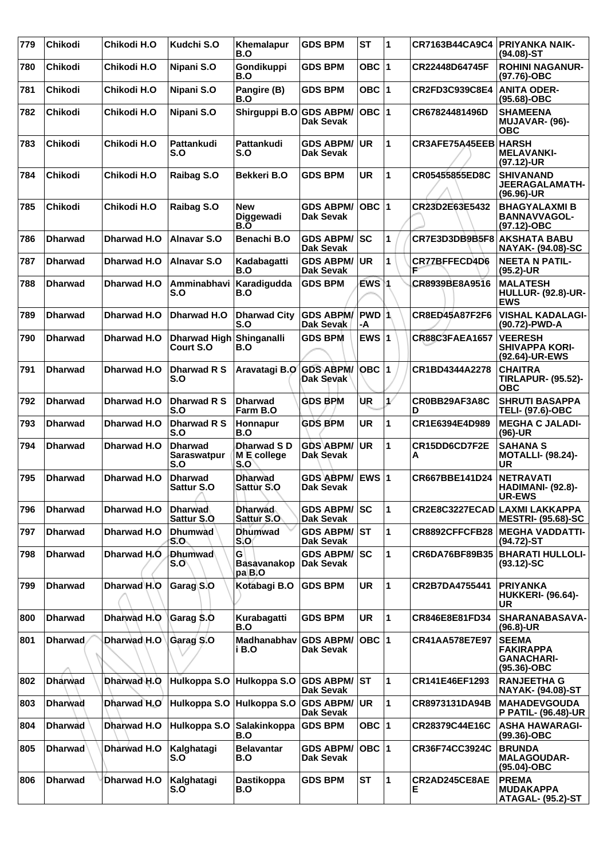| 779 | Chikodi        | Chikodi H.O | Kudchi S.O                                  | Khemalapur<br>B.O                   | <b>GDS BPM</b>                          | <b>ST</b>    | 11                      | CR7163B44CA9C4        | <b>PRIYANKA NAIK-</b><br>$(94.08) - ST$                                 |
|-----|----------------|-------------|---------------------------------------------|-------------------------------------|-----------------------------------------|--------------|-------------------------|-----------------------|-------------------------------------------------------------------------|
| 780 | Chikodi        | Chikodi H.O | Nipani S.O                                  | Gondikuppi<br>B.O                   | <b>GDS BPM</b>                          | OBC $ 1$     |                         | CR22448D64745F        | <b>ROHINI NAGANUR-</b><br>(97.76)-OBC                                   |
| 781 | <b>Chikodi</b> | Chikodi H.O | Nipani S.O                                  | Pangire (B)<br>B.O                  | <b>GDS BPM</b>                          | OBC   1      |                         | CR2FD3C939C8E4        | <b>ANITA ODER-</b><br>$(95.68) - OBC$                                   |
| 782 | <b>Chikodi</b> | Chikodi H.O | Nipani S.O                                  | Shirguppi B.O GDS ABPM/             | <b>Dak Sevak</b>                        | OBC $ 1$     |                         | CR67824481496D        | <b>SHAMEENA</b><br>MUJAVAR- (96)-<br>ОВС                                |
| 783 | <b>Chikodi</b> | Chikodi H.O | Pattankudi<br>S.O                           | Pattankudi<br>S.O                   | <b>GDS ABPM/</b><br>Dak Sevak           | UR           | 1                       | CR3AFE75A45EEB HARSH  | <b>MELAVANKI-</b><br>(97.12)-UR                                         |
| 784 | <b>Chikodi</b> | Chikodi H.O | Raibag S.O                                  | Bekkeri B.O                         | <b>GDS BPM</b>                          | <b>UR</b>    | 1                       | CR05455855ED8C        | <b>SHIVANAND</b><br>JEERAGALAMATH-<br>$(96.96)$ -UR                     |
| 785 | <b>Chikodi</b> | Chikodi H.O | Raibag S.O                                  | New<br>Diggewadi<br>B.O             | <b>GDS ABPM/</b><br><b>Dak Sevak</b>    | $OBC$  1     |                         | CR23D2E63E5432        | <b>BHAGYALAXMIB</b><br><b>BANNAVVAGOL-</b><br>(97.12)-OBC               |
| 786 | <b>Dharwad</b> | Dharwad H.O | <b>Alnavar S.O</b>                          | Benachi B.O                         | <b>GDS ABPM/</b><br><b>Dak Sevak</b>    | <b>SC</b>    | 1                       | CR7E3D3DB9B5F8        | <b>AKSHATA BABU</b><br><b>NAYAK- (94.08)-SC</b>                         |
| 787 | <b>Dharwad</b> | Dharwad H.O | Alnavar S.O                                 | Kadabagatti<br>B.O                  | <b>GDS ABPM/</b><br>Dak Sevak           | <b>UR</b>    | 1                       | <b>CR77BFFECD4D6</b>  | <b>NEETA N PATIL-</b><br>$(95.2)$ -UR                                   |
| 788 | <b>Dharwad</b> | Dharwad H.O | Amminabhavi<br>S.O                          | Karadigudda<br>B.O                  | <b>GDS BPM</b>                          | EWS 1        |                         | CR8939BE8A9516        | <b>MALATESH</b><br><b>HULLUR- (92.8)-UR-</b><br><b>EWS</b>              |
| 789 | <b>Dharwad</b> | Dharwad H.O | Dharwad H.O                                 | <b>Dharwad City</b><br>S.O          | <b>GDS ABPM/</b><br>Dak Sevak           | -A           |                         | <b>CR8ED45A87F2F6</b> | <b>VISHAL KADALAGI-</b><br>(90.72)-PWD-A                                |
| 790 | <b>Dharwad</b> | Dharwad H.O | Dharwad High Shinganalli<br>Court S.O       | B.O                                 | <b>GDS BPM</b>                          | EWS $ 1$     |                         | <b>CR88C3FAEA1657</b> | <b>VEERESH</b><br><b>SHIVAPPA KORI-</b><br>(92.64)-UR-EWS               |
| 791 | <b>Dharwad</b> | Dharwad H.O | Dharwad R S<br>S.O                          | Aravatagi B.O                       | <b>GDS ABPM/</b><br>Dak Sevak           | <b>OBC</b> 1 |                         | CR1BD4344A2278        | <b>CHAITRA</b><br><b>TIRLAPUR- (95.52)-</b><br><b>OBC</b>               |
| 792 | <b>Dharwad</b> | Dharwad H.O | Dharwad R S<br>S.O                          | <b>Dharwad</b><br>Farm B.O          | <b>GDS BPM</b>                          | ÙR           | $\ddot{\phantom{1}}$    | CR0BB29AF3A8C<br>D    | <b>SHRUTI BASAPPA</b><br>TELI- (97.6)-OBC                               |
| 793 | <b>Dharwad</b> | Dharwad H.O | Dharwad R S<br>S.O                          | Honnapur<br>B.O                     | <b>GDS BPM</b>                          | <b>UR</b>    | 1                       | CR1E6394E4D989        | <b>MEGHA C JALADI-</b><br>$(96)-UR$                                     |
| 794 | <b>Dharwad</b> | Dharwad H.O | <b>Dharwad</b><br><b>Saraswatpur</b><br>S.O | Dharwad SD<br>M E college<br>S.O    | <b>GDS ABPM/</b><br>Dak Sevak           | <b>UR</b>    | 1                       | CR15DD6CD7F2E<br>A    | <b>SAHANA S</b><br><b>MOTALLI- (98.24)-</b><br>UR                       |
| 795 | <b>Dharwad</b> | Dharwad H.O | <b>Dharwad</b><br><b>Sattur S.O</b>         | <b>Dharwad</b><br><b>Sattur S.O</b> | <b>GDS ABPM/</b><br><b>Dak Sevak</b>    | EWS $ 1$     |                         | CR667BBE141D24        | <b>NETRAVATI</b><br>HADIMANI- (92.8)-<br><b>UR-EWS</b>                  |
| 796 | <b>Dharwad</b> | Dharwad H.O | <b>Dharwad</b><br>Sattur S.O.               | <b>Dharwad</b><br>Sattur S.O        | <b>GDS ABPM/ SC</b><br><b>Dak Sevak</b> |              | 1                       |                       | CR2E8C3227ECAD LAXMI LAKKAPPA<br><b>MESTRI- (95.68)-SC</b>              |
| 797 | <b>Dharwad</b> | Dharwad H.O | <b>Dhumwad</b><br>S.O                       | <b>Dhumwad</b><br>S.O               | <b>GDS ABPM/ST</b><br>Dak Sevak         |              | 1                       | CR8892CFFCFB28        | <b>MEGHA VADDATTI-</b><br>(94.72)-ST                                    |
| 798 | <b>Dharwad</b> | Dharwad H.O | <b>Dhumwad</b><br>S.O                       | G<br><b>Basavanakop</b><br>pa B O   | <b>GDS ABPM/</b><br>Dak Sevak           | <b>SC</b>    | 1                       | CR6DA76BF89B35        | <b>BHARATI HULLOLI-</b><br>$(93.12)$ -SC                                |
| 799 | <b>Dharwad</b> | Dharwad H.O | Garag S.O                                   | Kotabagi B.O                        | <b>GDS BPM</b>                          | UR           | 1                       | CR2B7DA4755441        | <b>PRIYANKA</b><br><b>HUKKERI- (96.64)-</b><br>UR                       |
| 800 | <b>Dharwad</b> | Dharwad H.O | Garag S.O                                   | Kurabagatti<br>B.O                  | <b>GDS BPM</b>                          | <b>UR</b>    | $\blacktriangleleft$    | CR846E8E81FD34        | SHARANABASAVA-<br>$(96.8)$ -UR                                          |
| 801 | <b>Dharwad</b> | Dharwad H.O | Garag S.O                                   | Madhanabhav<br>i B.O                | <b>GDS ABPM/</b><br>Dak Sevak           | OBC $ 1$     |                         | CR41AA578E7E97        | <b>SEEMA</b><br><b>FAKIRAPPA</b><br><b>GANACHARI-</b><br>$(95.36)$ -OBC |
| 802 | <b>Dharwad</b> | Dharwad H.O | Hulkoppa S.O                                | Hulkoppa S.O                        | <b>GDS ABPM/</b><br>Dak Sevak           | IST          | 1                       | CR141E46EF1293        | <b>RANJEETHA G</b><br>NAYAK- (94.08)-ST                                 |
| 803 | <b>Dharwad</b> | Dharwad H.O | Hulkoppa S.O                                | Hulkoppa S.O                        | <b>GDS ABPM/</b><br>Dak Sevak           | <b>UR</b>    | 1                       | CR8973131DA94B        | <b>MAHADEVGOUDA</b><br><b>P PATIL- (96.48)-UR</b>                       |
| 804 | <b>Dharwad</b> | Dharwad H.O | Hulkoppa S.O                                | Salakinkoppa<br>B.O                 | <b>GDS BPM</b>                          | OBC $ 1$     |                         | CR28379C44E16C        | <b>ASHA HAWARAGI-</b><br>$(99.36)$ -OBC                                 |
| 805 | Dharwad        | Dharwad H.O | Kalghatagi<br>S.O                           | <b>Belavantar</b><br>B.O            | <b>GDS ABPM/</b><br>Dak Sevak           | OBC $ 1$     |                         | CR36F74CC3924C        | <b>BRUNDA</b><br><b>MALAGOUDAR-</b><br>$(95.04)-OBC$                    |
| 806 | <b>Dharwad</b> | Dharwad H.O | Kalghatagi<br>S.O                           | Dastikoppa<br>B.O                   | <b>GDS BPM</b>                          | <b>ST</b>    | $\overline{\mathbf{1}}$ | CR2AD245CE8AE<br>Е.   | <b>PREMA</b><br><b>MUDAKAPPA</b><br>ATAGAL- (95.2)-ST                   |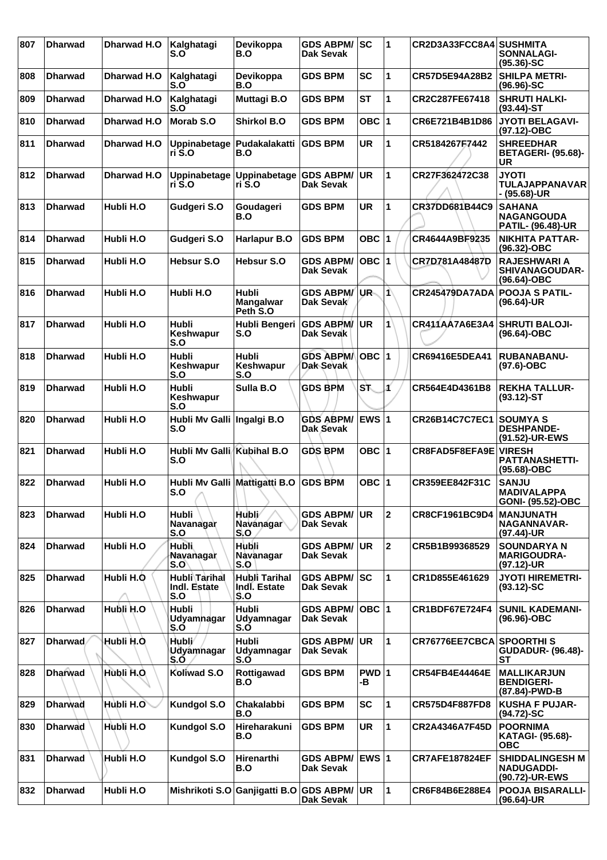| 807 | <b>Dharwad</b> | Dharwad H.O | Kalghatagi<br>S.O                       | Devikoppa<br>B.O                      | <b>GDS ABPM/SC</b><br>Dak Sevak      |               | 1                    | CR2D3A33FCC8A4 SUSHMITA         | <b>SONNALAGI-</b><br>$(95.36) - SC$                            |
|-----|----------------|-------------|-----------------------------------------|---------------------------------------|--------------------------------------|---------------|----------------------|---------------------------------|----------------------------------------------------------------|
| 808 | <b>Dharwad</b> | Dharwad H.O | Kalghatagi<br>S.O                       | Devikoppa<br>B.O                      | <b>GDS BPM</b>                       | <b>SC</b>     | 1                    | CR57D5E94A28B2                  | <b>SHILPA METRI-</b><br>$(96.96) - SC$                         |
| 809 | <b>Dharwad</b> | Dharwad H.O | Kalghatagi<br>S.O                       | Muttagi B.O                           | <b>GDS BPM</b>                       | <b>ST</b>     | 1                    | CR2C287FE67418                  | <b>SHRUTI HALKI-</b><br>$(93.44)$ -ST                          |
| 810 | <b>Dharwad</b> | Dharwad H.O | Morab S.O                               | <b>Shirkol B.O.</b>                   | <b>GDS BPM</b>                       | OBC ∣1        |                      | CR6E721B4B1D86                  | <b>JYOTI BELAGAVI-</b><br>(97.12)-OBC                          |
| 811 | <b>Dharwad</b> | Dharwad H.O | Uppinabetage<br>ri S.O                  | Pudakalakatti<br>B.O                  | <b>GDS BPM</b>                       | <b>UR</b>     | 1                    | CR5184267F7442                  | <b>SHREEDHAR</b><br><b>BETAGERI- (95.68)-</b><br>UR            |
| 812 | <b>Dharwad</b> | Dharwad H.O | Uppinabetage<br>ri S.O                  | Uppinabetage<br>ri S.O                | <b>GDS ABPM/</b><br><b>Dak Sevak</b> | <b>UR</b>     | 1                    | CR27F362472C38                  | <b>JYOTI</b><br><b>TULAJAPPANAVAR</b><br>- (95.68)-UR          |
| 813 | <b>Dharwad</b> | Hubli H.O   | Gudgeri S.O                             | Goudageri<br>B.O                      | <b>GDS BPM</b>                       | <b>UR</b>     | 1                    | CR37DD681B44C9                  | <b>SAHANA</b><br><b>NAGANGOUDA</b><br><b>PATIL- (96.48)-UR</b> |
| 814 | <b>Dharwad</b> | Hubli H.O   | Gudgeri S.O                             | Harlapur B.O                          | <b>GDS BPM</b>                       | OBC $ 1$      |                      | CR4644A9BF9235                  | <b>NIKHITA PATTAR-</b><br>(96.32)-OBC                          |
| 815 | <b>Dharwad</b> | Hubli H.O   | <b>Hebsur S.O</b>                       | Hebsur S.O                            | <b>GDS ABPM/</b><br><b>Dak Sevak</b> | $OBC$  1      |                      | CR7D781A48487D                  | <b>RAJESHWARI A</b><br><b>SHIVANAGOUDAR-</b><br>(96.64)-OBC    |
| 816 | <b>Dharwad</b> | Hubli H.O   | Hubli H.O                               | <b>Hubli</b><br>Mangalwar<br>Peth S.O | <b>GDS ABPM/</b><br>Dak Sevak        | UR-           | $\blacktriangleleft$ | CR245479DA7ADA                  | <b>POOJA S PATIL-</b><br>(96.64)-UR                            |
| 817 | <b>Dharwad</b> | Hubli H.O   | <b>Hubli</b><br>Keshwapur<br>S.O        | Hubli Bengeri<br>S.O                  | <b>GDS ABPM/</b><br><b>Dak Sevak</b> | <b>UR</b>     | 1                    | CR411AA7A6E3A4                  | SHRUTI BALOJI-<br>(96.64)-OBC                                  |
| 818 | <b>Dharwad</b> | Hubli H.O   | <b>Hubli</b><br>Keshwapur<br>S.O        | <b>Hubli</b><br>Keshwapur<br>S.O      | <b>GDS ABPM/</b><br><b>Dak Sevak</b> | OBC  1        |                      | CR69416E5DEA41                  | <b>RUBANABANU-</b><br>$(97.6)$ -OBC                            |
| 819 | <b>Dharwad</b> | Hubli H.O   | Hubli<br>Keshwapur<br>S.O               | Sulla B.O                             | <b>GDS BPM</b>                       | ST.           | Á                    | CR564E4D4361B8                  | <b>REKHA TALLUR-</b><br>$(93.12)$ -ST                          |
| 820 | <b>Dharwad</b> | Hubli H.O   | Hubli Mv Galli   Ingalgi B.O<br>S.O     |                                       | <b>GDS ABPM/</b><br>Dak Sevak        | <b>EWS 1</b>  |                      | <b>CR26B14C7C7EC1</b>           | <b>SOUMYAS</b><br><b>DESHPANDE-</b><br>(91.52)-UR-EWS          |
| 821 | <b>Dharwad</b> | Hubli H.O   | Hubli My Galli Kubihal B.O<br>S.O       |                                       | <b>GDS BPM</b>                       | OBC ∣1        |                      | CR8FAD5F8EFA9E VIRESH           | <b>PATTANASHETTI-</b><br>(95.68)-OBC                           |
| 822 | <b>Dharwad</b> | Hubli H.O   | Hubli Mv Galli Mattigatti B.O<br>S.O    |                                       | <b>GDS BPM</b>                       | OBC $ 1$      |                      | CR359EE842F31C                  | <b>SANJU</b><br><b>MADIVALAPPA</b><br>GONI- (95.52)-OBC        |
| 823 | <b>Dharwad</b> | Hubli H.O   | <b>Hubli</b><br>Navanagar<br>S.O        | Hubli/<br>Navanagar<br>S.O            | <b>GDS ABPM/</b><br>Dak Sevak        | ∣UR.          | $\overline{2}$       | <b>CR8CF1961BC9D4</b>           | <b>INANJUNATH</b><br>NAGANNAVAR-<br>(97.44)-UR                 |
| 824 | <b>Dharwad</b> | Hubli H.O   | <b>Hubli</b><br>Navanagar<br>S.O        | <b>Hubli</b><br>Navanagar<br>S.O      | <b>GDS ABPM/</b><br>Dak Sevak        | <b>UR</b>     | $\overline{2}$       | CR5B1B99368529                  | <b>SOUNDARYAN</b><br><b>MARIGOUDRA-</b><br>(97.12)-UR          |
| 825 | <b>Dharwad</b> | Hubli H.O   | Hubli Tarihal<br>Indl. Estate<br>S.O    | Hubli Tarihal<br>Indl. Estate<br>S.O  | <b>GDS ABPM/SC</b><br>Dak Sevak      |               | 1                    | CR1D855E461629                  | <b>JYOTI HIREMETRI-</b><br>$(93.12)$ -SC                       |
| 826 | <b>Dharwad</b> | Hubli H.O   | <b>Hubli</b><br>Udyamnagar<br>S.O       | <b>Hubli</b><br>Udyamnagar<br>S.O     | <b>GDS ABPM/</b><br>Dak Sevak        | OBC  1        |                      | <b>CR1BDF67E724F4</b>           | <b>SUNIL KADEMANI-</b><br>(96.96)-OBC                          |
| 827 | <b>Dharwad</b> | Hubli H.O   | Hubli <sup>/</sup><br>Udyamnagar<br>S.Ó | <b>Hubli</b><br>Udyamnagar<br>S.O     | <b>GDS ABPM/ UR</b><br>Dak Sevak     |               | 1                    | <b>CR76776EE7CBCA SPOORTHIS</b> | <b>GUDADUR- (96.48)-</b><br><b>ST</b>                          |
| 828 | <b>Dharwad</b> | Hubli H.O.  | Koliwad S.O                             | Rottigawad<br>B.O                     | <b>GDS BPM</b>                       | $PWD$ 1<br>-В |                      | CR54FB4E44464E                  | <b>MALLIKARJUN</b><br><b>BENDIGERI-</b><br>(87.84)-PWD-B       |
| 829 | <b>Dharwad</b> | Hubli H.O   | <b>Kundgol S.O</b>                      | Chakalabbi<br>B.O                     | <b>GDS BPM</b>                       | <b>SC</b>     | 1                    | CR575D4F887FD8                  | <b>KUSHA F PUJAR-</b><br>$(94.72)$ -SC                         |
| 830 | <b>Dharwad</b> | Hubli H.O   | <b>Kundgol S.O</b>                      | Hireharakuni<br>B.O                   | <b>GDS BPM</b>                       | <b>UR</b>     | 1                    | <b>CR2A4346A7F45D</b>           | <b>POORNIMA</b><br><b>KATAGI- (95.68)-</b><br><b>OBC</b>       |
| 831 | <b>Dharwad</b> | Hubli H.O   | <b>Kundgol S.O</b>                      | Hirenarthi<br>B.O                     | <b>GDS ABPM/</b><br><b>Dak Sevak</b> | EWS 1         |                      | <b>CR7AFE187824EF</b>           | <b>SHIDDALINGESH M</b><br><b>NADUGADDI-</b><br>(90.72)-UR-EWS  |
| 832 | <b>Dharwad</b> | Hubli H.O   |                                         | Mishrikoti S.O Ganjigatti B.O         | <b>GDS ABPM/ UR</b><br>Dak Sevak     |               | 1                    | CR6F84B6E288E4                  | <b>POOJA BISARALLI-</b><br>(96.64)-UR                          |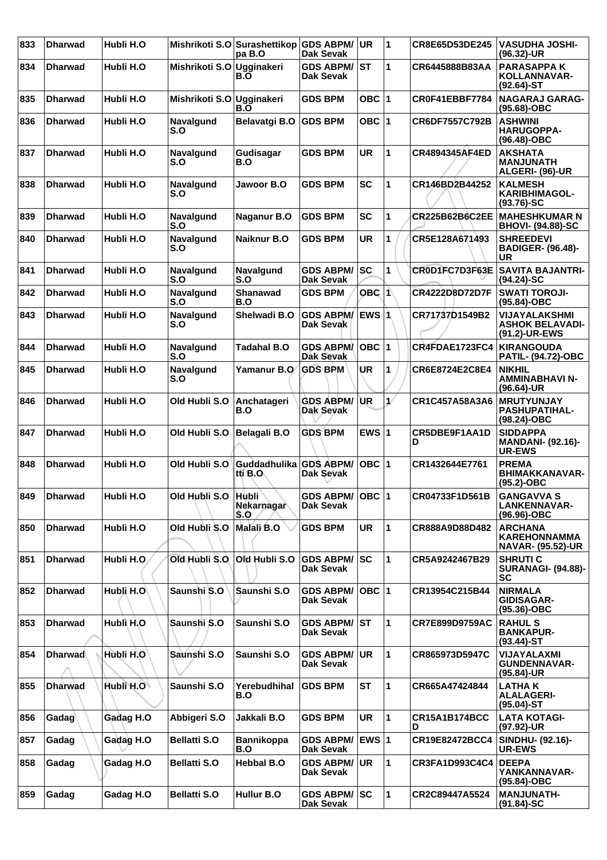| 833 | <b>Dharwad</b> | Hubli H.O  |                         | Mishrikoti S.O Surashettikop GDS ABPM/<br>pa B.O | <b>Dak Sevak</b>                     | <b>UR</b> | $\overline{1}$ | CR8E65D53DE245            | <b>VASUDHA JOSHI-</b><br>$(96.32)$ -UR                            |
|-----|----------------|------------|-------------------------|--------------------------------------------------|--------------------------------------|-----------|----------------|---------------------------|-------------------------------------------------------------------|
| 834 | <b>Dharwad</b> | Hubli H.O  | Mishrikoti S.O          | Ugginakeri<br>B.O                                | <b>GDS ABPM/</b><br>Dak Sevak        | <b>ST</b> | 1              | CR6445888B83AA            | <b>PARASAPPAK</b><br>KOLLANNAVAR-<br>$(92.64)$ -ST                |
| 835 | <b>Dharwad</b> | Hubli H.O  | Mishrikoti S.O          | Ugginakeri<br>B.O                                | <b>GDS BPM</b>                       | OBC $ 1$  |                | CR0F41EBBF7784            | <b>NAGARAJ GARAG-</b><br>(95.68)-OBC                              |
| 836 | <b>Dharwad</b> | Hubli H.O  | Navalgund<br>S.O        | Belavatgi B.O                                    | <b>GDS BPM</b>                       | OBC 1     |                | CR6DF7557C792B            | <b>ASHWINI</b><br>HARUGOPPA-<br>(96.48)-OBC                       |
| 837 | <b>Dharwad</b> | Hubli H.O  | Navalgund<br>S.O        | Gudisagar<br>B.O                                 | <b>GDS BPM</b>                       | <b>UR</b> | $\overline{1}$ | CR4894345AF4ED            | <b>AKSHATA</b><br><b>MANJUNATH</b><br>ALGERI- (96)-UR             |
| 838 | <b>Dharwad</b> | Hubli H.O  | Navalgund<br>S.O        | Jawoor B.O                                       | <b>GDS BPM</b>                       | <b>SC</b> | 1              | CR146BD2B44252            | <b>KALMESH</b><br><b>KARIBHIMAGOL-</b><br>$(93.76)$ -SC           |
| 839 | <b>Dharwad</b> | Hubli H.O  | Navalgund<br>S.O        | Naganur B.O                                      | <b>GDS BPM</b>                       | <b>SC</b> | 1              | <b>CR225B62B6C2EE</b>     | <b>MAHESHKUMAR N</b><br><b>BHOVI- (94.88)-SC</b>                  |
| 840 | <b>Dharwad</b> | Hubli H.O  | Navalgund<br>S.O        | Naiknur B.O                                      | <b>GDS BPM</b>                       | UR        | 1              | CR5E128A671493            | <b>SHREEDEVI</b><br><b>BADIGER- (96.48)-</b><br>UR                |
| 841 | <b>Dharwad</b> | Hubli H.O  | Navalgund<br>S.O        | <b>Navalgund</b><br>S.O                          | <b>GDS ABPM/</b><br><b>Dak Sevak</b> | SC        | 1              | CR0D1FC7D3F63E            | <b>SAVITA BAJANTRI-</b><br>$(94.24)$ -SC                          |
| 842 | <b>Dharwad</b> | Hubli H.O  | Navalgund<br>S.O        | Shanawad<br>B.O                                  | <b>GDS BPM</b>                       | OBC 1     |                | <b>CR4222D8D72D7F</b>     | <b>SWATI TOROJI-</b><br>(95.84)-OBC                               |
| 843 | <b>Dharwad</b> | Hubli H.O  | Navalgund<br>S.O        | Shelwadi B.O                                     | <b>GDS ABPM/</b><br>Dak Sevak        | lEWS ∣1   |                | CR71737D1549B2            | VIJAYALAKSHMI<br><b>ASHOK BELAVADI-</b><br>(91.2)-UR-EWS          |
| 844 | <b>Dharwad</b> | Hubli H.O  | <b>Navalgund</b><br>S.O | <b>Tadahal B.O</b>                               | <b>GDS ABPM/</b><br><b>Dak Sevak</b> | $OBC$  1  |                | CR4FDAE1723FC4            | <b>KIRANGOUDA</b><br><b>PATIL- (94.72)-OBC</b>                    |
| 845 | <b>Dharwad</b> | Hubli H.O  | <b>Navalgund</b><br>S.O | Yamanur B.O                                      | <b>GDS BPM</b>                       | UR        | 1              | CR6E8724E2C8E4            | <b>NIKHIL</b><br>AMMINABHAVI N-<br>$(96.64)$ -UR                  |
| 846 | <b>Dharwad</b> | Hubli H.O  | Old Hubli S.O           | Anchatageri<br>B.O                               | <b>GDS ABPM/</b><br>Dak Sevak        | UR        | $\mathcal{L}$  | CR1C457A58A3A6            | <b>MRUTYUNJAY</b><br><b>PASHUPATIHAL-</b><br>(98.24)-OBC          |
| 847 | <b>Dharwad</b> | Hubli H.O  | Old Hubli S.O           | <b>Belagali B.O</b>                              | <b>GDS BPM</b>                       | EWS $ 1$  |                | CR5DBE9F1AA1D<br>D        | <b>SIDDAPPA</b><br><b>MANDANI- (92.16)-</b><br><b>UR-EWS</b>      |
| 848 | <b>Dharwad</b> | Hubli H.O  | Old Hubli S.O           | Guddadhulika<br>tti B.O                          | <b>GDS ABPM/</b><br><b>Dak Sevak</b> | OBC $ 1$  |                | CR1432644E7761            | <b>PREMA</b><br><b>BHIMAKKANAVAR-</b><br>$(95.2)$ -OBC            |
| 849 | <b>Dharwad</b> | Hubli H.O  | Old Hubli S.O Hubli     | Nekarnagar<br>S.O                                | GDS ABPM/ OBC 1<br><b>Dak Sevak</b>  |           |                | CR04733F1D561B            | <b>GANGAVVA S</b><br><b>LANKENNAVAR-</b><br>(96.96)-OBC           |
| 850 | <b>Dharwad</b> | Hubli H.O  | Old Hubli S.O           | Malali B.O                                       | <b>GDS BPM</b>                       | <b>UR</b> | $\mathbf{1}$   | CR888A9D88D482            | <b>ARCHANA</b><br><b>KAREHONNAMMA</b><br><b>NAVAR- (95.52)-UR</b> |
| 851 | <b>Dharwad</b> | Hubli H.O. | Old Hubli S.O.          | Old Hubli S.O                                    | <b>GDS ABPM/</b><br><b>Dak Sevak</b> | <b>SC</b> | 1              | CR5A9242467B29            | <b>SHRUTIC</b><br><b>SURANAGI- (94.88)-</b><br><b>SC</b>          |
| 852 | <b>Dharwad</b> | Hubli H.O  | Saunshi S.O             | Saunshi S.O                                      | <b>GDS ABPM/</b><br>Dak Sevak        | $OBC$  1  |                | CR13954C215B44            | <b>NIRMALA</b><br><b>GIDISAGAR-</b><br>(95.36)-OBC                |
| 853 | <b>Dharwad</b> | Hubli H.O  | Saunshi S.O             | Saunshi S.O                                      | <b>GDS ABPM/ ST</b><br>Dak Sevak     |           | $\mathbf{1}$   | <b>CR7E899D9759AC</b>     | <b>RAHUL S</b><br><b>BANKAPUR-</b><br>$(93.44)$ -ST               |
| 854 | <b>Dharwad</b> | Hubli H.O  | Saunshi S.O             | Saunshi S.O                                      | <b>GDS ABPM/</b><br>Dak Sevak        | UR.       | $\mathbf{1}$   | CR865973D5947C            | VIJAYALAXMI<br><b>GUNDENNAVAR-</b><br>$(95.84)$ -UR               |
| 855 | <b>Dharwad</b> | Hubli H.O  | Saunshi S.O             | Yerebudhihal<br>B.O                              | <b>GDS BPM</b>                       | <b>ST</b> | $\mathbf{1}$   | CR665A47424844            | <b>LATHA K</b><br><b>ALALAGERI-</b><br>$(95.04)$ -ST              |
| 856 | Gadag          | Gadag H.O  | Abbigeri S.O            | Jakkali B.O                                      | <b>GDS BPM</b>                       | <b>UR</b> | $\mathbf{1}$   | <b>CR15A1B174BCC</b><br>D | <b>LATA KOTAGI-</b><br>(97.92)-UR                                 |
| 857 | Gadag          | Gadag H.O  | <b>Bellatti S.O</b>     | <b>Bannikoppa</b><br>B.O                         | <b>GDS ABPM/</b><br><b>Dak Sevak</b> | EWS 1     |                | CR19E82472BCC4            | SINDHU- (92.16)-<br><b>UR-EWS</b>                                 |
| 858 | Gadag          | Gadag H.O  | <b>Bellatti S.O</b>     | <b>Hebbal B.O</b>                                | <b>GDS ABPM/</b><br>Dak Sevak        | <b>UR</b> | 1              | <b>CR3FA1D993C4C4</b>     | <b>DEEPA</b><br>YANKANNAVAR-<br>(95.84)-OBC                       |
| 859 | Gadag          | Gadag H.O  | <b>Bellatti S.O</b>     | Hullur B.O                                       | <b>GDS ABPM/ SC</b><br>Dak Sevak     |           | $\mathbf{1}$   | CR2C89447A5524            | <b>MANJUNATH-</b><br>$(91.84)$ -SC                                |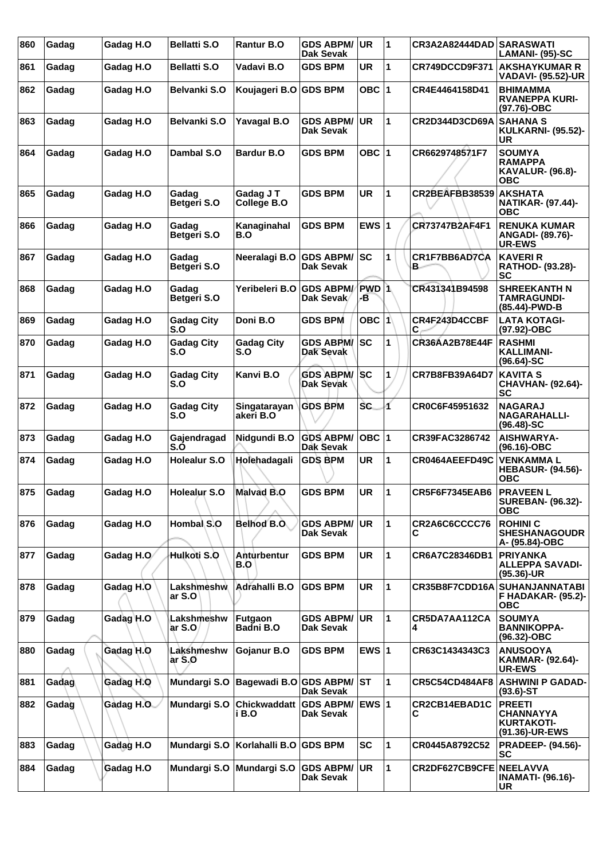| 860 | Gadag | Gadag H.O  | <b>Bellatti S.O</b>      | Rantur B.O                   | <b>GDS ABPM/</b><br><b>Dak Sevak</b>       | UR                      | 1 | CR3A2A82444DAD SARASWATI | LAMANI- (95)-SC                                                          |
|-----|-------|------------|--------------------------|------------------------------|--------------------------------------------|-------------------------|---|--------------------------|--------------------------------------------------------------------------|
| 861 | Gadag | Gadag H.O  | <b>Bellatti S.O</b>      | Vadavi B.O                   | <b>GDS BPM</b>                             | UR                      | 1 | CR749DCCD9F371           | <b>AKSHAYKUMAR R</b><br>VADAVI- (95.52)-UR                               |
| 862 | Gadag | Gadag H.O  | Belvanki S.O             | Koujageri B.O                | <b>GDS BPM</b>                             | OBC ∣1                  |   | CR4E4464158D41           | <b>BHIMAMMA</b><br><b>RVANEPPA KURI-</b><br>(97.76)-OBC                  |
| 863 | Gadag | Gadag H.O  | Belvanki S.O             | <b>Yavagal B.O</b>           | <b>GDS ABPM/</b><br><b>Dak Sevak</b>       | <b>UR</b>               | 1 | CR2D344D3CD69A           | <b>SAHANA S</b><br><b>KULKARNI- (95.52)-</b><br><b>UR</b>                |
| 864 | Gadag | Gadag H.O  | Dambal S.O               | <b>Bardur B.O</b>            | GDS BPM                                    | OBC $ 1$                |   | CR6629748571F7           | <b>SOUMYA</b><br><b>RAMAPPA</b><br><b>KAVALUR- (96.8)-</b><br>ОВС        |
| 865 | Gadag | Gadag H.O  | Gadag<br>Betgeri S.O     | Gadag J T<br>College B.O     | <b>GDS BPM</b>                             | <b>UR</b>               | 1 | CR2BEAFBB38539           | <b>AKSHATA</b><br><b>NATIKAR- (97.44)-</b><br><b>OBC</b>                 |
| 866 | Gadag | Gadag H.O  | Gadag<br>Betgeri S.O     | Kanaginahal<br>B.O           | <b>GDS BPM</b>                             | EWS $ 1$                |   | CR73747B2AF4F1           | <b>RENUKA KUMAR</b><br><b>ANGADI- (89.76)-</b><br><b>UR-EWS</b>          |
| 867 | Gadag | Gadag H.O  | Gadag<br>Betgeri S.O     | Neeralagi B.O                | <b>GDS ABPM/</b><br>Dak Sevak              | lsc                     | 1 | CR1F7BB6AD7CA<br>в.      | <b>KAVERI R</b><br>RATHOD- (93.28)-<br>SC                                |
| 868 | Gadag | Gadag H.O  | Gadag<br>Betgeri S.O     | Yeribeleri B.O               | <b>GDS ABPM/</b><br>Dak Sevak              | PWD <sub>1</sub><br>ÆB. |   | CR431341B94598           | <b>SHREEKANTH N</b><br><b>TAMRAGUNDI-</b><br>(85.44)-PWD-B               |
| 869 | Gadag | Gadag H.O  | <b>Gadag City</b><br>S.O | Doni B.O                     | <b>GDS BPM</b>                             | $OBC$  1                |   | CR4F243D4CCBF<br>C       | <b>LATA KOTAGI-</b><br>(97.92)-OBC                                       |
| 870 | Gadag | Gadag H.O  | <b>Gadag City</b><br>S.O | <b>Gadag City</b><br>S.O     | <b>GDS ABPM/</b><br>Dak Sevak              | <b>SC</b>               | 1 | CR36AA2B78E44F           | <b>RASHMI</b><br><b>KALLIMANI-</b><br>$(96.64) - SC$                     |
| 871 | Gadag | Gadag H.O  | <b>Gadag City</b><br>S.O | Kanvi B.O                    | <b>GDS ABPM/</b><br>Dak Sevak              | <b>SC</b>               | 1 | CR7B8FB39A64D7           | <b>KAVITA S</b><br><b>CHAVHAN- (92.64)-</b><br><b>SC</b>                 |
| 872 | Gadag | Gadag H.O  | <b>Gadag City</b><br>S.O | Singatarayan<br>akeri B.O    | <b>GDS BPM</b>                             | <b>SC</b>               | 1 | CR0C6F45951632           | <b>NAGARAJ</b><br><b>NAGARAHALLI-</b><br>$(96.48) - SC$                  |
| 873 | Gadag | Gadag H.O  | Gajendragad<br>S.O       | Nidgundi B.O                 | <b>GDS ABPM/</b><br>Dak Sevak              | $OBC$  1                |   | CR39FAC3286742           | AISHWARYA-<br>(96.16)-OBC                                                |
| 874 | Gadag | Gadag H.O  | <b>Holealur S.O</b>      | Holehadagali                 | <b>GDS BPM</b>                             | <b>UR</b>               | 1 | CR0464AEEFD49C           | <b> VENKAMMA L</b><br><b>HEBASUR- (94.56)-</b><br><b>OBC</b>             |
| 875 | Gadag | Gadag H.O  | <b>Holealur S.O</b>      | <b>Malvad B.O</b>            | <b>GDS BPM</b>                             | <b>UR</b>               | 1 | <b>CR5F6F7345EAB6</b>    | <b>PRAVEEN L</b><br><b>SUREBAN- (96.32)-</b><br><b>OBC</b>               |
| 876 | Gadag | Gadag H.O  | Hombal S.O               | Belhod B.O.                  | <b>GDS ABPM/</b><br>Dak Sevak              | ∣UR.                    | 1 | CR2A6C6CCCC76<br>С       | <b>ROHINIC</b><br><b>SHESHANAGOUDR</b><br>A- (95.84)-OBC                 |
| 877 | Gadag | Gadag H.O  | Hulkoti S.O              | Anturbentur<br>B.O           | <b>GDS BPM</b>                             | <b>UR</b>               | 1 | CR6A7C28346DB1           | <b>PRIYANKA</b><br><b>ALLEPPA SAVADI-</b><br>(95.36)-UR                  |
| 878 | Gadag | Gadag H.O  | Lakshmeshw<br>ar S.O     | Adrahalli B.O                | <b>GDS BPM</b>                             | <b>UR</b>               | 1 | CR35B8F7CDD16A           | <b>SUHANJANNATABI</b><br>F HADAKAR- (95.2)-<br><b>OBC</b>                |
| 879 | Gadag | Gadag H.O  | Lakshmeshw<br>ar S.O     | Futgaon<br>Badni B.O         | <b>GDS ABPM/</b><br><b>Dak Sevak</b>       | ∣UR.                    | 1 | CR5DA7AA112CA<br>4       | <b>SOUMYA</b><br><b>BANNIKOPPA-</b><br>(96.32)-OBC                       |
| 880 | Gadag | Gadag H.O  | Lakshmeshw<br>arS.0      | Gojanur B.O                  | <b>GDS BPM</b>                             | EWS $ 1$                |   | CR63C1434343C3           | <b>ANUSOOYA</b><br>KAMMAR- (92.64)-<br>UR-EWS                            |
| 881 | Gadaq | Gadag H.O  | Mundargi S.O             | Bagewadi B.O                 | <b>Dak Sevak</b>                           |                         | 1 | <b>CR5C54CD484AF8</b>    | <b>ASHWINI P GADAD-</b><br>$(93.6)$ -ST                                  |
| 882 | Gadag | Gadag H.O. | Mundargi S.O             | <b>Chickwaddatt</b><br>i B.O | <b>GDS ABPM/ EWS 1</b><br><b>Dak Sevak</b> |                         |   | CR2CB14EBAD1C<br>С       | <b>PREETI</b><br><b>CHANNAYYA</b><br><b>KURTAKOTI-</b><br>(91.36)-UR-EWS |
| 883 | Gadag | Gadag H.O  | Mundargi S.O             | Korlahalli B.O               | <b>GDS BPM</b>                             | <b>SC</b>               | 1 | CR0445A8792C52           | <b>PRADEEP- (94.56)-</b><br><b>SC</b>                                    |
| 884 | Gadag | Gadag H.O  | Mundargi S.O             | Mundargi S.O                 | <b>GDS ABPM/</b><br>Dak Sevak              | UR                      | 1 | CR2DF627CB9CFE NEELAVVA  | <b>INAMATI- (96.16)-</b><br><b>UR</b>                                    |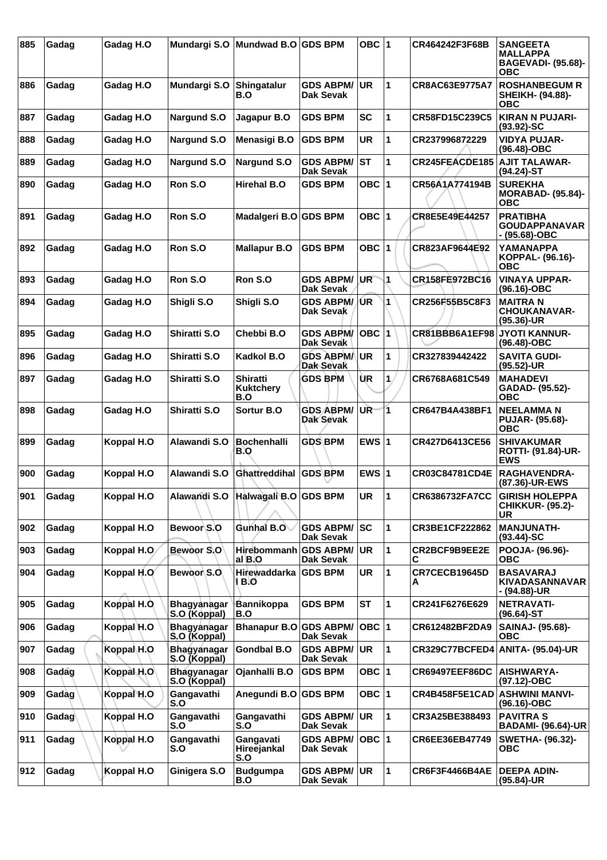| 885 | Gadag | Gadag H.O   |                                    | Mundargi S.O   Mundwad B.O   GDS BPM       |                                      | OBC $ 1$   |              | CR464242F3F68B        | <b>SANGEETA</b><br><b>MALLAPPA</b><br><b>BAGEVADI- (95.68)-</b><br><b>OBC</b> |
|-----|-------|-------------|------------------------------------|--------------------------------------------|--------------------------------------|------------|--------------|-----------------------|-------------------------------------------------------------------------------|
| 886 | Gadag | Gadag H.O   | Mundargi S.O                       | Shingatalur<br>B.O                         | <b>GDS ABPM/</b><br>Dak Sevak        | <b>UR</b>  | 1            | CR8AC63E9775A7        | <b>ROSHANBEGUM R</b><br>SHEIKH- (94.88)-<br><b>OBC</b>                        |
| 887 | Gadag | Gadag H.O   | <b>Nargund S.O</b>                 | Jagapur B.O                                | <b>GDS BPM</b>                       | SC         | 1            | CR58FD15C239C5        | <b>KIRAN N PUJARI-</b><br>$(93.92)$ -SC                                       |
| 888 | Gadag | Gadag H.O   | Nargund S.O                        | <b>Menasigi B.O</b>                        | <b>GDS BPM</b>                       | <b>UR</b>  | 1            | CR237996872229        | <b>VIDYA PUJAR-</b><br>(96.48)-OBC                                            |
| 889 | Gadag | Gadag H.O   | Nargund S.O                        | <b>Nargund S.O</b>                         | <b>GDS ABPM/</b><br><b>Dak Sevak</b> | <b>ST</b>  | 1            | <b>CR245FEACDE185</b> | <b>AJIT TALAWAR-</b><br>$(94.24)$ -ST                                         |
| 890 | Gadag | Gadag H.O   | Ron S.O                            | <b>Hirehal B.O</b>                         | <b>GDS BPM</b>                       | OBC $ 1$   |              | CR56A1A774194B        | <b>SUREKHA</b><br><b>MORABAD- (95.84)-</b><br><b>OBC</b>                      |
| 891 | Gadag | Gadag H.O   | Ron S.O                            | Madalgeri B.O GDS BPM                      |                                      | OBC $ 1$   |              | CR8E5E49E44257        | <b>PRATIBHA</b><br><b>GOUDAPPANAVAR</b><br>$-$ (95.68)-OBC                    |
| 892 | Gadag | Gadag H.O   | Ron S.O                            | <b>Mallapur B.O</b>                        | <b>GDS BPM</b>                       | OBC $ 1$   |              | CR823AF9644E92        | <b>YAMANAPPA</b><br>KOPPAL- (96.16)-<br>ОВС                                   |
| 893 | Gadag | Gadag H.O   | Ron S.O                            | Ron S.O                                    | <b>GDS ABPM/</b><br>Dak Sevak        | <b>UR</b>  | 1            | CR158FE972BC16        | <b>VINAYA UPPAR-</b><br>$(96.16)-OBC$                                         |
| 894 | Gadag | Gadag H.O   | Shigli S.O                         | Shigli S.O                                 | <b>GDS ABPM/</b><br>Dak Sevak        | /UR        | 1            | CR256F55B5C8F3        | <b>MAITRAN</b><br><b>CHOUKANAVAR-</b><br>$(95.36)$ -UR                        |
| 895 | Gadag | Gadag H.O   | Shiratti S.O                       | Chebbi B.O                                 | <b>GDS ABPM/</b><br>Dak Sevak        | <b>OBC</b> | 1            | CR81BBB6A1EF98        | <b>JYOTI KANNUR-</b><br>$(96.48)-OBC$                                         |
| 896 | Gadag | Gadag H.O   | Shiratti S.O                       | Kadkol B.O                                 | <b>GDS ABPM/</b><br>Dak Sevak        | <b>UR</b>  | 1            | CR327839442422        | <b>SAVITA GUDI-</b><br>$(95.52)$ -UR                                          |
| 897 | Gadag | Gadag H.O   | Shiratti S.O                       | <b>Shiratti</b><br><b>Kuktchery</b><br>B.O | <b>GDS BPM</b>                       | UR.        | 1.           | CR6768A681C549        | <b>MAHADEVI</b><br>GADAD- (95.52)-<br><b>OBC</b>                              |
| 898 | Gadag | Gadag H.O   | Shiratti S.O                       | Sortur B.O                                 | <b>GDS ABPM/</b><br><b>Dak Sevak</b> | UR-        | 1.           | CR647B4A438BF1        | <b>NEELAMMAN</b><br><b>PUJAR- (95.68)-</b><br><b>OBC</b>                      |
| 899 | Gadag | Koppal H.O  | Alawandi S.O                       | <b>Bochenhalli</b><br>B.O                  | <b>GDS BPM</b>                       | EWS $ 1$   |              | CR427D6413CE56        | <b>SHIVAKUMAR</b><br><b>ROTTI- (91.84)-UR-</b><br><b>EWS</b>                  |
| 900 | Gadag | Koppal H.O  | Alawandi S.O                       | Ghattreddihal GDS BPM                      |                                      | EWS $ 1$   |              | CR03C84781CD4E        | RAGHAVENDRA-<br>(87.36)-UR-EWS                                                |
| 901 | Gadag | Koppal H.O  |                                    | Alawandi S.O Halwagali B.O GDS BPM         |                                      | <b>UR</b>  | 1            | CR6386732FA7CC        | <b>GIRISH HOLEPPA</b><br><b>CHIKKUR- (95.2)-</b><br>UR.                       |
| 902 | Gadag | Koppal H.O  | Bewoor S.O                         | Gunhal B.O                                 | <b>GDS ABPM/</b><br><b>Dak Sevak</b> | SC         | 1            | CR3BE1CF222862        | <b>MANJUNATH-</b><br>$(93.44)$ -SC                                            |
| 903 | Gadag | Koppal H.O. | Bewoor S.O                         | Hirebommanh<br>al B.O                      | <b>GDS ABPM/</b><br>Dak Sevak        | <b>UR</b>  | $\mathbf{1}$ | CR2BCF9B9EE2E<br>С    | POOJA- (96.96)-<br><b>OBC</b>                                                 |
| 904 | Gadag | Koppal H.O  | Bewoor S.O.                        | Hirewaddarka<br>1 B.O                      | <b>GDS BPM</b>                       | <b>UR</b>  | 1            | CR7CECB19645D<br>А    | <b>BASAVARAJ</b><br>KIVADASANNAVAR<br>- (94.88)-UR                            |
| 905 | Gadag | Koppal H.O. | <b>Bhagyanagar</b><br>S.O (Koppal) | Bannikoppa<br>B.O                          | <b>GDS BPM</b>                       | <b>ST</b>  | 1            | CR241F6276E629        | <b>NETRAVATI-</b><br>$(96.64)$ -ST                                            |
| 906 | Gadag | Koppal H.O  | Bhagyanagar<br>S.O (Koppal)        | Bhanapur B.O GDS ABPM/                     | <b>Dak Sevak</b>                     | $OBC$  1   |              | CR612482BF2DA9        | SAINAJ- (95.68)-<br><b>OBC</b>                                                |
| 907 | Gadag | Koppal H.O  | Bhagyanagar<br>S.O (Koppal)        | <b>Gondbal B.O</b>                         | <b>GDS ABPM/</b><br>Dak Sevak        | <b>UR</b>  | $\mathbf{1}$ | CR329C77BCFED4        | ANITA- (95.04)-UR                                                             |
| 908 | Gadag | Koppal H.O  | <b>Bhagyanagar</b><br>S.O (Koppal) | Ojanhalli B.O                              | <b>GDS BPM</b>                       | OBC $ 1$   |              | <b>CR69497EEF86DC</b> | <b>AISHWARYA-</b><br>(97.12)-OBC                                              |
| 909 | Gadag | Koppal H.O  | Gangavathi<br>S.O                  | Anegundi B.O GDS BPM                       |                                      | OBC $ 1$   |              | CR4B458F5E1CAD        | <b>ASHWINI MANVI-</b><br>(96.16)-OBC                                          |
| 910 | Gadag | Koppal H.O  | Gangavathi<br>S.O                  | Gangavathi<br>S.O                          | <b>GDS ABPM/</b><br>Dak Sevak        | <b>UR</b>  | $\mathbf{1}$ | CR3A25BE388493        | <b>PAVITRAS</b><br><b>BADAMI- (96.64)-UR</b>                                  |
| 911 | Gadag | Koppal H.O  | Gangavathi<br>S.O                  | Gangavati<br>Hireejankal<br>S.O            | <b>GDS ABPM/</b><br>Dak Sevak        | $OBC$  1   |              | CR6EE36EB47749        | <b>SWETHA- (96.32)-</b><br><b>OBC</b>                                         |
| 912 | Gadag | Koppal H.O  | Ginigera S.O                       | <b>Budgumpa</b><br>B.O                     | <b>GDS ABPM/</b><br><b>Dak Sevak</b> | UR.        | $\mathbf{1}$ | <b>CR6F3F4466B4AE</b> | <b>DEEPA ADIN-</b><br>$(95.84)$ -UR                                           |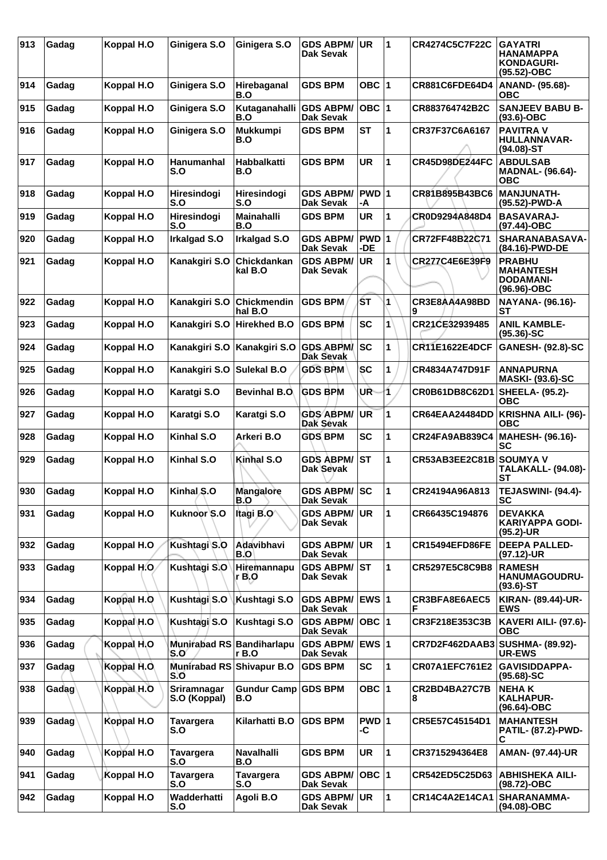| 913 | Gadag | Koppal H.O  | Ginigera S.O                     | Ginigera S.O              | <b>GDS ABPM/</b><br>Dak Sevak           | <b>UR</b>         | 1 | <b>CR4274C5C7F22C</b>           | <b>GAYATRI</b><br><b>HANAMAPPA</b><br><b>KONDAGURI-</b><br>(95.52)-OBC |
|-----|-------|-------------|----------------------------------|---------------------------|-----------------------------------------|-------------------|---|---------------------------------|------------------------------------------------------------------------|
| 914 | Gadag | Koppal H.O  | Ginigera S.O                     | Hirebaganal<br>B.O        | <b>GDS BPM</b>                          | OBC ∣1            |   | <b>CR881C6FDE64D4</b>           | ANAND- (95.68)-<br><b>OBC</b>                                          |
| 915 | Gadag | Koppal H.O  | Ginigera S.O                     | Kutaganahalli<br>B.O      | <b>GDS ABPM/</b><br>Dak Sevak           | $OBC$  1          |   | CR883764742B2C                  | <b>SANJEEV BABU B-</b><br>$(93.6)$ -OBC                                |
| 916 | Gadag | Koppal H.O  | Ginigera S.O                     | <b>Mukkumpi</b><br>B.O    | <b>GDS BPM</b>                          | <b>ST</b>         | 1 | CR37F37C6A6167                  | <b>PAVITRA V</b><br><b>HULLANNAVAR-</b><br>(94.08)-ST                  |
| 917 | Gadag | Koppal H.O  | <b>Hanumanhal</b><br>S.O         | Habbalkatti<br>B.O        | <b>GDS BPM</b>                          | UR                | 1 | <b>CR45D98DE244FC</b>           | <b>ABDULSAB</b><br><b>MADNAL- (96.64)-</b><br><b>OBC</b>               |
| 918 | Gadag | Koppal H.O  | Hiresindogi<br>S.O               | Hiresindogi<br>S.O        | <b>GDS ABPM/</b><br><b>Dak Sevak</b>    | PWD 1<br>-A       |   | CR81B895B43BC6                  | <b>MANJUNATH-</b><br>(95.52)-PWD-A                                     |
| 919 | Gadag | Koppal H.O  | Hiresindogi<br>S.O               | <b>Mainahalli</b><br>B.O  | <b>GDS BPM</b>                          | <b>UR</b>         | 1 | CR0D9294A848D4                  | <b>BASAVARAJ-</b><br>(97.44)-OBC                                       |
| 920 | Gadag | Koppal H.O  | <b>Irkalgad S.O</b>              | <b>Irkalgad S.O</b>       | <b>GDS ABPM/</b><br><b>Dak Sevak</b>    | <b>PWD</b><br>-DE |   | CR72FF48B22C71                  | SHARANABASAVA-<br>(84.16)-PWD-DE                                       |
| 921 | Gadag | Koppal H.O  | Kanakgiri S.O                    | Chickdankan<br>kal B.O    | <b>GDS ABPM/</b><br>Dak Sevak           | <b>UR</b>         | 1 | CR277C4E6E39F9                  | <b>PRABHU</b><br><b>MAHANTESH</b><br><b>DODAMANI-</b><br>(96.96)-OBC   |
| 922 | Gadag | Koppal H.O  | Kanakgiri S.O                    | Chickmendin<br>hal B.O    | <b>GDS BPM</b>                          | ŚТ                | 1 | CR3E8AA4A98BD<br>9              | NAYANA- (96.16)-<br>SТ                                                 |
| 923 | Gadag | Koppal H.O  | Kanakgiri S.O                    | <b>Hirekhed B.O</b>       | <b>GDS BPM</b>                          | <b>SC</b>         | 1 | CR21CE32939485                  | <b>ANIL KAMBLE-</b><br>$(95.36) - SC$                                  |
| 924 | Gadag | Koppal H.O  | Kanakgiri S.O                    | Kanakgiri S.O             | <b>GDS ABPM/</b><br><b>Dak Sevak</b>    | <b>SC</b>         | 1 | <b>CR11E1622E4DCF</b>           | <b>GANESH- (92.8)-SC</b>                                               |
| 925 | Gadag | Koppal H.O  | Kanakgiri S.O                    | <b>Sulekal B.O</b>        | <b>GDS BPM</b>                          | <b>SC</b>         | 1 | CR4834A747D91F                  | <b>ANNAPURNA</b><br><b>MASKI- (93.6)-SC</b>                            |
| 926 | Gadag | Koppal H.O  | Karatgi S.O                      | <b>Bevinhal B.O</b>       | <b>GDS BPM</b>                          | UŘ                | 1 | CR0B61DB8C62D1                  | SHEELA- (95.2)-<br><b>OBC</b>                                          |
| 927 | Gadag | Koppal H.O  | Karatgi S.O                      | Karatgi S.O               | <b>GDS ABPM/</b><br>Dak Sévak           | UR                | 1 | CR64EAA24484DD                  | <b>KRISHNA AILI- (96)-</b><br>овс                                      |
| 928 | Gadag | Koppal H.O  | Kinhal S.O                       | Arkeri B.O                | <b>GDS BPM</b>                          | <b>SC</b>         | 1 | <b>CR24FA9AB839C4</b>           | <b>MAHESH- (96.16)-</b><br>SC                                          |
| 929 | Gadag | Koppal H.O  | Kinhal S.O                       | Kinhal S.O                | <b>GDS ABPM/</b><br>Dak Sevak           | IST               | 1 | CR53AB3EE2C81B SOUMYA V         | <b>TALAKALL- (94.08)-</b><br><b>ST</b>                                 |
| 930 | Gadag | Koppal H.O  | Kinhal S.O                       | <b>Mangalore</b><br>B.O   | <b>GDS ABPM/ SC</b><br><b>Dak Sevak</b> |                   | 1 | CR24194A96A813                  | TEJASWINI- (94.4)-<br><b>SC</b>                                        |
| 931 | Gadag | Koppal H.O  | Kuknoor S.O                      | Itagi B.O                 | <b>GDS ABPM/</b><br><b>Dak Sevak</b>    | <b>UR</b>         | 1 | CR66435C194876                  | <b>DEVAKKA</b><br><b>KARIYAPPA GODI-</b><br>(95.2)-UR                  |
| 932 | Gadag | Koppal H.O  | Kushtagi S.O                     | Adavibhavi<br>B.O         | <b>GDS ABPM/</b><br>Dak Sevak           | <b>UR</b>         | 1 | <b>CR15494EFD86FE</b>           | <b>DEEPA PALLED-</b><br>(97.12)-UR                                     |
| 933 | Gadag | Koppal H.O. | Kushtagi S.O                     | Hiremannapu<br>r B.O      | <b>GDS ABPM/ ST</b><br>Dak Sevak        |                   | 1 | CR5297E5C8C9B8                  | <b>RAMESH</b><br><b>HANUMAGOUDRU-</b><br>$(93.6)$ -ST                  |
| 934 | Gadag | Koppal H.O  | Kushtagi S.O                     | Kushtagi S.O              | <b>GDS ABPM/</b><br><b>Dak Sevak</b>    | <b>EWS 1</b>      |   | CR3BFA8E6AEC5<br>F              | KIRAN- (89.44)-UR-<br><b>EWS</b>                                       |
| 935 | Gadag | Koppal H.O  | Kushtagi S.O                     | Kushtagi S.O              | <b>GDS ABPM/</b><br>Dak Sevak           | OBC  1            |   | CR3F218E353C3B                  | <b>KAVERI AILI- (97.6)-</b><br><b>OBC</b>                              |
| 936 | Gadag | Koppal H.O  | Munirabad RS Bandiharlapu<br>S.O | r B.O                     | <b>GDS ABPM/</b><br>Dak Sevak           | <b>EWS 1</b>      |   | CR7D2F462DAAB3 SUSHMA- (89.92)- | <b>UR-EWS</b>                                                          |
| 937 | Gadag | Koppal H.O. | Munirabad RS Shivapur B.O<br>S.O |                           | <b>GDS BPM</b>                          | <b>SC</b>         | 1 | CR07A1EFC761E2                  | <b>GAVISIDDAPPA-</b><br>$(95.68) - SC$                                 |
| 938 | Gadag | Koppal H.O  | Sriramnagar<br>S.O (Koppal)      | <b>Gundur Camp</b><br>B.O | <b>GDS BPM</b>                          | OBC 1             |   | CR2BD4BA27C7B<br>8              | <b>NEHAK</b><br><b>KALHAPUR-</b><br>(96.64)-OBC                        |
| 939 | Gadag | Koppal H.O  | Tavargera<br>S.O                 | Kilarhatti B.O            | <b>GDS BPM</b>                          | $PWD$ 1<br>-C     |   | CR5E57C45154D1                  | <b>MAHANTESH</b><br><b>PATIL- (87.2)-PWD-</b><br>С                     |
| 940 | Gadag | Koppal H.O  | Tavargera<br>S.O                 | <b>Navalhalli</b><br>B.O  | <b>GDS BPM</b>                          | UR                | 1 | CR3715294364E8                  | AMAN- (97.44)-UR                                                       |
| 941 | Gadag | Koppal H.O  | Tavargera<br>S.O                 | Tavargera<br>S.O          | <b>GDS ABPM/</b><br>Dak Sevak           | OBC  1            |   | CR542ED5C25D63                  | <b>ABHISHEKA AILI-</b><br>(98.72)-OBC                                  |
| 942 | Gadag | Koppal H.O  | Wadderhatti<br>S.O               | Agoli B.O                 | <b>GDS ABPM/ UR</b><br><b>Dak Sevak</b> |                   | 1 | CR14C4A2E14CA1                  | SHARANAMMA-<br>(94.08)-OBC                                             |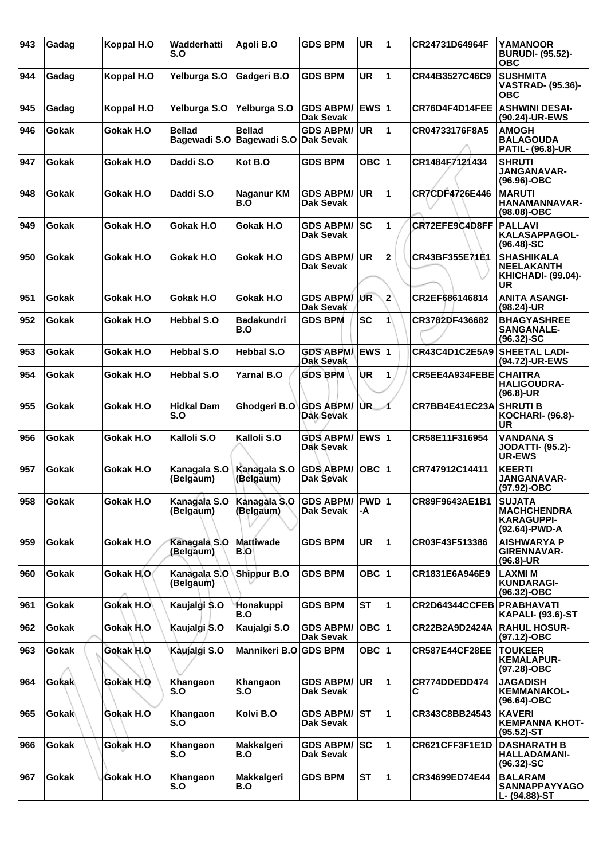| 943 | Gadag        | Koppal H.O | Wadderhatti<br>S.O            | Agoli B.O                               | <b>GDS BPM</b>                       | <b>UR</b>    | 1                       | CR24731D64964F                | <b>YAMANOOR</b><br><b>BURUDI- (95.52)-</b><br><b>OBC</b>                  |
|-----|--------------|------------|-------------------------------|-----------------------------------------|--------------------------------------|--------------|-------------------------|-------------------------------|---------------------------------------------------------------------------|
| 944 | Gadag        | Koppal H.O | Yelburga S.O                  | Gadgeri B.O                             | <b>GDS BPM</b>                       | <b>UR</b>    | 1                       | CR44B3527C46C9                | <b>SUSHMITA</b><br><b>VASTRAD- (95.36)-</b><br><b>OBC</b>                 |
| 945 | Gadag        | Koppal H.O | Yelburga S.O                  | Yelburga S.O                            | <b>GDS ABPM/</b><br><b>Dak Sevak</b> | <b>EWS 1</b> |                         | CR76D4F4D14FEE                | <b>ASHWINI DESAI-</b><br>(90.24)-UR-EWS                                   |
| 946 | <b>Gokak</b> | Gokak H.O  | <b>Bellad</b><br>Bagewadi S.O | <b>Bellad</b><br>Bagewadi S.O Dak Sevak | <b>GDS ABPM/</b>                     | <b>UR</b>    | 1                       | CR04733176F8A5                | <b>AMOGH</b><br><b>BALAGOUDA</b><br><b>PATIL- (96.8)-UR</b>               |
| 947 | Gokak        | Gokak H.O  | Daddi S.O                     | Kot B.O                                 | <b>GDS BPM</b>                       | OBC $ 1$     |                         | CR1484F7121434                | <b>SHRUTI</b><br>JANGANAVAR-<br>$(96.96)$ -OBC                            |
| 948 | Gokak        | Gokak H.O  | Daddi S.O                     | Naganur KM<br>B.O                       | <b>GDS ABPM/</b><br><b>Dak Sevak</b> | <b>UR</b>    | $\mathbf{1}$            | <b>CR7CDF4726E446</b>         | <b>MARUTI</b><br>HANAMANNAVAR-<br>(98.08)-OBC                             |
| 949 | Gokak        | Gokak H.O  | Gokak H.O                     | Gokak H.O                               | <b>GDS ABPM/</b><br><b>Dak Sevak</b> | lsc          | 1                       | CR72EFE9C4D8FF                | <b>PALLAVI</b><br>KALASAPPAGOL-<br>$(96.48) - SC$                         |
| 950 | <b>Gokak</b> | Gokak H.O  | Gokak H.O                     | Gokak H.O                               | <b>GDS ABPM/</b><br>Dak Sevak        | <b>UR</b>    | $\overline{\mathbf{2}}$ | CR43BF355E71E1                | <b>SHASHIKALA</b><br><b>NEELAKANTH</b><br><b>KHICHADI- (99.04)-</b><br>UR |
| 951 | Gokak        | Gokak H.O  | Gokak H.O                     | Gokak H.O                               | <b>GDS ABPM/</b><br>Dak Sevak        | UR           | $\overline{2}$          | CR2EF686146814                | <b>ANITA ASANGI-</b><br>$(98.24)$ -UR                                     |
| 952 | Gokak        | Gokak H.O  | <b>Hebbal S.O</b>             | <b>Badakundri</b><br>B.O                | <b>GDS BPM</b>                       | <b>SC</b>    | 1                       | CR3782DF436682                | <b>BHAGYASHREE</b><br><b>SANGANALE-</b><br>$(96.32) - SC$                 |
| 953 | <b>Gokak</b> | Gokak H.O  | <b>Hebbal S.O</b>             | <b>Hebbal S.O</b>                       | <b>GDS ABPM/</b><br>Dak Sevak        | <b>EWS 1</b> |                         | CR43C4D1C2E5A9                | <b>SHEETAL LADI-</b><br>(94.72)-UR-EWS                                    |
| 954 | Gokak        | Gokak H.O  | <b>Hebbal S.O</b>             | <b>Yarnal B.O</b>                       | <b>GDS BPM</b>                       | UR           | 1                       | <b>CR5EE4A934FEBE CHAITRA</b> | <b>HALIGOUDRA-</b><br>$(96.8)$ -UR                                        |
| 955 | Gokak        | Gokak H.O  | <b>Hidkal Dam</b><br>S.O      | Ghodgeri B.O                            | <b>GDS ABPM/</b><br>Dak Sevak        | ÙR.          | イ                       | CR7BB4E41EC23A                | <b>SHRUTI B</b><br><b>KOCHARI- (96.8)-</b><br><b>UR</b>                   |
| 956 | Gokak        | Gokak H.O  | Kalloli S.O                   | Kalloli S.O                             | <b>GDS ABPM/</b><br>Dak Sevak        | EWS $ 1$     |                         | CR58E11F316954                | <b>VANDANA S</b><br><b>JODATTI- (95.2)-</b><br><b>UR-EWS</b>              |
| 957 | Gokak        | Gokak H.O  | Kanagala S.O<br>(Belgaum)     | Kanagala S.O<br>(Belgaum)               | <b>GDS ABPM/</b><br>Dak Sevak        | OBC 1        |                         | CR747912C14411                | <b>KEERTI</b><br><b>JANGANAVAR-</b><br>(97.92)-OBC                        |
| 958 | Gokak        | Gokak H.O  | Kanagala S.O<br>(Belgaum)     | Kanagala S.O<br>(Belgaum)               | <b>GDS ABPM/</b><br>Dak Sevak        | PWD 1<br>-A  |                         | CR89F9643AE1B1                | <b>SUJATA</b><br><b>MACHCHENDRA</b><br><b>KARAGUPPI-</b><br>(92.64)-PWD-A |
| 959 | Gokak        | Gokak H.O  | Kanagala S.O<br>(Belgaum)     | <b>Mattiwade</b><br>B.O                 | <b>GDS BPM</b>                       | <b>UR</b>    | $\mathbf{1}$            | CR03F43F513386                | <b>AISHWARYA P</b><br><b>GIRENNAVAR-</b><br>$(96.8)$ -UR                  |
| 960 | Gokak        | Gokak H.O  | Kanagala S.O<br>(Belgaum)     | Shippur B.O                             | <b>GDS BPM</b>                       | OBC $ 1$     |                         | CR1831E6A946E9                | <b>LAXMIM</b><br><b>KUNDARAGI-</b><br>(96.32)-OBC                         |
| 961 | Gokak        | Gokak H.O  | Kaujalgi \$.0                 | Honakuppi<br>B.O                        | <b>GDS BPM</b>                       | <b>ST</b>    | 1                       | CR2D64344CCFEB                | <b>PRABHAVATI</b><br><b>KAPALI- (93.6)-ST</b>                             |
| 962 | Gokak        | Gokak H.O  | Kaujalgi S.O                  | Kaujalgi S.O                            | <b>GDS ABPM/</b><br>Dak Sevak        | $OBC$  1     |                         | CR22B2A9D2424A                | <b>RAHUL HOSUR-</b><br>(97.12)-OBC                                        |
| 963 | Gokak        | Gokak H.O  | Kaujalgi S.O                  | Mannikeri B.O GDS BPM                   |                                      | OBC $ 1$     |                         | CR587E44CF28EE                | <b>TOUKEER</b><br><b>KEMALAPUR-</b><br>(97.28)-OBC                        |
| 964 | Gokak        | Gokak H.O  | Khangaon<br>S.O               | Khangaon<br>S.O                         | <b>GDS ABPM/</b><br>Dak Sevak        | <b>UR</b>    | $\mathbf{1}$            | CR774DDEDD474<br>С            | <b>JAGADISH</b><br><b>KEMMANAKOL-</b><br>(96.64)-OBC                      |
| 965 | <b>Gokak</b> | Gokak H.O  | Khangaon<br>S.O               | Kolvi B.O                               | <b>GDS ABPM/</b><br>Dak Sevak        | <b>ST</b>    | $\mathbf{1}$            | CR343C8BB24543                | <b>KAVERI</b><br><b>KEMPANNA KHOT-</b><br>$(95.52)$ -ST                   |
| 966 | Gokak        | Gokak H.O  | Khangaon<br>S.O               | Makkalgeri<br>B.O                       | <b>GDS ABPM/</b><br>Dak Sevak        | lsc          | $\mathbf{1}$            | CR621CFF3F1E1D                | <b>DASHARATH B</b><br><b>HALLADAMANI-</b><br>$(96.32) - SC$               |
| 967 | Gokak        | Gokak H.O  | Khangaon<br>S.O               | Makkalgeri<br>B.O                       | <b>GDS BPM</b>                       | <b>ST</b>    | $\mathbf{1}$            | CR34699ED74E44                | <b>BALARAM</b><br><b>SANNAPPAYYAGO</b><br>L- (94.88)-ST                   |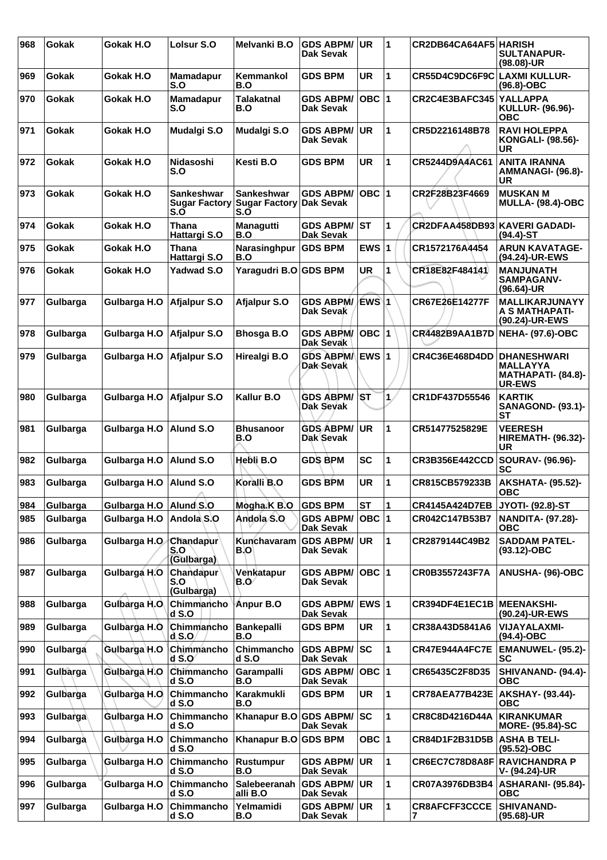| 968 | Gokak    | Gokak H.O     | Lolsur S.O                            | Melvanki B.O                                               | <b>GDS ABPM/</b><br>Dak Sevak        | <b>UR</b> | 1  | CR2DB64CA64AF5 HARISH   | <b>SULTANAPUR-</b><br>(98.08)-UR                                                     |
|-----|----------|---------------|---------------------------------------|------------------------------------------------------------|--------------------------------------|-----------|----|-------------------------|--------------------------------------------------------------------------------------|
| 969 | Gokak    | Gokak H.O     | <b>Mamadapur</b><br>S.O               | Kemmankol<br>B.O                                           | <b>GDS BPM</b>                       | UR        | 1  | CR55D4C9DC6F9C          | <b>LAXMI KULLUR-</b><br>(96.8)-OBC                                                   |
| 970 | Gokak    | Gokak H.O     | Mamadapur<br>S.O                      | Talakatnal<br>B.O                                          | <b>GDS ABPM/</b><br>Dak Sevak        | OBC  1    |    | CR2C4E3BAFC345 YALLAPPA | <b>KULLUR- (96.96)-</b><br>ОВС                                                       |
| 971 | Gokak    | Gokak H.O     | Mudalgi S.O                           | <b>Mudalgi S.O</b>                                         | <b>GDS ABPM/</b><br><b>Dak Sevak</b> | <b>UR</b> | 1  | CR5D2216148B78          | <b>RAVI HOLEPPA</b><br><b>KONGALI- (98.56)-</b><br>UR                                |
| 972 | Gokak    | Gokak H.O     | Nidasoshi<br>S.O                      | Kesti B.O                                                  | <b>GDS BPM</b>                       | UR        | 1  | CR5244D9A4AC61          | ANITA IRANNA<br>AMMANAGI- (96.8)-<br>UR                                              |
| 973 | Gokak    | Gokak H.O     | Sankeshwar<br>$S_{0}$                 | Sankeshwar<br>Sugar Factory Sugar Factory Dak Sevak<br>S.O | <b>GDS ABPM/</b>                     | OBC  1    |    | CR2F28B23F4669          | <b>MUSKAN M</b><br><b>MULLA- (98.4)-OBC</b>                                          |
| 974 | Gokak    | Gokak H.O     | <b>Thana</b><br>Hattargi S.O          | Managutti<br>B.O                                           | <b>GDS ABPM/</b><br><b>Dak Sevak</b> | <b>ST</b> | 1  | CR2DFAA458DB93          | KAVERI GADADI-<br>(94.4)-ST                                                          |
| 975 | Gokak    | Gokak H.O     | Thana<br>Hattargi S.O                 | Narasinghpur<br>B.O                                        | <b>GDS BPM</b>                       | EWS $ 1$  |    | CR1572176A4454          | <b>ARUN KAVATAGE-</b><br>(94.24)-UR-EWS                                              |
| 976 | Gokak    | Gokak H.O     | <b>Yadwad S.O</b>                     | Yaragudri B.O GDS BPM                                      |                                      | <b>UR</b> | 1  | CR18E82F484141          | <b>MANJUNATH</b><br><b>SAMPAGANV-</b><br>(96.64)-UR                                  |
| 977 | Gulbarga | Gulbarga H.O  | Afjalpur S.O                          | Afjalpur S.O                                               | <b>GDS ABPM/</b><br>Dak Sevak        | EWS\1     |    | CR67E26E14277F          | <b>MALLIKARJUNAYY</b><br>A S MATHAPATI-<br>(90.24)-UR-EWS                            |
| 978 | Gulbarga | Gulbarga H.O  | Afjalpur S.O                          | <b>Bhosga B.O</b>                                          | <b>GDS ABPM/</b><br>Dak Sevak        | ∣OBC I    | 11 | <b>CR4482B9AA1B7D</b>   | <b>NEHA- (97.6)-OBC</b>                                                              |
| 979 | Gulbarga | Gulbarga H.O  | Afjalpur S.O                          | Hirealgi B.O                                               | GDS ABPM/ EWS 1<br>Dak Sevak         |           |    | CR4C36E468D4DD          | <b>IDHANESHWARI</b><br><b>MALLAYYA</b><br><b>MATHAPATI- (84.8)-</b><br><b>UR-EWS</b> |
| 980 | Gulbarga | Gulbarga H.O  | Afjalpur S.O                          | Kallur B.O                                                 | <b>GDS ABPM/</b><br><b>Dak Sevak</b> | \ST       | 1. | CR1DF437D55546          | <b>KARTIK</b><br><b>SANAGOND- (93.1)-</b><br><b>ST</b>                               |
| 981 | Gulbarga | Gulbarga H.O  | Alund S.O                             | <b>Bhusanoor</b><br>B.O                                    | <b>GDS ABPM/</b><br>Dak Sevak        | <b>UR</b> | 1  | CR51477525829E          | <b>VEERESH</b><br><b>HIREMATH- (96.32)-</b><br>UR                                    |
| 982 | Gulbarga | Gulbarga H.O  | Alund S.O                             | Hebli B.O                                                  | <b>GDS BPM</b>                       | <b>SC</b> | 1  | <b>CR3B356E442CCD</b>   | SOURAV- (96.96)-<br><b>SC</b>                                                        |
| 983 | Gulbarga | Gulbarga H.O  | Alund S.O                             | Koralli B.O                                                | <b>GDS BPM</b>                       | <b>UR</b> | 1  | CR815CB579233B          | <b>AKSHATA- (95.52)-</b><br><b>OBC</b>                                               |
| 984 | Gulbarga | Gulbarga H.O  | Alund S.O                             | Mogha K B.O                                                | <b>GDS BPM</b>                       | <b>ST</b> | 1  | <b>CR4145A424D7EB</b>   | <b>JYOTI- (92.8)-ST</b>                                                              |
| 985 | Gulbarga | Gulbarga H.O  | Andola S.O                            | Andola S.O                                                 | <b>GDS ABPM/</b><br><b>Dak Sevak</b> | OBC  1    |    | CR042C147B53B7          | <b>NANDITA- (97.28)-</b><br>овс                                                      |
| 986 | Gulbarga | Gulbarga H.O. | Chandapur<br>S.O<br>(Gulbarga)        | Kunchavaram<br>B.O                                         | <b>GDS ABPM/</b><br>Dak Sevak        | <b>UR</b> | 1  | CR2879144C49B2          | <b>SADDAM PATEL-</b><br>$(93.12) - OBC$                                              |
| 987 | Gulbarga | Gulbarga H.O  | <b>Chandapur</b><br>S.O<br>(Gulbarga) | Venkatapur<br>B.O⁄                                         | <b>GDS ABPM/</b><br>Dak Sevak        | OBC  1    |    | CR0B3557243F7A          | ANUSHA- (96)-OBC                                                                     |
| 988 | Gulbarga | Gulbarga H.O  | Chimmancho<br>$d$ S.O                 | <b>Anpur B.O</b>                                           | GDS ABPM/ EWS 1<br>Dak Sevak         |           |    | CR394DF4E1EC1B          | <b>IMEENAKSHI-</b><br>(90.24)-UR-EWS                                                 |
| 989 | Gulbarga | Gulbarga H.O  | Chimmancho<br>$d$ S.O.                | <b>Bankepalli</b><br>B.O                                   | <b>GDS BPM</b>                       | <b>UR</b> | 1  | CR38A43D5841A6          | <b>VIJAYALAXMI-</b><br>(94.4)-OBC                                                    |
| 990 | Gulbarga | Gulbarga H.O  | Chimmancho<br>$d$ S.O                 | Chimmancho<br>$d$ S.O                                      | <b>GDS ABPM/</b><br><b>Dak Sevak</b> | lsc       | 1  | CR47E944A4FC7E          | <b>EMANUWEL- (95.2)-</b><br><b>SC</b>                                                |
| 991 | Gulbarga | Gulbarga H.O  | Chimmancho<br>$d$ S.O                 | Garampalli<br>B.O                                          | <b>GDS ABPM/</b><br>Dak Sevak        | $OBC$  1  |    | CR65435C2F8D35          | <b>SHIVANAND- (94.4)-</b><br>ОВС                                                     |
| 992 | Gulbarga | Gulbarga H.O  | Chimmancho<br>$d$ S.O                 | Karakmukli<br>B.O                                          | <b>GDS BPM</b>                       | UR        | 1  | CR78AEA77B423E          | AKSHAY- (93.44)-<br>ОВС                                                              |
| 993 | Gulbarga | Gulbarga H.O  | Chimmancho<br>dS.0                    | Khanapur B.O GDS ABPM/                                     | Dak Sevak                            | lsc       | 1  | CR8C8D4216D44A          | KIRANKUMAR<br><b>MORE- (95.84)-SC</b>                                                |
| 994 | Gulbarga | Gulbarga H.O  | Chimmancho<br>d S.O                   | Khanapur B.O                                               | <b>GDS BPM</b>                       | OBC 1     |    | CR84D1F2B31D5B          | <b>ASHA B TELI-</b><br>(95.52)-OBC                                                   |
| 995 | Gulbarga | Gulbarga H.O  | Chimmancho<br>dS.0                    | <b>Rustumpur</b><br>B.O                                    | <b>GDS ABPM/</b><br><b>Dak Sevak</b> | <b>UR</b> | 1  | CR6EC7C78D8A8F          | <b>RAVICHANDRA P</b><br>V- (94.24)-UR                                                |
| 996 | Gulbarga | Gulbarga H.O  | Chimmancho<br>dS.0                    | Salebeeranah<br>alli B.O                                   | <b>GDS ABPM/</b><br><b>Dak Sevak</b> | <b>UR</b> | 1  | CR07A3976DB3B4          | ASHARANI- (95.84)-<br><b>OBC</b>                                                     |
| 997 | Gulbarga | Gulbarga H.O  | Chimmancho<br>$d$ S.O                 | Yelmamidi<br>B.O                                           | <b>GDS ABPM/</b><br>Dak Sevak        | UR        | 1  | CR8AFCFF3CCCE<br>7      | <b>SHIVANAND-</b><br>(95.68)-UR                                                      |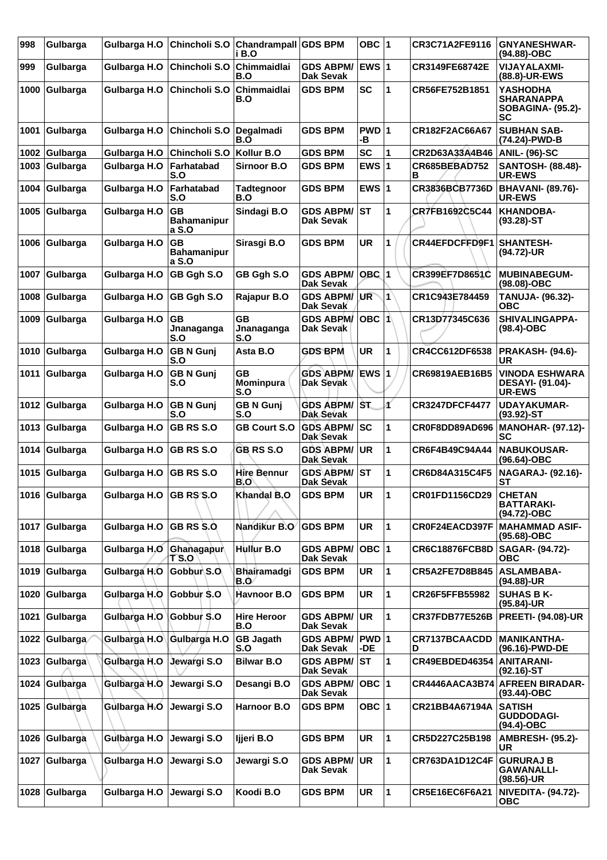| 998  | Gulbarga      | Gulbarga H.O           | Chincholi S.O                            | <b>Chandrampall</b><br>i B.O   | <b>GDS BPM</b>                          | OBC 1           |   | CR3C71A2FE9116        | <b>GNYANESHWAR-</b><br>(94.88)-OBC                              |
|------|---------------|------------------------|------------------------------------------|--------------------------------|-----------------------------------------|-----------------|---|-----------------------|-----------------------------------------------------------------|
| 999  | Gulbarga      | Gulbarga H.O           | Chincholi S.O                            | Chimmaidlai<br>B.O             | <b>GDS ABPM/</b><br><b>Dak Sevak</b>    | <b>EWS 1</b>    |   | CR3149FE68742E        | <b>VIJAYALAXMI-</b><br>(88.8)-UR-EWS                            |
| 1000 | Gulbarga      | Gulbarga H.O           | Chincholi S.O                            | Chimmaidlai<br>B.O             | <b>GDS BPM</b>                          | <b>SC</b>       | 1 | CR56FE752B1851        | YASHODHA<br><b>SHARANAPPA</b><br><b>SOBAGINA- (95.2)-</b><br>SC |
| 1001 | Gulbarga      | Gulbarga H.O           | Chincholi S.O                            | Degalmadi<br>B.O               | <b>GDS BPM</b>                          | PWD 1<br>-В     |   | CR182F2AC66A67        | <b>SUBHAN SAB-</b><br>(74.24)-PWD-B                             |
| 1002 | Gulbarga      | Gulbarga H.O           | Chincholi S.O                            | Kollur B.O                     | <b>GDS BPM</b>                          | <b>SC</b>       | 1 | CR2D63A33A4B46        | ANIL- (96)-SC                                                   |
| 1003 | Gulbarga      | Gulbarga H.O           | Farhatabad<br>S.O                        | <b>Sirnoor B.O</b>             | <b>GDS BPM</b>                          | EWS $ 1$        |   | CR685BEBAD752<br>в    | <b>SANTOSH- (88.48)-</b><br><b>UR-EWS</b>                       |
| 1004 | Gulbarga      | Gulbarga H.O           | Farhatabad<br>S.O                        | <b>Tadtegnoor</b><br>B.O       | GDS BPM                                 | EWS $ 1$        |   | CR3836BCB7736D        | <b>BHAVANI- (89.76)-</b><br><b>UR-EWS</b>                       |
| 1005 | Gulbarga      | Gulbarga H.O           | <b>GB</b><br><b>Bahamanipur</b><br>a S.O | Sindagi B.O                    | <b>GDS ABPM/</b><br><b>Dak Sevak</b>    | ∣sт             | 1 | CR7FB1692C5C44        | <b>KHANDOBA-</b><br>$(93.28)$ -ST                               |
| 1006 | Gulbarga      | Gulbarga H.O           | <b>GB</b><br><b>Bahamanipur</b><br>a S.O | Sirasgi B.O                    | <b>GDS BPM</b>                          | <b>UR</b>       | 1 | CR44EFDCFFD9F1        | <b>SHANTESH-</b><br>(94.72)-UR                                  |
| 1007 | Gulbarga      | Gulbarga H.O           | GB Ggh S.O                               | GB Ggh S.O                     | <b>GDS ABPM/</b><br><b>Dak Sevak</b>    | $OBC$ 1         |   | CR399EF7D8651C        | <b>MUBINABEGUM-</b><br>(98.08)-OBC                              |
| 1008 | Gulbarga      | Gulbarga H.O           | GB Ggh S.O                               | Rajapur B.O                    | <b>GDS ABPM/</b><br>Dak Sevak           | UR <sup>-</sup> | 1 | CR1C943E784459        | TANUJA- (96.32)-<br>овс                                         |
| 1009 | Gulbarga      | Gulbarga H.O           | <b>GB</b><br>Jnanaganga<br>S.O           | <b>GB</b><br>Jnanaganga<br>S.O | <b>GDS ABPM/</b><br><b>Dak Sevak</b>    | OBC 1           |   | CR13D77345C636        | SHIVALINGAPPA-<br>$(98.4)$ -OBC                                 |
| 1010 | Gulbarga      | Gulbarga H.O           | <b>GB N Gunj</b><br>S.O                  | Asta B.O                       | <b>GDS BPM</b>                          | <b>UR</b>       | 1 | CR4CC612DF6538        | <b>PRAKASH- (94.6)-</b><br>UR                                   |
| 1011 | Gulbarga      | Gulbarga H.O           | <b>GB N Gunj</b><br>S.O                  | GB<br><b>Mominpura</b><br>S.O  | <b>GDS ABPM/</b><br><b>Dak Sevak</b>    | <b>EWS 1</b>    |   | CR69819AEB16B5        | <b>VINODA ESHWARA</b><br>DESAYI- (91.04)-<br><b>UR-EWS</b>      |
| 1012 | Gulbarga      | Gulbarga H.O           | <b>GBN Gunj</b><br>S.O                   | <b>GBN Gunj</b><br>S.O         | <b>GDS ABPM/ST</b><br>Dak Sevak         |                 | ď | <b>CR3247DFCF4477</b> | <b>UDAYAKUMAR-</b><br>$(93.92)$ -ST                             |
| 1013 | Gulbarga      | Gulbarga H.O           | GB RS S.O                                | <b>GB Court S.O</b>            | <b>GDS ABPM/ SC</b><br><b>Dak Sevak</b> |                 | 1 | CR0F8DD89AD696        | MANOHAR- (97.12)-<br>SC                                         |
| 1014 | Gulbarga      | Gulbarga H.O           | <b>GB RS S.O</b>                         | <b>GB RS S.O</b>               | <b>GDS ABPM/</b><br>Dak Sevak           | <b>UR</b>       | 1 | CR6F4B49C94A44        | <b>NABUKOUSAR-</b><br>(96.64)-OBC                               |
| 1015 | Gulbarga      | Gulbarga H.O           | <b>GB RS S.O</b>                         | Hire Bennur<br>B.O             | <b>GDS ABPM/</b><br><b>Dak Sevak</b>    | lst             | 1 | CR6D84A315C4F5        | <b>NAGARAJ- (92.16)-</b><br>SТ                                  |
|      | 1016 Gulbarga | Gulbarga H.O GB RS S.O |                                          | Khandal B.O                    | <b>GDS BPM</b>                          | <b>UR</b>       | 1 | CR01FD1156CD29        | <b>CHETAN</b><br><b>BATTARAKI-</b><br>(94.72)-OBC               |
|      | 1017 Gulbarga | Gulbarga H.O           | <b>GB RS S.O.</b>                        | Nandikur B.O                   | <b>GDS BPM</b>                          | <b>UR</b>       | 1 | CR0F24EACD397F        | <b>MAHAMMAD ASIF-</b><br>(95.68)-OBC                            |
|      | 1018 Gulbarga | Gulbarga H.O           | Ghanagapur<br><b>TS.O</b>                | Hullur B.O                     | <b>GDS ABPM/</b><br><b>Dak Sevak</b>    | $OBC$  1        |   | <b>CR6C18876FCB8D</b> | SAGAR- (94.72)-<br><b>OBC</b>                                   |
| 1019 | Gulbarga      | Gulbarga H.O           | Gobbur S.O.                              | Bhairamadgi<br>B.O             | <b>GDS BPM</b>                          | UR              | 1 | <b>CR5A2FE7D8B845</b> | <b>ASLAMBABA-</b><br>(94.88)-UR                                 |
| 1020 | Gulbarga      | Gulbarga H.O           | Gobbur \$.0                              | Havnoor B.O                    | <b>GDS BPM</b>                          | <b>UR</b>       | 1 | CR26F5FFB55982        | <b>SUHAS B K-</b><br>(95.84)-UR                                 |
| 1021 | Gulbarga      | Gulbarga H.O           | Gobbur S.O                               | <b>Hire Heroor</b><br>B.O      | <b>GDS ABPM/</b><br><b>Dak Sevak</b>    | <b>UR</b>       | 1 | CR37FDB77E526B        | <b>PREETI- (94.08)-UR</b>                                       |
| 1022 | Gulbarga      | Gulbarga H.O           | Gulbarga H.O                             | <b>GB Jagath</b><br>S.O        | <b>GDS ABPM/</b><br>Dak Sevak           | PWD 1<br>-DE.   |   | CR7137BCAACDD<br>D    | <b>MANIKANTHA-</b><br>(96.16)-PWD-DE                            |
| 1023 | Gulbarga      | Gulbarga H.O           | Jewargi S.O                              | <b>Bilwar B.O</b>              | <b>GDS ABPM/</b><br><b>Dak Sevak</b>    | IST.            | 1 | <b>CR49EBDED46354</b> | <b>ANITARANI-</b><br>$(92.16)-ST$                               |
| 1024 | Gulbarga      | Gulbarga H.O           | Jewargi S.O                              | Desangi B.O                    | <b>GDS ABPM/</b><br><b>Dak Sevak</b>    | $OBC$  1        |   | CR4446AACA3B74        | <b>AFREEN BIRADAR-</b><br>(93.44)-OBC                           |
| 1025 | Gulbarga      | Gulbarga H.O           | Jewargi S.O                              | Harnoor B.O                    | <b>GDS BPM</b>                          | OBC $ 1$        |   | CR21BB4A67194A        | <b>SATISH</b><br><b>GUDDODAGI-</b><br>(94.4)-OBC                |
| 1026 | Gulbarga      | Gulbarga H.O           | Jewargi S.O                              | Ijjeri B.O                     | <b>GDS BPM</b>                          | <b>UR</b>       | 1 | CR5D227C25B198        | <b>AMBRESH- (95.2)-</b><br>UR                                   |
| 1027 | Gulbarga      | Gulbarga H.O           | Jewargi S.O                              | Jewargi S.O                    | <b>GDS ABPM/</b><br>Dak Sevak           | UR              | 1 | CR763DA1D12C4F        | <b>GURURAJ B</b><br><b>GAWANALLI-</b><br>(98.56)-UR             |
| 1028 | Gulbarga      | Gulbarga H.O           | Jewargi S.O                              | Koodi B.O                      | <b>GDS BPM</b>                          | UR              | 1 | CR5E16EC6F6A21        | <b>NIVEDITA- (94.72)-</b><br><b>OBC</b>                         |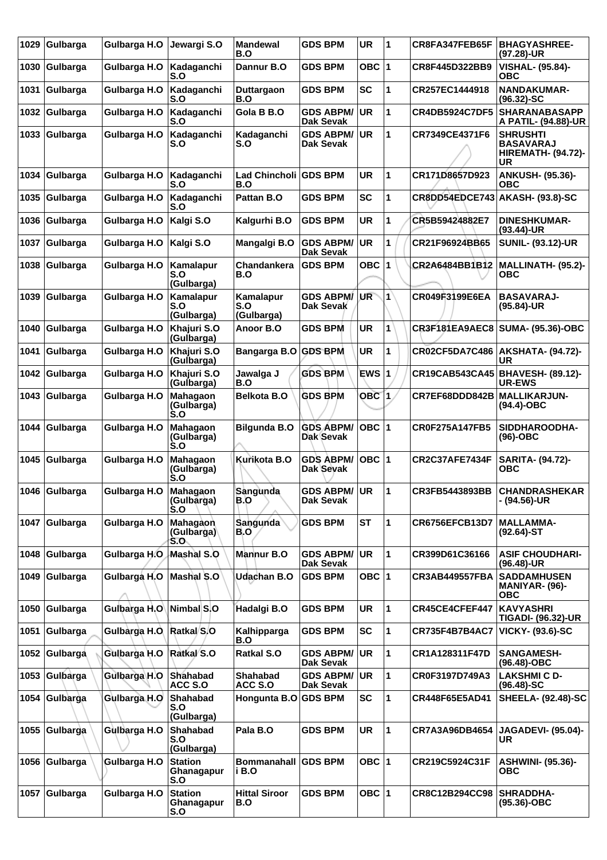| 1029 | Gulbarga      | Gulbarga H.O | Jewargi S.O                                                    | <b>Mandewal</b><br>B.O         | <b>GDS BPM</b>                       | <b>UR</b>        | 11             | CR8FA347FEB65F        | <b>BHAGYASHREE-</b><br>(97.28)-UR                                      |
|------|---------------|--------------|----------------------------------------------------------------|--------------------------------|--------------------------------------|------------------|----------------|-----------------------|------------------------------------------------------------------------|
| 1030 | Gulbarga      | Gulbarga H.O | Kadaganchi<br>S.O                                              | Dannur B.O                     | GDS BPM                              | OBC $ 1$         |                | CR8F445D322BB9        | <b>VISHAL- (95.84)-</b><br>ОВС                                         |
| 1031 | Gulbarga      | Gulbarga H.O | Kadaganchi<br>S.O                                              | Duttargaon<br>B.O              | GDS BPM                              | <b>SC</b>        | 1              | CR257EC1444918        | <b>NANDAKUMAR-</b><br>$(96.32) - SC$                                   |
| 1032 | Gulbarga      | Gulbarga H.O | Kadaganchi<br>S.O                                              | Gola B B.O                     | <b>GDS ABPM/</b><br><b>Dak Sevak</b> | <b>UR</b>        | 1              | CR4DB5924C7DF5        | <b>SHARANABASAPP</b><br>A PATIL- (94.88)-UR                            |
| 1033 | Gulbarga      | Gulbarga H.O | Kadaganchi<br>S.O                                              | Kadaganchi<br>S.O              | <b>GDS ABPM/</b><br>Dak Sevak        | <b>UR</b>        | 1              | CR7349CE4371F6        | <b>SHRUSHTI</b><br><b>BASAVARAJ</b><br><b>HIREMATH- (94.72)-</b><br>UR |
| 1034 | Gulbarga      | Gulbarga H.O | Kadaganchi<br>S.O                                              | <b>Lad Chincholi</b><br>B.O    | <b>GDS BPM</b>                       | <b>UR</b>        | 1              | CR171D8657D923        | <b>ANKUSH- (95.36)-</b><br>ОВС                                         |
| 1035 | Gulbarga      | Gulbarga H.O | Kadaganchi<br>S.O                                              | Pattan B.O                     | <b>GDS BPM</b>                       | <b>SC</b>        | 1              | CR8DD54EDCE743        | <b>AKASH- (93.8)-SC</b>                                                |
| 1036 | Gulbarga      | Gulbarga H.O | Kalgi S.O                                                      | Kalgurhi B.O                   | <b>GDS BPM</b>                       | UR               | 1              | CR5B59424882E7        | <b>DINESHKUMAR-</b><br>(93.44)-UR                                      |
| 1037 | Gulbarga      | Gulbarga H.O | Kalgi S.O                                                      | Mangalgi B.O                   | <b>GDS ABPM/</b><br><b>Dak Sevak</b> | <b>UR</b>        | 1              | CR21F96924BB65        | <b>SUNIL- (93.12)-UR</b>                                               |
| 1038 | Gulbarga      | Gulbarga H.O | Kamalapur<br>S.O<br>(Gulbarga)                                 | Chandankera<br>B.O             | <b>GDS BPM</b>                       | OBC              | $\vert$ 1      | CR2A6484BB1B12        | MALLINATH- (95.2)-<br>овс                                              |
| 1039 | Gulbarga      | Gulbarga H.O | Kamalapur<br>S.O<br>(Gulbarga)                                 | Kamalapur<br>S.O<br>(Gulbarga) | <b>GDS ABPM/</b><br>Dak Sevak        | UR               | 1              | CR049F3199E6EA        | <b>BASAVARAJ-</b><br>(95.84)-UR                                        |
| 1040 | Gulbarga      | Gulbarga H.O | Khajuri S.O<br>(Gulbarga)                                      | Anoor B.O                      | <b>GDS BPM</b>                       | <b>UR</b>        | 1              |                       | CR3F181EA9AEC8 SUMA- (95.36)-OBC                                       |
| 1041 | Gulbarga      | Gulbarga H.O | Khajuri S.O<br>(Gulbarga)                                      | Bangarga B.O GDS BPM           |                                      | <b>UR</b>        | 1              |                       | CR02CF5DA7C486   AKSHATA- (94.72)-<br>UR                               |
| 1042 | Gulbarga      | Gulbarga H.O | Khajuri S.O<br>(Gulbarga)                                      | Jawalga J<br>B.O               | <b>GDS BPM</b>                       | $EWS$  1         |                | <b>CR19CAB543CA45</b> | BHAVESH- (89.12)-<br><b>UR-EWS</b>                                     |
| 1043 | Gulbarga      | Gulbarga H.O | <b>Mahagaon</b><br>(Gulbarga)<br>$\dot{\mathbf{S}}.\mathbf{O}$ | <b>Belkota B.O</b>             | <b>GDS BPM</b>                       | OBC <sub>1</sub> |                | CR7EF68DDD842B        | <b>MALLIKARJUN-</b><br>(94.4)-OBC                                      |
| 1044 | Gulbarga      | Gulbarga H.O | <b>Mahagaon</b><br>(Gulbarga)<br>$\mathsf{S}.\mathsf{O}$       | <b>Bilgunda B.O</b>            | <b>GDS ABPM/</b><br>Dak Sevak        | OBC $ 1$         |                | CR0F275A147FB5        | SIDDHAROODHA-<br>(96)-OBC                                              |
| 1045 | Gulbarga      | Gulbarga H.O | Mahagaon<br>(Gulbarga)<br>S.O                                  | Kurikota B.O                   | <b>GDS ABPM/</b><br>Dak Sevak        | OBC $ 1$         |                | <b>CR2C37AFE7434F</b> | SARITA- (94.72)-<br>ОВС                                                |
|      | 1046 Gulbarga | Gulbarga H.O | Mahagaon<br>(Gulbarga)<br>S.O                                  | Sangunda<br>B.O                | <b>GDS ABPM/</b><br><b>Dak Sevak</b> | ∣UR              | $\overline{1}$ | CR3FB5443893BB        | <b>CHANDRASHEKAR</b><br>- (94.56)-UR                                   |
| 1047 | Gulbarga      | Gulbarga H.O | Mahagaon<br>(Gulbarga)<br>S.O.                                 | Sangunda<br>B.O                | <b>GDS BPM</b>                       | <b>ST</b>        | 1              | <b>CR6756EFCB13D7</b> | <b>MALLAMMA-</b><br>(92.64)-ST                                         |
| 1048 | Gulbarga      | Gulbarga H.O | <b>Mashal S.O</b>                                              | Mannur B.O                     | GDS ABPM/<br>Dak Sevak               | <b>UR</b>        | $\mathbf{1}$   | CR399D61C36166        | <b>ASIF CHOUDHARI-</b><br>(96.48)-UR                                   |
| 1049 | Gulbarga      | Gulbarga H.O | Mashal S.O                                                     | Udachan B.O                    | <b>GDS BPM</b>                       | OBC $ 1$         |                | <b>CR3AB449557FBA</b> | <b>SADDAMHUSEN</b><br>MANIYAR- (96)-<br><b>OBC</b>                     |
| 1050 | Gulbarga      | Gulbarga H.O | Nimbal S.O                                                     | Hadalgi B.O                    | <b>GDS BPM</b>                       | <b>UR</b>        | 1              | CR45CE4CFEF447        | <b>KAVYASHRI</b><br><b>TIGADI- (96.32)-UR</b>                          |
| 1051 | Gulbarga      | Gulbarga H.O | <b>Ratkal</b> S.O                                              | Kalhipparga<br>B.O             | <b>GDS BPM</b>                       | <b>SC</b>        | 1              | <b>CR735F4B7B4AC7</b> | <b>VICKY- (93.6)-SC</b>                                                |
| 1052 | Gulbarga      | Gulbarga H.O | Ratkal S.O                                                     | Ratkal S.O                     | <b>GDS ABPM/</b><br>Dak Sevak        | <b>UR</b>        | $\mathbf{1}$   | CR1A128311F47D        | <b>SANGAMESH-</b><br>(96.48)-OBC                                       |
| 1053 | Gulbarga      | Gulbarga H.O | Shahabad<br>ACC S.O                                            | <b>Shahabad</b><br>ACC S.O     | <b>GDS ABPM/</b><br>Dak Sevak        | <b>UR</b>        | $\mathbf{1}$   | CR0F3197D749A3        | <b>LAKSHMI C D-</b><br>$(96.48)$ -SC                                   |
| 1054 | Gulbarga      | Gulbarga H.O | Shahabad<br>S.O<br>(Gulbarga)                                  | Hongunta B.O GDS BPM           |                                      | SC               | 1              | CR448F65E5AD41        | <b>SHEELA- (92.48)-SC</b>                                              |
| 1055 | Gulbarga      | Gulbarga H.O | <b>Shahabad</b><br>S.O<br>(Gulbarga)                           | Pala B.O                       | <b>GDS BPM</b>                       | <b>UR</b>        | 1              | CR7A3A96DB4654        | <b>JAGADEVI- (95.04)-</b><br>UR                                        |
| 1056 | Gulbarga      | Gulbarga H.O | <b>Station</b><br>Ghanagapur<br>S.O                            | <b>Bommanahall</b><br>i B.O    | <b>GDS BPM</b>                       | OBC $ 1$         |                | CR219C5924C31F        | <b>ASHWINI- (95.36)-</b><br>ОВС                                        |
| 1057 | Gulbarga      | Gulbarga H.O | <b>Station</b><br>Ghanagapur<br>S.O                            | <b>Hittal Siroor</b><br>B.O    | <b>GDS BPM</b>                       | OBC $ 1$         |                | CR8C12B294CC98        | <b>SHRADDHA-</b><br>(95.36)-OBC                                        |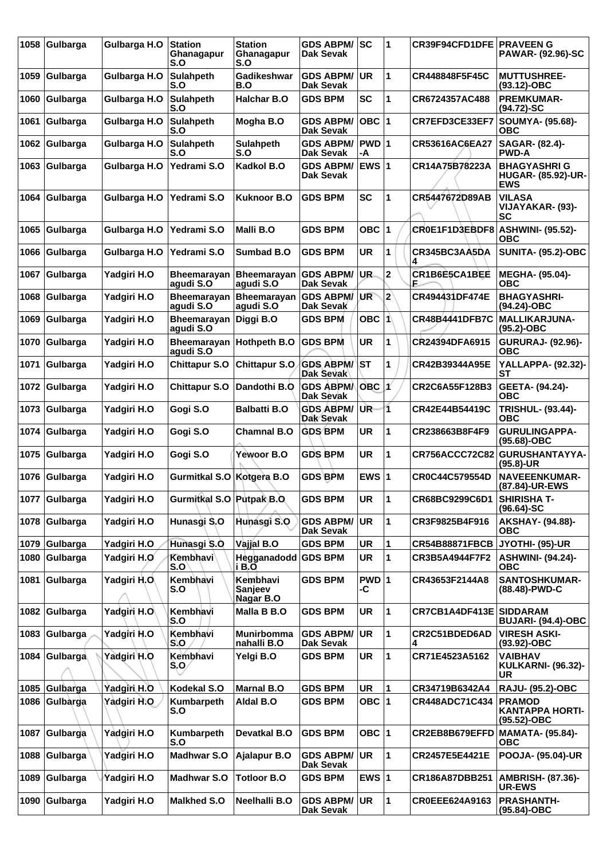| 1058 | Gulbarga      | Gulbarga H.O | <b>Station</b><br>Ghanagapur<br>S.O | <b>Station</b><br>Ghanagapur<br>S.O | <b>GDS ABPM/</b><br>Dak Sevak        | <b>SC</b>     | 1              | <b>CR39F94CFD1DFE PRAVEEN G</b> | <b>PAWAR- (92.96)-SC</b>                                      |
|------|---------------|--------------|-------------------------------------|-------------------------------------|--------------------------------------|---------------|----------------|---------------------------------|---------------------------------------------------------------|
| 1059 | Gulbarga      | Gulbarga H.O | <b>Sulahpeth</b><br>S.O             | Gadikeshwar<br>B.O                  | <b>GDS ABPM/</b><br><b>Dak Sevak</b> | <b>UR</b>     | 1              | CR448848F5F45C                  | <b>MUTTUSHREE-</b><br>(93.12)-OBC                             |
| 1060 | Gulbarga      | Gulbarga H.O | <b>Sulahpeth</b><br>S.O             | <b>Halchar B.O</b>                  | <b>GDS BPM</b>                       | SC            | 1              | CR6724357AC488                  | <b>PREMKUMAR-</b><br>(94.72)-SC                               |
| 1061 | Gulbarga      | Gulbarga H.O | <b>Sulahpeth</b><br>S.O             | Mogha B.O                           | <b>GDS ABPM/</b><br><b>Dak Sevak</b> | $OBC$  1      |                | CR7EFD3CE33EF7                  | <b>SOUMYA- (95.68)-</b><br>овс                                |
| 1062 | Gulbarga      | Gulbarga H.O | <b>Sulahpeth</b><br>S.O             | <b>Sulahpeth</b><br>S.O             | <b>GDS ABPM/</b><br><b>Dak Sevak</b> | $PWD$ 1<br>-A |                | CR53616AC6EA27                  | SAGAR- (82.4)-<br><b>PWD-A</b>                                |
| 1063 | Gulbarga      | Gulbarga H.O | Yedrami S.O                         | Kadkol B.O                          | <b>GDS ABPM/</b><br><b>Dak Sevak</b> | EWS $ 1$      |                | CR14A75B78223A                  | <b>BHAGYASHRIG</b><br><b>HUGAR- (85.92)-UR-</b><br><b>EWS</b> |
| 1064 | Gulbarga      | Gulbarga H.O | Yedrami S.O                         | <b>Kuknoor B.O</b>                  | <b>GDS BPM</b>                       | <b>SC</b>     | 1              | CR5447672D89AB                  | <b>VILASA</b><br>VIJAYAKAR-(93)-<br><b>SC</b>                 |
| 1065 | Gulbarga      | Gulbarga H.O | Yedrami S.O                         | Malli B.O                           | <b>GDS BPM</b>                       | <b>OBC 1</b>  |                | <b>CROE1F1D3EBDF8</b>           | <b>ASHWINI- (95.52)-</b><br><b>OBC</b>                        |
| 1066 | Gulbarga      | Gulbarga H.O | Yedrami S.O                         | Sumbad B.O                          | <b>GDS BPM</b>                       | UR            | 1              | CR345BC3AA5DA                   | <b>SUNITA- (95.2)-OBC</b>                                     |
| 1067 | Gulbarga      | Yadgiri H.O  | <b>Bheemarayan</b><br>aqudi S.O     | <b>Bheemarayan</b><br>agudi S.O     | <b>GDS ABPM/</b><br><b>Dak Sevak</b> | UR.           | $\mathbf{2}$   | CR1B6E5CA1BEE<br>F              | MEGHA- (95.04)-<br>ОВС                                        |
| 1068 | Gulbarga      | Yadgiri H.O  | Bheemarayan<br>agudi S.O            | <b>Bheemarayan</b><br>agudi S.O     | <b>GDS ABPM/</b><br>Dak Sevak        | UR            | $\overline{2}$ | <b>CR494431DF474E</b>           | <b>BHAGYASHRI-</b><br>(94.24)-OBC                             |
| 1069 | Gulbarga      | Yadgiri H.O  | <b>Bheemarayan</b><br>agudi S.O     | Diggi B.O                           | <b>GDS BPM</b>                       | OBC 1         |                | <b>CR48B4441DFB7C</b>           | <b>MALLIKARJUNA-</b><br>(95.2)-OBC                            |
| 1070 | Gulbarga      | Yadgiri H.O  | <b>Bheemarayan</b><br>agudi S.O     | Hothpeth B.O                        | <b>GDS BPM</b>                       | <b>UR</b>     | 1              | CR24394DFA6915                  | <b>GURURAJ- (92.96)-</b><br>ОВС                               |
| 1071 | Gulbarga      | Yadgiri H.O  | <b>Chittapur S.O</b>                | <b>Chittapur S.O</b>                | <b>GDS ABPM/</b><br><b>Dak Sevak</b> | <b>ST</b>     | 1              | CR42B39344A95E                  | <b>YALLAPPA- (92.32)-</b><br>SТ                               |
| 1072 | Gulbarga      | Yadgiri H.O  | <b>Chittapur S.O</b>                | Dandothi B.O                        | <b>GDS ABPMA</b><br><b>Dak Sevak</b> | $OBC$ 1       |                | CR2C6A55F128B3                  | GEETA- (94.24)-<br><b>OBC</b>                                 |
| 1073 | Gulbarga      | Yadgiri H.O  | Gogi S.O                            | <b>Balbatti B.O</b>                 | <b>GDS ABPM/</b><br><b>Dak Sevak</b> | UR-           | 11             | CR42E44B54419C                  | <b>TRISHUL- (93.44)-</b><br><b>OBC</b>                        |
| 1074 | Gulbarga      | Yadgiri H.O  | Gogi S.O                            | <b>Chamnal B.O</b>                  | <b>GDS BPM</b>                       | UR            | 1              | CR238663B8F4F9                  | <b>GURULINGAPPA-</b><br>(95.68)-OBC                           |
| 1075 | Gulbarga      | Yadgiri H.O  | Gogi S.O                            | Yewoor B.O                          | <b>GDS BPM</b>                       | UR            | 1              | <b>CR756ACCC72C82</b>           | <b>GURUSHANTAYYA-</b><br>(95.8)-UR                            |
| 1076 | Gulbarga      | Yadgiri H.O  | Gurmitkal S.O                       | Kotgera B.O                         | <b>GDS BPM</b>                       | EWS $ 1$      |                | CR0C44C579554D                  | <b>NAVEEENKUMAR-</b><br>(87.84)-UR-EWS                        |
|      | 1077 Gulbarga | Yadgiri H.O  | Gurmitkal S.O Putpak B.O            |                                     | <b>GDS BPM</b>                       | UR            | 11             | CR68BC9299C6D1                  | <b>SHIRISHA T-</b><br>$(96.64) - SC$                          |
| 1078 | Gulbarga      | Yadgiri H.O  | Hunasgi S.O                         | Hunasgi S.O                         | <b>GDS ABPM/</b><br><b>Dak Sevak</b> | <b>UR</b>     | 1              | CR3F9825B4F916                  | <b>AKSHAY- (94.88)-</b><br><b>OBC</b>                         |
|      | 1079 Gulbarga | Yadgiri H.O  | Hunasgi S.O                         | Vajjal B.O                          | <b>GDS BPM</b>                       | UR            | 1              | <b>CR54B88871FBCB</b>           | JYOTHI- (95)-UR                                               |
| 1080 | Gulbarga      | Yadgiri H.O  | Kembhavi<br>S.O                     | Hegganadodd GDS BPM<br>i B.O        |                                      | <b>UR</b>     | 1              | CR3B5A4944F7F2                  | <b>ASHWINI- (94.24)-</b><br><b>OBC</b>                        |
| 1081 | Gulbarga      | Yadgiri H.O. | Kembhavi<br>S.O                     | Kembhavi<br>Sanjeev<br>Nagar B.O    | <b>GDS BPM</b>                       | PWD 1<br>-C   |                | CR43653F2144A8                  | <b>SANTOSHKUMAR-</b><br>(88.48)-PWD-C                         |
| 1082 | Gulbarga      | Yadgiri H.O  | Kembhavi<br>S.O                     | Malla B B.O                         | <b>GDS BPM</b>                       | <b>UR</b>     | 1              | CR7CB1A4DF413E SIDDARAM         | <b>BUJARI- (94.4)-OBC</b>                                     |
| 1083 | Gulbarga      | Yadgiri H.O  | Kembhavi<br>S.O                     | Munirbomma<br>nahalli B.O           | <b>GDS ABPM/</b><br><b>Dak Sevak</b> | <b>UR</b>     | 1              | CR2C51BDED6AD                   | <b>VIRESH ASKI-</b><br>(93.92)-OBC                            |
| 1084 | Gulbarga      | Yadgiri H.O  | Kembhavi<br>$S_1O_2$                | Yelgi B.O                           | <b>GDS BPM</b>                       | UR            | 1              | CR71E4523A5162                  | <b>VAIBHAV</b><br><b>KULKARNI- (96.32)-</b><br>UR             |
| 1085 | Gulbarga      | Yadgiri H.O  | Kodekal S.O                         | <b>Marnal B.O</b>                   | <b>GDS BPM</b>                       | UR            |                | CR34719B6342A4                  | <b>RAJU- (95.2)-OBC</b>                                       |
| 1086 | Gulbarga      | Yadgiri H.O  | Kumbarpeth<br>S.O                   | Aldal B.O                           | <b>GDS BPM</b>                       | OBC 1         |                | CR448ADC71C434                  | <b>PRAMOD</b><br><b>KANTAPPA HORTI-</b><br>(95.52)-OBC        |
| 1087 | Gulbarga      | Yadgiri H.O  | Kumbarpeth<br>S.O                   | Devatkal B.O                        | <b>GDS BPM</b>                       | OBC ∣1        |                | CR2EB8B679EFFD                  | <b>MAMATA- (95.84)-</b><br><b>OBC</b>                         |
| 1088 | Gulbarga      | Yadgiri H.O  | <b>Madhwar S.O</b>                  | Ajalapur B.O                        | <b>GDS ABPM/</b><br>Dak Sevak        | <b>UR</b>     | 1              | <b>CR2457E5E4421E</b>           | <b>POOJA- (95.04)-UR</b>                                      |
| 1089 | Gulbarga      | Yadgiri H.O  | <b>Madhwar S.O</b>                  | <b>Totloor B.O</b>                  | <b>GDS BPM</b>                       | EWS $ 1$      |                | CR186A87DBB251                  | <b>AMBRISH- (87.36)-</b><br><b>UR-EWS</b>                     |
| 1090 | Gulbarga      | Yadgiri H.O  | <b>Malkhed S.O</b>                  | Neelhalli B.O                       | <b>GDS ABPM/</b><br><b>Dak Sevak</b> | <b>UR</b>     | 1              | CR0EEE624A9163                  | <b>PRASHANTH-</b><br>(95.84)-OBC                              |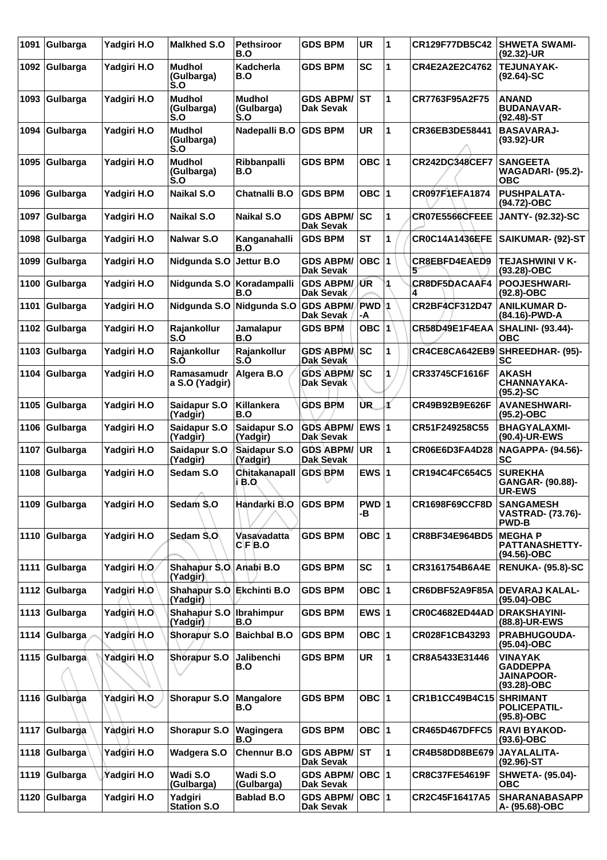| 1091 | Gulbarga      | Yadgiri H.O  | <b>Malkhed S.O</b>                    | <b>Pethsiroor</b><br>B.O           | <b>GDS BPM</b>                       | <b>UR</b>          | 1 | <b>CR129F77DB5C42</b>     | <b>SHWETA SWAMI-</b><br>(92.32)-UR                                |
|------|---------------|--------------|---------------------------------------|------------------------------------|--------------------------------------|--------------------|---|---------------------------|-------------------------------------------------------------------|
| 1092 | Gulbarga      | Yadgiri H.O  | <b>Mudhol</b><br>(Gulbarga)<br>S.O    | Kadcherla<br>B.O                   | <b>GDS BPM</b>                       | <b>SC</b>          | 1 | CR4E2A2E2C4762            | <b>TEJUNAYAK-</b><br>$(92.64)$ -SC                                |
| 1093 | Gulbarga      | Yadgiri H.O  | <b>Mudhol</b><br>(Gulbarga)<br>S.O    | <b>Mudhol</b><br>(Gulbarga)<br>S.O | <b>GDS ABPM/</b><br><b>Dak Sevak</b> | lst                | 1 | CR7763F95A2F75            | <b>ANAND</b><br><b>BUDANAVAR-</b><br>$(92.48)$ -ST                |
| 1094 | Gulbarga      | Yadgiri H.O  | <b>Mudhol</b><br>(Gulbarga)<br>S.O    | Nadepalli B.O                      | <b>GDS BPM</b>                       | <b>UR</b>          | 1 | CR36EB3DE58441            | <b>BASAVARAJ-</b><br>$(93.92)$ -UR                                |
| 1095 | Gulbarga      | Yadgiri H.O  | <b>Mudhol</b><br>(Gulbarga)<br>S.O    | Ribbanpalli<br>B.O                 | <b>GDS BPM</b>                       | OBC ∣1             |   | <b>CR242DC348CEF7</b>     | <b>SANGEETA</b><br><b>WAGADARI- (95.2)-</b><br><b>OBC</b>         |
| 1096 | Gulbarga      | Yadgiri H.O  | <b>Naikal S.O</b>                     | <b>Chatnalli B.O</b>               | <b>GDS BPM</b>                       | OBC ∣1             |   | CR097F1EFA1874            | <b>PUSHPALATA-</b><br>(94.72)-OBC                                 |
| 1097 | Gulbarga      | Yadgiri H.O  | Naikal S.O                            | <b>Naikal S.O</b>                  | <b>GDS ABPM/</b><br>Dak Sevak        | SC                 | 1 | CR07E5566CFEEE            | <b>JANTY- (92.32)-SC</b>                                          |
| 1098 | Gulbarga      | Yadgiri H.O  | Nalwar S.O                            | Kanganahalli<br>B.O                | <b>GDS BPM</b>                       | <b>ST</b>          | 1 | <b>CR0C14A1436EFE</b>     | SAIKUMAR- (92)-ST                                                 |
| 1099 | Gulbarga      | Yadgiri H.O  | Nidgunda S.O                          | Jettur B.O                         | <b>GDS ABPM/</b><br><b>Dak Sevak</b> | $OBC$  1           |   | <b>CR8EBFD4EAED9</b><br>5 | <b>TEJASHWINI V K-</b><br>$(93.28)-OBC$                           |
| 1100 | Gulbarga      | Yadgiri H.O  | Nidgunda S.O                          | Koradampalli<br>B.O                | <b>GDS ABPM/JUR</b><br>Dak Sevak     |                    |   | CR8DF5DACAAF4             | POOJESHWARI-<br>$(92.8)-OBC$                                      |
| 1101 | Gulbarga      | Yadgiri H.O  |                                       | Nidgunda S.O Nidgunda S.O          | <b>GDS ABPM/</b><br>Dak Sevak        | <b>PWD</b> 1<br>-A |   | <b>CR2BF4CF312D47</b>     | <b>ANILKUMAR D-</b><br>(84.16)-PWD-A                              |
| 1102 | Gulbarga      | Yadgiri H.O  | Rajankollur<br>S.O                    | Jamalapur<br>B.O                   | <b>GDS BPM</b>                       | OBC $ 1$           |   | CR58D49E1F4EAA            | <b>SHALINI- (93.44)-</b><br><b>OBC</b>                            |
| 1103 | Gulbarga      | Yadgiri H.O  | Rajankollur<br>S.O                    | Rajankollur<br>S.O                 | <b>GDS ABPMA</b><br>Dak Sevak        | lsc                | 1 |                           | CR4CE8CA642EB9 SHREEDHAR- (95)-<br>SC                             |
| 1104 | Gulbarga      | Yadgiri H.O  | Ramasamudr<br>a S.O (Yadgir)          | Algera B.O                         | <b>GDS ABPM/SC</b><br>Dak Sevak      |                    | 1 | CR33745CF1616F            | <b>AKASH</b><br><b>CHANNAYAKA-</b><br>$(95.2)$ -SC                |
| 1105 | Gulbarga      | Yadgiri H.O  | Saidapur S.O<br>(Yadgir)              | Killankera<br>B.O                  | <b>GDS BPM</b>                       | ÙR.                | ď | CR49B92B9E626F            | <b>AVANESHWARI-</b><br>(95.2)-OBC                                 |
| 1106 | Gulbarga      | Yadgiri H.O  | Saidapur S.O<br>(Yadgir)              | Saidapur S.O<br>(Yadgir)           | <b>GDS ABPM/</b><br>Dak Sevak        | EWS 1              |   | CR51F249258C55            | <b>BHAGYALAXMI-</b><br>(90.4)-UR-EWS                              |
| 1107 | Gulbarga      | Yadgiri H.O  | Saidapur S.O<br>(Yadgir)              | Saidapur S.O<br>(Yadgir)           | <b>GDS ABPM/</b><br>Dak Sevak        | <b>UR</b>          | 1 | CR06E6D3FA4D28            | <b>NAGAPPA- (94.56)-</b><br><b>SC</b>                             |
| 1108 | Gulbarga      | Yadgiri H.O  | Sedam S.O<br>A                        | Chitakanapall<br> i B.O            | <b>GDS BPM</b>                       | EWS $ 1$           |   | <b>CR194C4FC654C5</b>     | <b>SUREKHA</b><br>GANGAR- (90.88)-<br><b>UR-EWS</b>               |
| 1109 | Gulbarga      | Yadgiri H.O  | Sedam S.O                             | Handarki B.O                       | <b>GDS BPM</b>                       | PWD 1<br>-B        |   | <b>CR1698F69CCF8D</b>     | <b>SANGAMESH</b><br><b>VASTRAD- (73.76)-</b><br><b>PWD-B</b>      |
| 1110 | Gulbarga      | Yadgiri H.O  | Sedam S.O                             | Vasavadatta<br>C F B.O             | <b>GDS BPM</b>                       | <b>OBC 1</b>       |   | CR8BF34E964BD5            | <b>MEGHAP</b><br>PATTANASHETTY-<br>(94.56)-OBC                    |
| 1111 | Gulbarga      | Yadgiri H.O. | Shahapur S.O Anabi B.O<br>(Yadgir)    |                                    | <b>GDS BPM</b>                       | <b>SC</b>          | 1 | CR3161754B6A4E            | <b>RENUKA- (95.8)-SC</b>                                          |
|      | 1112 Gulbarga | Yadgiri H.O  | Shahapur S.O Ekchinti B.O<br>(Yadgir) |                                    | <b>GDS BPM</b>                       | OBC 1              |   | CR6DBF52A9F85A            | <b>DEVARAJ KALAL-</b><br>(95.04)-OBC                              |
| 1113 | Gulbarga      | Yadgiri H.O  | Shahapur S.O   Ibrahimpur<br>(Yadgir) | B.O                                | <b>GDS BPM</b>                       | EWS $ 1$           |   | CR0C4682ED44AD            | <b>DRAKSHAYINI-</b><br>(88.8)-UR-EWS                              |
| 1114 | Gulbarga      | Yadgiri H.O  | Shorapur S.O                          | <b>Baichbal B.O</b>                | <b>GDS BPM</b>                       | OBC 1              |   | CR028F1CB43293            | PRABHUGOUDA-<br>(95.04)-OBC                                       |
| 1115 | Gulbarga      | Yadgiri H.O  | Shorapur S.O                          | Jalibenchi<br>B.O                  | <b>GDS BPM</b>                       | <b>UR</b>          | 1 | CR8A5433E31446            | <b>VINAYAK</b><br>GADDEPPA<br><b>JAINAPOOR-</b><br>$(93.28)$ -OBC |
|      | 1116 Gulbarga | Yadgiri H.O  | Shorapur S.O                          | <b>Mangalore</b><br>B.O            | <b>GDS BPM</b>                       | OBC $ 1$           |   | CR1B1CC49B4C15 SHRIMANT   | <b>POLICEPATIL-</b><br>$(95.8)-OBC$                               |
| 1117 | Gulbarga      | Yadgiri H.O  | Shorapur S.O                          | Wagingera<br>B.O                   | <b>GDS BPM</b>                       | OBC $ 1$           |   | <b>CR465D467DFFC5</b>     | <b>RAVI BYAKOD-</b><br>$(93.6)$ -OBC                              |
| 1118 | Gulbarga      | Yadgiri H.O  | Wadgera S.O                           | <b>Chennur B.O</b>                 | <b>GDS ABPM/</b><br><b>Dak Sevak</b> | lst                | 1 | CR4B58DD8BE679            | <b>JAYALALITA-</b><br>$(92.96)$ -ST                               |
| 1119 | Gulbarga      | Yadgiri H.O  | Wadi S.O<br>(Gulbarga)                | Wadi S.O<br>(Gulbarga)             | <b>GDS ABPM/</b><br>Dak Sevak        | OBC  1             |   | <b>CR8C37FE54619F</b>     | <b>SHWETA- (95.04)-</b><br><b>OBC</b>                             |
| 1120 | Gulbarga      | Yadgiri H.O  | Yadgiri<br><b>Station S.O</b>         | <b>Bablad B.O</b>                  | <b>GDS ABPM/</b><br><b>Dak Sevak</b> | OBC  1             |   | CR2C45F16417A5            | <b>SHARANABASAPP</b><br>A- (95.68)-OBC                            |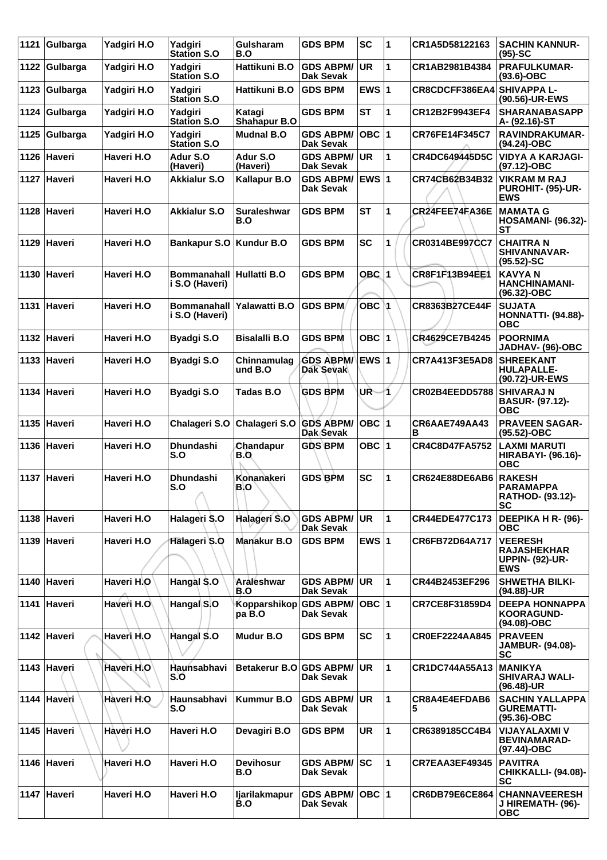| 1121 | Gulbarga    | Yadgiri H.O | Yadgiri<br><b>Station S.O</b>               | Gulsharam<br>B.O                 | <b>GDS BPM</b>                       | <b>SC</b>     | 1            | CR1A5D58122163        | <b>SACHIN KANNUR-</b><br>$(95)-SC$                                           |
|------|-------------|-------------|---------------------------------------------|----------------------------------|--------------------------------------|---------------|--------------|-----------------------|------------------------------------------------------------------------------|
| 1122 | Gulbarga    | Yadgiri H.O | Yadgiri<br><b>Station S.O</b>               | Hattikuni B.O                    | <b>GDS ABPM/</b><br><b>Dak Sevak</b> | UR            | 1            | CR1AB2981B4384        | <b>PRAFULKUMAR-</b><br>$(93.6)$ -OBC                                         |
| 1123 | Gulbarga    | Yadgiri H.O | Yadgiri<br><b>Station S.O</b>               | Hattikuni B.O                    | <b>GDS BPM</b>                       | EWS $ 1$      |              | CR8CDCFF386EA4        | <b>SHIVAPPA L-</b><br>(90.56)-UR-EWS                                         |
| 1124 | Gulbarga    | Yadgiri H.O | Yadgiri<br><b>Station S.O</b>               | Katagi<br><b>Shahapur B.O</b>    | <b>GDS BPM</b>                       | <b>ST</b>     | 1            | CR12B2F9943EF4        | <b>SHARANABASAPP</b><br>A- (92.16)-ST                                        |
| 1125 | Gulbarga    | Yadgiri H.O | Yadgiri<br><b>Station S.O</b>               | <b>Mudnal B.O</b>                | <b>GDS ABPM/</b><br><b>Dak Sevak</b> | OBC  1        |              | CR76FE14F345C7        | <b>RAVINDRAKUMAR-</b><br>(94.24)-OBC                                         |
|      | 1126 Haveri | Haveri H.O  | Adur S.O<br>(Haveri)                        | Adur S.O<br>(Haveri)             | <b>GDS ABPM/</b><br>Dak Sevak        | UR.           | 1            | CR4DC649445D5C        | <b>VIDYA A KARJAGI-</b><br>$(97.12)$ -OBC                                    |
|      | 1127 Haveri | Haveri H.O  | <b>Akkialur S.O</b>                         | Kallapur B.O                     | <b>GDS ABPM/</b><br>Dak Sevak        | <b>EWS 1</b>  |              | CR74CB62B34B32        | <b>VIKRAM M RAJ</b><br>PUROHIT- (95)-UR-<br><b>EWS</b>                       |
|      | 1128 Haveri | Haveri H.O  | <b>Akkialur S.O</b>                         | Suraleshwar<br>B.O               | <b>GDS BPM</b>                       | <b>ST</b>     | 1            | CR24FEE74FA36E        | <b>MAMATA G</b><br><b>HOSAMANI- (96.32)-</b><br><b>ST</b>                    |
|      | 1129 Haveri | Haveri H.O  | <b>Bankapur S.O</b>                         | Kundur B.O                       | <b>GDS BPM</b>                       | <b>SC</b>     | 1            | CR0314BE997CC7        | <b>CHAITRA N</b><br><b>SHIVANNAVAR-</b><br>$(95.52) - SC$                    |
|      | 1130 Haveri | Haveri H.O  | Bommanahall Hullatti B.O.<br>i S.O (Haveri) |                                  | <b>GDS BPM</b>                       | $OBC$  1      |              | CR8F1F13B94EE1        | <b>KAVYAN</b><br><b>HANCHINAMANI-</b><br>(96.32)-OBC                         |
|      | 1131 Haveri | Haveri H.O  | <b>Bommanahall</b><br>i S.O (Haveri)        | Yalawatti B.O                    | <b>GDS BPM</b>                       | OBC 1         |              | CR8363B27CE44F        | <b>SUJATA</b><br><b>HONNATTI- (94.88)-</b><br><b>OBC</b>                     |
|      | 1132 Haveri | Haveri H.O  | <b>Byadgi S.O</b>                           | <b>Bisalalli B.O</b>             | <b>GDS BPM</b>                       | OBC $ 1$      |              | CR4629CE7B4245        | <b>POORNIMA</b><br>JADHAV- (96)-OBC                                          |
|      | 1133 Haveri | Haveri H.O  | <b>Byadgi S.O</b>                           | Chinnamulag<br>und B.O           | <b>GDS ABPM/</b><br><b>Dak Sevak</b> | <b>IEWS 1</b> |              | <b>CR7A413F3E5AD8</b> | <b>SHREEKANT</b><br><b>HULAPALLE-</b><br>(90.72)-UR-EWS                      |
|      | 1134 Haveri | Haveri H.O  | <b>Byadgi S.O</b>                           | Tadas B.O                        | <b>GDS BPM</b>                       | UŘ.           | ł1.          | CR02B4EEDD5788        | <b>SHIVARAJ N</b><br>BASUR- (97.12)-<br>овс                                  |
|      | 1135 Haveri | Haveri H.O  | Chalageri S.O                               | Chalageri S.O                    | <b>GDS ABPM/</b><br>Dak Sevak        | OBC  1        |              | CR6AAE749AA43<br>в    | <b>PRAVEEN SAGAR-</b><br>(95.52)-OBC                                         |
|      | 1136 Haveri | Haveri H.O  | <b>Dhundashi</b><br>S.O                     | Chandapur<br>B.O                 | <b>GDS BPM</b>                       | OBC $ 1$      |              | <b>CR4C8D47FA5752</b> | <b>LAXMI MARUTI</b><br><b>HIRABAYI- (96.16)-</b><br><b>OBC</b>               |
|      | 1137 Haveri | Haveri H.O  | <b>Dhundashi</b><br>S.O<br>A                | Konanakeri<br>B.O                | <b>GDS BPM</b>                       | <b>SC</b>     | 1            | CR624E88DE6AB6        | <b>RAKESH</b><br><b>PARAMAPPA</b><br>RATHOD- (93.12)-<br>SC                  |
|      | 1138 Haveri | Haveri H.O  | Halageri S.O                                | Halageri S.O                     | <b>GDS ABPM/</b><br><b>Dak Sevak</b> | ∣UR.          | $\mathbf 1$  | <b>CR44EDE477C173</b> | DEEPIKA H R- (96)-<br><b>OBC</b>                                             |
|      | 1139 Haveri | Haveri H.O  | Halageri S.O                                | Manakur B.O                      | <b>GDS BPM</b>                       | EWS $ 1$      |              | CR6FB72D64A717        | <b>VEERESH</b><br><b>RAJASHEKHAR</b><br><b>UPPIN- (92)-UR-</b><br><b>EWS</b> |
|      | 1140 Haveri | Haveri H.O  | Hangal \$.0                                 | Araleshwar<br>B.O                | <b>GDS ABPM/</b><br><b>Dak Sevak</b> | <b>UR</b>     | $\mathbf{1}$ | CR44B2453EF296        | <b>SHWETHA BILKI-</b><br>(94.88)-UR                                          |
|      | 1141 Haveri | Haveri H.O  | Hangal S.O                                  | Kopparshikop GDS ABPM/<br>pa B.O | Dak Sevak                            | OBC  1        |              | CR7CE8F31859D4        | <b>DEEPA HONNAPPA</b><br><b>KOORAGUND-</b><br>(94.08)-OBC                    |
|      | 1142 Haveri | Haveri H.O  | Hangal S.O                                  | Mudur B.O                        | <b>GDS BPM</b>                       | <b>SC</b>     | 1            | <b>CR0EF2224AA845</b> | <b>PRAVEEN</b><br><b>JAMBUR- (94.08)-</b><br>SC                              |
|      | 1143 Haveri | Haveri H.O  | Haunsabhavi<br>S.O                          | Betakerur B.O GDS ABPM/          | <b>Dak Sevak</b>                     | <b>UR</b>     | 1            | CR1DC744A55A13        | <b>MANIKYA</b><br><b>SHIVARAJ WALI-</b><br>$(96.48)$ -UR                     |
|      | 1144 Haveri | Haveri H.O  | Haunsabhavi<br>S.O                          | <b>Kummur B.O</b>                | <b>GDS ABPM/</b><br>Dak Sevak        | ∣UR           | 1            | CR8A4E4EFDAB6<br>5    | <b>SACHIN YALLAPPA</b><br><b>GUREMATTI-</b><br>$(95.36)$ -OBC                |
|      | 1145 Haveri | Hàveri H.O  | Haveri H.O                                  | Devagiri B.O                     | GDS BPM                              | UR            | 1            | CR6389185CC4B4        | <b>VIJAYALAXMI V</b><br><b>BEVINAMARAD-</b><br>(97.44)-OBC                   |
|      | 1146 Haveri | Haveri H.O  | Haveri H.O                                  | <b>Devihosur</b><br>B.O          | <b>GDS ABPM/</b><br>Dak Sevak        | <b>SC</b>     | 1            | <b>CR7EAA3EF49345</b> | <b>PAVITRA</b><br><b>CHIKKALLI- (94.08)-</b><br><b>SC</b>                    |
|      | 1147 Haveri | Haveri H.O  | Haveri H.O                                  | ljarilakmapur<br>B.O             | <b>GDS ABPM/</b><br>Dak Sevak        | OBC  1        |              | <b>CR6DB79E6CE864</b> | <b>CHANNAVEERESH</b><br>J HIREMATH- (96)-<br><b>OBC</b>                      |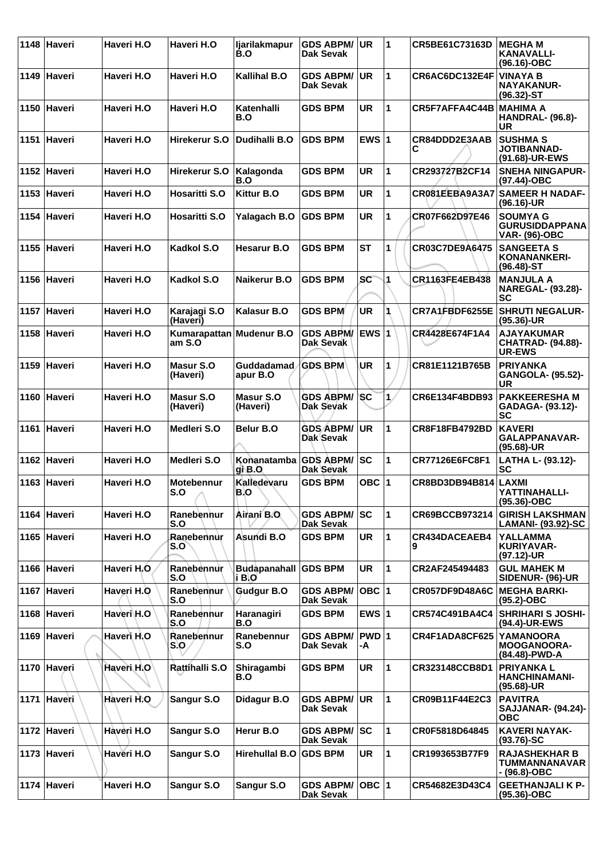|      | 1148 Haveri | Haveri H.O              | Haveri H.O               | <b>Ijarilakmapur</b><br>B.O | <b>GDS ABPM/</b><br>Dak Sevak           | <b>UR</b>    | 1  | CR5BE61C73163D        | <b>IMEGHA M</b><br><b>KANAVALLI-</b><br>(96.16)-OBC              |
|------|-------------|-------------------------|--------------------------|-----------------------------|-----------------------------------------|--------------|----|-----------------------|------------------------------------------------------------------|
|      | 1149 Haveri | Haveri H.O              | Haveri H.O               | Kallihal B.O                | <b>GDS ABPM/</b><br>Dak Sevak           | <b>UR</b>    | 1  | CR6AC6DC132E4F        | <b>VINAYA B</b><br><b>NAYAKANUR-</b><br>$(96.32)$ -ST            |
|      | 1150 Haveri | Haveri H.O              | Haveri H.O               | Katenhalli<br>B.O           | <b>GDS BPM</b>                          | <b>UR</b>    | 1  | CR5F7AFFA4C44B        | <b>MAHIMA A</b><br><b>HANDRAL- (96.8)-</b><br><b>UR</b>          |
|      | 1151 Haveri | Haveri H.O              | <b>Hirekerur S.O</b>     | <b>Dudihalli B.O</b>        | <b>GDS BPM</b>                          | EWS $ 1$     |    | CR84DDD2E3AAB<br>С    | <b>SUSHMA S</b><br>JOTIBANNAD-<br>(91.68)-UR-EWS                 |
|      | 1152 Haveri | Haveri H.O              | Hirekerur S.O            | Kalagonda<br>B.O            | <b>GDS BPM</b>                          | <b>UR</b>    | 1  | CR293727B2CF14        | <b>SNEHA NINGAPUR-</b><br>$(97.44)$ -OBC                         |
|      | 1153 Haveri | Haveri H.O              | Hosaritti S.O            | Kittur B.O                  | <b>GDS BPM</b>                          | <b>UR</b>    | 1  | CR081EEBA9A3A7        | <b>SAMEER H NADAF-</b><br>$(96.16)$ -UR                          |
|      | 1154 Haveri | Haveri H.O              | Hosaritti S.O            | Yalagach B.O                | <b>GDS BPM</b>                          | <b>UR</b>    | 1  | CR07F662D97E46        | <b>SOUMYA G</b><br><b>GURUSIDDAPPANA</b><br><b>VAR- (96)-OBC</b> |
|      | 1155 Haveri | Haveri H.O              | Kadkol S.O               | <b>Hesarur B.O</b>          | <b>GDS BPM</b>                          | <b>ST</b>    | 1  | <b>CR03C7DE9A6475</b> | <b>SANGEETA S</b><br><b>KONANANKERI-</b><br>$(96.48)$ -ST        |
|      | 1156 Haveri | Haveri H.O              | Kadkol S.O               | Naikerur B.O                | <b>GDS BPM</b>                          | SC           | 1  | CR1163FE4EB438        | <b>MANJULA A</b><br><b>NAREGAL- (93.28)-</b><br><b>SC</b>        |
|      | 1157 Haveri | Haveri H.O              | Karajagi S.O<br>(Haveri) | Kalasur B.O                 | <b>GDS BPM</b>                          | <b>UR</b>    |    | CR7A1FBDF6255E        | <b>SHRUTI NEGALUR-</b><br>(95.36)-UR                             |
|      | 1158 Haveri | Haveri H.O              | Kumarapattan<br>am S.O   | Mudenur B.O                 | <b>GDS ABPM/</b><br>Dak Sevak           | <b>EWS 1</b> |    | CR4428E674F1A4        | <b>AJAYAKUMAR</b><br><b>CHATRAD- (94.88)-</b><br><b>UR-EWS</b>   |
|      | 1159 Haveri | Haveri H.O              | Masur S.O<br>(Haveri)    | Guddadamad<br>apur B.O      | <b>GDS BPM</b>                          | <b>UR</b>    | 1  | CR81E1121B765B        | <b>PRIYANKA</b><br>GANGOLA- (95.52)-<br><b>UR</b>                |
|      | 1160 Haveri | Haveri H.O              | Masur S.O<br>(Haveri)    | Masur S.O<br>(Haveri)       | <b>GDS ABPM/</b><br><b>Dak Sevak</b>    | <b>SC</b>    | 1. | CR6E134F4BDB93        | <b>PAKKEERESHAM</b><br>GADAGA- (93.12)-<br><b>SC</b>             |
|      | 1161 Haveri | Haveri H.O              | Medleri S.O              | Belur B.O                   | <b>GDS ABPM/</b><br>Dak Sevak           | UR           | 1  | CR8F18FB4792BD        | <b>KAVERI</b><br><b>GALAPPANAVAR-</b><br>$(95.68)$ -UR           |
|      | 1162 Haveri | Haveri H.O              | Medleri S.O              | Konanatamba<br>$g \cap B.$  | <b>GDS ABPM/</b><br>Dak Sevak           | <b>ISC</b>   | 1  | CR77126E6FC8F1        | LATHA L- (93.12)-<br><b>SC</b>                                   |
|      | 1163 Haveri | Haveri H.O              | <b>Motebennur</b><br>S.O | Kalledevaru<br>B.O          | <b>GDS BPM</b>                          | OBC  1       |    | CR8BD3DB94B814        | LAXMI<br>YATTINAHALLI-<br>(95.36)-OBC                            |
|      | 1164 Haveri | Haveri H.O              | Ranebenhur<br>S.O        | Airani B.O.                 | <b>GDS ABPM/ SC</b><br><b>Dak Sevak</b> |              | 1  | CR69BCCB973214        | <b>GIRISH LAKSHMAN</b><br><b>LAMANI- (93.92)-SC</b>              |
|      | 1165 Haveri | Haveri H.O              | Ranebennur<br>S.O        | Asundi B.O                  | <b>GDS BPM</b>                          | UR           | 1  | CR434DACEAEB4<br>9    | YALLAMMA<br><b>KURIYAVAR-</b><br>(97.12)-UR                      |
|      | 1166 Haveri | Haveri H <sub>/</sub> O | Ranebennur<br>S.O        | Budapanahall<br>i B.O       | <b>GDS BPM</b>                          | UR           | 1  | CR2AF245494483        | <b>GUL MAHEK M</b><br>SIDENUR- (96)-UR                           |
|      | 1167 Haveri | Haveri H.O              | Ranebennur<br>S.O        | Gudgur B.O                  | <b>GDS ABPM/</b><br>Dak Sevak           | OBC 1        |    | CR057DF9D48A6C        | <b>MEGHA BARKI-</b><br>$(95.2)$ -OBC                             |
|      | 1168 Haveri | Haveri H.O              | Ranebennur<br>S.O        | Haranagiri<br>B.O           | <b>GDS BPM</b>                          | EWS $ 1$     |    | CR574C491BA4C4        | <b>SHRIHARI S JOSHI-</b><br>(94.4)-UR-EWS                        |
|      | 1169 Haveri | Haveri H.O              | Ranebennur<br>S.O        | Ranebennur<br>S.O           | <b>GDS ABPM/</b><br><b>Dak Sevak</b>    | PWD 1<br>-A  |    | CR4F1ADA8CF625        | YAMANOORA<br><b>MOOGANOORA-</b><br>(84.48)-PWD-A                 |
|      | 1170 Haveri | Haveri H.O              | Rattihalli S.O           | Shiragambi<br>B.O           | <b>GDS BPM</b>                          | <b>UR</b>    | 1  | CR323148CCB8D1        | <b>PRIYANKAL</b><br><b>HANCHINAMANI-</b><br>(95.68)-UR           |
| 1171 | Haveri      | Haveri H.O              | Sangur S.O               | Didagur B.O                 | <b>GDS ABPM/</b><br><b>Dak Sevak</b>    | <b>UR</b>    | 1  | CR09B11F44E2C3        | <b>PAVITRA</b><br><b>SAJJANAR- (94.24)-</b><br><b>OBC</b>        |
|      | 1172 Haveri | Haveri H.O              | Sangur S.O               | Herur B.O                   | <b>GDS ABPM/ SC</b><br><b>Dak Sevak</b> |              | 1  | CR0F5818D64845        | <b>KAVERI NAYAK-</b><br>$(93.76)$ -SC                            |
|      | 1173 Haveri | Haveri H.O              | Sangur S.O               | <b>Hirehullal B.O</b>       | <b>GDS BPM</b>                          | UR           | 1  | CR1993653B77F9        | <b>RAJASHEKHAR B</b><br>TUMMANNANAVAR<br>- (96.8)-OBC            |
|      | 1174 Haveri | Haveri H.O              | Sangur S.O               | Sangur S.O                  | <b>GDS ABPM/</b><br><b>Dak Sevak</b>    | OBC 1        |    | CR54682E3D43C4        | <b>GEETHANJALI K P-</b><br>$(95.36) - OBC$                       |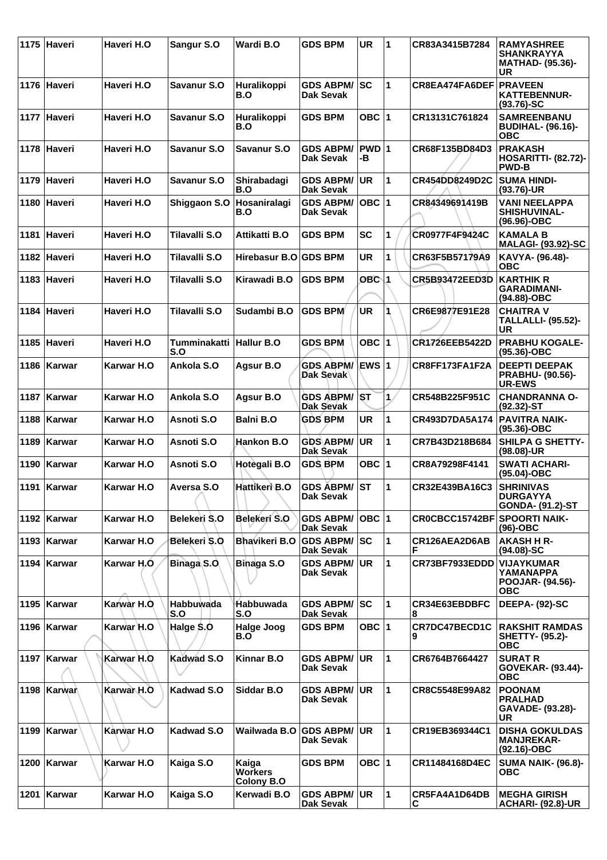|      | 1175 Haveri   | Haveri H.O        | Sangur S.O                     | Wardi B.O                             | <b>GDS BPM</b>                       | <b>UR</b>   | $\mathbf 1$  | CR83A3415B7284        | <b>RAMYASHREE</b><br><b>SHANKRAYYA</b><br>MATHAD- (95.36)-<br>UR |
|------|---------------|-------------------|--------------------------------|---------------------------------------|--------------------------------------|-------------|--------------|-----------------------|------------------------------------------------------------------|
|      | 1176 Haveri   | Haveri H.O        | Savanur S.O                    | Huralikoppi<br>B.O                    | <b>GDS ABPM/</b><br>Dak Sevak        | lsc         | 1            | CR8EA474FA6DEF        | <b>PRAVEEN</b><br><b>KATTEBENNUR-</b><br>$(93.76)$ -SC           |
|      | 1177 Haveri   | Haveri H.O        | Savanur S.O                    | Huralikoppi<br>B.O                    | <b>GDS BPM</b>                       | OBC $ 1$    |              | CR13131C761824        | <b>SAMREENBANU</b><br><b>BUDIHAL- (96.16)-</b><br><b>OBC</b>     |
|      | 1178 Haveri   | Haveri H.O        | Savanur S.O                    | <b>Savanur S.O</b>                    | <b>GDS ABPM/</b><br>Dak Sevak        | PWD 1<br>-В |              | CR68F135BD84D3        | <b>PRAKASH</b><br><b>HOSARITTI- (82.72)-</b><br><b>PWD-B</b>     |
|      | 1179 Haveri   | Haveri H.O        | Savanur S.O                    | Shirabadagi<br>B.O                    | <b>GDS ABPM/</b><br>Dak Sevak        | <b>UR</b>   | 1            | CR454DD8249D2C        | <b>SUMA HINDI-</b><br>$(93.76)$ -UR                              |
|      | 1180 Haveri   | Haveri H.O        | Shiggaon S.O                   | Hosaniralagi<br>B.O                   | <b>GDS ABPM/</b><br>Dak Sevak        | OBC $ 1$    |              | CR84349691419B        | <b>VANI NEELAPPA</b><br>SHISHUVINAL-<br>(96.96)-OBC              |
|      | 1181 Haveri   | Haveri H.O        | Tilavalli S.O                  | Attikatti B.O                         | <b>GDS BPM</b>                       | <b>SC</b>   | 1            | CR0977F4F9424C        | <b>KAMALA B</b><br><b>MALAGI- (93.92)-SC</b>                     |
|      | 1182 Haveri   | Haveri H.O        | Tilavalli S.O                  | Hirebasur B.O GDS BPM                 |                                      | <b>UR</b>   | 1            | CR63F5B57179A9        | KAVYA- (96.48)-<br><b>OBC</b>                                    |
|      | 1183 Haveri   | Haveri H.O        | Tilavalli S.O                  | Kirawadi B.O                          | <b>GDS BPM</b>                       | OBC 1       |              | CR5B93472EED3D        | <b>KARTHIK R</b><br><b>GARADIMANI-</b><br>(94.88)-OBC            |
|      | 1184 Haveri   | Haveri H.O        | Tilavalli S.O                  | Sudambi B.O                           | <b>GDS BPM</b>                       | <b>UR</b>   |              | CR6E9877E91E28        | <b>CHAITRA V</b><br><b>TALLALLI- (95.52)-</b><br>UR              |
|      | 1185 Haveri   | Haveri H.O        | Tumminakatti Hallur B.O<br>S.O |                                       | <b>GDS BPM</b>                       | OBC $ 1$    |              | <b>CR1726EEB5422D</b> | <b>PRABHU KOGALE-</b><br>$(95.36) - OBC$                         |
|      | 1186   Karwar | Karwar H.O        | Ankola S.O                     | Agsur B.O                             | <b>GDS ABPM/</b><br>Dak Sevak        | ∖EWS ∣1     |              | CR8FF173FA1F2A        | <b>DEEPTI DEEPAK</b><br>PRABHU- (90.56)-<br><b>UR-EWS</b>        |
|      | 1187 Karwar   | Karwar H.O        | Ankola S.O                     | Agsur B.O                             | <b>GDS ABPM/</b><br>Dak Sevak        | \ST         | $\mathbf{1}$ | CR548B225F951C        | <b>CHANDRANNA O-</b><br>$(92.32)$ -ST                            |
| 1188 | ∣Karwar       | Karwar H.O        | Asnoti S.O                     | <b>Balni B.O</b>                      | <b>GDS BPM</b>                       | <b>UR</b>   | 1            | CR493D7DA5A174        | <b>PAVITRA NAIK-</b><br>(95.36)-OBC                              |
| 1189 | Karwar        | Karwar H.O        | Asnoti S.O                     | Hankon B.O                            | <b>GDS ABPM/</b><br>Dak Sevak        | <b>UR</b>   | 1            | CR7B43D218B684        | <b>SHILPA G SHETTY-</b><br>(98.08)-UR                            |
|      | 1190   Karwar | Karwar H.O        | Asnoti S.O                     | Hotegali B.O                          | <b>GDS BPM</b>                       | OBC $ 1$    |              | CR8A79298F4141        | <b>SWATI ACHARI-</b><br>$(95.04)-OBC$                            |
|      | 1191   Karwar | Karwar H.O        | Aversa S.O                     | Hattikeri B.O                         | <b>GDS ABPM/</b><br><b>Dak Sevak</b> | IST         | $\mathbf{1}$ | CR32E439BA16C3        | <b>SHRINIVAS</b><br><b>DURGAYYA</b><br>GONDA- (91.2)-ST          |
|      | 1192   Karwar | Karwar H.O        | Belekeri S.O                   | Belekeri S.O                          | <b>GDS ABPM/</b><br>Dak Sevak        | OBC  1      |              | CR0CBCC15742BF        | <b>SPOORTI NAIK-</b><br>(96)-OBC                                 |
|      | 1193   Karwar | <b>Karwar H.O</b> | Belekeri S.O                   | <b>Bhavikeri B.O</b>                  | <b>GDS ABPM/</b><br>Dak Sevak        | lsc         | 1            | CR126AEA2D6AB<br>F    | <b>AKASH H R-</b><br>$(94.08)-SC$                                |
|      | 1194   Karwar | Karwar H.O        | <b>Binaga S.O.</b>             | Binaga S.O                            | <b>GDS ABPM/</b><br>Dak Sevak        | <b>UR</b>   | 1            | CR73BF7933EDDD        | <b>VIJAYKUMAR</b><br>YAMANAPPA<br>POOJAR- (94.56)-<br><b>OBC</b> |
|      | 1195   Karwar | Karwar H.O        | Habbuwada<br>S.O               | Habbuwada<br>S.O                      | <b>GDS ABPM/</b><br><b>Dak Sevak</b> | lsc:        | 1            | CR34E63EBDBFC<br>8    | <b>DEEPA- (92)-SC</b>                                            |
|      | 1196   Karwar | Karwar H.O        | Halge \$.0                     | Halge Joog<br>B.O                     | <b>GDS BPM</b>                       | OBC  1      |              | CR7DC47BECD1C<br>9    | <b>RAKSHIT RAMDAS</b><br><b>SHETTY- (95.2)-</b><br><b>OBC</b>    |
|      | 1197   Karwar | Karwar H.O        | <b>Kadwad S.O</b>              | <b>Kinnar B.O</b>                     | <b>GDS ABPM/</b><br><b>Dak Sevak</b> | <b>UR</b>   | $\mathbf 1$  | CR6764B7664427        | <b>SURAT R</b><br>GOVEKAR- (93.44)-<br><b>OBC</b>                |
|      | 1198 Karwar   | Karwar H.O        | Kadwad S.O                     | Siddar B.O                            | <b>GDS ABPM/</b><br>Dak Sevak        | <b>UR</b>   | 1            | CR8C5548E99A82        | <b>POONAM</b><br><b>PRALHAD</b><br>GAVADE- (93.28)-<br>UR        |
| 1199 | Karwar        | Karwar H.O        | Kadwad S.O                     | Wailwada B.O                          | <b>GDS ABPM/</b><br>Dak Sevak        | <b>UR</b>   | $\mathbf{1}$ | <b>CR19EB369344C1</b> | <b>DISHA GOKULDAS</b><br><b>MANJREKAR-</b><br>(92.16)-OBC        |
|      | 1200 Karwar   | Karwar H.O        | Kaiga S.O                      | Kaiga<br><b>Workers</b><br>Colony B.O | <b>GDS BPM</b>                       | OBC ∣1      |              | CR11484168D4EC        | <b>SUMA NAIK- (96.8)-</b><br>ОВС                                 |
| 1201 | Karwar        | Karwar H.O        | Kaiga S.O                      | Kerwadi B.O                           | <b>GDS ABPM/</b><br>Dak Sevak        | UR          | 1            | CR5FA4A1D64DB<br>С    | <b>MEGHA GIRISH</b><br><b>ACHARI- (92.8)-UR</b>                  |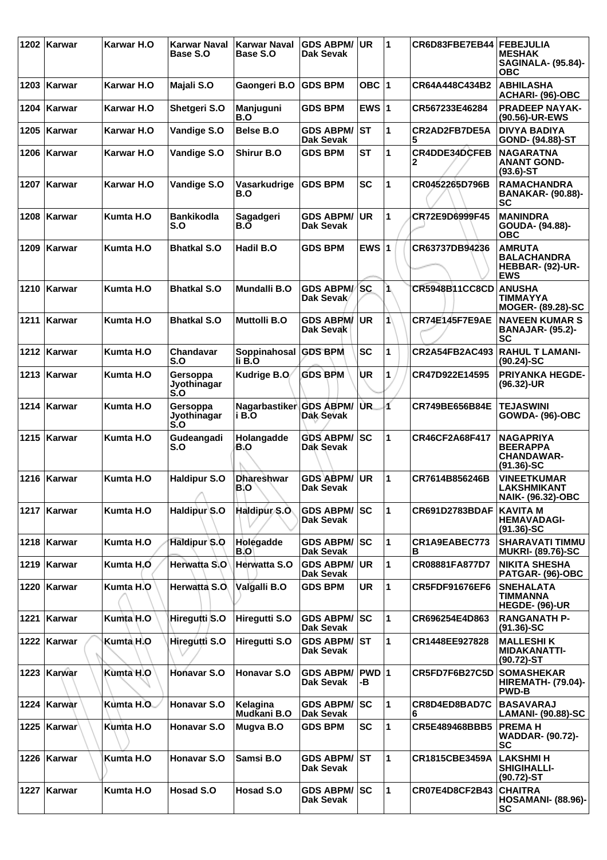|      | 1202 Karwar   | <b>Karwar H.O</b> | Karwar Naval<br><b>Base S.O</b> | <b>Karwar Naval</b><br>Base S.O | <b>GDS ABPM/</b><br>Dak Sevak        | UR          | 1              | CR6D83FBE7EB44            | <b>FEBEJULIA</b><br><b>MESHAK</b><br><b>SAGINALA- (95.84)-</b><br><b>OBC</b> |
|------|---------------|-------------------|---------------------------------|---------------------------------|--------------------------------------|-------------|----------------|---------------------------|------------------------------------------------------------------------------|
|      | 1203 Karwar   | Karwar H.O        | Majali S.O                      | Gaongeri B.O                    | <b>GDS BPM</b>                       | OBC $ 1$    |                | CR64A448C434B2            | <b>ABHILASHA</b><br>ACHARI- (96)-OBC                                         |
| 1204 | ∣Karwar       | Karwar H.O        | Shetgeri S.O                    | Manjuguni<br>B.O                | <b>GDS BPM</b>                       | EWS $ 1$    |                | CR567233E46284            | <b>PRADEEP NAYAK-</b><br>(90.56)-UR-EWS                                      |
| 1205 | Karwar        | Karwar H.O        | Vandige S.O                     | <b>Belse B.O</b>                | <b>GDS ABPM/</b><br>Dak Sevak        | ST          | 1              | CR2AD2FB7DE5A<br>5        | <b>DIVYA BADIYA</b><br>GOND- (94.88)-ST                                      |
| 1206 | Karwar        | Karwar H.O        | Vandige S.O                     | <b>Shirur B.O</b>               | <b>GDS BPM</b>                       | <b>ST</b>   | 1              | <b>CR4DDE34DCFEB</b><br>2 | <b>NAGARATNA</b><br><b>ANANT GOND-</b><br>$(93.6)$ -ST                       |
|      | 1207   Karwar | Karwar H.O        | Vandige S.O                     | Vasarkudrige<br>B.O             | <b>GDS BPM</b>                       | <b>SC</b>   | $\overline{1}$ | CR0452265D796B            | <b>RAMACHANDRA</b><br><b>BANAKAR- (90.88)-</b><br>SC                         |
| 1208 | <b>Karwar</b> | Kumta H.O         | <b>Bankikodla</b><br>S.O        | Sagadgeri<br>B.O                | <b>GDS ABPM/</b><br>Dak Sevak        | UR          | 1              | CR72E9D6999F45            | <b>MANINDRA</b><br>GOUDA- (94.88)-<br><b>OBC</b>                             |
| 1209 | ∣Karwar       | Kumta H.O         | <b>Bhatkal S.O</b>              | Hadil B.O                       | <b>GDS BPM</b>                       | EWS $ 1$    |                | CR63737DB94236            | <b>AMRUTA</b><br><b>BALACHANDRA</b><br>HEBBAR- (92)-UR-<br><b>EWS</b>        |
|      | 1210   Karwar | Kumta H.O         | <b>Bhatkal S.O</b>              | Mundalli B.O                    | <b>GDS ABPM/SC</b><br>Dak Sevak      |             | 1              | CR5948B11CC8CD ANUSHA     | TIMMAYYA<br><b>MOGER- (89.28)-SC</b>                                         |
|      | 1211 Karwar   | Kumta H.O         | <b>Bhatkal S.O</b>              | <b>Muttolli B.O</b>             | <b>GDS ABPM/</b><br>Dak Sevak        | UR          | 1              | <b>CR74E145F7E9AE</b>     | <b>NAVEEN KUMAR S</b><br><b>BANAJAR- (95.2)-</b><br>SC                       |
| 1212 | ∣Karwar       | Kumta H.O         | Chandavar<br>S.O                | Soppinahosal<br>li B.O          | <b>GDS BPM</b>                       | <b>SC</b>   | 1              | <b>CR2A54FB2AC493</b>     | <b>RAHUL T LAMANI-</b><br>$(90.24)$ -SC                                      |
|      | 1213   Karwar | Kumta H.O         | Gersoppa<br>Jyothinagar<br>S.O  | Kudrige B.O                     | <b>GDS BPM</b>                       | UR          | 1              | CR47D922E14595            | <b>PRIYANKA HEGDE-</b><br>(96.32)-UR                                         |
|      | 1214 Karwar   | Kumta H.O         | Gersoppa<br>Jyothinagar<br>S.O  | Nagarbastiker<br>i B.O          | <b>GDS ABPM/</b><br>Dak Sevak        | UR.         | 4              | CR749BE656B84E            | <b>TEJASWINI</b><br><b>GOWDA- (96)-OBC</b>                                   |
|      | 1215   Karwar | Kumta H.O         | Gudeangadi<br>S.O               | Holangadde<br>B.O               | <b>GDS ABPM/</b><br>Dak Sevak        | SC          | 1              | CR46CF2A68F417            | <b>NAGAPRIYA</b><br><b>BEERAPPA</b><br><b>CHANDAWAR-</b><br>$(91.36)$ -SC    |
|      | 1216   Karwar | Kumta H.O         | <b>Haldipur S.O</b>             | <b>Dhareshwar</b><br>B.O        | <b>GDS ABPM/</b><br><b>Dak Sevak</b> | <b>UR</b>   | $\mathbf{1}$   | CR7614B856246B            | <b>VINEETKUMAR</b><br><b>LAKSHMIKANT</b><br><b>NAIK- (96.32)-OBC</b>         |
|      | 1217   Karwar | Kumta H.O         | Haldipur S.O                    | Haldipur <sub>S.O</sub>         | <b>GDS ABPM/</b><br>Dak Sevak        | SC          | 1              | CR691D2783BDAF            | <b>KAVITA M</b><br><b>HEMAVADAGI-</b><br>$(91.36)$ -SC                       |
|      | 1218   Karwar | Kumta H.O         | Haldipur S.O                    | Holegadde<br>B.O                | <b>GDS ABPM/</b><br>Dak Sevak        | lsc         | 1              | CR1A9EABEC773<br>в        | <b>SHARAVATI TIMMU</b><br><b>MUKRI- (89.76)-SC</b>                           |
|      | 1219   Karwar | Kumta H.O         | Herwatta S.O                    | Herwatta S.O                    | <b>GDS ABPM/</b><br><b>Dak Sevak</b> | <b>UR</b>   | 1              | CR08881FA877D7            | <b>NIKITA SHESHA</b><br>PATGAR- (96)-OBC                                     |
|      | 1220 Karwar   | Kumta H.O         | Herwatta S.O.                   | Valgalli B.O                    | <b>GDS BPM</b>                       | UR          | 1              | <b>CR5FDF91676EF6</b>     | <b>SNEHALATA</b><br>TIMMANNA<br><b>HEGDE- (96)-UR</b>                        |
|      | 1221 Karwar   | Kumta H.O         | Hiregutti S.O                   | Hiregutti S.O                   | <b>GDS ABPM/</b><br>Dak Sevak        | lsc         | 1              | CR696254E4D863            | <b>RANGANATH P-</b><br>$(91.36)$ -SC                                         |
|      | 1222   Karwar | Kumta H.O         | Hiregutti S.O                   | Hiregutti S.O                   | <b>GDS ABPM/</b><br>Dak Sevak        | lST.        | 1              | CR1448EE927828            | <b>MALLESHIK</b><br><b>MIDAKANATTI-</b><br>(90.72)-ST                        |
|      | 1223 Karwar   | Kumta H.O         | Honavar S.O                     | <b>Honavar S.O</b>              | <b>GDS ABPM/</b><br>Dak Sevak        | PWD 1<br>-В |                | CR5FD7F6B27C5D            | <b>SOMASHEKAR</b><br><b>HIREMATH- (79.04)-</b><br><b>PWD-B</b>               |
| 1224 | Karwar        | Kumta H.O         | Honavar S.O                     | Kelagina<br>Mudkani B.O         | <b>GDS ABPM/</b><br>Dak Sevak        | SC          | 1              | CR8D4ED8BAD7C<br>6        | <b>BASAVARAJ</b><br>LAMANI- (90.88)-SC                                       |
|      | 1225   Karwar | Kumta H.O         | Honavar S.O                     | Mugva B.O                       | <b>GDS BPM</b>                       | <b>SC</b>   | 1              | CR5E489468BBB5            | <b>PREMAH</b><br><b>WADDAR- (90.72)-</b><br>SC                               |
|      | 1226   Karwar | Kumta H.O         | <b>Honavar S.O</b>              | Samsi B.O                       | <b>GDS ABPM/</b><br>Dak Sevak        | lst         | 1              | CR1815CBE3459A            | <b>LAKSHMI H</b><br><b>SHIGIHALLI-</b><br>$(90.72)$ -ST                      |
| 1227 | Karwar        | Kumta H.O         | Hosad S.O                       | Hosad S.O                       | <b>GDS ABPM/SC</b><br>Dak Sevak      |             | 1              | <b>CR07E4D8CF2B43</b>     | <b>CHAITRA</b><br><b>HOSAMANI- (88.96)-</b><br>SC                            |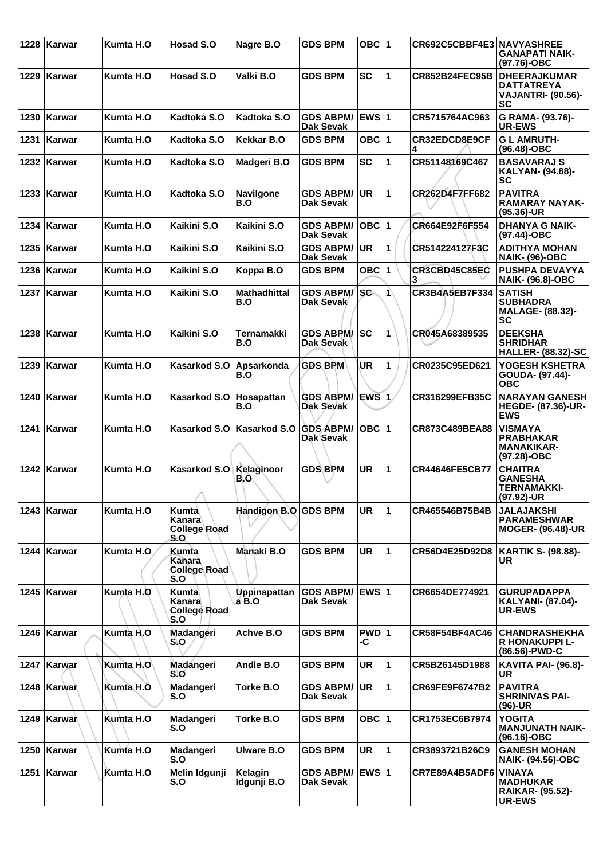|      | 1228   Karwar | Kumta H.O  | <b>Hosad S.O</b>                              | Nagre B.O                  | <b>GDS BPM</b>                       | OBC $ 1$                |                      | CR692C5CBBF4E3 NAVYASHREE | <b>GANAPATI NAIK-</b><br>(97.76)-OBC                                               |
|------|---------------|------------|-----------------------------------------------|----------------------------|--------------------------------------|-------------------------|----------------------|---------------------------|------------------------------------------------------------------------------------|
|      | 1229 Karwar   | Kumta H.O  | Hosad S.O                                     | Valki B.O                  | <b>GDS BPM</b>                       | <b>SC</b>               | 1                    | <b>CR852B24FEC95B</b>     | <b>DHEERAJKUMAR</b><br><b>DATTATREYA</b><br><b>VAJANTRI- (90.56)-</b><br><b>SC</b> |
|      | 1230   Karwar | Kumta H.O  | Kadtoka S.O                                   | Kadtoka S.O                | <b>GDS ABPM/</b><br>Dak Sevak        | <b>EWS 1</b>            |                      | CR5715764AC963            | G RAMA- (93.76)-<br><b>UR-EWS</b>                                                  |
| 1231 | ∣Karwar       | Kumta H.O  | Kadtoka S.O                                   | Kekkar B.O                 | <b>GDS BPM</b>                       | OBC $ 1$                |                      | CR32EDCD8E9CF             | <b>GLAMRUTH-</b><br>(96.48)-OBC                                                    |
|      | 1232 Karwar   | Kumta H.O  | Kadtoka S.O                                   | Madgeri B.O                | <b>GDS BPM</b>                       | SC                      | 1                    | CR51148169C467            | <b>BASAVARAJ S</b><br><b>KALYAN- (94.88)-</b><br>SC                                |
|      | 1233   Karwar | Kumta H.O  | Kadtoka S.O                                   | <b>Navilgone</b><br>B.O    | <b>GDS ABPM/</b><br><b>Dak Sevak</b> | <b>UR</b>               | 1                    | CR262D4F7FF682            | <b>PAVITRA</b><br><b>RAMARAY NAYAK-</b><br>$(95.36)$ -UR                           |
| 1234 | ∣Karwar       | Kumta H.O  | Kaikini S.O                                   | Kaikini S.O                | <b>GDS ABPM/</b><br>Dak Sevak        | $OBC$ 1                 |                      | CR664E92F6F554            | <b>DHANYA G NAIK-</b><br>(97.44)-OBC                                               |
|      | 1235   Karwar | Kumta H.O  | Kaikini S.O                                   | Kaikini S.O                | <b>GDS ABPM/</b><br>Dak Sevak        | <b>UR</b>               | 1                    | CR514224127F3C            | <b>ADITHYA MOHAN</b><br><b>NAIK- (96)-OBC</b>                                      |
|      | 1236   Karwar | Kumta H.O  | Kaikini S.O                                   | Koppa B.O                  | <b>GDS BPM</b>                       | OBC $ 1$                |                      | CR3CBD45C85EC             | <b>PUSHPA DEVAYYA</b><br><b>NAIK- (96.8)-OBC</b>                                   |
|      | 1237   Karwar | Kumta H.O  | Kaikini S.O                                   | <b>Mathadhittal</b><br>B.O | <b>GDS ABPM/</b><br>Dak Sevak        | sc                      | $\blacktriangleleft$ | CR3B4A5EB7F334            | <b>SATISH</b><br><b>SUBHADRA</b><br><b>MALAGE- (88.32)-</b><br>SC                  |
|      | 1238 Karwar   | Kumta H.O  | Kaikini S.O                                   | Ternamakki<br>B.O          | <b>GDS ABPM/ SC</b><br>Dak Sevak     |                         | 1                    | CR045A68389535            | <b>DEEKSHA</b><br><b>SHRIDHAR</b><br><b>HALLER- (88.32)-SC</b>                     |
|      | 1239   Karwar | Kumta H.O  | Kasarkod S.O                                  | Apsarkonda<br>B.O          | <b>GDS BPM</b>                       | <b>UR</b>               | 1                    | CR0235C95ED621            | YOGESH KSHETRA<br>GOUDA- (97.44)-<br><b>OBC</b>                                    |
|      | 1240   Karwar | Kumta H.O  | Kasarkod S.O                                  | Hosapattan<br>B.O          | <b>GDS ABPM/</b><br><b>Dak Sevak</b> | EWS 1                   |                      | CR316299EFB35C            | <b>NARAYAN GANESH</b><br><b>HEGDE- (87.36)-UR-</b><br><b>EWS</b>                   |
|      | 1241   Karwar | Kumta H.O  | Kasarkod S.O                                  | Kasarkod S.O               | <b>GDS ABPM/</b><br>Dak Sevak        | OBC  1                  |                      | CR873C489BEA88            | <b>VISMAYA</b><br><b>PRABHAKAR</b><br><b>MANAKIKAR-</b><br>(97.28)-OBC             |
|      | 1242   Karwar | Kumta H.O  | Kasarkod S.O<br>n.                            | Kelaginoor<br>B.O          | <b>GDS BPM</b>                       | <b>UR</b>               | 1                    | <b>CR44646FE5CB77</b>     | <b>CHAITRA</b><br><b>GANESHA</b><br><b>TERNAMAKKI-</b><br>(97.92)-UR               |
|      | 1243   Karwar | Kumta H.O  | Kumta<br>Kanara<br><b>College Road</b><br>S.O | Handigon B.O GDS BPM       |                                      | UR                      | 1                    | CR465546B75B4B            | <b>JALAJAKSHI</b><br><b>PARAMESHWAR</b><br><b>MOGER- (96.48)-UR</b>                |
|      | 1244 Karwar   | Kumta H.O. | <b>Kumta</b><br>Kanara<br>Collège Road<br>S.O | Manaki B.O                 | <b>GDS BPM</b>                       | <b>UR</b>               | $\mathbf{1}$         | CR56D4E25D92D8            | <b>KARTIK S- (98.88)-</b><br>UR.                                                   |
|      | 1245   Karwar | Kumta H.O  | Kumta<br>Kanara<br><b>College Road</b><br>S.O | Uppinapattan<br>$a$ B.O    | <b>GDS ABPM/</b><br>Dak Sevak        | <b>EWS</b> <sub>1</sub> |                      | CR6654DE774921            | <b>GURUPADAPPA</b><br><b>KALYANI- (87.04)-</b><br><b>UR-EWS</b>                    |
|      | 1246 Karwar   | Kumta H.O  | Madangeri<br>S.O                              | Achve B.O                  | <b>GDS BPM</b>                       | PWD 1<br>-C             |                      | <b>CR58F54BF4AC46</b>     | <b>CHANDRASHEKHA</b><br><b>R HONAKUPPI L-</b><br>(86.56)-PWD-C                     |
|      | 1247   Karwar | Kumta H.O  | Madangeri<br>S.O                              | Andle B.O                  | <b>GDS BPM</b>                       | <b>UR</b>               | 1                    | CR5B26145D1988            | <b>KAVITA PAI- (96.8)-</b><br>UR                                                   |
|      | 1248   Karwar | Kumta H.O  | Madangeri<br>S.O                              | Torke B.O                  | <b>GDS ABPM/</b><br><b>Dak Sevak</b> | <b>UR</b>               | 1                    | <b>CR69FE9F6747B2</b>     | <b>PAVITRA</b><br><b>SHRINIVAS PAI-</b><br>$(96)-UR$                               |
|      | 1249 Karwan   | Kumta H.O  | Madangeri<br>S.O                              | Torke B.O                  | <b>GDS BPM</b>                       | OBC $ 1$                |                      | CR1753EC6B7974            | <b>YOGITA</b><br><b>MANJUNATH NAIK-</b><br>(96.16)-OBC                             |
|      | 1250   Karwar | Kumta H.O  | Madangeri<br>S.O                              | Ulware B.O                 | <b>GDS BPM</b>                       | <b>UR</b>               | $\mathbf{1}$         | CR3893721B26C9            | <b>GANESH MOHAN</b><br><b>NAIK- (94.56)-OBC</b>                                    |
|      | 1251   Karwar | Kumta H.O  | Melin Idgunji<br>S.O                          | Kelagin<br>Idgunji B.O     | <b>GDS ABPM/</b><br>Dak Sevak        | EWS 1                   |                      | CR7E89A4B5ADF6            | <b>VINAYA</b><br><b>MADHUKAR</b><br><b>RAIKAR- (95.52)-</b><br><b>UR-EWS</b>       |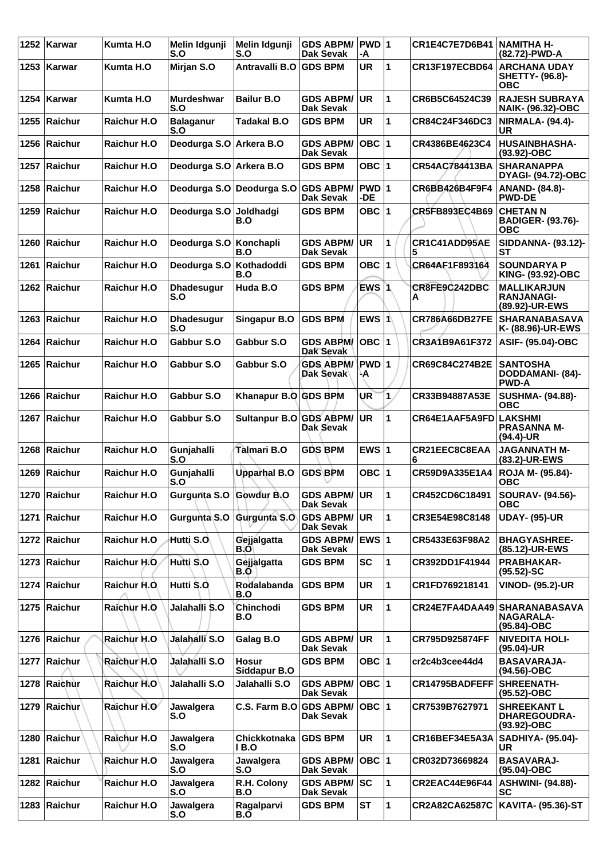| 1252 | Karwar         | Kumta H.O          | Melin Idgunji<br>S.O      | Melin Idgunji<br>S.O                 | <b>GDS ABPM/</b><br><b>Dak Sevak</b> | PWD 1<br>-A  |                | <b>CR1E4C7E7D6B41</b> | INAMITHA H-<br>(82.72)-PWD-A                                    |
|------|----------------|--------------------|---------------------------|--------------------------------------|--------------------------------------|--------------|----------------|-----------------------|-----------------------------------------------------------------|
| 1253 | Karwar         | Kumta H.O          | Mirjan S.O                | Antravalli B.O                       | <b>GDS BPM</b>                       | UR           | 1              | CR13F197ECBD64        | <b>ARCHANA UDAY</b><br>SHETTY- (96.8)-<br>ОВС                   |
| 1254 | Karwar         | Kumta H.O          | <b>Murdeshwar</b><br>S.O  | <b>Bailur B.O</b>                    | <b>GDS ABPM/</b><br>Dak Sevak        | UR           | 1              | CR6B5C64524C39        | <b>RAJESH SUBRAYA</b><br><b>NAIK- (96.32)-OBC</b>               |
| 1255 | Raichur        | <b>Raichur H.O</b> | <b>Balaganur</b><br>S.O   | <b>Tadakal B.O</b>                   | <b>GDS BPM</b>                       | UR           | 1              | CR84C24F346DC3        | NIRMALA- (94.4)-<br><b>UR</b>                                   |
|      | 1256 Raichur   | Raichur H.O        | Deodurga S.O Arkera B.O   |                                      | <b>GDS ABPM/</b><br><b>Dak Sevak</b> | OBC  1       |                | CR4386BE4623C4        | <b>HUSAINBHASHA-</b><br>$(93.92)$ -OBC                          |
| 1257 | <b>Raichur</b> | <b>Raichur H.O</b> | Deodurga S.O   Arkera B.O |                                      | <b>GDS BPM</b>                       | OBC $ 1$     |                | CR54AC784413BA        | <b>SHARANAPPA</b><br><b>DYAGI- (94.72)-OBC</b>                  |
| 1258 | Raichur        | <b>Raichur H.O</b> |                           | Deodurga S.O Deodurga S.O GDS ABPM/  | Dak Sevak                            | PWD 1<br>-DE |                | CR6BB426B4F9F4        | <b>ANAND- (84.8)-</b><br><b>PWD-DE</b>                          |
|      | 1259 Raichur   | <b>Raichur H.O</b> | Deodurga S.O Joldhadgi    | B.O                                  | <b>GDS BPM</b>                       | OBC $ 1$     |                | <b>CR5FB893EC4B69</b> | <b>CHETAN N</b><br><b>BADIGER- (93.76)-</b><br>овс              |
|      | 1260 Raichur   | <b>Raichur H.O</b> | Deodurga S.O Konchapli    | B.O                                  | <b>GDS ABPM/</b><br><b>Dak Sevak</b> | UR           | 1              | CR1C41ADD95AE         | SIDDANNA- (93.12)-<br>SТ                                        |
| 1261 | Raichur        | <b>Raichur H.O</b> | Deodurga S.O              | Kothadoddi<br>B.O                    | <b>GDS BPM</b>                       | <b>OBC</b> 1 |                | CR64AF1F893164        | <b>SOUNDARYA P</b><br>KING- (93.92)-OBC                         |
|      | 1262 Raichur   | <b>Raichur H.O</b> | <b>Dhadesugur</b><br>S.O  | Huda B.O                             | <b>GDS BPM</b>                       | EWS 1        |                | CR8FE9C242DBC<br>A    | <b>MALLIKARJUN</b><br><b>RANJANAGI-</b><br>(89.92)-UR-EWS       |
| 1263 | Raichur        | Raichur H.O        | <b>Dhadesugur</b><br>S.O  | <b>Singapur B.O</b>                  | <b>GDS BPM</b>                       | EWS 1        |                | <b>CR786A66DB27FE</b> | <b>SHARANABASAVA</b><br>K- (88.96)-UR-EWS                       |
| 1264 | Raichur        | <b>Raichur H.O</b> | Gabbur S.O                | Gabbur S.O                           | <b>GDS ABPM/</b><br>Dak Sevak        | OBC  1       |                | CR3A1B9A61F372        | <b>ASIF- (95.04)-OBC</b>                                        |
|      | 1265 Raichur   | <b>Raichur H.O</b> | Gabbur S.O                | Gabbur S.O                           | <b>GDS ABPM/</b><br>Dak Sevak        | PWD 1<br>۹A  |                | CR69C84C274B2E        | <b>SANTOSHA</b><br>DODDAMANI- (84)-<br><b>PWD-A</b>             |
|      | 1266 Raichur   | <b>Raichur H.O</b> | Gabbur S.O                | Khanapur B.O GDS BPM                 |                                      | UR           | 1.             | CR33B94887A53E        | <b>SUSHMA- (94.88)-</b><br><b>OBC</b>                           |
| 1267 | Raichur        | Raichur H.O        | Gabbur S.O                | Sultanpur B.O                        | <b>GDS ABPM/</b><br>Dak Sevak        | <b>UR</b>    | 1              | CR64E1AAF5A9FD        | <b>LAKSHMI</b><br><b>PRASANNA M-</b><br>$(94.4)$ -UR            |
|      | 1268 Raichur   | Raichur H.O        | Gunjahalli<br>S.O         | Talmari B.O                          | <b>GDS BPM</b>                       | EWS $ 1$     |                | CR21EEC8C8EAA<br>6    | <b>JAGANNATH M-</b><br>(83.2)-UR-EWS                            |
| 1269 | Raichur        | <b>Raichur H.O</b> | Gunjahalli<br>S.O         | <b>Upparhal B.O</b>                  | <b>GDS BPM</b>                       | OBC $ 1$     |                | CR59D9A335E1A4        | ROJA M- (95.84)-<br>овс                                         |
|      | 1270 Raichur   | Raichur H.O        |                           | Gurgunta S.O Gowdur B.O GDS ABPM/ UR | Dak Sevak                            |              | 1              | CR452CD6C18491        | <b>SOURAV- (94.56)-</b><br>овс                                  |
|      | 1271 Raichur   | <b>Raichur H.O</b> | Gurgunta <sub>S.O</sub>   | Gurgunta S.O                         | <b>GDS ABPM/</b><br>Dak Sevak        | ∣UR.         | 1              | CR3E54E98C8148        | <b>UDAY- (95)-UR</b>                                            |
|      | 1272 Raichur   | Raichur H.O        | Hutti S.O                 | Gejjalgatta<br>B.O                   | <b>GDS ABPM/</b><br>Dak Sevak        | EWS 1        |                | CR5433E63F98A2        | <b>BHAGYASHREE-</b><br>(85.12)-UR-EWS                           |
|      | 1273 Raichur   | Raichur H.O        | Hutti S.O                 | Gejjalgatta<br>B.0                   | <b>GDS BPM</b>                       | SC           | 1              | CR392DD1F41944        | <b>PRABHAKAR-</b><br>$(95.52)$ -SC                              |
|      | 1274 Raichur   | Raichur H.O.       | Hutti S.O.                | Rodalabanda<br>B.O                   | <b>GDS BPM</b>                       | <b>UR</b>    | 1              | CR1FD769218141        | <b>VINOD- (95.2)-UR</b>                                         |
|      | 1275 Raichur   | Raichur H.O        | Jalahalli S.O             | Chinchodi<br>B.O                     | <b>GDS BPM</b>                       | <b>UR</b>    | 1              |                       | CR24E7FA4DAA49 SHARANABASAVA<br><b>NAGARALA-</b><br>(95.84)-OBC |
|      | 1276 Raichur   | Raichur H.O        | Jalahállí S.O             | Galag B.O                            | <b>GDS ABPM/</b><br>Dak Sevak        | UR.          | 1              | CR795D925874FF        | <b>NIVEDITA HOLI-</b><br>$(95.04)$ -UR                          |
|      | 1277 Raichur   | Raichur H.O        | Jalahalli S.O             | <b>Hosur</b><br>Siddapur B.O         | <b>GDS BPM</b>                       | OBC $ 1$     |                | cr2c4b3cee44d4        | <b>BASAVARAJA-</b><br>(94.56)-OBC                               |
|      | 1278 Raichur   | Raichur H.O        | Jalahalli S.O             | Jalahalli S.O                        | <b>GDS ABPM/</b><br>Dak Sevak        | OBC 1        |                | CR14795BADFEFF        | <b>SHREENATH-</b><br>(95.52)-OBC                                |
|      | 1279 Raichur   | Raichur H.O        | Jawalgera<br>S.O          | C.S. Farm B.O                        | <b>GDS ABPM/</b><br>Dak Sevak        | OBC  1       |                | CR7539B7627971        | <b>SHREEKANT L</b><br><b>DHAREGOUDRA-</b><br>(93.92)-OBC        |
|      | 1280 Raichur   | Raichur H.O        | Jawalgera<br>S.O          | Chickkotnaka<br>1 B.O                | <b>GDS BPM</b>                       | <b>UR</b>    | $\overline{1}$ | CR16BEF34E5A3A        | <b>SADHIYA- (95.04)-</b><br>UR                                  |
| 1281 | Raichur        | Raichur H.O        | Jawalgera<br>S.O          | Jawalgera<br>S.O                     | <b>GDS ABPM/</b><br>Dak Sevak        | OBC  1       |                | CR032D73669824        | <b>BASAVARAJ-</b><br>$(95.04)-OBC$                              |
|      | 1282 Raichur   | Raichur H.O        | Jawalgera<br>S.O          | R.H. Colony<br>B.O                   | <b>GDS ABPM/</b><br>Dak Sevak        | SC           | 1              | <b>CR2EAC44E96F44</b> | <b>ASHWINI- (94.88)-</b><br><b>SC</b>                           |
|      | 1283 Raichur   | Raichur H.O        | Jawalgera<br>S.O          | Ragalparvi<br>B.O                    | <b>GDS BPM</b>                       | ST           | $\mathbf 1$    | CR2A82CA62587C        | KAVITA- (95.36)-ST                                              |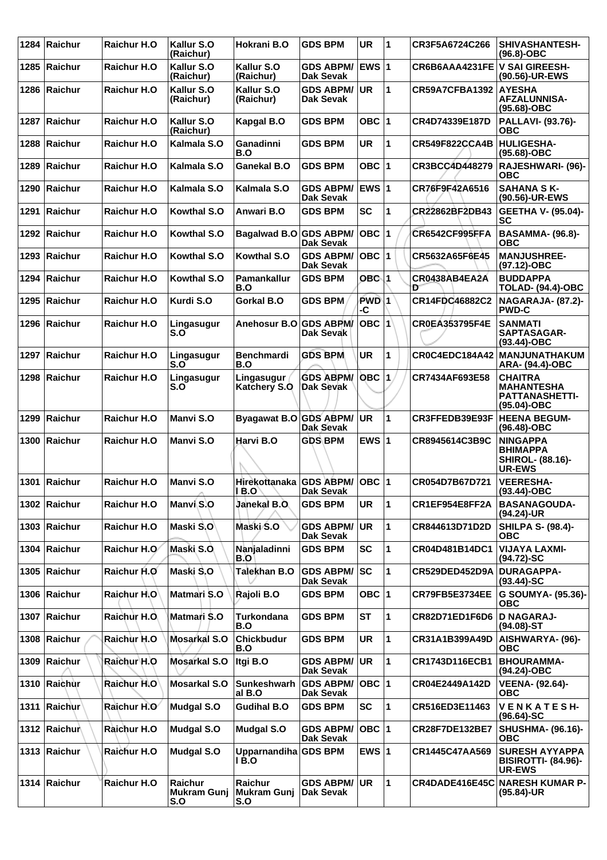| 1284 | Raichur              | <b>Raichur H.O</b>  | Kallur S.O<br>(Raichur)                     | Hokrani B.O                          | <b>GDS BPM</b>                       | <b>UR</b>    | 1                    | CR3F5A6724C266                | <b>SHIVASHANTESH-</b><br>$(96.8)-OBC$                                          |
|------|----------------------|---------------------|---------------------------------------------|--------------------------------------|--------------------------------------|--------------|----------------------|-------------------------------|--------------------------------------------------------------------------------|
| 1285 | <b>Raichur</b>       | Raichur H.O         | Kallur S.O<br>(Raichur)                     | Kallur S.O<br>(Raichur)              | <b>GDS ABPM/</b><br><b>Dak Sevak</b> | <b>EWS 1</b> |                      | CR6B6AAA4231FE V SAI GIREESH- | (90.56)-UR-EWS                                                                 |
| 1286 | <b>Raichur</b>       | <b>Raichur H.O.</b> | Kallur S.O<br>(Raichur)                     | Kallur S.O<br>(Raichur)              | <b>GDS ABPM/</b><br><b>Dak Sevak</b> | <b>UR</b>    | 1                    | CR59A7CFBA1392                | <b>AYESHA</b><br><b>AFZALUNNISA-</b><br>(95.68)-OBC                            |
| 1287 | <b>Raichur</b>       | <b>Raichur H.O</b>  | Kallur S.O<br>(Raichur)                     | Kapgal B.O                           | <b>GDS BPM</b>                       | OBC $ 1$     |                      | CR4D74339E187D                | PALLAVI- (93.76)-<br><b>OBC</b>                                                |
| 1288 | Raichur              | <b>Raichur H.O</b>  | Kalmala S.O                                 | Ganadinni<br>B.O                     | <b>GDS BPM</b>                       | <b>UR</b>    | 1                    | <b>CR549F822CCA4B</b>         | <b>HULIGESHA-</b><br>$(95.68) - OBC$                                           |
| 1289 | Raichur              | <b>Raichur H.O.</b> | Kalmala S.O                                 | Ganekal B.O                          | <b>GDS BPM</b>                       | OBC $ 1$     |                      | CR3BCC4D448279                | <b>RAJESHWARI- (96)-</b><br>ОВС                                                |
| 1290 | Raichur              | <b>Raichur H.O.</b> | Kalmala S.O                                 | Kalmala S.O                          | <b>GDS ABPM/</b><br><b>Dak Sevak</b> | EWS $ 1$     |                      | CR76F9F42A6516                | <b>SAHANA S K-</b><br>(90.56)-UR-EWS                                           |
| 1291 | <b>Raichur</b>       | <b>Raichur H.O</b>  | Kowthal S.O                                 | Anwari B.O                           | <b>GDS BPM</b>                       | <b>SC</b>    | 1                    | CR22862BF2DB43                | <b>GEETHA V- (95.04)-</b><br>SC                                                |
| 1292 | Raichur              | <b>Raichur H.O.</b> | <b>Kowthal S.O</b>                          | Bagalwad B.O GDS ABPM/               | Dak Sevak                            | OBC  1       |                      | <b>CR6542CF995FFA</b>         | <b>BASAMMA- (96.8)-</b><br>ОВС                                                 |
| 1293 | Raichur              | <b>Raichur H.O.</b> | Kowthal S.O                                 | Kowthal S.O                          | <b>GDS ABPM/</b><br><b>Dak Sevak</b> | OBC  1       |                      | CR5632A65F6E45                | <b>MANJUSHREE-</b><br>(97.12)-OBC                                              |
| 1294 | Raichur              | <b>Raichur H.O</b>  | Kowthal S.O                                 | Pamankallur<br>B.O                   | <b>GDS BPM</b>                       | OBC 1        |                      | CR0438AB4EA2A<br>Đ            | <b>BUDDAPPA</b><br><b>TOLAD- (94.4)-OBC</b>                                    |
| 1295 | Raichur              | Raichur H.O         | Kurdi S.O                                   | Gorkal B.O                           | <b>GDS BPM</b>                       | PWD\1<br>-C  |                      | CR14FDC46882C2                | NAGARAJA- (87.2)-<br><b>PWD-C</b>                                              |
| 1296 | Raichur              | <b>Raichur H.O.</b> | Lingasugur<br>S.O                           | Anehosur B.O GDS ABPM/               | Dak Sevak                            | OBC ∣1∖      |                      | CR0EA353795F4E                | <b>SANMATI</b><br>SAPTASAGAR-<br>$(93.44) - OBC$                               |
| 1297 | Raichur              | <b>Raichur H.O</b>  | Lingasugur<br>S.O                           | <b>Benchmardi</b><br>B.O             | <b>GDS BPM</b>                       | <b>UR</b>    | 1                    | CR0C4EDC184A42                | <b>MANJUNATHAKUM</b><br>ARA- (94.4)-OBC                                        |
| 1298 | Raichur              | <b>Raichur H.O</b>  | Lingasugur<br>S.O                           | Lingasugur<br><b>Katchery S.O</b>    | <b>GDS ABPM/</b><br>Dak Sevak        | OBC          | 1.                   | CR7434AF693E58                | <b>CHAITRA</b><br><b>MAHANTESHA</b><br><b>PATTANASHETTI-</b><br>(95.04)-OBC    |
| 1299 | Raichur              | <b>Raichur H.O</b>  | <b>Manvi S.O</b>                            | Byagawat B.O GDS ABPM/               | Dak Sevak                            | UR           | 1                    | CR3FFEDB39E93F                | <b>HEENA BEGUM-</b><br>$(96.48)-OBC$                                           |
| 1300 | Raichur              | Raichur H.O         | Manvi S.O                                   | Harvi B.O                            | <b>GDS BPM</b>                       | EWS $ 1$     |                      | CR8945614C3B9C                | <b>NINGAPPA</b><br><b>BHIMAPPA</b><br><b>SHIROL- (88.16)-</b><br><b>UR-EWS</b> |
| 1301 | <b>Raichur</b>       | <b>Raichur H.O</b>  | Manyi S.O                                   | Hirekottanaka<br>1 B.O'              | <b>GDS ABPM/</b><br><b>Dak Sevak</b> | OBC  1       |                      | CR054D7B67D721                | <b>VEERESHA-</b><br>$(93.44) - OBC$                                            |
|      | 1302 Raichur         | Raichur H.O         | Manvi S.O                                   | Janekal B.O.                         | <b>GDS BPM</b>                       | <b>UR</b>    | $\blacktriangleleft$ | CR1EF954E8FF2A                | <b>BASANAGOUDA-</b><br>$(94.24)$ -UR                                           |
|      | 1303 Raichur         | Raichur H.O         | Maski S.O                                   | Maski S.O                            | <b>GDS ABPM/</b><br>Dak Sevak        | <b>UR</b>    | 1                    | CR844613D71D2D                | <b>SHILPA S- (98.4)-</b><br><b>OBC</b>                                         |
|      | 1304 Raichur         | Raichur H.O         | Maski S.O.                                  | Nanjaladinni<br>B.O                  | <b>GDS BPM</b>                       | SC           | 1                    | CR04D481B14DC1                | <b>VIJAYA LAXMI-</b><br>$(94.72)$ -SC                                          |
|      | 1305 Raichur         | Raichur H.O         | Maski S.O                                   | Talekhan B.O                         | <b>GDS ABPM/</b><br>Dak Sevak        | lsc          | 1                    | <b>CR529DED452D9A</b>         | <b>DURAGAPPA-</b><br>$(93.44)$ -SC                                             |
|      | 1306 Raichur         | Raichur H.O         | Matmari S.O                                 | Rajoli B.O                           | <b>GDS BPM</b>                       | OBC $ 1$     |                      | CR79FB5E3734EE                | G SOUMYA- (95.36)-<br><b>OBC</b>                                               |
|      | 1307 Raichur         | Raichur H.O.        | Matmari S.O                                 | <b>Turkondana</b><br>B.O             | <b>GDS BPM</b>                       | <b>ST</b>    | 1                    | CR82D71ED1F6D6                | <b>D NAGARAJ-</b><br>$(94.08) - ST$                                            |
| 1308 | Raichur              | Raichur H.O         | Mosarkal S.O                                | <b>Chickbudur</b><br>B.O             | <b>GDS BPM</b>                       | UR           | 1                    | CR31A1B399A49D                | AISHWARYA- (96)-<br><b>OBC</b>                                                 |
| 1309 | Raichur              | Raichur H.O         | <b>Mosarkal S.O</b>                         | Itgi B.O                             | <b>GDS ABPM/</b><br>Dak Sevak        | UR.          | 1                    | CR1743D116ECB1                | <b>BHOURAMMA-</b><br>(94.24)-OBC                                               |
|      | 1310 Raichur         | Raichur H.O         | <b>Mosarkal S.O</b>                         | Sunkeshwarh<br>al B.O                | <b>GDS ABPM/</b><br>Dak Sevak        | OBC $ 1$     |                      | CR04E2449A142D                | <b>VEENA- (92.64)-</b><br><b>OBC</b>                                           |
| 1311 | $ \mathsf{Raichur} $ | Raichur H.O         | <b>Mudgal S.O</b>                           | <b>Gudihal B.O</b>                   | <b>GDS BPM</b>                       | <b>SC</b>    | 1                    | CR516ED3E11463                | VENKATESH-<br>$(96.64)$ -SC                                                    |
|      | 1312 Raichur         | Raichur H.O         | <b>Mudgal S.O</b>                           | <b>Mudgal S.O</b>                    | <b>GDS ABPM/</b><br>Dak Sevak        | OBC 1        |                      | <b>CR28F7DE132BE7</b>         | <b>SHUSHMA- (96.16)-</b><br><b>OBC</b>                                         |
|      | 1313 Raichur         | Raichur H.O         | <b>Mudgal S.O</b>                           | Upparnandiha GDS BPM<br>1 B.O        |                                      | EWS $ 1$     |                      | CR1445C47AA569                | <b>SURESH AYYAPPA</b><br><b>BISIROTTI- (84.96)-</b><br>UR-EWS                  |
|      | 1314 Raichur         | Raichur H.O         | <b>Raichur</b><br><b>Mukram Gunj</b><br>S.O | <b>Raichur</b><br>Mukram Gunj<br>S.O | <b>GDS ABPM/</b><br>Dak Sevak        | UR.          | 11.                  | CR4DADE416E45C                | <b>NARESH KUMAR P-</b><br>(95.84)-UR                                           |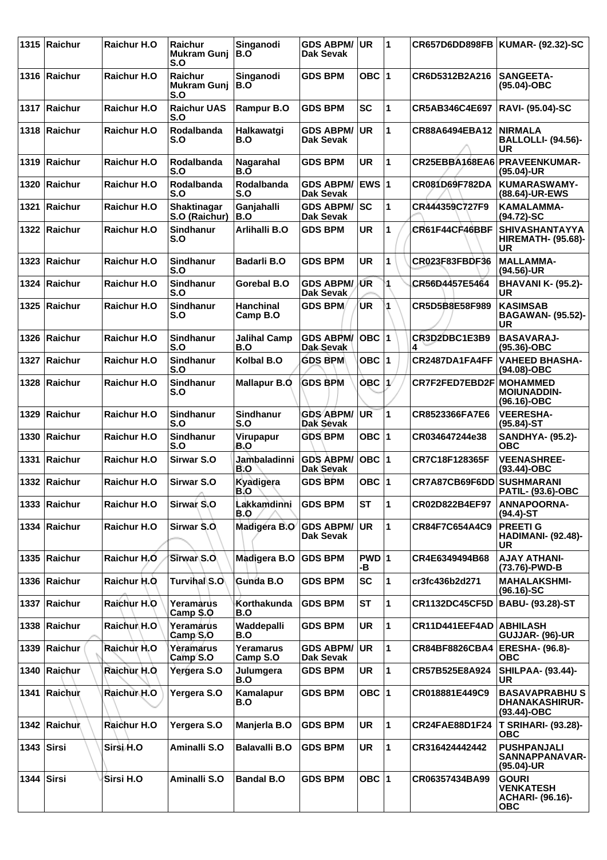|              | 1315 Raichur   | Raichur H.O         | Raichur<br><b>Mukram Guni</b><br>S.O        | Singanodi<br>B.O             | <b>GDS ABPM/</b><br>Dak Sevak        | <b>UR</b>     | $\overline{1}$ | CR657D6DD898FB            | KUMAR- (92.32)-SC                                                         |
|--------------|----------------|---------------------|---------------------------------------------|------------------------------|--------------------------------------|---------------|----------------|---------------------------|---------------------------------------------------------------------------|
|              | 1316 Raichur   | Raichur H.O         | <b>Raichur</b><br><b>Mukram Gunj</b><br>S.O | Singanodi<br>B.O             | <b>GDS BPM</b>                       | OBC $ 1$      |                | CR6D5312B2A216            | <b>SANGEETA-</b><br>(95.04)-OBC                                           |
|              | 1317 Raichur   | Raichur H.O         | <b>Raichur UAS</b><br>S.O                   | Rampur B.O                   | <b>GDS BPM</b>                       | <b>SC</b>     | 1              | CR5AB346C4E697            | <b>RAVI- (95.04)-SC</b>                                                   |
|              | 1318 Raichur   | Raichur H.O         | Rodalbanda<br>S.O                           | Halkawatqi<br>B.O            | <b>GDS ABPM/</b><br>Dak Sevak        | <b>UR</b>     | 1              | CR88A6494EBA12            | <b>INIRMALA</b><br><b>BALLOLLI- (94.56)-</b><br><b>UR</b>                 |
|              | 1319 Raichur   | <b>Raichur H.O</b>  | Rodalbanda<br>S.O                           | Nagarahal<br>B.O             | <b>GDS BPM</b>                       | <b>UR</b>     | 1              | CR25EBBA168EA6            | <b>PRAVEENKUMAR-</b><br>(95.04)-UR                                        |
| 1320         | <b>Raichur</b> | <b>Raichur H.O</b>  | Rodalbanda<br>S.O                           | <b>Rodalbanda</b><br>S.O     | <b>GDS ABPM/</b><br><b>Dak Sevak</b> | <b>EWS 1</b>  |                | <b>CR081D69F782DA</b>     | <b>KUMARASWAMY-</b><br>(88.64)-UR-EWS                                     |
| 1321         | Raichur        | <b>Raichur H.O</b>  | Shaktinagar<br>S.O (Raichur)                | Ganjahalli<br>B.O            | <b>GDS ABPM/</b><br>Dak Sevak        | SC            | 1              | CR444359C727F9            | KAMALAMMA-<br>(94.72)-SC                                                  |
|              | 1322 Raichur   | <b>Raichur H.O</b>  | <b>Sindhanur</b><br>S.O                     | Arlihalli B.O                | <b>GDS BPM</b>                       | <b>UR</b>     | 1              | CR61F44CF46BBF            | <b>SHIVASHANTAYYA</b><br><b>HIREMATH- (95.68)-</b><br><b>UR</b>           |
| 1323         | Raichur        | <b>Raichur H.O</b>  | <b>Sindhanur</b><br>S.O                     | <b>Badarli B.O</b>           | <b>GDS BPM</b>                       | <b>UR</b>     | 1              | CR023F83FBDF36            | <b>MALLAMMA-</b><br>(94.56)-UR                                            |
| 1324         | Raichur        | Raichur H.O         | Sindhanur<br>S.O                            | Gorebal B.O                  | <b>GDS ABPM/</b><br>Dak Sevak        | /ŰR           | 1              | CR56D4457E5464            | BHAVANI K- (95.2)-<br><b>UR</b>                                           |
| 1325         | Raichur        | Raichur H.O         | <b>Sindhanur</b><br>S.O                     | <b>Hanchinal</b><br>Camp B.O | <b>GDS BPM</b>                       | UR            | 1              | CR5D5B8E58F989            | <b>KASIMSAB</b><br><b>BAGAWAN- (95.52)-</b><br>UR                         |
| 1326         | Raichur        | <b>Raichur H.O</b>  | Sindhanur<br>S.O                            | <b>Jalihal Camp</b><br>B.O   | <b>GDS ABPM/</b><br>Dak Sevak        | OBC 1         |                | CR3D2DBC1E3B9<br>4        | <b>BASAVARAJ-</b><br>$(95.36)$ -OBC                                       |
| 1327         | Raichur        | Raichur H.O         | Sindhanur<br>S.O                            | Kolbal B.O                   | <b>GDS BPM</b>                       | OBC $ 1$      |                | CR2487DA1FA4FF            | <b>VAHEED BHASHA-</b><br>(94.08)-OBC                                      |
| 1328         | ∣Raichur       | Raichur H.O         | Sindhanur<br>S.O                            | <b>Mallapur B.Q</b>          | <b>GDS BPM</b>                       | <b>OBC</b>    | 1/             | CR7F2FED7EBD2F            | <b>MOHAMMED</b><br><b>MOIUNADDIN-</b><br>(96.16)-OBC                      |
| 1329         | <b>Raichur</b> | <b>Raichur H.O</b>  | Sindhanur<br>S.O                            | <b>Sindhanur</b><br>S.O      | <b>GDS ABPM/</b><br>Dak Sevak        | UR            | 1              | CR8523366FA7E6            | <b>VEERESHA-</b><br>$(95.84) - ST$                                        |
| 1330         | Raichur        | Raichur H.O         | Sindhanur<br>S.O                            | Virupapur<br>B.O             | <b>GDS BPM</b>                       | OBC $ 1$      |                | CR034647244e38            | <b>SANDHYA- (95.2)-</b><br><b>OBC</b>                                     |
| 1331         | Raichur        | <b>Raichur H.O.</b> | <b>Sirwar S.O</b>                           | Jambaladinni<br>B.O          | <b>GDS ABPM/</b><br>Dak Sevak        | OBC  1        |                | CR7C18F128365F            | <b>VEENASHREE-</b><br>$(93.44) - OBC$                                     |
|              | 1332 Raichur   | Raichur H.O         | <b>Sirwar S.O</b>                           | Kyadigera<br>B.O             | <b>GDS BPM</b>                       | OBC $ 1$      |                | CR7A87CB69F6DD SUSHMARANI | <b>PATIL- (93.6)-OBC</b>                                                  |
|              | 1333 Raichur   | Raichur H.O         | Sirwar <sub>S</sub> ,O                      | Lakkamdinni<br>B.O           | <b>GDS BPM</b>                       | ST            | 1              | CR02D822B4EF97            | <b>ANNAPOORNA-</b><br>(94.4)-ST                                           |
|              | 1334 Raichur   | Raichur H.O         | Sirwar S.O.                                 | Madigera B.O GDS ABPM/       | Dak Sevak                            | UR            | 1              | CR84F7C654A4C9            | <b>PREETI G</b><br><b>HADIMANI- (92.48)-</b><br><b>UR</b>                 |
|              | 1335 Raichur   | Raichur H.O         | Sirwar S.O.                                 | Madigera B.O                 | <b>GDS BPM</b>                       | $PWD$ 1<br>-В |                | CR4E6349494B68            | <b>AJAY ATHANI-</b><br>(73.76)-PWD-B                                      |
|              | 1336 Raichur   | Raichur H.O.        | Turvihal S.O                                | Gunda B.O                    | <b>GDS BPM</b>                       | <b>SC</b>     | 1              | cr3fc436b2d271            | <b>MAHALAKSHMI-</b><br>$(96.16)-SC$                                       |
|              | 1337 Raichur   | Raichur H.O         | Yeramarus<br>Camp S.O                       | Korthakunda<br>B.O           | <b>GDS BPM</b>                       | <b>ST</b>     | 1              | <b>CR1132DC45CF5D</b>     | <b>BABU- (93.28)-ST</b>                                                   |
|              | 1338 Raichur   | Raichur H.O         | Yeramarus<br>Camp S.O                       | Waddepalli<br>B.O            | <b>GDS BPM</b>                       | <b>UR</b>     | 1              | CR11D441EEF4AD   ABHILASH | GUJJAR- (96)-UR                                                           |
| 1339         | Raichur        | Raichur H.O         | Yeramarus<br>Camp S.O                       | Yeramarus<br>Camp S.O        | <b>GDS ABPM/</b><br>Dak Sevak        | UR            | 1              | CR84BF8826CBA4            | <b>ERESHA- (96.8)-</b><br><b>OBC</b>                                      |
|              | 1340 Raichur   | Raichur H.O         | Yergera S.O                                 | Julumgera<br>B.O             | <b>GDS BPM</b>                       | <b>UR</b>     | 1              | CR57B525E8A924            | <b>SHILPAA- (93.44)-</b><br><b>UR</b>                                     |
|              | 1341 Raichur   | Raichur H.O         | Yergera S.O                                 | Kamalapur<br>B.O             | <b>GDS BPM</b>                       | OBC $ 1$      |                | CR018881E449C9            | <b>BASAVAPRABHUS</b><br><b>DHANAKASHIRUR-</b><br>$(93.44)$ -OBC           |
|              | 1342 Raichun   | Raichur H.O         | Yergera S.O                                 | Manjerla B.O                 | <b>GDS BPM</b>                       | UR            | 1              | <b>CR24FAE88D1F24</b>     | <b>T SRIHARI- (93.28)-</b><br>ОВС                                         |
| $1343$ Sirsi |                | Sirsi H.O           | Aminalli S.O                                | <b>Balavalli B.O</b>         | <b>GDS BPM</b>                       | <b>UR</b>     | 1              | CR316424442442            | <b>PUSHPANJALI</b><br>SANNAPPANAVAR-<br>(95.04)-UR                        |
| 1344 Sirsi   |                | Sirsi H.O           | Aminalli S.O                                | <b>Bandal B.O</b>            | <b>GDS BPM</b>                       | OBC $ 1$      |                | CR06357434BA99            | <b>GOURI</b><br><b>VENKATESH</b><br><b>ACHARI- (96.16)-</b><br><b>OBC</b> |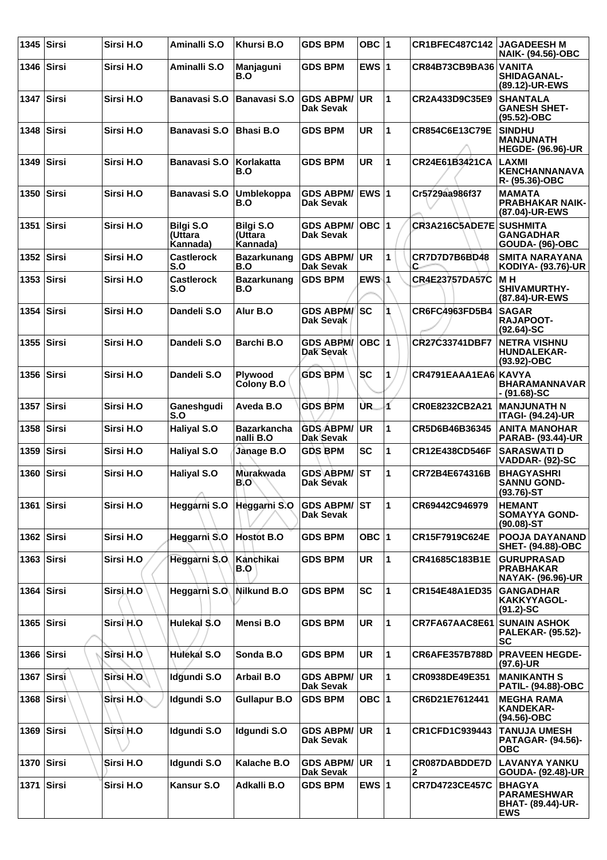| 1345         | <b>Sirsi</b> | Sirsi H.O  | Aminalli S.O                            | Khursi B.O                              | <b>GDS BPM</b>                       | OBC ∣1        |   | <b>CR1BFEC487C142</b> | <b>JAGADEESH M</b><br><b>NAIK- (94.56)-OBC</b>                                |
|--------------|--------------|------------|-----------------------------------------|-----------------------------------------|--------------------------------------|---------------|---|-----------------------|-------------------------------------------------------------------------------|
| 1346         | <b>Sirsi</b> | Sirsi H.O  | Aminalli S.O                            | Manjaguni<br>B.O                        | <b>GDS BPM</b>                       | EWS $ 1$      |   | CR84B73CB9BA36 VANITA | <b>SHIDAGANAL-</b><br>(89.12)-UR-EWS                                          |
| 1347 Sirsi   |              | Sirsi H.O  | Banavasi S.O                            | <b>Banavasi S.O</b>                     | <b>GDS ABPM/</b><br>Dak Sevak        | <b>UR</b>     | 1 | CR2A433D9C35E9        | <b>SHANTALA</b><br><b>GANESH SHET-</b><br>(95.52)-OBC                         |
| 1348         | Sirsi        | Sirsi H.O  | <b>Banavasi S.O</b>                     | <b>Bhasi B.O</b>                        | <b>GDS BPM</b>                       | <b>UR</b>     | 1 | CR854C6E13C79E        | <b>SINDHU</b><br><b>MANJUNATH</b><br><b>HEGDE- (96.96)-UR</b>                 |
| 1349         | <b>Sirsi</b> | Sirsi H.O  | <b>Banavasi S.O</b>                     | Korlakatta<br>B.O                       | <b>GDS BPM</b>                       | <b>UR</b>     | 1 | CR24E61B3421CA        | LAXMI<br><b>KENCHANNANAVA</b><br>R- (95.36)-OBC                               |
| 1350 Sirsi   |              | Sirsi H.O  | <b>Banavasi S.O</b>                     | <b>Umblekoppa</b><br>B.O                | <b>GDS ABPM/</b><br><b>Dak Sevak</b> | <b>IEWS 1</b> |   | Cr5729aa986f37        | <b>MAMATA</b><br><b>PRABHAKAR NAIK-</b><br>(87.04)-UR-EWS                     |
| 1351         | Sirsi        | Sirsi H.O  | <b>Bilgi S.O</b><br>(Uttara<br>Kannada) | <b>Bilgi S.O</b><br>(Uttara<br>Kannada) | <b>GDS ABPM/</b><br>Dak Sevak        | OBC  1        |   | CR3A216C5ADE7E        | <b>SUSHMITA</b><br><b>GANGADHAR</b><br><b>GOUDA- (96)-OBC</b>                 |
| 1352         | Sirsi        | Sirsi H.O  | <b>Castlerock</b><br>S.O                | <b>Bazarkunang</b><br>B.O               | <b>GDS ABPM/</b><br><b>Dak Sevak</b> | <b>UR</b>     | 1 | CR7D7D7B6BD48<br>C    | <b>SMITA NARAYANA</b><br>KODIYA- (93.76)-UR                                   |
| 1353         | <b>Sirsi</b> | Sirsi H.O  | <b>Castlerock</b><br>S.O                | <b>Bazarkunang</b><br>B.O               | <b>GDS BPM</b>                       | $EWS$ 1       |   | <b>CR4E23757DA57C</b> | <b>MH</b><br><b>SHIVAMURTHY-</b><br>(87.84)-UR-EWS                            |
| 1354         | Sirsi        | Sirsi H.O  | Dandeli S.O                             | Alur B.O                                | <b>GDS ABPM/SC</b><br>Dak Sevak      |               |   | CR6FC4963FD5B4        | <b>SAGAR</b><br><b>RAJAPOOT-</b><br>$(92.64) - SC$                            |
| 1355         | Sirsi        | Sirsi H.O  | Dandeli S.O                             | <b>Barchi B.O</b>                       | <b>GDS ABPM/</b><br>Dak Sevak        | OBC  1        |   | CR27C33741DBF7        | <b>NETRA VISHNU</b><br><b>HUNDALEKAR-</b><br>(93.92)-OBC                      |
| 1356 Sirsi   |              | Sirsi H.O  | Dandeli S.O                             | Plywood<br>Colony B.O                   | <b>GDS BPM</b>                       | <b>SC</b>     | 1 | CR4791EAAA1EA6 KAVYA  | <b>BHARAMANNAVAR</b><br>$-$ (91.68)-SC                                        |
| 1357         | Sirsi        | Sirsi H.O  | Ganeshgudi<br>S.O                       | Aveda B.O                               | <b>GDS BPM</b>                       | UR.           | 1 | CR0E8232CB2A21        | <b>MANJUNATH N</b><br><b>ITAGI- (94.24)-UR</b>                                |
| 1358         | <b>Sirsi</b> | Sirsi H.O  | <b>Haliyal S.O</b>                      | <b>Bazarkancha</b><br>nalli B.O         | <b>GDS ABPM/</b><br>Dak Sevak        | UR            | 1 | CR5D6B46B36345        | <b>ANITA MANOHAR</b><br><b>PARAB- (93.44)-UR</b>                              |
| 1359         | Sirsi        | Sirsi H.O  | <b>Haliyal S.O</b>                      | Janage B.O                              | <b>GDS BPM</b>                       | <b>SC</b>     | 1 | CR12E438CD546F        | <b>SARASWATI D</b><br>VADDAR- (92)-SC                                         |
| 1360         | <b>Sirsi</b> | Sirsi H.O  | <b>Haliyal S.O</b><br>∽                 | Murakwada<br>B.O                        | <b>GDS ABPM/</b><br>Dak Sevak        | ∣sт           | 1 | CR72B4E674316B        | <b>BHAGYASHRI</b><br><b>SANNU GOND-</b><br>$(93.76)$ -ST                      |
| 1361         | <b>Sirsi</b> | Sirsi H.O  | Heggarni S.O                            | Heggarni S.O                            | <b>GDS ABPM/ ST</b><br>Dak Sevak     |               | 1 | CR69442C946979        | <b>HEMANT</b><br><b>SOMAYYA GOND-</b><br>$(90.08) - ST$                       |
| 1362 Sirsi   |              | Sirsi H.O  | Heggarni S.O                            | <b>Hostot B.O</b>                       | <b>GDS BPM</b>                       | OBC 1         |   | CR15F7919C624E        | <b>POOJA DAYANAND</b><br><b>SHET- (94.88)-OBC</b>                             |
| $1363$ Sirsi |              | Sirsi H.O  | Heggarni S.O                            | Kanchikai<br>B.O                        | <b>GDS BPM</b>                       | <b>UR</b>     | 1 | CR41685C183B1E        | <b>GURUPRASAD</b><br><b>PRABHAKAR</b><br><b>NAYAK- (96.96)-UR</b>             |
| 1364 Sirsi   |              | Sirsi H.O  | Heggarni S.O                            | Nilkund B.O                             | <b>GDS BPM</b>                       | <b>SC</b>     | 1 | CR154E48A1ED35        | <b>GANGADHAR</b><br>KAKKYYAGOL-<br>$(91.2) - SC$                              |
| 1365   Sirsi |              | Sirsi\H.O  | Hulekal S.O                             | Mensi B.O                               | <b>GDS BPM</b>                       | <b>UR</b>     | 1 | CR7FA67AAC8E61        | <b>SUNAIN ASHOK</b><br><b>PALEKAR- (95.52)-</b><br><b>SC</b>                  |
| $1366$ Sirsi |              | Sirsi H.O  | <b>Hulekal S.O</b>                      | Sonda B.O                               | <b>GDS BPM</b>                       | <b>UR</b>     | 1 | <b>CR6AFE357B788D</b> | <b>PRAVEEN HEGDE-</b><br>$(97.6)$ -UR                                         |
| 1367 Sirsi   |              | Sirsi H.O. | Idgundi S.O                             | <b>Arbail B.O</b>                       | <b>GDS ABPM/</b><br>Dak Sevak        | UR)           | 1 | CR0938DE49E351        | <b>MANIKANTH S</b><br><b>PATIL- (94.88)-OBC</b>                               |
| 1368 Sirsi   |              | Sirsi H.O  | Idgundi S.O                             | <b>Gullapur B.O</b>                     | <b>GDS BPM</b>                       | OBC  1        |   | CR6D21E7612441        | <b>MEGHA RAMA</b><br><b>KANDEKAR-</b><br>(94.56)-OBC                          |
| 1369 Sirsi   |              | Sirsi H.O  | Idgundi S.O                             | Idgundi S.O                             | <b>GDS ABPM/ UR</b><br>Dak Sevak     |               | 1 | <b>CR1CFD1C939443</b> | <b>TANUJA UMESH</b><br><b>PATAGAR- (94.56)-</b><br><b>OBC</b>                 |
| 1370 Sirsi   |              | Sirsi H.O  | Idgundi S.O                             | Kalache B.O                             | <b>GDS ABPM/ UR</b><br>Dak Sevak     |               | 1 | CR087DABDDE7D<br>2    | <b>LAVANYA YANKU</b><br>GOUDA- (92.48)-UR                                     |
| 1371         | Sirsi        | Sirsi H.O  | Kansur S.O                              | Adkalli B.O                             | <b>GDS BPM</b>                       | EWS $ 1$      |   | <b>CR7D4723CE457C</b> | <b>BHAGYA</b><br><b>PARAMESHWAR</b><br><b>BHAT- (89.44)-UR-</b><br><b>EWS</b> |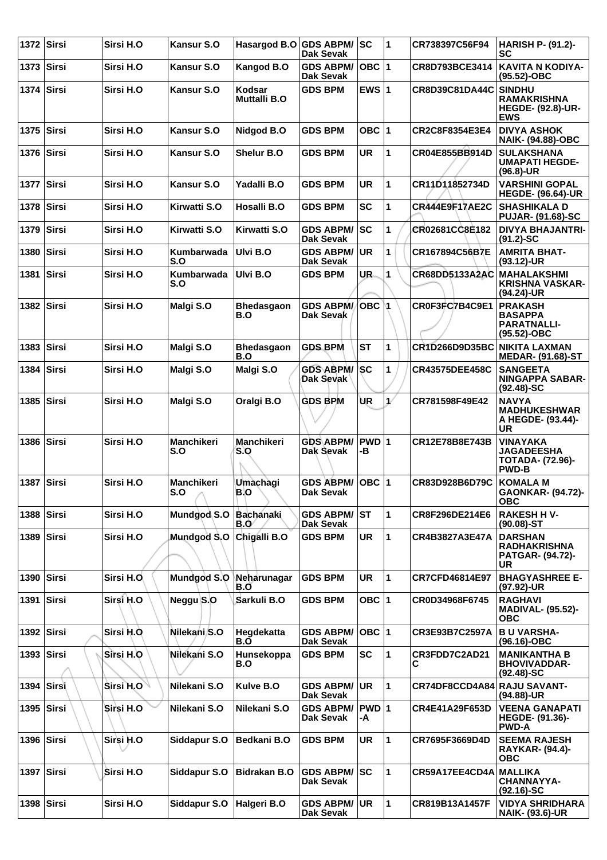| 1372         | Sirsi        | Sirsi H.O  | Kansur S.O               | Hasargod B.O GDS ABPM/   | <b>Dak Sevak</b>                        | <b>SC</b>   | 1 | CR738397C56F94              | <b>HARISH P- (91.2)-</b><br>SC                                                |
|--------------|--------------|------------|--------------------------|--------------------------|-----------------------------------------|-------------|---|-----------------------------|-------------------------------------------------------------------------------|
| 1373   Sirsi |              | Sirsi H.O  | <b>Kansur S.O</b>        | Kangod B.O               | <b>GDS ABPM/</b><br>Dak Sevak           | $OBC$  1    |   | CR8D793BCE3414              | KAVITA N KODIYA-<br>(95.52)-OBC                                               |
| 1374         | Sirsi        | Sirsi H.O  | <b>Kansur S.O</b>        | Kodsar<br>Muttalli B.O   | <b>GDS BPM</b>                          | EWS $ 1$    |   | CR8D39C81DA44C              | <b>SINDHU</b><br><b>RAMAKRISHNA</b><br><b>HEGDE- (92.8)-UR-</b><br><b>EWS</b> |
| 1375 Sirsi   |              | Sirsi H.O  | Kansur S.O               | Nidgod B.O               | <b>GDS BPM</b>                          | OBC $ 1$    |   | CR2C8F8354E3E4              | <b>DIVYA ASHOK</b><br><b>NAIK- (94.88)-OBC</b>                                |
| 1376 Sirsi   |              | Sirsi H.O  | <b>Kansur S.O</b>        | Shelur B.O               | <b>GDS BPM</b>                          | UR          | 1 | CR04E855BB914D              | <b>SULAKSHANA</b><br><b>UMAPATI HEGDE-</b><br>$(96.8)$ -UR                    |
| 1377         | Sirsi        | Sirsi H.O  | Kansur S.O               | Yadalli B.O              | <b>GDS BPM</b>                          | <b>UR</b>   | 1 | CR11D11852734D              | <b>VARSHINI GOPAL</b><br><b>HEGDE- (96.64)-UR</b>                             |
| 1378 Sirsi   |              | Sirsi H.O  | Kirwatti S.O             | Hosalli B.O              | <b>GDS BPM</b>                          | <b>SC</b>   | 1 | CR444E9F17AE2C              | <b>SHASHIKALA D</b><br><b>PUJAR- (91.68)-SC</b>                               |
| 1379         | Sirsi        | Sirsi H.O  | Kirwatti S.O             | Kirwatti S.O             | <b>GDS ABPM/</b><br><b>Dak Sevak</b>    | lsc         | 1 | CR02681CC8E182              | <b>DIVYA BHAJANTRI-</b><br>$(91.2)$ -SC                                       |
| 1380         | Sirsi        | Sirsi H.O  | Kumbarwada<br>S.O        | Ulvi B.O                 | <b>GDS ABPM/</b><br><b>Dak Sevak</b>    | <b>UR</b>   | 1 | CR167894C56B7E              | <b>AMRITA BHAT-</b><br>$(93.12)$ -UR                                          |
| 1381 Sirsi   |              | Sirsi H.O  | Kumbarwada<br>S.O        | Ulvi B.O                 | <b>GDS BPM</b>                          | UR.         | 1 | <b>CR68DD5133A2AC</b>       | <b>MAHALAKSHMI</b><br><b>KRISHNA VASKAR-</b><br>(94.24)-UR                    |
| 1382 Sirsi   |              | Sirsi H.O  | Malgi S.O                | <b>Bhedasgaon</b><br>B.O | <b>GDS ABPM/</b><br>Dak Sevak           | ∣овс ∖1     |   | CR0F3FC7B4C9E1              | <b>PRAKASH</b><br><b>BASAPPA</b><br><b>PARATNALLI-</b><br>(95.52)-OBC         |
| 1383         | Sirsi        | Sirsi H.O  | Malgi S.O                | <b>Bhedasgaon</b><br>B.O | <b>GDS BPM</b>                          | <b>ST</b>   | 1 | CR1D266D9D35BC              | <b>NIKITA LAXMAN</b><br><b>MEDAR- (91.68)-ST</b>                              |
| 1384 Sirsi   |              | Sirsi H.O  | Malgi S.O                | Malgi S.O                | <b>GDS ABPM/</b><br>Dak Sevak           | \SC         | 1 | <b>CR43575DEE458C</b>       | <b>SANGEETA</b><br><b>NINGAPPA SABAR-</b><br>$(92.48)$ -SC                    |
| 1385 Sirsi   |              | Sirsi H.O  | Malgi S.O                | Oralgi B.O               | <b>GDS BPM</b>                          | UR          | V | CR781598F49E42              | <b>NAVYA</b><br><b>MADHUKESHWAR</b><br>A HEGDE- (93.44)-<br><b>UR</b>         |
| 1386 Sirsi   |              | Sirsi H.O  | <b>Manchikeri</b><br>S.O | <b>Manchikeri</b><br>S.O | <b>GDS ABPM/</b><br>Dak Sevak           | PWD 1<br>-в |   | CR12E78B8E743B              | VINAYAKA<br><b>JAGADEESHA</b><br>TOTADA- (72.96)-<br><b>PWD-B</b>             |
| 1387 Sirsi   |              | Sirsi H.O  | Manchikeri<br>S.O        | Umachagi<br>B.O          | <b>GDS ABPM/</b><br>Dak Sevak           | OBC  1      |   | CR83D928B6D79C              | KOMALA M<br>GAONKAR- (94.72)-<br><b>OBC</b>                                   |
| 1388         | Sirsi        | Sirsi H.O  | Mundgod S.O              | <b>Bachanaki</b><br>B.O  | <b>GDS ABPM/</b><br><b>Dak Sevak</b>    | IST.        | 1 | CR8F296DE214E6              | <b>RAKESH H V-</b><br>$(90.08)$ -ST                                           |
| 1389         | <b>Sirsi</b> | Sirsi H.O  | Mundgod S.O              | Chigalli B.O             | <b>GDS BPM</b>                          | <b>UR</b>   | 1 | CR4B3827A3E47A              | <b>DARSHAN</b><br><b>RADHAKRISHNA</b><br>PATGAR- (94.72)-<br>UR               |
| 1390 Sirsi   |              | Sirsi H.O. | Mundgod S.O              | Neharunagar<br>B.O       | <b>GDS BPM</b>                          | <b>UR</b>   | 1 | CR7CFD46814E97              | <b>BHAGYASHREE E-</b><br>$(97.92)$ -UR                                        |
| 1391         | <b>Sirsi</b> | Sirsi H.O  | Neggu S.O                | Sarkuli B.O              | <b>GDS BPM</b>                          | OBC $ 1$    |   | CR0D34968F6745              | <b>RAGHAVI</b><br><b>MADIVAL- (95.52)-</b><br><b>OBC</b>                      |
| 1392 Sirsi   |              | Sirsi H.O  | Nilekani S.O             | Hegdekatta<br>B.O        | <b>GDS ABPM/</b><br>Dak Sevak           | OBC  1      |   | <b>CR3E93B7C2597A</b>       | <b>BU VARSHA-</b><br>(96.16)-OBC                                              |
| 1393 Sirsi   |              | Sirsi H.O  | Nilekani S.O             | Hunsekoppa<br>B.O        | <b>GDS BPM</b>                          | <b>SC</b>   | 1 | CR3FDD7C2AD21<br>C          | <b>MANIKANTHA B</b><br><b>BHOVIVADDAR-</b><br>$(92.48)$ -SC                   |
| 1394         | Sirsi        | Sirsi H.O  | Nilekani S.O             | Kulve B.O                | <b>GDS ABPM/</b><br><b>Dak Sevak</b>    | ∣UR.        | 1 | CR74DF8CCD4A84 RAJU SAVANT- | (94.88)-UR                                                                    |
| 1395         | Sirsi        | Sirsi H.O  | Nilekani S.O             | Nilekani S.O             | <b>GDS ABPM/</b><br><b>Dak Sevak</b>    | PWD 1<br>-A |   | CR4E41A29F653D              | <b>VEENA GANAPATI</b><br>HEGDE- (91.36)-<br><b>PWD-A</b>                      |
|              | 1396 $Sirsi$ | Sirsi H.O  | Siddapur S.O             | Bedkani B.O              | <b>GDS BPM</b>                          | <b>UR</b>   | 1 | CR7695F3669D4D              | <b>SEEMA RAJESH</b><br><b>RAYKAR- (94.4)-</b><br><b>OBC</b>                   |
| 1397         | Sirsi        | Sirsi H.O  | Siddapur S.O             | <b>Bidrakan B.O</b>      | <b>GDS ABPM/</b><br><b>Dak Sevak</b>    | <b>SC</b>   | 1 | CR59A17EE4CD4A MALLIKA      | CHANNAYYA-<br>(92.16)-SC                                                      |
| 1398 Sirsi   |              | Sirsi H.O  | Siddapur S.O             | Halgeri B.O              | <b>GDS ABPM/ UR</b><br><b>Dak Sevak</b> |             | 1 | CR819B13A1457F              | <b>VIDYA SHRIDHARA</b><br><b>NAIK- (93.6)-UR</b>                              |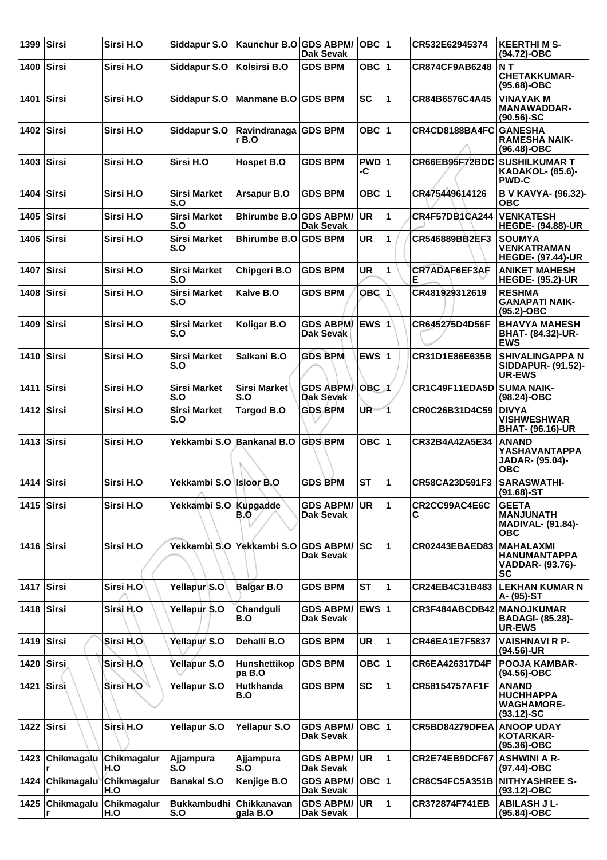| 1399         | $ S$ irsi      | Sirsi H.O                            | Siddapur S.O                                  | Kaunchur B.O GDS ABPM/        | <b>Dak Sevak</b>                        | <b>OBC</b> 1 |              | CR532E62945374            | <b>KEERTHIMS-</b><br>(94.72)-OBC                                           |
|--------------|----------------|--------------------------------------|-----------------------------------------------|-------------------------------|-----------------------------------------|--------------|--------------|---------------------------|----------------------------------------------------------------------------|
| 1400 Sirsi   |                | Sirsi H.O                            | Siddapur S.O                                  | Kolsirsi B.O                  | <b>GDS BPM</b>                          | OBC $ 1$     |              | CR874CF9AB6248            | NT<br><b>CHETAKKUMAR-</b><br>(95.68)-OBC                                   |
| 1401         | Sirsi          | Sirsi H.O                            | Siddapur S.O                                  | Manmane B.O GDS BPM           |                                         | <b>SC</b>    | 1            | CR84B6576C4A45            | <b>VINAYAK M</b><br><b>MANAWADDAR-</b><br>$(90.56)$ -SC                    |
| 1402 Sirsi   |                | Sirsi H.O                            | Siddapur S.O                                  | Ravindranaga GDS BPM<br>r B.O |                                         | OBC $ 1$     |              | CR4CD8188BA4FC            | <b>GANESHA</b><br><b>RAMESHA NAIK-</b><br>(96.48)-OBC                      |
|              | 1403 $ Sirsi $ | Sirsi H.O                            | Sirsi H.O                                     | Hospet B.O                    | <b>GDS BPM</b>                          | PWD 1<br>-C  |              | CR66EB95F72BDC            | <b>SUSHILKUMAR T</b><br><b>KADAKOL- (85.6)-</b><br><b>PWD-C</b>            |
| 1404         | $ S$ irsi      | Sirsi H.O                            | <b>Sirsi Market</b><br>S.O                    | Arsapur B.O                   | <b>GDS BPM</b>                          | OBC $ 1$     |              | CR475449614126            | B V KAVYA- (96.32)-<br>овс                                                 |
| 1405   Sirsi |                | Sirsi H.O                            | <b>Sirsi Market</b><br>S.O                    | Bhirumbe B.O GDS ABPM/        | <b>Dak Sevak</b>                        | <b>UR</b>    | $\mathbf{1}$ | <b>CR4F57DB1CA244</b>     | <b>VENKATESH</b><br><b>HEGDE- (94.88)-UR</b>                               |
| 1406 Sirsi   |                | Sirsi H.O                            | <b>Sirsi Market</b><br>S.O                    | Bhirumbe B.O GDS BPM          |                                         | <b>UR</b>    | $\mathbf{1}$ | CR546889BB2EF3            | <b>SOUMYA</b><br>VENKATRAMAN<br><b>HEGDE- (97.44)-UR</b>                   |
| 1407         | Sirsi          | Sirsi H.O                            | <b>Sirsi Market</b><br>S.O                    | Chipgeri B.O                  | <b>GDS BPM</b>                          | <b>UR</b>    | 1            | CR7ADAF6EF3AF<br>Е        | <b>ANIKET MAHESH</b><br><b>HEGDE- (95.2)-UR</b>                            |
| 1408   Sirsi |                | Sirsi H.O                            | <b>Sirsi Market</b><br>S.O                    | Kalve B.O                     | <b>GDS BPM</b>                          | <b>OBC 1</b> |              | CR481929312619            | <b>RESHMA</b><br><b>GANAPATI NAIK-</b><br>$(95.2)$ -OBC                    |
| 1409 Sirsi   |                | Sirsi H.O                            | Sirsi Market<br>S.O                           | <b>Koligar B.O</b>            | <b>GDS ABPM/</b><br><b>Dak Sevak</b>    | <b>EWS 1</b> |              | CR645275D4D56F            | <b>BHAVYA MAHESH</b><br><b>BHAT- (84.32)-UR-</b><br><b>EWS</b>             |
| 1410 Sirsi   |                | Sirsi H.O                            | <b>Sirsi Market</b><br>S.O                    | Salkani B.O                   | <b>GDS BPM</b>                          | EWS $ 1$     |              | CR31D1E86E635B            | <b>SHIVALINGAPPA N</b><br><b>SIDDAPUR- (91.52)-</b><br><b>UR-EWS</b>       |
| 1411 Sirsi   |                | Sirsi H.O                            | <b>Sirsi Market</b><br>S.O                    | Sirsi Market<br>S.O           | <b>GDS ABPMA</b><br><b>Dak Sevak</b>    | $OBC$ $1$    |              | CR1C49F11EDA5D            | <b>SUMA NAIK-</b><br>(98.24)-OBC                                           |
| 1412 Sirsi   |                | Sirsi H.O                            | <b>Sirsi Market</b><br>S.O                    | <b>Targod B.O</b>             | <b>GDS BPM</b>                          | UR-          | 1.           | CR0C26B31D4C59            | <b>DIVYA</b><br><b>VISHWESHWAR</b><br><b>BHAT- (96.16)-UR</b>              |
| 1413 Sirsi   |                | Sirsi H.O                            | Yekkambi S.O Bankanal B.O                     |                               | <b>GDS BPM</b>                          | OBC $ 1$     |              | CR32B4A42A5E34            | <b>ANAND</b><br>YASHAVANTAPPA<br>JADAR- (95.04)-<br><b>OBC</b>             |
| 1414         | Sirsi          | Sirsi H.O                            | Yekkambi S.O Isloor B.O<br>$\curvearrowright$ |                               | <b>GDS BPM</b>                          | <b>ST</b>    | $\mathbf{1}$ | CR58CA23D591F3            | <b>SARASWATHI-</b><br>$(91.68)$ -ST                                        |
| 1415 Sirsi   |                | Sirsi H.O                            | Yekkambi S.O Kupgadde                         | B.O                           | <b>GDS ABPM/</b><br>Dak Sevak           | <b>UR</b>    | 1            | CR2CC99AC4E6C<br>С        | <b>GEETA</b><br><b>MANJUNATH</b><br><b>MADIVAL- (91.84)-</b><br><b>OBC</b> |
| 1416 Sirsi   |                | Sirsi H.O                            |                                               | Yekkambi S.O Yekkambi S.O     | <b>GDS ABPM/ SC</b><br><b>Dak Sevak</b> |              | 1            | <b>CR02443EBAED83</b>     | <b>MAHALAXMI</b><br><b>HANUMANTAPPA</b><br>VADDAR- (93.76)-<br><b>SC</b>   |
| 1417         | Sirsi          | Sirsi H.O                            | Yellapur S.O                                  | <b>Balgar B.O</b>             | <b>GDS BPM</b>                          | <b>ST</b>    | $\mathbf{1}$ | CR24EB4C31B483            | <b>LEKHAN KUMAR N</b><br>A- (95)-ST                                        |
|              | 1418 Sirsi     | Sirsi H.O                            | Yellapur S.O                                  | Chandguli<br>B.O              | <b>GDS ABPM/</b><br>Dak Sevak           | EWS 1        |              | CR3F484ABCDB42 MANOJKUMAR | <b>BADAGI- (85.28)-</b><br><b>UR-EWS</b>                                   |
| 1419 Sirsi   |                | Sirsi H.O                            | Yellapur S.O                                  | Dehalli B.O                   | <b>GDS BPM</b>                          | <b>UR</b>    | 1            | <b>CR46EA1E7F5837</b>     | <b>VAISHNAVI R P-</b><br>$(94.56)$ -UR                                     |
|              | 1420 Sirsi     | Sirsi H.O.                           | Yellapur S.O                                  | Hunshettikop<br>pa B.O        | <b>GDS BPM</b>                          | OBC $ 1$     |              | CR6EA426317D4F            | <b>POOJA KAMBAR-</b><br>(94.56)-OBC                                        |
| 1421 Sirsi   |                | Sirsi H.O                            | Yellapur S.O                                  | <b>Hutkhanda</b><br>B.O       | <b>GDS BPM</b>                          | <b>SC</b>    | 1            | CR58154757AF1F            | <b>ANAND</b><br><b>HUCHHAPPA</b><br><b>WAGHAMORE-</b><br>$(93.12) - SC$    |
|              | 1422 Sirsi     | Sirsi H.O                            | Yellapur S.O                                  | Yellapur S.O                  | <b>GDS ABPM/</b><br><b>Dak Sevak</b>    | $OBC$  1     |              | CR5BD84279DFEA            | <b>ANOOP UDAY</b><br>KOTARKAR-<br>(95.36)-OBC                              |
| 1423         |                | Chikmagalu Chikmagalur<br>H.O        | Ajjampura<br>S.O                              | Ajjampura<br>S.O              | <b>GDS ABPM/</b><br><b>Dak Sevak</b>    | <b>UR</b>    | 1            | CR2E74EB9DCF67            | <b>ASHWINI A R-</b><br>(97.44)-OBC                                         |
| 1424         |                | <b>Chikmagalu Chikmagalur</b><br>H.O | <b>Banakal S.O</b>                            | Kenjige B.O                   | <b>GDS ABPM/</b><br>Dak Sevak           | OBC $ 1$     |              | <b>CR8C54FC5A351B</b>     | <b>NITHYASHREE S-</b><br>(93.12)-OBC                                       |
| 1425         |                | Chikmagalu Chikmagalur<br>H.O        | Bukkambudhi Chikkanavan<br>S.O                | gala B.O                      | <b>GDS ABPM/</b><br><b>Dak Sevak</b>    | <b>UR</b>    | $\mathbf{1}$ | CR372874F741EB            | <b>ABILASH J L-</b><br>(95.84)-OBC                                         |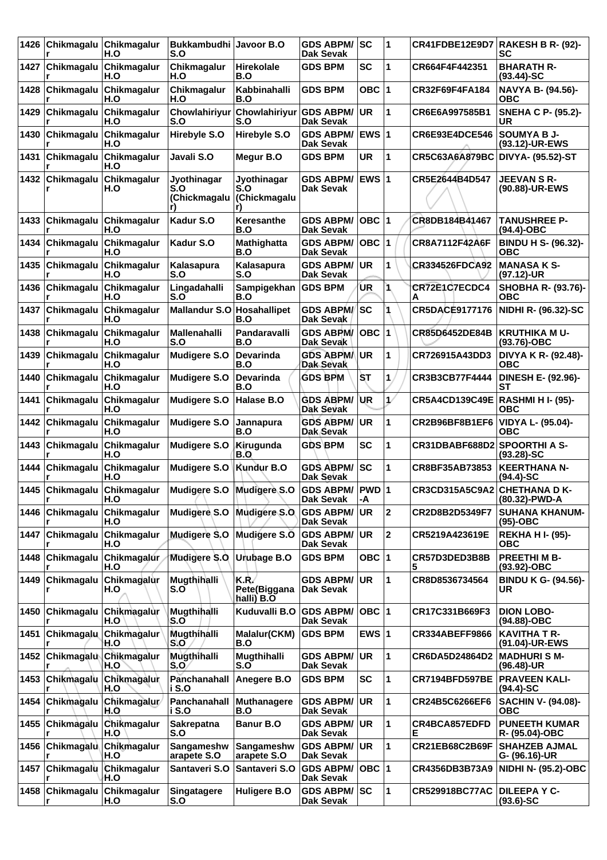| 1426 | Chikmagalu        | Chikmagalur<br>H.O                 | Bukkambudhi Javoor B.O<br>S.O      |                                           | <b>GDS ABPM/</b><br><b>Dak Sevak</b> | lsc           | 1                    |                              | CR41FDBE12E9D7 RAKESH B R- (92)-<br>SC   |
|------|-------------------|------------------------------------|------------------------------------|-------------------------------------------|--------------------------------------|---------------|----------------------|------------------------------|------------------------------------------|
| 1427 | ∣Chikmagalu       | Chikmagalur<br>H.O                 | Chikmagalur<br>H.O                 | <b>Hirekolale</b><br>B.O                  | <b>GDS BPM</b>                       | <b>SC</b>     | 1                    | CR664F4F442351               | <b>BHARATH R-</b><br>$(93.44)$ -SC       |
| 1428 | Chikmagalu        | Chikmagalur<br>H.O                 | Chikmagalur<br>H.O                 | Kabbinahalli<br>B.O                       | <b>GDS BPM</b>                       | OBC ∣1        |                      | CR32F69F4FA184               | NAVYA B- (94.56)-<br>ОВС                 |
| 1429 | Chikmagalu        | Chikmagalur<br>H.O                 | Chowlahiriyur<br>S.O               | Chowlahiriyur GDS ABPM/<br>S.O            | <b>Dak Sevak</b>                     | UR            | 1                    | CR6E6A997585B1               | <b>SNEHA C P- (95.2)-</b><br>UR          |
| 1430 | Chikmagalu        | Chikmagalur<br>H.O                 | Hirebyle S.O                       | Hirebyle S.O                              | <b>GDS ABPM/</b><br><b>Dak Sevak</b> | <b>IEWS 1</b> |                      | CR6E93E4DCE546               | <b>SOUMYA B J-</b><br>(93.12)-UR-EWS     |
| 1431 | Chikmagalu        | Chikmagalur<br>H.O                 | Javali S.O                         | Megur B.O                                 | <b>GDS BPM</b>                       | <b>UR</b>     | 1                    | <b>CR5C63A6A879BC</b>        | DIVYA- (95.52)-ST                        |
| 1432 | Chikmagalu        | Chikmagalur<br>H.O                 | Jyothinagar<br>S.O<br>(Chickmagalu | Jyothinagar<br>S.O<br><b>(Chickmagalu</b> | <b>GDS ABPM/</b><br><b>Dak Sevak</b> | <b>EWS1</b>   |                      | CR5E2644B4D547               | <b>JEEVAN S R-</b><br>(90.88)-UR-EWS     |
| 1433 | Chikmagalu        | Chikmagalur<br>H.O                 | Kadur S.O                          | Keresanthe<br>B.O                         | <b>GDS ABPM/</b><br><b>Dak Sevak</b> | OBC  1        |                      | CR8DB184B41467               | <b>TANUSHREE P-</b><br>$(94.4)$ -OBC     |
| 1434 | Chikmagalu        | Chikmagalur<br>H.O                 | Kadur S.O                          | Mathighatta<br>B.O                        | <b>GDS ABPM/</b><br><b>Dak Sevak</b> | OBC  1        |                      | <b>CR8A7112F42A6F</b>        | <b>BINDU H S- (96.32)-</b><br><b>OBC</b> |
| 1435 | Chikmagalu        | Chikmagalur<br>H.O                 | Kalasapura<br>S.O                  | Kalasapura<br>S.O                         | <b>GDS ABPM/</b><br><b>Dak Sevak</b> | <b>UR</b>     | 1                    | <b>CR334526FDCA92</b>        | <b>MANASA K S-</b><br>(97.12)-UR         |
| 1436 | Chikmagalu        | Chikmagalur<br>H.O                 | Lingadahalli<br>S.O                | Sampigekhan<br>B.O                        | <b>GDS BPM</b>                       | UR            | 1                    | CR72E1C7ECDC4<br>Α           | SHOBHA R- (93.76)-<br><b>OBC</b>         |
| 1437 | Chikmagalu        | Chikmagalur<br>H.O                 | <b>Mallandur S.O</b>               | Hosahallipet<br>B.O                       | <b>GDS ABPM/SC</b><br>Dak Sevak      |               |                      | <b>CR5DACE9177176</b>        | NIDHI R- (96.32)-SC                      |
| 1438 | Chikmagalu        | Chikmagalur<br>H.O                 | Mallenahalli<br>S.O                | Pandaravalli<br>B.O                       | <b>GDS ABPM/</b><br>Dak Sevak        | OBC  1        |                      | CR85D6452DE84B               | <b>KRUTHIKA MU-</b><br>(93.76)-OBC       |
| 1439 | Chikmagalu        | Chikmagalur<br>H.O                 | <b>Mudigere S.O</b>                | <b>Devarinda</b><br>B.O                   | <b>GDS ABPM/ UR</b><br>Dak Sevak     |               | 1                    | CR726915A43DD3               | DIVYA K R- (92.48)-<br>ОВС               |
| 1440 | Chikmagalu        | Chikmagalur<br>H.O                 | <b>Mudigere S.O</b>                | <b>Devarinda</b><br>B.O                   | <b>GDS BPM</b>                       | ST            | 1                    | CR3B3CB77F4444               | <b>DINESH E- (92.96)-</b><br>SТ          |
| 1441 | Chikmagalu        | Chikmagalur<br>H.O                 | <b>Mudigere S.O</b>                | Halase B.O                                | <b>GDS ABPM/</b><br>Dak Sevak        | <b>UR</b>     | $\mathbf{1}^{\circ}$ | <b>CR5A4CD139C49E</b>        | <b>RASHMI H I- (95)-</b><br>овс          |
| 1442 | Chikmagalu        | Chikmagalur<br>H.O                 | <b>Mudigere S.O</b>                | Jannapura<br>B.O                          | <b>GDS ABPM/</b><br>Dak Sevak        | <b>UR</b>     | 1                    | CR2B96BF8B1EF6               | <b>VIDYA L- (95.04)-</b><br><b>OBC</b>   |
| 1443 | Chikmagalu        | Chikmagalur<br>H.O                 | <b>Mudigere S.O</b>                | Kirugunda<br>B.O                          | <b>GDS BPM</b>                       | <b>SC</b>     | 1                    | CR31DBABF688D2               | <b>SPOORTHI A S-</b><br>$(93.28) - SC$   |
| 1444 | Chikmagalu        | Chikmagalur<br>H.O                 | <b>Mudigere S.O</b>                | Kundur B.O                                | <b>GDS ABPM/</b><br>Dak Sevak        | <b>SC</b>     | 1                    | CR8BF35AB73853               | <b>KEERTHANA N-</b><br>(94.4)-SC         |
|      | r                 | 1445 Chikmagalu Chikmagalur<br>H.O | Mudigere S.O Mudigere S.O          |                                           | GDS ABPM/  PWD   1<br>Dak Sevak      | -A            |                      | CR3CD315A5C9A2 CHETHANA D K- | (80.32)-PWD-A                            |
| 1446 | Chikmagalu        | Chikmagalur<br>H.O                 | Mudigere <sub>S.O</sub>            | <b>Mudigere S.O</b>                       | <b>GDS ABPM/</b><br>Dak Sevak        | <b>UR</b>     | $\overline{2}$       | CR2D8B2D5349F7               | <b>SUHANA KHANUM-</b><br>(95)-OBC        |
| 1447 | Chikmagalu        | Chikmagalur<br>H.O                 | <b>Mudigere S.O</b>                | Mudigere S.O                              | <b>GDS ABPM/</b><br>Dak Sevak        | <b>UR</b>     | $\mathbf{2}$         | CR5219A423619E               | <b>REKHA HI- (95)-</b><br><b>OBC</b>     |
| 1448 | Chikmagalu        | <b>Chikmagalur</b><br>H.O          | <b>Mudigere S.O</b>                | Urubage B.O                               | <b>GDS BPM</b>                       | OBC $ 1$      |                      | CR57D3DED3B8B                | <b>PREETHI M B-</b><br>$(93.92)$ -OBC    |
| 1449 | Chikmagalu        | Chikmagalur<br>H.O                 | Mugthihalli<br>S.O                 | K.R.<br><b>Rete(Biggana</b><br>halli) B.O | <b>GDS ABPM/</b><br>Dak Sevak        | <b>UR</b>     | 1                    | CR8D8536734564               | <b>BINDU K G- (94.56)-</b><br>UR         |
| 1450 | Chikmagalu<br>r   | Chikmagalur<br>H.O                 | Mugthihalli<br>S.O                 | Kuduvalli B.O                             | <b>GDS ABPM/</b><br>Dak Sevak        | OBC 1         |                      | CR17C331B669F3               | <b>DION LOBO-</b><br>(94.88)-OBC         |
| 1451 | Chikmagalu        | <b>Chikmagalur</b><br>H.O          | Mugthihalli<br>S.O                 | Malalur(CKM)<br>B.O                       | <b>GDS BPM</b>                       | EWS $ 1$      |                      | <b>CR334ABEFF9866</b>        | <b>KAVITHA T R-</b><br>(91.04)-UR-EWS    |
| 1452 | <b>Chikmagalu</b> | Chikmagalur<br>H.O                 | Mugthihalli<br>S.O                 | Mugthihalli<br>S.O                        | <b>GDS ABPM/</b><br>Dak Sevak        | UR            | 1                    | CR6DA5D24864D2               | <b>MADHURISM-</b><br>(96.48)-UR          |
| 1453 | Chikmagalu        | Chikmagalur<br>H.O                 | Panchanahall<br>i S.O              | Anegere B.O                               | <b>GDS BPM</b>                       | SC            | 1                    | <b>CR7194BFD597BE</b>        | <b>PRAVEEN KALI-</b><br>(94.4)-SC        |
| 1454 | Chikmagalu        | Chikmagalur<br>H.O                 | Panchanahall<br>i S.O              | <b>Muthanagere</b><br>B.O                 | <b>GDS ABPM/</b><br><b>Dak Sevak</b> | <b>UR</b>     | 1                    | CR24B5C6266EF6               | <b>SACHIN V- (94.08)-</b><br><b>OBC</b>  |
| 1455 | ∣Chikmagalu       | Chikmagalur<br>H.O                 | <b>Sakrepatna</b><br>S.O           | <b>Banur B.O</b>                          | <b>GDS ABPM/</b><br>Dak Sevak        | <b>UR</b>     | 1                    | CR4BCA857EDFD<br>Е           | <b>PUNEETH KUMAR</b><br>R- (95.04)-OBC   |
| 1456 | ∣Chikmagalu∖      | Chikmagalur<br>H.O                 | Sangameshw<br>arapete S.O          | Sangameshw<br>arapete S.O                 | <b>GDS ABPM/</b><br>Dak Sevak        | <b>UR</b>     | 1                    | CR21EB68C2B69F               | <b>SHAHZEB AJMAL</b><br>G- (96.16)-UR    |
| 1457 | ∣Chikmagalù       | Chikmagalur<br>H.O                 | Santaveri S.O                      | Santaveri S.O                             | <b>GDS ABPM/</b><br>Dak Sevak        | OBC  1        |                      | CR4356DB3B73A9               | <b>NIDHI N- (95.2)-OBC</b>               |
| 1458 | ∣Chikmagalu<br>r  | Chikmagalur<br>H.O                 | Singatagere<br>S.O                 | Huligere B.O                              | <b>GDS ABPM/SC</b><br>Dak Sevak      |               | 1                    | <b>CR529918BC77AC</b>        | <b>DILEEPA Y C-</b><br>$(93.6)$ -SC      |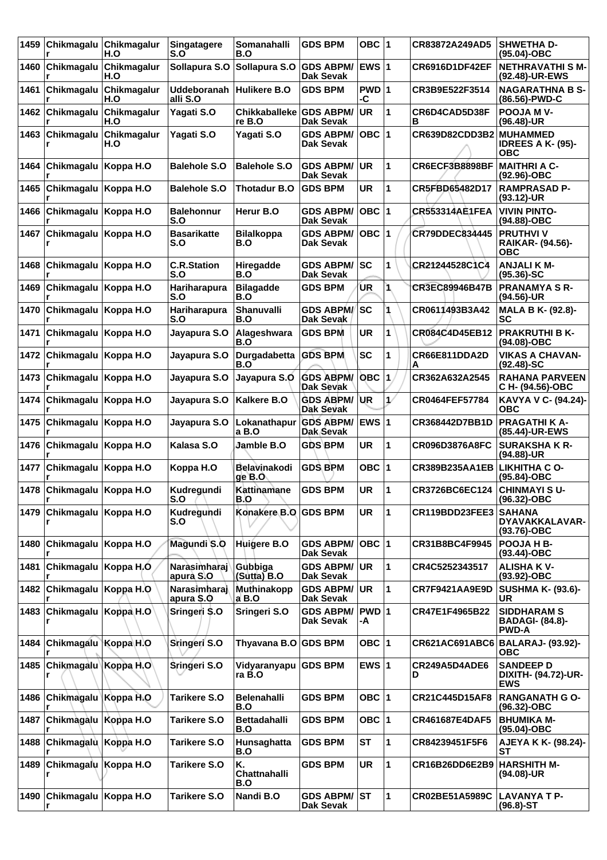| 1459 | Chikmagalu                     | Chikmagalur<br>H.O     | <b>Singatagere</b><br>S.O      | <b>Somanahalli</b><br>B.O      | <b>GDS BPM</b>                         | OBC 1        |    | CR83872A249AD5          | <b>SHWETHA D-</b><br>$(95.04) - OBC$                         |
|------|--------------------------------|------------------------|--------------------------------|--------------------------------|----------------------------------------|--------------|----|-------------------------|--------------------------------------------------------------|
| 1460 | Chikmagalu                     | Chikmagalur<br>H.O     | Sollapura S.O                  | Sollapura S.O GDS ABPM/        | <b>Dak Sevak</b>                       | <b>EWS 1</b> |    | <b>CR6916D1DF42EF</b>   | <b>NETHRAVATHI S M-</b><br>(92.48)-UR-EWS                    |
| 1461 | Chikmagalu                     | Chikmagalur<br>H.O     | <b>Uddeboranah</b><br>alli S.O | Hulikere B.O                   | <b>GDS BPM</b>                         | PWD 1<br>-C  |    | CR3B9E522F3514          | <b>NAGARATHNA B S-</b><br>(86.56)-PWD-C                      |
| 1462 | Chikmagalu                     | Chikmagalur<br>H.O     | Yagati S.O                     | <b>Chikkaballeke</b><br>re B.O | <b>GDS ABPM/</b><br>Dak Sevak          | <b>UR</b>    | 1  | CR6D4CAD5D38F<br>в      | <b>POOJA MV-</b><br>$(96.48)$ -UR                            |
| 1463 | Chikmagalu                     | Chikmagalur<br>H.O     | Yagati S.O                     | Yagati S.O                     | <b>GDS ABPM/</b><br><b>Dak Sevak</b>   | OBC  1       |    | CR639D82CDD3B2 MUHAMMED | <b>IDREES A K- (95)-</b><br><b>OBC</b>                       |
| 1464 | Chikmagalu                     | Koppa H.O              | <b>Balehole S.O</b>            | <b>Balehole S.O</b>            | <b>GDS ABPM/</b><br>Dak Sevak          | <b>UR</b>    | 1  | CR6ECF3B8898BF          | MAITHRI A C-<br>(92.96)-OBC                                  |
| 1465 | Chikmagalu                     | Koppa H.O              | <b>Balehole S.O</b>            | <b>Thotadur B.O</b>            | <b>GDS BPM</b>                         | <b>UR</b>    | 1  | CR5FBD65482D17          | <b>RAMPRASAD P-</b><br>$(93.12)$ -UR                         |
| 1466 | Chikmagalu                     | Koppa H.O              | <b>Balehonnur</b><br>S.O       | Herur B.O                      | <b>GDS ABPM/</b><br>Dak Sevak          | $OBC$  1     |    | <b>CR553314AE1FEA</b>   | <b>VIVIN PINTO-</b><br>(94.88)-OBC                           |
| 1467 | Chikmagalu                     | Koppa H.O              | <b>Basarikatte</b><br>S.O      | <b>Bilalkoppa</b><br>B.O       | <b>GDS ABPM/</b><br>Dak Sevak          | $OBC$  1     |    | <b>CR79DDEC834445</b>   | <b>PRUTHVIV</b><br>RAIKAR- (94.56)-<br><b>OBC</b>            |
| 1468 | Chikmagalu                     | Koppa H.O              | <b>C.R.Station</b><br>S.O      | Hiregadde<br>B.O               | <b>GDS ABPM/</b><br>Dak Sevak          | SC           | 1  | CR21244528C1C4          | <b>ANJALIK M-</b><br>$(95.36)$ -SC                           |
| 1469 | Chikmagalu                     | Koppa H.O              | Hariharapura<br>S.O            | <b>Bilagadde</b><br>B.O        | <b>GDS BPM</b>                         | UR           | 1  | CR3EC89946B47B          | <b>PRANAMYA S R-</b><br>(94.56)-UR                           |
| 1470 | Chikmagalu                     | Koppa H.O              | Hariharapura<br>S.O            | Shanuvalli<br>B.O              | <b>GDS ABPM/</b><br>Dak Sevak          | SC           |    | CR0611493B3A42          | <b>MALA B K- (92.8)-</b><br>SC                               |
| 1471 | Chikmagalu                     | Koppa H.O              | Jayapura S.O                   | Alageshwara<br>B.O             | <b>GDS BPM</b>                         | <b>UR</b>    | 1  | CR084C4D45EB12          | <b>PRAKRUTHI B K-</b><br>(94.08)-OBC                         |
| 1472 | Chikmagalu                     | Koppa H.O              | Jayapura S.O                   | Durgadabetta<br>B.O            | <b>GDS BPM</b>                         | SC           | 1  | CR66E811DDA2D<br>A      | <b>VIKAS A CHAVAN-</b><br>$(92.48)$ -SC                      |
| 1473 | Chikmagalu                     | Koppa H.O              | Jayapura S.O                   | Jayapura S.O                   | <b>GDS ABPM/</b><br>Dak Sevak          | <b>OBC</b>   | 1  | CR362A632A2545          | <b>RAHANA PARVEEN</b><br>C H- (94.56)-OBC                    |
| 1474 | Chikmagalu                     | Koppa H.O              | Jayapura S.O                   | Kalkere B.O                    | <b>GDS ABPM/</b><br>Dak Sevak          | <b>UR</b>    | 17 | <b>CR0464FEF57784</b>   | KAVYA V C- (94.24)-<br>ОВС                                   |
| 1475 | Chikmagalu                     | Koppa H.O              | Jayapura S.O                   | Lokanathapur<br>a B.O          | <b>GDS ABPM/</b><br>Dak Sevak          | <b>EWS 1</b> |    | CR368442D7BB1D          | <b>PRAGATHI K A-</b><br>(85.44)-UR-EWS                       |
| 1476 | Chikmagalu                     | Koppa H.O              | Kalasa S.O                     | Jamble B.O                     | <b>GDS BPM</b>                         | UR           | 1  | CR096D3876A8FC          | <b>SURAKSHAKR-</b><br>(94.88)-UR                             |
| 1477 | Chikmagalu                     | Koppa H.O              | Koppa H.O                      | Belavinakodi<br>ge B.O         | <b>GDS BPM</b>                         | OBC  1       |    | <b>CR389B235AA1EB</b>   | <b>LIKHITHA C O-</b><br>$(95.84) - OBC$                      |
|      | 1478 Chikmagalu Koppa H.O<br>r |                        | Kudregundi<br>S.O              | Kattinamane<br>B.O             | <b>GDS BPM</b>                         | <b>UR</b>    | 1  | CR3726BC6EC124          | <b>CHINMAYI S U-</b><br>(96.32)-OBC                          |
| 1479 | Chikmagalu                     | Koppa H.O              | Kudregundi<br>S.O              | Konakere B.O GDS BPM           |                                        | <b>UR</b>    | 1  | CR119BDD23FEE3          | <b>SAHANA</b><br>DYAVAKKALAVAR-<br>(93.76)-OBC               |
| 1480 | Chikmagalu Koppa H.O           |                        | Magundi S.O                    | Huigere B.O                    | <b>GDS ABPM/</b><br><b>Dak Sevak</b>   | OBC  1       |    | CR31B8BC4F9945          | POOJA H B-<br>(93.44)-OBC                                    |
| 1481 | Chikmagalu                     | Koppa H <sub>.</sub> O | Narasimharaj<br>apurà S.O      | Gubbiga<br>$(Sutta)$ B.O       | <b>GDS ABPM/ UR</b><br>Dak Sevak       |              | 1  | CR4C5252343517          | <b>ALISHA KV-</b><br>(93.92)-OBC                             |
| 1482 | Chikmagalu                     | Koppa H.O              | Narasimharaj<br>apura \$.0     | Muthinakopp<br>a B.O           | <b>GDS ABPM/</b><br>Dak Sevak          | <b>UR</b>    | 1  | CR7F9421AA9E9D          | <b>SUSHMA K- (93.6)-</b><br><b>UR</b>                        |
| 1483 | ∣Chikmagalu <u> </u>           | Koppa H.O              | Sringeri \$.0                  | Sringeri S.O                   | <b>GDS ABPM/</b><br>Dak Sevak          | PWD 1<br>-A  |    | CR47E1F4965B22          | <b>SIDDHARAM S</b><br><b>BADAGI- (84.8)-</b><br><b>PWD-A</b> |
| 1484 | Chikmagalu Koppa H.O           |                        | Sringeri S.O                   | Thyavana B.O GDS BPM           |                                        | OBC ∣1       |    |                         | CR621AC691ABC6 BALARAJ- (93.92)-<br><b>OBC</b>               |
| 1485 | Chikmagalu Koppa H.O           |                        | Sringeri S.O                   | Vidyaranyapu<br>ra B.O         | <b>GDS BPM</b>                         | EWS $ 1$     |    | CR249A5D4ADE6<br>D      | <b>SANDEEP D</b><br>DIXITH- (94.72)-UR-<br><b>EWS</b>        |
| 1486 | Chikmagalu Koppa H.O           |                        | Tarikere S.O                   | <b>Belenahalli</b><br>B.O      | <b>GDS BPM</b>                         | OBC 1        |    | CR21C445D15AF8          | <b>RANGANATH G O-</b><br>(96.32)-OBC                         |
| 1487 | Chikmagalu Koppa H.O           |                        | Tarikere S.O                   | <b>Bettadahalli</b><br>B.O     | <b>GDS BPM</b>                         | OBC 1        |    | CR461687E4DAF5          | <b>BHUMIKA M-</b><br>(95.04)-OBC                             |
| 1488 | Chikmagalu                     | Koppa H.O              | <b>Tarikere S.O</b>            | Hunsaghatta<br>B.O             | <b>GDS BPM</b>                         | <b>ST</b>    | 1  | CR84239451F5F6          | AJEYA K K- (98.24)-<br>SТ                                    |
| 1489 | Chikmagalu Koppa H.O           |                        | Tarikere S.O                   | Κ.<br>Chattnahalli<br>B.O      | <b>GDS BPM</b>                         | <b>UR</b>    | 1  | CR16B26DD6E2B9          | <b>HARSHITH M-</b><br>(94.08)-UR                             |
| 1490 | Chikmagalu Koppa H.O           |                        | <b>Tarikere S.O</b>            | Nandi B.O                      | <b>GDS ABPM/ST</b><br><b>Dak Sevak</b> |              | 1  | CR02BE51A5989C          | LAVANYA T P-<br>(96.8)-ST                                    |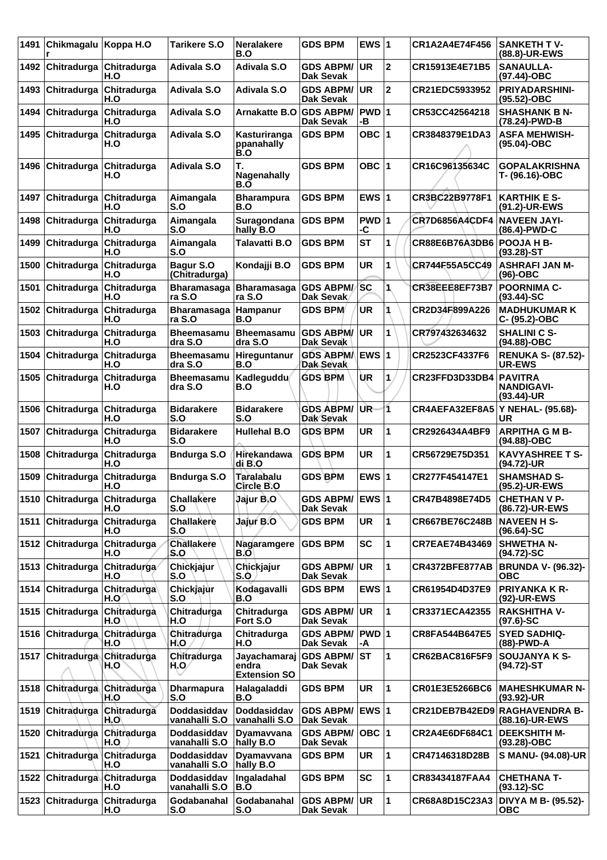| 1491 | Chikmagalu         | Koppa H.O          | <b>Tarikere S.O</b>          | <b>Neralakere</b><br>B.O                     | <b>GDS BPM</b>                          | EWS $ 1$                |                | CR1A2A4E74F456        | <b>SANKETH TV-</b><br>(88.8)-UR-EWS                  |
|------|--------------------|--------------------|------------------------------|----------------------------------------------|-----------------------------------------|-------------------------|----------------|-----------------------|------------------------------------------------------|
| 1492 | Chitradurga        | Chitradurga<br>H.O | <b>Adivala S.O</b>           | <b>Adivala S.O</b>                           | <b>GDS ABPM/</b><br><b>Dak Sevak</b>    | <b>UR</b>               | $\mathbf 2$    | CR15913E4E71B5        | <b>SANAULLA-</b><br>(97.44)-OBC                      |
| 1493 | Chitradurga        | Chitradurga<br>H.O | <b>Adivala S.O</b>           | <b>Adivala S.O</b>                           | <b>GDS ABPM/</b><br><b>Dak Sevak</b>    | UR.                     | $\overline{2}$ | CR21EDC5933952        | <b>PRIYADARSHINI-</b><br>(95.52)-OBC                 |
| 1494 | Chitradurga        | Chitradurga<br>H.O | <b>Adivala S.O</b>           | <b>Arnakatte B.O</b>                         | <b>GDS ABPM/</b><br><b>Dak Sevak</b>    | PWD 1<br>-В             |                | CR53CC42564218        | <b>SHASHANK B N-</b><br>(78.24)-PWD-B                |
| 1495 | Chitradurga        | Chitradurga<br>H.O | <b>Adivala S.O</b>           | Kasturiranga<br>ppanahally<br>B.O            | <b>GDS BPM</b>                          | OBC $ 1$                |                | CR3848379E1DA3        | <b>ASFA MEHWISH-</b><br>(95.04)-OBC                  |
| 1496 | Chitradurga        | Chitradurga<br>H.O | Adivala S.O                  | Т.<br>Nagenahally<br>B.O                     | <b>GDS BPM</b>                          | OBC $ 1$                |                | CR16C96135634C        | <b>GOPALAKRISHNA</b><br>T- (96.16)-OBC               |
| 1497 | Chitradurga        | Chitradurga<br>H.O | Aimangala<br>S.O             | <b>Bharampura</b><br>B.O                     | <b>GDS BPM</b>                          | EWS $ 1$                |                | CR3BC22B9778F1        | <b>KARTHIK E S-</b><br>(91.2)-UR-EWS                 |
| 1498 | Chitradurga        | Chitradurga<br>H.O | Aimangala<br>S.O             | Suragondana<br>hally B.O                     | <b>GDS BPM</b>                          | PWD 1<br>-C             |                | <b>CR7D6856A4CDF4</b> | <b>NAVEEN JAYI-</b><br>(86.4)-PWD-C                  |
| 1499 | Chitradurga        | Chitradurga<br>H.O | Aimangala<br>S.O             | <b>Talavatti B.O</b>                         | <b>GDS BPM</b>                          | <b>ST</b>               | 1              | <b>CR88E6B76A3DB6</b> | <b>POOJA H B-</b><br>$(93.28)$ -ST                   |
| 1500 | Chitradurga        | Chitradurga<br>H.O | Bagur S.O<br>(Chitradurga)   | Kondajji B.O                                 | <b>GDS BPM</b>                          | <b>UR</b>               | 1              | CR744F55A5CC49        | <b>ASHRAFI JAN M-</b><br>(96)-OBC                    |
| 1501 | Chitradurga        | Chitradurga<br>H.O | <b>Bharamasaga</b><br>ra S.O | <b>Bharamasaga</b><br>ra S.O                 | <b>GDS ABPM/</b><br>Dak Sevak           | <b>SC</b>               | 1              | CR38EEE8EF73B7        | <b>POORNIMA C-</b><br>$(93.44) - SC$                 |
| 1502 | Chitradurga        | Chitradurga<br>H.O | <b>Bharamasaga</b><br>ra S.O | Hampanur<br>B.O                              | <b>GDS BPM</b>                          | <b>UR</b>               |                | CR2D34F899A226        | <b>MADHUKUMAR K</b><br>C- (95.2)-OBC                 |
| 1503 | Chitradurga        | Chitradurga<br>H.O | <b>Bheemasamu</b><br>dra S.O | <b>Bheemasamu</b><br>dra S.O                 | <b>GDS ABPM/</b><br>Dak Sevak           | UR.                     | 1              | CR797432634632        | <b>SHALINI C S-</b><br>$(94.88)-OBC$                 |
| 1504 | Chitradurga        | Chitradurga<br>H.O | <b>Bheemasamu</b><br>dra S.O | Hireguntanur<br>B.O                          | <b>GDS ABPM/</b><br>Dak Sevak           | <b>EWS</b> <sub>1</sub> |                | CR2523CF4337F6        | <b>RENUKA S- (87.52)-</b><br><b>UR-EWS</b>           |
| 1505 | Chitradurga        | Chitradurga<br>H.O | Bheemasamu<br>dra S.O        | Kadleguddu<br>B.O                            | <b>GDS BPM</b>                          | ÙR                      | 1              | CR23FFD3D33DB4        | <b>PAVITRA</b><br><b>NANDIGAVI-</b><br>$(93.44)$ -UR |
| 1506 | Chitradurga        | Chitradurga<br>H.O | <b>Bidarakere</b><br>S.O     | <b>Bidarakere</b><br>S.O                     | <b>GDS ABPM/</b><br><b>Dak Sevak</b>    | UR.                     | 1              | CR4AEFA32EF8A5        | Y NEHAL- (95.68)-<br>UR                              |
| 1507 | Chitradurga        | Chitradurga<br>H.O | <b>Bidarakere</b><br>S.O     | <b>Hullehal B.O</b>                          | <b>GDS BPM</b>                          | <b>UR</b>               | 1              | CR2926434A4BF9        | <b>ARPITHA G M B-</b><br>(94.88)-OBC                 |
| 1508 | Chitradurga        | Chitradurga<br>H.O | <b>Bndurga S.O</b>           | Hirekandawa<br>di B.O                        | <b>GDS BPM</b>                          | <b>UR</b>               | 1              | CR56729E75D351        | <b>KAVYASHREE T S-</b><br>(94.72)-UR                 |
| 1509 | Chitradurga        | Chitradurga<br>H.O | <b>Bndurga S.O</b>           | Taralabalu<br>Circle B.O                     | <b>GDS BPM</b>                          | EWS $ 1$                |                | CR277F454147E1        | <b>SHAMSHAD S-</b><br>(95.2)-UR-EWS                  |
|      | 1510 Chitradurga   | Chitradurga<br>H.O | <b>Challakere</b><br>S.O     | Jajur B.O                                    | GDS ABPM/ EWS 1<br>Dak Sevak            |                         |                | CR47B4898E74D5        | <b>CHETHAN V P-</b><br>(86.72)-UR-EWS                |
| 1511 | <b>Chitradurga</b> | Chitradurga<br>H.O | <b>Challakere</b><br>S.O     | Jajur B.O                                    | <b>GDS BPM</b>                          | <b>UR</b>               | 1              | CR667BE76C248B        | <b>NAVEEN H S-</b><br>$(96.64)$ -SC                  |
|      | 1512 Chitradurga   | Chitradurga<br>H.O | <b>Challakere</b><br>S.O     | Nagaramgere<br>B.O                           | <b>GDS BPM</b>                          | <b>SC</b>               | 1              | <b>CR7EAE74B43469</b> | <b>SHWETHA N-</b><br>$(94.72)$ -SC                   |
| 1513 | <b>Chitradurga</b> | Chitradurga<br>H.O | Chickjajur<br>S.O            | Chickjajur<br>S.O                            | <b>GDS ABPM/</b><br>Dak Sevak           | ∣UR                     | 1              | CR4372BFE877AB        | <b>BRUNDA V- (96.32)-</b><br><b>OBC</b>              |
| 1514 | <b>Chitradurga</b> | Chitradurga<br>H.O | Chickjajur<br>S.O            | Kodagavalli<br>B.O                           | <b>GDS BPM</b>                          | EWS $ 1$                |                | CR61954D4D37E9        | <b>PRIYANKA K R-</b><br>(92)-UR-EWS                  |
|      | 1515 Chitradurga   | Chitradurga<br>H.O | Chitradurga<br>\H.O          | Chitradurga<br>Fort S.O                      | <b>GDS ABPM/</b><br>Dak Sevak           | <b>UR</b>               | 1              | CR3371ECA42355        | <b>RAKSHITHA V-</b><br>$(97.6)$ -SC                  |
| 1516 | <b>Chitradurga</b> | Chitradurga<br>H.O | Chitradurga<br>H.O           | Chitradurga<br>H.O                           | GDS ABPM/   PWD   1<br>Dak Sevak        | -A                      |                | <b>CR8FA544B647E5</b> | <b>SYED SADHIQ-</b><br>(88)-PWD-A                    |
|      | 1517 Chitradurga   | Chitradurga<br>H.O | Chitradurga<br>H.O           | Jayachamaraj<br>endra<br><b>Extension SO</b> | <b>GDS ABPM/ ST</b><br><b>Dak Sevak</b> |                         | 1              | CR62BAC816F5F9        | <b>SOUJANYA K S-</b><br>(94.72)-ST                   |
| 1518 | Chitradurga        | Chitradurga<br>H.O | <b>Dharmapura</b><br>S.O     | Halagaladdi<br>B.O                           | <b>GDS BPM</b>                          | UR                      | 1              | CR01E3E5266BC6        | <b>MAHESHKUMAR N-</b><br>(93.92)-UR                  |
| 1519 | <b>Chitradurga</b> | Chitradurga<br>H.O | Doddasiddav<br>vanahalli S.O | Doddasiddav<br>vanahalli S.O                 | GDS ABPM/ EWS 1<br>Dak Sevak            |                         |                |                       | CR21DEB7B42ED9 RAGHAVENDRA B-<br>(88.16)-UR-EWS      |
| 1520 | <b>Chitradurga</b> | Chitradurga<br>H.O | Doddasiddav<br>vanahalli S.O | Dyamavvana<br>hally B.O                      | <b>GDS ABPM/</b><br>Dak Sevak           | OBC  1                  |                | CR2A4E6DF684C1        | <b>DEEKSHITH M-</b><br>$(93.28)$ -OBC                |
| 1521 | Chitradurga        | Chitradurga<br>H.O | Doddasiddav<br>vanahalli S.O | Dyamavvana<br>hally B.O                      | <b>GDS BPM</b>                          | UR                      | 1              | CR47146318D28B        | S MANU- (94.08)-UR                                   |
| 1522 | ∣Chitradurga∖      | Chitradurga<br>H.O | Doddasiddav<br>vanahalli S.O | Ingaladahal<br>B.O                           | <b>GDS BPM</b>                          | <b>SC</b>               | 1              | CR83434187FAA4        | <b>CHETHANA T-</b><br>$(93.12)$ -SC                  |
| 1523 | <b>Chitradurga</b> | Chitradurga<br>H.O | Godabanahal<br>S.O           | Godabanahal<br>S.O                           | <b>GDS ABPM/</b><br><b>Dak Sevak</b>    | <b>UR</b>               | 1              | CR68A8D15C23A3        | DIVYA M B- (95.52)-<br>овс                           |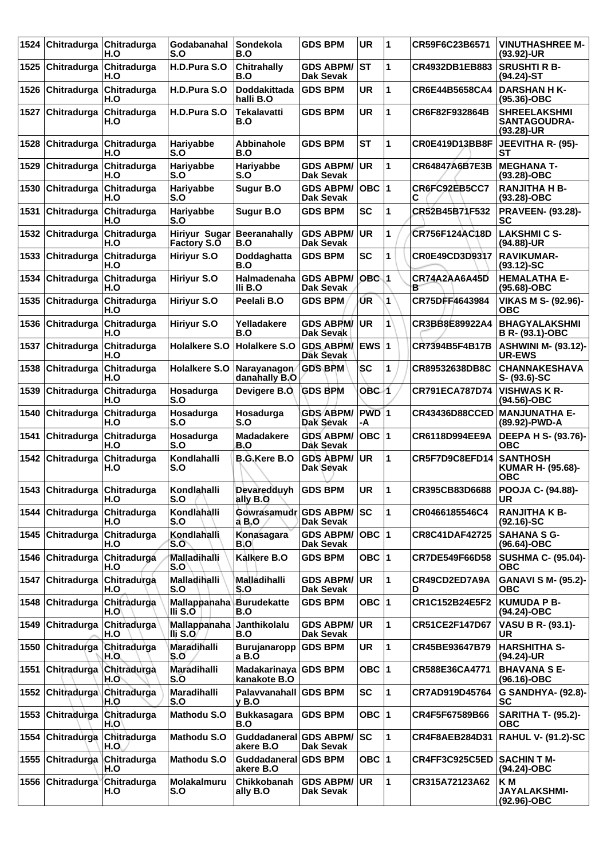| 1524 | Chitradurga                  | Chitradurga<br>H.O              | Godabanahal<br>S.O                         | Sondekola<br>B.O                     | <b>GDS BPM</b>                       | <b>UR</b>     | 1              | CR59F6C23B6571        | <b>VINUTHASHREE M-</b><br>(93.92)-UR                      |
|------|------------------------------|---------------------------------|--------------------------------------------|--------------------------------------|--------------------------------------|---------------|----------------|-----------------------|-----------------------------------------------------------|
| 1525 | Chitradurga Chitradurga      | H.O                             | H.D.Pura S.O                               | <b>Chitrahally</b><br>B.O            | <b>GDS ABPM/</b><br><b>Dak Sevak</b> | ST            | 1              | <b>CR4932DB1EB883</b> | <b>SRUSHTI R B-</b><br>(94.24)-ST                         |
| 1526 | Chitradurga                  | Chitradurga<br>H.O              | H.D.Pura S.O                               | Doddakittada<br>halli B.O            | <b>GDS BPM</b>                       | <b>UR</b>     | 1              | CR6E44B5658CA4        | <b>DARSHAN H K-</b><br>$(95.36)$ -OBC                     |
| 1527 | Chitradurga                  | Chitradurga<br>H.O              | H.D.Pura S.O                               | Tekalavatti<br>B.O                   | <b>GDS BPM</b>                       | <b>UR</b>     | 1              | CR6F82F932864B        | <b>SHREELAKSHMI</b><br><b>SANTAGOUDRA-</b><br>(93.28)-UR  |
| 1528 | Chitradurga                  | Chitradurga<br>H.O              | Hariyabbe<br>S.O                           | Abbinahole<br>B.O                    | <b>GDS BPM</b>                       | <b>ST</b>     | 1              | <b>CR0E419D13BB8F</b> | <b>JEEVITHA R- (95)-</b><br>SТ                            |
| 1529 | Chitradurga                  | Chitradurga<br>H.O              | Hariyabbe<br>S.O                           | Hariyabbe<br>S.O                     | <b>GDS ABPM/</b><br><b>Dak Sevak</b> | <b>UR</b>     | 1              | CR64847A6B7E3B        | <b>MEGHANA T-</b><br>$(93.28)-OBC$                        |
| 1530 | Chitradurga                  | Chitradurga<br>H.O              | Hariyabbe<br>S.O                           | Sugur B.O                            | <b>GDS ABPM/</b><br><b>Dak Sevak</b> | OBC $ 1$      |                | CR6FC92EB5CC7<br>С    | <b>RANJITHA H B-</b><br>(93.28)-OBC                       |
| 1531 | Chitradurga                  | Chitradurga<br>H.O              | Hariyabbe<br>S.O                           | Sugur B.O                            | <b>GDS BPM</b>                       | <b>SC</b>     | 1              | CR52B45B71F532        | <b>PRAVEEN- (93.28)-</b><br>SC                            |
| 1532 |                              | Chitradurga Chitradurga<br>H.O  | <b>Hiriyur Sugar</b><br><b>Factory S.O</b> | <b>Beeranahally</b><br>B.O           | <b>GDS ABPM/</b><br>Dak Sevak        | <b>UR</b>     | 1              | CR756F124AC18D        | <b>LAKSHMI C S-</b><br>(94.88)-UR                         |
| 1533 | Chitradurga                  | Chitradurga<br>H.O              | Hiriyur S.O                                | Doddaghatta<br>B.O                   | <b>GDS BPM</b>                       | <b>SC</b>     | 1              | CR0E49CD3D9317        | <b>RAVIKUMAR-</b><br>$(93.12)-SC$                         |
| 1534 | Chitradurga                  | Chitradurga<br>H.O              | Hiriyur S.O                                | Halmadenaha<br>IIi B.O               | <b>GDS ABPM/</b><br>Dak Sevak        | $OBC$ 1       |                | CR74A2AA6A45D<br>в    | <b>HEMALATHA E-</b><br>(95.68)-OBC                        |
| 1535 | Chitradurga                  | Chitradurga<br>H.O              | Hiriyur S.O                                | Peelali B.O                          | <b>GDS BPM</b>                       | ŪR            | $\overline{1}$ | CR75DFF4643984        | <b>VIKAS M S- (92.96)-</b><br><b>OBC</b>                  |
| 1536 | Chitradurga                  | Chitradurga<br>H.O              | Hiriyur S.O                                | Yelladakere<br>B.O                   | <b>GDS ABPM/</b><br>Dak Sevak        | UR            | 1              | CR3BB8E89922A4        | <b>BHAGYALAKSHMI</b><br><b>B R- (93.1)-OBC</b>            |
| 1537 | Chitradurga                  | Chitradurga<br>H.O              | <b>Holalkere S.O</b>                       | <b>Holalkere S.O</b>                 | <b>GDS ABPM/</b><br>Dak Sevak        | $EWS$ 1       |                | CR7394B5F4B17B        | <b>ASHWINI M- (93.12)-</b><br><b>UR-EWS</b>               |
| 1538 |                              | Chitradurga Chitradurga<br>H.O  | <b>Holalkere S.O</b>                       | Narayanagon<br>danahally B.O         | <b>GDS BPM</b>                       | SC            | 1              | CR89532638DB8C        | <b>CHANNAKESHAVA</b><br>$S - (93.6) - SC$                 |
| 1539 | Chitradurga                  | Chitradurga<br>H.O              | Hosadurga<br>S.O                           | Devigere B.O.                        | <b>GDS BPM</b>                       | OBC 1         |                | <b>CR791ECA787D74</b> | <b>VISHWAS K R-</b><br>(94.56)-OBC                        |
| 1540 | Chitradurga                  | Chitradurga<br>H.O              | Hosadurga<br>S.O                           | Hosadurga<br>S.O                     | <b>GDS ABPM/</b><br>Dak Sevak        | $PWD$ 1<br>-A |                | <b>CR43436D88CCED</b> | <b>MANJUNATHA E-</b><br>(89.92)-PWD-A                     |
| 1541 | Chitradurga                  | Chitradurga<br>H.O              | Hosadurga<br>S.O                           | <b>Madadakere</b><br>B.O             | <b>GDS ABPM/</b><br><b>Dak Sevak</b> | OBC $ 1$      |                | CR6118D994EE9A        | DEEPA H S- (93.76)-<br><b>OBC</b>                         |
| 1542 | Chitradurga                  | Chitradurga<br>H.O              | Kondlahalli<br>S.O                         | <b>B.G.Kere B.O</b>                  | <b>GDS ABPM/</b><br>Dak Sevak        | <b>UR</b>     | $\mathbf{1}$   | CR5F7D9C8EFD14        | <b>SANTHOSH</b><br><b>KUMAR H- (95.68)-</b><br><b>OBC</b> |
|      | 1543 Chitradurga Chitradurga | H.O                             | Kondlahalli<br>S.O                         | Devaredduyh<br>ally B.O              | <b>GDS BPM</b>                       | UR            | $\mathbf 1$    | CR395CB83D6688        | <b>POOJA C- (94.88)-</b><br>UR                            |
| 1544 | <b>Chitradurga</b>           | Chitradurga<br>H.O              | Kondlahalli<br>S.O                         | Gowrasamudr GDS ABPM/<br>a B.O       | Dak Sevak                            | lsc           | 1              | CR0466185546C4        | <b>RANJITHA K B-</b><br>$(92.16)-SC$                      |
| 1545 | Chitradurga                  | Chitradurga<br>H.O              | Kondlahalli<br>S.O                         | Konasagara<br>B.O                    | <b>GDS ABPM/</b><br>Dak Sevak        | $OBC$  1      |                | <b>CR8C41DAF42725</b> | <b>SAHANA S G-</b><br>(96.64)-OBC                         |
| 1546 | Chitradurga Chitradurga      | H.O                             | Malladihalli<br>S.O                        | Kalkere B.O                          | <b>GDS BPM</b>                       | OBC  1        |                | CR7DE549F66D58        | <b>SUSHMA C- (95.04)-</b><br><b>OBC</b>                   |
| 1547 | Chitradurga                  | Chitradurga<br>H.O              | Malladihalli<br>S.O                        | Malladihalli<br>S.O                  | <b>GDS ABPM/</b><br><b>Dak Sevak</b> | UR            | $\mathbf{1}$   | CR49CD2ED7A9A<br>D    | <b>GANAVI S M- (95.2)-</b><br><b>OBC</b>                  |
| 1548 | Chitradurga                  | Chitradurga<br>H.O              | <b>Mallappanaha</b><br>III S.O             | <b>Burudekatte</b><br>B.O            | <b>GDS BPM</b>                       | OBC  1        |                | CR1C152B24E5F2        | <b>KUMUDA P B-</b><br>(94.24)-OBC                         |
| 1549 | Chitradurga Chitradurga      | H.O                             | Mallappanaha<br>Ili S.O                    | Janthikolalu<br>B.O                  | <b>GDS ABPM/</b><br>Dak Sevak        | <b>UR</b>     | $\mathbf{1}$   | CR51CE2F147D67        | VASU B R- (93.1)-<br><b>UR</b>                            |
| 1550 |                              | Chitradurga Chitradurga<br>H.O. | Maradihalli<br>S.O                         | Burujanaropp<br>a B.O                | <b>GDS BPM</b>                       | UR            | 1              | CR45BE93647B79        | <b>HARSHITHA S-</b><br>(94.24)-UR                         |
| 1551 | <b>Chitradurga</b>           | Chitradurga<br>H.O`             | Maradihalli<br>S.O                         | Madakarinaya GDS BPM<br>kanakote B.O |                                      | OBC 1         |                | CR588E36CA4771        | <b>BHAVANA S E-</b><br>(96.16)-OBC                        |
| 1552 | Chitradurga Chitradurga      | H.O                             | Maradihalli<br>S.O                         | Palavvanahall GDS BPM<br>y B.O       |                                      | <b>SC</b>     | 1              | CR7AD919D45764        | G SANDHYA- (92.8)-<br><b>SC</b>                           |
| 1553 | Chitradurga                  | Chitradurga<br>H.O'             | <b>Mathodu S.O</b>                         | <b>Bukkasagara</b><br>B.O            | <b>GDS BPM</b>                       | OBC 1         |                | CR4F5F67589B66        | <b>SARITHA T- (95.2)-</b><br><b>OBC</b>                   |
| 1554 | Chitradurga                  | Chitradurga<br>H.O              | <b>Mathodu S.O</b>                         | <b>Guddadaneral</b><br>akere B.O     | <b>GDS ABPM/</b><br>Dak Sevak        | <b>SC</b>     | 1              | <b>CR4F8AEB284D31</b> | <b>RAHUL V- (91.2)-SC</b>                                 |
| 1555 | Chitradurga Chitradurga      | H.O                             | <b>Mathodu S.O</b>                         | Guddadaneral GDS BPM<br>akere B.O    |                                      | OBC  1        |                | CR4FF3C925C5ED        | SACHIN T M-<br>(94.24)-OBC                                |
| 1556 | Chitradurga <sup>V</sup>     | Chitradurga<br>H.O              | Molakalmuru<br>S.O                         | Chikkobanah<br>ally B.O              | <b>GDS ABPM/</b><br>Dak Sevak        | <b>UR</b>     | 1              | CR315A72123A62        | K <sub>M</sub><br><b>JAYALAKSHMI-</b><br>(92.96)-OBC      |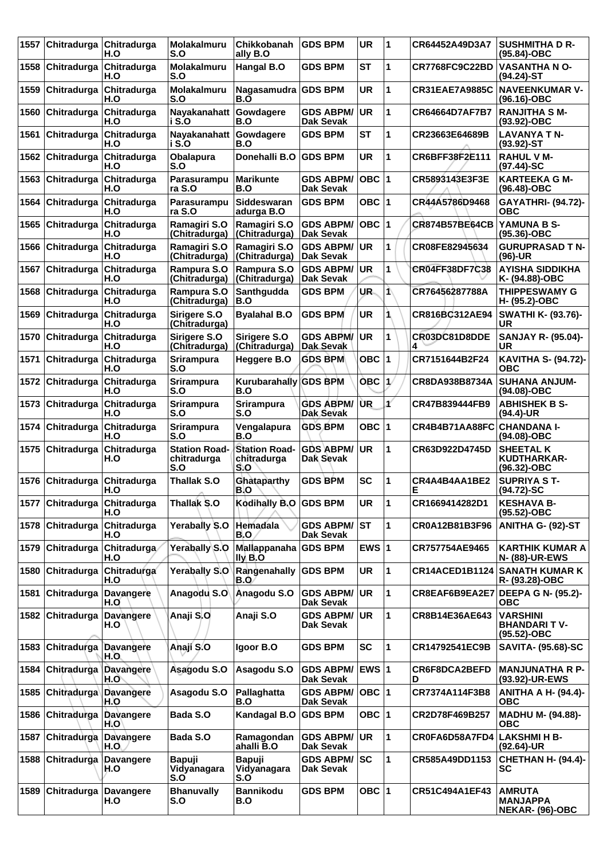| 1557 | Chitradurga        | Chitradurga<br>H.O       | Molakalmuru<br>S.O                         | Chikkobanah<br>ally B.O                    | <b>GDS BPM</b>                       | <b>UR</b>               | 1                    | CR64452A49D3A7        | <b>SUSHMITHA D R-</b><br>(95.84)-OBC                  |
|------|--------------------|--------------------------|--------------------------------------------|--------------------------------------------|--------------------------------------|-------------------------|----------------------|-----------------------|-------------------------------------------------------|
| 1558 | Chitradurga        | Chitradurga<br>H.O       | <b>Molakalmuru</b><br>S.O                  | Hangal B.O                                 | <b>GDS BPM</b>                       | <b>ST</b>               | 1                    | CR7768FC9C22BD        | <b>VASANTHA N O-</b><br>$(94.24)$ -ST                 |
| 1559 | Chitradurga        | Chitradurga<br>H.O       | <b>Molakalmuru</b><br>S.O                  | Nagasamudra GDS BPM<br>B.O                 |                                      | <b>UR</b>               | 1                    | <b>CR31EAE7A9885C</b> | <b>NAVEENKUMAR V-</b><br>(96.16)-OBC                  |
| 1560 | Chitradurga        | Chitradurga<br>H.O       | Nayakanahatt<br>i S.O                      | Gowdagere<br>B.O                           | <b>GDS ABPM/</b><br><b>Dak Sevak</b> | <b>UR</b>               | 1                    | CR64664D7AF7B7        | <b>RANJITHA S M-</b><br>(93.92)-OBC                   |
| 1561 | Chitradurga        | Chitradurga<br>H.O       | Nayakanahatt Gowdagere<br>i S.O            | B.O                                        | <b>GDS BPM</b>                       | <b>ST</b>               | 1                    | CR23663E64689B        | <b>LAVANYA TN-</b><br>$(93.92)$ -ST                   |
| 1562 | Chitradurga        | Chitradurga<br>H.O       | Obalapura<br>S.O                           | Donehalli B.O                              | <b>GDS BPM</b>                       | <b>UR</b>               | 1                    | CR6BFF38F2E111        | <b>RAHUL V M-</b><br>$(97.44)$ -SC                    |
| 1563 | Chitradurga        | Chitradurga<br>H.O       | Parasurampu<br>ra S.O                      | <b>Marikunte</b><br>B.O                    | <b>GDS ABPM/</b><br><b>Dak Sevak</b> | $OBC$  1                |                      | CR5893143E3F3E        | <b>KARTEEKA G M-</b><br>(96.48)-OBC                   |
| 1564 | Chitradurga        | Chitradurga<br>H.O       | Parasurampu<br>ra S.O                      | Siddeswaran<br>adurga B.O                  | <b>GDS BPM</b>                       | OBC $ 1$                |                      | CR44A5786D9468        | <b>GAYATHRI- (94.72)-</b><br><b>OBC</b>               |
| 1565 | Chitradurga        | Chitradurga<br>H.O       | Ramagiri S.O<br>(Chitradurga)              | Ramagiri S.O<br>(Chitradurga)              | <b>GDS ABPM/</b><br><b>Dak Sevak</b> | $OBC$  1                |                      | <b>CR874B57BE64CB</b> | YAMUNA B S-<br>(95.36)-OBC                            |
| 1566 | Chitradurga        | Chitradurga<br>H.O       | Ramagiri S.O<br>(Chitradurga)              | Ramagiri S.O<br>(Chitradurga)              | <b>GDS ABPM/</b><br><b>Dak Sevak</b> | UR                      | 1                    | CR08FE82945634        | <b>GURUPRASAD T N-</b><br>(96)-UR                     |
| 1567 | Chitradurga        | Chitradurga<br>H.O       | Rampura S.O<br>(Chitradurga)               | Rampura S.O<br>(Chitradurga)               | <b>GDS ABPM/</b><br><b>Dak Sevak</b> | <b>UR</b>               | 1                    | <b>CR04FF38DF7C38</b> | <b>AYISHA SIDDIKHA</b><br>K- (94.88)-OBC              |
| 1568 | Chitradurga        | Chitradurga<br>H.O       | Rampura S.O<br>(Chitradurga)               | Santhgudda<br>B.O                          | <b>GDS BPM</b>                       | UR.                     | 1                    | CR76456287788A        | <b>THIPPESWAMY G</b><br>H- (95.2)-OBC                 |
| 1569 | Chitradurga        | Chitradurga<br>H.O       | Sirigere S.O<br>(Chitradurga)              | <b>Byalahal B.O</b>                        | <b>GDS BPM</b>                       | <b>UR</b>               | 1                    | CR816BC312AE94        | <b>SWATHI K- (93.76)-</b><br>UR                       |
| 1570 | Chitradurga        | Chitradurga<br>H.O       | Sirigere S.O<br>(Chitradurga)              | Sirigere S.O<br>(Chitradurga)              | <b>GDS ABPM/</b><br><b>Dak Sevak</b> | <b>UR</b>               | 1                    | CR03DC81D8DDE<br>4    | <b>SANJAY R- (95.04)-</b><br><b>UR</b>                |
| 1571 | Chitradurga        | Chitradurga<br>H.O       | <b>Srirampura</b><br>S.O                   | Heggere B.O                                | <b>GDS BPM</b>                       | OBC $ 1$                |                      | CR7151644B2F24        | <b>KAVITHA S- (94.72)-</b><br><b>OBC</b>              |
| 1572 | Chitradurga        | Chitradurga<br>H.O       | <b>Srirampura</b><br>S.O                   | Kurubarahally<br>B.O                       | <b>GDS BPM</b>                       | <b>OBC</b>              | $\mathbf{1}$         | CR8DA938B8734A        | <b>SUHANA ANJUM-</b><br>(94.08)-OBC                   |
| 1573 | Chitradurga        | Chitradurga<br>H.O       | <b>Srirampura</b><br>S.O                   | <b>Srirampura</b><br>S.O                   | <b>GDS ABPM/</b><br>Dak Sevak        | UR                      | ¥                    | CR47B839444FB9        | <b>ABHISHEK B S-</b><br>$(94.4)$ -UR                  |
| 1574 | Chitradurga        | Chitradurga<br>H.O       | <b>Srirampura</b><br>S.O                   | Vengalapura<br>B.O                         | <b>GDS BPM</b>                       | OBC ∣1                  |                      | CR4B4B71AA88FC        | <b>CHANDANA I-</b><br>(94.08)-OBC                     |
| 1575 | Chitradurga        | Chitradurga<br>H.O       | <b>Station Road-</b><br>chitradurga<br>S.O | <b>Station Road-</b><br>chitradurga<br>S.O | <b>GDS ABPM/</b><br>Dak Sevak        | <b>UR</b>               | 1                    | CR63D922D4745D        | <b>SHEETAL K</b><br>KUDTHARKAR-<br>(96.32)-OBC        |
| 1576 | Chitradurga        | Chitradurga<br>H.O       | <b>Thallak S.O</b>                         | Ghataparthy<br>B.O                         | <b>GDS BPM</b>                       | <b>SC</b>               | 1                    | CR4A4B4AA1BE2<br>Е    | <b>SUPRIYA S T-</b><br>$(94.72)$ -SC                  |
|      | 1577 Chitradurga   | Chitradurga<br>H.O       | Thallak S.O                                | Kodihally B.O GDS BPM                      |                                      | <b>UR</b>               | $\blacktriangleleft$ | CR1669414282D1        | <b>KESHAVA B-</b><br>(95.52)-OBC                      |
| 1578 | <b>Chitradurga</b> | Chitradurga<br>H.O       | Yerabally S.O                              | Hemadala<br>B.O                            | <b>GDS ABPM/</b><br><b>Dak Sevak</b> | <b>ST</b>               | 1                    | CR0A12B81B3F96        | ANITHA G- (92)-ST                                     |
| 1579 | Chitradurga        | Chitradurga<br>H.O       | <b>Yerabally S.O</b>                       | Mallappanaha<br>lly B.O                    | <b>GDS BPM</b>                       | EWS $ 1$                |                      | CR757754AE9465        | <b>KARTHIK KUMAR A</b><br><b>N- (88)-UR-EWS</b>       |
| 1580 | Chitradurga        | Chitradurga<br>H.O       | <b>Yerabally S.O</b>                       | Rangenahally<br>B.O                        | <b>GDS BPM</b>                       | <b>UR</b>               | 1                    | <b>CR14ACED1B1124</b> | <b>SANATH KUMAR K</b><br>R-(93.28)-OBC                |
| 1581 | Chitradurga        | Davangere<br>H.O         | Anagodu S.O                                | Anagodu S.O                                | <b>GDS ABPM/</b><br>Dak Sevak        | <b>UR</b>               | 1                    | CR8EAF6B9EA2E7        | <b>DEEPA G N- (95.2)-</b><br>овс                      |
| 1582 | <b>Chitradurga</b> | <b>Davangere</b><br>H.O  | Anaji S.O                                  | Anaji S.O                                  | <b>GDS ABPM/</b><br>Dak Sevak        | ∣UR.                    | 1                    | CR8B14E36AE643        | <b>VARSHINI</b><br><b>BHANDARIT V-</b><br>(95.52)-OBC |
| 1583 | Chitradurga        | <b>Davangere</b><br>H.O. | Anají S.O                                  | Igoor B.O                                  | <b>GDS BPM</b>                       | <b>SC</b>               | 1                    | CR14792541EC9B        | <b>SAVITA- (95.68)-SC</b>                             |
| 1584 | Chitradurga        | <b>Davangere</b><br>H.O` | Asagodu S.O                                | Asagodu S.O                                | <b>GDS ABPM/</b><br>Dak Sevak        | <b>EWS</b> <sub>1</sub> |                      | CR6F8DCA2BEFD<br>D    | <b>MANJUNATHA R P-</b><br>(93.92)-UR-EWS              |
| 1585 | Chitradurga        | <b>Davangere</b><br>H.O  | Asagodu S.O                                | Pallaghatta<br>B.O                         | <b>GDS ABPM/</b><br>Dak Sevak        | OBC  1                  |                      | CR7374A114F3B8        | <b>ANITHA A H- (94.4)-</b><br><b>OBC</b>              |
| 1586 | Chitradurga        | <b>Davangere</b><br>H.O' | Bada S.O                                   | Kandagal B.O                               | <b>GDS BPM</b>                       | OBC 1                   |                      | CR2D78F469B257        | <b>MADHU M- (94.88)-</b><br>овс                       |
| 1587 | Chitradurga        | <b>Davangere</b><br>H.O  | Bada S.O                                   | Ramagondan<br>ahalli B.O                   | <b>GDS ABPM/</b><br>Dak Sevak        | UR                      | 1                    | CR0FA6D58A7FD4        | <b>LAKSHMI H B-</b><br>$(92.64)$ -UR                  |
| 1588 | Chitradurga        | Davangere<br>H.O         | <b>Bapuji</b><br>Vidyanagara<br>S.O        | <b>Bapuji</b><br>Vidyanagara<br>S.O        | <b>GDS ABPM/ SC</b><br>Dak Sevak     |                         | 1                    | CR585A49DD1153        | CHETHAN H- (94.4)-<br>SC                              |
| 1589 | Chitradurga        | <b>Davangere</b><br>H.O  | <b>Bhanuvally</b><br>S.O                   | <b>Bannikodu</b><br>B.O                    | <b>GDS BPM</b>                       | OBC 1                   |                      | <b>CR51C494A1EF43</b> | <b>AMRUTA</b><br><b>MANJAPPA</b><br>NEKAR- (96)-OBC   |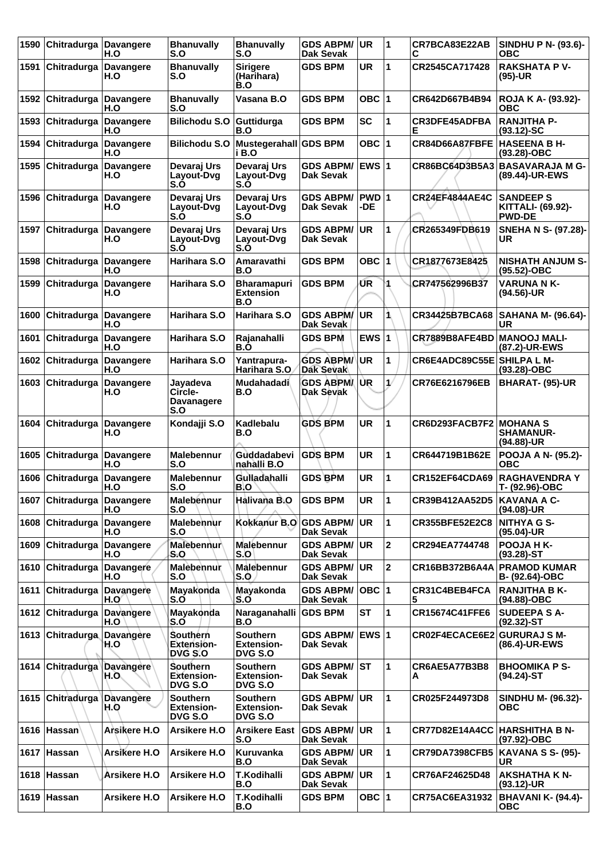| 1590 | Chitradurga                | <b>Davangere</b><br>H.O  | <b>Bhanuvally</b><br>S.O                               | <b>Bhanuvally</b><br>S.O                               | <b>GDS ABPM/</b><br><b>Dak Sevak</b>    | UR.          | 1              | CR7BCA83E22AB<br>С             | SINDHU P N- (93.6)-<br><b>OBC</b>                             |
|------|----------------------------|--------------------------|--------------------------------------------------------|--------------------------------------------------------|-----------------------------------------|--------------|----------------|--------------------------------|---------------------------------------------------------------|
| 1591 | Chitradurga                | <b>Davangere</b><br>H.O  | <b>Bhanuvally</b><br>S.O                               | <b>Sirigere</b><br>(Harihara)<br>B.O                   | <b>GDS BPM</b>                          | UR           | 1              | CR2545CA717428                 | <b>RAKSHATA P V-</b><br>$(95)-UR$                             |
| 1592 | ∣Chitradurga               | <b>Davangere</b><br>H.O  | <b>Bhanuvally</b><br>S.O                               | Vasana B.O                                             | <b>GDS BPM</b>                          | OBC ∣1       |                | CR642D667B4B94                 | <b>ROJA K A- (93.92)-</b><br>овс                              |
| 1593 | Chitradurga                | <b>Davangere</b><br>H.O  | <b>Bilichodu S.O</b>                                   | Guttidurga<br>B.O                                      | <b>GDS BPM</b>                          | <b>SC</b>    | 1              | <b>CR3DFE45ADFBA</b><br>Е      | <b>RANJITHA P-</b><br>$(93.12)-SC$                            |
| 1594 | Chitradurga                | <b>Davangere</b><br>H.O  | Bilichodu S.O                                          | Mustegerahall GDS BPM<br>i B.O                         |                                         | OBC $ 1$     |                | CR84D66A87FBFE                 | <b>HASEENA B H-</b><br>$(93.28)-OBC$                          |
| 1595 | Chitradurga                | <b>Davangere</b><br>H.O  | Devaraj Urs<br>Layout-Dvg<br>S.O                       | Devaraj Urs<br>Layout-Dvg<br>S.O                       | <b>GDS ABPM/</b><br>Dak Sevak           | <b>EWS 1</b> |                | CR86BC64D3B5A3                 | <b>BASAVARAJA M G-</b><br>(89.44)-UR-EWS                      |
| 1596 | Chitradurga                | <b>Davangere</b><br>H.O  | Devaraj Urs<br>Layout-Dvg<br>S.O                       | Devaraj Urs<br>Layout-Dvg<br>S.O                       | <b>GDS ABPM/</b><br><b>Dak Sevak</b>    | PWD 1<br>-DE |                | CR24EF4844AE4C                 | <b>SANDEEP S</b><br><b>KITTALI- (69.92)-</b><br><b>PWD-DE</b> |
| 1597 | <b>Chitradurga</b>         | <b>Davangere</b><br>H.O  | Devaraj Urs<br>Layout-Dvg<br>S.Ò                       | Devaraj Urs<br>Layout-Dvg<br>S.O                       | <b>GDS ABPM/</b><br><b>Dak Sevak</b>    | <b>UR</b>    | 1              | CR265349FDB619                 | <b>SNEHA N S- (97.28)-</b><br>UR                              |
| 1598 | Chitradurga                | <b>Davangere</b><br>H.O  | Harihara S.O                                           | Amaravathi<br>B.O                                      | GDS BPM                                 | OBC 1        |                | CR1877673E8425                 | <b>NISHATH ANJUM S-</b><br>(95.52)-OBC                        |
| 1599 | Chitradurga                | <b>Davangere</b><br>H.O  | Harihara S.O                                           | <b>Bharamapuri</b><br><b>Extension</b><br>B.O          | <b>GDS BPM</b>                          | ŰR           | 4              | CR747562996B37                 | <b>VARUNA NK-</b><br>$(94.56)$ -UR                            |
| 1600 | Chitradurga                | <b>Davangere</b><br>H.O  | Harihara S.O                                           | Harihara S.O                                           | <b>GDS ABPM/</b><br>Dak Sevak           | <b>UR</b>    | 1              | CR34425B7BCA68                 | <b>SAHANA M- (96.64)-</b><br>UR                               |
| 1601 | Chitradurga                | <b>Davangere</b><br>H.O  | Harihara S.O                                           | Rajanahalli<br>B.O                                     | <b>GDS BPM</b>                          | EWS $ 1$     |                | CR7889B8AFE4BD MANOOJ MALI-    | (87.2)-UR-EWS                                                 |
| 1602 | Chitradurga                | <b>Davangere</b><br>H.O  | Harihara S.O                                           | Yantrapura-<br>Harihara S.O                            | <b>GDS ABPM/</b><br><b>Dak Sevak</b>    | UR           | 1              | CR6E4ADC89C55E SHILPA L M-     | (93.28)-OBC                                                   |
| 1603 | Chitradurga                | <b>Davangere</b><br>H.O  | Jayadeva<br>Circle-<br><b>Davanagere</b><br>S.O        | Mudahadadi<br>B.O                                      | <b>GDS ABPM</b><br>Dak Sevak            | IUR.         | 1/             | CR76E6216796EB                 | <b>BHARAT- (95)-UR</b>                                        |
| 1604 | ∣Chitradurga               | <b>Davangere</b><br>H.O  | Kondajji S.O                                           | Kadlebalu<br>B.O                                       | <b>GDS BPM</b>                          | <b>UR</b>    | 1              | <b>CR6D293FACB7F2 MOHANA S</b> | <b>SHAMANUR-</b><br>(94.88)-UR                                |
| 1605 | Chitradurga                | <b>Davangere</b><br>H.O  | <b>Malebennur</b><br>S.O                               | Guddadabevi<br>nahàlli B.O                             | <b>GDS BPM</b>                          | <b>UR</b>    | 1              | CR644719B1B62E                 | POOJA A N- (95.2)-<br><b>OBC</b>                              |
| 1606 | Chitradurga                | <b>Davangere</b><br>H.O  | <b>Malebennur</b><br>S.O                               | Gulladahalli<br>B.O                                    | <b>GDS BPM</b>                          | UR           | 1              | CR152EF64CDA69                 | <b>RAGHAVENDRA Y</b><br>T- (92.96)-OBC                        |
|      | 1607 Chitradurga Davangere | H.O                      | <b>Malebennur</b><br>S.O                               | Halivaña B.O                                           | <b>GDS BPM</b>                          | UR           | 11             | CR39B412AA52D5                 | <b>KAVANA A C-</b><br>(94.08)-UR                              |
| 1608 | Chitradurga                | <b>Davangere</b><br>H.O  | Malebennur<br>S.O                                      | Kokkanur B.O                                           | <b>GDS ABPM/</b><br>Dak Sevak           | UR.          | 1              | <b>CR355BFE52E2C8</b>          | <b>NITHYA G S-</b><br>(95.04)-UR                              |
| 1609 | <b>Chitradurga</b>         | <b>Davangere</b><br>H.O  | Malebennur<br>S.O                                      | <b>Malebennur</b><br>S.O                               | <b>GDS ABPM/ UR</b><br><b>Dak Sevak</b> |              | $\overline{2}$ | CR294EA7744748                 | <b>POOJA HK-</b><br>$(93.28)$ -ST                             |
|      | 1610 Chitradurga           | Davangere<br>H.O         | Malebennur<br>S.O                                      | <b>Malebennur</b><br>S.O                               | <b>GDS ABPM/ UR</b><br>Dak Sevak        |              | $\overline{2}$ | CR16BB372B6A4A                 | <b>PRAMOD KUMAR</b><br>B- (92.64)-OBC                         |
| 1611 | Chitradurga                | Davangere<br>H.O′        | Mayakonda<br>S.O                                       | Mayakonda<br>S.O                                       | <b>GDS ABPM/</b><br>Dak Sevak           | OBC  1       |                | CR31C4BEB4FCA<br>5             | <b>RANJITHA B K-</b><br>(94.88)-OBC                           |
|      | 1612 Chitradurga           | <b>Davangere</b><br>H.O  | Mayakonda<br>S.O                                       | Naraganahalli<br>B.O                                   | <b>GDS BPM</b>                          | <b>ST</b>    | 1              | CR15674C41FFE6                 | <b>SUDEEPA S A-</b><br>$(92.32)$ -ST                          |
|      | 1613 Chitradurga           | Davangere<br>H.O         | <b>Southern</b><br><b>Extension-</b><br>DVG S.O        | <b>Southern</b><br><b>Extension-</b><br><b>DVG S.O</b> | GDS ABPM/ EWS 1<br>Dak Sevak            |              |                | CR02F4ECACE6E2                 | <b>GURURAJ S M-</b><br>(86.4)-UR-EWS                          |
|      | 1614 Chitradurga           | <b>Davangere</b><br>H.O. | Southern<br><b>Extension-</b><br><b>DVG S.O</b>        | <b>Southern</b><br><b>Extension-</b><br>DVG S.O        | <b>GDS ABPM/ ST</b><br>Dak Sevak        |              | 1              | CR6AE5A77B3B8<br>A             | <b>BHOOMIKA P S-</b><br>$(94.24)$ -ST                         |
|      | 1615 Chitradurga           | <b>Davangere</b><br>H.O  | <b>Southern</b><br><b>Extension-</b><br><b>DVG S.O</b> | <b>Southern</b><br><b>Extension-</b><br><b>DVG S.O</b> | <b>GDS ABPM/ UR</b><br><b>Dak Sevak</b> |              | 1              | CR025F244973D8                 | <b>SINDHU M- (96.32)-</b><br><b>OBC</b>                       |
|      | 1616 Hassan                | Arsikere H.O             | Arsikere H.O                                           | Arsikere East<br>S.O                                   | <b>GDS ABPM/</b><br>Dak Sevak           | <b>UR</b>    | 1              | <b>CR77D82E14A4CC</b>          | <b>HARSHITHA B N-</b><br>(97.92)-OBC                          |
|      | 1617 Hassan                | Arsikere H.O             | Arsikere H.O                                           | Kuruvanka<br>B.O                                       | <b>GDS ABPM/ UR</b><br>Dak Sevak        |              | $\mathbf{1}$   | <b>CR79DA7398CFB5</b>          | <b>KAVANA S S- (95)-</b><br>UR                                |
|      | 1618 Hassan                | Arsikere H.O             | Arsikere H.O                                           | T.Kodihalli<br>B.O                                     | <b>GDS ABPM/ UR</b><br>Dak Sevak        |              | 1              | CR76AF24625D48                 | <b>AKSHATHA K N-</b><br>$(93.12)$ -UR                         |
|      | 1619 Hassan                | Arsikere H.O             | Arsikere H.O                                           | <b>T.Kodihalli</b><br>B.O                              | <b>GDS BPM</b>                          | OBC $ 1$     |                | CR75AC6EA31932                 | <b>BHAVANI K- (94.4)-</b><br><b>OBC</b>                       |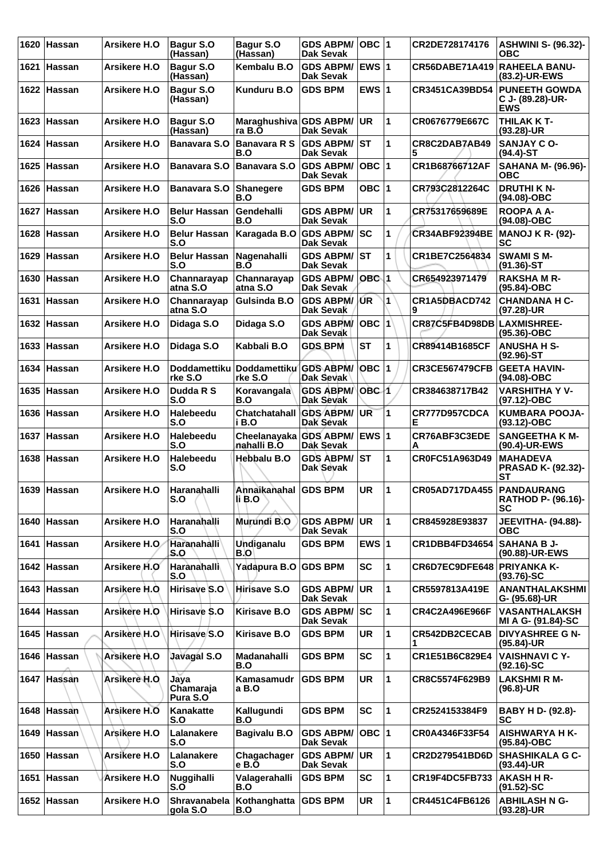| 1620 | <b>Hassan</b> | Arsikere H.O        | <b>Bagur S.O</b><br>(Hassan)    | Bagur S.O<br>(Hassan)                 | GDS ABPM/<br>Dak Sevak                  | OBC  1       |                | CR2DE728174176                    | <b>ASHWINI S- (96.32)-</b><br>ОВС                         |
|------|---------------|---------------------|---------------------------------|---------------------------------------|-----------------------------------------|--------------|----------------|-----------------------------------|-----------------------------------------------------------|
| 1621 | Hassan        | Arsikere H.O        | Bagur S.O<br>(Hassan)           | Kembalu B.O                           | <b>GDS ABPM/</b><br>Dak Sevak           | <b>EWS 1</b> |                | CR56DABE71A419                    | <b>RAHEELA BANU-</b><br>(83.2)-UR-EWS                     |
|      | 1622 Hassan   | <b>Arsikere H.O</b> | Bagur S.O<br>(Hassan)           | <b>Kunduru B.O</b>                    | <b>GDS BPM</b>                          | EWS $ 1$     |                | CR3451CA39BD54                    | <b>PUNEETH GOWDA</b><br>C J- (89.28)-UR-<br><b>EWS</b>    |
| 1623 | Hassan        | <b>Arsikere H.O</b> | Bagur S.O<br>(Hassan)           | Maraghushiva GDS ABPM/<br>ra B.O      | Dak Sevak                               | <b>UR</b>    | 1              | CR0676779E667C                    | THILAK K T-<br>(93.28)-UR                                 |
|      | 1624 Hassan   | Arsikere H.O        | <b>Banavara S.O</b>             | <b>Banavara R S</b><br>B.O            | <b>GDS ABPM/</b><br>Dak Sevak           | <b>ST</b>    | 1              | CR8C2DAB7AB49<br>5                | <b>SANJAY C O-</b><br>$(94.4)$ -ST                        |
| 1625 | Hassan        | Arsikere H.O        | Banavara S.O                    | <b>Banavara S.O</b>                   | <b>GDS ABPM/</b><br>Dak Sevak           | OBC  1       |                | CR1B68766712AF                    | SAHANA M- (96.96)-<br>ОВС                                 |
| 1626 | ∣Hassan       | Arsikere H.O        | <b>Banavara S.O</b>             | <b>Shanegere</b><br>B.O               | <b>GDS BPM</b>                          | OBC $ 1$     |                | CR793C2812264C                    | <b>DRUTHI K N-</b><br>(94.08)-OBC                         |
| 1627 | ∣Hassan       | Arsikere H.O        | <b>Belur Hassan</b><br>S.O      | Gendehalli<br>B.O                     | <b>GDS ABPM/</b><br><b>Dak Sevak</b>    | UR           | 1              | CR75317659689E                    | <b>ROOPA A A-</b><br>(94.08)-OBC                          |
| 1628 | <b>Hassan</b> | <b>Arsikere H.O</b> | <b>Belur Hassan</b><br>S.O      | Karagada B.O GDS ABPM/                | Dak Sevak                               | SC           | 1              | <b>CR34ABF92394BE</b>             | <b>MANOJ K R- (92)-</b><br>SC                             |
| 1629 | Hassan        | Arsikere H.O        | <b>Belur Hassan</b><br>S.O      | Nagenahalli<br>B.O                    | <b>GDS ABPM/ ST</b><br><b>Dak Sevak</b> |              | 1              | CR1BE7C2564834                    | <b>SWAMI SM-</b><br>$(91.36)$ -ST                         |
| 1630 | ∣Hassan       | Arsikere H.O        | Channarayap<br>atna S.O         | Channarayap<br>atna S.O               | <b>GDS ABPM/</b><br>Dak Sevak           | OBC 1        |                | CR654923971479                    | <b>RAKSHAM R-</b><br>(95.84)-OBC                          |
| 1631 | Hassan        | Arsikere H.O        | Channarayap<br>atna S.O         | Gulsinda B.O                          | <b>GDS ABPM/ UR</b><br>Dak Sevak        |              | 1              | CR1A5DBACD742<br>9                | <b>CHANDANA H C-</b><br>(97.28)-UR                        |
|      | 1632 Hassan   | Arsikere H.O        | Didaga S.O                      | Didaga S.O                            | <b>GDS ABPM/</b><br>Dak Sevak           | OBC 1        |                | CR87C5FB4D98DB LAXMISHREE-        | (95.36)-OBC                                               |
| 1633 | ∣Hassan       | Arsikere H.O        | Didaga S.O                      | Kabbali B.O                           | <b>GDS BPM</b>                          | <b>IST</b>   | 1              | CR89414B1685CF                    | <b>ANUSHA H S-</b><br>$(92.96)$ -ST                       |
| 1634 | Hassan        | Arsikere H.O        | <b>Doddamettiku</b><br>rke S.O  | <b>Doddamettiku</b><br>rke S.O        | <b>GDS ABPM/</b><br>Dak Sevak           | OBC ∣1       |                | <b>CR3CE567479CFB</b>             | <b>GEETA HAVIN-</b><br>(94.08)-OBC                        |
| 1635 | Hassan        | Arsikere H.O        | Dudda R S<br>S.O                | Koravangala<br>B.O                    | <b>GDS ABPM/</b><br>Dak Sevak           | OBC 1        |                | CR384638717B42                    | <b>VARSHITHA Y V-</b><br>(97.12)-OBC                      |
| 1636 | ∣Hassan       | <b>Arsikere H.O</b> | <b>Halebeedu</b><br>S.O         | <b>Chatchatahall</b><br>i B.O         | <b>GDS ABPM/</b><br>Dak Sevak           | UR.          | 1              | CR777D957CDCA<br>Е                | <b>KUMBARA POOJA-</b><br>$(93.12) - OBC$                  |
|      | 1637 Hassan   | Arsikere H.O        | Halebeedu<br>S.O                | Cheelanayaka GDS ABPM/<br>nahalli B.O | Dak Sevak                               | $EWS$ 1      |                | CR76ABF3C3EDE<br>Α                | <b>SANGEETHA K M-</b><br>(90.4)-UR-EWS                    |
| 1638 | Hassan        | Arsikere H.O        | Halebeedu<br>S.O                | Hebbalu B.O                           | <b>GDS ABPM/</b><br>Dak Sevak           | lst          | 1              | CR0FC51A963D49                    | <b>MAHADEVA</b><br><b>PRASAD K- (92.32)-</b><br><b>ST</b> |
|      | 1639 Hassan   | Arsikere H.O        | Haranahalli<br>S.O              | Annaikanahal GDS BPM<br>li B.O        |                                         | <b>UR</b>    | $\overline{1}$ | CR05AD717DA455 PANDAURANG         | <b>RATHOD P- (96.16)-</b><br>SC                           |
|      | 1640 Hassan   | Arsikere H.O        | Haranahalli<br>S.O              | Murundi B.O                           | <b>GDS ABPM/</b><br><b>Dak Sevak</b>    | UR.          | 1              | CR845928E93837                    | <b>JEEVITHA- (94.88)-</b><br><b>OBC</b>                   |
| 1641 | ∣Hassan       | Arsikere H.O.       | Haranahalli<br>S.O              | Undiganalu<br>B.O                     | <b>GDS BPM</b>                          | EWS $ 1$     |                | CR1DBB4FD34654                    | <b>SAHANA B J-</b><br>(90.88)-UR-EWS                      |
|      | 1642 Hassan   | Arsikere H.O        | Haranahalli<br>S.O              | Yadapura B.O                          | <b>GDS BPM</b>                          | <b>SC</b>    | 1              | <b>CR6D7EC9DFE648 PRIYANKA K-</b> | $(93.76)$ -SC                                             |
|      | 1643 Hassan   | Arsikere H.O.       | Hirisave S.O                    | Hirisave S.O                          | <b>GDS ABPM/</b><br>Dak Sevak           | UR           | 1              | CR5597813A419E                    | ANANTHALAKSHMI<br>G- (95.68)-UR                           |
| 1644 | ∣Hassan       | Arsikere H.O        | Hirisave S.O                    | <b>Kirisave B.O</b>                   | <b>GDS ABPM/</b><br>Dak Sevak           | <b>SC</b>    | 1              | CR4C2A496E966F                    | <b>VASANTHALAKSH</b><br>MI A G- (91.84)-SC                |
|      | 1645 Hassan   | Arsikere H.O        | Hirisave S.O                    | <b>Kirisave B.O</b>                   | <b>GDS BPM</b>                          | <b>UR</b>    | 1              | CR542DB2CECAB                     | <b>DIVYASHREE G N-</b><br>(95.84)-UR                      |
| 1646 | Hassan        | Arsikere H.O        | Javagal S.O                     | Madanahalli<br>B.O                    | <b>GDS BPM</b>                          | <b>SC</b>    | 1              | CR1E51B6C829E4                    | <b>VAISHNAVI C Y-</b><br>$(92.16)-SC$                     |
|      | 1647 Hassan   | Arsikere H.O.       | Jaya<br>Chamaraja<br>Pura S.O   | Kamasamudr<br>a B.O                   | <b>GDS BPM</b>                          | <b>UR</b>    | 1              | CR8C5574F629B9                    | <b>LAKSHMIRM-</b><br>(96.8)-UR                            |
| 1648 | Hassan        | Arsikere H.O        | Kanakatte<br>S.O                | Kallugundi<br>B.O                     | <b>GDS BPM</b>                          | <b>SC</b>    | 1              | CR2524153384F9                    | BABY H D- (92.8)-<br><b>SC</b>                            |
|      | 1649 Hassan   | Arsikere H.O        | Lalanakere<br>S.O               | <b>Bagivalu B.O</b>                   | <b>GDS ABPM/</b><br><b>Dak Sevak</b>    | $OBC$  1     |                | CR0A4346F33F54                    | <b>AISHWARYA H K-</b><br>$(95.84) - OBC$                  |
| 1650 | Hassan        | Arsikere H.O        | Lalanakere<br>S.O               | Chagachager<br>e B.O                  | <b>GDS ABPM/</b><br>Dak Sevak           | <b>UR</b>    | 1              | CR2D279541BD6D                    | <b>SHASHIKALA G C-</b><br>$(93.44)$ -UR                   |
| 1651 | Hassan        | <b>Arsikere H.O</b> | Nuggihalli<br>S.O               | Valagerahalli<br>B.O                  | <b>GDS BPM</b>                          | <b>SC</b>    | 1              | <b>CR19F4DC5FB733</b>             | <b>AKASH H R-</b><br>$(91.52)$ -SC                        |
|      | 1652 Hassan   | <b>Arsikere H.O</b> | <b>Shravanabela</b><br>gola S.O | Kothanghatta   GDS BPM<br>B.O         |                                         | <b>UR</b>    | 1              | CR4451C4FB6126                    | <b>ABHILASH N G-</b><br>$(93.28)$ -UR                     |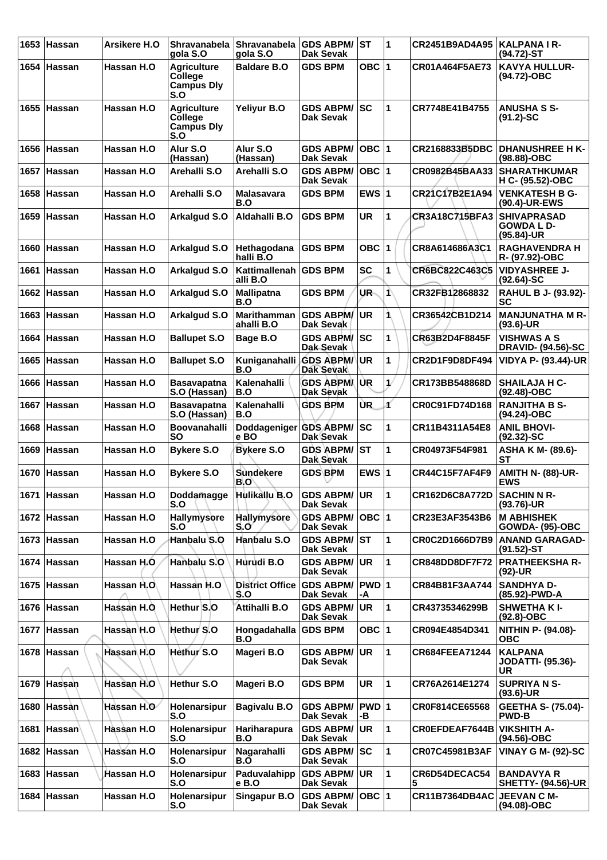| 1653 | ∣Hassan       | Arsikere H.O | <b>Shravanabela</b><br>qola S.O                                  | <b>Shravanabela</b><br>gola S.O   | <b>GDS ABPM/ ST</b><br>Dak Sevak     |                  | $\blacktriangleleft$ | CR2451B9AD4A95                    | <b>KALPANA I R-</b><br>$(94.72)$ -ST                     |
|------|---------------|--------------|------------------------------------------------------------------|-----------------------------------|--------------------------------------|------------------|----------------------|-----------------------------------|----------------------------------------------------------|
| 1654 | Hassan        | Hassan H.O   | <b>Agriculture</b><br>College<br><b>Campus Dly</b><br>S.O        | <b>Baldare B.O</b>                | <b>GDS BPM</b>                       | OBC <sub>1</sub> |                      | CR01A464F5AE73                    | <b>KAVYA HULLUR-</b><br>(94.72)-OBC                      |
|      | 1655 Hassan   | Hassan H.O   | <b>Agriculture</b><br><b>College</b><br><b>Campus Dly</b><br>S.O | Yeliyur B.O                       | <b>GDS ABPM/</b><br>Dak Sevak        | lsc              | 1                    | CR7748E41B4755                    | <b>ANUSHA S S-</b><br>$(91.2)$ -SC                       |
| 1656 | ∣Hassan       | Hassan H.O   | Alur S.O<br>(Hassan)                                             | Alur S.O<br>(Hassan)              | <b>GDS ABPM/</b><br><b>Dak Sevak</b> | OBC  1           |                      | CR2168833B5DBC                    | <b>DHANUSHREE H K-</b><br>(98.88)-OBC                    |
| 1657 | ∣Hassan       | Hassan H.O   | Arehalli S.O                                                     | Arehalli S.O                      | <b>GDS ABPM/</b><br>Dak Sevak        | OBC  1           |                      | CR0982B45BAA33                    | <b>SHARATHKUMAR</b><br>H C- (95.52)-OBC                  |
| 1658 | Hassan        | Hassan H.O   | Arehalli S.O                                                     | <b>Malasavara</b><br>B.O          | <b>GDS BPM</b>                       | EWS $ 1$         |                      | CR21C17B2E1A94                    | <b>VENKATESH B G-</b><br>(90.4)-UR-EWS                   |
| 1659 | ∣Hassan       | Hassan H.O   | Arkalgud S.O                                                     | Aldahalli B.O                     | <b>GDS BPM</b>                       | UR               | 1                    | <b>CR3A18C715BFA3</b>             | <b>SHIVAPRASAD</b><br><b>GOWDA L D-</b><br>$(95.84)$ -UR |
| 1660 | Hassan        | Hassan H.O   | Arkalgud S.O                                                     | Hethagodana<br>halli B.O          | <b>GDS BPM</b>                       | <b>OBC</b>       | 1                    | CR8A614686A3C1                    | <b>RAGHAVENDRA H</b><br>R- (97.92)-OBC                   |
| 1661 | Hassan        | Hassan H.O   | Arkalgud S.O                                                     | Kattimallenah<br>alli B.O         | <b>GDS BPM</b>                       | <b>SC</b>        | 1                    | CR6BC822C463C5                    | <b>VIDYASHREE J-</b><br>$(92.64)$ -SC                    |
| 1662 | ∣Hassan       | Hassan H.O   | Arkalgud S.O                                                     | <b>Mallipatna</b><br>B.O          | <b>GDS BPM</b>                       | UR-              | 1                    | CR32FB12868832                    | RAHUL B J- (93.92)-<br>SC                                |
| 1663 | Hassan        | Hassan H.O   | Arkalgud S.O                                                     | <b>Marithamman</b><br>ahalli B.O  | <b>GDS ABPM/</b><br><b>Dak Sevak</b> | <b>UR</b>        | 1                    | CR36542CB1D214                    | <b>MANJUNATHA M R-</b><br>(93.6)-UR                      |
| 1664 | Hassan        | Hassan H.O   | <b>Ballupet S.O</b>                                              | Bage B.O                          | <b>GDS ABPM/</b><br>Dak Sevak        | lsc              | 1                    | CR63B2D4F8845F                    | <b>VISHWAS A S</b><br><b>DRAVID- (94.56)-SC</b>          |
| 1665 | ∣Hassan       | Hassan H.O   | <b>Ballupet S.O</b>                                              | Kuniganahalli<br>B.O              | <b>GDS ABPM/</b><br><b>Dak Sevak</b> | <b>UR</b>        | 1                    | <b>CR2D1F9D8DF494</b>             | <b>VIDYA P- (93.44)-UR</b>                               |
| 1666 | Hassan        | Hassan H.O   | <b>Basavapatna</b><br>S.O (Hassan)                               | Kalenahalli<br>B.O                | <b>GDS ABPM</b><br>Dak Sevak         | IUR.             | 1/                   | CR173BB548868D                    | <b>SHAILAJA H C-</b><br>(92.48)-OBC                      |
| 1667 | <b>Hassan</b> | Hassan H.O   | <b>Basavapatna</b><br>S.O (Hassan)                               | Kalenahalli<br>B.O                | <b>GDS BPM</b>                       | <b>UR</b>        | ď                    | CR0C91FD74D168                    | <b>RANJITHA B S-</b><br>(94.24)-OBC                      |
| 1668 | <b>Hassan</b> | Hassan H.O   | <b>Boovanahalli</b><br>SΟ                                        | Doddageniger GDS ABPM/ SC<br>e BO | Dak Sevak                            |                  | 1                    | CR11B4311A54E8                    | <b>ANIL BHOVI-</b><br>$(92.32) - SC$                     |
| 1669 | Hassan        | Hassan H.O   | <b>Bykere S.O</b>                                                | <b>Bykere S.O</b>                 | <b>GDS ABPM/ ST</b><br>Dak Sevak     |                  | 1                    | CR04973F54F981                    | ASHA K M- (89.6)-<br>SТ                                  |
| 1670 | <b>Hassan</b> | Hassan H.O   | <b>Bykere S.O</b>                                                | <b>Sundekere</b><br>B.O           | <b>GDS BPM</b>                       | EWS $ 1$         |                      | <b>CR44C15F7AF4F9</b>             | <b>AMITH N- (88)-UR-</b><br><b>EWS</b>                   |
|      | 1671 Hassan   | Hassan H.O   | Doddamagge<br>S.O                                                | Hulikallu B.O                     | GDS ABPM/UR<br><b>Dak Sevak</b>      |                  | 1                    | CR162D6C8A772D                    | <b>SACHIN N R-</b><br>(93.76)-UR                         |
|      | 1672 Hassan   | Hassan H.O   | Hallymysore<br>S.O                                               | <b>Hallymysore</b><br>S.Oʻ        | <b>GDS ABPM/</b><br>Dak Sevak        | OBC  1           |                      | CR23E3AF3543B6                    | <b>M ABHISHEK</b><br><b>GOWDA- (95)-OBC</b>              |
|      | 1673 Hassan   | Hassan H.O   | Hanbalu S.O                                                      | Hanbalu S.O                       | <b>GDS ABPM/ ST</b><br>Dak Sevak     |                  | 1                    | CR0C2D1666D7B9                    | <b>ANAND GARAGAD-</b><br>$(91.52)$ -ST                   |
|      | 1674 Hassan   | Hassan H.O.  | Hanbalu S.O                                                      | Hurudi B.O                        | <b>GDS ABPM/</b><br>Dak Sevak        | <b>UR</b>        | $\mathbf{1}$         | <b>CR848DD8DF7F72</b>             | <b>PRATHEEKSHA R-</b><br>(92)-UR                         |
|      | 1675 Hassan   | Hassan H.O.  | Hassan H.O                                                       | <b>District Office</b><br>S.O     | GDS ABPM/ PWD 1<br><b>Dak Sevak</b>  | -A               |                      | CR84B81F3AA744                    | <b>SANDHYA D-</b><br>(85.92)-PWD-A                       |
|      | 1676 Hassan   | Hassan H.O   | Hethur S.O                                                       | <b>Attihalli B.O</b>              | <b>GDS ABPM/</b><br>Dak Sevak        | <b>UR</b>        | 1                    | CR43735346299B                    | <b>SHWETHAKI-</b><br>(92.8)-OBC                          |
|      | 1677 Hassan   | Hassan H.O   | Hethur S.O                                                       | Hongadahalla<br>B.O               | <b>GDS BPM</b>                       | OBC $ 1$         |                      | CR094E4854D341                    | NITHIN P- (94.08)-<br><b>OBC</b>                         |
|      | 1678 Hassan   | Hassan H.O   | Hethur <sup>S.O</sup>                                            | Mageri B.O                        | GDS ABPM/ I<br>Dak Sevak             | <b>UR</b>        | 1                    | <b>CR684FEEA71244</b>             | <b>KALPANA</b><br><b>JODATTI- (95.36)-</b><br><b>UR</b>  |
|      | 1679 Hassan   | Hassan H.O   | Hethur S.O                                                       | Mageri B.O                        | <b>GDS BPM</b>                       | UR               | 1                    | CR76A2614E1274                    | <b>SUPRIYA N S-</b><br>$(93.6)$ -UR                      |
|      | 1680 Hassan   | Hassan H.O   | Holenarsipur<br>S.O                                              | <b>Bagivalu B.O</b>               | <b>GDS ABPM/</b><br>Dak Sevak        | PWD 1<br>-В      |                      | CR0F814CE65568                    | <b>GEETHA S- (75.04)-</b><br><b>PWD-B</b>                |
| 1681 | ∣Hassan`      | Hassan H.O   | Holenarsipur<br>S.O                                              | Hariharapura<br>B.O               | <b>GDS ABPM/</b><br>Dak Sevak        | <b>UR</b>        | 1                    | <b>CROEFDEAF7644B VIKSHITH A-</b> | (94.56)-OBC                                              |
|      | 1682 Hassan   | Hassan H.O   | Holenarsipur<br>S.O                                              | Nagarahalli<br>B.O                | <b>GDS ABPM/ SC</b><br>Dak Sevak     |                  | 1                    | CR07C45981B3AF                    | <b>VINAY G M- (92)-SC</b>                                |
|      | 1683 Hassan   | Hassan H.O   | Holenarsipur<br>S.O                                              | Paduvalahipp<br>e B.O             | <b>GDS ABPM/ UR</b><br>Dak Sevak     |                  | 1                    | CR6D54DECAC54<br>5                | <b>BANDAVYA R</b><br><b>SHETTY- (94.56)-UR</b>           |
|      | 1684 Hassan   | Hassan H.O   | Holenarsipur<br>S.O                                              | <b>Singapur B.O</b>               | GDS ABPM/ OBC 1<br><b>Dak Sevak</b>  |                  |                      | CR11B7364DB4AC JEEVAN C M-        | (94.08)-OBC                                              |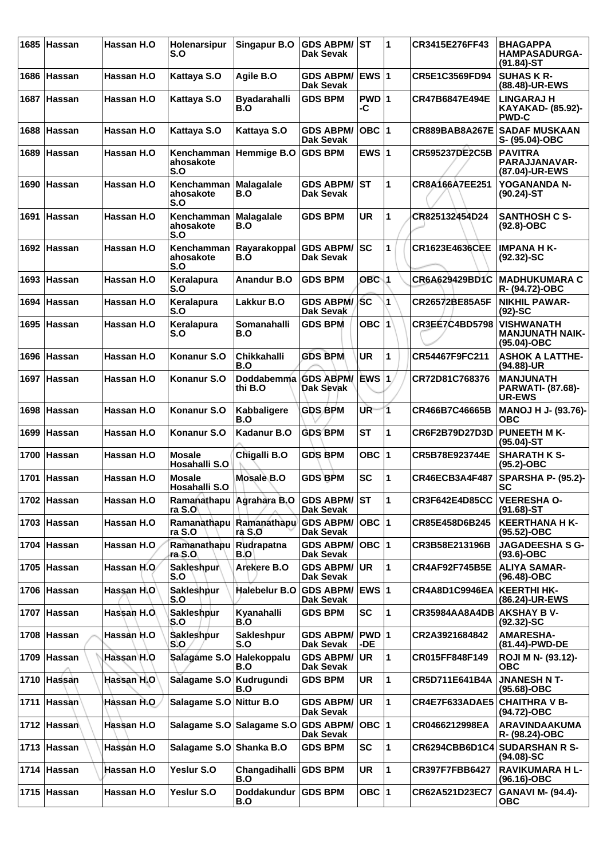| 1685 | Hassan        | Hassan H.O  | Holenarsipur<br>S.O                | <b>Singapur B.O</b>             | <b>GDS ABPM/</b><br>Dak Sevak        | lst          | 1            | CR3415E276FF43             | <b>BHAGAPPA</b><br><b>HAMPASADURGA-</b><br>$(91.84)$ -ST       |
|------|---------------|-------------|------------------------------------|---------------------------------|--------------------------------------|--------------|--------------|----------------------------|----------------------------------------------------------------|
| 1686 | Hassan        | Hassan H.O  | Kattaya S.O                        | Agile B.O                       | <b>GDS ABPM/</b><br><b>Dak Sevak</b> | <b>EWS 1</b> |              | CR5E1C3569FD94             | <b>SUHAS K R-</b><br>(88.48)-UR-EWS                            |
| 1687 | ∣Hassan       | Hassan H.O  | Kattaya S.O                        | <b>Byadarahalli</b><br>B.O      | <b>GDS BPM</b>                       | PWD 1<br>-C  |              | CR47B6847E494E             | <b>LINGARAJ H</b><br>KAYAKAD- (85.92)-<br><b>PWD-C</b>         |
| 1688 | ∣Hassan       | Hassan H.O  | Kattaya S.O                        | Kattaya S.O                     | <b>GDS ABPM/</b><br><b>Dak Sevak</b> | $OBC$  1     |              | <b>CR889BAB8A267E</b>      | <b>SADAF MUSKAAN</b><br>S- (95.04)-OBC                         |
| 1689 | ∣Hassan       | Hassan H.O  | Kenchamman<br>ahosakote<br>S.O     | Hemmige B.O                     | <b>GDS BPM</b>                       | EWS $ 1$     |              | <b>CR595237DE2C5B</b>      | <b>PAVITRA</b><br><b>PARAJJANAVAR-</b><br>(87.04)-UR-EWS       |
|      | 1690 Hassan   | Hassan H.O  | Kenchamman<br>ahosakote<br>S.O     | <b>Malagalale</b><br>B.O        | <b>GDS ABPM/</b><br>Dak Sevak        | lst          | 1            | CR8A166A7EE251             | YOGANANDA N-<br>$(90.24)$ -ST                                  |
|      | 1691 Hassan   | Hassan H.O  | Kenchamman<br>ahosakote<br>S.O     | <b>Malagalale</b><br>B.O        | <b>GDS BPM</b>                       | <b>UR</b>    | 1            | CR825132454D24             | <b>SANTHOSH C S-</b><br>$(92.8)-OBC$                           |
| 1692 | <b>Hassan</b> | Hassan H.O  | Kenchamman<br>ahosakote<br>S.O     | Rayarakoppal<br>B.O             | <b>GDS ABPM/</b><br>Dak Sevak        | lsc          | 1            | <b>CR1623E4636CEE</b>      | <b>IMPANA H K-</b><br>$(92.32)$ -SC                            |
| 1693 | <b>Hassan</b> | Hassan H.O  | Keralapura<br>S.O                  | <b>Anandur B.O</b>              | <b>GDS BPM</b>                       | $OBC$ 1      |              | CR6A629429BD1C             | IMADHUKUMARA C<br>R- (94.72)-OBC                               |
| 1694 | ∣Hassan       | Hassan H.O  | Keralapura<br>S.O                  | Lakkur B.O                      | <b>GDS ABPM/</b><br>Dak Sevak        | SC           | 1            | CR26572BE85A5F             | <b>NIKHIL PAWAR-</b><br>$(92)$ -SC                             |
| 1695 | <b>Hassan</b> | Hassan H.O  | Keralapura<br>S.O                  | Somanahalli<br>B.O              | <b>GDS BPM</b>                       | $OBC$ $ 1 $  |              | <b>CR3EE7C4BD5798</b>      | <b>VISHWANATH</b><br><b>MANJUNATH NAIK-</b><br>$(95.04) - OBC$ |
|      | 1696 Hassan   | Hassan H.O  | Konanur S.O                        | <b>Chikkahalli</b><br>B.O       | <b>GDS BPM</b>                       | <b>UR</b>    | 1            | CR54467F9FC211             | <b>ASHOK A LATTHE-</b><br>(94.88)-UR                           |
|      | 1697 Hassan   | Hassan H.O  | Konanur S.O                        | Doddabemma GDS ABPM/<br>thi B.O | Dak Sevak                            |              |              | CR72D81C768376             | <b>MANJUNATH</b><br><b>PARWATI- (87.68)-</b><br><b>UR-EWS</b>  |
| 1698 | <b>Hassan</b> | Hassan H.O  | Konanur S.O                        | <b>Kabbaligere</b><br>B.O       | <b>GDS BPM</b>                       | UR.          | 1            | CR466B7C46665B             | <b>MANOJ H J- (93.76)-</b><br><b>OBC</b>                       |
| 1699 | ∣Hassan       | Hassan H.O  | Konanur S.O                        | Kadanur B.O                     | <b>GDS BPM</b>                       | <b>ST</b>    | 1            | CR6F2B79D27D3D             | <b>PUNEETH M K-</b><br>$(95.04)$ -ST                           |
| 1700 | <b>Hassan</b> | Hassan H.O  | <b>Mosale</b><br>Hosahalli S.O     | Chigalli B.O                    | <b>GDS BPM</b>                       | OBC $ 1$     |              | CR5B78E923744E             | <b>SHARATH K S-</b><br>$(95.2)$ -OBC                           |
| 1701 | Hassan        | Hassan H.O  | <b>Mosale</b><br>Hosahalli S.O     | Mosale B.O                      | <b>GDS BPM</b>                       | <b>SC</b>    | 1            | CR46ECB3A4F487             | <b>SPARSHA P- (95.2)-</b><br><b>SC</b>                         |
|      | 1702 Hassan   | Hassan H.O  | Ramanathapu Agrahara B.O<br>ra S.O |                                 | <b>GDS ABPM/ST</b><br>Dak Sevak      |              | l 1          | <b>CR3F642E4D85CC</b>      | <b>VEERESHA O-</b><br>$(91.68)$ -ST                            |
|      | 1703 Hassan   | Hassan H.O  | Ramanathapu<br>ra S.O              | Ramanathapu<br>ra S.O           | <b>GDS ABPM/</b><br>Dak Sevak        | OBC  1       |              | CR85E458D6B245             | <b>KEERTHANA H K-</b><br>(95.52)-OBC                           |
|      | 1704 Hassan   | Hassan H.O  | Ramanathapu<br>ra S.O∖             | Rudrapatna<br>B.O               | <b>GDS ABPM/</b><br><b>Dak Sevak</b> | OBC  1       |              | CR3B58E213196B             | <b>JAGADEESHA S G-</b><br>$(93.6)$ -OBC                        |
|      | 1705 Hassan   | Hassan H.O  | Sakleshpur<br>S.O                  | Arekere B.O                     | <b>GDS ABPM/ UR</b><br>Dak Sevak     |              | 1            | <b>CR4AF92F745B5E</b>      | <b>ALIYA SAMAR-</b><br>(96.48)-OBC                             |
|      | 1706 Hassan   | Hassan H.O  | Sakleshpur<br>S.O                  | Halebelur B.O                   | <b>GDS ABPM/</b><br>Dak Sevak        | EWS 1        |              | CR4A8D1C9946EA             | KEERTHI HK-<br>(86.24)-UR-EWS                                  |
|      | 1707 Hassan   | Hassan H.O. | Sakleshpur<br>S.O                  | Kyanahalli<br>B.O               | <b>GDS BPM</b>                       | <b>SC</b>    | 1            | CR35984AA8A4DB AKSHAY B V- | $(92.32) - SC$                                                 |
|      | 1708 Hassan   | Hassan H.O  | <b>Sakleshpur</b><br>S.O           | <b>Sakleshpur</b><br>S.O        | <b>GDS ABPM/</b><br>Dak Sevak        | PWD 1<br>-DE |              | CR2A3921684842             | <b>AMARESHA-</b><br>(81.44)-PWD-DE                             |
|      | 1709 Hassan   | Hassan H.O  | Salagame S.O                       | Halekoppalu<br>B.O              | <b>GDS ABPM/</b><br>Dak Sevak        | ∣UR          | 1            | CR015FF848F149             | ROJI M N- (93.12)-<br>ОВС                                      |
|      | 1710 Hassan   | Hassan H.O  | Salagame S.O Kudrugundi            | B.O                             | <b>GDS BPM</b>                       | <b>UR</b>    | $\mathbf{1}$ | CR5D711E641B4A             | <b>JNANESH N T-</b><br>(95.68)-OBC                             |
|      | 1711 Hassan   | Hassan H.O  | Salagame S.O                       | Nittur B.O                      | <b>GDS ABPM/</b><br><b>Dak Sevak</b> | ∣UR.         | 1            | CR4E7F633ADAE5             | <b>CHAITHRA V B-</b><br>(94.72)-OBC                            |
|      | 1712 Hassan   | Hassan H.O  |                                    | Salagame S.O Salagame S.O       | <b>GDS ABPM/</b><br>Dak Sevak        | OBC  1       |              | CR0466212998EA             | <b>ARAVINDAAKUMA</b><br>R- (98.24)-OBC                         |
|      | 1713 Hassan   | Hassan H.O  | Salagame S.O Shanka B.O            |                                 | <b>GDS BPM</b>                       | SC           | 1            |                            | CR6294CBB6D1C4 SUDARSHAN R S-<br>$(94.08) - SC$                |
|      | 1714 Hassan   | Hassan H.O  | <b>Yeslur S.O</b>                  | Changadihalli<br>B.O            | <b>GDS BPM</b>                       | <b>UR</b>    | $\mathbf{1}$ | <b>CR397F7FBB6427</b>      | <b>RAVIKUMARA H L-</b><br>(96.16)-OBC                          |
|      | 1715 Hassan   | Hassan H.O  | Yeslur S.O                         | <b>Doddakundur</b><br>B.O       | <b>GDS BPM</b>                       | OBC $ 1$     |              | CR62A521D23EC7             | <b>GANAVI M- (94.4)-</b><br><b>OBC</b>                         |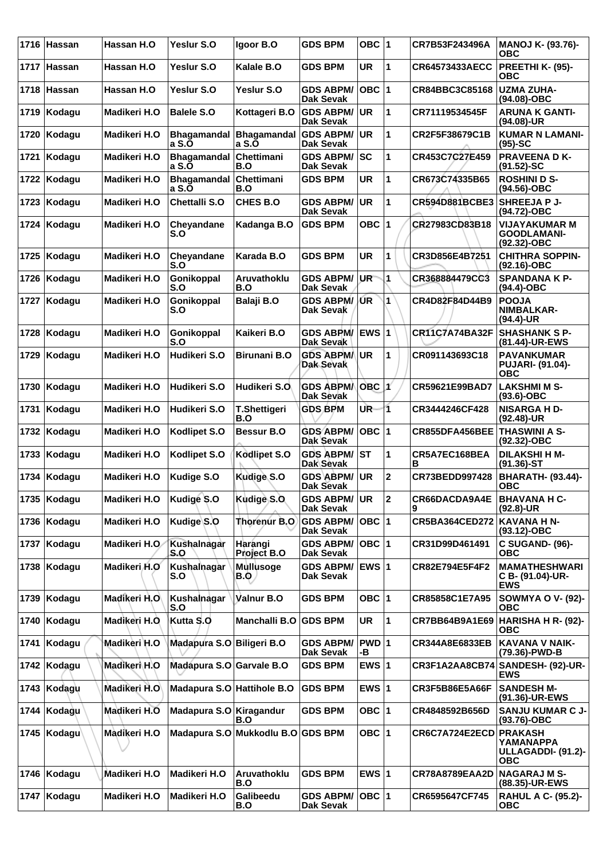|      | 1716 Hassan   | Hassan H.O    | Yeslur S.O                  | Igoor B.O                         | <b>GDS BPM</b>                       | OBC ∣1          |                         | CR7B53F243496A        | MANOJ K- (93.76)-<br>ОВС                                               |
|------|---------------|---------------|-----------------------------|-----------------------------------|--------------------------------------|-----------------|-------------------------|-----------------------|------------------------------------------------------------------------|
|      | 1717 Hassan   | Hassan H.O    | Yeslur S.O                  | Kalale B.O                        | <b>GDS BPM</b>                       | <b>UR</b>       | 1                       | <b>CR64573433AECC</b> | PREETHI K- (95)-<br><b>OBC</b>                                         |
|      | 1718 Hassan   | Hassan H.O.   | Yeslur S.O                  | Yeslur S.O                        | <b>GDS ABPM/</b><br><b>Dak Sevak</b> | $OBC$  1        |                         | CR84BBC3C85168        | <b>UZMA ZUHA-</b><br>(94.08)-OBC                                       |
| 1719 | Kodagu        | Madikeri H.O  | <b>Balele S.O</b>           | Kottageri B.O                     | <b>GDS ABPM/</b><br><b>Dak Sevak</b> | UR              | 1                       | CR71119534545F        | <b>ARUNA K GANTI-</b><br>(94.08)-UR                                    |
| 1720 | Kodagu        | Madikeri H.O  | a S.O                       | Bhagamandal Bhagamandal<br>a S.O  | <b>GDS ABPM/</b><br><b>Dak Sevak</b> | <b>UR</b>       | 1                       | CR2F5F38679C1B        | <b>KUMAR N LAMANI-</b><br>$(95)-SC$                                    |
| 1721 | Kodagu        | Madikeri H.O  | <b>Bhagamandal</b><br>a S.O | Chettimani<br>B.O                 | <b>GDS ABPM/</b><br><b>Dak Sevak</b> | sc              | 1                       | CR453C7C27E459        | <b>PRAVEENA D K-</b><br>$(91.52)$ -SC                                  |
| 1722 | Kodagu        | Madikeri H.O  | <b>Bhagamandal</b><br>a S.O | Chettimani<br>B.O                 | <b>GDS BPM</b>                       | <b>UR</b>       | 1                       | CR673C74335B65        | <b>ROSHINI D S-</b><br>(94.56)-OBC                                     |
| 1723 | Kodagu        | Madikeri H.O  | <b>Chettalli S.O</b>        | CHES B.O                          | <b>GDS ABPM/</b><br><b>Dak Sevak</b> | UR              | 1                       | CR594D881BCBE3        | <b>SHREEJA P J-</b><br>(94.72)-OBC                                     |
| 1724 | Kodagu        | Madikeri H.O  | Cheyandane<br>S.O           | Kadanga B.O                       | <b>GDS BPM</b>                       | OBC  1          |                         | CR27983CD83B18        | <b>VIJAYAKUMAR M</b><br><b>GOODLAMANI-</b><br>(92.32)-OBC              |
| 1725 | Kodagu        | Madikeri H.O  | Cheyandane<br>S.O           | Karada B.O                        | <b>GDS BPM</b>                       | UR              | 1                       | CR3D856E4B7251        | <b>CHITHRA SOPPIN-</b><br>$(92.16)-OBC$                                |
| 1726 | Kodagu        | Madikeri H.O  | Gonikoppal<br>S.O           | Aruvathoklu<br>B.O                | <b>GDS ABPM/</b><br><b>Dak Sevak</b> | UR <sup>-</sup> | 1                       | CR368884479CC3        | <b>SPANDANA K P-</b><br>(94.4)-OBC                                     |
| 1727 | Kodagu        | Madikeri H.O  | Gonikoppal<br>S.O           | Balaji B.O                        | <b>GDS ABPM/</b><br>Dak Sevak        | /ŰR             | 1                       | CR4D82F84D44B9        | <b>POOJA</b><br>NIMBALKAR-<br>(94.4)-UR                                |
| 1728 | Kodagu        | Madikeri H.O  | Gonikoppal<br>S.O           | Kaikeri B.O                       | GDS ABPM/ EWS 1<br>Dak Sevak         |                 |                         | <b>CR11C7A74BA32F</b> | <b>SHASHANK S P-</b><br>(81.44)-UR-EWS                                 |
| 1729 | Kodagu        | Madikeri H.O  | Hudikeri S.O                | <b>Birunani B.O</b>               | <b>GDS ABPM/UR</b><br>Dak Sevak      |                 | 1                       | CR091143693C18        | <b>PAVANKUMAR</b><br><b>PUJARI- (91.04)-</b><br><b>OBC</b>             |
| 1730 | Kodagu        | Madikeri H.O  | Hudikeri S.O                | Hudikeri S.O                      | <b>GDS ABPMA</b><br><b>Dak Sevak</b> | $OBC$ $1$       |                         | CR59621E99BAD7        | <b>LAKSHMI M S-</b><br>$(93.6)$ -OBC                                   |
| 1731 | Kodagu        | Madikeri H.O  | Hudikeri S.O                | <b>T.Shettigeri</b><br>B.O        | <b>GDS BPM</b>                       | UR-             | $\overline{\mathbf{1}}$ | CR3444246CF428        | <b>NISARGA H D-</b><br>$(92.48)$ -UR                                   |
| 1732 | Kodagu        | Madikeri H.O  | Kodlipet S.O                | <b>Bessur B.O</b>                 | <b>GDS ABPM/</b><br>Dak Sevak        | $OBC$  1        |                         | CR855DFA456BEE        | <b>THASWINI A S-</b><br>(92.32)-OBC                                    |
| 1733 | Kodagu        | Madikeri H.O  | <b>Kodlipet S.O</b>         | Kodlipet S.O                      | <b>GDS ABPM/</b><br><b>Dak Sevak</b> | <b>ST</b>       | 1                       | CR5A7EC168BEA<br>в    | <b>DILAKSHI H M-</b><br>$(91.36)$ -ST                                  |
| 1734 | Kodagu        | Madikeri H.O  | <b>Kudige S.O</b>           | Kudige S.O                        | <b>GDS ABPM/</b><br><b>Dak Sevak</b> | <b>UR</b>       | $\mathbf 2$             | CR73BEDD997428        | <b>BHARATH- (93.44)-</b><br>ОВС                                        |
|      | 1735 Kodagu   | Madikeri H.O  | Kudige S.O                  | Kudige S.O                        | <b>GDS ABPM/ UR</b><br>Dak Sevak     |                 | $ 2\rangle$             | CR66DACDA9A4E         | <b>BHAVANA H C-</b><br>(92.8)-UR                                       |
|      | 1736 Kodagu   | Madikeri H.O  | Kudige S.O                  | <b>Thorenur B.O</b>               | <b>GDS ABPM/</b><br>Dak Sevak        | OBC  1          |                         | <b>CR5BA364CED272</b> | <b>KAVANA H N-</b><br>(93.12)-OBC                                      |
|      | 1737 Kodagu   | Madikeri H.O  | Kushalnagar<br>S.O          | Harangi<br>Project B.O            | <b>GDS ABPM/</b><br>Dak Sevak        | OBC  1          |                         | CR31D99D461491        | <b>C SUGAND- (96)-</b><br><b>OBC</b>                                   |
|      | 1738   Kodagu | Madikeri H.O  | Kushalnagar<br>S.O          | <b>Mullusoge</b><br>B.Q           | GDS ABPM/ EWS 1<br><b>Dak Sevak</b>  |                 |                         | CR82E794E5F4F2        | <b>MAMATHESHWARI</b><br>C B- (91.04)-UR-<br><b>EWS</b>                 |
| 1739 | Kodagu        | Madikeri H.O  | Kushalnagar<br>S.O          | Valnur B.O                        | <b>GDS BPM</b>                       | OBC 1           |                         | CR85858C1E7A95        | <b>SOWMYA O V- (92)-</b><br><b>OBC</b>                                 |
| 1740 | Kodagu        | Madikeri H.O. | Kutta S.O                   | Manchalli B.O                     | <b>GDS BPM</b>                       | UR              | 1                       | CR7BB64B9A1E69        | <b>HARISHA H R- (92)-</b><br>ОВС                                       |
| 1741 | Kodagu        | Madikeri H.O  | Madapura S.O Biligeri B.O   |                                   | <b>GDS ABPM/</b><br>Dak Sevak        | PWD 1<br>-В     |                         | CR344A8E6833EB        | <b>KAVANA V NAIK-</b><br>(79.36)-PWD-B                                 |
|      | 1742 Kodagu   | Madikeri H.O  | Madapura S.O Garvale B.O    |                                   | <b>GDS BPM</b>                       | EWS $ 1$        |                         | CR3F1A2AA8CB74        | <b>SANDESH- (92)-UR-</b><br>EWS                                        |
| 1743 | Kodagu        | Madikeri H.O  | Madapura S.O Hattihole B.O  |                                   | <b>GDS BPM</b>                       | EWS $ 1$        |                         | <b>CR3F5B86E5A66F</b> | <b>SANDESH M-</b><br>(91.36)-UR-EWS                                    |
| 1744 | Kodagu        | Madikeri H.O  | Madapura S.O Kiragandur     | B.O                               | <b>GDS BPM</b>                       | OBC $ 1$        |                         | CR4848592B656D        | <b>SANJU KUMAR C J-</b><br>(93.76)-OBC                                 |
|      | 1745   Kodagu | Madikeri H.O  |                             | Madapura S.O Mukkodlu B.O GDS BPM |                                      | OBC  1          |                         | CR6C7A724E2ECD        | <b>PRAKASH</b><br>YAMANAPPA<br><b>ULLAGADDI- (91.2)-</b><br><b>OBC</b> |
| 1746 | Kodagu        | Madikeri H.O  | Madikeri H.O                | Aruvathoklu<br>B.O                | <b>GDS BPM</b>                       | EWS $ 1$        |                         | <b>CR78A8789EAA2D</b> | <b>NAGARAJ M S-</b><br>(88.35)-UR-EWS                                  |
|      | 1747 Kodagu   | Madikeri H.O  | Madikeri H.O                | Galibeedu<br>B.O                  | <b>GDS ABPM/</b><br><b>Dak Sevak</b> | OBC 1           |                         | CR6595647CF745        | <b>RAHUL A C- (95.2)-</b><br><b>OBC</b>                                |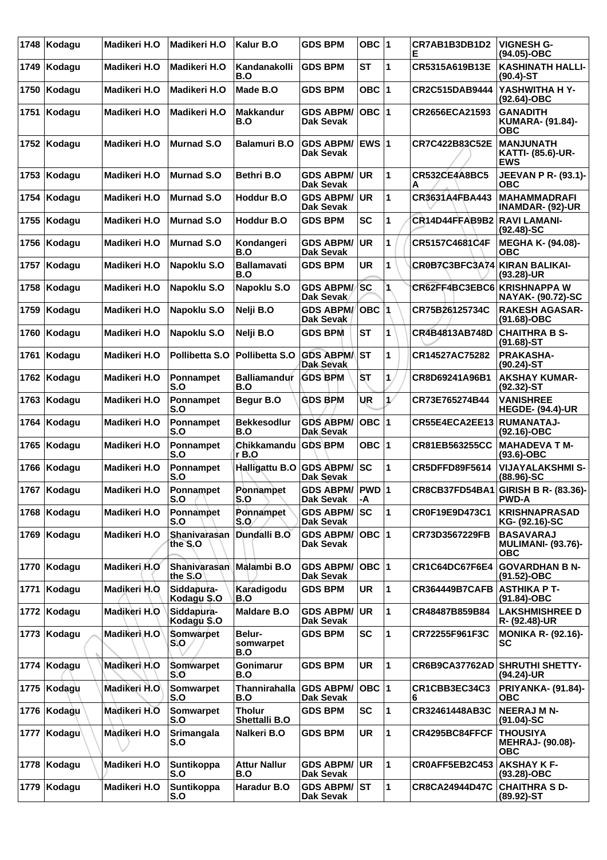| 1748 | Kodagu      | Madikeri H.O | Madikeri H.O              | Kalur B.O                         | <b>GDS BPM</b>                       | OBC $ 1$     |               | CR7AB1B3DB1D2<br>Е            | <b>VIGNESH G-</b><br>(94.05)-OBC                            |
|------|-------------|--------------|---------------------------|-----------------------------------|--------------------------------------|--------------|---------------|-------------------------------|-------------------------------------------------------------|
| 1749 | Kodagu      | Madikeri H.O | Madikeri H.O              | Kandanakolli<br>B.O               | <b>GDS BPM</b>                       | <b>ST</b>    | 1             | CR5315A619B13E                | <b>KASHINATH HALLI-</b><br>$(90.4)$ -ST                     |
| 1750 | Kodagu      | Madikeri H.O | Madikeri H.O              | Made B.O                          | <b>GDS BPM</b>                       | OBC  1       |               | CR2C515DAB9444                | YASHWITHA H Y-<br>(92.64)-OBC                               |
| 1751 | Kodagu      | Madikeri H.O | Madikeri H.O              | <b>Makkandur</b><br>B.O           | <b>GDS ABPM/</b><br>Dak Sevak        | OBC  1       |               | CR2656ECA21593                | <b>GANADITH</b><br><b>KUMARA- (91.84)-</b><br><b>OBC</b>    |
| 1752 | Kodagu      | Madikeri H.O | <b>Murnad S.O</b>         | Balamuri B.O                      | <b>GDS ABPM/</b><br>Dak Sevak        | <b>EWS 1</b> |               | CR7C422B83C52E                | <b>MANJUNATH</b><br><b>KATTI- (85.6)-UR-</b><br><b>EWS</b>  |
| 1753 | Kodagu      | Madikeri H.O | <b>Murnad S.O</b>         | Bethri B.O                        | <b>GDS ABPM/</b><br><b>Dak Sevak</b> | <b>UR</b>    | 1             | <b>CR532CE4A8BC5</b>          | <b>JEEVAN P R- (93.1)-</b><br>ОВС                           |
| 1754 | Kodagu      | Madikeri H.O | Murnad S.O                | <b>Hoddur B.O</b>                 | <b>GDS ABPM/</b><br><b>Dak Sevak</b> | <b>UR</b>    | 1             | CR3631A4FBA443                | <b>MAHAMMADRAFI</b><br><b>INAMDAR- (92)-UR</b>              |
| 1755 | Kodagu      | Madikeri H.O | Murnad S.O                | <b>Hoddur B.O</b>                 | <b>GDS BPM</b>                       | <b>SC</b>    | 1             | CR14D44FFAB9B2                | <b>RAVI LAMANI-</b><br>$(92.48)$ -SC                        |
| 1756 | Kodagu      | Madikeri H.O | <b>Murnad S.O</b>         | Kondangeri<br>B.O                 | <b>GDS ABPM/</b><br><b>Dak Sevak</b> | <b>UR</b>    | 1             | CR5157C4681C4F                | MEGHA K- (94.08)-<br>овс                                    |
| 1757 | Kodagu      | Madikeri H.O | Napoklu S.O               | <b>Ballamavati</b><br>B.O         | <b>GDS BPM</b>                       | <b>UR</b>    | 1             | CR0B7C3BFC3A74 KIRAN BALIKAI- | (93.28)-UR                                                  |
| 1758 | Kodagu      | Madikeri H.O | Napoklu S.O               | Napoklu S.O                       | <b>GDS ABPM/</b><br>Dak Sevak        | <b>SC</b>    | 1             | CR62FF4BC3EBC6 KRISHNAPPA W   | <b>NAYAK- (90.72)-SC</b>                                    |
| 1759 | Kodagu      | Madikeri H.O | Napoklu S.O               | Nelji B.O                         | <b>GDS ABPM/</b><br>Dak Sevak        | <b>OBC</b>   |               | CR75B26125734C                | <b>RAKESH AGASAR-</b><br>(91.68)-OBC                        |
| 1760 | Kodagu      | Madikeri H.O | Napoklu S.O               | Nelji B.O                         | <b>GDS BPM</b>                       | <b>ST</b>    | 1             | CR4B4813AB748D                | <b>CHAITHRA B S-</b><br>$(91.68)$ -ST                       |
| 1761 | Kodagu      | Madikeri H.O | Pollibetta S.O            | Pollibetta S.O                    | <b>GDS ABPM/</b><br>Dak Sevak        | lst          | 1             | CR14527AC75282                | <b>PRAKASHA-</b><br>$(90.24)$ -ST                           |
| 1762 | Kodagu      | Madikeri H.O | Ponnampet<br>S.O          | <b>Balliamandur</b><br>B.O        | <b>GDS BPM</b>                       | SТ           | 1             | CR8D69241A96B1                | <b>AKSHAY KUMAR-</b><br>(92.32)-ST                          |
| 1763 | Kodagu      | Madikeri H.O | Ponnampet<br>S.O          | Begur B.O                         | <b>GDS BPM</b>                       | UR           | $\mathcal{L}$ | CR73E765274B44                | <b>VANISHREE</b><br><b>HEGDE- (94.4)-UR</b>                 |
| 1764 | Kodagu      | Madikeri H.O | Ponnampet<br>S.O          | <b>Bekkesodlur</b><br>B.O         | <b>GDS ABPM/</b><br>Dak Sevak        | $OBC$  1     |               | CR55E4ECA2EE13                | <b>RUMANATAJ-</b><br>$(92.16)$ -OBC                         |
| 1765 | Kodagu      | Madikeri H.O | Ponnampet<br>S.O          | Chikkamandu<br>r B.O              | <b>GDS BPM</b>                       | OBC $ 1$     |               | <b>CR81EB563255CC</b>         | <b>MAHADEVA T M-</b><br>(93.6)-OBC                          |
| 1766 | Kodagu      | Madikeri H.O | Ponnampet<br>S.O          | Halligattu B.O                    | <b>GDS ABPM/</b><br>Dak Sevak        | sc           | 1             | CR5DFFD89F5614                | <b>VIJAYALAKSHMI S-</b><br>(88.96)-SC                       |
|      | 1767 Kodagu | Madikeri H.O | Ponnampet<br>S.O          | Ponnampet<br>S.O                  | GDS ABPM/ PWD 1<br>Dak Sevak         | -A           |               |                               | CR8CB37FD54BA1 GIRISH B R- (83.36)-<br><b>PWD-A</b>         |
| 1768 | Kodagu      | Madikeri H.O | Ponnampet<br>S.O          | Ponnampet<br>S.O                  | <b>GDS ABPM/</b><br>Dak Sevak        | lsc          | 1             | CR0F19E9D473C1                | <b>KRISHNAPRASAD</b><br>KG- (92.16)-SC                      |
| 1769 | Kodagu      | Madikeri H.O | Shanivarasan<br>the S.O   | Dundalli B.O                      | <b>GDS ABPM/</b><br>Dak Sevak        | OBC  1       |               | CR73D3567229FB                | <b>BASAVARAJ</b><br><b>MULIMANI- (93.76)-</b><br><b>OBC</b> |
| 1770 | Kodagu      | Madikeri H.O | Shanivarasan<br>the S.O   | Malambi B.O                       | <b>GDS ABPM/</b><br>Dak Sevak        | OBC  1       |               | CR1C64DC67F6E4                | <b>GOVARDHAN B N-</b><br>(91.52)-OBC                        |
| 1771 | Kodagu      | Madikeri H.O | Siddapura-<br>Kodagu \$.0 | Karadigodu<br>B.O                 | <b>GDS BPM</b>                       | UR           | 1             | <b>CR364449B7CAFB</b>         | <b>ASTHIKA P T-</b><br>(91.84)-OBC                          |
| 1772 | Kodagu      | Madikeri H.O | Siddapura-<br>Kodagu \$.0 | <b>Maldare B.O</b>                | <b>GDS ABPM/</b><br><b>Dak Sevak</b> | UR           | 1             | CR48487B859B84                | <b>LAKSHMISHREE D</b><br>R- (92.48)-UR                      |
| 1773 | Kodagu      | Madikeri H.O | Somwarpet<br>S.O          | <b>Belur-</b><br>somwarpet<br>B.O | <b>GDS BPM</b>                       | <b>SC</b>    | 1             | CR72255F961F3C                | <b>MONIKA R- (92.16)-</b><br>SC                             |
| 1774 | Kodagu      | Madikeri H.O | Somwarpet<br>S.O          | Gonimarur<br>B.O                  | <b>GDS BPM</b>                       | UR           | 1             | <b>CR6B9CA37762AD</b>         | <b>SHRUTHI SHETTY-</b><br>(94.24)-UR                        |
| 1775 | Kodagu      | Madikeri H.O | Somwarpet<br>S.O          | Thannirahalla<br>B.O              | <b>GDS ABPM/</b><br><b>Dak Sevak</b> | $OBC$  1     |               | CR1CBB3EC34C3<br>6            | <b>PRIYANKA- (91.84)-</b><br><b>OBC</b>                     |
|      | 1776 Kodagu | Madikeri H.O | Somwarpet<br>S.O          | <b>Tholur</b><br>Shettalli B.O    | <b>GDS BPM</b>                       | <b>SC</b>    | 1             | CR32461448AB3C                | <b>NEERAJ M N-</b><br>$(91.04)$ -SC                         |
| 1777 | Kodagu      | Madikeri H.O | Srimangala<br>S.O         | Nalkeri B.O                       | <b>GDS BPM</b>                       | <b>UR</b>    | 1             | CR4295BC84FFCF                | <b>THOUSIYA</b><br><b>MEHRAJ- (90.08)-</b><br><b>OBC</b>    |
| 1778 | Kodagu      | Madikeri H.O | Suntikoppa<br>S.O         | <b>Attur Nallur</b><br>B.O        | <b>GDS ABPM/</b><br><b>Dak Sevak</b> | <b>UR</b>    | 1             | CR0AFF5EB2C453                | <b>AKSHAY K F-</b><br>(93.28)-OBC                           |
| 1779 | Kodagu      | Madikeri H.O | Suntikoppa<br>S.O         | Haradur B.O                       | <b>GDS ABPM/ ST</b><br>Dak Sevak     |              | 1             | <b>CR8CA24944D47C</b>         | <b>CHAITHRA S D-</b><br>$(89.92) - ST$                      |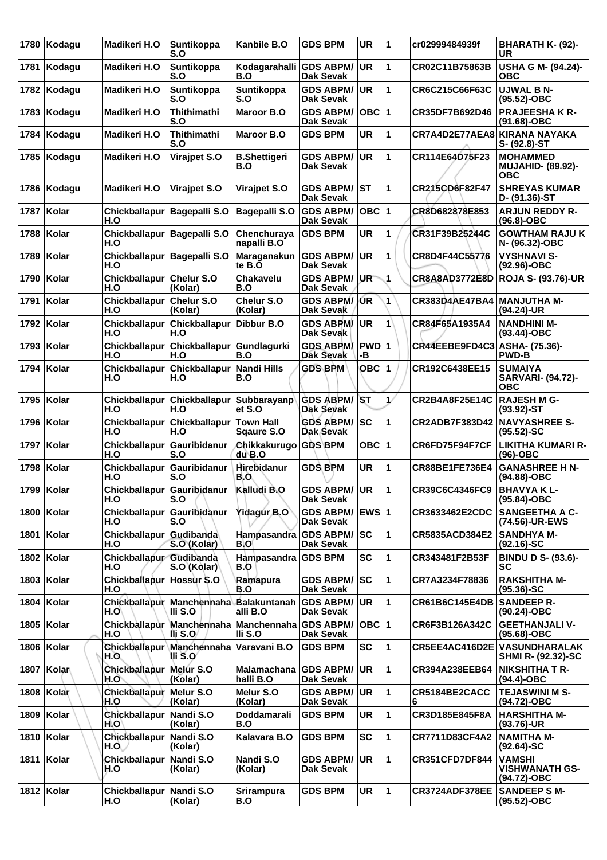| 1780 | Kodagu       | Madikeri H.O                         | <b>Suntikoppa</b><br>S.O                                   | Kanbile B.O                     | <b>GDS BPM</b>                       | <b>UR</b>    | $\blacktriangleleft$ | cr02999484939f               | BHARATH K- (92)-<br>UR                                    |
|------|--------------|--------------------------------------|------------------------------------------------------------|---------------------------------|--------------------------------------|--------------|----------------------|------------------------------|-----------------------------------------------------------|
| 1781 | Kodagu       | Madikeri H.O                         | Suntikoppa<br>S.O                                          | Kodagarahalli GDS ABPM/<br>B.O  | Dak Sevak                            | <b>UR</b>    | 1                    | CR02C11B75863B               | <b>USHA G M- (94.24)-</b><br>ОВС                          |
| 1782 | Kodagu       | Madikeri H.O                         | Suntikoppa<br>S.O                                          | Suntikoppa<br>S.O               | <b>GDS ABPM/</b><br><b>Dak Sevak</b> | <b>UR</b>    | 1                    | CR6C215C66F63C               | <b>UJWAL B N-</b><br>(95.52)-OBC                          |
| 1783 | Kodagu       | Madikeri H.O                         | Thithimathi<br>S.O                                         | <b>Maroor B.O</b>               | <b>GDS ABPM/</b><br><b>Dak Sevak</b> | OBC  1       |                      | CR35DF7B692D46               | <b>PRAJEESHAKR-</b><br>$(91.68) - OBC$                    |
| 1784 | Kodagu       | Madikeri H.O                         | <b>Thithimathi</b><br>S.O                                  | Maroor B.O                      | <b>GDS BPM</b>                       | <b>UR</b>    | 1                    | CR7A4D2E77AEA8 KIRANA NAYAKA | S- (92.8)-ST                                              |
| 1785 | Kodagu       | Madikeri H.O                         | <b>Virajpet S.O</b>                                        | <b>B.Shettigeri</b><br>B.O      | <b>GDS ABPM/</b><br>Dak Sevak        | UR           | 1                    | CR114E64D75F23               | <b>MOHAMMED</b><br><b>MUJAHID- (89.92)-</b><br><b>OBC</b> |
| 1786 | Kodagu       | Madikeri H.O                         | <b>Virajpet S.O</b>                                        | <b>Virajpet S.O</b>             | <b>GDS ABPM/</b><br><b>Dak Sevak</b> | IST          | 1                    | CR215CD6F82F47               | <b>SHREYAS KUMAR</b><br>D- (91.36)-ST                     |
| 1787 | ∣Kolar       | Chickballapur   Bagepalli S.O<br>H.O |                                                            | <b>Bagepalli S.O</b>            | <b>GDS ABPM/</b><br>Dak Sevak        | OBC  1       |                      | CR8D682878E853               | <b>ARJUN REDDY R-</b><br>$(96.8)-OBC$                     |
| 1788 | Kolar        | Chickballapur Bagepalli S.O<br>H.O   |                                                            | Chenchuraya<br>napalli B.O      | <b>GDS BPM</b>                       | <b>UR</b>    | 1                    | CR31F39B25244C               | <b>GOWTHAM RAJU K</b><br>N- (96.32)-OBC                   |
| 1789 | Kolar        | Chickballapur Bagepalli S.O<br>H.O   |                                                            | Maraganakun<br>te B.O           | <b>GDS ABPM/</b><br>Dak Sevak        | UR           | 1                    | CR8D4F44C55776               | <b>VYSHNAVI S-</b><br>$(92.96)$ -OBC                      |
| 1790 | Kolar        | Chickballapur Chelur S.O<br>H.O      | (Kolar)                                                    | Chakavelu<br>B.O                | <b>GDS ABPM/</b><br>Dak Sevak        | UR"          | 1                    | <b>CR8A8AD3772E8D</b>        | <b>ROJA S- (93.76)-UR</b>                                 |
| 1791 | Kolar        | <b>Chickballapur</b><br>H.O          | Chelur S.O<br>(Kolar)                                      | Chelur S.O<br>(Kolar)           | <b>GDS ABPM/</b><br>Dak Sevak        | /UR          | 1                    | CR383D4AE47BA4 MANJUTHA M-   | (94.24)-UR                                                |
| 1792 | Kolar        | Chickballapur<br>H.O                 | Chickballapur<br>H.O                                       | Dibbur B.O                      | <b>GDS ABPM/</b><br>Dak Sevak        | UR.          | 1                    | CR84F65A1935A4               | <b>NANDHINI M-</b><br>(93.44)-OBC                         |
| 1793 | Kolar        | <b>Chickballapur</b><br>H.O          | <b>Chickballapur</b><br>H.O                                | Gundlagurki<br>B.O              | <b>GDS ABPM/</b><br>Dak Sevak        | PWD 1<br>-В  |                      | CR44EEBE9FD4C3               | ASHA- (75.36)-<br><b>PWD-B</b>                            |
| 1794 | Kolar        | <b>Chickballapur</b><br>H.O          | Chickballapur<br>H.O                                       | <b>Nandi Hills</b><br>B.O       | <b>GDS BPM</b>                       | OBC $ 1$     |                      | CR192C6438EE15               | <b>SUMAIYA</b><br><b>SARVARI- (94.72)-</b><br>ОВС         |
| 1795 | Kolar        | H.O                                  | Chickballapur Chickballapur<br>H.O                         | Subbarayanp<br>et S.O           | <b>GDS ABPM/</b><br>Dak Sevak        | <b>ST</b>    | $\mathcal{L}$        | CR2B4A8F25E14C               | <b>RAJESH M G-</b><br>$(93.92)$ -ST                       |
| 1796 | Kolar        | <b>Chickballapur</b><br>H.O          | Chickballapur<br>H.O                                       | <b>Town Hall</b><br>Sqaure S.O  | <b>GDS ABPM/</b><br>Dak Sevak        | SC           | 1                    | CR2ADB7F383D42 NAVYASHREE S- | $(95.52)$ -SC                                             |
| 1797 | Kolar        | <b>Chickballapur</b><br>H.O          | Gauribidanur<br>S.O                                        | Chikkakurugo<br>du B.O          | <b>GDS BPM</b>                       | OBC $ 1$     |                      | CR6FD75F94F7CF               | <b>LIKITHA KUMARI R-</b><br>$(96)$ -OBC                   |
| 1798 | Kolar        | Chickballapur<br>H.O                 | Gauribidanur<br>S.O                                        | Hirebidanur<br>B.O.             | <b>GDS BPM</b>                       | <b>UR</b>    | 1                    | CR88BE1FE736E4               | <b>GANASHREE H N-</b><br>(94.88)-OBC                      |
|      | 1799 Kolar   | Chickballapur Gauribidanur<br>H.O    | S.O                                                        | Kalludi B.O                     | <b>GDS ABPM/</b><br>Dak Sevak        | <b>UR</b>    | 1                    | CR39C6C4346FC9               | BHAVYA K L-<br>(95.84)-OBC                                |
| 1800 | Kolar        | <b>Chickballapur</b><br>H.O          | <b>Gauribidanur</b><br>S.O                                 | Yidagur B.O                     | <b>GDS ABPM/</b><br>Dak Sevak        | <b>EWS 1</b> |                      | CR3633462E2CDC               | <b>SANGEETHA A C-</b><br>(74.56)-UR-EWS                   |
| 1801 | Kolar        | Chickballapur<br>H.O                 | Gudibanda<br>S.O (Kolar)                                   | Hampasandra GDS ABPM/<br>B.O    | Dak Sevak                            | SC           | 1                    | <b>CR5835ACD384E2</b>        | <b>SANDHYA M-</b><br>$(92.16)$ -SC                        |
|      | 1802   Kolar | Chickballapur Gudibanda<br>H.O       | S.O (Kolar)                                                | Hampasandra GDS BPM<br>B.O      |                                      | <b>SC</b>    | 1                    | CR343481F2B53F               | <b>BINDU D S- (93.6)-</b><br>SC                           |
|      | 1803   Kolar | Chickballapur Hossur S.O<br>H.O      |                                                            | Ramapura<br>B.O                 | <b>GDS ABPM/</b><br>Dak Sevak        | SC           | 1                    | CR7A3234F78836               | <b>RAKSHITHA M-</b><br>$(95.36)$ -SC                      |
| 1804 | Kolar        | H.O                                  | Chickballapur Manchennaha Balakuntanah<br>IIIi S.O         | alli B.O                        | <b>GDS ABPM/</b><br>Dak Sevak        | UR           | 1                    | CR61B6C145E4DB               | <b>SANDEEP R-</b><br>(90.24)-OBC                          |
|      | 1805   Kolar | H.O                                  | Chickballapur Manchennaha Manchennaha GDS ABPM/<br>Ili S.O | IIi S.O                         | Dak Sevak                            | $OBC$  1     |                      | CR6F3B126A342C               | <b>GEETHANJALI V-</b><br>(95.68)-OBC                      |
| 1806 | Kolar        | H.O.                                 | Chickballapur Manchennaha<br>III S.O                       | Varavani B.O                    | <b>GDS BPM</b>                       | <b>SC</b>    | 1                    |                              | CR5EE4AC416D2E VASUNDHARALAK<br><b>SHMI R- (92.32)-SC</b> |
|      | 1807 Kolar   | Chickballapur Melur S.O<br>H.O       | (Kolar)                                                    | <b>Malamachana</b><br>halli B.O | <b>GDS ABPM/</b><br>Dak Sevak        | UR.          | 1                    | CR394A238EEB64               | <b>NIKSHITHA T R-</b><br>$(94.4)$ -OBC                    |
| 1808 | Kolar        | Chickballapur Melur S.O<br>H.O       | (Kolar)                                                    | Melur S.O<br>(Kolar)            | <b>GDS ABPM/</b><br>Dak Sevak        | <b>UR</b>    | 1                    | CR5184BE2CACC<br>6           | <b>TEJASWINI M S-</b><br>(94.72)-OBC                      |
| 1809 | Kolar        | Chickballapur<br>H.O'                | Nandi S.O<br>(Kolar)                                       | Doddamarali<br>B.O              | <b>GDS BPM</b>                       | <b>UR</b>    | 1                    | CR3D185E845F8A               | <b>HARSHITHA M-</b><br>(93.76)-UR                         |
| 1810 | Kolar        | Chickballapur<br>H.O                 | Nandi S.O<br>(Kolar)                                       | Kalavara B.O                    | <b>GDS BPM</b>                       | <b>SC</b>    | 1                    | CR7711D83CF4A2               | <b>NAMITHA M-</b><br>$(92.64)$ -SC                        |
| 1811 | Kolar        | Chickballapur Nandi S.O<br>H.O       | (Kolar)                                                    | Nandi S.O<br>(Kolar)            | <b>GDS ABPM/</b><br>Dak Sevak        | <b>UR</b>    | 1                    | <b>CR351CFD7DF844</b>        | <b>VAMSHI</b><br><b>VISHWANATH GS-</b><br>(94.72)-OBC     |
|      | 1812 Kolar   | Chickballapur Nandi S.O<br>H.O       | (Kolar)                                                    | <b>Srirampura</b><br>B.O        | <b>GDS BPM</b>                       | UR           | 1                    | CR3724ADF378EE               | <b>SANDEEP S M-</b><br>(95.52)-OBC                        |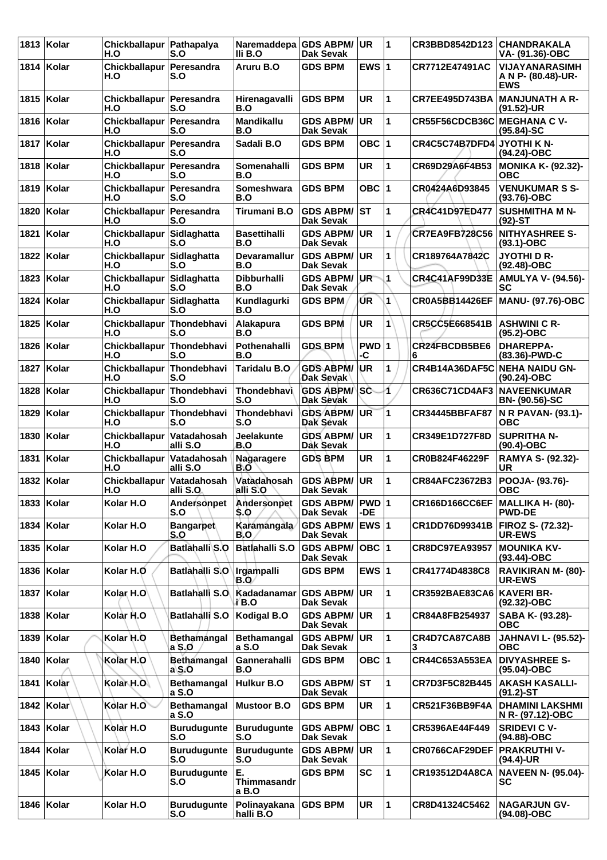| 1813 | Kolar        | Chickballapur   Pathapalya<br>H.O | S.O                           | Naremaddepa GDS ABPM/<br>IIi B.O | Dak Sevak                            | <b>UR</b>       | 1            | <b>CR3BBD8542D123</b>           | <b>CHANDRAKALA</b><br>VA- (91.36)-OBC              |
|------|--------------|-----------------------------------|-------------------------------|----------------------------------|--------------------------------------|-----------------|--------------|---------------------------------|----------------------------------------------------|
| 1814 | Kolar        | Chickballapur Peresandra<br>H.O   | S.O                           | Aruru B.O                        | <b>GDS BPM</b>                       | EWS $ 1$        |              | CR7712E47491AC                  | VIJAYANARASIMH<br>A N P- (80.48)-UR-<br><b>EWS</b> |
| 1815 | Kolar        | Chickballapur   Peresandra<br>H.O | S.O                           | Hirenagavalli<br>B.O             | <b>GDS BPM</b>                       | <b>UR</b>       | 1            | <b>CR7EE495D743BA</b>           | <b>MANJUNATH A R-</b><br>(91.52)-UR                |
|      | 1816   Kolar | Chickballapur   Peresandra<br>H.O | S.O                           | Mandikallu<br>B.O                | <b>GDS ABPM/</b><br>Dak Sevak        | <b>UR</b>       | $\mathbf{1}$ | CR55F56CDCB36C MEGHANA C V-     | $(95.84) - SC$                                     |
| 1817 | ∣Kolar       | <b>Chickballapur</b><br>H.O       | Peresandra<br>S.O             | Sadali B.O                       | <b>GDS BPM</b>                       | OBC $ 1$        |              | CR4C5C74B7DFD4                  | JYOTHI K N-<br>(94.24)-OBC                         |
| 1818 | Kolar        | Chickballapur   Peresandra<br>H.O | S.O                           | <b>Somenahalli</b><br>B.O        | <b>GDS BPM</b>                       | <b>UR</b>       | 1            | CR69D29A6F4B53                  | <b>MONIKA K- (92.32)-</b><br><b>OBC</b>            |
| 1819 | Kolar        | Chickballapur Peresandra<br>H.O   | S.O                           | Someshwara<br>B.O                | <b>GDS BPM</b>                       | OBC $ 1$        |              | CR0424A6D93845                  | <b>VENUKUMAR S S-</b><br>$(93.76)-OBC$             |
| 1820 | Kolar        | <b>Chickballapur</b><br>H.O       | Peresandra<br>S.O             | Tirumani B.O                     | <b>GDS ABPM/</b><br><b>Dak Sevak</b> | <b>IST</b>      | 1            | <b>CR4C41D97ED477</b>           | <b>SUSHMITHA M N-</b><br>$(92)$ -ST                |
| 1821 | Kolar        | Chickballapur Sidlaghatta<br>H.O  | S.O                           | <b>Basettihalli</b><br>B.O       | <b>GDS ABPM/</b><br><b>Dak Sevak</b> | <b>UR</b>       | $\mathbf{1}$ | <b>CR7EA9FB728C56</b>           | <b>NITHYASHREE S-</b><br>$(93.1) - OBC$            |
| 1822 | Kolar        | Chickballapur Sidlaghatta<br>H.O  | S.O                           | <b>Devaramallur</b><br>B.O       | <b>GDS ABPM/</b><br><b>Dak Sevak</b> | <b>UR</b>       | 1            | CR189764A7842C                  | <b>JYOTHID R-</b><br>$(92.48)-OBC$                 |
| 1823 | Kolar        | <b>Chickballapur</b><br>H.O       | Sidlaghatta<br>S.O            | Dibburhalli<br>B.O               | <b>GDS ABPM/</b><br>Dak Sevak        | UR <sup>-</sup> | 1            | <b>CR4C41AF99D33E</b>           | <b>AMULYA V- (94.56)-</b><br>SC                    |
| 1824 | Kolar        | Chickballapur Sidlaghatta<br>H.O  | S.O                           | Kundlagurki<br>B.O               | <b>GDS BPM</b>                       | UR.             | 1            | <b>CR0A5BB14426EF</b>           | <b>MANU- (97.76)-OBC</b>                           |
| 1825 | Kolar        | Chickballapur Thondebhavi<br>H.O  | S.O                           | Alakapura<br>B.O                 | <b>GDS BPM</b>                       | UR.             | $\mathbf{1}$ | CR5CC5E668541B                  | <b>ASHWINI C R-</b><br>$(95.2)$ -OBC               |
| 1826 | Kolar        | <b>Chickballapur</b><br>H.O       | Thondebhavi<br>S.O            | Pothenahalli<br>B.O              | <b>GDS BPM</b>                       | PWD 1<br>-C     |              | CR24FBCDB5BE6<br>6              | <b>DHAREPPA-</b><br>(83.36)-PWD-C                  |
| 1827 | Kolar        | Chickballapur Thondebhavi<br>H.O  | S.O                           | <b>Taridalu B.O</b>              | <b>GDS ABPM/</b><br>Dak Sevak        | UR              | 1            | CR4B14A36DAF5C                  | <b>NEHA NAIDU GN-</b><br>$(90.24)$ -OBC            |
| 1828 | Kolar        | Chickballapur Thondebhavi<br>H.O  | S.O                           | Thondebhavi<br>S.O               | <b>GDS ABPM/</b><br>Dak Sevak        | <b>SC</b>       | 1            | <b>CR636C71CD4AF3</b>           | <b>NAVEENKUMAR</b><br><b>BN- (90.56)-SC</b>        |
| 1829 | Kolar        | <b>Chickballapur</b><br>H.O       | Thondebhavi<br>S.O            | Thondebhavi<br>S.O               | <b>GDS ABPM/</b><br>Dak Sévak        | <b>UR</b>       | 1            | <b>CR34445BBFAF87</b>           | N R PAVAN- (93.1)-<br><b>OBC</b>                   |
| 1830 | Kolar        | Chickballapur Vatadahosah<br>H.O  | alli S.O                      | Jeelakunte<br>B.O                | <b>GDS ABPM/</b><br>Dak Sevak        | <b>UR</b>       | 1            | CR349E1D727F8D                  | <b>SUPRITHA N-</b><br>$(90.4)$ -OBC                |
| 1831 | Kolar        | Chickballapur Vatadahosah<br>H.O  | alli S.O                      | Nagaragere<br>B.O                | <b>GDS BPM</b>                       | UR              | 1            | CR0B824F46229F                  | RAMYA S- (92.32)-<br>UR                            |
|      | 1832   Kolar | <b>Chickballapur</b><br>H.O       | Vatadahosah<br>alli S.O.      | Vatadahosah<br>alli S.O          | <b>GDS ABPM/</b><br><b>Dak Sevak</b> | <b>UR</b>       | 1            | CR84AFC23672B3                  | POOJA- (93.76)-<br><b>OBC</b>                      |
| 1833 | Kolar        | Kolar H.O                         | Andersonpet<br>S.O            | Andersonpet<br>S.O               | <b>GDS ABPM/</b><br><b>Dak Sevak</b> | PWD 1<br>-DE    |              | CR166D166CC6EF MALLIKA H- (80)- | <b>PWD-DE</b>                                      |
|      | 1834   Kolar | Kolar H.O                         | <b>Bangarpet</b><br>S.O       | <b>Karamangala</b><br>B.O        | <b>GDS ABPM/</b><br>Dak Sevak        | EWS 1           |              | CR1DD76D99341B                  | FIROZ S- (72.32)-<br>UR-EWS                        |
| 1835 | Kolar        | Kolar H.O                         | <b>Batlahalli S.O</b>         | Batlahalli S.O                   | <b>GDS ABPM/</b><br>Dak Sevak        | OBC 1           |              | <b>CR8DC97EA93957</b>           | <b>MOUNIKA KV-</b><br>$(93.44)$ -OBC               |
| 1836 | Kolar        | Kolar H.O                         | Batlahalli S.O                | <b>Irgampalli</b><br>B.O         | <b>GDS BPM</b>                       | EWS $ 1$        |              | CR41774D4838C8                  | <b>RAVIKIRAN M- (80)-</b><br>UR-EWS                |
|      | 1837   Kolar | Kolar, H.O                        | Batlahalli S.O                | Kadadanamar GDS ABPM/<br>i B.O   | <b>Dak Sevak</b>                     | <b>UR</b>       | $\mathbf{1}$ | <b>CR3592BAE83CA6</b>           | <b>KAVERI BR-</b><br>$(92.32) - OBC$               |
| 1838 | Kolar        | Kolar H.O                         | <b>Batlahalli S.O</b>         | <b>Kodigal B.O</b>               | <b>GDS ABPM/</b><br>Dak Sevak        | <b>UR</b>       | $\mathbf{1}$ | CR84A8FB254937                  | SABA K- (93.28)-<br><b>OBC</b>                     |
| 1839 | Kolar        | Kolar H.O                         | Bethamangal<br>a S.O          | <b>Bethamangal</b><br>a S.O      | <b>GDS ABPM/</b><br>Dak Sevak        | UR              | 1            | CR4D7CA87CA8B<br>3              | <b>JAHNAVI L- (95.52)-</b><br><b>OBC</b>           |
| 1840 | Kolar        | Kolar H.O                         | <b>Bethamangal</b><br>$a\$ SO | Gannerahalli<br>B.O              | <b>GDS BPM</b>                       | OBC  1          |              | CR44C653A553EA                  | <b>DIVYASHREE S-</b><br>(95.04)-OBC                |
| 1841 | Kolar        | Kolar H.O                         | <b>Bethamangal</b><br>a S.O   | Hulkur B.O                       | <b>GDS ABPM/ ST</b><br>Dak Sevak     |                 | $\mathbf{1}$ | CR7D3F5C82B445                  | <b>AKASH KASALLI-</b><br>$(91.2) - ST$             |
| 1842 | <b>Kolar</b> | Kolar H.O                         | <b>Bethamangal</b><br>a S.O   | <b>Mustoor B.O</b>               | <b>GDS BPM</b>                       | UR              | 1            | CR521F36BB9F4A                  | <b>DHAMINI LAKSHMI</b><br>N R- (97.12)-OBC         |
| 1843 | Kolar        | Kolar H.O                         | <b>Burudugunte</b><br>S.O     | <b>Burudugunte</b><br>S.O        | <b>GDS ABPM/</b><br><b>Dak Sevak</b> | $OBC$  1        |              | CR5396AE44F449                  | <b>SRIDEVI C V-</b><br>(94.88)-OBC                 |
| 1844 | Kolar        | Kolar H.O                         | <b>Burudugunte</b><br>S.O     | <b>Burudugunte</b><br>S.O        | <b>GDS ABPM/</b><br>Dak Sevak        | UR              | $\mathbf{1}$ | CR0766CAF29DEF                  | <b>PRAKRUTHI V-</b><br>(94.4)-UR                   |
| 1845 | Kolar        | Kolar H.O                         | <b>Burudugunte</b><br>S.O     | E.<br>Thimmasandr<br>a B.O       | <b>GDS BPM</b>                       | <b>SC</b>       | 1            | CR193512D4A8CA                  | <b>NAVEEN N- (95.04)-</b><br>SC                    |
|      | 1846   Kolar | Kolar H.O                         | <b>Burudugunte</b><br>S.O     | Polinayakana<br>halli B.O        | <b>GDS BPM</b>                       | UR              | $\mathbf{1}$ | CR8D41324C5462                  | <b>NAGARJUN GV-</b><br>$(94.08)-OBC$               |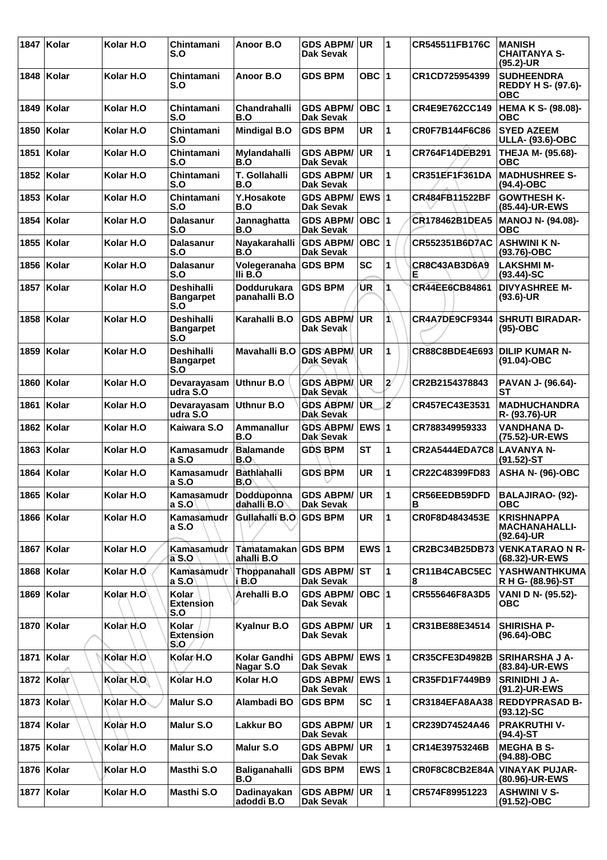|      | 1847 Kolar   | Kolar H.O              | Chintamani<br>S.O                            | Anoor B.O                            | <b>GDS ABPM/</b><br>Dak Sevak           | UR.          | 1                     | CR545511FB176C        | <b>MANISH</b><br><b>CHAITANYA S-</b><br>(95.2)-UR            |
|------|--------------|------------------------|----------------------------------------------|--------------------------------------|-----------------------------------------|--------------|-----------------------|-----------------------|--------------------------------------------------------------|
| 1848 | <b>Kolar</b> | Kolar H.O              | Chintamani<br>S.O                            | Anoor B.O                            | <b>GDS BPM</b>                          | OBC $ 1$     |                       | CR1CD725954399        | <b>SUDHEENDRA</b><br><b>REDDY H S- (97.6)-</b><br><b>OBC</b> |
| 1849 | ∣Kolar       | Kolar H.O              | Chintamani<br>S.O                            | Chandrahalli<br>B.O                  | <b>GDS ABPM/</b><br>Dak Sevak           | ∣овс ∣1      |                       | CR4E9E762CC149        | <b>HEMA K S- (98.08)-</b><br>овс                             |
|      | 1850   Kolar | Kolar H.O              | Chintamani<br>S.O                            | <b>Mindigal B.O</b>                  | <b>GDS BPM</b>                          | UR           | 1                     | <b>CR0F7B144F6C86</b> | <b>SYED AZEEM</b><br><b>ULLA- (93.6)-OBC</b>                 |
| 1851 | ∣Kolar       | Kolar H.O              | Chintamani<br>S.O                            | Mylandahalli<br>B.O                  | <b>GDS ABPM/</b><br><b>Dak Sevak</b>    | UR.          | 1                     | <b>CR764F14DEB291</b> | THEJA M- (95.68)-<br><b>OBC</b>                              |
| 1852 | ∣Kolar       | Kolar H.O              | Chintamani<br>S.O                            | T. Gollahalli<br>B.O                 | <b>GDS ABPM/</b><br><b>Dak Sevak</b>    | <b>UR</b>    | 1                     | <b>CR351EF1F361DA</b> | <b>MADHUSHREE S-</b><br>(94.4)-OBC                           |
| 1853 | Kolar        | Kolar H.O              | Chintamani<br>S.O                            | Y.Hosakote<br>B.O                    | <b>GDS ABPM/</b><br>Dak Sevak           | <b>EWS 1</b> |                       | CR484FB11522BF        | <b>GOWTHESH K-</b><br>(85.44)-UR-EWS                         |
| 1854 | <b>Kolar</b> | Kolar H.O              | <b>Dalasanur</b><br>S.O                      | Jannaghatta<br>B.O                   | <b>GDS ABPM/</b><br>Dak Sevak           | OBC  1       |                       | CR178462B1DEA5        | <b>MANOJ N- (94.08)-</b><br><b>OBC</b>                       |
| 1855 | ∣Kolar       | Kolar H.O              | <b>Dalasanur</b><br>S.O                      | Nayakarahalli<br>B.O                 | <b>GDS ABPM/</b><br><b>Dak Sevak</b>    | OBC  1       |                       | CR552351B6D7AC        | <b>ASHWINI K N-</b><br>(93.76)-OBC                           |
| 1856 | Kolar        | Kolar H.O              | Dalasanur<br>S.O                             | Volegeranaha GDS BPM<br>III B.O      |                                         | <b>SC</b>    | 1                     | CR8C43AB3D6A9<br>Е    | <b>LAKSHMI M-</b><br>$(93.44)$ -SC                           |
| 1857 | ∣Kolar       | Kolar H.O              | <b>Deshihalli</b><br><b>Bangarpet</b><br>S.O | <b>Doddurukara</b><br>panahalli B.O  | <b>GDS BPM</b>                          | UR           | 1                     | CR44EE6CB84861        | <b>DIVYASHREE M-</b><br>$(93.6)$ -UR                         |
|      | 1858   Kolar | Kolar H.O              | Deshihalli<br><b>Bangarpet</b><br>S.O        | Karahalli B.O                        | <b>GDS ABPM/</b><br>Dak Sevak           | UR           | 1                     | CR4A7DE9CF9344        | <b>SHRUTI BIRADAR-</b><br>$(95)-OBC$                         |
| 1859 | Kolar        | Kolar H.O              | <b>Deshihalli</b><br><b>Bangarpet</b><br>S.O | Mavahalli B.O                        | <b>GDS ABPM</b><br>Dak Sevak            | <b>UR</b>    | 1                     | CR88C8BDE4E693        | <b>DILIP KUMAR N-</b><br>(91.04)-OBC                         |
| 1860 | ∣Kolar       | Kolar H.O              | Devarayasam<br>udra S.O                      | Uthnur B.O                           | <b>GDS ABPMA</b><br>Dak Sevak           | <b>UR</b>    | $\mathbf{z}^{\prime}$ | CR2B2154378843        | PAVAN J- (96.64)-<br>SТ                                      |
| 1861 | ∣Kolar       | Kolar H.O              | Devarayasam<br>udra S.O                      | Uthnur B.O                           | <b>GDS ABPM/</b><br>Dak Sevak           | UR.          | ź                     | CR457EC43E3531        | <b>MADHUCHANDRA</b><br>R- (93.76)-UR                         |
|      | 1862 Kolar   | Kolar H.O              | Kaiwara S.O                                  | Ammanallur<br>B.O                    | GDS ABPM/ EWS 1<br>Dak Sevak            |              |                       | CR788349959333        | <b>VANDHANA D-</b><br>(75.52)-UR-EWS                         |
| 1863 | ∣Kolar       | Kolar H.O              | Kamasamudr<br>a S.O                          | <b>Balamande</b><br>B.O              | <b>GDS BPM</b>                          | <b>ST</b>    | 1                     | <b>CR2A5444EDA7C8</b> | LAVANYA N-<br>(91.52)-ST                                     |
|      | 1864 Kolar   | Kolar H.O              | Kamasamudr<br>a S.O                          | <b>Bathlahalli</b><br>B.O            | <b>GDS BPM</b>                          | <b>UR</b>    | 1                     | CR22C48399FD83        | <b>ASHA N- (96)-OBC</b>                                      |
|      | 1865 Kolar   | Kolar H.O              | a S.O                                        | Kamasamudr Dodduponna<br>dahalli B.O | <b>GDS ABPM/ UR</b><br><b>Dak Sevak</b> |              | 1                     | CR56EEDB59DFD<br>в    | <b>BALAJIRAO- (92)-</b><br><b>OBC</b>                        |
|      | 1866 Kolar   | Kolar H.O              | Kamasamudr<br>a S.O                          | Gullahalli B.O                       | <b>GDS BPM</b>                          | UR.          | 1                     | CR0F8D4843453E        | <b>KRISHNAPPA</b><br><b>MACHANAHALLI-</b><br>(92.64)-UR      |
|      | 1867   Kolar | Kolar H.O              | Kamasamudr<br>a S.O                          | Tamatamakan GDS BPM<br>ahalli B.O    |                                         | EWS $ 1$     |                       | CR2BC34B25DB73        | <b>VENKATARAO N R-</b><br>(68.32)-UR-EWS                     |
|      | 1868 Kolar   | Kolar H.O              | Kamasamudr<br>$a$ S.O                        | Thoppanahall<br>i B.O                | <b>GDS ABPM/ST</b><br>Dak Sevak         |              | 1                     | CR11B4CABC5EC<br>8    | <b>YASHWANTHKUMA</b><br>R H G- (88.96)-ST                    |
|      | 1869 Kolar   | Kolar <sub>, H.O</sub> | Kolar<br><b>Extension</b><br>S.O             | Arehalli B.O                         | <b>GDS ABPM/</b><br>Dak Sevak           | $OBC$  1     |                       | CR555646F8A3D5        | VANI D N- (95.52)-<br><b>OBC</b>                             |
|      | 1870 Kolar   | Kolar H.O              | Kolar<br>Extension<br>S.O                    | Kyalnur B.O                          | <b>GDS ABPM/</b><br>Dak Sevak           | <b>UR</b>    | 1                     | CR31BE88E34514        | <b>SHIRISHA P-</b><br>$(96.64) - OBC$                        |
|      | 1871   Kolar | Kolar H.O              | Kolar H.O                                    | Kolar Gandhi<br>Nagar S.O            | <b>GDS ABPM/</b><br>Dak Sevak           | <b>EWS 1</b> |                       | <b>CR35CFE3D4982B</b> | <b>SRIHARSHA J A-</b><br>(83.84)-UR-EWS                      |
|      | 1872 Kolar   | Kolar H.O              | Kolar H.O                                    | Kolar H.O                            | GDS ABPM/ EWS 1<br>Dak Sevak            |              |                       | CR35FD1F7449B9        | <b>SRINIDHI J A-</b><br>(91.2)-UR-EWS                        |
|      | 1873   Kolar | Kolar H.O              | Malur S.O                                    | Alambadi BO                          | <b>GDS BPM</b>                          | <b>SC</b>    | 1                     | <b>CR3184EFA8AA38</b> | <b>REDDYPRASAD B-</b><br>$(93.12)$ -SC                       |
|      | 1874 Kolar   | Kolar H.O              | Malur S.O                                    | Lakkur BO                            | <b>GDS ABPM/</b><br>Dak Sevak           | <b>UR</b>    | 1                     | CR239D74524A46        | <b>PRAKRUTHIV-</b><br>(94.4)-ST                              |
|      | 1875   Kolar | Kolar H.O              | Malur S.O                                    | Malur S.O                            | <b>GDS ABPM/</b><br>Dak Sevak           | UR           | 1                     | CR14E39753246B        | <b>MEGHA B S-</b><br>(94.88)-OBC                             |
|      | 1876   Kolar | Kolar H.O              | Masthi S.O                                   | Baliganahalli<br>B.O                 | <b>GDS BPM</b>                          | EWS $ 1$     |                       | CR0F8C8CB2E84A        | <b>VINAYAK PUJAR-</b><br>(80.96)-UR-EWS                      |
|      | 1877 Kolar   | Kolar H.O              | Masthi S.O                                   | Dadinayakan<br>adoddi B.O            | <b>GDS ABPM/</b><br>Dak Sevak           | <b>UR</b>    | 1                     | CR574F89951223        | <b>ASHWINI V S-</b><br>$(91.52) - OBC$                       |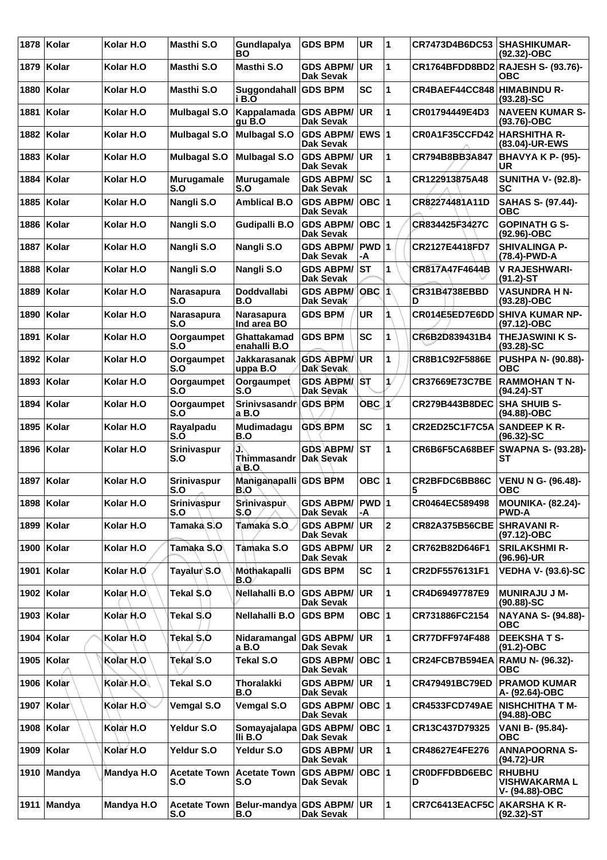| 1878 | Kolar         | Kolar H.O            | <b>Masthi S.O</b>          | Gundlapalya<br>BО                   | <b>GDS BPM</b>                       | <b>UR</b>   | 1             | CR7473D4B6DC53            | <b>SHASHIKUMAR-</b><br>$(92.32)$ -OBC                   |
|------|---------------|----------------------|----------------------------|-------------------------------------|--------------------------------------|-------------|---------------|---------------------------|---------------------------------------------------------|
| 1879 | Kolar         | Kolar H.O            | Masthi S.O                 | <b>Masthi S.O</b>                   | <b>GDS ABPM/</b><br><b>Dak Sevak</b> | <b>UR</b>   | 1             |                           | CR1764BFDD8BD2 RAJESH S- (93.76)-<br><b>OBC</b>         |
| 1880 | Kolar         | Kolar H.O            | Masthi S.O                 | Suggondahall<br>i B.O               | <b>GDS BPM</b>                       | <b>SC</b>   | 1             | CR4BAEF44CC848            | <b>HIMABINDU R-</b><br>$(93.28) - SC$                   |
| 1881 | Kolar         | Kolar H.O            | <b>Mulbagal S.O</b>        | <b>Kappalamada</b><br>gu B.O        | <b>GDS ABPM/</b><br><b>Dak Sevak</b> | <b>UR</b>   | 1             | CR01794449E4D3            | <b>NAVEEN KUMAR S-</b><br>$(93.76)$ -OBC                |
| 1882 | <b>Kolar</b>  | Kolar H.O            | <b>Mulbagal S.O</b>        | <b>Mulbagal S.O</b>                 | <b>GDS ABPM/</b><br><b>Dak Sevak</b> | EWS 1       |               | CR0A1F35CCFD42            | <b>HARSHITHA R-</b><br>(83.04)-UR-EWS                   |
| 1883 | Kolar         | Kolar H.O            | <b>Mulbagal S.O</b>        | <b>Mulbagal S.O</b>                 | <b>GDS ABPM/</b><br><b>Dak Sevak</b> | <b>UR</b>   | $\mathbf{1}$  | CR794B8BB3A847            | <b>BHAVYA K P- (95)-</b><br>UR                          |
| 1884 | Kolar         | Kolar H.O            | Murugamale<br>S.O          | <b>Murugamale</b><br>S.O            | <b>GDS ABPM/</b><br>Dak Sevak        | <b>SC</b>   | 1             | CR122913875A48            | <b>SUNITHA V- (92.8)-</b><br>SC                         |
| 1885 | Kolar         | Kolar H.O            | Nangli S.O                 | <b>Amblical B.O</b>                 | <b>GDS ABPM/</b><br><b>Dak Sevak</b> | $OBC$  1    |               | CR82274481A11D            | SAHAS S- (97.44)-<br><b>OBC</b>                         |
| 1886 | Kolar         | Kolar H.O            | Nangli S.O                 | <b>Gudipalli B.O</b>                | <b>GDS ABPM/</b><br><b>Dak Sevak</b> | $OBC$  1    |               | CR834425F3427C            | <b>GOPINATH G S-</b><br>(92.96)-OBC                     |
| 1887 | Kolar         | Kolar H.O            | Nangli S.O                 | Nangli S.O                          | <b>GDS ABPM/</b><br><b>Dak Sevak</b> | PWD 1<br>-A |               | CR2127E4418FD7            | <b>SHIVALINGA P-</b><br>(78.4)-PWD-A                    |
| 1888 | ∣Kolar        | Kolar H.O            | Nangli S.O                 | Nangli S.O                          | <b>GDS ABPM/</b><br><b>Dak Sevak</b> | ST          | 1             | CR817A47F4644B            | <b>V RAJESHWARI-</b><br>$(91.2) - ST$                   |
| 1889 | Kolar         | Kolar H.O            | Narasapura<br>S.O          | <b>Doddvallabi</b><br>B.O           | <b>GDS ABPM/</b><br>Dak Sevak        | $OBC$ 1     |               | CR31B4738EBBD<br>D        | <b>VASUNDRA H N-</b><br>(93.28)-OBC                     |
| 1890 | Kolar         | Kolar H.O            | Narasapura<br>S.O          | Narasapura<br>Ind area BO           | <b>GDS BPM</b>                       | <b>UR</b>   | 1             | CR014E5ED7E6DD            | <b>SHIVA KUMAR NP-</b><br>(97.12)-OBC                   |
| 1891 | Kolar         | Kolar H.O            | Oorgaumpet<br>S.O          | Ghattakamad<br>enahalli B.O         | <b>GDS BPM</b>                       | <b>SC</b>   | 1             | CR6B2D839431B4            | <b>THEJASWINI K S-</b><br>$(93.28) - SC$                |
| 1892 | Kolar         | Kolar H.O            | Oorgaumpet<br>S.O          | <b>Jakkarasanak</b><br>uppa B.O     | <b>GDS ABPM/</b><br><b>Dak Sevak</b> | <b>UR</b>   | 1             | CR8B1C92F5886E            | <b>PUSHPA N- (90.88)-</b><br><b>OBC</b>                 |
| 1893 | Kolar         | Kolar H.O            | Oorgaumpet<br>S.O          | Oorgaumpet<br>S.O                   | <b>GDS ABPM/ST</b><br>Dak Sevak      |             | $\mathcal{U}$ | CR37669E73C7BE            | <b>RAMMOHAN T N-</b><br>$(94.24)$ -ST                   |
| 1894 | Kolar         | Kolar H.O            | Oorgaumpet<br>S.O          | Srinivsasandr GDS BPM<br>a B.O      |                                      | OBC         | x             | <b>CR279B443B8DEC</b>     | <b>SHA SHUIB S-</b><br>(94.88)-OBC                      |
| 1895 | Kolar         | Kolar H.O            | Rayalpadu<br>S.O           | Mudimadagu<br>B.O                   | <b>GDS BPM</b>                       | <b>SC</b>   | 1             | CR2ED25C1F7C5A            | <b>SANDEEP K R-</b><br>$(96.32) - SC$                   |
| 1896 | Kolar         | Kolar H.O            | <b>Srinivaspur</b><br>S.O  | ው<br>Thimmasandr Dak Sevak<br>a B.O | <b>GDS ABPM/</b>                     | ST          | 1             | CR6B6F5CA68BEF            | <b>SWAPNA S- (93.28)-</b><br>SТ                         |
| 1897 | Kolar         | Kolar H.O            | Srinivaspur<br>S.O         | Maniganapalli GDS BPM<br>B.O        |                                      | OBC $ 1$    |               | CR2BFDC6BB86C<br>5        | <b>VENU N G- (96.48)-</b><br><b>OBC</b>                 |
|      | 1898   Kolar  | Kolar H.O            | Srinivaspur<br>S.O         | Srinivaspur<br>S.O                  | <b>GDS ABPM/</b><br><b>Dak Sevak</b> | PWD 1<br>-A |               | CR0464EC589498            | <b>MOUNIKA- (82.24)-</b><br><b>PWD-A</b>                |
|      | 1899 Kolar    | Kolar H.O            | Tamaka S.O                 | Tamaka S.O.                         | <b>GDS ABPM/</b><br>Dak Sevak        | <b>UR</b>   | $\mathbf 2$   | <b>CR82A375B56CBE</b>     | <b>SHRAVANI R-</b><br>(97.12)-OBC                       |
|      | 1900   Kolar  | Kolar H.O            | Tamaka S.O                 | Tamaka S.O                          | <b>GDS ABPM/</b><br>Dak Sevak        | <b>UR</b>   | $\mathbf 2$   | CR762B82D646F1            | <b>SRILAKSHMI R-</b><br>(96.96)-UR                      |
|      | 1901 Kolar    | Kolar H.O            | Tayalur S.O.               | Mothakapalli<br>B.O                 | <b>GDS BPM</b>                       | <b>SC</b>   | 1             | CR2DF5576131F1            | <b>VEDHA V- (93.6)-SC</b>                               |
|      | 1902 Kolar    | Kolar <sub>H.O</sub> | Tekal \$.0                 | Nellahalli B.O                      | <b>GDS ABPM/</b><br><b>Dak Sevak</b> | <b>UR</b>   | $\mathbf{1}$  | CR4D69497787E9            | <b>MUNIRAJU J M-</b><br>$(90.88) - SC$                  |
|      | 1903   Kolar  | Kolar H.O            | Tekal S.O                  | Nellahalli B.O                      | <b>GDS BPM</b>                       | OBC $ 1$    |               | CR731886FC2154            | <b>NAYANA S- (94.88)-</b><br><b>OBC</b>                 |
|      | 1904   Kolar  | Kolar H.O            | Tekal/S,O                  | Nidaramangal<br>a B.O               | <b>GDS ABPM/</b><br>Dak Sevak        | <b>UR</b>   | $\mathbf{1}$  | <b>CR77DFF974F488</b>     | <b>DEEKSHATS-</b><br>$(91.2) - OBC$                     |
|      | 1905 Kolar    | Kolar H.O            | Tekal S.O                  | Tekal S.O                           | <b>GDS ABPM/</b><br>Dak Sevak        | OBC 1       |               | CR24FCB7B594EA            | <b>RAMU N- (96.32)-</b><br><b>OBC</b>                   |
|      | 1906 Kolar    | Kolar H.O            | Tekal S.O                  | <b>Thoralakki</b><br>B.O            | <b>GDS ABPM/</b><br>Dak Sevak        | <b>UR</b>   | $\mathbf{1}$  | CR479491BC79ED            | <b>PRAMOD KUMAR</b><br>A- (92.64)-OBC                   |
| 1907 | $ $ Kolar $ $ | Kolar H.O            | <b>Vemgal S.O</b>          | <b>Vemgal S.O</b>                   | <b>GDS ABPM/</b><br>Dak Sevak        | $OBC$  1    |               | CR4533FCD749AE            | <b>NISHCHITHA T M-</b><br>(94.88)-OBC                   |
|      | 1908   Kolar  | Kolar H.O            | Yeldur S.O                 | Somayajalapa<br>IIi B.O             | <b>GDS ABPM/</b><br>Dak Sevak        | OBC  1      |               | CR13C437D79325            | VANI B- (95.84)-<br><b>OBC</b>                          |
| 1909 | Kolar         | Kolar H.O            | Yeldur S.O                 | Yeldur S.O                          | <b>GDS ABPM/</b><br>Dak Sevak        | UR.         | $\mathbf{1}$  | CR48627E4FE276            | <b>ANNAPOORNA S-</b><br>(94.72)-UR                      |
|      | 1910 Mandya   | Mandya H.O           | <b>Acetate Town</b><br>S.O | <b>Acetate Town</b><br>S.O          | <b>GDS ABPM/</b><br>Dak Sevak        | OBC 1       |               | <b>CRODFFDBD6EBC</b><br>D | <b>RHUBHU</b><br><b>VISHWAKARMA L</b><br>V- (94.88)-OBC |
| 1911 | Mandya        | Mandya H.O           | <b>Acetate Town</b><br>S.O | Belur-mandya GDS ABPM/ UR<br>B.O    | Dak Sevak                            |             | $\mathbf{1}$  | CR7C6413EACF5C            | <b>AKARSHAK R-</b><br>$(92.32)$ -ST                     |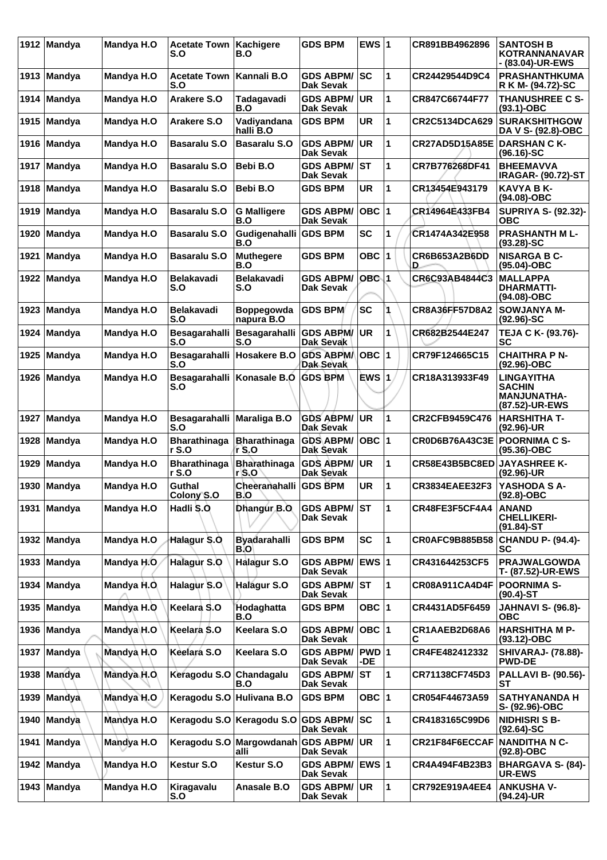| 1912 | <b>Mandya</b> | Mandya H.O        | <b>Acetate Town</b><br>S.O        | Kachigere<br>B.O                | <b>GDS BPM</b>                          | EWS $ 1$                |    | CR891BB4962896        | <b>SANTOSH B</b><br>KOTRANNANAVAR<br>- (83.04)-UR-EWS        |
|------|---------------|-------------------|-----------------------------------|---------------------------------|-----------------------------------------|-------------------------|----|-----------------------|--------------------------------------------------------------|
|      | 1913 Mandya   | Mandya H.O        | <b>Acetate Town</b><br>S.O        | Kannali B.O                     | <b>GDS ABPM/</b><br><b>Dak Sevak</b>    | lsc                     | 1  | CR24429544D9C4        | <b>PRASHANTHKUMA</b><br>R K M- (94.72)-SC                    |
| 1914 | Mandya        | Mandya H.O        | Arakere S.O                       | Tadagavadi<br>B.O               | <b>GDS ABPM/</b><br>Dak Sevak           | <b>UR</b>               | 1  | CR847C66744F77        | <b>THANUSHREE C S-</b><br>$(93.1) - OBC$                     |
| 1915 | <b>Mandya</b> | Mandya H.O        | <b>Arakere S.O</b>                | Vadiyandana<br>halli B.O        | <b>GDS BPM</b>                          | <b>UR</b>               | 1  | CR2C5134DCA629        | <b>SURAKSHITHGOW</b><br>DA V S- (92.8)-OBC                   |
|      | 1916 Mandya   | Mandya H.O        | <b>Basaralu S.O</b>               | <b>Basaralu S.O</b>             | <b>GDS ABPM/</b><br><b>Dak Sevak</b>    | <b>UR</b>               | 1  | <b>CR27AD5D15A85E</b> | <b>DARSHAN C K-</b><br>$(96.16)$ -SC                         |
| 1917 | <b>Mandya</b> | Mandya H.O        | <b>Basaralu S.O</b>               | Bebi B.O                        | <b>GDS ABPM/</b><br>Dak Sevak           | lst                     | 1  | CR7B776268DF41        | <b>BHEEMAVVA</b><br><b>IRAGAR- (90.72)-ST</b>                |
| 1918 | Mandya        | Mandya H.O        | <b>Basaralu S.O</b>               | Bebi B.O                        | <b>GDS BPM</b>                          | UR                      | 1  | CR13454E943179        | <b>KAVYA B K-</b><br>(94.08)-OBC                             |
| 1919 | Mandya        | Mandya H.O        | <b>Basaralu S.O</b>               | <b>G Malligere</b><br>B.O       | <b>GDS ABPM/</b><br><b>Dak Sevak</b>    | $OBC$  1                |    | CR14964E433FB4        | <b>SUPRIYA S- (92.32)-</b><br>овс                            |
| 1920 | <b>Mandya</b> | Mandya H.O        | <b>Basaralu S.O</b>               | Gudigenahalli<br>B.O            | <b>GDS BPM</b>                          | <b>SC</b>               | 1  | CR1474A342E958        | <b>PRASHANTH M L-</b><br>$(93.28) - SC$                      |
| 1921 | <b>Mandya</b> | Mandya H.O        | <b>Basaralu S.O</b>               | <b>Muthegere</b><br>B.O         | <b>GDS BPM</b>                          | OBC                     | 11 | CR6B653A2B6DD<br>D    | <b>NISARGA B C-</b><br>$(95.04) - OBC$                       |
| 1922 | Mandya        | Mandya H.O        | <b>Belakavadi</b><br>S.O          | <b>Belakavadi</b><br>S.O        | <b>GDS ABPM/</b><br><b>Dak Sevak</b>    | OBC 1                   |    | CR6C93AB4844C3        | <b>MALLAPPA</b><br><b>DHARMATTI-</b><br>(94.08)-OBC          |
| 1923 | <b>Mandya</b> | <b>Mandya H.O</b> | <b>Belakavadi</b><br>S.O          | <b>Boppegowda</b><br>napura B.O | <b>GDS BPM</b>                          | <b>SC</b>               |    | CR8A36FF57D8A2        | <b>SOWJANYA M-</b><br>$(92.96)-SC$                           |
| 1924 | Mandya        | Mandya H.O        | Besagarahalli<br>S.O              | Besagarahalli<br>S.O            | <b>GDS ABPM/</b><br>Dak Sevak           | UR.                     | 1  | CR682B2544E247        | TEJA C K- (93.76)-<br>SC                                     |
| 1925 | <b>Mandya</b> | Mandya H.O        | Besagarahalli<br>S.O              | Hosakere B.O                    | <b>GDS ABPM/</b><br><b>Dak Sevak</b>    | <b>OBC 1</b>            |    | CR79F124665C15        | <b>CHAITHRA P N-</b><br>(92.96)-OBC                          |
| 1926 | <b>Mandya</b> | Mandya H.O        | Besagarahalli Konasale B.O<br>S.O |                                 | <b>GDS BPM</b>                          | $EWS$  1                |    | CR18A313933F49        | LINGAYITHA<br>SACHIN<br><b>MANJUNATHA-</b><br>(87.52)-UR-EWS |
| 1927 | <b>Mandya</b> | Mandya H.O        | <b>Besagarahalli</b><br>S.O       | <b>Maraliga B.O</b>             | <b>GDS ABPM/</b><br>Dak Sevak           | UR                      | 1  | CR2CFB9459C476        | <b>HARSHITHA T-</b><br>$(92.96)$ -UR                         |
| 1928 | <b>Mandya</b> | Mandya H.O        | <b>Bharathinaga</b><br>rS.0       | <b>Bharathinaga</b><br>r S.O    | <b>GDS ABPM/</b><br>Dak Sevak           | OBC  1                  |    | <b>CR0D6B76A43C3E</b> | <b>POORNIMA C S-</b><br>(95.36)-OBC                          |
| 1929 | <b>Mandya</b> | Mandya H.O        | <b>Bharathinaga</b><br>r S.O      | <b>Bharathinaga</b><br>r S.O    | <b>GDS ABPM/</b><br>Dak Sevak           | UR.                     | 1  | CR58E43B5BC8ED        | <b>JAYASHREE K-</b><br>(92.96)-UR                            |
|      | 1930 Mandya   | Mandya H.O        | Guthal<br>Colony S.O              | Cheeranahalli<br>B.O            | <b>GDS BPM</b>                          | <b>UR</b>               | 1  | <b>CR3834EAEE32F3</b> | YASHODA S A-<br>$(92.8) - OBC$                               |
| 1931 | Mandya        | Mandya H.O        | Hadli S.O                         | Dhangur B.O                     | <b>GDS ABPM/ ST</b><br><b>Dak Sevak</b> |                         | 1  | CR48FE3F5CF4A4        | <b>ANAND</b><br><b>CHELLIKERI-</b><br>(91.84)-ST             |
|      | 1932 Mandya   | Mandya H.O        | Halagur S.O.                      | <b>Byadarahalli</b><br>B.O      | <b>GDS BPM</b>                          | <b>SC</b>               | 1  | <b>CR0AFC9B885B58</b> | <b>CHANDU P- (94.4)-</b><br>SC                               |
| 1933 | Mandya        | Mandya H.O        | Halagur S.O                       | <b>Halagur S.O</b>              | <b>GDS ABPM/</b><br><b>Dak Sevak</b>    | <b>EWS</b> <sub>1</sub> |    | CR431644253CF5        | <b>PRAJWALGOWDA</b><br>T- (87.52)-UR-EWS                     |
| 1934 | Mandya        | Mandya H.O.       | Halagur S.O                       | Halagur S.O                     | <b>GDS ABPM/ ST</b><br><b>Dak Sevak</b> |                         | 1  | <b>CR08A911CA4D4F</b> | <b>POORNIMA S-</b><br>(90.4)-ST                              |
| 1935 | Mandya        | Mandya H.O        | Keelara S.O                       | Hodaghatta<br>B.O               | <b>GDS BPM</b>                          | OBC 1                   |    | CR4431AD5F6459        | <b>JAHNAVI S- (96.8)-</b><br>овс                             |
| 1936 | Mandya        | Mandya H.O        | Keelara S.O                       | Keelara S.O                     | <b>GDS ABPM/</b><br>Dak Sevak           | OBC  1                  |    | CR1AAEB2D68A6<br>С    | <b>HARSHITHA M P-</b><br>$(93.12) - OBC$                     |
| 1937 | Mandya        | Mandya H.O        | Keelara S.O                       | Keelara S.O                     | <b>GDS ABPM/</b><br><b>Dak Sevak</b>    | PWD 1<br>-DE            |    | CR4FE482412332        | <b>SHIVARAJ- (78.88)-</b><br><b>PWD-DE</b>                   |
| 1938 | Mandya        | Mandya H.O        | Keragodu S.O Chandagalu           | B.O                             | <b>GDS ABPM/</b><br>Dak Sevak           | <b>ST</b>               | 1  | CR71138CF745D3        | <b>PALLAVI B- (90.56)-</b><br>SТ                             |
| 1939 | Mandya        | Mandya H.O        | Keragodu S.O Hulivana B.O         |                                 | <b>GDS BPM</b>                          | OBC  1                  |    | CR054F44673A59        | <b>SATHYANANDA H</b><br>S- (92.96)-OBC                       |
|      | 1940 Mandya   | Mandya H.O        |                                   | Keragodu S.O Keragodu S.O       | <b>GDS ABPM/</b><br>Dak Sevak           | lsc                     | 1  | CR4183165C99D6        | <b>NIDHISRI S B-</b><br>$(92.64)$ -SC                        |
| 1941 | Mandya        | Mandya H.O        | Keragodu S.O                      | Margowdanah<br>alli             | <b>GDS ABPM/</b><br>Dak Sevak           | <b>UR</b>               | 1  | CR21F84F6ECCAF        | <b>NANDITHA N C-</b><br>$(92.8)-OBC$                         |
| 1942 | Mandya        | Mandya H.O        | <b>Kestur S.O</b>                 | <b>Kestur S.O</b>               | GDS ABPM/ EWS 1<br><b>Dak Sevak</b>     |                         |    | CR4A494F4B23B3        | BHARGAVA S- (84)-<br>UR-EWS                                  |
|      | 1943 Mandya   | Mandya H.O        | Kiragavalu<br>S.O                 | Anasale B.O                     | <b>GDS ABPM/ UR</b><br><b>Dak Sevak</b> |                         | 1  | CR792E919A4EE4        | <b>ANKUSHA V-</b><br>(94.24)-UR                              |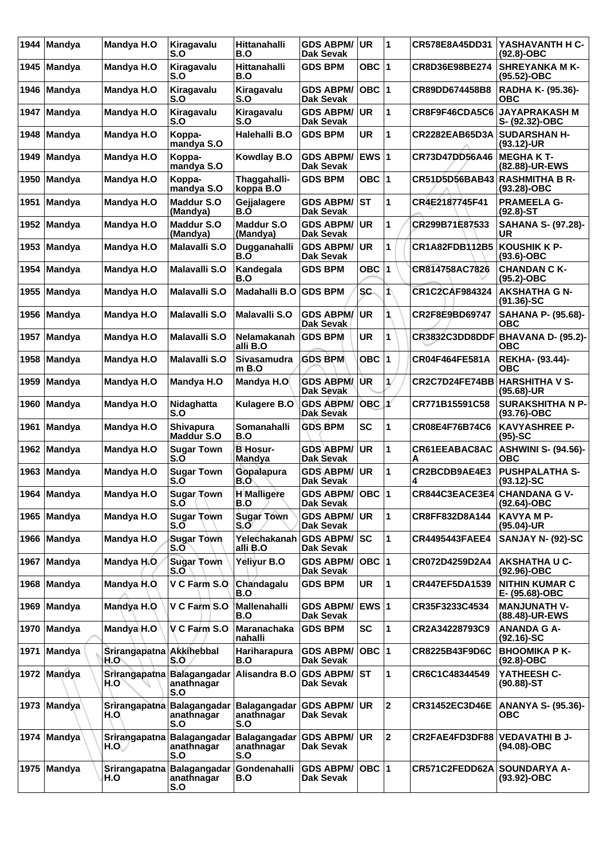| 1944 | <b>Mandya</b> | Mandya H.O                       | Kiragavalu<br>S.O                               | Hittanahalli<br>B.O                      | <b>GDS ABPM/</b><br><b>Dak Sevak</b>         | UR.          | 11             | CR578E8A45DD31                       | YASHAVANTH H C-<br>$(92.8)-OBC$           |
|------|---------------|----------------------------------|-------------------------------------------------|------------------------------------------|----------------------------------------------|--------------|----------------|--------------------------------------|-------------------------------------------|
| 1945 | Mandya        | Mandya H.O                       | Kiragavalu<br>S.O                               | <b>Hittanahalli</b><br>B.O               | <b>GDS BPM</b>                               | OBC $ 1$     |                | CR8D36E98BE274                       | <b>SHREYANKA M K-</b><br>(95.52)-OBC      |
| 1946 | Mandya        | Mandya H.O                       | Kiragavalu<br>S.O                               | Kiragavalu<br>S.O                        | <b>GDS ABPM/</b><br><b>Dak Sevak</b>         | $OBC$  1     |                | CR89DD674458B8                       | RADHA K- (95.36)-<br>овс                  |
| 1947 | Mandya        | Mandya H.O                       | Kiragavalu<br>S.O                               | Kiragavalu<br>S.O                        | <b>GDS ABPM/</b><br>Dak Sevak                | <b>UR</b>    | 1              | CR8F9F46CDA5C6                       | <b>JAYAPRAKASH M</b><br>S- (92.32)-OBC    |
| 1948 | <b>Mandya</b> | Mandya H.O                       | Koppa-<br>mandya S.O                            | Halehalli B.O                            | <b>GDS BPM</b>                               | <b>UR</b>    | 1              | CR2282EAB65D3A                       | <b>SUDARSHAN H-</b><br>$(93.12)$ -UR      |
| 1949 | <b>Mandya</b> | Mandya H.O                       | Koppa-<br>mandya S.O                            | <b>Kowdlay B.O</b>                       | <b>GDS ABPM/</b><br>Dak Sevak                | EWS 1        |                | CR73D47DD56A46                       | <b>MEGHAKT-</b><br>(82.88)-UR-EWS         |
| 1950 | <b>Mandya</b> | Mandya H.O                       | Koppa-<br>mandya S.O                            | Thaggahalli-<br>koppa B.O                | <b>GDS BPM</b>                               | OBC $ 1$     |                | CR51D5D56BAB43                       | <b>RASHMITHA B R-</b><br>$(93.28)-OBC$    |
| 1951 | Mandya        | Mandya H.O                       | <b>Maddur S.O</b><br>(Mandya)                   | Gejjalagere<br>B.O                       | <b>GDS ABPM/</b><br>Dak Sevak                | lst          | 1              | CR4E2187745F41                       | <b>PRAMEELA G-</b><br>$(92.8)$ -ST        |
| 1952 | <b>Mandya</b> | Mandya H.O                       | <b>Maddur S.O</b><br>(Mandya)                   | <b>Maddur S.O</b><br>(Mandya)            | <b>GDS ABPM/</b><br>Dak Sevak                | <b>UR</b>    | 1              | CR299B71E87533                       | <b>SAHANA S- (97.28)-</b><br>UR           |
| 1953 | Mandya        | Mandya H.O                       | <b>Malavalli S.O</b>                            | Dugganahalli<br>B.O                      | <b>GDS ABPM/</b><br>Dak Sevak                | UR           | 1              | CR1A82FDB112B5                       | <b>KOUSHIK K P-</b><br>$(93.6)$ -OBC      |
| 1954 | <b>Mandya</b> | Mandya H.O                       | <b>Malavalli S.O</b>                            | Kandegala<br>B.O                         | <b>GDS BPM</b>                               | <b>OBC</b>   | 1              | CR814758AC7826                       | <b>CHANDAN C K-</b><br>$(95.2) - OBC$     |
| 1955 | <b>Mandya</b> | Mandya H.O                       | <b>Malavalli S.O</b>                            | Madahalli B.O                            | <b>GDS BPM</b>                               | <b>SC</b>    | 1\             | <b>CR1C2CAF984324</b>                | <b>AKSHATHA G N-</b><br>$(91.36)$ -SC     |
| 1956 | <b>Mandya</b> | Mandya H.O                       | <b>Malavalli S.O</b>                            | <b>Malavalli S.O</b>                     | <b>GDS ABPM/</b><br>Dak Sevak                | UR           | 1              | CR2F8E9BD69747                       | <b>SAHANA P- (95.68)-</b><br><b>OBC</b>   |
| 1957 | Mandya        | Mandya H.O                       | <b>Malavalli S.O</b>                            | Nelamakanah<br>alli B.O                  | <b>GDS BPM</b>                               | UR           | 1              | <b>CR3832C3DD8DDF</b>                | BHAVANA D- (95.2)-<br><b>OBC</b>          |
| 1958 | Mandya        | Mandya H.O                       | <b>Malavalli S.O</b>                            | <b>Sivasamudra</b><br>$m$ B.O            | <b>GDS BPM</b>                               | OBC          | 1              | <b>CR04F464FE581A</b>                | REKHA- (93.44)-<br>ОВС                    |
| 1959 | <b>Mandya</b> | Mandya H.O                       | Mandya H.O                                      | Mandya H.O                               | <b>GDS ABPM/</b><br>Dak Sevak                | UR.          | 1/             | CR2C7D24FE74BB                       | HARSHITHA V S-<br>$(95.68)$ -UR           |
| 1960 | Mandya        | Mandya H.O                       | Nidaghatta<br>S.O                               | <b>Kulagere B.O</b>                      | <b>GDS ABPM/</b><br>Dak Sevak                | OBC          | ď              | CR771B15591C58                       | <b>SURAKSHITHA N P-</b><br>$(93.76)$ -OBC |
| 1961 | Mandya        | Mandya H.O                       | <b>Shivapura</b><br><b>Maddur S.O</b>           | Somanahalli<br>B.O                       | <b>GDS BPM</b>                               | <b>SC</b>    | 1              | CR08E4F76B74C6                       | <b>KAVYASHREE P-</b><br>$(95)-SC$         |
| 1962 | <b>Mandya</b> | Mandya H.O                       | <b>Sugar Town</b><br>S.Õ                        | <b>B</b> Hosur-<br><b>Mandya</b>         | <b>GDS ABPM/</b><br>Dak Sevak                | UR           | 1              | CR61EEABAC8AC<br>Α                   | <b>ASHWINI S- (94.56)-</b><br><b>OBC</b>  |
| 1963 | Mandya        | Mandya H.O                       | <b>Sugar Town</b><br>S.O                        | Gopalapura<br>B.O                        | <b>GDS ABPM/</b><br>Dak Sevak                | <b>UR</b>    | 1              | CR2BCDB9AE4E3<br>4                   | <b>PUSHPALATHA S-</b><br>$(93.12)-SC$     |
|      | 1964   Mandya | Mandya H.O                       | Sugar Town<br>S.O                               | <b>H</b> Malligere<br>B.O                | <b>GDS ABPM/  OBC  1</b><br><b>Dak Sevak</b> |              |                | <b>CR844C3EACE3E4 CHANDANA G V-</b>  | (92.64)-OBC                               |
|      | 1965 Mandya   | Mandya H.O                       | <b>Sugar Town</b><br>S.O                        | <b>Sugar Town</b><br>S.O                 | <b>GDS ABPM/</b><br><b>Dak Sevak</b>         | <b>UR</b>    | 1              | CR8FF832D8A144                       | <b>KAVYA M P-</b><br>$(95.04)$ -UR        |
|      | 1966 Mandya   | Mandya H.O                       | <b>Sugar Town</b><br>S.O                        | Yelechakanah GDS ABPM/<br>alli B.O       | Dak Sevak                                    | SC           | 1              | <b>CR4495443FAEE4</b>                | <b>SANJAY N- (92)-SC</b>                  |
| 1967 | Mandya        | Mandya H.O                       | <b>Sugar Town</b><br>S.O                        | Yellyur B.O                              | <b>GDS ABPM/</b><br>Dak Sevak                | OBC $ 1$     |                | CR072D4259D2A4                       | <b>AKSHATHA U C-</b><br>(92.96)-OBC       |
| 1968 | Mandya        | Mandya H.O.                      | V C Farm S.O                                    | Chandagalu<br>B.O                        | <b>GDS BPM</b>                               | UR           | 1              | CR447EF5DA1539                       | <b>NITHIN KUMAR C</b><br>E- (95.68)-OBC   |
| 1969 | Mandya        | Mandya H.O                       | V C Farm S.O                                    | Mallenahalli<br>B.O                      | <b>GDS ABPM/</b><br>Dak Sevak                | <b>EWS 1</b> |                | CR35F3233C4534                       | <b>MANJUNATH V-</b><br>(88.48)-UR-EWS     |
| 1970 | Mandya        | Mandya H.O                       | V C Farm S.O                                    | <b>Maranachaka</b><br>nahalli            | <b>GDS BPM</b>                               | SC           | 1              | CR2A34228793C9                       | <b>ANANDA G A-</b><br>$(92.16)$ -SC       |
| 1971 | Mandya        | Srirangapatna Akkihebbal<br>H.O` | S.O                                             | Hariharapura<br>B.O                      | <b>GDS ABPM/</b><br><b>Dak Sevak</b>         | OBC  1       |                | CR8225B43F9D6C                       | <b>BHOOMIKA P K-</b><br>$(92.8)-OBC$      |
|      | 1972 Mandya   | H.O                              | Srirangapatna Balagangadar<br>anathnagar<br>S.O | Alisandra B.O                            | <b>GDS ABPM/</b><br>Dak Sevak                | lST.         | $\overline{1}$ | CR6C1C48344549                       | YATHEESH C-<br>$(90.88) - ST$             |
| 1973 | ∣Mandya       | H.O.                             | Srirangapatna Balagangadar<br>anathnagar<br>S.O | <b>Balagangadar</b><br>anathnagar<br>S.O | <b>GDS ABPM/</b><br>Dak Sevak                | <b>UR</b>    | 2              | CR31452EC3D46E                       | <b>ANANYA S- (95.36)-</b><br><b>OBC</b>   |
| 1974 | Mandya        | H.O                              | Srirangapatna Balagangadar<br>anathnagar<br>S.O | <b>Balagangadar</b><br>anathnagar<br>S.O | <b>GDS ABPM/</b><br>Dak Sevak                | UR.          | 2              | <b>CR2FAE4FD3DF88 VEDAVATHI B J-</b> | (94.08)-OBC                               |
| 1975 | <b>Mandya</b> | H.O                              | Srirangapatna Balagangadar<br>anathnagar<br>S.O | Gondenahalli<br>B.O                      | <b>GDS ABPM/</b><br>Dak Sevak                | OBC  1       |                | CR571C2FEDD62A SOUNDARYA A-          | (93.92)-OBC                               |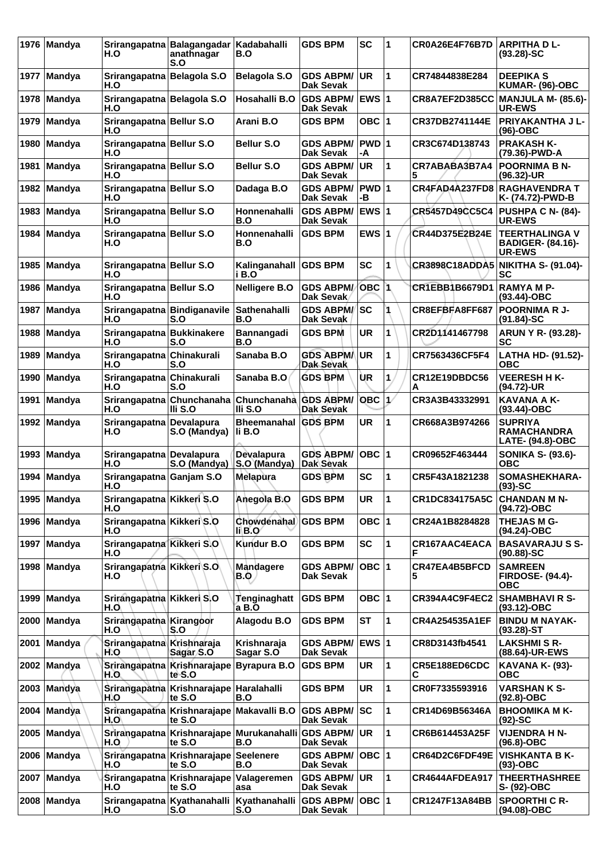| 1976 | Mandya        | H.O                                | Srirangapatna Balagangadar<br>anathnagar<br>S.O     | Kadabahalli<br>B.O               | GDS BPM                              | <b>SC</b>    | 1             | CR0A26E4F76B7D        | <b>ARPITHA DL-</b><br>$(93.28) - SC$                               |
|------|---------------|------------------------------------|-----------------------------------------------------|----------------------------------|--------------------------------------|--------------|---------------|-----------------------|--------------------------------------------------------------------|
| 1977 | <b>Mandya</b> | Srirangapatna Belagola S.O<br>H.O  |                                                     | <b>Belagola S.O</b>              | <b>GDS ABPM/</b><br><b>Dak Sevak</b> | <b>UR</b>    | 1             | CR74844838E284        | <b>DEEPIKA S</b><br>KUMAR- (96)-OBC                                |
| 1978 | Mandya        | Srirangapatna Belagola S.O<br>H.O  |                                                     | Hosahalli B.O                    | <b>GDS ABPM/</b><br><b>Dak Sevak</b> | <b>EWS 1</b> |               | CR8A7EF2D385CC        | <b>MANJULA M- (85.6)-</b><br><b>UR-EWS</b>                         |
| 1979 | <b>Mandya</b> | Srirangapatna Bellur S.O<br>H.O    |                                                     | Arani B.O                        | <b>GDS BPM</b>                       | OBC $ 1$     |               | CR37DB2741144E        | PRIYAKANTHA J L-<br>$(96)-OBC$                                     |
| 1980 | Mandya        | Srirangapatna Bellur S.O<br>H.O    |                                                     | Bellur S.O                       | GDS ABPM/<br><b>Dak Sevak</b>        | PWD 1<br>-A  |               | CR3C674D138743        | <b>PRAKASH K-</b><br>(79.36)-PWD-A                                 |
| 1981 | <b>Mandya</b> | Srirangapatna Bellur S.O<br>H.O    |                                                     | Bellur S.O                       | <b>GDS ABPM/</b><br><b>Dak Sevak</b> | <b>UR</b>    | 1             | CR7ABABA3B7A4<br>5    | <b>POORNIMA B N-</b><br>$(96.32)$ -UR                              |
| 1982 | Mandya        | Srirangapatna Bellur S.O<br>H.O    |                                                     | Dadaga B.O                       | <b>GDS ABPM/</b><br><b>Dak Sevak</b> | PWD 1<br>-В  |               | CR4FAD4A237FD8        | <b>RAGHAVENDRA T</b><br>K- (74.72)-PWD-B                           |
| 1983 | Mandya        | Srirangapatna Bellur S.O<br>H.O    |                                                     | Honnenahalli<br>B.O              | <b>GDS ABPM/</b><br>Dak Sevak        | <b>EWS1</b>  |               | <b>CR5457D49CC5C4</b> | PUSHPA C N- (84)-<br><b>UR-EWS</b>                                 |
| 1984 | Mandya        | Srirangapatna Bellur S.O<br>H.O    |                                                     | Honnenahalli<br>B.O              | <b>GDS BPM</b>                       | EWS $ 1$     |               | CR44D375E2B24E        | <b>TEERTHALINGA V</b><br><b>BADIGER- (84.16)-</b><br><b>UR-EWS</b> |
| 1985 | Mandya        | Srirangapatna Bellur S.O<br>H.O    |                                                     | Kalinganahall   GDS BPM<br>i B.O |                                      | SC           | 1             | <b>CR3898C18ADDA5</b> | <b>NIKITHA S- (91.04)-</b><br>SC                                   |
|      | 1986   Mandya | Srirangapatna Bellur S.O<br>H.O    |                                                     | <b>Nelligere B.O</b>             | <b>GDS ABPM/</b><br>Dak Sevak        | <b>OBC 1</b> |               | CR1EBB1B6679D1        | <b>RAMYAMP-</b><br>$(93.44) - OBC$                                 |
| 1987 | Mandya        | Srirangapatna Bindiganavile<br>H.O | S.O                                                 | Sathenahalli<br>B.O              | <b>GDS ABPM/</b><br>Dak Sevak        | SC           |               | CR8EFBFA8FF687        | <b>POORNIMA R J-</b><br>$(91.84) - SC$                             |
| 1988 | <b>Mandya</b> | Srirangapatna Bukkinakere<br>H.O   | S.O                                                 | Bannangadi<br>B.O                | <b>GDS BPM</b>                       | <b>UR</b>    | 1             | CR2D1141467798        | ARUN Y R- (93.28)-<br>SC                                           |
| 1989 | Mandya        | Srirangapatna Chinakurali<br>H.O   | S.O                                                 | Sanaba B.O                       | <b>GDS ABPM/</b><br>Dak Sevak        | <b>UR</b>    | 1             | CR7563436CF5F4        | LATHA HD- (91.52)-<br>ОВС                                          |
| 1990 | Mandya        | Srirangapatna Chinakurali<br>H.O   | S.O                                                 | Sanaba B.O                       | <b>GDS BPM</b>                       | ÙR           | 1             | CR12E19DBDC56<br>А    | <b>VEERESH H K-</b><br>(94.72)-UR                                  |
| 1991 | <b>Mandya</b> | H.O                                | Srirangapatna Chunchanaha<br>III S.O                | Chunchanaha GDS ABPM/<br>III S.O | Dak Sevak                            | OBC          | $\mathcal{L}$ | CR3A3B43332991        | <b>KAVANA A K-</b><br>$(93.44)$ -OBC                               |
| 1992 | Mandya        | Srirangapatna Devalapura<br>H.O    | S.O (Mandya)                                        | <b>Bheemanahal</b><br>li B.O     | <b>GDS BPM</b>                       | <b>UR</b>    | 1             | CR668A3B974266        | <b>SUPRIYA</b><br><b>RAMACHANDRA</b><br><b>LATE- (94.8)-OBC</b>    |
| 1993 | <b>Mandya</b> | Srirangapatna Devalapura<br>H.O    | S.O (Mandya)                                        | Devalapura<br>S.O (Mandya)       | <b>GDS ABPM/</b><br>Dak Sevak        | $OBC$  1     |               | CR09652F463444        | <b>SONIKA S- (93.6)-</b><br><b>OBC</b>                             |
| 1994 | <b>Mandya</b> | Srirangapatna Ganjam S.O<br>H.O    |                                                     | <b>Melapura</b>                  | <b>GDS BPM</b>                       | SC           | 1             | CR5F43A1821238        | SOMASHEKHARA-<br>$(93)-SC$                                         |
|      | 1995   Mandya | Srirangapatna Kikkeri S.O<br>H.O   |                                                     | Anegola B.O                      | <b>GDS BPM</b>                       | <b>UR</b>    | 11            | CR1DC834175A5C        | <b>CHANDAN M N-</b><br>(94.72)-OBC                                 |
|      | 1996 Mandya   | Srirangapatna Kikkeri S.O<br>H.O   |                                                     | Chowdenahal<br>li B.O            | <b>GDS BPM</b>                       | OBC ∣1       |               | CR24A1B8284828        | <b>THEJAS M G-</b><br>(94.24)-OBC                                  |
|      | 1997 Mandya   | Srirangapatna Kikkeri S.O<br>H.O   |                                                     | Kundur B.O                       | <b>GDS BPM</b>                       | SC           | 1             | CR167AAC4EACA         | <b>BASAVARAJUSS-</b><br>$(90.88) - SC$                             |
|      | 1998 Mandya   | Srirangapatna Kikkeri S.O.<br>H.O  |                                                     | <b>Mandagere</b><br>B.Q          | <b>GDS ABPM/</b><br>Dak Sevak        | OBC  1       |               | CR47EA4B5BFCD<br>5    | <b>SAMREEN</b><br><b>FIRDOSE- (94.4)-</b><br><b>OBC</b>            |
| 1999 | Mandya        | Srirangapatna Kikkeri S.O<br>H.O   |                                                     | <b>Tenginaghatt</b><br>a B.O     | <b>GDS BPM</b>                       | OBC ∣1       |               | CR394A4C9F4EC2        | <b>SHAMBHAVI R S-</b><br>$(93.12) - OBC$                           |
| 2000 | Mandya        | Srirangapatha Kirangoor<br>H.O     | S.O                                                 | Alagodu B.O                      | <b>GDS BPM</b>                       | ST           | 1             | <b>CR4A254535A1EF</b> | <b>BINDU M NAYAK-</b><br>$(93.28)$ -ST                             |
| 2001 | Mandya        | Srirangapatna Krishnaraja<br>H.O   | Sagar S.O                                           | Krishnaraja<br>Sagar S.O         | <b>GDS ABPM/</b><br>Dak Sevak        | <b>EWS 1</b> |               | CR8D3143fb4541        | <b>LAKSHMISR-</b><br>(88.64)-UR-EWS                                |
|      | 2002 Mandya   | H.O.                               | Srirangapatna Krishnarajape Byrapura B.O<br>te S.O  |                                  | <b>GDS BPM</b>                       | UR           | 1             | CR5E188ED6CDC<br>С    | <b>KAVANA K- (93)-</b><br><b>OBC</b>                               |
| 2003 | Mandya        | H.O                                | Srirangapatna Krishnarajape Haralahalli<br>te S.O   | B.O                              | <b>GDS BPM</b>                       | UR           | 1             | CR0F7335593916        | VARSHAN K S-<br>$(92.8)-OBC$                                       |
| 2004 | Mandya        | H.O\                               | Srirangapatna Krishnarajape Makavalli B.O<br>te S.O |                                  | <b>GDS ABPM/</b><br>Dak Sevak        | SC           | 1             | CR14D69B56346A        | <b>BHOOMIKA M K-</b><br>$(92)$ -SC                                 |
|      | 2005 Mandya   | H.O                                | Srirangapatna Krishnarajape Murukanahalli<br>te S.O | B.O                              | <b>GDS ABPM/</b><br>Dak Sevak        | UR           | 1             | CR6B614453A25F        | <b>VIJENDRA H N-</b><br>$(96.8)-OBC$                               |
|      | 2006 Mandya   | H.O                                | Srirangapatna Krishnarajape<br>te S.O               | <b>Seelenere</b><br>B.O          | <b>GDS ABPM/</b><br>Dak Sevak        | OBC  1       |               | CR64D2C6FDF49E        | <b>VISHKANTA B K-</b><br>$(93)$ -OBC                               |
|      | 2007 Mandya   | H.O                                | Srirangapatna Krishnarajape<br>te S.O               | Valageremen<br>asa               | <b>GDS ABPM/</b><br>Dak Sevak        | UR.          | 1             | <b>CR4644AFDEA917</b> | <b>THEERTHASHREE</b><br>S- (92)-OBC                                |
|      | 2008 Mandya   | H.O                                | Srirangapatna Kyathanahalli Kyathanahalli<br>S.O    | S.O                              | GDS ABPM/ OBC 1<br><b>Dak Sevak</b>  |              |               | <b>CR1247F13A84BB</b> | <b>SPOORTHI C R-</b><br>(94.08)-OBC                                |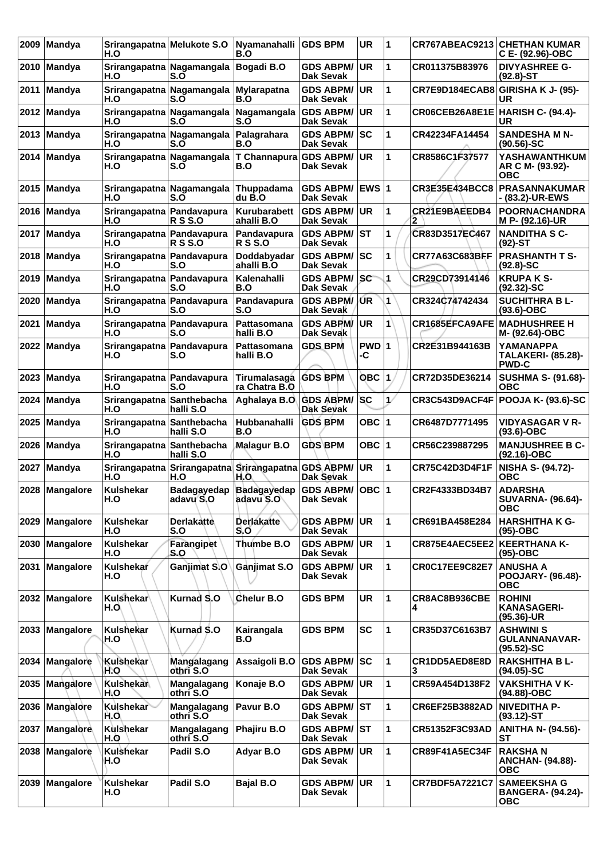| 2009 | Mandya         | Srirangapatna Melukote S.O<br>H.O |                                    | Nyamanahalli<br>B.O                            | <b>GDS BPM</b>                         | <b>UR</b>   | $\overline{\mathbf{1}}$ |                       | <b>CR767ABEAC9213 CHETHAN KUMAR</b><br>C E- (92.96)-OBC       |
|------|----------------|-----------------------------------|------------------------------------|------------------------------------------------|----------------------------------------|-------------|-------------------------|-----------------------|---------------------------------------------------------------|
|      | 2010   Mandya  | H.O                               | Srirangapatna Nagamangala<br>S.O   | Bogadi B.O                                     | <b>GDS ABPM/</b><br>Dak Sevak          | <b>UR</b>   | 1                       | CR011375B83976        | <b>DIVYASHREE G-</b><br>$(92.8)$ -ST                          |
| 2011 | <b>Mandya</b>  | H.O                               | Srirangapatna Nagamangala<br>S.O   | Mylarapatna<br>B.O                             | <b>GDS ABPM/</b><br>Dak Sevak          | <b>UR</b>   | 1                       | CR7E9D184ECAB8        | GIRISHA K J- (95)-<br>UR                                      |
| 2012 | Mandya         | H.O                               | Srirangapatna Nagamangala<br>S.O   | Nagamangala<br>S.O                             | <b>GDS ABPM/</b><br>Dak Sevak          | UR          | 1                       | CR06CEB26A8E1E        | <b>HARISH C- (94.4)-</b><br>UR                                |
| 2013 | Mandya         | H.O                               | Srirangapatna Nagamangala<br>S.O   | Palagrahara<br>B.O                             | <b>GDS ABPM/</b><br><b>Dak Sevak</b>   | SC          | 1                       | CR42234FA14454        | <b>SANDESHA M N-</b><br>$(90.56)$ -SC                         |
| 2014 | Mandya         | Srirangapatna Nagamangala<br>H.O  | S.O                                | T Channapura<br>B.O                            | <b>GDS ABPM/</b><br>Dak Sevak          | <b>UR</b>   | 1                       | CR8586C1F37577        | YASHAWANTHKUM<br>AR C M- (93.92)-<br><b>OBC</b>               |
|      | 2015 Mandya    | Srirangapatna Nagamangala<br>H.O  | S.O                                | Thuppadama<br>du B.O                           | <b>GDS ABPM/</b><br><b>Dak Sevak</b>   | <b>EWS1</b> |                         | CR3E35E434BCC8        | <b>PRASANNAKUMAR</b><br>- (83.2)-UR-EWS                       |
| 2016 | Mandya         | Srirangapatna Pandavapura<br>H.O  | <b>R S S.O</b>                     | Kurubarabett<br>ahalli B.O                     | <b>GDS ABPM/</b><br>Dak Sevak          | <b>UR</b>   | 1                       | CR21E9BAEEDB4         | <b>POORNACHANDRA</b><br>M P- (92.16)-UR                       |
| 2017 | <b>Mandya</b>  | Srirangapatna Pandavapura<br>H.O  | <b>RSS.O</b>                       | Pandavapura<br><b>R S S.O</b>                  | <b>GDS ABPM/</b><br><b>Dak Sevak</b>   | lst         | 1                       | CR83D3517EC467        | <b>NANDITHA S C-</b><br>$(92)$ -ST                            |
|      | 2018 Mandya    | Srirangapatna Pandavapura<br>H.O  | S.O                                | Doddabyadar<br>ahalli B.O                      | <b>GDS ABPM/</b><br><b>Dak Sevak</b>   | SC          | 1                       | <b>CR77A63C683BFF</b> | <b>PRASHANTH T S-</b><br>$(92.8) - SC$                        |
| 2019 | Mandya         | Srirangapatna Pandavapura<br>H.O  | S.O                                | Kalenahalli<br>B.O                             | <b>GDS ABPM/</b><br>Dak Sevak          | sc          | 1                       | CR29CD73914146        | <b>KRUPAKS-</b><br>$(92.32) - SC$                             |
| 2020 | Mandya         | Srirangapatna Pandavapura<br>H.O  | S.O                                | Pandavapura<br>S.O                             | <b>GDS ABPM/</b><br>Dak Sevak          | /ŰR         | 1                       | CR324C74742434        | <b>SUCHITHRA B L-</b><br>$(93.6)$ -OBC                        |
| 2021 | Mandya         | Srirangapatna Pandavapura<br>H.O  | S.O                                | Pattasomana<br>halli B.O                       | <b>GDS ABPM/</b><br>Dak Sevak          | <b>UR</b>   | 1                       | <b>CR1685EFCA9AFE</b> | <b>MADHUSHREE H</b><br>M- (92.64)-OBC                         |
| 2022 | <b>Mandya</b>  | Srirangapatna Pandavapura<br>H.O  | S.O                                | Pattasomana<br>halli B.O                       | <b>GDS BPM</b>                         | PWD 1<br>-C |                         | CR2E31B944163B        | <b>YAMANAPPA</b><br><b>TALAKERI- (85.28)-</b><br><b>PWD-C</b> |
| 2023 | Mandya         | Srirangapatna Pandavapura<br>H.O  | S.O                                | Tirumalasaga<br>ra Chatra B.O                  | <b>GDS BPM</b>                         | <b>OBC</b>  | 1                       | CR72D35DE36214        | <b>SUSHMA S- (91.68)-</b><br>ОВС                              |
| 2024 | Mandya         | Srirangapatna Santhebacha<br>H.O  | halli S.O                          | Aghalaya B.O. GDS ABPM/                        | Dak Sevak                              | <b>SC</b>   | $\mathcal{L}$           | CR3C543D9ACF4F        | <b>POOJA K- (93.6)-SC</b>                                     |
| 2025 | Mandya         | Srirangapatna Santhebacha<br>H.O  | halli S.O                          | Hubbanahalli<br>B.O                            | <b>GDS BPM</b>                         | OBC $ 1$    |                         | CR6487D7771495        | <b>VIDYASAGAR V R-</b><br>$(93.6)$ -OBC                       |
| 2026 | Mandya         | Srirangapatna Santhebacha<br>H.O  | halli S.O                          | <b>Malagur B.O</b>                             | <b>GDS BPM</b>                         | OBC $ 1$    |                         | CR56C239887295        | <b>MANJUSHREE B C-</b><br>(92.16)-OBC                         |
| 2027 | Mandya         | H.O                               | Srirangapatna Srirangapatna<br>H.O | Srirangapatna<br>H.O                           | <b>GDS ABPM/</b><br>Dak Sevak          | UR          | 1                       | CR75C42D3D4F1F        | <b>NISHA S- (94.72)-</b><br><b>OBC</b>                        |
|      | 2028 Mangalore | Kulshekar<br>H.O                  | adavu S.O                          | Badagayedap Badagayedap GDS ABPM/<br>adavu S.O | Dak Sevak                              | OBC  1      |                         | <b>CR2F4333BD34B7</b> | <b>ADARSHA</b><br><b>SUVARNA- (96.64)-</b><br>ОВС             |
| 2029 | Mangalore      | <b>Kulshekar</b><br>H.O           | <b>Derlakatte</b><br>S.O           | <b>Derlakatte</b><br>S.O                       | <b>GDS ABPM/</b><br>Dak Sevak          | UR          | 1                       | CR691BA458E284        | <b>HARSHITHA K G-</b><br>$(95)-OBC$                           |
|      | 2030 Mangalore | <b>Kulshekar</b><br>H.O           | Farangipet<br>S.O                  | Thumbe B.O                                     | <b>GDS ABPM/</b><br>Dak Sevak          | <b>UR</b>   | $\mathbf{1}$            | CR875E4AEC5EE2        | <b>KEERTHANA K-</b><br>$(95)-OBC$                             |
| 2031 | Mangalore      | Kulshekar<br>H.O                  | Ganjimat S.O                       | Ganjimat S.O                                   | <b>GDS ABPM/</b><br>Dak Sevak          | <b>UR</b>   | 1                       | <b>CR0C17EE9C82E7</b> | <b>ANUSHA A</b><br><b>POOJARY- (96.48)-</b><br><b>OBC</b>     |
|      | 2032 Mangalore | Kulshekar<br>H.O                  | Kurnad S.O                         | Chelur B.O                                     | <b>GDS BPM</b>                         | <b>UR</b>   | 1                       | CR8AC8B936CBE<br>4    | <b>ROHINI</b><br><b>KANASAGERI-</b><br>(95.36)-UR             |
|      | 2033 Mangalore | Kulshekar<br>H.O                  | Kurnad S.O                         | Kairangala<br>B.O                              | <b>GDS BPM</b>                         | <b>SC</b>   | 1                       | CR35D37C6163B7        | <b>ASHWINI S</b><br><b>GULANNANAVAR-</b><br>$(95.52) - SC$    |
| 2034 | Mangalore      | Kulshekar<br>H.O                  | Mangalagang<br>othri S.O           | Assaigoli B.O                                  | <b>GDS ABPM/</b><br>Dak Sevak          | sc          | 1                       | CR1DD5AED8E8D<br>3    | <b>RAKSHITHA BL-</b><br>$(94.05)$ -SC                         |
| 2035 | Mangalore      | Kulshekar<br>H.O                  | Mangalagang<br>othri S.O           | Konaje B.O                                     | <b>GDS ABPM/</b><br>Dak Sevak          | <b>UR</b>   | $\mathbf{1}$            | CR59A454D138F2        | <b>VAKSHITHA V K-</b><br>(94.88)-OBC                          |
|      | 2036 Mangalore | Kulshekar<br>H.O                  | Mangalagang<br>othri S.O           | Pavur B.O                                      | <b>GDS ABPM/</b><br>Dak Sevak          | <b>ST</b>   | 1                       | CR6EF25B3882AD        | <b>NIVEDITHA P-</b><br>$(93.12)-ST$                           |
|      | 2037 Mangalore | Kulshekar<br>H.O                  | Mangalagang<br>othri S.O           | Phajiru B.O                                    | <b>GDS ABPM/ST</b><br><b>Dak Sevak</b> |             | 1                       | CR51352F3C93AD        | <b>ANITHA N- (94.56)-</b><br>SТ                               |
|      | 2038 Mangalore | Kulshekar<br>H.O                  | Padil S.O                          | Adyar B.O                                      | <b>GDS ABPM/</b><br>Dak Sevak          | <b>UR</b>   | 1                       | <b>CR89F41A5EC34F</b> | <b>RAKSHAN</b><br><b>ANCHAN- (94.88)-</b><br>ОВС              |
|      | 2039 Mangalore | <b>Kulshekar</b><br>H.O           | Padil S.O                          | <b>Bajal B.O</b>                               | <b>GDS ABPM/</b><br>Dak Sevak          | UR.         | $\mathbf{1}$            | <b>CR7BDF5A7221C7</b> | <b>SAMEEKSHA G</b><br><b>BANGERA- (94.24)-</b><br><b>OBC</b>  |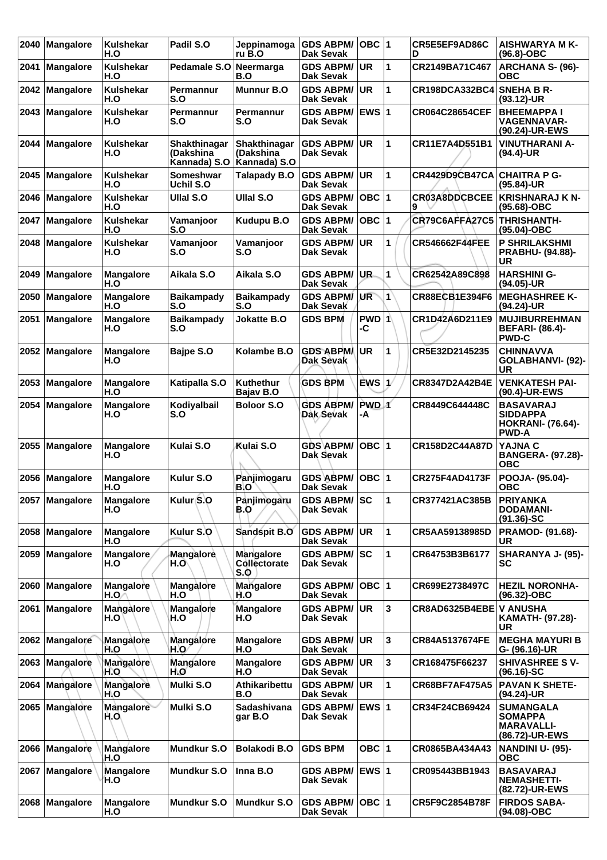| 2040 | <b>Mangalore</b> | Kulshekar<br>H.O        | Padil S.O                         | Jeppinamoga<br>ru B.O                                    | <b>GDS ABPM/</b><br><b>Dak Sevak</b>    | $OBC$  1                |              | CR5E5EF9AD86C<br>D    | <b>AISHWARYA M K-</b><br>$(96.8)-OBC$                                           |
|------|------------------|-------------------------|-----------------------------------|----------------------------------------------------------|-----------------------------------------|-------------------------|--------------|-----------------------|---------------------------------------------------------------------------------|
| 2041 | <b>Mangalore</b> | <b>Kulshekar</b><br>H.O | Pedamale S.O                      | Neermarga<br>B.O                                         | <b>GDS ABPM/</b><br><b>Dak Sevak</b>    | UR.                     | 1            | CR2149BA71C467        | <b>ARCHANA S- (96)-</b><br><b>OBC</b>                                           |
| 2042 | Mangalore        | <b>Kulshekar</b><br>H.O | Permannur<br>S.O                  | <b>Munnur B.O</b>                                        | <b>GDS ABPM/</b><br><b>Dak Sevak</b>    | UR                      | 1            | <b>CR198DCA332BC4</b> | <b>SNEHA B R-</b><br>(93.12)-UR                                                 |
| 2043 | Mangalore        | <b>Kulshekar</b><br>H.O | Permannur<br>S.O                  | Permannur<br>S.O                                         | <b>GDS ABPM/</b><br>Dak Sevak           | <b>EWS</b> <sub>1</sub> |              | <b>CR064C28654CEF</b> | <b>BHEEMAPPAI</b><br><b>VAGENNAVAR-</b><br>(90.24)-UR-EWS                       |
| 2044 | <b>Mangalore</b> | <b>Kulshekar</b><br>H.O | <b>Shakthinagar</b><br>(Dakshina) | Shakthinagar<br>(Dakshina<br>Kannada) S.O   Kannada) S.O | <b>GDS ABPM/</b><br>Dak Sevak           | <b>UR</b>               | 1            | <b>CR11E7A4D551B1</b> | <b>VINUTHARANI A-</b><br>$(94.4)$ -UR                                           |
| 2045 | <b>Mangalore</b> | <b>Kulshekar</b><br>H.O | <b>Someshwar</b><br>Uchil S.O     | <b>Talapady B.O</b>                                      | <b>GDS ABPM/</b><br>Dak Sevak           | <b>UR</b>               | 1            | <b>CR4429D9CB47CA</b> | <b>CHAITRA P G-</b><br>$(95.84)$ -UR                                            |
| 2046 | <b>Mangalore</b> | <b>Kulshekar</b><br>H.O | <b>Ullal S.O</b>                  | <b>Ullal S.O</b>                                         | <b>GDS ABPM/</b><br><b>Dak Sevak</b>    | $OBC$  1                |              | CR03A8DDCBCEE<br>9    | <b>KRISHNARAJ K N-</b><br>(95.68)-OBC                                           |
| 2047 | <b>Mangalore</b> | Kulshekar<br>H.O        | Vamanjoor<br>S.O                  | <b>Kudupu B.O</b>                                        | <b>GDS ABPM/</b><br><b>Dak Sevak</b>    | OBC  1                  |              | CR79C6AFFA27C5        | <b>THRISHANTH-</b><br>(95.04)-OBC                                               |
| 2048 | <b>Mangalore</b> | <b>Kulshekar</b><br>H.O | Vamanjoor<br>S.O                  | Vamanjoor<br>S.O                                         | <b>GDS ABPM/</b><br>Dak Sevak           | <b>UR</b>               | 1            | <b>CR546662F44FEE</b> | <b>P SHRILAKSHMI</b><br>PRABHU- (94.88)-<br><b>UR</b>                           |
| 2049 | Mangalore        | <b>Mangalore</b><br>H.O | Aikala S.O                        | Aikala S.O                                               | <b>GDS ABPM/</b><br><b>Dak Sevak</b>    | UR.                     | 1            | CR62542A89C898        | <b>HARSHINI G-</b><br>(94.05)-UR                                                |
| 2050 | <b>Mangalore</b> | <b>Mangalore</b><br>H.O | <b>Baikampady</b><br>S.O          | <b>Baikampady</b><br>S.O                                 | <b>GDS ABPM/</b><br>Dak Sevak           | <b>UR</b>               | 1            | CR88ECB1E394F6        | <b>MEGHASHREE K-</b><br>(94.24)-UR                                              |
| 2051 | <b>Mangalore</b> | <b>Mangalore</b><br>H.O | <b>Baikampady</b><br>S.O          | <b>Jokatte B.O</b>                                       | <b>GDS BPM</b>                          | PWD 1<br>-C             |              | CR1D42A6D211E9        | <b>MUJIBURREHMAN</b><br><b>BEFARI- (86.4)-</b><br><b>PWD-C</b>                  |
| 2052 | Mangalore        | <b>Mangalore</b><br>H.O | Bajpe S.O                         | Kolambe B.O                                              | <b>GDS ABPMA</b><br>Dak Sevak           | UR                      | 1            | CR5E32D2145235        | <b>CHINNAVVA</b><br>GOLABHANVI- (92)-<br><b>UR</b>                              |
| 2053 | <b>Mangalore</b> | <b>Mangalore</b><br>H.O | Katipalla S.O                     | <b>Kuthethur</b><br>Bajav B.O                            | <b>GDS BPM</b>                          | EWS 1                   |              | CR8347D2A42B4E        | <b>VENKATESH PAI-</b><br>(90.4)-UR-EWS                                          |
| 2054 | <b>Mangalore</b> | <b>Mangalore</b><br>H.O | Kodiyalbail<br>S.O                | <b>Boloor S.O</b>                                        | <b>GDS ABPM/</b><br>Dak Sevak           | PWD 1<br>-A             |              | CR8449C644448C        | <b>BASAVARAJ</b><br><b>SIDDAPPA</b><br><b>HOKRANI- (76.64)-</b><br><b>PWD-A</b> |
| 2055 | <b>Mangalore</b> | <b>Mangalore</b><br>H.O | Kulai S.O                         | Kulai S.O                                                | <b>GDS ABPM/</b><br>Dak Sevak           | $OBC$  1                |              | CR158D2C44A87D        | YAJNA C<br><b>BANGERA- (97.28)-</b><br><b>OBC</b>                               |
| 2056 | <b>Mangalore</b> | <b>Mangalore</b><br>H.O | Kulur S.O                         | Panjimogaru<br>B.O                                       | <b>GDS ABPM/</b><br><b>Dak Sevak</b>    | $OBC$  1                |              | CR275F4AD4173F        | POOJA- (95.04)-<br><b>OBC</b>                                                   |
|      | 2057 Mangalore   | <b>Mangalore</b><br>H.O | Kulur S.O                         | Panjimogaru<br>B.O                                       | <b>GDS ABPM/SC</b><br>Dak Sevak         |                         | 11           | CR377421AC385B        | <b>PRIYANKA</b><br><b>DODAMANI-</b><br>$(91.36)$ -SC                            |
|      | 2058 Mangalore   | <b>Mangalore</b><br>H.O | Kulur S.O                         | Sandspit B.O                                             | <b>GDS ABPM/ UR</b><br><b>Dak Sevak</b> |                         | $\mathbf{1}$ | CR5AA59138985D        | PRAMOD- (91.68)-<br>UR.                                                         |
| 2059 | Mangalore        | Mangalore<br>H.O        | Mangalore<br>H.O\                 | Mangalore<br>Collectorate<br>S.0                         | <b>GDS ABPM/ SC</b><br>Dak Sevak        |                         | 1            | CR64753B3B6177        | SHARANYA J- (95)-<br>SC                                                         |
| 2060 | Mangalore        | Mangalore<br>H.O        | <b>Mangalore</b><br>H.O           | <b>Mangalore</b><br>H.O                                  | <b>GDS ABPM/</b><br>Dak Sevak           | OBC  1                  |              | CR699E2738497C        | <b>HEZIL NORONHA-</b><br>(96.32)-OBC                                            |
| 2061 | Mangalore        | <b>Mangalore</b><br>H.O | Mangalore<br>H.O                  | <b>Mangalore</b><br>H.O                                  | <b>GDS ABPM/</b><br><b>Dak Sevak</b>    | UR.                     | 3            | CR8AD6325B4EBE        | <b>V ANUSHA</b><br>KAMATH- (97.28)-<br>UR                                       |
| 2062 | Mangalore        | Mangalore<br>H.O        | <b>Mangalore</b><br>\H.`O         | <b>Mangalore</b><br>H.O                                  | <b>GDS ABPM/ UR</b><br>Dak Sevak        |                         | 3            | CR84A5137674FE        | <b>MEGHA MAYURI B</b><br>G- (96.16)-UR                                          |
|      | 2063 Mangalore   | Mangalore<br>H.O        | Mangalore<br>H.O                  | <b>Mangalore</b><br>H.O                                  | <b>GDS ABPM/</b><br>Dak Sevak           | <b>UR</b>               | 3            | CR168475F66237        | <b>SHIVASHREE SV-</b><br>$(96.16)-SC$                                           |
| 2064 | Mangalore        | Mangalore<br>H.O        | Mulki S.O                         | Athikaribettu<br>B.O                                     | <b>GDS ABPM/</b><br>Dak Sevak           | <b>UR</b>               | $\mathbf{1}$ | CR68BF7AF475A5        | <b>PAVAN K SHETE-</b><br>(94.24)-UR                                             |
| 2065 | Mangalore        | Mangalore<br>H.O        | Mulki S.O                         | <b>Sadashivana</b><br>gar B.O                            | GDS ABPM/ EWS 1<br>Dak Sevak            |                         |              | CR34F24CB69424        | <b>SUMANGALA</b><br><b>SOMAPPA</b><br><b>MARAVALLI-</b><br>(86.72)-UR-EWS       |
|      | 2066 Mangalore   | Mangalore<br>H.O        | Mundkur S.O                       | <b>Bolakodi B.O</b>                                      | <b>GDS BPM</b>                          | OBC $ 1$                |              | CR0865BA434A43        | <b>NANDINI U- (95)-</b><br><b>OBC</b>                                           |
|      | 2067   Mangalore | Mangalore<br>H.O        | <b>Mundkur S.O</b>                | Inna B.O                                                 | <b>GDS ABPM/</b><br>Dak Sevak           | <b>EWS 1</b>            |              | CR095443BB1943        | <b>BASAVARAJ</b><br><b>NEMASHETTI-</b><br>(82.72)-UR-EWS                        |
| 2068 | <b>Mangalore</b> | <b>Mangalore</b><br>H.O | <b>Mundkur S.O</b>                | <b>Mundkur S.O</b>                                       | GDS ABPM/ OBC 1<br>Dak Sevak            |                         |              | CR5F9C2854B78F        | <b>FIRDOS SABA-</b><br>(94.08)-OBC                                              |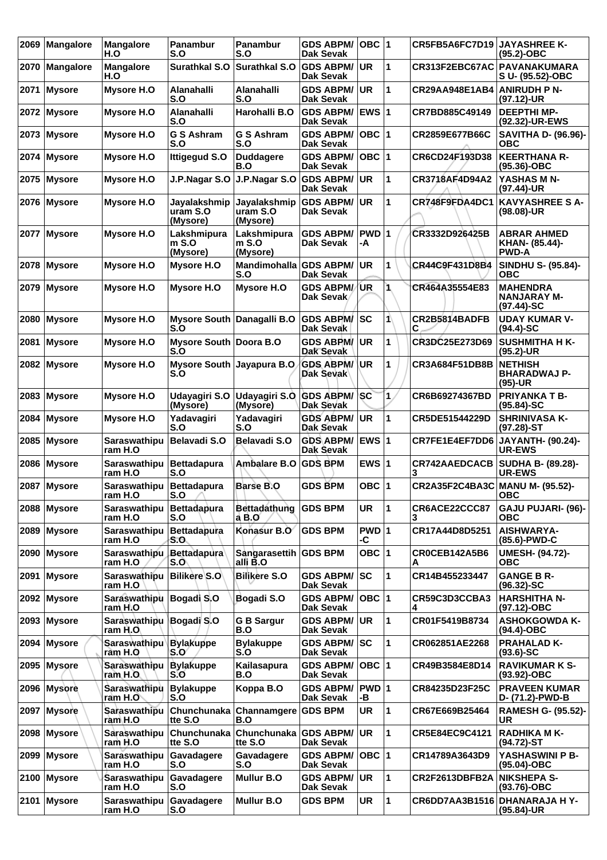| 2069 | <b>Mangalore</b> | <b>Mangalore</b><br>H.O           | <b>Panambur</b><br>S.O                     | Panambur<br>S.O                      | <b>GDS ABPM/</b><br>Dak Sevak        | $OBC$  1      |              | CR5FB5A6FC7D19                  | <b>JAYASHREE K-</b><br>$(95.2)$ -OBC                   |
|------|------------------|-----------------------------------|--------------------------------------------|--------------------------------------|--------------------------------------|---------------|--------------|---------------------------------|--------------------------------------------------------|
| 2070 | <b>Mangalore</b> | <b>Mangalore</b><br>H.O           | Surathkal S.O                              | Surathkal S.O                        | <b>GDS ABPM/</b><br><b>Dak Sevak</b> | <b>UR</b>     | 1            | CR313F2EBC67AC                  | PAVANAKUMARA<br>S U- (95.52)-OBC                       |
| 2071 | Mysore           | <b>Mysore H.O</b>                 | Alanahalli<br>S.O                          | Alanahalli<br>S.O                    | <b>GDS ABPM/</b><br><b>Dak Sevak</b> | <b>UR</b>     | 1            | CR29AA948E1AB4                  | <b>ANIRUDH P N-</b><br>$(97.12)$ -UR                   |
| 2072 | <b>Mysore</b>    | Mysore H.O                        | <b>Alanahalli</b><br>S.O                   | Harohalli B.O                        | <b>GDS ABPM/</b><br>Dak Sevak        | EWS $ 1$      |              | CR7BD885C49149                  | <b>DEEPTHI MP-</b><br>(92.32)-UR-EWS                   |
| 2073 | <b>Mysore</b>    | Mysore H.O                        | <b>G S Ashram</b><br>S.O                   | <b>G S Ashram</b><br>S.O             | <b>GDS ABPM/</b><br><b>Dak Sevak</b> | $OBC$  1      |              | CR2859E677B66C                  | <b>SAVITHA D- (96.96)-</b><br><b>OBC</b>               |
| 2074 | Mysore           | <b>Mysore H.O</b>                 | <b>Ittigegud S.O</b>                       | <b>Duddagere</b><br>B.O              | <b>GDS ABPM/</b><br><b>Dak Sevak</b> | OBC  1        |              | CR6CD24F193D38                  | <b>KEERTHANA R-</b><br>$(95.36)$ -OBC                  |
| 2075 | <b>Mysore</b>    | Mysore H.O                        | J.P.Nagar S.O                              | J.P.Nagar S.O                        | <b>GDS ABPM/</b><br>Dak Sevak        | <b>UR</b>     | 1            | CR3718AF4D94A2                  | YASHAS M N-<br>(97.44)-UR                              |
| 2076 | Mysore           | Mysore H.O                        | Jayalakshmip<br>uram S.O<br>(Mysore)       | Jayalakshmip<br>uram S.O<br>(Mysore) | <b>GDS ABPM/</b><br><b>Dak Sevak</b> | <b>UR</b>     | 1            | CR748F9FDA4DC1                  | <b>KAVYASHREE S A-</b><br>$(98.08)$ -UR                |
|      | 2077   Mysore    | Mysore H.O                        | Lakshmipura<br>$m$ S.O<br>(Mysore)         | Lakshmipura<br>$m$ S.O<br>(Mysore)   | <b>GDS ABPM/</b><br><b>Dak Sevak</b> | $PWD$ 1<br>-A |              | CR3332D926425B                  | <b>ABRAR AHMED</b><br>KHAN- (85.44)-<br><b>PWD-A</b>   |
| 2078 | <b>Mysore</b>    | Mysore H.O                        | <b>Mysore H.O</b>                          | Mandimohalla GDS ABPM/<br>S.O        | <b>Dak Sevak</b>                     | <b>UR</b>     | 1            | CR44C9F431D8B4                  | <b>SINDHU S- (95.84)-</b><br>ОВС                       |
| 2079 | <b>Mysore</b>    | Mysore H.O                        | Mysore H.O                                 | Mysore H.O                           | <b>GDS ABPM/</b><br>Dak Sevak        | 'UR           | 1            | CR464A35554E83                  | <b>MAHENDRA</b><br><b>NANJARAY M-</b><br>$(97.44)$ -SC |
| 2080 | <b>Mysore</b>    | <b>Mysore H.O</b>                 | <b>Mysore South</b><br>S.O                 | Danagalli B.O                        | <b>GDS ABPM/</b><br>Dak Sevak        | lsc           | 1            | CR2B5814BADFB<br>С              | <b>UDAY KUMAR V-</b><br>$(94.4)$ -SC                   |
| 2081 | <b>Mysore</b>    | Mysore H.O                        | Mysore South Doora B.O<br>S.O              |                                      | <b>GDS ABPM/</b><br>Dak Sevak        | <b>UR</b>     | 1            | CR3DC25E273D69                  | <b>SUSHMITHA H K-</b><br>(95.2)-UR                     |
| 2082 | Mysore           | Mysore H.O                        | <b>Mysore South</b><br>S.O                 | Jayapura B.O                         | <b>GDS ABPM/</b><br>Dak Sevak        | <b>UR</b>     | 1            | <b>CR3A684F51DB8B</b>           | <b>NETHISH</b><br><b>BHARADWAJ P-</b><br>$(95)-UR$     |
| 2083 | Mysore           | Mysore H.O                        | Udayagiri S.O<br>(Mysore)                  | Udayagiri S.O<br>(Mysore)            | <b>GDS ABPM/</b><br>Dak Seyak        | <b>SC</b>     | 1            | CR6B69274367BD                  | <b>PRIYANKA T B-</b><br>$(95.84) - SC$                 |
| 2084 | <b>Mysore</b>    | Mysore H.O                        | Yadavagiri<br>S.O                          | Yadavagiri<br>S.O                    | <b>GDS ABPM/</b><br><b>Dak Sevak</b> | <b>UR</b>     | 1            | CR5DE51544229D                  | <b>SHRINIVASA K-</b><br>(97.28)-ST                     |
| 2085 | <b>Mysore</b>    | <b>Saraswathipu</b><br>ram H.O    | Belavadi S.O                               | <b>Belavadi S.O</b>                  | <b>GDS ABPM/</b><br>Dak Sevak        | EWS $ 1$      |              | CR7FE1E4EF7DD6                  | JAYANTH- (90.24)-<br>UR-EWS                            |
| 2086 | <b>Mysore</b>    | Saraswathipu<br>ram H.O           | Bettadapura<br>S.O                         | <b>Ambalare B.O</b>                  | <b>GDS BPM</b>                       | EWS $ 1$      |              | <b>CR742AAEDCACB</b><br>3       | <b>SUDHA B- (89.28)-</b><br>UR-EWS                     |
|      | 2087 Mysore      | Saraswathipu<br>ram H.O           | <b>Bettadapura</b><br>S.O                  | <b>Barse B.O</b>                     | <b>GDS BPM</b>                       | <b>OBC 1</b>  |              | CR2A35F2C4BA3C MANU M- (95.52)- | ОВС                                                    |
| 2088 | Mysore           | <b>Saraswathipu</b><br>ram H.O    | Bettadapura<br>S.O                         | Bettadathung<br>a B.O                | <b>GDS BPM</b>                       | <b>UR</b>     | 1            | CR6ACE22CCC87                   | <b>GAJU PUJARI- (96)-</b><br><b>OBC</b>                |
|      | 2089 Mysore      | Saraswathipu<br>ram H.O           | <b>Bettadapura</b><br>S.O                  | Konasur B.O                          | <b>GDS BPM</b>                       | PWD 1<br>-C   |              | CR17A44D8D5251                  | AISHWARYA-<br>(85.6)-PWD-C                             |
| 2090 | Mysore           | Saraswathipu<br>ram H.O           | <b>Bettadapura</b><br>S.O                  | Sangarasettih GDS BPM<br>alli B.O    |                                      | OBC 1         |              | CR0CEB142A5B6<br>Α              | <b>UMESH- (94.72)-</b><br>ОВС                          |
| 2091 | Mysore           | <b>Saraswathibu</b><br>ram H.O    | <b>Bilikere S.O</b>                        | <b>Bilikere S.O</b>                  | <b>GDS ABPM/</b><br><b>Dak Sevak</b> | <b>SC</b>     | 1            | CR14B455233447                  | <b>GANGE B R-</b><br>$(96.32) - SC$                    |
|      | 2092 Mysore      | <b>Saraswathipu</b><br>ram H.O    | Bogadi S.O                                 | Bogadi S.O                           | <b>GDS ABPM/</b><br><b>Dak Sevak</b> | OBC 1         |              | CR59C3D3CCBA3<br>4              | <b>HARSHITHA N-</b><br>(97.12)-OBC                     |
| 2093 | <b>Mysore</b>    | Saraswathipu<br>ram $H.O$         | Bogadi S.O                                 | <b>G B Sargur</b><br>B.O             | <b>GDS ABPM/</b><br>Dak Sevak        | <b>UR</b>     | 1            | CR01F5419B8734                  | <b>ASHOKGOWDA K-</b><br>(94.4)-OBC                     |
| 2094 | Mysore           | Saraswathipu Bylakuppe<br>ram H.O | S.O                                        | <b>Bylakuppe</b><br>S.0              | <b>GDS ABPM/SC</b><br>Dak Sevak      |               | 1            | CR062851AE2268                  | <b>PRAHALAD K-</b><br>$(93.6)$ -SC                     |
| 2095 | Mysore           | Saraswathipu<br>ram H.O.          | <b>Bylakuppe</b><br>S.O                    | Kailasapura<br>B.O                   | <b>GDS ABPM/</b><br><b>Dak Sevak</b> | OBC 1         |              | CR49B3584E8D14                  | <b>RAVIKUMAR K S-</b><br>$(93.92)$ -OBC                |
| 2096 | Mysore           | Saraswathipu<br>ram H.O           | <b>Bylakuppe</b><br>S.O                    | Koppa B.O                            | <b>GDS ABPM/</b><br>Dak Sevak        | PWD 1<br>-В   |              | CR84235D23F25C                  | <b>PRAVEEN KUMAR</b><br>D- (71.2)-PWD-B                |
| 2097 | Mysore           | Saraswathipu<br>ram H.O           | Chunchunaka Channamgere GDS BPM<br>tte S.O | B.O                                  |                                      | <b>UR</b>     | 1            | CR67E669B25464                  | <b>RAMESH G- (95.52)-</b><br>UR                        |
|      | 2098 Mysore      | Saraswathipu<br>ram H.O           | Chunchunaka<br>tte S.O                     | Chunchunaka<br>tte S.O               | <b>GDS ABPM/</b><br><b>Dak Sevak</b> | <b>UR</b>     | 1            | CR5E84EC9C4121                  | <b>RADHIKA MK-</b><br>(94.72)-ST                       |
| 2099 | <b>Mysore</b>    | Saraswathipu<br>ram H.O           | Gavadagere<br>S.O                          | Gavadagere<br>S.O                    | <b>GDS ABPM/</b><br>Dak Sevak        | OBC $ 1$      |              | CR14789A3643D9                  | YASHASWINI P B-<br>(95.04)-OBC                         |
| 2100 | <b>Mysore</b>    | <b>Saraswathipu</b><br>ram H.O    | Gavadagere<br>S.O                          | Mullur B.O                           | <b>GDS ABPM/</b><br>Dak Sevak        | <b>UR</b>     | $\mathbf{1}$ | CR2F2613DBFB2A                  | <b>NIKSHEPA S-</b><br>$(93.76) - OBC$                  |
| 2101 | Mysore           | Saraswathipu<br>ram H.O           | Gavadagere<br>S.O                          | Mullur B.O                           | <b>GDS BPM</b>                       | UR            | $\mathbf{1}$ | CR6DD7AA3B1516                  | <b>DHANARAJA HY-</b><br>(95.84)-UR                     |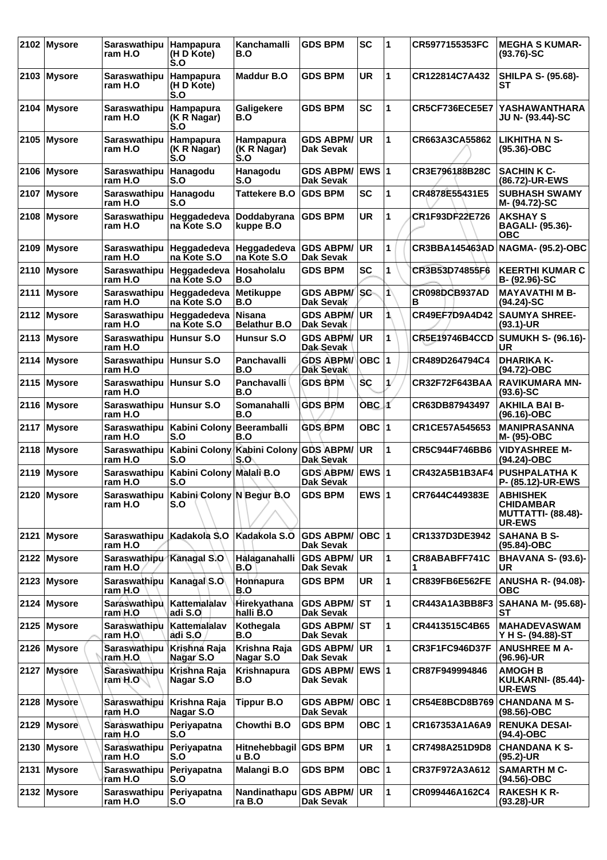|      | 2102 Mysore   | <b>Saraswathipu</b><br>ram H.O      | Hampapura<br>(H D Kote)<br>S.O                      | Kanchamalli<br>B.O                   | <b>GDS BPM</b>                       | <b>SC</b>        | 1  | CR5977155353FC        | <b>MEGHA S KUMAR-</b><br>$(93.76)-SC$                                             |
|------|---------------|-------------------------------------|-----------------------------------------------------|--------------------------------------|--------------------------------------|------------------|----|-----------------------|-----------------------------------------------------------------------------------|
|      | 2103 Mysore   | Saraswathipu<br>ram H.O             | <b>Hampapura</b><br>(H D Kote)<br>S.O               | <b>Maddur B.O</b>                    | <b>GDS BPM</b>                       | <b>UR</b>        | 1  | CR122814C7A432        | <b>SHILPA S- (95.68)-</b><br>SТ                                                   |
|      | 2104 Mysore   | Saraswathipu<br>ram H.O             | Hampapura<br>(K R Nagar)<br>$\mathsf{S}.\mathsf{O}$ | Galigekere<br>B.O                    | <b>GDS BPM</b>                       | <b>SC</b>        | 1  | CR5CF736ECE5E7        | <b>YASHAWANTHARA</b><br>JU N- (93.44)-SC                                          |
|      | 2105 Mysore   | Saraswathipu<br>ram H.O             | Hampapura<br>(K R Nagar)<br>S.O                     | Hampapura<br>(K R Nagar)<br>S.O      | <b>GDS ABPM/</b><br>Dak Sevak        | <b>UR</b>        | 1  | CR663A3CA55862        | <b>LIKHITHA N S-</b><br>$(95.36) - OBC$                                           |
|      | 2106 Mysore   | <b>Saraswathipu</b><br>ram H.O      | Hanagodu<br>S.O                                     | Hanagodu<br>S.O                      | <b>GDS ABPM/</b><br>Dak Sevak        | <b>EWS 1</b>     |    | CR3E796188B28C        | <b>SACHIN K C-</b><br>(86.72)-UR-EWS                                              |
|      | 2107 Mysore   | <b>Saraswathipu</b><br>ram H.O      | Hanagodu<br>S.O                                     | <b>Tattekere B.O</b>                 | <b>GDS BPM</b>                       | <b>SC</b>        | 1  | CR4878E55431E5        | <b>SUBHASH SWAMY</b><br>M- (94.72)-SC                                             |
|      | 2108 Mysore   | <b>Saraswathipu</b><br>ram H.O      | Heggadedeva<br>na Kote S.O                          | Doddabyrana<br>kuppe B.O             | <b>GDS BPM</b>                       | UR               | 1  | CR1F93DF22E726        | <b>AKSHAY S</b><br><b>BAGALI- (95.36)-</b><br><b>OBC</b>                          |
| 2109 | Mysore        | Saraswathipu<br>ram H.O             | Heggadedeva<br>na Kote S.O                          | Heggadedeva<br>na Kote S.O           | <b>GDS ABPM/</b><br>Dak Sevak        | UR               | 1  | <b>CR3BBA145463AD</b> | <b>NAGMA- (95.2)-OBC</b>                                                          |
|      | 2110 Mysore   | Saraswathipu<br>ram H.O             | Heggadedeva<br>na Kote S.O                          | Hosaholalu<br>B.O                    | <b>GDS BPM</b>                       | <b>SC</b>        | 1  | CR3B53D74855F6        | <b>KEERTHI KUMAR C</b><br>$B - (92.96) - SC$                                      |
| 2111 | <b>Mysore</b> | Saraswathipu<br>ram H.O             | Heggadedeva<br>na Kote S.O                          | Metikuppe<br>B.O                     | <b>GDS ABPM/</b><br>Dak Sevak        | <b>SC</b>        | 1  | CR098DCB937AD<br>в    | <b>MAYAVATHI M B-</b><br>$(94.24)$ -SC                                            |
|      | 2112 Mysore   | Saraswathipu<br>ram H.O             | Heggadedeva<br>na Kote S.O                          | <b>Nisana</b><br><b>Belathur B.O</b> | <b>GDS ABPM/</b><br>Dak Sevak        | <b>UR</b>        | 1  | CR49EF7D9A4D42        | <b>SAUMYA SHREE-</b><br>$(93.1)$ -UR                                              |
|      | 2113 Mysore   | <b>Saraswathipu</b><br>ram H.O      | Hunsur S.O                                          | Hunsur S.O                           | <b>GDS ABPM/</b><br>Dak Sevak        | <b>UR</b>        | 1  | <b>CR5E19746B4CCD</b> | SUMUKH S- (96.16)-  <br>UR                                                        |
|      | 2114 Mysore   | Saraswathipu Hunsur S.O<br>ram H.O  |                                                     | Panchavalli<br>B.O                   | <b>GDS ABPM/</b><br><b>Dak Sevak</b> | OBC $ 1$         |    | CR489D264794C4        | <b>DHARIKA K-</b><br>(94.72)-OBC                                                  |
|      | 2115 Mysore   | Saraswathipu Hunsur S.O<br>ram H.O  |                                                     | Panchavalli<br>B.O                   | <b>GDS BPM</b>                       | SC               | 1/ | CR32F72F643BAA        | <b>RAVIKUMARA MN-</b><br>$(93.6) - SC$                                            |
|      | 2116 Mysore   | Saraswathipu Hunsur S.O<br>ram H.O  |                                                     | Somanahalli<br>B.O                   | <b>GDS BPM</b>                       | OBC <sub>1</sub> |    | CR63DB87943497        | <b>AKHILA BAI B-</b><br>$(96.16) - OBC$                                           |
|      | 2117 Mysore   | Saraswathipu<br>ram H.O             | Kabini Colony Beeramballi<br>S.O                    | B.O                                  | <b>GDS BPM</b>                       | OBC $ 1$         |    | CR1CE57A545653        | <b>MANIPRASANNA</b><br>M- (95)-OBC                                                |
|      | 2118 Mysore   | <b>Saraswathipu</b><br>ram H.O      | Kabini Colony<br>S.O                                | Kabini Colony GDS ABPM/<br>S.O       | Dak Sevak                            | <b>UR</b>        | 1  | CR5C944F746BB6        | <b>VIDYASHREE M-</b><br>(94.24)-OBC                                               |
|      | 2119 Mysore   | <b>Saraswathipu</b><br>ram H.O      | Kabini Colony Malali B.O<br>S.O                     |                                      | <b>GDS ABPM/</b><br>Dak Sevak        | EWS 1            |    | CR432A5B1B3AF4        | <b>PUSHPALATHA K</b><br>P- (85.12)-UR-EWS                                         |
|      | 2120 Mysore   | <b>Saraswathipu</b><br>ram H.O      | Kabini Colony N Begur B.O<br>S.O                    |                                      | <b>GDS BPM</b>                       | EWS $ 1$         |    | CR7644C449383E        | <b>ABHISHEK</b><br><b>CHIDAMBAR</b><br><b>MUTTATTI- (88.48)-</b><br><b>UR-EWS</b> |
| 2121 | Mysore        | <b>Saraswathipu</b><br>ram H.O      | Kadakola S.O                                        | Kadakola S.O                         | <b>GDS ABPM/</b><br>Dak Sevak        | OBC  1           |    | CR1337D3DE3942        | <b>SAHANA B S-</b><br>(95.84)-OBC                                                 |
|      | 2122 Mysore   | Saraswathipu Kanagal S.O<br>ram H.O |                                                     | Halaganahalli<br>B.O                 | <b>GDS ABPM/</b><br>Dak Sevak        | ∣UR              | 1  | CR8ABABFF741C         | <b>BHAVANA S- (93.6)-</b><br>UR.                                                  |
|      | 2123 Mysore   | Saraswathipu<br>ram H.O             | Kanagal S.O                                         | Honnapura<br>B.O                     | <b>GDS BPM</b>                       | UR.              | 1  | <b>CR839FB6E562FE</b> | <b>ANUSHA R- (94.08)-</b><br><b>OBC</b>                                           |
|      | 2124 Mysore   | Saraswathipu<br>ram\H.O             | Kattemalalav<br>adi S.O                             | Hirekyathana<br>halli B.O            | <b>GDS ABPM/</b><br>Dak Sevak        | IST.             | 1  | CR443A1A3BB8F3        | SAHANA M- (95.68)- <br>SТ                                                         |
|      | 2125 Mysore   | Saraswathipu<br>ram H.O             | Kattemalalav<br>adi S.O                             | Kothegala<br>B.O                     | <b>GDS ABPM/</b><br>Dak Sevak        | IST.             | 1  | CR4413515C4B65        | <b>MAHADEVASWAM</b><br>Y H S- (94.88)-ST                                          |
|      | 2126 Mysore   | Saraswathipu<br>ram H.O             | Krishna Raja<br>Nagar S.O                           | Krishna Raja<br>Nagar S.O            | <b>GDS ABPM/</b><br>Dak Sevak        | <b>UR</b>        | 1  | CR3F1FC946D37F        | <b>ANUSHREE M A-</b><br>(96.96)-UR                                                |
|      | 2127 Mysore   | Saraswathipu<br>ram H.O             | Krishna Raja<br>Nagar S.O                           | Krishnapura<br>B.O                   | <b>GDS ABPM/</b><br>Dak Sevak        | <b>EWS 1</b>     |    | CR87F949994846        | <b>AMOGH B</b><br><b>KULKARNI- (85.44)-</b><br><b>UR-EWS</b>                      |
|      | 2128 Mysore   | Saraswathipu<br>ram H.O             | Krishna Raja<br>Nagar S.O                           | <b>Tippur B.O</b>                    | <b>GDS ABPM/</b><br>Dak Sevak        | OBC  1           |    | CR54E8BCD8B769        | <b>CHANDANA M S-</b><br>$(98.56)$ -OBC                                            |
|      | 2129 Mysore   | Saraswathipu<br>ram H.O             | Periyapatna<br>S.O                                  | Chowthi B.O                          | <b>GDS BPM</b>                       | OBC $ 1$         |    | CR167353A1A6A9        | <b>RENUKA DESAI-</b><br>(94.4)-OBC                                                |
|      | 2130 Mysore   | Saraswathipu<br>ram H.O             | Periyapatna<br>S.O                                  | Hitnehebbagil GDS BPM<br>u B.O       |                                      | <b>UR</b>        | 1  | CR7498A251D9D8        | <b>CHANDANA K S-</b><br>(95.2)-UR                                                 |
|      | 2131 Mysore   | Saraswathipu<br>ram H.O             | Periyapatna<br>S.O                                  | Malangi B.O                          | <b>GDS BPM</b>                       | OBC $ 1$         |    | CR37F972A3A612        | <b>SAMARTH M C-</b><br>$(94.56)$ -OBC                                             |
|      | 2132 Mysore   | Saraswathipu<br>ram H.O             | Periyapatna<br>S.O                                  | Nandinathapu GDS ABPM/UR<br>ra B.O   | Dak Sevak                            |                  | 1  | CR099446A162C4        | <b>RAKESH K R-</b><br>$(93.28)$ -UR                                               |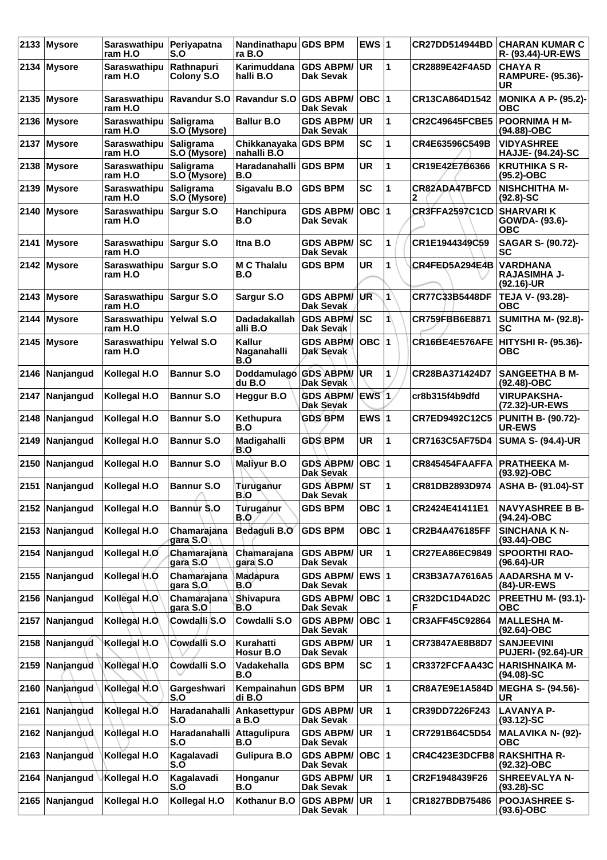| 2133 | <b>Mysore</b>  | Saraswathipu<br>ram H.O            | Periyapatna<br>S.O               | Nandinathapu GDS BPM<br>ra B.O      |                                      | EWS $ 1$  |              | <b>CR27DD514944BD</b> | <b>CHARAN KUMAR C</b><br>R- (93.44)-UR-EWS           |
|------|----------------|------------------------------------|----------------------------------|-------------------------------------|--------------------------------------|-----------|--------------|-----------------------|------------------------------------------------------|
|      | 2134 Mysore    | <b>Saraswathipu</b><br>ram H.O     | Rathnapuri<br>Colony S.O         | Karimuddana<br>halli B.O            | <b>GDS ABPM/</b><br>Dak Sevak        | UR.       | 1            | CR2889E42F4A5D        | <b>CHAYA R</b><br><b>RAMPURE- (95.36)-</b><br>UR     |
|      | 2135 Mysore    | <b>Saraswathipu</b><br>ram H.O     | Ravandur S.O                     | Ravandur S.O                        | <b>GDS ABPM/</b><br><b>Dak Sevak</b> | OBC  1    |              | CR13CA864D1542        | <b>MONIKA A P- (95.2)-</b><br><b>OBC</b>             |
|      | 2136 Mysore    | Saraswathipu<br>ram H.O            | Saligrama<br>S.O (Mysore)        | <b>Ballur B.O</b>                   | <b>GDS ABPM/</b><br>Dak Sevak        | <b>UR</b> | 1            | <b>CR2C49645FCBE5</b> | <b>POORNIMA H M-</b><br>(94.88)-OBC                  |
|      | 2137 Mysore    | Saraswathipu<br>ram H.O            | Saligrama<br>S.O (Mysore)        | Chikkanayaka GDS BPM<br>nahalli B.O |                                      | <b>SC</b> | 1            | CR4E63596C549B        | <b>VIDYASHREE</b><br><b>HAJJE- (94.24)-SC</b>        |
|      | 2138 Mysore    | <b>Saraswathipu</b><br>ram H.O     | <b>Saligrama</b><br>S.O (Mysore) | Haradanahalli GDS BPM<br>B.O        |                                      | <b>UR</b> | 1            | CR19E42E7B6366        | <b>KRUTHIKA S R-</b><br>$(95.2)$ -OBC                |
| 2139 | Mysore         | <b>Saraswathipu</b><br>ram H.O     | Saligrama<br>S.O (Mysore)        | Sigavalu B.O                        | <b>GDS BPM</b>                       | <b>SC</b> | 1            | CR82ADA47BFCD<br>2    | <b>NISHCHITHA M-</b><br>$(92.8) - SC$                |
|      | 2140 Mysore    | Saraswathipu<br>ram H.O            | Sargur S.O                       | <b>Hanchipura</b><br>B.O            | <b>GDS ABPM/</b><br>Dak Sevak        | $OBC$ 1   |              | CR3FFA2597C1CD        | <b>SHARVARI K</b><br>GOWDA- (93.6)-<br>ОВС           |
|      | 2141 Mysore    | Saraswathipu Sargur S.O<br>ram H.O |                                  | Itna B.O                            | <b>GDS ABPM/</b><br>Dak Sevak        | <b>SC</b> | 1            | CR1E1944349C59        | SAGAR S- (90.72)-<br><b>SC</b>                       |
|      | 2142 Mysore    | Saraswathipu<br>ram H.O            | Sargur S.O                       | <b>M C Thalalu</b><br>B.O           | <b>GDS BPM</b>                       | UR        | 1            | CR4FED5A294E4B        | <b>VARDHANA</b><br><b>RAJASIMHA J-</b><br>(92.16)-UR |
|      | $2143$ Mysore  | Saraswathipu<br>ram H.O            | Sargur S.O                       | Sargur S.O                          | <b>GDS ABPM/</b><br>Dak Sevak        | <b>UR</b> | $\mathbf{1}$ | CR77C33B5448DF        | TEJA V- (93.28)-<br>ОВС                              |
| 2144 | Mysore         | Saraswathipu<br>ram H.O            | Yelwal S.O                       | <b>Dadadakallah</b><br>alli B.O     | <b>GDS ABPM/</b><br>Dak Sevak        | <b>SC</b> | 1            | CR759FBB6E8871        | <b>SUMITHA M- (92.8)-</b><br>SC                      |
|      | $2145$ Mysore  | Saraswathipu<br>ram H.O            | Yelwal S.O                       | Kallur<br>Naganahalli<br>B.O        | <b>GDS ABPM/</b><br>Dak Sevak        | OBC  1    |              | CR16BE4E576AFE        | HITYSHI R- (95.36)-<br><b>OBC</b>                    |
|      | 2146 Nanjangud | Kollegal H.O                       | <b>Bannur S.O</b>                | Doddamulago GDS ABPM/<br>du B.O     | <b>Dak Sevak</b>                     | <b>UR</b> | 1            | CR28BA371424D7        | <b>SANGEETHA B M-</b><br>(92.48)-OBC                 |
|      | 2147 Nanjangud | Kollegal H.O                       | <b>Bannur S.O</b>                | Heggur B.O                          | <b>GDS ABPM/</b><br><b>Dak Sevak</b> | EWS 1     |              | cr8b315f4b9dfd        | <b>VIRUPAKSHA-</b><br>(72.32)-UR-EWS                 |
| 2148 | Nanjangud      | Kollegal H.O                       | <b>Bannur S.O</b>                | Kethupura<br>B.O                    | <b>GDS BPM</b>                       | EWS $ 1$  |              | CR7ED9492C12C5        | <b>PUNITH B- (90.72)-</b><br><b>UR-EWS</b>           |
| 2149 | Nanjangud      | Kollegal H.O                       | <b>Bannur S.O</b>                | Madigahalli<br>B.O                  | <b>GDS BPM</b>                       | <b>UR</b> | 1            | CR7163C5AF75D4        | <b>SUMA S- (94.4)-UR</b>                             |
|      | 2150 Nanjangud | Kollegal H.O                       | <b>Bannur S.O</b>                | <b>Maliyur B.O</b>                  | <b>GDS ABPM/</b><br>Dak Sevak        | OBC  1    |              | CR845454FAAFFA        | <b>PRATHEEKA M-</b><br>$(93.92)$ -OBC                |
|      | 2151 Nanjangud | Kollegal H.O                       | <b>Bannur S.O</b>                | Turuganur<br>B.O                    | GDS ABPM/ ST<br>Dak Sevak            |           | 1            | CR81DB2893D974        | ASHA B- (91.04)-ST                                   |
|      | 2152 Nanjangud | Kollegal H.O                       | Bannur S.O                       | Turuganur<br>B.O                    | <b>GDS BPM</b>                       | OBC $ 1$  |              | CR2424E41411E1        | <b>NAVYASHREE B B-</b><br>(94.24)-OBC                |
|      | 2153 Nanjangud | Kollegal H.O                       | Chamarajana<br>gara S.O          | Bedaguli B.O                        | <b>GDS BPM</b>                       | OBC $ 1$  |              | CR2B4A476185FF        | <b>SINCHANA K N-</b><br>$(93.44)$ -OBC               |
| 2154 | Nanjangud      | Kollegal H.O                       | Chamaraiana<br>gara S.O          | Chamarajana<br>gara S.O             | <b>GDS ABPM/</b><br>Dak Sevak        | UR.       | 1            | <b>CR27EA86EC9849</b> | <b>SPOORTHI RAO-</b><br>(96.64)-UR                   |
|      | 2155 Nanjangud | Kollegal H.O                       | Chamarajana<br>gara S.O          | <b>Madapura</b><br>B.Oʻ             | <b>GDS ABPM/</b><br>Dak Sevak        | EWS 1     |              | CR3B3A7A7616A5        | <b>AADARSHA M V-</b><br>(84)-UR-EWS                  |
|      | 2156 Nanjangud | Kollegal H.O                       | Chamarajana<br>gara S.O          | Shivapura<br>B.O                    | <b>GDS ABPM/</b><br>Dak Sevak        | OBC $ 1 $ |              | CR32DC1D4AD2C<br>F    | <b>PREETHU M- (93.1)-</b><br><b>OBC</b>              |
| 2157 | Nanjangud      | Kollegal H.O.                      | Cowdalli S.O                     | Cowdalli S.O                        | <b>GDS ABPM/</b><br>Dak Sevak        | OBC  1    |              | CR3AFF45C92864        | <b>MALLESHA M-</b><br>(92.64)-OBC                    |
| 2158 | Nanjangud      | Kollegal H.O                       | Cowdalli S.O                     | Kurahatti<br>Hosur B.O              | <b>GDS ABPM/</b><br>Dak Sevak        | UR.       | 1            | CR73847AE8B8D7        | <b>SANJEEVINI</b><br><b>PUJERI- (92.64)-UR</b>       |
| 2159 | Nanjangud      | Kollegal H.O                       | Cowdalli S.O                     | Vadakehalla<br>B.O                  | <b>GDS BPM</b>                       | <b>SC</b> | 1            | CR3372FCFAA43C        | <b>HARISHNAIKA M-</b><br>$(94.08)$ -SC               |
| 2160 | Nanjangud      | Kollegal H.O                       | Gargeshwari<br>S.O               | Kempainahun GDS BPM<br>di B.O       |                                      | <b>UR</b> | 1            | <b>CR8A7E9E1A584D</b> | <b>MEGHA S- (94.56)-</b><br>UR.                      |
| 2161 | Nanjangud      | Kollegal H.O                       | Haradanahalli<br>S.O             | Ankasettypur<br>a B.O               | <b>GDS ABPM/</b><br>Dak Sevak        | UR.       | 1            | CR39DD7226F243        | <b>LAVANYA P-</b><br>$(93.12)-SC$                    |
|      | 2162 Nanjangud | Kollegal H.O                       | Haradanahalli<br>S.O             | Attagulipura<br>B.O                 | <b>GDS ABPM/</b><br>Dak Sevak        | ∣UR.      | 1            | CR7291B64C5D54        | <b>MALAVIKA N- (92)-</b><br><b>OBC</b>               |
| 2163 | Nanjangud      | Kollegal H.O                       | Kagalavadi<br>S.O                | <b>Gulipura B.O</b>                 | <b>GDS ABPM/</b><br>Dak Sevak        | OBC  1    |              | CR4C423E3DCFB8        | RAKSHITHA R-<br>$(92.32)$ -OBC                       |
| 2164 | Nanjangud      | Kollegal H.O                       | Kagalavadi<br>S.O                | Honganur<br>B.O                     | <b>GDS ABPM/</b><br>Dak Sevak        | UR.       | 1            | CR2F1948439F26        | <b>SHREEVALYA N-</b><br>$(93.28) - SC$               |
| 2165 | Nanjangud      | Kollegal H.O                       | Kollegal H.O                     | Kothanur B.O                        | <b>GDS ABPM/</b><br>Dak Sevak        | UR.       | $\mathbf{1}$ | CR1827BDB75486        | <b>POOJASHREE S-</b><br>$(93.6)$ -OBC                |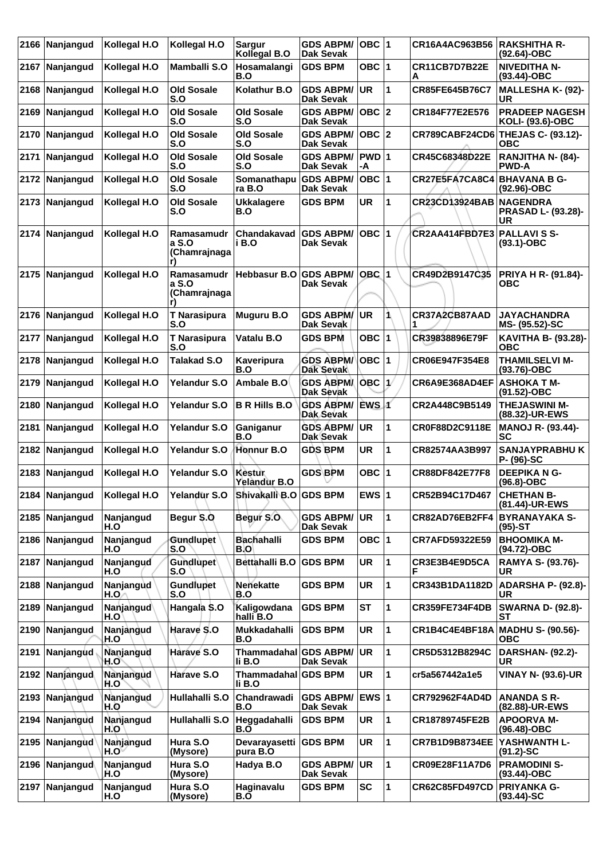|      | 2166 Nanjangud   | Kollegal H.O      | Kollegal H.O                        | <b>Sargur</b><br>Kollegal B.O   | <b>GDS ABPM/</b><br><b>Dak Sevak</b> | OBC  1      |    | CR16A4AC963B56            | <b>RAKSHITHA R-</b><br>(92.64)-OBC                 |
|------|------------------|-------------------|-------------------------------------|---------------------------------|--------------------------------------|-------------|----|---------------------------|----------------------------------------------------|
|      | 2167 Nanjangud   | Kollegal H.O      | Mamballi S.O                        | Hosamalangi<br>B.O              | <b>GDS BPM</b>                       | OBC $ 1$    |    | CR11CB7D7B22E<br>Α        | <b>NIVEDITHA N-</b><br>$(93.44) - OBC$             |
| 2168 | Nanjangud        | Kollegal H.O      | <b>Old Sosale</b><br>S.O            | Kolathur B.O                    | <b>GDS ABPM/</b><br><b>Dak Sevak</b> | <b>UR</b>   | 1  | CR85FE645B76C7            | <b>MALLESHA K- (92)-</b><br><b>UR</b>              |
| 2169 | Nanjangud        | Kollegal H.O      | <b>Old Sosale</b><br>S.O            | <b>Old Sosale</b><br>S.O        | <b>GDS ABPM/</b><br>Dak Sevak        | OBC  2      |    | CR184F77E2E576            | <b>PRADEEP NAGESH</b><br>KOLI- (93.6)-OBC          |
|      | 2170 Nanjangud   | Kollegal H.O      | <b>Old Sosale</b><br>S.O            | <b>Old Sosale</b><br>S.O        | <b>GDS ABPM/</b><br>Dak Sevak        | OBC  2      |    |                           | CR789CABF24CD6 THEJAS C- (93.12)-<br><b>OBC</b>    |
| 2171 | Nanjangud        | Kollegal H.O      | <b>Old Sosale</b><br>S.O            | <b>Old Sosale</b><br>S.O        | <b>GDS ABPM/</b><br>Dak Sevak        | PWD 1<br>-A |    | CR45C68348D22E            | RANJITHA N- (84)-<br><b>PWD-A</b>                  |
| 2172 | Nanjangud        | Kollegal H.O      | <b>Old Sosale</b><br>S.O            | Somanathapu<br>ra B.O           | <b>GDS ABPM/</b><br>Dak Sevak        | OBC  1      |    | CR27E5FA7CA8C4            | <b>BHAVANA B G-</b><br>(92.96)-OBC                 |
|      | 2173 Nanjangud   | Kollegal H.O      | <b>Old Sosale</b><br>S.O            | <b>Ukkalagere</b><br>B.O        | <b>GDS BPM</b>                       | UR          | 1  | <b>CR23CD13924BAB</b>     | <b>NAGENDRA</b><br><b>PRASAD L- (93.28)-</b><br>UR |
| 2174 | Nanjangud        | Kollegal H.O      | Ramasamudr<br>a S.O<br>(Chamrajnaga | Chandakavad<br>i B.O            | <b>GDS ABPM/</b><br>Dak Sevak        | OBC  1      |    | CR2AA414FBD7E3 PALLAVISS- | $(93.1) - OBC$                                     |
|      | 2175 Nanjangud   | Kollegal H.O      | Ramasamudr<br>a S.O<br>(Chamrajnaga | Hebbasur B.O                    | <b>GDS ABPM/</b><br>Dak Sevak        | $OBC$ 1     |    | CR49D2B9147C35            | PRIYA H R- (91.84)-<br>ОВС                         |
|      | 2176 Nanjangud   | Kollegal H.O      | <b>T</b> Narasipura<br>S.O          | <b>Muguru B.O</b>               | GDS ABPM/<br>Dak Sevak               | <b>UR</b>   |    | CR37A2CB87AAD             | <b>JAYACHANDRA</b><br>MS- (95.52)-SC               |
| 2177 | <b>Nanjangud</b> | Kollegal H.O      | <b>T Narasipura</b><br>S.O          | Vatalu B.O                      | <b>GDS BPM</b>                       | OBC $ 1$    |    | CR39838896E79F            | KAVITHA B- (93.28)-<br><b>OBC</b>                  |
|      | 2178 Nanjangud   | Kollegal H.O      | <b>Talakad S.O</b>                  | Kaveripura<br>B.O               | <b>GDS ABPM/</b><br><b>Dak Sevak</b> | OBC $ 1$    |    | CR06E947F354E8            | <b>THAMILSELVI M-</b><br>$(93.76) - OBC$           |
| 2179 | Nanjangud        | Kollegal H.O      | Yelandur S.O                        | Ambale B.O                      | <b>GDS ABPM/</b><br><b>Dak Sevak</b> | OBC         | 1/ | CR6A9E368AD4EF            | <b>ASHOKA T M-</b><br>(91.52)-OBC                  |
| 2180 | Nanjangud        | Kollegal H.O      | Yelandur S.O                        | <b>B R Hills B.O</b>            | <b>GDS ABPM/</b><br>Dak Sevak        | EWS 1       |    | CR2A448C9B5149            | <b>THEJASWINI M-</b><br>(88.32)-UR-EWS             |
| 2181 | Nanjangud        | Kollegal H.O      | Yelandur S.O                        | Ganiganur<br>B.O                | <b>GDS ABPM/</b><br>Dak Sevak        | UR.         | 1  | CR0F88D2C9118E            | <b>MANOJ R- (93.44)-</b><br>SC                     |
| 2182 | Nanjangud        | Kollegal H.O      | Yelandur S.O                        | Honnur B.O                      | <b>GDS BPM</b>                       | UR          | 1  | CR82574AA3B997            | <b>SANJAYPRABHUK</b><br>P- (96)-SC                 |
| 2183 | Nanjangud        | Kollegal H.O      | Yelandur S.O                        | Kestur<br>Yelandur B.O          | <b>GDS BPM</b>                       | OBC $ 1$    |    | CR88DF842E77F8            | <b>DEEPIKA N G-</b><br>$(96.8)-OBC$                |
|      | 2184 Nanjangud   | Kollegal H.O      | Yelandur S.O                        | Shivakalli B.O GDS BPM          |                                      | EWS $ 1$    |    | CR52B94C17D467            | <b>CHETHAN B-</b><br>(81.44)-UR-EWS                |
|      | 2185 Nanjangud   | Nanjangud<br>H.O  | Begur S.O                           | Begur S.O.                      | <b>GDS ABPM/</b><br>Dak Sevak        | ∣UR.        | 1  | CR82AD76EB2FF4            | <b>BYRANAYAKA S-</b><br>$(95)-ST$                  |
|      | 2186 Nanjangud   | Nanjangud<br>H.O  | <b>Gundlupet</b><br>S.O             | <b>Bachahalli</b><br>B.O        | <b>GDS BPM</b>                       | OBC $ 1$    |    | CR7AFD59322E59            | <b>BHOOMIKA M-</b><br>(94.72)-OBC                  |
|      | 2187 Nanjangud   | Nanjangud<br>H.O  | Gundlupet<br>S.O                    | Bettahalli B.O                  | <b>GDS BPM</b>                       | <b>UR</b>   | 1  | CR3E3B4E9D5CA<br>F        | <b>RAMYA S- (93.76)-</b><br><b>UR</b>              |
| 2188 | Nanjangud        | Nanjangud<br>H.O. | <b>Gundlupet</b><br>S.O             | <b>Nenekatte</b><br>B.O         | <b>GDS BPM</b>                       | <b>UR</b>   | 1  | CR343B1DA1182D            | <b>ADARSHA P- (92.8)-</b><br>UR                    |
| 2189 | Nanjangud        | Nanjangud<br>H.O  | Hangala S.O                         | Kaligowdana<br>halli B.O        | <b>GDS BPM</b>                       | <b>ST</b>   | 1  | <b>CR359FE734F4DB</b>     | <b>SWARNA D- (92.8)-</b><br><b>ST</b>              |
| 2190 | Nanjangud        | Nanjangud<br>H.O  | Harave S.O                          | Mukkadahalli<br>B.O             | <b>GDS BPM</b>                       | <b>UR</b>   | 1  | CR1B4C4E4BF18A            | <b>MADHU S- (90.56)-</b><br><b>OBC</b>             |
| 2191 | Nanjangud        | Nanjangud<br>H.O` | Harave S.O                          | Thammadahal GDS ABPM/<br>li B.O | Dak Sevak                            | UR.         | 1  | CR5D5312B8294C            | <b>DARSHAN- (92.2)-</b><br>UR                      |
|      | 2192 Nanjangud   | Nanjangud<br>H.O  | Harave S.O                          | Thammadahal GDS BPM<br>li B.O   |                                      | <b>UR</b>   | 1  | cr5a567442a1e5            | <b>VINAY N- (93.6)-UR</b>                          |
|      | 2193 Nanjangud   | Nanjangud<br>H.O  | Hullahalli S.O                      | Chandrawadi<br>B.O              | <b>GDS ABPM/</b><br>Dak Sevak        | EWS 1       |    | CR792962F4AD4D            | <b>ANANDA S R-</b><br>(82.88)-UR-EWS               |
| 2194 | Nanjangud        | Nanjangud<br>H.O  | Hullahalli S.O                      | Heggadahalli<br>B.O             | <b>GDS BPM</b>                       | <b>UR</b>   | 1  | CR18789745FE2B            | <b>APOORVA M-</b><br>(96.48)-OBC                   |
| 2195 | Nanjangud        | Nanjangud<br>H.O  | Hura S.O<br>(Mysore)                | Devarayasetti<br>pura B.O       | <b>GDS BPM</b>                       | <b>UR</b>   | 1  | <b>CR7B1D9B8734EE</b>     | YASHWANTH L-<br>$(91.2)$ -SC                       |
|      | 2196 Nanjangud   | Nanjangud<br>H.O  | Hura S.O<br>(Mysore)                | Hadya B.O                       | <b>GDS ABPM/</b><br>Dak Sevak        | UR          | 1  | CR09E28F11A7D6            | <b>PRAMODINI S-</b><br>$(93.44)$ -OBC              |
|      | 2197 Nanjangud   | Nanjangud<br>H.O  | Hura S.O<br>(Mysore)                | Haginavalu<br>B.O               | <b>GDS BPM</b>                       | SC          | 1  | <b>CR62C85FD497CD</b>     | <b>PRIYANKA G-</b><br>$(93.44)$ -SC                |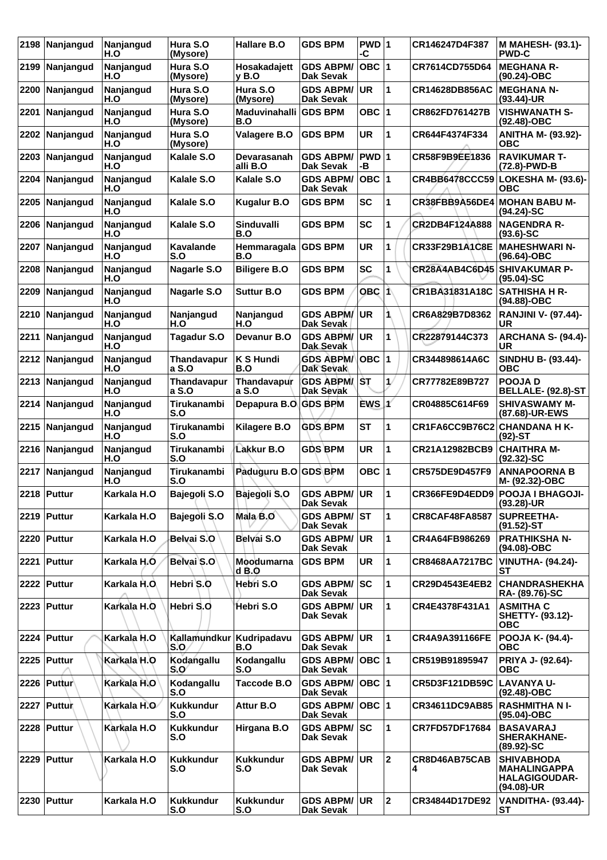| 2198 | Nanjangud      | Nanjangud<br>H.O        | Hura S.O<br>(Mysore)        | Hallare B.O                 | <b>GDS BPM</b>                       | PWD 1<br>-C |              | CR146247D4F387               | <b>M MAHESH- (93.1)-</b><br><b>PWD-C</b>                                       |
|------|----------------|-------------------------|-----------------------------|-----------------------------|--------------------------------------|-------------|--------------|------------------------------|--------------------------------------------------------------------------------|
| 2199 | Nanjangud      | Nanjangud<br>H.O        | Hura S.O<br>(Mysore)        | Hosakadajett<br>y B.O       | <b>GDS ABPM/</b><br>Dak Sevak        | OBC  1      |              | CR7614CD755D64               | <b>MEGHANA R-</b><br>(90.24)-OBC                                               |
| 2200 | Nanjangud      | Nanjangud<br>H.O        | Hura S.O<br>(Mysore)        | Hura S.O<br>(Mysore)        | <b>GDS ABPM/</b><br>Dak Sevak        | <b>UR</b>   | 1            | <b>CR14628DB856AC</b>        | <b>MEGHANA N-</b><br>$(93.44)$ -UR                                             |
| 2201 | Nanjangud      | Nanjangud<br>H.O        | Hura S.O<br>(Mysore)        | <b>Maduvinahalli</b><br>B.O | <b>GDS BPM</b>                       | OBC $ 1$    |              | CR862FD761427B               | <b>VISHWANATH S-</b><br>$(92.48)$ -OBC                                         |
| 2202 | Nanjangud      | Nanjangud<br>H.O        | Hura S.O<br>(Mysore)        | Valagere B.O                | <b>GDS BPM</b>                       | <b>UR</b>   | 1            | CR644F4374F334               | <b>ANITHA M- (93.92)-</b><br>ОВС                                               |
| 2203 | Nanjangud      | Nanjangud<br>H.O        | Kalale S.O                  | Devarasanah<br>alli B.O     | <b>GDS ABPM/</b><br>Dak Sevak        | PWD 1<br>-В |              | CR58F9B9EE1836               | <b>RAVIKUMAR T-</b><br>(72.8)-PWD-B                                            |
| 2204 | Nanjangud      | Nanjangud<br>H.O        | Kalale S.O                  | Kalale S.O                  | <b>GDS ABPM/</b><br>Dak Sevak        | OBC $ 1$    |              | <b>CR4BB6478CCC59</b>        | LOKESHA M- (93.6)- <br>овс                                                     |
| 2205 | Nanjangud      | Nanjangud<br>H.O        | Kalale S.O                  | <b>Kugalur B.O</b>          | <b>GDS BPM</b>                       | <b>SC</b>   | 1            | CR38FBB9A56DE4               | <b>MOHAN BABU M-</b><br>$(94.24)-SC$                                           |
| 2206 | Nanjangud      | Nanjangud<br>H.O        | Kalale S.O                  | <b>Sinduvalli</b><br>B.O    | <b>GDS BPM</b>                       | <b>SC</b>   | 1            | CR2DB4F124A888               | <b>NAGENDRA R-</b><br>$(93.6) - SC$                                            |
| 2207 | Nanjangud      | Nanjangud<br>H.O        | <b>Kavalande</b><br>S.O     | Hemmaragala<br>B.O          | <b>GDS BPM</b>                       | <b>UR</b>   | 1            | CR33F29B1A1C8E               | <b>MAHESHWARIN-</b><br>(96.64)-OBC                                             |
| 2208 | Nanjangud      | Nanjangud<br>H.O        | <b>Nagarle S.O</b>          | <b>Biligere B.O</b>         | <b>GDS BPM</b>                       | <b>SC</b>   | 1            | CR28A4AB4C6D45 SHIVAKUMAR P- | $(95.04)-SC$                                                                   |
| 2209 | Nanjangud      | Nanjangud<br>H.O        | Nagarle S.O                 | <b>Suttur B.O</b>           | <b>GDS BPM</b>                       | OBC 1       |              | CR1BA31831A18C               | <b>SATHISHA H R-</b><br>(94.88)-OBC                                            |
| 2210 | Nanjangud      | <b>Naniangud</b><br>H.O | Nanjangud<br>H.O            | Nanjangud<br>H.O            | <b>GDS ABPM/</b><br>Dak Sevak        | <b>UR</b>   | 1            | CR6A829B7D8362               | <b>RANJINI V- (97.44)-</b><br><b>UR</b>                                        |
| 2211 | Nanjangud      | Nanjangud<br>H.O        | Tagadur S.O                 | Devanur B.O                 | <b>GDS ABPM/</b><br>Dak Sevak        | <b>UR</b>   | 1            | CR22879144C373               | <b>ARCHANA S- (94.4)-</b><br>UR                                                |
|      | 2212 Nanjangud | Nanjangud<br>H.O        | <b>Thandavapur</b><br>a S.O | K S Hundi<br>B.O            | <b>GDS ABPM/</b><br><b>Dak Sevak</b> | OBC $ 1$    |              | CR344898614A6C               | <b>SINDHU B- (93.44)-</b><br><b>OBC</b>                                        |
| 2213 | Nanjangud      | Nanjangud<br>H.O        | <b>Thandavapur</b><br>a S.O | Thandavapur<br>a S.O        | <b>GDS ABPM/</b><br>Dak Sevak        | IST.        | 1/           | CR77782E89B727               | <b>POOJAD</b><br><b>BELLALE- (92.8)-ST</b>                                     |
| 2214 | Nanjangud      | Nanjangud<br>H.O        | Tirukanambi<br>S.O          | Depapura B.O.               | <b>GDS BPM</b>                       | EWS 1       |              | CR04885C614F69               | <b>SHIVASWAMY M-</b><br>(87.68)-UR-EWS                                         |
| 2215 | Nanjangud      | Nanjangud<br>H.O        | Tirukanambi<br>S.O          | Kilagere B.O                | <b>GDS BPM</b>                       | <b>ST</b>   | 1            | CR1FA6CC9B76C2               | <b>CHANDANA H K-</b><br>$(92)$ -ST                                             |
| 2216 | Nanjangud      | Nanjangud<br>H.O        | Tirukanambi<br>S.O          | Lakkur B.O                  | <b>GDS BPM</b>                       | <b>UR</b>   | 1            | CR21A12982BCB9               | <b>CHAITHRA M-</b><br>$(92.32) - SC$                                           |
|      | 2217 Nanjangud | Nanjangud<br>H.O        | Tirukanambi<br>S.O          | Paduguru B.O GDS BPM        |                                      | OBC $ 1$    |              | CR575DE9D457F9               | <b>ANNAPOORNA B</b><br>M- (92.32)-OBC                                          |
|      | 2218 Puttur    | Karkala H.O             | Bajegoli S.O                | Bajegoli S.O GDS ABPM/UR    | <b>Dak Sevak</b>                     |             | 1            |                              | CR366FE9D4EDD9 POOJA I BHAGOJI-<br>$(93.28)$ -UR                               |
|      | 2219   Puttur  | Karkala H.O             | Bajegoli S.O                | Mala B.O                    | <b>GDS ABPM/ST</b><br>Dak Sevak      |             | 1            | <b>CR8CAF48FA8587</b>        | <b>SUPREETHA-</b><br>$(91.52)$ -ST                                             |
|      | 2220 Puttur    | Karkala H.O             | Belvai S.O                  | Belvai S.O                  | <b>GDS ABPM/</b><br>Dak Sevak        | <b>UR</b>   | 1            | CR4A64FB986269               | <b>PRATHIKSHA N-</b><br>(94.08)-OBC                                            |
|      | 2221 Puttur    | Karkala H.O             | Belvai S.O                  | Moodumarna<br>d B.O         | <b>GDS BPM</b>                       | UR.         | 1            | <b>CR8468AA7217BC</b>        | <b>VINUTHA- (94.24)-</b><br>SТ                                                 |
|      | 2222 Puttur    | Karkala H.O.            | Hebri S.O                   | Hebri S.O                   | <b>GDS ABPM/ SC</b><br>Dak Sevak     |             | 1            | CR29D4543E4EB2               | <b>CHANDRASHEKHA</b><br>RA- (89.76)-SC                                         |
|      | 2223 Puttur    | Karkala H.O             | Hebri S.O                   | Hebri S.O                   | <b>GDS ABPM/</b><br>Dak Sevak        | ∣UR.        | 1            | CR4E4378F431A1               | <b>ASMITHA C</b><br>SHETTY- (93.12)-<br><b>OBC</b>                             |
|      | 2224 Puttur    | Karkala H.O             | Kallamundkur<br>S.O         | Kudripadavu<br>B.O          | <b>GDS ABPM/</b><br>Dak Sevak        | UR.         | 1            | CR4A9A391166FE               | <b>POOJA K- (94.4)-</b><br><b>OBC</b>                                          |
|      | 2225 Puttur    | Karkala H.O             | Kodangallu<br>$S_{1}O'$     | Kodangallu<br>S.O           | <b>GDS ABPM/</b><br>Dak Sevak        | OBC  1      |              | CR519B91895947               | <b>PRIYA J- (92.64)-</b><br><b>OBC</b>                                         |
|      | 2226 Puttur    | Karkala H.O             | Kodangallu<br>S.O           | Taccode B.O                 | <b>GDS ABPM/</b><br>Dak Sevak        | OBC  1      |              | CR5D3F121DB59C               | LAVANYA U-<br>(92.48)-OBC                                                      |
|      | 2227 Puttur    | Karkala H.O             | <b>Kukkundur</b><br>S.O     | Attur B.O                   | <b>GDS ABPM/</b><br><b>Dak Sevak</b> | OBC  1      |              | CR34611DC9AB85               | <b>RASHMITHANI-</b><br>(95.04)-OBC                                             |
|      | 2228 Puttur    | Karkala H.O             | <b>Kukkundur</b><br>S.O     | Hirgana B.O                 | <b>GDS ABPM/</b><br>Dak Sevak        | lsc         | 1            | CR7FD57DF17684               | <b>BASAVARAJ</b><br><b>SHERAKHANE-</b><br>$(89.92) - SC$                       |
|      | 2229 Puttur    | Karkala H.O             | <b>Kukkundur</b><br>S.O     | <b>Kukkundur</b><br>S.O     | <b>GDS ABPM/ UR</b><br>Dak Sevak     |             | $\mathbf{2}$ | CR8D46AB75CAB<br>4           | <b>SHIVABHODA</b><br><b>MAHALINGAPPA</b><br><b>HALAGIGOUDAR-</b><br>(94.08)-UR |
|      | 2230 Puttur    | Karkala H.O             | <b>Kukkundur</b><br>S.O     | <b>Kukkundur</b><br>S.O     | <b>GDS ABPM/ UR</b><br>Dak Sevak     |             | 2            | CR34844D17DE92               | <b>VANDITHA- (93.44)-</b><br>SТ                                                |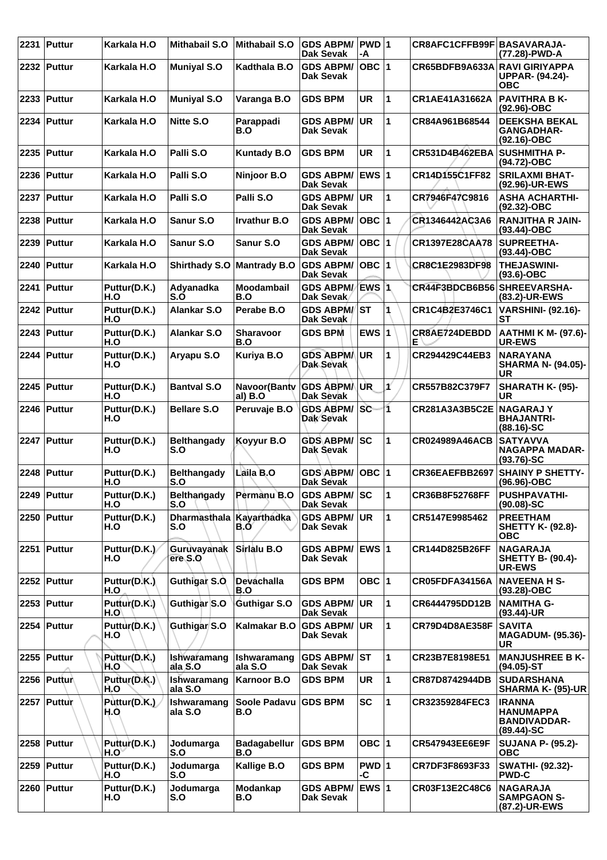|      | 2231 Puttur   | Karkala H.O          | <b>Mithabail S.O</b>            | <b>Mithabail S.O</b>              | <b>GDS ABPM/</b><br><b>Dak Sevak</b>   | $PWD$ 1<br>-A |              | CR8AFC1CFFB99F BASAVARAJA-    | (77.28)-PWD-A                                                             |
|------|---------------|----------------------|---------------------------------|-----------------------------------|----------------------------------------|---------------|--------------|-------------------------------|---------------------------------------------------------------------------|
|      | 2232 Puttur   | Karkala H.O          | <b>Muniyal S.O</b>              | Kadthala B.O                      | <b>GDS ABPM/</b><br>Dak Sevak          | OBC $ 1$      |              | CR65BDFB9A633A RAVI GIRIYAPPA | <b>UPPAR- (94.24)-</b><br>ОВС                                             |
| 2233 | Puttur        | Karkala H.O          | <b>Muniyal S.O</b>              | Varanga B.O                       | <b>GDS BPM</b>                         | <b>UR</b>     | 1            | CR1AE41A31662A                | <b>PAVITHRA B K-</b><br>(92.96)-OBC                                       |
|      | 2234 Puttur   | Karkala H.O          | Nitte S.O                       | Parappadi<br>B.O                  | <b>GDS ABPM/</b><br><b>Dak Sevak</b>   | <b>UR</b>     | 1            | CR84A961B68544                | <b>DEEKSHA BEKAL</b><br><b>GANGADHAR-</b><br>(92.16)-OBC                  |
|      | 2235   Puttur | Karkala H.O          | Palli S.O                       | <b>Kuntady B.O</b>                | <b>GDS BPM</b>                         | <b>UR</b>     | 1            | <b>CR531D4B462EBA</b>         | <b>SUSHMITHA P-</b><br>(94.72)-OBC                                        |
| 2236 | ∣Puttur       | Karkala H.O          | Palli S.O                       | Ninjoor B.O                       | <b>GDS ABPM/</b><br><b>Dak Sevak</b>   | EWS 1         |              | CR14D155C1FF82                | <b>SRILAXMI BHAT-</b><br>(92.96)-UR-EWS                                   |
| 2237 | Puttur        | Karkala H.O          | Palli S.O                       | Palli S.O                         | <b>GDS ABPM/</b><br><b>Dak Sevak</b>   | <b>UR</b>     | 1            | CR7946F47C9816                | <b>ASHA ACHARTHI-</b><br>(92.32)-OBC                                      |
|      | 2238 Puttur   | Karkala H.O          | <b>Sanur S.O</b>                | Irvathur B.O                      | <b>GDS ABPM/</b><br><b>Dak Sevak</b>   | $OBC$  1      |              | CR1346442AC3A6                | <b>RANJITHA R JAIN-</b><br>$(93.44) - OBC$                                |
| 2239 | Puttur        | Karkala H.O          | Sanur S.O                       | Sanur S.O                         | <b>GDS ABPM/</b><br><b>Dak Sevak</b>   | OBC  1        |              | <b>CR1397E28CAA78</b>         | <b>SUPREETHA-</b><br>$(93.44) - OBC$                                      |
| 2240 | Puttur        | Karkala H.O          | <b>Shirthady S.O</b>            | <b>Mantrady B.O</b>               | <b>GDS ABPM/</b><br><b>Dak Sevak</b>   | OBC $ 1$      |              | CR8C1E2983DF98                | <b>THEJASWINI-</b><br>$(93.6)$ -OBC                                       |
|      | 2241 Puttur   | Puttur(D.K.)<br>H.O  | Adyanadka<br>S.O                | <b>Moodambail</b><br>B.O          | <b>GDS ABPM/</b><br>Dak Sevak          | EWS 1         |              | CR44F3BDCB6B56                | <b>SHREEVARSHA-</b><br>(83.2)-UR-EWS                                      |
| 2242 | Puttur        | Puttur(D.K.)<br>H.O  | <b>Alankar S.O</b>              | Perabe B.O                        | <b>GDS ABPM/ST</b><br>Dak Sevak        |               |              | CR1C4B2E3746C1                | <b>VARSHINI- (92.16)-</b><br><b>ST</b>                                    |
| 2243 | <b>Puttur</b> | Puttur(D.K.)<br>H.O  | <b>Alankar S.O</b>              | Sharavoor<br>B.O                  | <b>GDS BPM</b>                         | EWS 1         |              | CR8AE724DEBDD<br>Е            | <b>AATHMI K M- (97.6)-</b><br><b>UR-EWS</b>                               |
|      | 2244 Puttur   | Puttur(D.K.)<br>H.O  | Aryapu S.O                      | Kuriya B.O                        | <b>GDS ABPM/</b><br>Dak Sevak          | <b>UR</b>     | 1            | <b>CR294429C44EB3</b>         | <b>NARAYANA</b><br><b>SHARMA N- (94.05)-</b><br>UR                        |
|      | 2245 Puttur   | Puttur(D.K.)<br>H.O  | <b>Bantval S.O</b>              | Navoor(Banty GDS ABPMA<br>al) B.O | <b>Dak Sevak</b>                       | UR            | ¥            | CR557B82C379F7                | SHARATH K- (95)-<br><b>UR</b>                                             |
|      | 2246 Puttur   | Puttur(D.K.)<br>H.O  | <b>Bellare S.O</b>              | Peruvaje B.O                      | <b>GDS ABPM/</b><br>Dak Sevak          | lsc           | 1            | CR281A3A3B5C2E                | <b>NAGARAJY</b><br><b>BHAJANTRI-</b><br>$(88.16)-SC$                      |
|      | 2247 Puttur   | Puttur(D.K.)<br>H.O  | <b>Belthangady</b><br>S.O       | Koyyur B.O                        | <b>GDS ABPM/</b><br>Dak Sevak          | lsc           | 1            | CR024989A46ACB                | <b>SATYAVVA</b><br><b>NAGAPPA MADAR-</b><br>$(93.76)$ -SC                 |
|      | 2248 Puttur   | Puttur(D.K.)<br>H.O  | <b>Belthangady</b><br>S.O       | Laila B.O                         | <b>GDS ABPM/</b><br>Dak Sevak          | OBC  1        |              | CR36EAEFBB2697                | <b>SHAINY P SHETTY-</b><br>(96.96)-OBC                                    |
|      | 2249 Puttur   | Puttur(D.K.)<br>H.O  | Belthangady<br>S.O              | Permanu B.O                       | <b>GDS ABPM/SC</b><br><b>Dak Sevak</b> |               | 1            | CR36B8F52768FF                | <b>PUSHPAVATHI-</b><br>$(90.08) - SC$                                     |
|      | 2250 Puttur   | Puttur(D.K.)<br>H.O  | Dharmasthala Kayarthadka<br>S.O | B.O                               | <b>GDS ABPM/</b><br><b>Dak Sevak</b>   | <b>UR</b>     | 1            | CR5147E9985462                | <b>PREETHAM</b><br><b>SHETTY K- (92.8)-</b><br><b>OBC</b>                 |
|      | 2251 Puttur   | Puttur(D.K.)<br>H.O  | Guruvayanak<br>ere S.O          | Sirlalu B.O                       | <b>GDS ABPM/</b><br><b>Dak Sevak</b>   | ∣EWS 1        |              | CR144D825B26FF                | <b>NAGARAJA</b><br><b>SHETTY B- (90.4)-</b><br><b>UR-EWS</b>              |
|      | 2252 Puttur   | Puttur(D.K.)<br>H.O  | Guthigar S.O.                   | Devachalla<br>B.O                 | <b>GDS BPM</b>                         | OBC $ 1$      |              | CR05FDFA34156A                | <b>NAVEENA H S-</b><br>$(93.28)-OBC$                                      |
|      | 2253 Puttur   | Puttur(D.K.)<br>H.O\ | Guthigar S.O                    | Guthigar S.O                      | <b>GDS ABPM/</b><br><b>Dak Sevak</b>   | UR.           | $\mathbf{1}$ | CR6444795DD12B                | <b>NAMITHA G-</b><br>(93.44)-UR                                           |
|      | 2254   Puttur | Puttur(D.K.)<br>H.O  | Guthigar S.O                    | Kalmakar B.O                      | <b>GDS ABPM/</b><br><b>Dak Sevak</b>   | <b>UR</b>     | $\mathbf{1}$ | <b>CR79D4D8AE358F</b>         | <b>SAVITA</b><br><b>MAGADUM- (95.36)-</b><br>UR.                          |
|      | 2255 Puttur   | Puttur(D.K.)<br>H.O  | Ishwaramang<br>ala S.O          | Ishwaramang<br>ala S.O            | <b>GDS ABPM/ ST</b><br>Dak Sevak       |               | 1            | CR23B7E8198E51                | <b>MANJUSHREE B K-</b><br>$(94.05)$ -ST                                   |
|      | 2256 Puttur   | Puttur(D.K.)<br>H.O  | Ishwaramang<br>ala S.O          | Karnoor B.O                       | <b>GDS BPM</b>                         | UR            | $\mathbf{1}$ | CR87D8742944DB                | <b>SUDARSHANA</b><br><b>SHARMA K- (95)-UR</b>                             |
|      | 2257 Puttur   | Puttur(D.K.)<br>H.O  | Ishwaramang<br>ala S.O          | Soole Padavu<br>B.O               | <b>GDS BPM</b>                         | <b>SC</b>     | $\mathbf{1}$ | CR32359284FEC3                | <b>IRANNA</b><br><b>HANUMAPPA</b><br><b>BANDIVADDAR-</b><br>$(89.44)$ -SC |
|      | 2258 Puttur   | Puttur(D.K.)<br>H.O` | Jodumarga<br>S.O                | <b>Badagabellur</b><br>B.O        | <b>GDS BPM</b>                         | OBC $ 1$      |              | CR547943EE6E9F                | <b>SUJANA P- (95.2)-</b><br><b>OBC</b>                                    |
|      | 2259 Puttur   | Puttur(D.K.)<br>H.O  | Jodumarga<br>S.O                | Kallige B.O                       | <b>GDS BPM</b>                         | PWD 1<br>-C   |              | CR7DF3F8693F33                | <b>SWATHI- (92.32)-</b><br><b>PWD-C</b>                                   |
|      | 2260   Puttur | Puttur(D.K.)<br>H.O  | Jodumarga<br>S.O                | <b>Modankap</b><br>B.O            | <b>GDS ABPM/</b><br><b>Dak Sevak</b>   | EWS 1         |              | CR03F13E2C48C6                | <b>NAGARAJA</b><br><b>SAMPGAON S-</b><br>(87.2)-UR-EWS                    |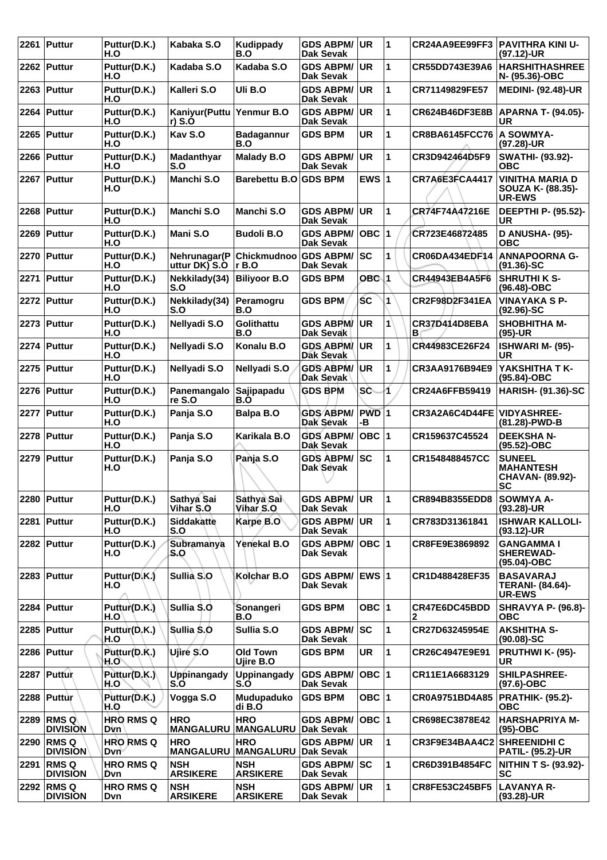|      | 2261 Puttur                    | Puttur(D.K.)<br>H.O                   | Kabaka S.O                     | Kudippady<br>B.O                            | <b>GDS ABPM/</b><br><b>Dak Sevak</b> | UR.         | 1  | CR24AA9EE99FF3              | <b>PAVITHRA KINI U-</b><br>(97.12)-UR                              |
|------|--------------------------------|---------------------------------------|--------------------------------|---------------------------------------------|--------------------------------------|-------------|----|-----------------------------|--------------------------------------------------------------------|
|      | 2262 Puttur                    | Puttur(D.K.)<br>H.O                   | Kadaba S.O                     | Kadaba S.O                                  | <b>GDS ABPM/</b><br>Dak Sevak        | <b>UR</b>   | 1  | CR55DD743E39A6              | <b>HARSHITHASHREE</b><br>N- (95.36)-OBC                            |
|      | 2263   Puttur                  | Puttur(D.K.)<br>H.O                   | Kalleri S.O                    | Uli B.O                                     | <b>GDS ABPM/</b><br><b>Dak Sevak</b> | <b>UR</b>   | 1  | CR71149829FE57              | <b>MEDINI- (92.48)-UR</b>                                          |
| 2264 | Puttur                         | Puttur(D.K.)<br>H.O                   | Kaniyur (Puttu<br>$r)$ S.O     | Yenmur B.O                                  | <b>GDS ABPM/</b><br>Dak Sevak        | UR.         | 1  | CR624B46DF3E8B              | <b>APARNA T- (94.05)-</b><br><b>UR</b>                             |
|      | 2265 Puttur                    | Puttur(D.K.)<br>H.O                   | Kav S.O                        | <b>Badagannur</b><br>B.O                    | <b>GDS BPM</b>                       | <b>UR</b>   | 1  | <b>CR8BA6145FCC76</b>       | A SOWMYA-<br>(97.28)-UR                                            |
|      | 2266   Puttur                  | Puttur(D.K.)<br>H.O                   | Madanthyar<br>S.O              | <b>Malady B.O</b>                           | <b>GDS ABPM/</b><br><b>Dak Sevak</b> | UR.         | 1  | CR3D942464D5F9              | <b>SWATHI- (93.92)-</b><br>ОВС                                     |
|      | 2267 Puttur                    | Puttur(D.K.)<br>H.O                   | Manchi S.O                     | Barebettu B.O GDS BPM                       |                                      | EWS $ 1$    |    | CR7A6E3FCA4417              | <b>VINITHA MARIA D</b><br>SOUZA K- (88.35)-<br><b>UR-EWS</b>       |
|      | 2268 Puttur                    | Puttur(D.K.)<br>H.O                   | <b>Manchi S.O</b>              | Manchi S.O                                  | <b>GDS ABPM/</b><br>Dak Sevak        | <b>UR</b>   | 1  | CR74F74A47216E              | DEEPTHI P- (95.52)-<br>UR.                                         |
| 2269 | Puttur                         | Puttur(D.K.)<br>H.O                   | Mani S.O                       | <b>Budoli B.O</b>                           | <b>GDS ABPM/</b><br><b>Dak Sevak</b> | OBC  1      |    | CR723E46872485              | D ANUSHA- (95)-<br><b>OBC</b>                                      |
|      | 2270 Puttur                    | Puttur(D.K.)<br>H.O                   | Nehrunagar(P<br>uttur DK) S.O  | Chickmudnoo GDS ABPM/<br>r B.O              | Dak Sevak                            | <b>SC</b>   | 1  | CR06DA434EDF14              | ANNAPOORNA G-<br>$(91.36) - SC$                                    |
|      | 2271 Puttur                    | Puttur(D.K.)<br>H.O                   | Nekkilady(34)<br>S.O           | <b>Biliyoor B.O</b>                         | <b>GDS BPM</b>                       | $OBC$ 1     |    | CR44943EB4A5F6              | <b>SHRUTHI K S-</b><br>(96.48)-OBC                                 |
|      | 2272 Puttur                    | Puttur(D.K.)<br>H.O                   | Nekkilady(34)<br>S.O           | Peramogru<br>B.O                            | <b>GDS BPM</b>                       | ŚС          | 1  | CR2F98D2F341EA              | <b>VINAYAKA S P-</b><br>$(92.96)-SC$                               |
|      | 2273 Puttur                    | Puttur(D.K.)<br>H.O                   | Nellyadi S.O                   | Golithattu<br>B.O                           | <b>GDS ABPM/</b><br>Dak Sevak        | UR.         | 1  | CR37D414D8EBA<br>в          | <b>SHOBHITHA M-</b><br>$(95)-UR$                                   |
|      | 2274 Puttur                    | Puttur(D.K.)<br>H.O                   | Nellyadi S.O                   | Konalu B.O                                  | <b>GDS ABPM/</b><br>Dak Sevak        | UR.         | 1  | CR44983CE26F24              | ISHWARI M- (95)-<br><b>UR</b>                                      |
|      | 2275 Puttur                    | Puttur(D.K.)<br>H.O                   | Nellyadi S.O                   | Nellyadi S.O                                | <b>GDS ABPM/</b><br>Dak Sevak        | ∣UR         | 1  | CR3AA9176B94E9              | YAKSHITHA T K-<br>(95.84)-OBC                                      |
|      | 2276 Puttur                    | Puttur(D.K.)<br>H.O                   | Panemangalo<br>re S.O          | <b>Sajipapadu</b><br>B.O                    | <b>GDS BPM</b>                       | SČ          | 1. | CR24A6FFB59419              | <b>HARISH- (91.36)-SC</b>                                          |
|      | 2277 Puttur                    | Puttur(D.K.)<br>H.O                   | Panja S.O                      | Balpa B.O                                   | <b>GDS ABPM/</b><br>Dak Sevak        | PWD 1<br>-В |    | CR3A2A6C4D44FE VIDYASHREE-  | (81.28)-PWD-B                                                      |
|      | 2278 Puttur                    | Puttur(D.K.)<br>H.O                   | Panja S.O                      | Karikala B.O                                | <b>GDS ABPM/</b><br><b>Dak Sevak</b> | OBC $ 1$    |    | CR159637C45524              | <b>DEEKSHA N-</b><br>(95.52)-OBC                                   |
|      | 2279 Puttur                    | Puttur(D.K.)<br>H.O                   | Panja S.O                      | Panja S.O                                   | <b>GDS ABPM/</b><br>Dak Sevak        | SC          | 1  | CR1548488457CC              | <b>SUNEEL</b><br><b>MAHANTESH</b><br>CHAVAN- (89.92)-<br><b>SC</b> |
|      | 2280   Puttur                  | Puttur(D.K.)<br>H.O                   | Sathya Sai<br>Vihar S.O        | Sathya Sai<br>Vihar S.O                     | GDS ABPM/ ∣UR<br>Dak Sevak           |             | ∣1 | CR894B8355EDD8              | <b>SOWMYA A-</b><br>(93.28)-UR                                     |
|      | 2281 Puttur                    | Puttur(D.K.)<br>H.O                   | Siddakatte<br>S.O              | Karpe B.O                                   | <b>GDS ABPM/</b><br>Dak Sevak        | ∣UR.        | 1  | CR783D31361841              | <b>ISHWAR KALLOLI-</b><br>$(93.12)$ -UR                            |
|      | 2282 Puttur                    | Puttur(D.K.)<br>H.O                   | Subramanya<br>S.O              | Yenekal B.O                                 | <b>GDS ABPM/</b><br>Dak Sevak        | OBC  1      |    | CR8FE9E3869892              | <b>GANGAMMAI</b><br><b>SHEREWAD-</b><br>(95.04)-OBC                |
|      | 2283   Puttur                  | Puttur(D.K.)<br>H.O                   | Sullia S.O                     | Kolchar B.O                                 | <b>GDS ABPM/</b><br>Dak Sevak        |             |    | CR1D488428EF35              | <b>BASAVARAJ</b><br><b>TERANI- (84.64)-</b><br><b>UR-EWS</b>       |
|      | 2284 Puttur                    | Puttur(D.K.)<br>H.O                   | Sullia S.O.                    | Sonangeri<br>B.O                            | <b>GDS BPM</b>                       | OBC 1       |    | CR47E6DC45BDD<br>2          | SHRAVYA P- (96.8)-<br><b>OBC</b>                                   |
|      | 2285   Puttur                  | Puttur(D.K.)<br>H.O                   | Sullia S.O                     | Sullia S.O                                  | <b>GDS ABPM/</b><br>Dak Sevak        | <b>SC</b>   | 1  | CR27D63245954E              | <b>AKSHITHA S-</b><br>$(90.08) - SC$                               |
|      | 2286   Puttur                  | Puttur(D.K.)<br>H.O`                  | Ujiré S.O                      | <b>Old Town</b><br>Ujire B.O                | <b>GDS BPM</b>                       | UR          | 1  | CR26C4947E9E91              | PRUTHWI K- (95)-<br><b>UR</b>                                      |
|      | 2287 Puttur                    | Puttur(D.K.)<br>H.O                   | <b>Uppinangady</b><br>S.O      | <b>Uppinangady</b><br>S.O                   | <b>GDS ABPM/</b><br>Dak Sevak        | OBC  1      |    | CR11E1A6683129              | SHILPASHREE-<br>$(97.6)$ -OBC                                      |
|      | 2288 Puttur                    | Puttur(D.K.)<br>H.O                   | Vogga S.O                      | Mudupaduko<br>di B.O                        | <b>GDS BPM</b>                       | OBC 1       |    | CR0A9751BD4A85              | <b>PRATHIK- (95.2)-</b><br><b>OBC</b>                              |
|      | 2289 RMS Q<br><b>DIVISION</b>  | <b>HRO RMS Q</b><br>Dvn               | <b>HRO</b><br><b>MANGALURU</b> | <b>HRO</b><br>MANGALURU Dak Sevak           | <b>GDS ABPM/</b>                     | OBC  1      |    | CR698EC3878E42              | <b>HARSHAPRIYA M-</b><br>$(95)-OBC$                                |
|      | 2290 RMS Q<br><b>DIVISION</b>  | <b>HRO RMS Q</b><br>Dvn <sup>-1</sup> | <b>HRO</b>                     | <b>HRO</b><br>MANGALURU MANGALURU Dak Sevak | <b>GDS ABPM/</b>                     | <b>UR</b>   | 1  | CR3F9E34BAA4C2 SHREENIDHI C | <b>PATIL- (95.2)-UR</b>                                            |
| 2291 | <b>RMSQ</b><br><b>DIVISION</b> | <b>HRO RMS Q</b><br>Dvn               | <b>NSH</b><br><b>ARSIKERE</b>  | <b>NSH</b><br><b>ARSIKERE</b>               | <b>GDS ABPM/ SC</b><br>Dak Sevak     |             | 1  | CR6D391B4854FC              | <b>NITHIN T S- (93.92)-</b><br>SC                                  |
|      | 2292 RMS Q<br><b>DIVISION</b>  | <b>HRO RMS Q</b><br>Dvn               | <b>NSH</b><br><b>ARSIKERE</b>  | <b>NSH</b><br><b>ARSIKERE</b>               | <b>GDS ABPM/</b><br>Dak Sevak        | ∣UR         | 1  | CR8FE53C245BF5              | <b>LAVANYA R-</b><br>$(93.28)$ -UR                                 |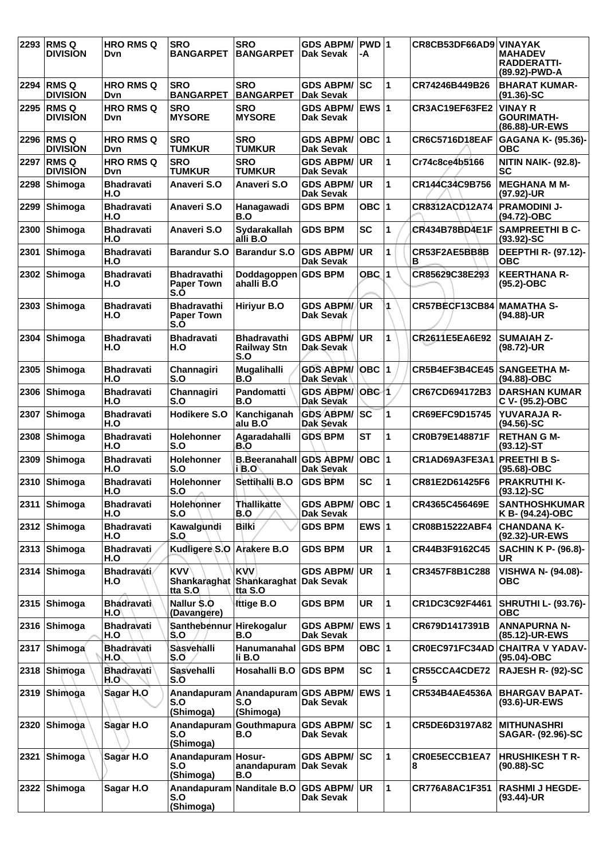| 2293 | <b>RMSQ</b><br><b>DIVISION</b> | <b>HRO RMS Q</b><br>Dvn.  | <b>SRO</b><br><b>BANGARPET</b>                 | <b>SRO</b><br><b>BANGARPET</b>                               | <b>GDS ABPM/</b><br>Dak Sevak           | <b>PWD</b> 1<br>-A      |              | CR8CB53DF66AD9 VINAYAK | <b>MAHADEV</b><br><b>RADDERATTI-</b><br>(89.92)-PWD-A |
|------|--------------------------------|---------------------------|------------------------------------------------|--------------------------------------------------------------|-----------------------------------------|-------------------------|--------------|------------------------|-------------------------------------------------------|
|      | 2294 RMS Q<br><b>DIVISION</b>  | <b>HRO RMS Q</b><br>Dvn.  | <b>SRO</b><br><b>BANGARPET</b>                 | SRO<br><b>BANGARPET</b>                                      | <b>GDS ABPM/ SC</b><br><b>Dak Sevak</b> |                         | 1            | CR74246B449B26         | <b>BHARAT KUMAR-</b><br>$(91.36) - SC$                |
| 2295 | <b>RMSQ</b><br><b>DIVISION</b> | <b>HRO RMS Q</b><br>Dvn.  | <b>SRO</b><br><b>MYSORE</b>                    | <b>SRO</b><br><b>MYSORE</b>                                  | <b>GDS ABPM/</b><br>Dak Sevak           | <b>EWS 1</b>            |              | CR3AC19EF63FE2         | <b>VINAY R</b><br><b>GOURIMATH-</b><br>(86.88)-UR-EWS |
| 2296 | <b>RMSQ</b><br><b>DIVISION</b> | <b>HRO RMS Q</b><br>Dvn   | <b>SRO</b><br><b>TUMKUR</b>                    | <b>SRO</b><br><b>TUMKUR</b>                                  | <b>GDS ABPM/</b><br><b>Dak Sevak</b>    | OBC  1                  |              | <b>CR6C5716D18EAF</b>  | GAGANA K- (95.36)-<br><b>OBC</b>                      |
| 2297 | <b>RMSQ</b><br><b>DIVISION</b> | <b>HRO RMS Q</b><br>Dvn   | <b>SRO</b><br><b>TUMKUR</b>                    | <b>SRO</b><br><b>TUMKUR</b>                                  | <b>GDS ABPM/</b><br><b>Dak Sevak</b>    | <b>UR</b>               | 1            | Cr74c8ce4b5166         | <b>NITIN NAIK- (92.8)-</b><br><b>SC</b>               |
| 2298 | Shimoga                        | <b>Bhadravati</b><br>H.O  | Anaveri S.O                                    | Anaveri S.O                                                  | <b>GDS ABPM/</b><br><b>Dak Sevak</b>    | UR                      | 1            | CR144C34C9B756         | <b>MEGHANA M M-</b><br>(97.92)-UR                     |
| 2299 | Shimoga                        | <b>Bhadravati</b><br>H.O  | Anaveri S.O                                    | Hanagawadi<br>B.O                                            | <b>GDS BPM</b>                          | OBC $ 1$                |              | CR8312ACD12A74         | <b>PRAMODINI J-</b><br>(94.72)-OBC                    |
| 2300 | Shimoga                        | <b>Bhadravati</b><br>H.O  | Anaveri S.O                                    | Sydarakallah<br>alli B.O                                     | <b>GDS BPM</b>                          | <b>SC</b>               | 1            | CR434B78BD4E1F         | <b>SAMPREETHI B C-</b><br>$(93.92) - SC$              |
| 2301 | Shimoga                        | <b>Bhadravati</b><br>H.O  | <b>Barandur S.O</b>                            | <b>Barandur S.O</b>                                          | <b>GDS ABPM/</b><br>Dak Sevak           | <b>UR</b>               | 1            | CR53F2AE5BB8B<br>в     | DEEPTHI R- (97.12)-<br>ОВС                            |
| 2302 | Shimoga                        | <b>Bhadravati</b><br>H.O  | <b>Bhadravathi</b><br><b>Paper Town</b><br>S.Ó | Doddagoppen GDS BPM<br>ahalli B.O                            |                                         | OBC                     | 1            | CR85629C38E293         | <b>KEERTHANA R-</b><br>$(95.2)$ -OBC                  |
| 2303 | Shimoga                        | <b>Bhadravati</b><br>H.O  | <b>Bhadravathi</b><br><b>Paper Town</b><br>S.O | <b>Hiriyur B.O</b>                                           | <b>GDS ABPM/</b><br>Dak Sevak           | (UR                     | 1            | CR57BECF13CB84         | <b>MAMATHA S-</b><br>(94.88)-UR                       |
| 2304 | <b>Shimoga</b>                 | <b>Bhadravati</b><br>H.O  | <b>Bhadravati</b><br>H.O                       | <b>Bhadravathi</b><br><b>Railway Stn</b><br>S.O              | <b>GDS ABPM/</b><br>Dak Sevak           | UR.                     | 1            | CR2611E5EA6E92         | <b>SUMAIAH Z-</b><br>(98.72)-UR                       |
| 2305 | Shimoga                        | <b>Bhadravati</b><br>H.O  | Channagiri<br>S.O                              | Mugalihalli<br>B.O                                           | <b>GDS ABPM/</b><br>Dak Sevak           | <b>OBC</b> 1            |              | CR5B4EF3B4CE45         | <b>SANGEETHA M-</b><br>(94.88)-OBC                    |
| 2306 | Shimoga                        | <b>Bhadravati</b><br>H.O  | Channagiri<br>S.O                              | Pandomatti<br>B.O                                            | <b>GDS ABPM/</b><br><b>Dak Sevak</b>    | OBC 1                   |              | CR67CD694172B3         | <b>DARSHAN KUMAR</b><br>C V- (95.2)-OBC               |
| 2307 | Shimoga                        | <b>Bhadravati</b><br>H.O  | Hodikere S.O                                   | Kanchiganah<br>alu B.O                                       | <b>GDS ABPM/SC</b><br>Dak Sévak         |                         | 1            | CR69EFC9D15745         | <b>YUVARAJA R-</b><br>$(94.56)$ -SC                   |
| 2308 | Shimoga                        | <b>Bhadravati</b><br>H.O  | Holehonner<br>S.O                              | Agaradahalli<br>B.O                                          | <b>GDS BPM</b>                          | <b>ST</b>               | 1            | CR0B79E148871F         | <b>RETHANGM-</b><br>$(93.12)$ -ST                     |
| 2309 | Shimoga                        | <b>Bhadravati</b><br>H.O  | Holehonner<br>S.O                              | <b>B.Beeranahall GDS ABPM/</b><br>i B.O                      | Dak Sevak                               | OBC  1                  |              | CR1AD69A3FE3A1         | <b>PREETHI B S-</b><br>$(95.68) - OBC$                |
|      | 2310 Shimoga                   | <b>Bhadravati</b><br>H.O  | Holehonner<br>S.O                              | Settihalli B.O                                               | <b>GDS BPM</b>                          | <b>SC</b>               | 1            | CR81E2D61425F6         | <b>PRAKRUTHI K-</b><br>$(93.12)$ -SC                  |
| 2311 | <b>Shimoga</b>                 | <b>Bhadravati</b><br>H.O  | Holehonner<br>S.O                              | <b>Thallikatte</b><br>B.O                                    | <b>GDS ABPM/</b><br>Dak Sevak           | OBC 1                   |              | CR4365C456469E         | <b>SANTHOSHKUMAR</b><br>K B- (94.24)-OBC              |
|      | 2312 Shimoga                   | <b>Bhadravati</b><br>H.O  | Kawalgundi<br>S.O                              | Bilki                                                        | <b>GDS BPM</b>                          | EWS $ 1$                |              | CR08B15222ABF4         | <b>CHANDANA K-</b><br>(92.32)-UR-EWS                  |
|      | 2313 Shimoga                   | <b>Bhadravati</b><br>H.O  | Kudligere S.O Arakere B.O                      |                                                              | <b>GDS BPM</b>                          | <b>UR</b>               | $\mathbf{1}$ | CR44B3F9162C45         | <b>SACHIN K P- (96.8)-</b><br><b>UR</b>               |
|      | 2314 Shimoga                   | <b>Bhadravati</b><br>H.O  | <b>KVV</b><br>tta S.O                          | <b>KVV</b><br>Shankaraghat Shankaraghat Dak Sevak<br>tta S.O | <b>GDS ABPM/</b>                        | <b>UR</b>               | 1            | CR3457F8B1C288         | <b>VISHWA N- (94.08)-</b><br>ОВС                      |
|      | 2315 Shimoga                   | <b>Bhadravati</b><br>H.O  | Nallur \$.0<br>(Davangere)                     | <b>Ittige B.O</b>                                            | <b>GDS BPM</b>                          | UR                      | 1            | CR1DC3C92F4461         | <b>SHRUTHI L- (93.76)-</b><br>овс                     |
|      | 2316 Shimoga                   | <b>Bhadravati</b><br>H.O  | Santhebennur<br>S.O                            | Hirekogalur<br>B.O                                           | <b>GDS ABPM/</b><br>Dak Sevak           | <b>EWS</b> <sub>1</sub> |              | CR679D1417391B         | <b>ANNAPURNA N-</b><br>(85.12)-UR-EWS                 |
| 2317 | Shimoga                        | <b>Bhadravati</b><br>H.O. | Sasvehalli<br>S.O                              | Hanumanahal<br>li B.O                                        | <b>GDS BPM</b>                          | OBC $ 1$                |              |                        | CR0EC971FC34AD CHAITRA V YADAV-<br>(95.04)-OBC        |
|      | 2318 Shimoga                   | <b>Bhadravati</b><br>H.O  | Sasvehalli<br>S.O                              | Hosahalli B.O                                                | <b>GDS BPM</b>                          | SC                      | 1            | CR55CCA4CDE72<br>5     | RAJESH R- (92)-SC                                     |
|      | 2319 Shimoga                   | Sagar H.O                 | Anandapuram<br>S.O<br>(Shimoga)                | Anandapuram GDS ABPM/<br>S.O<br>(Shimoga)                    | Dak Sevak                               | <b>EWS 1</b>            |              | CR534B4AE4536A         | <b>BHARGAV BAPAT-</b><br>(93.6)-UR-EWS                |
| 2320 | Shimoga                        | Sagar H.O                 | Anandapuram<br>S.O<br>(Shimoga)                | Gouthmapura<br>B.O                                           | <b>GDS ABPM/ SC</b><br>Dak Sevak        |                         | 1            | CR5DE6D3197A82         | <b>IMITHUNASHRI</b><br>SAGAR- (92.96)-SC              |
| 2321 | Shimoga                        | Sagar H.O                 | Anandapuram<br>S.O<br>(Shimoga)                | Hosur-<br>anandapuram<br>B.O                                 | <b>GDS ABPM/ SC</b><br><b>Dak Sevak</b> |                         | 1            | CR0E5ECCB1EA7<br>8     | <b>HRUSHIKESH T R-</b><br>$(90.88) - SC$              |
|      | 2322 Shimoga                   | Sagar H.O                 | S.O<br>(Shimoga)                               | Anandapuram Nanditale B.O                                    | <b>GDS ABPM/ UR</b><br>Dak Sevak        |                         | 1            | CR776A8AC1F351         | <b>RASHMI J HEGDE-</b><br>$(93.44)$ -UR               |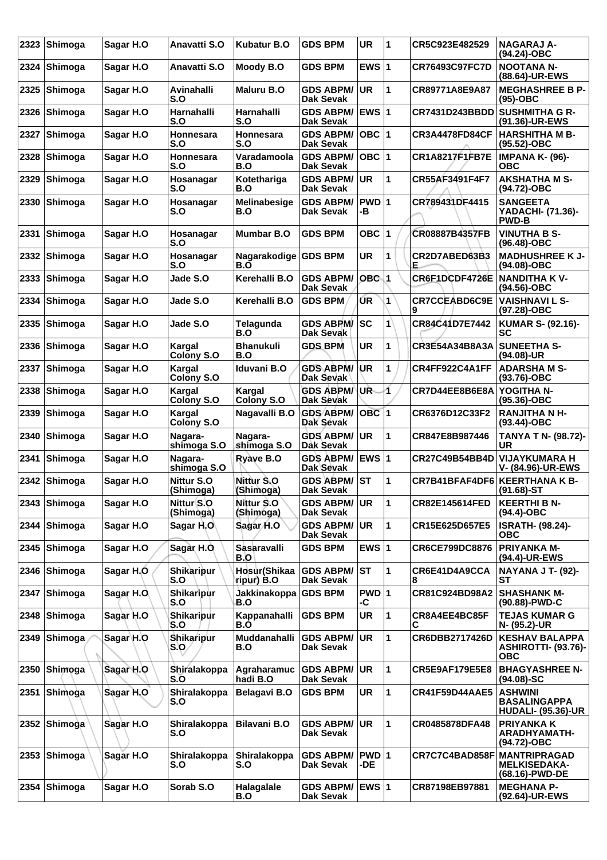| 2323 | Shimoga        | Sagar H.O  | Anavatti S.O                         | <b>Kubatur B.O</b>          | <b>GDS BPM</b>                       | <b>UR</b>        | 1            | CR5C923E482529            | <b>NAGARAJ A-</b><br>(94.24)-OBC                                   |
|------|----------------|------------|--------------------------------------|-----------------------------|--------------------------------------|------------------|--------------|---------------------------|--------------------------------------------------------------------|
| 2324 | Shimoga        | Sagar H.O  | Anavatti S.O                         | Moody B.O                   | <b>GDS BPM</b>                       | EWS $ 1$         |              | <b>CR76493C97FC7D</b>     | <b>NOOTANA N-</b><br>(88.64)-UR-EWS                                |
| 2325 | Shimoga        | Sagar H.O  | Avinahalli<br>S.O                    | <b>Maluru B.O</b>           | <b>GDS ABPM/</b><br><b>Dak Sevak</b> | <b>UR</b>        | 1            | CR89771A8E9A87            | <b>MEGHASHREE B P-</b><br>$(95)-OBC$                               |
| 2326 | Shimoga        | Sagar H.O  | Harnahalli<br>S.O                    | <b>Harnahalli</b><br>S.O    | <b>GDS ABPM/</b><br><b>Dak Sevak</b> | EWS $ 1$         |              | <b>CR7431D243BBDD</b>     | <b>SUSHMITHA G R-</b><br>(91.36)-UR-EWS                            |
| 2327 | Shimoga        | Sagar H.O  | Honnesara<br>S.O                     | Honnesara<br>S.O            | <b>GDS ABPM/</b><br><b>Dak Sevak</b> | OBC 1            |              | <b>CR3A4478FD84CF</b>     | <b>HARSHITHA M B-</b><br>(95.52)-OBC                               |
| 2328 | Shimoga        | Sagar H.O  | Honnesara<br>S.O                     | Varadamoola<br>B.O          | <b>GDS ABPM/</b><br><b>Dak Sevak</b> | $OBC$  1         |              | CR1A8217F1FB7E            | <b>IMPANA K- (96)-</b><br><b>OBC</b>                               |
| 2329 | Shimoga        | Sagar H.O  | Hosanagar<br>S.O                     | Kotethariga<br>B.O          | <b>GDS ABPM/</b><br><b>Dak Sevak</b> | <b>UR</b>        | 1            | CR55AF3491F4F7            | <b>AKSHATHA M S-</b><br>(94.72)-OBC                                |
| 2330 | Shimoga        | Sagar H.O  | Hosanagar<br>S.O                     | Melinabesige<br>B.O         | <b>GDS ABPM/</b><br><b>Dak Sevak</b> | PWD 1<br>-В      |              | CR789431DF4415            | <b>SANGEETA</b><br>YADACHI- (71.36)-<br><b>PWD-B</b>               |
| 2331 | Shimoga        | Sagar H.O  | Hosanagar<br>S.O                     | <b>Mumbar B.O</b>           | <b>GDS BPM</b>                       | OBC $ 1$         |              | CR08887B4357FB            | <b>VINUTHA B S-</b><br>(96.48)-OBC                                 |
| 2332 | Shimoga        | Sagar H.O  | Hosanagar<br>S.O                     | Nagarakodige GDS BPM<br>B.O |                                      | <b>UR</b>        | 1            | CR2D7ABED63B3<br>Е        | <b>MADHUSHREE K J-</b><br>(94.08)-OBC                              |
| 2333 | Shimoga        | Sagar H.O  | Jade S.O                             | Kerehalli B.O               | <b>GDS ABPM/</b><br><b>Dak Sevak</b> | OBC 1            |              | CR6F1DCDF4726E            | <b>NANDITHA KV-</b><br>(94.56)-OBC                                 |
| 2334 | Shimoga        | Sagar H.O  | Jade S.O                             | Kerehalli B.O               | <b>GDS BPM</b>                       | UR.              | 1            | <b>CR7CCEABD6C9E</b><br>9 | <b>VAISHNAVI L S-</b><br>(97.28)-OBC                               |
| 2335 | Shimoga        | Sagar H.O  | Jade S.O                             | <b>Telagunda</b><br>B.O     | <b>GDS ABPM/</b><br>Dak Sevak        | SC               | $\mathbf{1}$ | CR84C41D7E7442            | <b>KUMAR S- (92.16)-</b><br>SC                                     |
| 2336 | Shimoga        | Sagar H.O  | Kargal<br>Colony S.O                 | <b>Bhanukuli</b><br>B.O     | <b>GDS BPM</b>                       | <b>UR</b>        | 1            | CR3E54A34B8A3A            | <b>SUNEETHA S-</b><br>(94.08)-UR                                   |
| 2337 | Shimoga        | Sagar H.O  | Kargal<br>Colony S.O                 | Iduvani B.O                 | <b>GDS ABPM/</b><br>Dak Sevak        | UR               | 1            | CR4FF922C4A1FF            | <b>ADARSHAM S-</b><br>$(93.76)$ -OBC                               |
| 2338 | Shimoga        | Sagar H.O  | Kargal<br>Colony S.O                 | Kargal<br><b>Colony S.O</b> | <b>GDS ABPM/</b><br>Dak Sevak        | UŘ               | 1            | CR7D44EE8B6E8A            | YOGITHA N-<br>(95.36)-OBC                                          |
| 2339 | Shimoga        | Sagar H.O  | Kargal<br>Colony S.O                 | Nagavalli B.O               | <b>GDS ABPM/</b><br>Dak Sévak        | OBC <sub>1</sub> |              | CR6376D12C33F2            | <b>RANJITHA N H-</b><br>$(93.44)$ -OBC                             |
| 2340 | Shimoga        | Sagar H.O  | Nagara-<br>shimoga S.O               | Nagara-<br>shimoga S.O      | <b>GDS ABPM/</b><br>Dak Sevak        | <b>UR</b>        | 1            | CR847E8B987446            | <b>TANYA T N- (98.72)-</b><br><b>UR</b>                            |
| 2341 | Shimoga        | Sagar H.O  | Nagara-<br>shimoga S.O               | Ryave B.O                   | <b>GDS ABPM/</b><br>Dak Sevak        | EWS $ 1$         |              | CR27C49B54BB4D            | <b>VIJAYKUMARA H</b><br>V- (84.96)-UR-EWS                          |
| 2342 | Shimoga        | Sagar H.O  | Nittur S.O<br>(Shimoga)              | Nittur S.O<br>(Shimoga)     | <b>GDS ABPM/</b><br><b>Dak Sevak</b> | <b>ST</b>        | 1            | CR7B41BFAF4DF6            | <b>KEERTHANA K B-</b><br>(91.68)-ST                                |
|      | 2343 Shimoga   | Sagar H.O  | Nittur <sup>(S.O</sup><br>(Shimoga)  | Nittur S.O<br>(Shimoga)     | <b>GDS ABPM/</b><br><b>Dak Sevak</b> | UR               | 1            | CR82E145614FED            | <b>KEERTHI B N-</b><br>$(94.4)$ -OBC                               |
|      | 2344 Shimoga   | Sagar H.O  | Sagar H.O                            | Sagar H.O                   | <b>GDS ABPM/</b><br>Dak Sevak        | UR               | 1            | CR15E625D657E5            | <b>ISRATH- (98.24)-</b><br><b>OBC</b>                              |
| 2345 | Shimoga        | Sagar H.O  | Sagar H.O                            | Sasaravalli<br>B.O          | <b>GDS BPM</b>                       | EWS $ 1$         |              | CR6CE799DC8876            | <b>PRIYANKA M-</b><br>(94.4)-UR-EWS                                |
| 2346 | Shimoga        | Sagar H.O  | Shikaripur<br>S.O                    | Hosur(Shikaa<br>ripur) B.O  | <b>GDS ABPM/</b><br><b>Dak Sevak</b> | <b>ST</b>        | 1            | CR6E41D4A9CCA             | <b>NAYANA J T- (92)-</b><br><b>ST</b>                              |
|      | 2347 Shimoga   | Sagar H.O. | Shikaripur<br>S.O                    | Jakkinakoppa<br>B.O         | <b>GDS BPM</b>                       | $PWD$ 1<br>-C    |              | CR81C924BD98A2            | <b>SHASHANK M-</b><br>(90.88)-PWD-C                                |
| 2348 | Shimoga        | Sagar H.O  | Shikaripur<br>S.O                    | Kappanahalli<br>B.O         | <b>GDS BPM</b>                       | UR               | $\mathbf{1}$ | CR8A4EE4BC85F<br>С        | <b>TEJAS KUMAR G</b><br>N- (95.2)-UR                               |
| 2349 | <b>Shimoga</b> | Sagar H.O  | <b>Shikaripur</b><br>$ S, Q \rangle$ | Muddanahalli<br>B.O         | <b>GDS ABPM/</b><br><b>Dak Sevak</b> | <b>UR</b>        | $\mathbf{1}$ | CR6DBB2717426D            | <b>KESHAV BALAPPA</b><br><b>ASHIROTTI- (93.76)-</b><br><b>OBC</b>  |
|      | 2350 Shimoga   | Sagar H.O  | Shiralakoppa<br>S.O                  | Agraharamuc<br>hadi B.O     | <b>GDS ABPM/</b><br><b>Dak Sevak</b> | <b>UR</b>        | $\mathbf{1}$ | <b>CR5E9AF179E5E8</b>     | <b>BHAGYASHREE N-</b><br>$(94.08) - SC$                            |
|      | 2351 Shimoga   | Sagar H.O  | Shiralakoppa<br>S.O                  | <b>Belagavi B.O</b>         | <b>GDS BPM</b>                       | <b>UR</b>        | 1            | <b>CR41F59D44AAE5</b>     | <b>ASHWINI</b><br><b>BASALINGAPPA</b><br><b>HUDALI- (95.36)-UR</b> |
|      | 2352 Shimoga   | Sagar H.O  | Shiralakoppa<br>S.O                  | <b>Bilavani B.O</b>         | <b>GDS ABPM/</b><br><b>Dak Sevak</b> | <b>UR</b>        | $\mathbf{1}$ | CR0485878DFA48            | <b>PRIYANKA K</b><br><b>ARADHYAMATH-</b><br>(94.72)-OBC            |
| 2353 | Shimoga        | Sagar H.O  | Shiralakoppa<br>S.O                  | Shiralakoppa<br>S.O         | <b>GDS ABPM/</b><br><b>Dak Sevak</b> | PWD 1<br>-DE     |              | CR7C7C4BAD858F            | <b>MANTRIPRAGAD</b><br><b>MELKISEDAKA-</b><br>(68.16)-PWD-DE       |
| 2354 | Shimoga        | Sagar H.O  | Sorab S.O                            | Halagalale<br>B.O           | <b>GDS ABPM/</b><br>Dak Sevak        | <b>EWS 1</b>     |              | CR87198EB97881            | <b>MEGHANA P-</b><br>(92.64)-UR-EWS                                |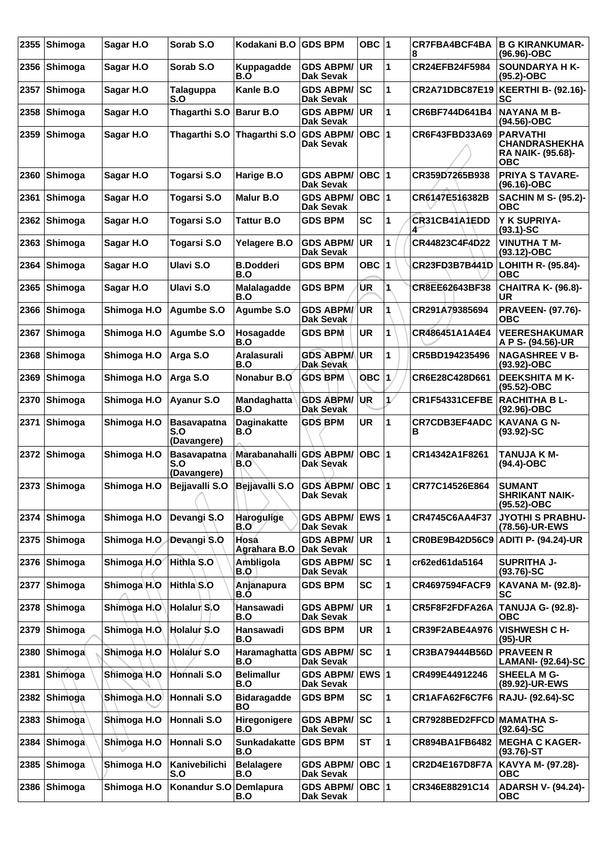| 2355 | Shimoga        | Sagar H.O   | Sorab S.O                                | Kodakani B.O GDS BPM            |                                         | OBC $ 1$     |    | CR7FBA4BCF4BA<br>8               | <b>B G KIRANKUMAR-</b><br>(96.96)-OBC                                      |
|------|----------------|-------------|------------------------------------------|---------------------------------|-----------------------------------------|--------------|----|----------------------------------|----------------------------------------------------------------------------|
|      | 2356 Shimoga   | Sagar H.O   | Sorab S.O                                | Kuppagadde<br>B.O               | <b>GDS ABPM/</b><br><b>Dak Sevak</b>    | <b>UR</b>    | 1  | CR24EFB24F5984                   | <b>SOUNDARYA HK-</b><br>(95.2)-OBC                                         |
| 2357 | Shimoga        | Sagar H.O   | <b>Talaguppa</b><br>S.O                  | Kanle B.O                       | <b>GDS ABPM/</b><br><b>Dak Sevak</b>    | <b>ISC</b>   | 1  | <b>CR2A71DBC87E19</b>            | <b>KEERTHI B- (92.16)-</b><br>SC                                           |
| 2358 | Shimoga        | Sagar H.O   | Thagarthi S.O                            | Barur B.O                       | <b>GDS ABPM/</b><br><b>Dak Sevak</b>    | <b>UR</b>    | 1  | CR6BF744D641B4                   | <b>NAYANA M B-</b><br>(94.56)-OBC                                          |
| 2359 | <b>Shimoga</b> | Sagar H.O   | Thagarthi S.O                            | Thagarthi S.O                   | <b>GDS ABPM/</b><br><b>Dak Sevak</b>    | OBC  1       |    | CR6F43FBD33A69                   | <b>PARVATHI</b><br><b>CHANDRASHEKHA</b><br><b>RA NAIK- (95.68)-</b><br>ОВС |
| 2360 | Shimoga        | Sagar H.O   | Togarsi S.O                              | Harige B.O                      | <b>GDS ABPM/</b><br><b>Dak Sevak</b>    | OBC  1       |    | CR359D7265B938                   | <b>PRIYA S TAVARE-</b><br>$(96.16)$ -OBC                                   |
| 2361 | Shimoga        | Sagar H.O   | Togarsi S.O                              | <b>Malur B.O</b>                | <b>GDS ABPM/</b><br><b>Dak Sevak</b>    | OBC  1       |    | CR6147E516382B                   | <b>SACHIN M S- (95.2)-</b><br><b>OBC</b>                                   |
| 2362 | Shimoga        | Sagar H.O   | Togarsi S.O                              | <b>Tattur B.O</b>               | <b>GDS BPM</b>                          | <b>SC</b>    | 1  | <b>CR31CB41A1EDD</b><br>4        | Y K SUPRIYA-<br>$(93.1)$ -SC                                               |
| 2363 | Shimoga        | Sagar H.O   | Togarsi S.O                              | Yelagere B.O                    | <b>GDS ABPM/</b><br><b>Dak Sevak</b>    | <b>UR</b>    | 1  | CR44823C4F4D22                   | <b>VINUTHA T M-</b><br>(93.12)-OBC                                         |
| 2364 | <b>Shimoga</b> | Sagar H.O   | Ulavi S.O                                | <b>B.Dodderi</b><br>B.O         | <b>GDS BPM</b>                          | <b>OBC</b>   | 1  | CR23FD3B7B441D                   | LOHITH R- (95.84)-<br><b>OBC</b>                                           |
| 2365 | Shimoga        | Sagar H.O   | Ulavi S.O                                | Malalagadde<br>B.O              | <b>GDS BPM</b>                          | UR           | 1  | CR8EE62643BF38                   | <b>CHAITRA K- (96.8)-</b><br>UR                                            |
| 2366 | Shimoga        | Shimoga H.O | Agumbe S.O                               | Agumbe S.O                      | <b>GDS ABPM/</b><br>Dak Sevak           | UR.          | 1  | CR291A79385694                   | <b>PRAVEEN- (97.76)-</b><br>ОВС                                            |
| 2367 | Shimoga        | Shimoga H.O | Agumbe S.O                               | Hosagadde<br>B.O                | <b>GDS BPM</b>                          | <b>UR</b>    | 1  | CR486451A1A4E4                   | <b>VEERESHAKUMAR</b><br>A P S- (94.56)-UR                                  |
| 2368 | Shimoga        | Shimoga H.O | Arga S.O                                 | Aralasurali<br>B.O              | <b>GDS ABPM/</b><br>Dak Sevak           | UR           | 1  | CR5BD194235496                   | <b>NAGASHREE V B-</b><br>(93.92)-OBC                                       |
| 2369 | Shimoga        | Shimoga H.O | Arga S.O                                 | Nonabur B.O                     | <b>GDS BPM</b>                          | OBC          | 1  | CR6E28C428D661                   | <b>DEEKSHITA M K-</b><br>(95.52)-OBC                                       |
| 2370 | Shimoga        | Shimoga H.O | Ayanur S.O                               | Mandaghatta<br>B.O              | <b>GDS ABPM/</b><br>Dak Sevak           | UR.          | 17 | CR1F54331CEFBE                   | <b>RACHITHA BL-</b><br>(92.96)-OBC                                         |
| 2371 | Shimoga        | Shimoga H.O | <b>Basavapatna</b><br>S.O<br>(Davangere) | <b>Daginakatte</b><br>B.O       | <b>GDS BPM</b>                          | UR           | 1  | <b>CR7CDB3EF4ADC</b><br>в        | <b>KAVANA G N-</b><br>$(93.92) - SC$                                       |
| 2372 | Shimoga        | Shimoga H.O | <b>Basavapatna</b><br>S.O<br>(Davangere) | Marabanahalli<br>B.O            | <b>GDS ABPM/</b><br>Dak Sevak           | ∣овс ∣1      |    | CR14342A1F8261                   | <b>TANUJA K M-</b><br>$(94.4)$ -OBC                                        |
|      | 2373 Shimoga   | Shimoga H.O | Bejjavalli S.O                           | Bejjavalli S.O                  | GDS ABPM/ OBC 1<br><b>Dak Sevak</b>     |              |    | CR77C14526E864                   | <b>SUMANT</b><br><b>SHRIKANT NAIK-</b><br>(95.52)-OBC                      |
|      | 2374 Shimoga   | Shimoga H.O | Devangi S.O                              | <b>Harogulige</b><br>B.O        | GDS ABPM/ EWS 1<br><b>Dak Sevak</b>     |              |    | CR4745C6AA4F37                   | <b>JYOTHI S PRABHU-</b><br>(78.56)-UR-EWS                                  |
|      | 2375 Shimoga   | Shimoga H.O | Devangi S.O                              | Hosá<br>Agrahara B.O            | <b>GDS ABPM/</b><br>Dak Sevak           | <b>UR</b>    | 1  |                                  | CR0BE9B42D56C9   ADITI P- (94.24)-UR                                       |
|      | 2376 Shimoga   | Shimoga H.O | Hithla S.O                               | Ambligola<br><b>B.O</b>         | <b>GDS ABPM/ SC</b><br><b>Dak Sevak</b> |              | 1  | cr62ed61da5164                   | <b>SUPRITHA J-</b><br>$(93.76)$ -SC                                        |
| 2377 | Shimoga        | Shimoga H.O | Hithla S.O                               | Anjanapura<br>B.O               | <b>GDS BPM</b>                          | <b>SC</b>    | 1  | <b>CR4697594FACF9</b>            | <b>KAVANA M- (92.8)-</b><br><b>SC</b>                                      |
|      | 2378 Shimoga   | Shimoga H.O | Holalur S.O                              | Hansawadi<br>B.O                | <b>GDS ABPM/</b><br>Dak Sevak           | <b>UR</b>    | 1  | CR5F8F2FDFA26A                   | <b>TANUJA G- (92.8)-</b><br>ОВС                                            |
|      | 2379 Shimoga   | Shimoga H.O | Holalur S.O                              | Hansawadi<br>B.O                | <b>GDS BPM</b>                          | <b>UR</b>    | 1  | CR39F2ABE4A976                   | VISHWESH C H-<br>$(95)-UR$                                                 |
| 2380 | <b>Shimoga</b> | Shimoga H.O | <b>Holalur S.O</b>                       | <b>Haramaghatta</b><br>B.O      | GDS ABPM/  SC<br><b>Dak Sevak</b>       |              | 1  | CR3BA79444B56D                   | <b>PRAVEEN R</b><br>LAMANI- (92.64)-SC                                     |
| 2381 | Shimoga        | Shimoga H.O | Honnali S.O                              | <b>Belimallur</b><br>B.O        | <b>GDS ABPM/</b><br><b>Dak Sevak</b>    | <b>EWS 1</b> |    | CR499E44912246                   | <b>SHEELA M G-</b><br>(89.92)-UR-EWS                                       |
|      | 2382 Shimoga   | Shimoga H.O | Honnali S.O                              | <b>Bidaragadde</b><br><b>BO</b> | <b>GDS BPM</b>                          | <b>SC</b>    | 1  | CR1AFA62F6C7F6                   | <b>RAJU- (92.64)-SC</b>                                                    |
| 2383 | ∣Shimoga`      | Shimoga H.O | Honnali S.O                              | Hiregonigere<br>B.O             | <b>GDS ABPM/</b><br>Dak Sevak           | <b>ISC</b>   | 1  | <b>CR7928BED2FFCD MAMATHA S-</b> | $(92.64)$ -SC                                                              |
| 2384 | ∣Shimoga∖      | Shimoga H.O | Honnali S.O                              | <b>Sunkadakatte</b><br>B.O      | <b>GDS BPM</b>                          | <b>ST</b>    | 1  | CR894BA1FB6482                   | <b>MEGHA C KAGER-</b><br>$(93.76)$ -ST                                     |
|      | 2385 Shimoga   | Shimoga H.O | Kanivebilichi<br>S.O                     | <b>Belalagere</b><br>B.O        | <b>GDS ABPM/</b><br><b>Dak Sevak</b>    | OBC  1       |    | CR2D4E167D8F7A                   | KAVYA M- (97.28)-<br>овс                                                   |
|      | 2386 Shimoga   | Shimoga H.O | Konandur S.O                             | Demlapura<br>B.O                | <b>GDS ABPM/</b><br>Dak Sevak           | OBC 1        |    | CR346E88291C14                   | <b>ADARSH V- (94.24)-</b><br><b>OBC</b>                                    |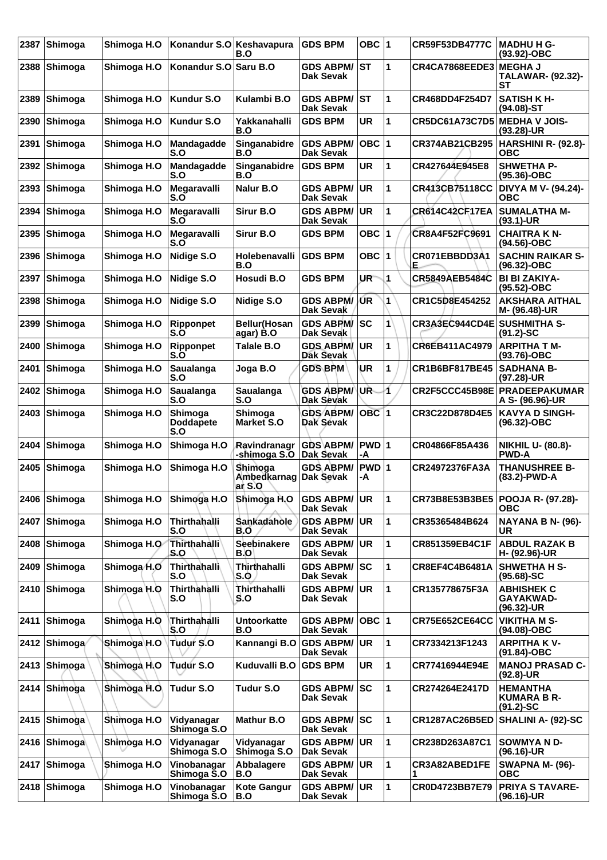| 2387 | <b>Shimoga</b> | Shimoga H.O  | Konandur S.O Keshavapura           | B.O                               | <b>GDS BPM</b>                          | OBC $ 1$         |    | CR59F53DB4777C              | <b>MADHU H G-</b><br>(93.92)-OBC                      |
|------|----------------|--------------|------------------------------------|-----------------------------------|-----------------------------------------|------------------|----|-----------------------------|-------------------------------------------------------|
| 2388 | Shimoga        | Shimoga H.O  | Konandur S.O $\sf Isaru$ B.O       |                                   | <b>GDS ABPM/</b><br>Dak Sevak           | ∣sт              | 1  | CR4CA7868EEDE3              | <b>IMEGHA J</b><br><b>TALAWAR- (92.32)-</b><br>SТ     |
| 2389 | Shimoga        | Shimoga H.O  | <b>Kundur S.O</b>                  | Kulambi B.O                       | <b>GDS ABPM/ ST</b><br><b>Dak Sevak</b> |                  | 1  | CR468DD4F254D7              | <b>SATISH KH-</b><br>$(94.08)$ -ST                    |
| 2390 | Shimoga        | Shimoga H.O  | <b>Kundur S.O</b>                  | Yakkanahalli<br>B.O               | <b>GDS BPM</b>                          | <b>UR</b>        | 1  | <b>CR5DC61A73C7D5</b>       | <b>MEDHA V JOIS-</b><br>(93.28)-UR                    |
| 2391 | Shimoga        | Shimoga H.O  | Mandagadde<br>S.O                  | Singanabidre<br>B.O               | <b>GDS ABPM/</b><br><b>Dak Sevak</b>    | OBC  1           |    | <b>CR374AB21CB295</b>       | <b>HARSHINI R- (92.8)-</b><br>ОВС                     |
| 2392 | <b>Shimoga</b> | Shimoga H.O  | Mandagadde<br>S.O                  | Singanabidre<br>B.O               | <b>GDS BPM</b>                          | <b>UR</b>        | 1  | CR427644E945E8              | <b>SHWETHA P-</b><br>(95.36)-OBC                      |
| 2393 | Shimoga        | Shimoga H.O  | Megaravalli<br>S.O                 | Nalur B.O                         | <b>GDS ABPM/</b><br><b>Dak Sevak</b>    | UR               | 1  | CR413CB75118CC              | DIVYA M V- (94.24)-<br><b>OBC</b>                     |
| 2394 | Shimoga        | Shimoga H.O  | Megaravalli<br>S.O                 | Sirur B.O                         | <b>GDS ABPM/</b><br><b>Dak Sevak</b>    | <b>UR</b>        | 1  | <b>CR614C42CF17EA</b>       | <b>SUMALATHA M-</b><br>$(93.1)$ -UR                   |
| 2395 | Shimoga        | Shimoga H.O  | Megaravalli<br>S.O                 | Sirur B.O                         | <b>GDS BPM</b>                          | OBC ∣1           |    | CR8A4F52FC9691              | <b>CHAITRA K N-</b><br>(94.56)-OBC                    |
| 2396 | Shimoga        | Shimoga H.O  | Nidige S.O                         | Holebenavalli<br>B.O              | <b>GDS BPM</b>                          | OBC 1            |    | CR071EBBDD3A1<br>E.         | <b>SACHIN RAIKAR S-</b><br>(96.32)-OBC                |
| 2397 | Shimoga        | Shimoga H.O  | Nidige S.O                         | Hosudi B.O                        | <b>GDS BPM</b>                          | UR.              | 1  | <b>CR5849AEB5484C</b>       | <b>BI BI ZAKIYA-</b><br>(95.52)-OBC                   |
| 2398 | Shimoga        | Shimoga H.O  | Nidige S.O                         | Nidige S.O                        | <b>GDS ABPM/</b><br>Dak Sevak           | ÚR               | 1  | CR1C5D8E454252              | <b>AKSHARA AITHAL</b><br>M- (96.48)-UR                |
| 2399 | Shimoga        | Shimoga H.O  | Ripponpet<br>S.O                   | <b>Bellur</b> (Hosan<br>agar) B.O | <b>GDS ABPM/</b><br>Dak Sevak           | <b>SC</b>        | 1  | CR3A3EC944CD4E SUSHMITHA S- | $(91.2)$ -SC                                          |
| 2400 | Shimoga        | Shimoga H.O  | <b>Ripponpet</b><br>S.O            | Talale B.O                        | <b>GDS ABPM/</b><br>Dak Sevak           | UR.              | 1  | CR6EB411AC4979              | <b>ARPITHA T M-</b><br>(93.76)-OBC                    |
| 2401 | Shimoga        | Shimoga H.O  | <b>Saualanga</b><br>S.O            | Joga B.O                          | <b>GDS BPM</b>                          | UR               | 1  | <b>CR1B6BF817BE45</b>       | <b>SADHANA B-</b><br>(97.28)-UR                       |
| 2402 | Shimoga        | Shimoga H.O  | <b>Saualanga</b><br>S.O            | Saualanga<br>S.O                  | <b>GDS ABPM/</b><br>Dak Sevak           | UR.              | 1  | CR2F5CCC45B98E              | <b>PRADEEPAKUMAR</b><br>A S- (96.96)-UR               |
| 2403 | Shimoga        | Shimoga H.O  | Shimoga<br><b>Doddapete</b><br>S.O | Shimoga<br>Market S.O             | <b>GDS ABPM/</b><br>Dak Sevak           | OBC <sub>1</sub> |    | CR3C22D878D4E5              | <b>KAVYA D SINGH-</b><br>(96.32)-OBC                  |
| 2404 | Shimoga        | Shimoga H.O  | Shimoga H.O                        | Ravindranagr<br>-shimoga S.O      | <b>GDS ABPM/</b><br>Dak Sevak           | PWD 1<br>-A      |    | CR04866F85A436              | <b>NIKHIL U- (80.8)-</b><br><b>PWD-A</b>              |
| 2405 | Shimoga        | Shimoga H.O  | Shimoga H.O                        | Shimoga<br>Ambedkarnag<br>ar S.O  | <b>GDS ABPM/</b><br>Dak Sevak           | PWD 1<br>-A      |    | CR24972376FA3A              | <b>THANUSHREE B-</b><br>(83.2)-PWD-A                  |
|      | 2406 Shimoga   | Shimoga H.O  | Shimoga H.O                        | Shimoga H.O                       | <b>GDS ABPM/  UR</b><br>Dak Sevak       |                  | 11 | CR73B8E53B3BE5              | <b>POOJA R- (97.28)-</b><br>ОВС                       |
| 2407 | <b>Shimoga</b> | Shimoga H.O  | Thirthahalli<br>S.O                | Sankadahole<br>B.O                | <b>GDS ABPM/</b><br>Dak Sevak           | UR.              | 1  | CR35365484B624              | NAYANA B N- (96)-<br><b>UR</b>                        |
|      | 2408 Shimoga   | Shimoga H.O  | <b>Thirthahalli</b><br>S.O         | Seebinakere<br>B.O                | <b>GDS ABPM/ UR</b><br><b>Dak Sevak</b> |                  | 1  | CR851359EB4C1F              | <b>ABDUL RAZAK B</b><br>H- (92.96)-UR                 |
| 2409 | Shimoga        | Shimoga H.O  | Thirthahalli<br>S.O                | Thirthahalli<br>S.O               | <b>GDS ABPM/ SC</b><br>Dak Sevak        |                  | 1  | CR8EF4C4B6481A              | <b>SHWETHA H S-</b><br>$(95.68) - SC$                 |
|      | 2410 Shimoga   | Shimoga H.O  | Thirthahalli<br>S.O                | Thirthahalli<br>S.O               | <b>GDS ABPM/</b><br>Dak Sevak           | <b>UR</b>        | 1  | CR135778675F3A              | <b>ABHISHEK C</b><br><b>GAYAKWAD-</b><br>(96.32)-UR   |
| 2411 | Shimoga        | Shimoga H.O  | Thirthahalli<br>S.O                | <b>Untoorkatte</b><br>B.O         | <b>GDS ABPM/</b><br><b>Dak Sevak</b>    | OBC  1           |    | <b>CR75E652CE64CC</b>       | <b>VIKITHA M S-</b><br>(94.08)-OBC                    |
|      | 2412 Shimoga   | Shimoga H.O  | <b>Tudur S.O</b>                   | Kannangi B.O                      | <b>GDS ABPM/ UR</b><br>Dak Sevak        |                  | 1  | CR7334213F1243              | <b>ARPITHA KV-</b><br>(91.84)-OBC                     |
|      | 2413 Shimoga   | Shimoga H.O  | Tudur S.O                          | Kuduvalli B.O                     | <b>GDS BPM</b>                          | UR               | 1  | CR77416944E94E              | <b>MANOJ PRASAD C-</b><br>$(92.8)$ -UR                |
|      | 2414 Shimoga   | Shimoga H.O. | <b>Tudur S.O</b>                   | Tudur S.O                         | <b>GDS ABPM/</b><br>Dak Sevak           | <b>SC</b>        | 1  | CR274264E2417D              | <b>HEMANTHA</b><br><b>KUMARA B R-</b><br>$(91.2)$ -SC |
| 2415 | <b>Shimoga</b> | Shimoga H.O  | Vidyanagar<br>Shimoga S.O          | <b>Mathur B.O</b>                 | <b>GDS ABPM/ SC</b><br>Dak Sevak        |                  | 1  | <b>CR1287AC26B5ED</b>       | SHALINI A- (92)-SC                                    |
|      | 2416 Shimoga   | Shimoga H.O  | Vidyanagar<br>Shimoga S.O          | Vidyanagar<br>Shimoga S.O         | <b>GDS ABPM/ UR</b><br>Dak Sevak        |                  | 1  | CR238D263A87C1              | <b>SOWMYAND-</b><br>(96.16)-UR                        |
|      | 2417 Shimoga   | Shimoga H.O  | Vinobanagar<br>Shimoga S.O         | Abbalagere<br>B.O                 | <b>GDS ABPM/ UR</b><br>Dak Sevak        |                  | 1  | CR3A82ABED1FE               | <b>SWAPNA M- (96)-</b><br><b>OBC</b>                  |
|      | 2418 Shimoga   | Shimoga H.O  | Vinobanagar<br>Shimoga S.O         | <b>Kote Gangur</b><br>B.O         | <b>GDS ABPM/ UR</b><br>Dak Sevak        |                  | 1  | CR0D4723BB7E79              | <b>PRIYA S TAVARE-</b><br>(96.16)-UR                  |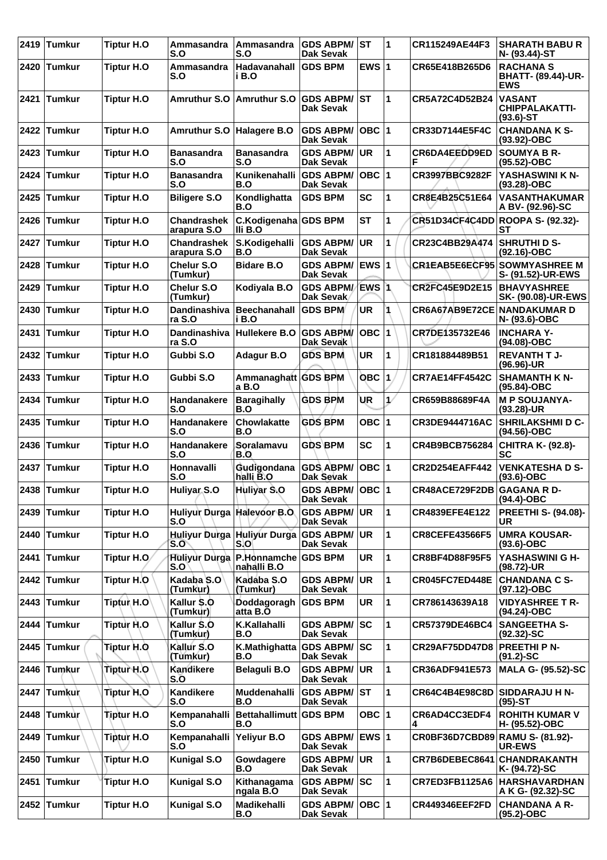| 2419 | $\sfl$ Tumkur | <b>Tiptur H.O</b> | Ammasandra<br>S.O                 | Ammasandra<br>S.O                  | <b>GDS ABPM/</b><br>Dak Sevak        | <b>IST</b>   | 1             | CR115249AE44F3                   | <b>SHARATH BABUR</b><br>N- (93.44)-ST                       |
|------|---------------|-------------------|-----------------------------------|------------------------------------|--------------------------------------|--------------|---------------|----------------------------------|-------------------------------------------------------------|
| 2420 | <b>Tumkur</b> | <b>Tiptur H.O</b> | Ammasandra<br>S.O                 | Hadavanahall<br>i B.O              | <b>GDS BPM</b>                       | EWS $ 1$     |               | CR65E418B265D6                   | <b>RACHANA S</b><br><b>BHATT- (89.44)-UR-</b><br><b>EWS</b> |
| 2421 | <b>Tumkur</b> | <b>Tiptur H.O</b> | <b>Amruthur S.O</b>               | Amruthur S.O GDS ABPM/             | Dak Sevak                            | lst          | 1             | CR5A72C4D52B24                   | <b>VASANT</b><br><b>CHIPPALAKATTI-</b><br>$(93.6)$ -ST      |
|      | 2422 Tumkur   | <b>Tiptur H.O</b> | <b>Amruthur S.O</b>               | Halagere B.O                       | <b>GDS ABPM/</b><br>Dak Sevak        | $OBC$  1     |               | CR33D7144E5F4C                   | <b>CHANDANA K S-</b><br>$(93.92)$ -OBC                      |
| 2423 | Tumkur        | <b>Tiptur H.O</b> | <b>Banasandra</b><br>S.O          | <b>Banasandra</b><br>S.O           | <b>GDS ABPM/</b><br><b>Dak Sevak</b> | <b>UR</b>    | 1             | CR6DA4EEDD9ED<br>F               | <b>SOUMYA B R-</b><br>(95.52)-OBC                           |
| 2424 | <b>Tumkur</b> | <b>Tiptur H.O</b> | <b>Banasandra</b><br>S.O          | Kunikenahalli<br>B.O               | <b>GDS ABPM/</b><br><b>Dak Sevak</b> | $OBC$  1     |               | <b>CR3997BBC9282F</b>            | YASHASWINI K N-<br>$(93.28) - OBC$                          |
| 2425 | <b>Tumkur</b> | <b>Tiptur H.O</b> | <b>Biligere S.O</b>               | Kondlighatta<br>B.O                | <b>GDS BPM</b>                       | <b>SC</b>    | $\mathbf{1}$  | CR8E4B25C51E64                   | <b>VASANTHAKUMAR</b><br>A BV- (92.96)-SC                    |
| 2426 | <b>Tumkur</b> | <b>Tiptur H.O</b> | Chandrashek<br>arapura S.O        | C.Kodigenaha GDS BPM<br>Ili B.O    |                                      | <b>ST</b>    | 1             | CR51D34CF4C4DD ROOPA S- (92.32)- | <b>ST</b>                                                   |
| 2427 | <b>Tumkur</b> | <b>Tiptur H.O</b> | <b>Chandrashek</b><br>arapura S.O | S.Kodigehalli<br>B.O               | <b>GDS ABPM/</b><br><b>Dak Sevak</b> | <b>UR</b>    | $\mathbf{1}$  | CR23C4BB29A474                   | <b>SHRUTHI D S-</b><br>(92.16)-OBC                          |
| 2428 | <b>Tumkur</b> | <b>Tiptur H.O</b> | Chelur S.O<br>(Tumkur)            | <b>Bidare B.O</b>                  | <b>GDS ABPM/</b><br>Dak Sevak        | $EWS$ 1      |               | CR1EAB5E6ECF95                   | <b>SOWMYASHREE M</b><br>S- (91.52)-UR-EWS                   |
| 2429 | <b>Tumkur</b> | <b>Tiptur H.O</b> | Chelur S.O<br>(Tumkur)            | Kodiyala B.O                       | <b>GDS ABPM/</b><br>Dak Sevak        | EWS 1        |               | CR2FC45E9D2E15                   | <b>BHAVYASHREE</b><br><b>SK- (90.08)-UR-EWS</b>             |
| 2430 | <b>Tumkur</b> | <b>Tiptur H.O</b> | Dandinashiva<br>ra S.O            | <b>Beechanahall</b><br>i B.O       | <b>GDS BPM</b>                       | <b>UR</b>    |               | CR6A67AB9E72CE NANDAKUMAR D      | N- (93.6)-OBC                                               |
| 2431 | <b>Tumkur</b> | <b>Tiptur H.O</b> | <b>Dandinashiva</b><br>ra S.O     | Hullekere B.O GDS ABPM/            | Dak Sevak                            | $OBC$  1     |               | CR7DE135732E46                   | <b>INCHARA Y-</b><br>(94.08)-OBC                            |
| 2432 | <b>Tumkur</b> | <b>Tiptur H.O</b> | Gubbi S.O                         | Adagur B.O                         | <b>GDS BPM</b>                       | <b>UR</b>    | 1             | CR181884489B51                   | <b>REVANTH T J-</b><br>$(96.96)$ -UR                        |
| 2433 | <b>Tumkur</b> | <b>Tiptur H.O</b> | Gubbi S.O                         | Ammanaghatt GDS BPM<br>a B.O       |                                      | <b>OBC 1</b> |               | <b>CR7AE14FF4542C</b>            | <b>SHAMANTH K N-</b><br>(95.84)-OBC                         |
| 2434 | <b>Tumkur</b> | <b>Tiptur H.O</b> | Handanakere<br>S.O                | <b>Baragihally</b><br>B.O          | <b>GDS BPM</b>                       | UR           | $\mathcal{L}$ | CR659B88689F4A                   | <b>M P SOUJANYA-</b><br>$(93.28)$ -UR                       |
| 2435 | <b>Tumkur</b> | <b>Tiptur H.O</b> | Handanakere<br>S.O                | Chowlakatte<br>B.O                 | <b>GDS BPM</b>                       | OBC $ 1$     |               | CR3DE9444716AC                   | <b>SHRILAKSHMI D C-</b><br>(94.56)-OBC                      |
| 2436 | <b>Tumkur</b> | <b>Tiptur H.O</b> | Handanakere<br>S.O                | Soralamavu<br>B.O                  | <b>GDS BPM</b>                       | <b>SC</b>    | 1             | CR4B9BCB756284                   | <b>CHITRA K- (92.8)-</b><br><b>SC</b>                       |
|      | 2437 Tumkur   | <b>Tiptur H.O</b> | Honnavalli<br>S.O                 | Gudigondana<br>halli B.O           | <b>GDS ABPM/</b><br>Dak Sevak        | $OBC$ 1      |               | <b>CR2D254EAFF442</b>            | <b>VENKATESHA D S-</b><br>$(93.6)$ -OBC                     |
|      | 2438 Tumkur   | <b>Tiptur H.O</b> | <b>Huliyar S.O</b>                | Huliyar S.O                        | GDS ABPM/ OBC 1<br><b>Dak Sevak</b>  |              |               | <b>CR48ACE729F2DB GAGANA RD-</b> | (94.4)-OBC                                                  |
| 2439 | <b>Tumkur</b> | <b>Tiptur H.O</b> | Huliyur Durga Halevoor B.O<br>S.O |                                    | <b>GDS ABPM/</b><br>Dak Sevak        | UR.          | 1             | CR4839EFE4E122                   | <b>PREETHI S- (94.08)-</b><br><b>UR</b>                     |
| 2440 | <b>Tumkur</b> | <b>Tiptur H.O</b> | Huliyur Durga<br>S.O              | <b>Huliyur Durga</b><br>S.O        | <b>GDS ABPM/</b><br>Dak Sevak        | <b>UR</b>    | 1             | CR8CEFE43566F5                   | <b>UMRA KOUSAR-</b><br>$(93.6)$ -OBC                        |
| 2441 | <b>Tumkur</b> | Tiptur H.O.       | Huliyur Durga<br>S.O              | P.Honnamche GDS BPM<br>nahalli B.O |                                      | <b>UR</b>    | 1             | <b>CR8BF4D88F95F5</b>            | YASHASWINI G H-<br>(98.72)-UR                               |
|      | 2442 Tumkur   | Tiptur H.O        | Kadaba S.O<br>(Tumkur)            | Kadaba S.O<br>(Tumkur)             | <b>GDS ABPM/</b><br>Dak Sevak        | <b>UR</b>    | $\mathbf{1}$  | CR045FC7ED448E                   | <b>CHANDANA C S-</b><br>(97.12)-OBC                         |
| 2443 | <b>Tumkur</b> | Tiptur H.O        | Kallur \$.0<br>(Tumkur)           | Doddagoragh<br>atta B.O            | <b>GDS BPM</b>                       | UR.          | 1             | CR786143639A18                   | <b>VIDYASHREE T R-</b><br>(94.24)-OBC                       |
| 2444 | <b>Tumkur</b> | Tiptur H.O        | Kallur S.O<br>(Tumkur)            | K.Kallahalli<br>B.O                | <b>GDS ABPM/</b><br><b>Dak Sevak</b> | SC           | 1             | CR57379DE46BC4                   | <b>SANGEETHA S-</b><br>$(92.32) - SC$                       |
| 2445 | <b>Tumkur</b> | Tiptur H.O        | Kallur S.O<br>(Tumkur)            | K.Mathighatta<br>B.O               | <b>GDS ABPM/</b><br><b>Dak Sevak</b> | <b>SC</b>    | $\mathbf{1}$  | <b>CR29AF75DD47D8</b>            | <b>PREETHI P N-</b><br>$(91.2)$ -SC                         |
|      | 2446 Tumkur   | Tiptur H.O        | Kandikere<br>S.O                  | <b>Belaguli B.O</b>                | <b>GDS ABPM/</b><br>Dak Sevak        | <b>UR</b>    | $\mathbf{1}$  | CR36ADF941E573                   | <b>MALA G- (95.52)-SC</b>                                   |
| 2447 | Tumkur        | Tiptur H.O.       | Kandikere<br>S.O                  | Muddenahalli<br>B.O                | <b>GDS ABPM/ST</b><br>Dak Sevak      |              | $\mathbf{1}$  | CR64C4B4E98C8D                   | <b>SIDDARAJU H N-</b><br>$(95)-ST$                          |
| 2448 | Tumkur        | Tiptur H.O        | Kempanahalli<br>S.O               | Bettahallimutt GDS BPM<br>B.O      |                                      | OBC $ 1$     |               | CR6AD4CC3EDF4                    | <b>ROHITH KUMAR V</b><br>H- (95.52)-OBC                     |
| 2449 | <b>Tumkur</b> | <b>Tiptur H.O</b> | Kempanahalli<br>S.O               | Yeliyur B.O                        | <b>GDS ABPM/</b><br>Dak Sevak        | EWS $ 1$     |               | CR0BF36D7CBD89 RAMU S- (81.92)-  | <b>UR-EWS</b>                                               |
| 2450 | <b>Tumkur</b> | Tiptur H.O        | <b>Kunigal S.O</b>                | Gowdagere<br>B.O                   | <b>GDS ABPM/</b><br>Dak Sevak        | <b>UR</b>    | $\mathbf{1}$  | CR7B6DEBEC8641                   | <b>CHANDRAKANTH</b><br>K- (94.72)-SC                        |
| 2451 | <b>Tumkur</b> | <b>Tiptur H.O</b> | <b>Kunigal S.O</b>                | Kithanagama<br>ngala B.O           | <b>GDS ABPM/</b><br><b>Dak Sevak</b> | <b>SC</b>    | 1             | CR7ED3FB1125A6                   | <b>HARSHAVARDHAN</b><br>A K G- (92.32)-SC                   |
|      | 2452 Tumkur   | <b>Tiptur H.O</b> | <b>Kunigal S.O</b>                | Madikehalli<br>B.O                 | <b>GDS ABPM/</b><br>Dak Sevak        | $OBC$  1     |               | <b>CR449346EEF2FD</b>            | <b>CHANDANA A R-</b><br>(95.2)-OBC                          |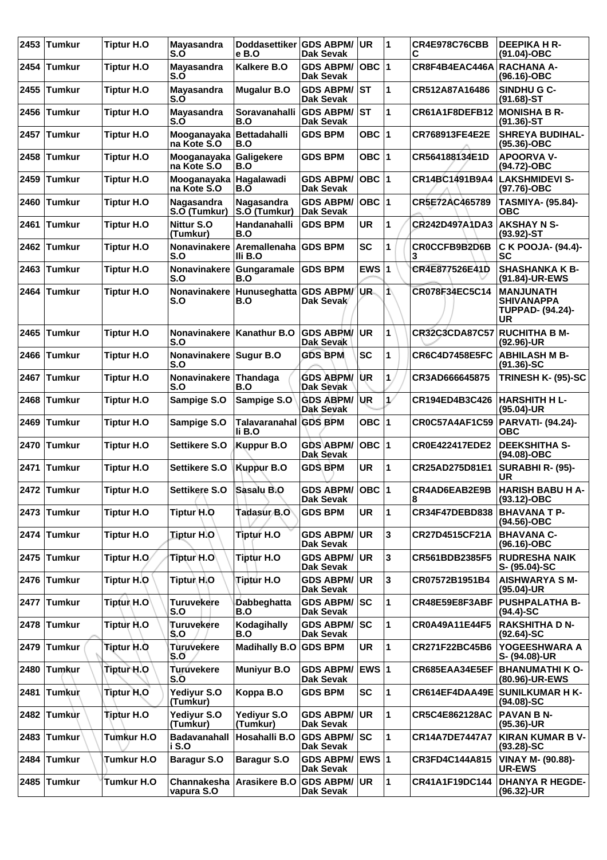| 2453 | <b>Tumkur</b> | <b>Tiptur H.O</b>  | Mayasandra<br>S.O                       | Doddasettiker GDS ABPM/<br>e B.O | Dak Sevak                            | UR.       | 11                      | <b>CR4E978C76CBB</b><br>С | <b>DEEPIKA H R-</b><br>(91.04)-OBC                                            |
|------|---------------|--------------------|-----------------------------------------|----------------------------------|--------------------------------------|-----------|-------------------------|---------------------------|-------------------------------------------------------------------------------|
| 2454 | <b>Tumkur</b> | <b>Tiptur H.O.</b> | <b>Mayasandra</b><br>S.O                | Kalkere B.O                      | <b>GDS ABPM/</b><br><b>Dak Sevak</b> | OBC $ 1$  |                         | CR8F4B4EAC446A            | <b>RACHANA A-</b><br>$(96.16) - OBC$                                          |
| 2455 | <b>Tumkur</b> | Tiptur H.O         | Mayasandra<br>S.O                       | <b>Mugalur B.O</b>               | <b>GDS ABPM/</b><br><b>Dak Sevak</b> | <b>ST</b> | 1                       | CR512A87A16486            | SINDHU G C-<br>$(91.68)$ -ST                                                  |
| 2456 | <b>Tumkur</b> | <b>Tiptur H.O</b>  | Mayasandra<br>S.O                       | Soravanahalli<br>B.O             | <b>GDS ABPM/</b><br><b>Dak Sevak</b> | <b>ST</b> | 1                       | CR61A1F8DEFB12            | <b>MONISHA B R-</b><br>$(91.36)$ -ST                                          |
|      | 2457 Tumkur   | <b>Tiptur H.O</b>  | Mooganayaka Bettadahalli<br>na Kote S.O | B.O                              | <b>GDS BPM</b>                       | OBC $ 1$  |                         | CR768913FE4E2E            | <b>SHREYA BUDIHAL-</b><br>$(95.36)$ -OBC                                      |
| 2458 | <b>Tumkur</b> | <b>Tiptur H.O</b>  | Mooganayaka<br>na Kote S.O              | <b>Galigekere</b><br>B.O         | <b>GDS BPM</b>                       | OBC $ 1$  |                         | CR564188134E1D            | <b>APOORVA V-</b><br>(94.72)-OBC                                              |
| 2459 | <b>Tumkur</b> | <b>Tiptur H.O</b>  | Mooganayaka<br>na Kote S.O              | Hagalawadi<br>B.O                | <b>GDS ABPM/</b><br><b>Dak Sevak</b> | OBC $ 1$  |                         | CR14BC1491B9A4            | <b>LAKSHMIDEVI S-</b><br>(97.76)-OBC                                          |
| 2460 | <b>Tumkur</b> | <b>Tiptur H.O</b>  | Nagasandra<br>S.O (Tumkur)              | Nagasandra<br>S.O (Tumkur)       | <b>GDS ABPM/</b><br>Dak Sevak        | OBC $ 1$  |                         | CR5E72AC465789            | <b>TASMIYA- (95.84)-</b><br><b>OBC</b>                                        |
| 2461 | <b>Tumkur</b> | Tiptur H.O         | Nittur S.O<br>(Tumkur)                  | Handanahalli<br>B.O              | <b>GDS BPM</b>                       | <b>UR</b> | 1                       | <b>CR242D497A1DA3</b>     | <b>AKSHAY N S-</b><br>$(93.92)$ -ST                                           |
| 2462 | <b>Tumkur</b> | <b>Tiptur H.O</b>  | Nonavinakere<br>S.O                     | Aremallenaha<br>IIi B.O          | <b>GDS BPM</b>                       | <b>SC</b> | 1                       | CROCCFB9B2D6B             | C K POOJA- (94.4)-<br>SC                                                      |
| 2463 | <b>Tumkur</b> | <b>Tiptur H.O</b>  | Nonavinakere<br>S.O                     | <b>Gungaramale</b><br>B.O        | <b>GDS BPM</b>                       | EWS $ 1$  |                         | CR4E877526E41D            | <b>SHASHANKA K B-</b><br>(91.84)-UR-EWS                                       |
| 2464 | <b>Tumkur</b> | <b>Tiptur H.O</b>  | <b>Nonavinakere</b><br>S.O              | Hunuseghatta GDS ABPM/<br>B.O    | Dak Sevak                            | UR.       | ⋀                       | CR078F34EC5C14            | <b>MANJUNATH</b><br><b>SHIVANAPPA</b><br><b>TUPPAD- (94.24)-</b><br><b>UR</b> |
| 2465 | <b>Tumkur</b> | <b>Tiptur H.O</b>  | Nonavinakere<br>S.O                     | Kanathur B.O                     | <b>GDS ABPM/</b><br>Dak Sevak        | UR.       | 1                       | <b>CR32C3CDA87C57</b>     | <b>RUCHITHA B M-</b><br>$(92.96)$ -UR                                         |
| 2466 | <b>Tumkur</b> | <b>Tiptur H.O</b>  | Nonavinakere Sugur B.O<br>S.O           |                                  | <b>GDS BPM</b>                       | <b>SC</b> | 1                       | <b>CR6C4D7458E5FC</b>     | <b>ABHILASH M B-</b><br>$(91.36)$ -SC                                         |
| 2467 | <b>Tumkur</b> | <b>Tiptur H.O</b>  | Nonavinakere<br>S.O                     | Thandaga<br>B.O                  | <b>GDS ABPM/</b><br>Dak Sevak        | ÙR        | 1.                      | CR3AD666645875            | TRINESH K- (95)-SC                                                            |
| 2468 | Tumkur        | <b>Tiptur H.O</b>  | Sampige S.O                             | Sampige S.O                      | <b>GDS ABPM/</b><br>Dak Sevak        | UR.       | $\mathcal{L}$           | CR194ED4B3C426            | HARSHITH H L-<br>(95.04)-UR                                                   |
| 2469 | <b>Tumkur</b> | <b>Tiptur H.O</b>  | Sampige S.O                             | Talavaranahal GDS BPM<br>li B.O  |                                      | OBC $ 1$  |                         | CR0C57A4AF1C59            | PARVATI- (94.24)-<br><b>OBC</b>                                               |
| 2470 | <b>Tumkur</b> | <b>Tiptur H.O</b>  | Settikere S.O                           | Kuppur B.O                       | GDS ABPM/<br>Dak Sevak               | $OBC$  1  |                         | <b>CR0E422417EDE2</b>     | <b>DEEKSHITHA S-</b><br>(94.08)-OBC                                           |
| 2471 | <b>Tumkur</b> | <b>Tiptur H.O</b>  | Settikere S.O                           | <b>Kuppur B.O</b>                | <b>GDS BPM</b>                       | <b>UR</b> | 1                       | CR25AD275D81E1            | SURABHI R- (95)-<br><b>UR</b>                                                 |
|      | 2472 Tumkur   | <b>Tiptur H.O</b>  | Settikere S.O                           | <b>Sasalu B.O</b>                | GDS ABPM/ OBC 1<br>Dak Sevak         |           |                         | CR4AD6EAB2E9B<br>8        | HARISH BABU H A-<br>$(93.12) - OBC$                                           |
|      | 2473 Tumkur   | <b>Tiptur H.O</b>  | Tiptur H.O                              | Tadasur B.O                      | <b>GDS BPM</b>                       | <b>UR</b> | 1                       | <b>CR34F47DEBD838</b>     | <b>BHAVANA T P-</b><br>(94.56)-OBC                                            |
|      | 2474 Tumkur   | <b>Tiptur H.O</b>  | <b>Tiptur H.O</b>                       | <b>Tiptur H.O</b>                | <b>GDS ABPM/</b><br>Dak Sevak        | UR        | 3                       | CR27D4515CF21A            | <b>BHAVANA C-</b><br>$(96.16) - OBC$                                          |
|      | 2475 Tumkur   | Tiptur H.O         | Tiptur <sup>\</sup> H.O                 | <b>Tiptur H.O</b>                | <b>GDS ABPM/</b><br>Dak Sevak        | <b>UR</b> | 3                       | CR561BDB2385F5            | <b>RUDRESHA NAIK</b><br>S- (95.04)-SC                                         |
|      | 2476 Tumkur   | Tiptur H.O         | Tiptur\ H.O                             | Tiptur H.O                       | <b>GDS ABPM/</b><br>Dak Sevak        | <b>UR</b> | $\overline{\mathbf{3}}$ | CR07572B1951B4            | <b>AISHWARYA S M-</b><br>(95.04)-UR                                           |
|      | 2477 Tumkur   | Tiptur H.O         | <b>Turuvekere</b><br>S.O                | Dabbeghatta<br>B.O               | <b>GDS ABPM/</b><br>Dak Sevak        | SC        | 1                       | CR48E59E8F3ABF            | <b>PUSHPALATHA B-</b><br>$(94.4)$ -SC                                         |
|      | 2478 Tumkur   | Tiptur H.O         | Turuvekere<br>S.O                       | Kodagihally<br>B.O               | <b>GDS ABPM/</b><br>Dak Sevak        | <b>SC</b> | 1                       | CR0A49A11E44F5            | <b>RAKSHITHA D N-</b><br>$(92.64) - SC$                                       |
| 2479 | <b>Tumkur</b> | Tiptur H.Q         | Turuvekere<br>S.O                       | <b>Madihally B.O</b>             | <b>GDS BPM</b>                       | <b>UR</b> | 1                       | CR271F22BC45B6            | YOGEESHWARA A<br>S- (94.08)-UR                                                |
| 2480 | Tumkur        | Tiptur H.O         | Turúvekere<br>$S.\overline{O}$          | <b>Muniyur B.O</b>               | <b>GDS ABPM/</b><br>Dak Sevak        | EWS 1     |                         | CR685EAA34E5EF            | <b>BHANUMATHI K O-</b><br>(80.96)-UR-EWS                                      |
|      | 2481 Tumkur   | Tiptur H.O.        | Yediyur S.O<br>(Tumkur)                 | Koppa B.O                        | <b>GDS BPM</b>                       | <b>SC</b> | 1                       |                           | <b>CR614EF4DAA49E SUNILKUMAR H K-</b><br>$(94.08) - SC$                       |
|      | 2482 Tumkur   | Tiptur H.O         | Yediyur S.O<br>(Tumkur)                 | Yedivur S.O<br>(Tumkur)          | <b>GDS ABPM/</b><br>Dak Sevak        | UR        | 1                       | CR5C4E862128AC            | <b>PAVAN B N-</b><br>(95.36)-UR                                               |
| 2483 | <b>Tumkur</b> | Tumkur H.O         | <b>Badavanahall</b><br><b>i</b> S.O     | Hosahalli B.O                    | <b>GDS ABPM/</b><br>Dak Sevak        | SC        | 1                       | <b>CR14A7DE7447A7</b>     | <b>KIRAN KUMAR B V-</b><br>$(93.28)$ -SC                                      |
| 2484 | <b>Tumkur</b> | Tumkur H.O         | <b>Baragur S.O</b>                      | <b>Baragur S.O</b>               | <b>GDS ABPM/</b><br>Dak Sevak        | EWS 1     |                         | CR3FD4C144A815            | VINAY M- (90.88)-<br>UR-EWS                                                   |
| 2485 | Tumkur        | Tumkur H.O         | Channakesha<br>vapura S.O               | Arasikere B.O                    | <b>GDS ABPM/</b><br>Dak Sevak        | <b>UR</b> | 1                       | CR41A1F19DC144            | <b>DHANYA R HEGDE-</b><br>(96.32)-UR                                          |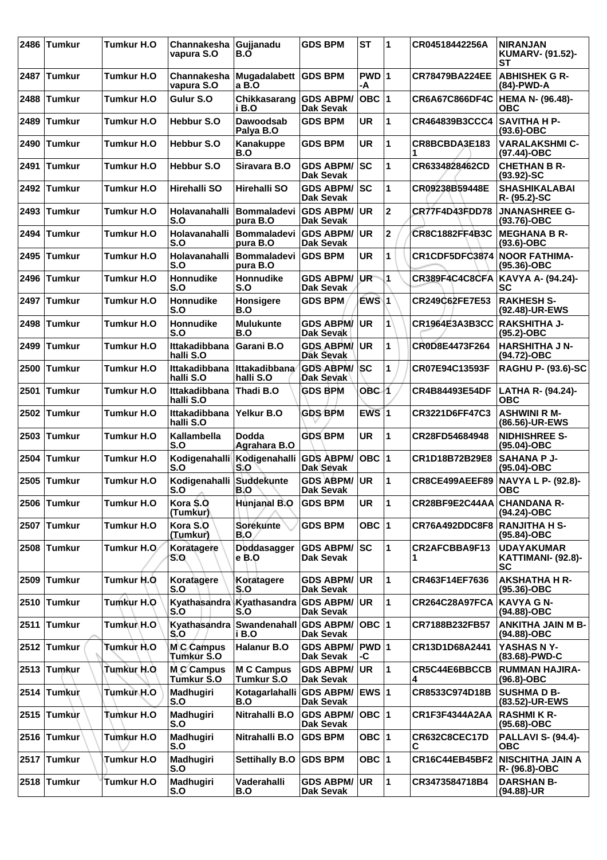| 2486 | <b>Tumkur</b> | Tumkur H.O         | Channakesha<br>vapura S.O         | Gujjanadu<br>B.O                             | <b>GDS BPM</b>                          | <b>ST</b>          | 1            | CR04518442256A             | <b>NIRANJAN</b><br><b>KUMARV- (91.52)-</b><br>SТ     |
|------|---------------|--------------------|-----------------------------------|----------------------------------------------|-----------------------------------------|--------------------|--------------|----------------------------|------------------------------------------------------|
| 2487 | <b>Tumkur</b> | <b>Tumkur H.O.</b> | Channakesha<br>vapura S.O         | Mugadalabett<br>a B.O                        | <b>GDS BPM</b>                          | PWD 1<br>-A        |              | <b>CR78479BA224EE</b>      | <b>ABHISHEK G R-</b><br>(84)-PWD-A                   |
| 2488 | <b>Tumkur</b> | <b>Tumkur H.O.</b> | Gulur S.O                         | Chikkasarang<br>i B.O                        | <b>GDS ABPM/</b><br><b>Dak Sevak</b>    | OBC  1             |              | <b>CR6A67C866DF4C</b>      | <b>HEMA N- (96.48)-</b><br>ОВС                       |
| 2489 | <b>Tumkur</b> | Tumkur H.O         | Hebbur S.O                        | <b>Dawoodsab</b><br>Palya B.O                | <b>GDS BPM</b>                          | UR                 | 1            | CR464839B3CCC4             | <b>SAVITHA H P-</b><br>$(93.6) - OBC$                |
| 2490 | <b>Tumkur</b> | <b>Tumkur H.O</b>  | <b>Hebbur S.O</b>                 | Kanakuppe<br>B.O                             | <b>GDS BPM</b>                          | <b>UR</b>          | 1            | CR8BCBDA3E183              | <b>VARALAKSHMI C-</b><br>(97.44)-OBC                 |
| 2491 | Tumkur        | <b>Tumkur H.O</b>  | <b>Hebbur S.O</b>                 | Siravara B.O                                 | <b>GDS ABPM/</b><br><b>Dak Sevak</b>    | <b>SC</b>          | 1            | CR6334828462CD             | <b>CHETHAN B R-</b><br>$(93.92) - SC$                |
|      | 2492 Tumkur   | Tumkur H.O         | <b>Hirehalli SO</b>               | <b>Hirehalli SO</b>                          | <b>GDS ABPM/SC</b><br><b>Dak Sevak</b>  |                    | 1            | CR09238B59448E             | <b>SHASHIKALABAI</b><br>R- (95.2)-SC                 |
| 2493 | <b>Tumkur</b> | Tumkur H.O         | <b>Holavanahalli</b><br>S.O       | <b>Bommaladevi</b><br>pura B.O               | <b>GDS ABPM/</b><br><b>Dak Sevak</b>    | UR.                | $\mathbf 2$  | <b>CR77F4D43FDD78</b>      | <b>JNANASHREE G-</b><br>(93.76)-OBC                  |
| 2494 | <b>Tumkur</b> | <b>Tumkur H.O</b>  | Holavanahalli<br>S.O              | <b>Bommaladevi</b><br>pura B.O               | <b>GDS ABPM/</b><br>Dak Sevak           | UR.                | 2            | <b>CR8C1882FF4B3C</b>      | <b>MEGHANA B R-</b><br>$(93.6)-OBC$                  |
| 2495 | <b>Tumkur</b> | <b>Tumkur H.O</b>  | Holavanahalli<br>S.O              | Bommaladevi<br>pura B.O                      | <b>GDS BPM</b>                          | <b>UR</b>          | 1            | CR1CDF5DFC3874             | <b>NOOR FATHIMA-</b><br>(95.36)-OBC                  |
| 2496 | <b>Tumkur</b> | <b>Tumkur H.O</b>  | Honnudike<br>S.O                  | <b>Honnudike</b><br>S.O                      | <b>GDS ABPM/</b><br>Dak Sevak           | UR                 | 1            | CR389F4C4C8CFA             | KAVYA A- (94.24)-<br><b>SC</b>                       |
| 2497 | <b>Tumkur</b> | Tumkur H.O         | Honnudike<br>S.O                  | <b>Honsigere</b><br>B.O                      | <b>GDS BPM</b>                          | EWS\1              |              | CR249C62FE7E53             | <b>RAKHESH S-</b><br>(92.48)-UR-EWS                  |
| 2498 | <b>Tumkur</b> | Tumkur H.O         | Honnudike<br>S.O                  | <b>Mulukunte</b><br>B.O                      | <b>GDS ABPM/</b><br>Dak Sevak           | <b>UR</b>          | 1            | CR1964E3A3B3CC             | <b>RAKSHITHA J-</b><br>$(95.2)$ -OBC                 |
| 2499 | <b>Tumkur</b> | Tumkur H.O         | <b>Ittakadibbana</b><br>halli S.O | Garani B.O                                   | <b>GDS ABPM/ UR</b><br><b>Dak Sevak</b> |                    | 1            | CR0D8E4473F264             | <b>HARSHITHA J N-</b><br>(94.72)-OBC                 |
| 2500 | <b>Tumkur</b> | Tumkur H.O         | Ittakadibbana<br>halli S.O        | Ittakadibbana<br>halli S.O                   | <b>GDS ABPM/SC</b><br>Dak Sevak         |                    | 1            | CR07E94C13593F             | <b>RAGHU P- (93.6)-SC</b>                            |
| 2501 | <b>Tumkur</b> | <b>Tumkur H.O</b>  | Ittakadibbana<br>halli S.O        | Thadi B.O                                    | <b>GDS BPM</b>                          | OBC-1              |              | CR4B84493E54DF             | LATHA R- (94.24)-<br><b>OBC</b>                      |
| 2502 | <b>Tumkur</b> | <b>Tumkur H.O</b>  | Ittakadibbana<br>halli S.O        | Yelkur B.O                                   | <b>GDS BPM</b>                          | $EWS$ <sup>1</sup> |              | CR3221D6FF47C3             | <b>ASHWINI R M-</b><br>(86.56)-UR-EWS                |
| 2503 | Tumkur        | <b>Tumkur H.O</b>  | Kallambella<br>S.O                | Dodda<br>Agrahara B.O                        | <b>GDS BPM</b>                          | <b>UR</b>          | 1            | CR28FD54684948             | NIDHISHREE S-<br>(95.04)-OBC                         |
| 2504 | Tumkur        | <b>Tumkur H.O</b>  | S.O                               | Kodigenahalli Kodigenahalli<br>S.O           | <b>GDS ABPM/</b><br>Dak Sevak           | OBC  1             |              | CR1D18B72B29E8             | <b>SAHANA P J-</b><br>(95.04)-OBC                    |
| 2505 | <b>Tumkur</b> | <b>Tumkur H.O</b>  | Kodigenahalli Suddekunte<br>S.O   | IB.O                                         | <b>GDS ABPM/</b><br><b>Dak Sevak</b>    | <b>UR</b>          | 1            | CR8CE499AEEF89             | NAVYA L P- (92.8)-<br>ОВС                            |
|      | 2506 Tumkur   | Tumkur H.O         | Kora \$.0<br>(Tumkur)             | Hunjanal B.O                                 | <b>GDS BPM</b>                          | UR                 | 1            | CR28BF9E2C44AA CHANDANA R- | (94.24)-OBC                                          |
|      | 2507 Tumkur   | Tumkur H.O         | Kora S.O<br>(Tumkur)              | <b>Sorekunte</b><br>B.O                      | <b>GDS BPM</b>                          | OBC $ 1$           |              | CR76A492DDC8F8             | <b>RANJITHA H S-</b><br>(95.84)-OBC                  |
|      | 2508 Tumkur   | Tumkur H.O.        | Koratagere<br>S.O                 | Doddasagger<br>e B.O                         | <b>GDS ABPM/</b><br>Dak Sevak           | sc                 | 1            | CR2AFCBBA9F13<br>1         | <b>UDAYAKUMAR</b><br>KATTIMANI- (92.8)-<br><b>SC</b> |
|      | 2509 Tumkur   | Tumkur H.O.        | Koratagere<br>S.O                 | Koratagere<br>S.O                            | <b>GDS ABPM/ UR</b><br><b>Dak Sevak</b> |                    | 1            | CR463F14EF7636             | <b>AKSHATHA H R-</b><br>(95.36)-OBC                  |
|      | 2510 Tumkur   | Tumkur H.O         | Kyathasandra<br>S.O               | Kyathasandra<br>S.O                          | <b>GDS ABPM/ UR</b><br>Dak Sevak        |                    | 1            | CR264C28A97FCA             | <b>KAVYA G N-</b><br>(94.88)-OBC                     |
| 2511 | <b>Tumkur</b> | Tumkur H.O         | S.O                               | Kyathasandra Swandenahall GDS ABPM/<br>i B.O | Dak Sevak                               | OBC  1             |              | CR7188B232FB57             | <b>ANKITHA JAIN M B-</b><br>(94.88)-OBC              |
|      | 2512 Tumkur   | Tumkur H.O         | MC Campus<br>Tumkur S.O           | <b>Halanur B.O</b>                           | <b>GDS ABPM/</b><br><b>Dak Sevak</b>    | PWD 1<br>-C        |              | CR13D1D68A2441             | YASHAS N Y-<br>(83.68)-PWD-C                         |
|      | 2513 Tumkur   | Tumkur H.O.        | M.C Campus<br>Tumkur S.O          | <b>M C Campus</b><br>Tumkur S.O              | <b>GDS ABPM/</b><br>Dak Sevak           | UR.                | 1            | CR5C44E6BBCCB<br>4         | <b>RUMMAN HAJIRA-</b><br>(96.8)-OBC                  |
|      | 2514 Tumkur   | Tumkur H.O         | Madhugiri<br>S.O                  | Kotagarlahalli GDS ABPM/ EWS 1<br>B.O        | Dak Sevak                               |                    |              | CR8533C974D18B             | <b>SUSHMA D B-</b><br>(83.52)-UR-EWS                 |
|      | 2515 Tumkur   | Tumkur H.O         | Madhugiri<br>S.O                  | Nitrahalli B.O                               | <b>GDS ABPM/</b><br>Dak Sevak           | OBC 1              |              | CR1F3F4344A2AA             | <b>RASHMIK R-</b><br>$(95.68)$ -OBC                  |
|      | 2516 Tumkur   | Tumkur H.O         | Madhugiri<br>S.O                  | Nitrahalli B.O                               | <b>GDS BPM</b>                          | OBC $ 1$           |              | CR632C8CEC17D<br>С         | <b>PALLAVI S- (94.4)-</b><br><b>OBC</b>              |
|      | 2517 Tumkur   | Tumkur H.O         | Madhugiri<br>S.O                  | <b>Settihally B.O</b>                        | <b>GDS BPM</b>                          | OBC $ 1$           |              | <b>CR16C44EB45BF2</b>      | <b>NISCHITHA JAIN A</b><br>R- (96.8)-OBC             |
|      | 2518 Tumkur   | Tumkur H.O         | Madhugiri<br>S.O                  | Vaderahalli<br>B.O                           | <b>GDS ABPM/</b><br><b>Dak Sevak</b>    | UR)                | $\mathbf{1}$ | CR3473584718B4             | <b>DARSHAN B-</b><br>(94.88)-UR                      |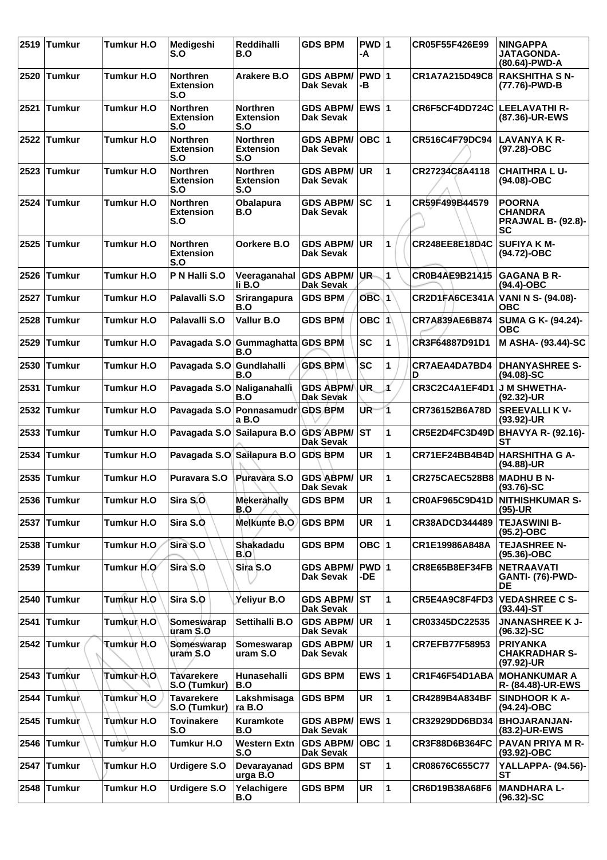|      | 2519 Tumkur   | <b>Tumkur H.O</b> | Medigeshi<br>S.O                           | Reddihalli<br>B.O                          | <b>GDS BPM</b>                          | PWD 1<br>-A     |              | CR05F55F426E99        | <b>NINGAPPA</b><br><b>JATAGONDA-</b><br>(80.64)-PWD-A              |
|------|---------------|-------------------|--------------------------------------------|--------------------------------------------|-----------------------------------------|-----------------|--------------|-----------------------|--------------------------------------------------------------------|
|      | 2520 Tumkur   | <b>Tumkur H.O</b> | <b>Northren</b><br><b>Extension</b><br>S.O | Arakere B.O                                | <b>GDS ABPM/</b><br>Dak Sevak           | $PWD$ 1<br>-В   |              | CR1A7A215D49C8        | <b>RAKSHITHA S N-</b><br>(77.76)-PWD-B                             |
| 2521 | Tumkur        | <b>Tumkur H.O</b> | <b>Northren</b><br><b>Extension</b><br>S.O | <b>Northren</b><br><b>Extension</b><br>S.O | <b>GDS ABPM/</b><br><b>Dak Sevak</b>    | EWS 1           |              | CR6F5CF4DD724C        | LEELAVATHI R-<br>(87.36)-UR-EWS                                    |
|      | 2522 Tumkur   | <b>Tumkur H.O</b> | <b>Northren</b><br><b>Extension</b><br>S.O | <b>Northren</b><br><b>Extension</b><br>S.O | <b>GDS ABPM/</b><br><b>Dak Sevak</b>    | $OBC$ 1         |              | CR516C4F79DC94        | <b>LAVANYA K R-</b><br>(97.28)-OBC                                 |
|      | 2523 Tumkur   | <b>Tumkur H.O</b> | <b>Northren</b><br><b>Extension</b><br>S.O | <b>Northren</b><br><b>Extension</b><br>S.O | <b>GDS ABPM/</b><br><b>Dak Sevak</b>    | <b>UR</b>       | 1            | CR27234C8A4118        | <b>CHAITHRALU-</b><br>(94.08)-OBC                                  |
|      | 2524 Tumkur   | <b>Tumkur H.O</b> | <b>Northren</b><br><b>Extension</b><br>S.O | <b>Obalapura</b><br>B.O                    | <b>GDS ABPM/SC</b><br>Dak Sevak         |                 | 1            | CR59F499B44579        | <b>POORNA</b><br><b>CHANDRA</b><br><b>PRAJWAL B- (92.8)-</b><br>SC |
|      | 2525 Tumkur   | <b>Tumkur H.O</b> | <b>Northren</b><br><b>Extension</b><br>S.O | Oorkere B.O                                | <b>GDS ABPM/</b><br>Dak Sevak           | UR              | $\mathbf{1}$ | CR248EE8E18D4C        | <b>SUFIYA K M-</b><br>(94.72)-OBC                                  |
|      | 2526 Tumkur   | <b>Tumkur H.O</b> | P N Halli S.O                              | Veeraganahal GDS ABPM/<br>li B.O           | <b>Dak Sevak</b>                        | UR.             | 1            | CR0B4AE9B21415        | <b>GAGANA B R-</b><br>$(94.4)$ -OBC                                |
|      | 2527 Tumkur   | Tumkur H.O        | Palavalli S.O                              | <b>Srirangapura</b><br>B.O                 | <b>GDS BPM</b>                          | $OBC$ 1         |              | CR2D1FA6CE341A        | VANI N S- (94.08)-<br><b>OBC</b>                                   |
| 2528 | <b>Tumkur</b> | Tumkur H.O        | Palavalli S.O                              | Vallur B.O                                 | <b>GDS BPM</b>                          | OBC $ 1\rangle$ |              | CR7A839AE6B874        | SUMA G K- (94.24)-<br><b>OBC</b>                                   |
| 2529 | <b>Tumkur</b> | <b>Tumkur H.O</b> | Pavagada S.O                               | Gummaghatta GDS BPM<br>B.O                 |                                         | <b>SC</b>       | 1            | CR3F64887D91D1        | M ASHA- (93.44)-SC                                                 |
|      | 2530 Tumkur   | <b>Tumkur H.O</b> | Pavagada S.O                               | Gundlahalli<br>B.O                         | <b>GDS BPM</b>                          | <b>SC</b>       | 1            | CR7AEA4DA7BD4<br>D    | <b>DHANYASHREE S-</b><br>$(94.08) - SC$                            |
|      | 2531 Tumkur   | Tumkur H.O        | Pavagada S.O                               | Naliganahalli<br>B.O                       | <b>GDS ABPMA</b><br>Dak Sevak           | UR.             | Á            | CR3C2C4A1EF4D1        | J M SHWETHA-<br>(92.32)-UR                                         |
|      | 2532 Tumkur   | <b>Tumkur H.O</b> |                                            | Pavagada S.O Ponnasamudr GDS BPM<br>a B.O  |                                         | UR.             | 1            | CR736152B6A78D        | <b>SREEVALLI KV-</b><br>$(93.92)$ -UR                              |
|      | 2533 Tumkur   | Tumkur H.O        | Pavagada S.O                               | Sailapura B.O                              | <b>GDS ABPM/</b><br>Dak Sevak           | <b>ST</b>       | 1            | CR5E2D4FC3D49D        | <b>BHAVYA R- (92.16)-</b><br>SТ                                    |
| 2534 | <b>Tumkur</b> | Tumkur H.O        |                                            | Pavagada S.O Sailapura B.O GDS BPM         |                                         | UR              | 1            | CR71EF24BB4B4D        | <b>HARSHITHA G A-</b><br>(94.88)-UR                                |
| 2535 | <b>Tumkur</b> | <b>Tumkur H.O</b> | Puravara S.O                               | Puravara S.O                               | <b>GDS ABPM/</b><br><b>Dak Sevak</b>    | <b>UR</b>       | 1            | CR275CAEC528B8        | <b>MADHU B N-</b><br>$(93.76)$ -SC                                 |
|      | 2536 Tumkur   | Tumkur H.O        | Sira S.O.                                  | Mekerahally<br>B.O                         | <b>GDS BPM</b>                          | UR              | l1.          |                       | CR0AF965C9D41D NITHISHKUMAR S-<br>$(95)-UR$                        |
|      | 2537 Tumkur   | Tumkur H.O        | Sira S.O                                   | <b>Melkunte B.O.</b>                       | <b>GDS BPM</b>                          | <b>UR</b>       | 1            | CR38ADCD344489        | <b>TEJASWINI B-</b><br>$(95.2)$ -OBC                               |
|      | 2538 Tumkur   | Tumkur H.O        | Sira S.O                                   | Shakadadu<br>B.O                           | <b>GDS BPM</b>                          | OBC $ 1$        |              | CR1E19986A848A        | <b>TEJASHREE N-</b><br>(95.36)-OBC                                 |
|      | 2539 Tumkur   | Tumkur H.O        | Sira S.O                                   | Sira S.O                                   | <b>GDS ABPM/</b><br><b>Dak Sevak</b>    | $PWD$ 1<br>-DE  |              | CR8E65B8EF34FB        | <b>NETRAAVATI</b><br><b>GANTI- (76)-PWD-</b><br><b>DE</b>          |
|      | 2540 Tumkur   | Tumkur H.O        | Sira S.O                                   | Yeliyur B.O                                | <b>GDS ABPM/ ST</b><br><b>Dak Sevak</b> |                 | $\mathbf{1}$ | CR5E4A9C8F4FD3        | <b>VEDASHREE C S-</b><br>$(93.44)$ -ST                             |
| 2541 | <b>Tumkur</b> | Tumkur H.O        | Someswarap<br>uram S.O                     | Settihalli B.O                             | <b>GDS ABPM/</b><br>Dak Sevak           | <b>UR</b>       | $\mathbf{1}$ | CR03345DC22535        | <b>JNANASHREE K J-</b><br>$(96.32)$ -SC                            |
|      | 2542 Tumkur   | Tumkur H.O        | Someswarap<br>uram S.O                     | Someswarap<br>uram S.O                     | <b>GDS ABPM/</b><br><b>Dak Sevak</b>    | <b>UR</b>       | 1            | <b>CR7EFB77F58953</b> | <b>PRIYANKA</b><br><b>CHAKRADHAR S-</b><br>(97.92)-UR              |
|      | 2543 Tumkur   | Tumkur H.O        | <b>Tavarekere</b><br>S.O (Tumkur)          | Hunasehalli<br>B.O                         | <b>GDS BPM</b>                          | EWS $ 1$        |              | CR1F46F54D1ABA        | <b>MOHANKUMAR A</b><br>R- (84.48)-UR-EWS                           |
|      | 2544 Tumkur   | Tumkur H.O        | <b>Tavarekere</b><br>S.O (Tumkur)          | Lakshmisaga<br>ra B.O                      | <b>GDS BPM</b>                          | <b>UR</b>       | 1            | CR4289B4A834BF        | SINDHOOR K A-<br>(94.24)-OBC                                       |
|      | 2545 Tumkur   | Tumkur H.O        | <b>Tovinakere</b><br>S.O                   | <b>Kuramkote</b><br>B.O                    | <b>GDS ABPM/</b><br><b>Dak Sevak</b>    | <b>EWS 1</b>    |              | CR32929DD6BD34        | <b>BHOJARANJAN-</b><br>(83.2)-UR-EWS                               |
| 2546 | <b>Tumkur</b> | Tumkur H.O        | Tumkur H.O                                 | <b>Western Extn</b><br>S.O                 | <b>GDS ABPM/</b><br>Dak Sevak           | $OBC$  1        |              | <b>CR3F88D6B364FC</b> | <b>PAVAN PRIYA M R-</b><br>$(93.92)$ -OBC                          |
|      | 2547 Tumkur   | Tumkur H.O        | <b>Urdigere S.O</b>                        | Devarayanad<br>urga B.O                    | <b>GDS BPM</b>                          | <b>ST</b>       | 1            | CR08676C655C77        | <b>YALLAPPA- (94.56)-</b><br><b>ST</b>                             |
|      | 2548 Tumkur   | Tumkur H.O        | <b>Urdigere S.O</b>                        | Yelachigere<br>B.O                         | <b>GDS BPM</b>                          | UR              | $\mathbf{1}$ | CR6D19B38A68F6        | <b>MANDHARA L-</b><br>$(96.32) - SC$                               |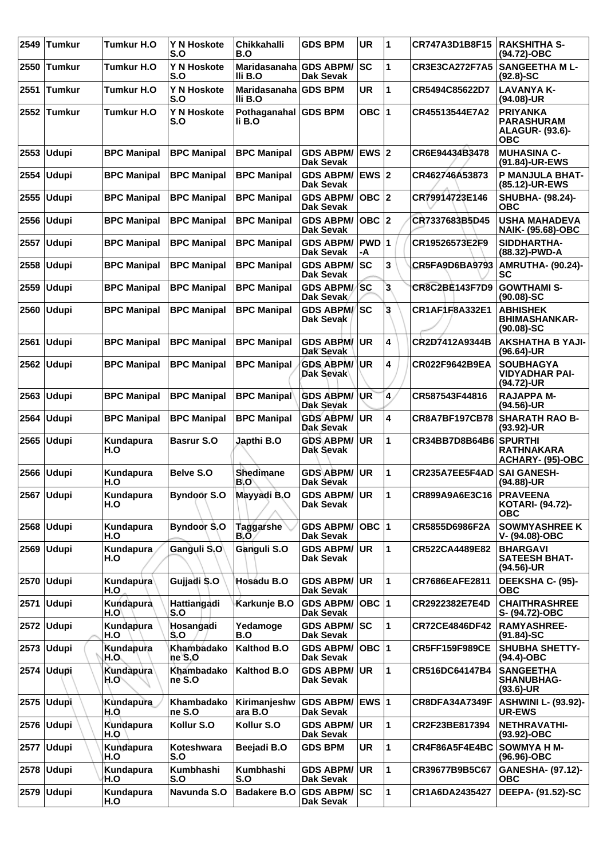| 2549 | <b>Tumkur</b> | Tumkur H.O              | Y N Hoskote<br>S.O   | <b>Chikkahalli</b><br>B.O         | <b>GDS BPM</b>                         | <b>UR</b>        | 1 | CR747A3D1B8F15        | <b>RAKSHITHA S-</b><br>(94.72)-OBC                                    |
|------|---------------|-------------------------|----------------------|-----------------------------------|----------------------------------------|------------------|---|-----------------------|-----------------------------------------------------------------------|
| 2550 | <b>Tumkur</b> | Tumkur H.O              | Y N Hoskote<br>S.O   | Maridasanaha GDS ABPM/<br>IIi B.O | Dak Sevak                              | lsc              | 1 | <b>CR3E3CA272F7A5</b> | <b>SANGEETHA ML-</b><br>$(92.8) - SC$                                 |
| 2551 | <b>Tumkur</b> | Tumkur H.O              | Y N Hoskote<br>S.O   | Maridasanaha GDS BPM<br>IIi B.O   |                                        | UR               | 1 | CR5494C85622D7        | <b>LAVANYA K-</b><br>(94.08)-UR                                       |
| 2552 | <b>Tumkur</b> | Tumkur H.O              | Y N Hoskote<br>S.O   | Pothaganahal GDS BPM<br>li B.O    |                                        | OBC $ 1$         |   | CR45513544E7A2        | <b>PRIYANKA</b><br><b>PARASHURAM</b><br><b>ALAGUR- (93.6)-</b><br>ОВС |
| 2553 | <b>Udupi</b>  | <b>BPC Manipal</b>      | <b>BPC Manipal</b>   | <b>BPC Manipal</b>                | <b>GDS ABPM/</b><br>Dak Sevak          | <b>EWS 2</b>     |   | CR6E94434B3478        | <b>MUHASINA C-</b><br>(91.84)-UR-EWS                                  |
| 2554 | <b>Udupi</b>  | <b>BPC Manipal</b>      | <b>BPC Manipal</b>   | <b>BPC Manipal</b>                | <b>GDS ABPM/</b><br>Dak Sevak          | <b>EWS 2</b>     |   | CR462746A53873        | <b>P MANJULA BHAT-</b><br>(85.12)-UR-EWS                              |
| 2555 | <b>Udupi</b>  | <b>BPC Manipal</b>      | <b>BPC Manipal</b>   | <b>BPC Manipal</b>                | <b>GDS ABPM/</b><br>Dak Sevak          | OBC  2           |   | CR79914723E146        | SHUBHA- (98.24)-<br>ОВС                                               |
| 2556 | <b>Udupi</b>  | <b>BPC Manipal</b>      | <b>BPC Manipal</b>   | <b>BPC Manipal</b>                | <b>GDS ABPM/</b><br>Dak Sevak          | OBC  2           |   | CR7337683B5D45        | <b>USHA MAHADEVA</b><br><b>NAIK- (95.68)-OBC</b>                      |
| 2557 | <b>Udupi</b>  | <b>BPC Manipal</b>      | <b>BPC Manipal</b>   | <b>BPC Manipal</b>                | <b>GDS ABPM/</b><br>Dak Sevak          | <b>PWD</b><br>-A | 1 | CR19526573E2F9        | SIDDHARTHA-<br>(88.32)-PWD-A                                          |
| 2558 | <b>Udupi</b>  | <b>BPC Manipal</b>      | <b>BPC Manipal</b>   | <b>BPC Manipal</b>                | <b>GDS ABPM/</b><br>Dak Sevak          | SC               | 3 | <b>CR5FA9D6BA9793</b> | <b>AMRUTHA- (90.24)-</b><br>SC                                        |
| 2559 | <b>Udupi</b>  | <b>BPC Manipal</b>      | <b>BPC Manipal</b>   | <b>BPC Manipal</b>                | <b>GDS ABPM/</b><br>Dak Sevak          | <b>SC</b>        | 3 | <b>CR8C2BE143F7D9</b> | <b>GOWTHAMI S-</b><br>$(90.08)-SC$                                    |
| 2560 | <b>Udupi</b>  | <b>BPC Manipal</b>      | <b>BPC Manipal</b>   | <b>BPC Manipal</b>                | <b>GDS ABPM/</b><br>Dak Sevak          | lsc              | З | CR1AF1F8A332E1        | <b>ABHISHEK</b><br><b>BHIMASHANKAR-</b><br>$(90.08) - SC$             |
| 2561 | <b>Udupi</b>  | <b>BPC Manipal</b>      | <b>BPC Manipal</b>   | <b>BPC Manipal</b>                | <b>GDS ABPM/</b><br>Dak Sevak          | UR.              | 4 | CR2D7412A9344B        | <b>AKSHATHA B YAJI-</b><br>$(96.64)$ -UR                              |
| 2562 | <b>Udupi</b>  | <b>BPC Manipal</b>      | <b>BPC Manipal</b>   | <b>BPC Manipal</b>                | <b>GDS ABPM/</b><br>Dak Sevak          | UR               | 4 | CR022F9642B9EA        | <b>SOUBHAGYA</b><br><b>VIDYADHAR PAI-</b><br>(94.72)-UR               |
| 2563 | <b>Udupi</b>  | <b>BPC Manipal</b>      | <b>BPC Manipal</b>   | <b>BPC Manipal</b>                | <b>GDS ABPM/</b><br><b>Dak Sevak</b>   | ∖UR              | 4 | CR587543F44816        | <b>RAJAPPA M-</b><br>$(94.56)$ -UR                                    |
| 2564 | <b>Udupi</b>  | <b>BPC Manipal</b>      | <b>BPC Manipal</b>   | <b>BPC Manipal</b>                | <b>GDS ABPM/</b><br>Dak Sevak          | <b>UR</b>        | 4 | <b>CR8A7BF197CB78</b> | <b>SHARATH RAO B-</b><br>(93.92)-UR                                   |
| 2565 | <b>Udupi</b>  | Kundapura<br>H.O        | <b>Basrur S.O</b>    | Japthi B.O                        | <b>GDS ABPM/</b><br>Dak Sevak          | <b>UR</b>        | 1 | CR34BB7D8B64B6        | <b>SPURTHI</b><br><b>RATHNAKARA</b><br>ACHARY- (95)-OBC               |
|      | $2566$ Udupi  | Kundapura<br>H.O        | Belve S.O            | Shedimane<br>B.O                  | <b>GDS ABPM/</b><br>Dak Sevak          | <b>UR</b>        | 1 | CR235A7EE5F4AD        | <b>SAI GANESH-</b><br>(94.88)-UR                                      |
|      | 2567 Udupi    | Kundapura<br>H.O        | <b>Byndoor S.O</b>   | Mayyadi B.O                       | <b>GDS ABPM/ UR</b><br>Dak Sevak       |                  | 1 | CR899A9A6E3C16        | <b>PRAVEENA</b><br>KOTARI- (94.72)-<br><b>OBC</b>                     |
|      | 2568 Udupi    | Kundapura<br>H.O        | <b>Byndoor S.O</b>   | Taggarshe<br>B.Ō                  | <b>GDS ABPM/</b><br>Dak Sevak          | ∣овс ∣1          |   | CR5855D6986F2A        | <b>SOWMYASHREE K</b><br>V- (94.08)-OBC                                |
|      | $2569$ Udupi  | Kundapura<br>H.O        | Ganguli S.O          | Ganguli S.O                       | <b>GDS ABPM/</b><br>Dak Sevak          | <b>UR</b>        | 1 | CR522CA4489E82        | <b>BHARGAVI</b><br><b>SATEESH BHAT-</b><br>(94.56)-UR                 |
|      | 2570 Udupi    | Kundapura<br>H.O        | Gujjadi S.O          | Hosadu B.O                        | <b>GDS ABPM/</b><br><b>Dak Sevak</b>   | <b>UR</b>        | 1 | CR7686EAFE2811        | DEEKSHA C- (95)-<br><b>OBC</b>                                        |
| 2571 | Udupi         | Kundapura<br>H.O        | Hattiangadi<br>S.O   | Karkunje B.O                      | <b>GDS ABPM/</b><br>Dak Sevak          | OBC  1           |   | CR2922382E7E4D        | <b>CHAITHRASHREE</b><br>S- (94.72)-OBC                                |
|      | $2572$ Udupi  | Kundapura<br>H.O        | Hosangadi<br>S.O     | Yedamoge<br>B.O                   | <b>GDS ABPM/</b><br>Dak Sevak          | SC               | 1 | <b>CR72CE4846DF42</b> | <b>RAMYASHREE-</b><br>$(91.84)$ -SC                                   |
|      | 2573 Udupi    | Kundapura<br>H.O.       | Khambadako<br>ne S.O | Kalthod B.O                       | <b>GDS ABPM/</b><br>Dak Sevak          | OBC  1           |   | <b>CR5FF159F989CE</b> | <b>SHUBHA SHETTY-</b><br>$(94.4)$ -OBC                                |
|      | 2574   Udupi  | Kundapura<br>H.O`       | Khambadako<br>ne S.O | <b>Kalthod B.O</b>                | <b>GDS ABPM/</b><br>Dak Sevak          | ∣UR.             | 1 | CR516DC64147B4        | <b>SANGEETHA</b><br><b>SHANUBHAG-</b><br>$(93.6)$ -UR                 |
|      | 2575 Udupi    | Kundapura<br>H.O        | Khambadako<br>ne S.O | Kirimanjeshw<br>ara B.O           | GDS ABPM/ EWS 1<br>Dak Sevak           |                  |   | <b>CR8DFA34A7349F</b> | <b>ASHWINI L- (93.92)-</b><br><b>UR-EWS</b>                           |
|      | 2576 Udupi    | Kundapura<br>H.Q        | Kollur S.O           | Kollur S.O                        | <b>GDS ABPM/</b><br>Dak Sevak          | UR.              | 1 | CR2F23BE817394        | <b>NETHRAVATHI-</b><br>(93.92)-OBC                                    |
|      | 2577   Udupi  | Kundapura<br>H.O        | Koteshwara<br>S.O    | Beejadi B.O                       | <b>GDS BPM</b>                         | UR.              | 1 | CR4F86A5F4E4BC        | SOWMYA H M-<br>(96.96)-OBC                                            |
|      | 2578 Udupi    | <b>Kundapura</b><br>H.O | Kumbhashi<br>S.O     | Kumbhashi<br>S.O                  | <b>GDS ABPM/</b><br>Dak Sevak          | <b>UR</b>        | 1 | CR39677B9B5C67        | GANESHA- (97.12)-<br><b>OBC</b>                                       |
|      | 2579 Udupi    | Kundapura<br>H.O        | Navunda S.O          | <b>Badakere B.O</b>               | <b>GDS ABPM/SC</b><br><b>Dak Sevak</b> |                  | 1 | CR1A6DA2435427        | <b>DEEPA- (91.52)-SC</b>                                              |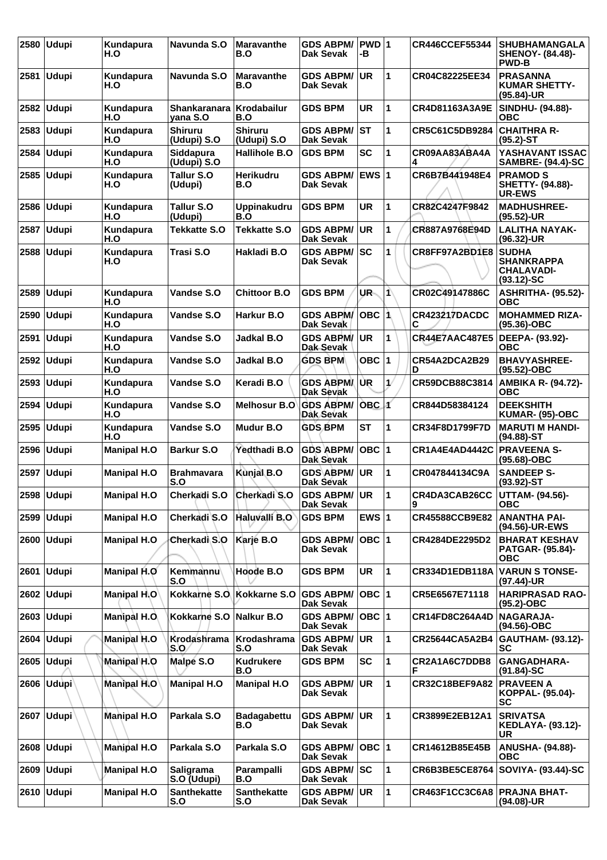| 2580 | <b>Udupi</b> | Kundapura<br>H.O   | Navunda S.O                   | <b>Maravanthe</b><br>B.O      | <b>GDS ABPM/</b><br>Dak Sevak        | PWD 1<br>-В  |    | <b>CR446CCEF55344</b> | <b>SHUBHAMANGALA</b><br><b>SHENOY- (84.48)-</b><br><b>PWD-B</b>        |
|------|--------------|--------------------|-------------------------------|-------------------------------|--------------------------------------|--------------|----|-----------------------|------------------------------------------------------------------------|
| 2581 | <b>Udupi</b> | Kundapura<br>H.O   | Navunda S.O                   | <b>Maravanthe</b><br>B.O      | <b>GDS ABPM/</b><br>Dak Sevak        | <b>UR</b>    | 1  | CR04C82225EE34        | <b>PRASANNA</b><br><b>KUMAR SHETTY-</b><br>(95.84)-UR                  |
| 2582 | <b>Udupi</b> | Kundapura<br>H.O   | Shankaranara<br>vana S.O      | <b>Krodabailur</b><br>B.O     | <b>GDS BPM</b>                       | <b>UR</b>    | 1  | CR4D81163A3A9E        | <b>SINDHU- (94.88)-</b><br><b>OBC</b>                                  |
| 2583 | <b>Udupi</b> | Kundapura<br>H.O   | <b>Shiruru</b><br>(Udupi) S.O | <b>Shiruru</b><br>(Udupi) S.O | <b>GDS ABPM/</b><br>Dak Sevak        | ST           | 1  | CR5C61C5DB9284        | <b>CHAITHRA R-</b><br>$(95.2)$ -ST                                     |
| 2584 | <b>Udupi</b> | Kundapura<br>H.O   | Siddapura<br>(Udupi) S.O      | Hallihole B.O                 | <b>GDS BPM</b>                       | <b>SC</b>    | 1  | CR09AA83ABA4A<br>4    | YASHAVANT ISSAC<br><b>SAMBRE- (94.4)-SC</b>                            |
| 2585 | <b>Udupi</b> | Kundapura<br>H.O   | <b>Tallur S.O</b><br>(Udupi)  | <b>Herikudru</b><br>B.O       | <b>GDS ABPM/</b><br><b>Dak Sevak</b> | <b>EWS1</b>  |    | CR6B7B441948E4        | <b>PRAMOD S</b><br><b>SHETTY- (94.88)-</b><br><b>UR-EWS</b>            |
| 2586 | <b>Udupi</b> | Kundapura<br>H.O   | Tallur S.O<br>(Udupi)         | <b>Uppinakudru</b><br>B.O     | <b>GDS BPM</b>                       | <b>UR</b>    | 1  | CR82C4247F9842        | <b>MADHUSHREE-</b><br>$(95.52)$ -UR                                    |
| 2587 | <b>Udupi</b> | Kundapura<br>H.O   | <b>Tekkatte S.O</b>           | <b>Tekkatte S.O</b>           | <b>GDS ABPM/</b><br>Dak Sevak        | <b>UR</b>    | 1  | CR887A9768E94D        | <b>LALITHA NAYAK-</b><br>$(96.32)$ -UR                                 |
| 2588 | <b>Udupi</b> | Kundapura<br>H.O   | Trasi S.O                     | Hakladi B.O                   | <b>GDS ABPM/</b><br>Dak Sevak        | lsc          | 1  | CR8FF97A2BD1E8        | <b>SUDHA</b><br><b>SHANKRAPPA</b><br><b>CHALAVADI-</b><br>$(93.12)-SC$ |
| 2589 | <b>Udupi</b> | Kundapura<br>H.O   | Vandse S.O                    | <b>Chittoor B.O</b>           | <b>GDS BPM</b>                       | UR-          | 1\ | CR02C49147886C        | <b>ASHRITHA- (95.52)-</b><br><b>OBC</b>                                |
| 2590 | <b>Udupi</b> | Kundapura<br>H.O   | Vandse S.O                    | Harkur B.O                    | <b>GDS ABPM/</b><br>Dak Sevak        | <b>OBC</b>   | 1  | CR423217DACDC<br>С    | <b>MOHAMMED RIZA-</b><br>$(95.36)$ -OBC                                |
| 2591 | <b>Udupi</b> | Kundapura<br>H.O   | Vandse S.O                    | <b>Jadkal B.O</b>             | <b>GDS ABPM/</b><br>Dak Sevak        | UR.          | 1  | <b>CR44E7AAC487E5</b> | DEEPA- (93.92)-<br><b>OBC</b>                                          |
| 2592 | <b>Udupi</b> | Kundapura<br>H.O   | Vandse S.O                    | Jadkal B.O                    | <b>GDS BPM</b>                       | OBC $ 1$     |    | CR54A2DCA2B29<br>D    | <b>BHAVYASHREE-</b><br>(95.52)-OBC                                     |
| 2593 | <b>Udupi</b> | Kundapura<br>H.O   | Vandse S.O                    | Keradi B.O                    | <b>GDS ABPMA</b><br>Dak Sevak        | UR.          | 1/ | CR59DCB88C3814        | AMBIKA R- (94.72)-<br><b>OBC</b>                                       |
| 2594 | <b>Udupi</b> | Kundapura<br>H.O   | Vandse S.O                    | Melhosur B.O                  | <b>GDS ABPM/</b><br>Dak Sevak        | <b>OBC</b> 1 |    | CR844D58384124        | <b>DEEKSHITH</b><br>KUMAR- (95)-OBC                                    |
| 2595 | <b>Udupi</b> | Kundapura<br>H.O   | Vandse S.O                    | Mudur B.O                     | <b>GDS BPM</b>                       | <b>ST</b>    | 1  | CR34F8D1799F7D        | <b>MARUTI M HANDI-</b><br>$(94.88) - ST$                               |
| 2596 | <b>Udupi</b> | <b>Manipal H.O</b> | <b>Barkur S.O</b>             | Yedthadi B.O                  | <b>GDS ABPM/</b><br>Dak Sevak        | ОВС  1       |    | CR1A4E4AD4442C        | <b>PRAVEENA S-</b><br>(95.68)-OBC                                      |
|      | 2597 Udupi   | <b>Manipal H.O</b> | <b>Brahmavara</b><br>S.O      | Kunjal B.O                    | <b>GDS ABPM/</b><br>Dak Sevak        | <b>UR</b>    | 1  | CR047844134C9A        | <b>SANDEEP S-</b><br>$(93.92)$ -ST                                     |
|      | 2598 Udupi   | <b>Manipal H.O</b> | Cherkadi S.O                  | Cherkadi S.O                  | GDS ABPM/ UR<br>Dak Sevak            |              | 1  | CR4DA3CAB26CC         | <b>UTTAM- (94.56)-</b><br><b>OBC</b>                                   |
|      | 2599 Udupi   | <b>Manipal H.O</b> | Cherkadi S.O                  | Haluvalli B.O                 | <b>GDS BPM</b>                       | EWS $ 1$     |    | CR45588CCB9E82        | <b>ANANTHA PAI-</b><br>(94.56)-UR-EWS                                  |
|      | 2600 Udupi   | <b>Manipal H.O</b> | Cherkadi S.O                  | Karje B.O                     | <b>GDS ABPM/</b><br><b>Dak Sevak</b> | OBC  1       |    | CR4284DE2295D2        | <b>BHARAT KESHAV</b><br><b>PATGAR- (95.84)-</b><br><b>OBC</b>          |
| 2601 | <b>Udupi</b> | Manipal H.O        | Kemmannu<br>S.O               | Hoode B.O                     | <b>GDS BPM</b>                       | UR.          | 1  | <b>CR334D1EDB118A</b> | <b>VARUN S TONSE-</b><br>(97.44)-UR                                    |
|      | 2602 Udupi   | Manipal H.O        |                               | Kokkarne S.O. Kokkarne S.O.   | <b>GDS ABPM/</b><br>Dak Sevak        | OBC  1       |    | CR5E6567E71118        | <b>HARIPRASAD RAO-</b><br>$(95.2)$ -OBC                                |
| 2603 | <b>Udupi</b> | Manipal H.O.       | Kokkarne S.O                  | Nalkur B.O                    | <b>GDS ABPM/</b><br>Dak Sevak        | OBC  1       |    | CR14FD8C264A4D        | <b>NAGARAJA-</b><br>(94.56)-OBC                                        |
| 2604 | Udupi        | Manipal H.O        | Krodashrama<br>S.O            | Krodashrama<br>S.O            | <b>GDS ABPM/</b><br>Dak Sevak        | <b>UR</b>    | 1  | CR25644CA5A2B4        | <b>GAUTHAM- (93.12)-</b><br><b>SC</b>                                  |
|      | 2605   Udupi | Manipal H.O        | Malpe S.O                     | Kudrukere<br>B.O              | <b>GDS BPM</b>                       | <b>SC</b>    | 1  | CR2A1A6C7DDB8<br>F    | GANGADHARA-<br>$(91.84)$ -SC                                           |
|      | 2606 Udupi   | <b>Manipal H.O</b> | <b>Manipal H.O</b>            | <b>Manipal H.O</b>            | <b>GDS ABPM/</b><br>Dak Sevak        | <b>UR</b>    | 1  | CR32C18BEF9A82        | <b>PRAVEEN A</b><br>KOPPAL- (95.04)-<br>SC                             |
|      | 2607 Udupi   | <b>Manipal H.O</b> | Parkala S.O                   | <b>Badagabettu</b><br>B.O     | <b>GDS ABPM/</b><br>Dak Sevak        | <b>UR</b>    | 1  | CR3899E2EB12A1        | <b>SRIVATSA</b><br><b>KEDLAYA- (93.12)-</b><br>UR                      |
|      | 2608 Udupi   | <b>Manipal H.O</b> | Parkala S.O                   | Parkala S.O                   | <b>GDS ABPM/</b><br><b>Dak Sevak</b> | OBC  1       |    | CR14612B85E45B        | <b>ANUSHA- (94.88)-</b><br><b>OBC</b>                                  |
| 2609 | <b>Udupi</b> | <b>Manipal H.O</b> | Saligrama<br>S.O (Udupi)      | Parampalli<br>B.O             | <b>GDS ABPM/ SC</b><br>Dak Sevak     |              | 1  | CR6B3BE5CE8764        | <b>SOVIYA- (93.44)-SC</b>                                              |
|      | 2610 Udupi   | <b>Manipal H.O</b> | <b>Santhekatte</b><br>S.O     | <b>Santhekatte</b><br>S.O     | <b>GDS ABPM/ UR</b><br>Dak Sevak     |              | 1  | CR463F1CC3C6A8        | <b>PRAJNA BHAT-</b><br>(94.08)-UR                                      |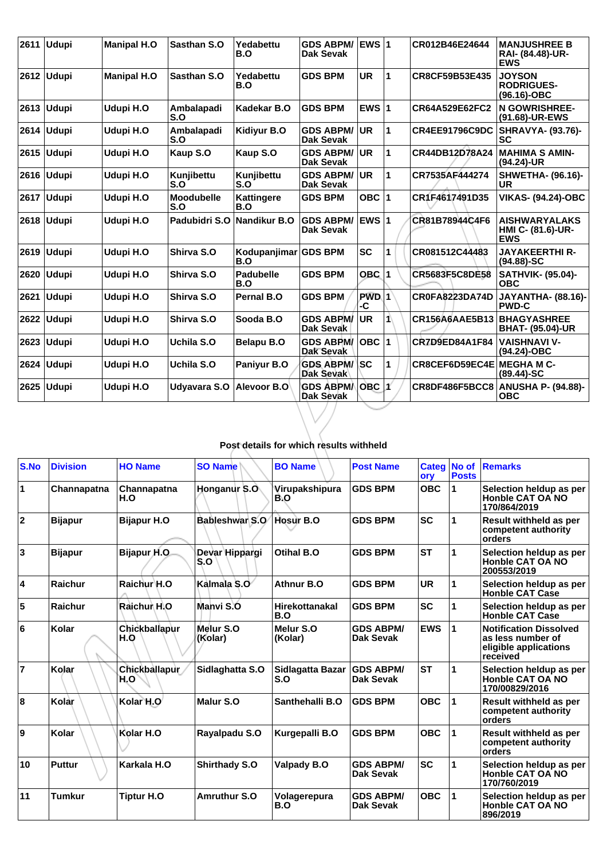| 2611 | <b>Udupi</b> | <b>Manipal H.O</b> | <b>Sasthan S.O</b>       | Yedabettu<br>B.O         | <b>GDS ABPM/</b><br><b>Dak Sevak</b> | <b>EWS1</b>  |    | CR012B46E24644        | <b>MANJUSHREE B</b><br>RAI- (84.48)-UR-<br><b>EWS</b>   |
|------|--------------|--------------------|--------------------------|--------------------------|--------------------------------------|--------------|----|-----------------------|---------------------------------------------------------|
| 2612 | <b>Udupi</b> | <b>Manipal H.O</b> | Sasthan S.O              | Yedabettu<br>B.O         | <b>GDS BPM</b>                       | <b>UR</b>    | 1  | CR8CF59B53E435        | <b>JOYSON</b><br><b>RODRIGUES-</b><br>(96.16)-OBC       |
| 2613 | <b>Udupi</b> | Udupi H.O          | Ambalapadi<br>S.O        | Kadekar B.O              | <b>GDS BPM</b>                       | EWS $ 1$     |    | CR64A529E62FC2        | <b>N GOWRISHREE-</b><br>(91.68)-UR-EWS                  |
| 2614 | Udupi        | Udupi H.O          | Ambalapadi<br>S.O        | Kidiyur B.O              | <b>GDS ABPM/</b><br><b>Dak Sevak</b> | <b>UR</b>    | 1  | <b>CR4EE91796C9DC</b> | <b>SHRAVYA- (93.76)-</b><br>SC                          |
| 2615 | <b>Udupi</b> | Udupi H.O          | Kaup S.O                 | Kaup S.O                 | <b>GDS ABPM/</b><br><b>Dak Sevak</b> | <b>UR</b>    | 1  | CR44DB12D78A24        | <b>MAHIMA S AMIN-</b><br>(94.24)-UR                     |
| 2616 | <b>Udupi</b> | Udupi H.O          | Kunjibettu<br>S.O        | Kunjibettu<br>S.O        | <b>GDS ABPM/</b><br><b>Dak Sevak</b> | <b>UR</b>    | 1  | CR7535AF444274        | <b>SHWETHA- (96.16)-</b><br>UR                          |
|      | 2617 Udupi   | Udupi H.O          | <b>Moodubelle</b><br>S.O | <b>Kattingere</b><br>B.O | <b>GDS BPM</b>                       | OBC $ 1$     |    | CR1F4617491D35        | <b>VIKAS- (94.24)-OBC</b>                               |
|      | 2618 Udupi   | Udupi H.O          | Padubidri S.O            | <b>Nandikur B.O</b>      | <b>GDS ABPM/</b><br>Dak Sevak        | <b>EWS 1</b> |    | CR81B78944C4F6        | <b>AISHWARYALAKS</b><br>HMI C- (81.6)-UR-<br><b>EWS</b> |
| 2619 | <b>Udupi</b> | Udupi H.O          | Shirva S.O               | Kodupanjimar<br>B.O      | <b>GDS BPM</b>                       | <b>SC</b>    | 1  | CR081512C44483        | <b>JAYAKEERTHI R-</b><br>$(94.88) - SC$                 |
| 2620 | <b>Udupi</b> | Udupi H.O          | Shirva S.O               | <b>Padubelle</b><br>B.O  | <b>GDS BPM</b>                       | OBC          | 1  | <b>CR5683F5C8DE58</b> | <b>SATHVIK- (95.04)-</b><br><b>OBC</b>                  |
| 2621 | <b>Udupi</b> | Udupi H.O          | Shirva S.O               | <b>Pernal B.O</b>        | <b>GDS BPM</b>                       | PWD.1<br>-C  |    | <b>CR0FA8223DA74D</b> | <b>JAYANTHA- (88.16)-</b><br><b>PWD-C</b>               |
| 2622 | <b>Udupi</b> | Udupi H.O          | Shirva S.O               | Sooda B.O                | <b>GDS ABPM/</b><br>Dak Sevak        | <b>UR</b>    | 1  | CR156A6AAE5B13        | <b>BHAGYASHREE</b><br><b>BHAT- (95.04)-UR</b>           |
| 2623 | <b>Udupi</b> | Udupi H.O          | Uchila S.O               | <b>Belapu B.O</b>        | <b>GDS ABPM/</b><br>Dak Sevak        | OBC          | 11 | CR7D9ED84A1F84        | <b>VAISHNAVI V-</b><br>$(94.24)-OBC$                    |
| 2624 | <b>Udupi</b> | Udupi H.O          | Uchila S.O               | Paniyur B.O              | <b>GDS ABPM/</b><br><b>Dak Sevak</b> | lsc          | 1  | CR8CEF6D59EC4E        | <b>MEGHAMC-</b><br>$(89.44) - SC$                       |
| 2625 | <b>Udupi</b> | Udupi H.O          | Udyavara S.O             | Alevoor B.O              | <b>GDS ABPMA</b><br>Dak Sevak        | OBC  1′      |    | CR8DF486F5BCC8        | <b>ANUSHA P- (94.88)-</b><br><b>OBC</b>                 |

## **Post details for which results withheld**

| S.No           | <b>Division</b> | <b>HO Name</b>              | <b>SO Name</b>        | <b>BO Name</b>               | <b>Post Name</b>                     | ory        | Categ No of<br><b>Posts</b> | <b>Remarks</b>                                                                          |
|----------------|-----------------|-----------------------------|-----------------------|------------------------------|--------------------------------------|------------|-----------------------------|-----------------------------------------------------------------------------------------|
| $\vert$ 1      | Channapatna     | Channapatna<br>H.O          | Honganur S.O          | Virupakshipura<br>B.O        | <b>GDS BPM</b>                       | <b>OBC</b> | 1                           | Selection heldup as per<br>Honble CAT OA NO<br>170/864/2019                             |
| 2              | <b>Bijapur</b>  | <b>Bijapur H.O</b>          | Bableshwar S.O        | Hosur B.O                    | <b>GDS BPM</b>                       | <b>SC</b>  | 1                           | <b>Result withheld as per</b><br>competent authority<br>orders                          |
| 3              | <b>Bijapur</b>  | <b>Bijapur H.O.</b>         | Devar Hippargi<br>S.O | Otihal B.O                   | <b>GDS BPM</b>                       | <b>ST</b>  | 1                           | Selection heldup as per<br><b>Honble CAT OA NO</b><br>200553/2019                       |
| 4              | Raichur         | Raichur H.O                 | Kalmala S.O           | Athnur B.O                   | <b>GDS BPM</b>                       | <b>UR</b>  | 1                           | Selection heldup as per<br><b>Honble CAT Case</b>                                       |
| 5              | Raichur         | Raichur H.O                 | Manvi S.O             | <b>Hirekottanakal</b><br>B.O | <b>GDS BPM</b>                       | <b>SC</b>  | 1                           | Selection heldup as per<br><b>Honble CAT Case</b>                                       |
| 6              | Kolar           | Chickballapur<br>H.O        | Melur S.O<br>(Kolar)  | Melur S.O<br>(Kolar)         | <b>GDS ABPM/</b><br>Dak Sevak        | <b>EWS</b> | 1                           | <b>Notification Dissolved</b><br>as less number of<br>eligible applications<br>received |
| $\overline{7}$ | Kolar           | <b>Chickballapur</b><br>H.O | Sidlaghatta S.O       | Sidlagatta Bazar<br>S.O      | <b>GDS ABPM/</b><br>Dak Sevak        | <b>ST</b>  | 1                           | Selection heldup as per<br>Honble CAT OA NO<br>170/00829/2016                           |
| 8              | Kolar           | Kolar H.O                   | Malur S.O             | Santhehalli B.O              | <b>GDS BPM</b>                       | <b>OBC</b> | 1                           | Result withheld as per<br>competent authority<br>orders                                 |
| 9              | Kolar           | Kolar H.O                   | Rayalpadu S.O         | Kurgepalli B.O               | <b>GDS BPM</b>                       | <b>OBC</b> | 1                           | Result withheld as per<br>competent authority<br>orders                                 |
| 10             | <b>Puttur</b>   | Karkala H.O                 | <b>Shirthady S.O</b>  | <b>Valpady B.O</b>           | <b>GDS ABPM/</b><br>Dak Sevak        | <b>SC</b>  | 1                           | Selection heldup as per<br>Honble CAT OA NO<br>170/760/2019                             |
| 11             | <b>Tumkur</b>   | <b>Tiptur H.O</b>           | <b>Amruthur S.O</b>   | Volagerepura<br>B.O          | <b>GDS ABPM/</b><br><b>Dak Sevak</b> | <b>OBC</b> | 1                           | Selection heldup as per<br>Honble CAT OA NO<br>896/2019                                 |